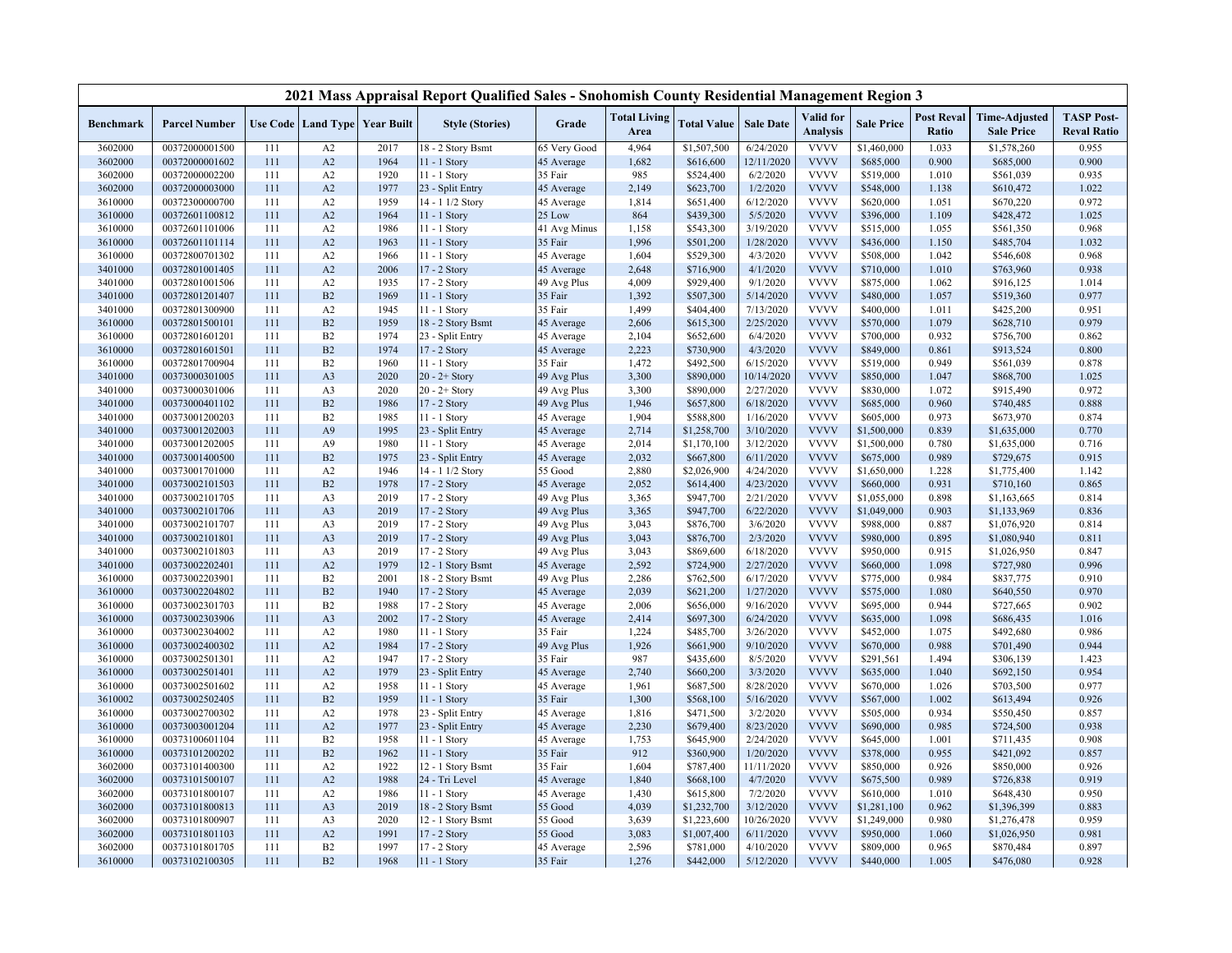|                  |                      |     |                |                                   | 2021 Mass Appraisal Report Qualified Sales - Snohomish County Residential Management Region 3 |              |                             |                    |                  |                              |                   |                                   |                                           |                                         |
|------------------|----------------------|-----|----------------|-----------------------------------|-----------------------------------------------------------------------------------------------|--------------|-----------------------------|--------------------|------------------|------------------------------|-------------------|-----------------------------------|-------------------------------------------|-----------------------------------------|
| <b>Benchmark</b> | <b>Parcel Number</b> |     |                | Use Code   Land Type   Year Built | <b>Style (Stories)</b>                                                                        | Grade        | <b>Total Living</b><br>Area | <b>Total Value</b> | <b>Sale Date</b> | Valid for<br><b>Analysis</b> | <b>Sale Price</b> | <b>Post Reval</b><br><b>Ratio</b> | <b>Time-Adjusted</b><br><b>Sale Price</b> | <b>TASP Post-</b><br><b>Reval Ratio</b> |
| 3602000          | 00372000001500       | 111 | A2             | 2017                              | 18 - 2 Story Bsmt                                                                             | 65 Very Good | 4,964                       | \$1,507,500        | 6/24/2020        | <b>VVVV</b>                  | \$1,460,000       | 1.033                             | \$1,578,260                               | 0.955                                   |
| 3602000          | 00372000001602       | 111 | A2             | 1964                              | $11 - 1$ Story                                                                                | 45 Average   | 1,682                       | \$616,600          | 12/11/2020       | <b>VVVV</b>                  | \$685,000         | 0.900                             | \$685,000                                 | 0.900                                   |
| 3602000          | 00372000002200       | 111 | A2             | 1920                              | 11 - 1 Story                                                                                  | 35 Fair      | 985                         | \$524,400          | 6/2/2020         | <b>VVVV</b>                  | \$519,000         | 1.010                             | \$561,039                                 | 0.935                                   |
| 3602000          | 00372000003000       | 111 | A2             | 1977                              | 23 - Split Entry                                                                              | 45 Average   | 2,149                       | \$623,700          | 1/2/2020         | <b>VVVV</b>                  | \$548,000         | 1.138                             | \$610,472                                 | 1.022                                   |
| 3610000          | 00372300000700       | 111 | A2             | 1959                              | 14 - 1 1/2 Story                                                                              | 45 Average   | 1,814                       | \$651,400          | 6/12/2020        | <b>VVVV</b>                  | \$620,000         | 1.051                             | \$670,220                                 | 0.972                                   |
| 3610000          | 00372601100812       | 111 | A2             | 1964                              | 11 - 1 Story                                                                                  | 25 Low       | 864                         | \$439,300          | 5/5/2020         | <b>VVVV</b>                  | \$396,000         | 1.109                             | \$428,472                                 | 1.025                                   |
| 3610000          | 00372601101006       | 111 | A2             | 1986                              | 11 - 1 Story                                                                                  | 41 Avg Minus | 1,158                       | \$543,300          | 3/19/2020        | <b>VVVV</b>                  | \$515,000         | 1.055                             | \$561,350                                 | 0.968                                   |
| 3610000          | 00372601101114       | 111 | A2             | 1963                              | $11 - 1$ Story                                                                                | 35 Fair      | 1,996                       | \$501,200          | 1/28/2020        | <b>VVVV</b>                  | \$436,000         | 1.150                             | \$485,704                                 | 1.032                                   |
| 3610000          | 00372800701302       | 111 | A2             | 1966                              | 11 - 1 Story                                                                                  | 45 Average   | 1,604                       | \$529,300          | 4/3/2020         | <b>VVVV</b>                  | \$508,000         | 1.042                             | \$546,608                                 | 0.968                                   |
| 3401000          | 00372801001405       | 111 | A2             | 2006                              | 17 - 2 Story                                                                                  | 45 Average   | 2,648                       | \$716,900          | 4/1/2020         | <b>VVVV</b>                  | \$710,000         | 1.010                             | \$763,960                                 | 0.938                                   |
| 3401000          | 00372801001506       | 111 | A <sub>2</sub> | 1935                              | 17 - 2 Story                                                                                  | 49 Avg Plus  | 4,009                       | \$929,400          | 9/1/2020         | <b>VVVV</b>                  | \$875,000         | 1.062                             | \$916,125                                 | 1.014                                   |
| 3401000          | 00372801201407       | 111 | B2             | 1969                              | 11 - 1 Story                                                                                  | 35 Fair      | 1,392                       | \$507,300          | 5/14/2020        | <b>VVVV</b>                  | \$480,000         | 1.057                             | \$519,360                                 | 0.977                                   |
| 3401000          | 00372801300900       | 111 | A <sub>2</sub> | 1945                              | $11 - 1$ Story                                                                                | 35 Fair      | 1,499                       | \$404,400          | 7/13/2020        | <b>VVVV</b>                  | \$400,000         | 1.011                             | \$425,200                                 | 0.951                                   |
| 3610000          | 00372801500101       | 111 | B2             | 1959                              | 18 - 2 Story Bsmt                                                                             | 45 Average   | 2,606                       | \$615,300          | 2/25/2020        | <b>VVVV</b>                  | \$570,000         | 1.079                             | \$628,710                                 | 0.979                                   |
| 3610000          | 00372801601201       | 111 | B2             | 1974                              | 23 - Split Entry                                                                              | 45 Average   | 2,104                       | \$652,600          | 6/4/2020         | <b>VVVV</b>                  | \$700,000         | 0.932                             | \$756,700                                 | 0.862                                   |
| 3610000          | 00372801601501       | 111 | B2             | 1974                              | 17 - 2 Story                                                                                  | 45 Average   | 2,223                       | \$730,900          | 4/3/2020         | <b>VVVV</b>                  | \$849,000         | 0.861                             | \$913,524                                 | 0.800                                   |
| 3610000          | 00372801700904       | 111 | B2             | 1960                              | 11 - 1 Story                                                                                  | 35 Fair      | 1,472                       | \$492,500          | 6/15/2020        | <b>VVVV</b>                  | \$519,000         | 0.949                             | \$561,039                                 | 0.878                                   |
| 3401000          | 00373000301005       | 111 | A <sub>3</sub> | 2020                              | $20 - 2 +$ Story                                                                              | 49 Avg Plus  | 3,300                       | \$890,000          | 10/14/2020       | <b>VVVV</b>                  | \$850,000         | 1.047                             | \$868,700                                 | 1.025                                   |
| 3401000          | 00373000301006       | 111 | A3             | 2020                              | $20 - 2 +$ Story                                                                              | 49 Avg Plus  | 3,300                       | \$890,000          | 2/27/2020        | <b>VVVV</b>                  | \$830,000         | 1.072                             | \$915,490                                 | 0.972                                   |
| 3401000          | 00373000401102       | 111 | B2             | 1986                              | 17 - 2 Story                                                                                  | 49 Avg Plus  | 1,946                       | \$657,800          | 6/18/2020        | <b>VVVV</b>                  | \$685,000         | 0.960                             | \$740,485                                 | 0.888                                   |
| 3401000          | 00373001200203       | 111 | B2             | 1985                              | 11 - 1 Story                                                                                  | 45 Average   | 1,904                       | \$588,800          | 1/16/2020        | <b>VVVV</b>                  | \$605,000         | 0.973                             | \$673,970                                 | 0.874                                   |
| 3401000          | 00373001202003       | 111 | A <sub>9</sub> | 1995                              | 23 - Split Entry                                                                              | 45 Average   | 2,714                       | \$1,258,700        | 3/10/2020        | <b>VVVV</b>                  | \$1,500,000       | 0.839                             | \$1,635,000                               | 0.770                                   |
| 3401000          | 00373001202005       | 111 | A <sub>9</sub> | 1980                              | 11 - 1 Story                                                                                  | 45 Average   | 2,014                       | \$1,170,100        | 3/12/2020        | <b>VVVV</b>                  | \$1,500,000       | 0.780                             | \$1,635,000                               | 0.716                                   |
| 3401000          | 00373001400500       | 111 | B2             | 1975                              | 23 - Split Entry                                                                              | 45 Average   | 2,032                       | \$667,800          | 6/11/2020        | <b>VVVV</b>                  | \$675,000         | 0.989                             | \$729,675                                 | 0.915                                   |
| 3401000          | 00373001701000       | 111 | A2             | 1946                              | 14 - 1 1/2 Story                                                                              | 55 Good      | 2,880                       | \$2,026,900        | 4/24/2020        | <b>VVVV</b>                  | \$1,650,000       | 1.228                             | \$1,775,400                               | 1.142                                   |
| 3401000          | 00373002101503       | 111 | B2             | 1978                              | 17 - 2 Story                                                                                  | 45 Average   | 2,052                       | \$614,400          | 4/23/2020        | <b>VVVV</b>                  | \$660,000         | 0.931                             | \$710,160                                 | 0.865                                   |
| 3401000          | 00373002101705       | 111 | A <sub>3</sub> | 2019                              | 17 - 2 Story                                                                                  | 49 Avg Plus  | 3,365                       | \$947,700          | 2/21/2020        | <b>VVVV</b>                  | \$1,055,000       | 0.898                             | \$1,163,665                               | 0.814                                   |
| 3401000          | 00373002101706       | 111 | A <sub>3</sub> | 2019                              | 17 - 2 Story                                                                                  | 49 Avg Plus  | 3,365                       | \$947,700          | 6/22/2020        | <b>VVVV</b>                  | \$1,049,000       | 0.903                             | \$1,133,969                               | 0.836                                   |
| 3401000          | 00373002101707       | 111 | A <sub>3</sub> | 2019                              | 17 - 2 Story                                                                                  | 49 Avg Plus  | 3,043                       | \$876,700          | 3/6/2020         | <b>VVVV</b>                  | \$988,000         | 0.887                             | \$1,076,920                               | 0.814                                   |
| 3401000          | 00373002101801       | 111 | A <sub>3</sub> | 2019                              | 17 - 2 Story                                                                                  | 49 Avg Plus  | 3,043                       | \$876,700          | 2/3/2020         | <b>VVVV</b>                  | \$980,000         | 0.895                             | \$1,080,940                               | 0.811                                   |
| 3401000          | 00373002101803       | 111 | A <sub>3</sub> | 2019                              | 17 - 2 Story                                                                                  | 49 Avg Plus  | 3,043                       | \$869,600          | 6/18/2020        | <b>VVVV</b>                  | \$950,000         | 0.915                             | \$1,026,950                               | 0.847                                   |
| 3401000          | 00373002202401       | 111 | A2             | 1979                              | 12 - 1 Story Bsmt                                                                             | 45 Average   | 2,592                       | \$724,900          | 2/27/2020        | <b>VVVV</b>                  | \$660,000         | 1.098                             | \$727,980                                 | 0.996                                   |
| 3610000          | 00373002203901       | 111 | B2             | 2001                              | 18 - 2 Story Bsmt                                                                             | 49 Avg Plus  | 2,286                       | \$762,500          | 6/17/2020        | <b>VVVV</b>                  | \$775,000         | 0.984                             | \$837,775                                 | 0.910                                   |
| 3610000          | 00373002204802       | 111 | B <sub>2</sub> | 1940                              | 17 - 2 Story                                                                                  | 45 Average   | 2,039                       | \$621,200          | 1/27/2020        | <b>VVVV</b>                  | \$575,000         | 1.080                             | \$640,550                                 | 0.970                                   |
| 3610000          | 00373002301703       | 111 | B <sub>2</sub> | 1988                              | 17 - 2 Story                                                                                  | 45 Average   | 2,006                       | \$656,000          | 9/16/2020        | <b>VVVV</b>                  | \$695,000         | 0.944                             | \$727,665                                 | 0.902                                   |
| 3610000          | 00373002303906       | 111 | A3             | 2002                              | 17 - 2 Story                                                                                  | 45 Average   | 2,414                       | \$697,300          | 6/24/2020        | <b>VVVV</b>                  | \$635,000         | 1.098                             | \$686,435                                 | 1.016                                   |
| 3610000          | 00373002304002       | 111 | A2             | 1980                              | 11 - 1 Story                                                                                  | 35 Fair      | 1,224                       | \$485,700          | 3/26/2020        | <b>VVVV</b>                  | \$452,000         | 1.075                             | \$492,680                                 | 0.986                                   |
| 3610000          | 00373002400302       | 111 | A2             | 1984                              | 17 - 2 Story                                                                                  | 49 Avg Plus  | 1,926                       | \$661,900          | 9/10/2020        | <b>VVVV</b>                  | \$670,000         | 0.988                             | \$701,490                                 | 0.944                                   |
| 3610000          | 00373002501301       | 111 | A <sub>2</sub> | 1947                              | 17 - 2 Story                                                                                  | 35 Fair      | 987                         | \$435,600          | 8/5/2020         | <b>VVVV</b>                  | \$291,561         | 1.494                             | \$306,139                                 | 1.423                                   |
| 3610000          | 00373002501401       | 111 | A2             | 1979                              | 23 - Split Entry                                                                              | 45 Average   | 2,740                       | \$660,200          | 3/3/2020         | <b>VVVV</b>                  | \$635,000         | 1.040                             | \$692,150                                 | 0.954                                   |
| 3610000          | 00373002501602       | 111 | A2             | 1958                              | 11 - 1 Story                                                                                  | 45 Average   | 1,961                       | \$687,500          | 8/28/2020        | <b>VVVV</b>                  | \$670,000         | 1.026                             | \$703,500                                 | 0.977                                   |
| 3610002          | 00373002502405       | 111 | B2             | 1959                              | 11 - 1 Story                                                                                  | 35 Fair      | 1,300                       | \$568,100          | 5/16/2020        | <b>VVVV</b>                  | \$567,000         | 1.002                             | \$613,494                                 | 0.926                                   |
| 3610000          | 00373002700302       | 111 | A2             | 1978                              | 23 - Split Entry                                                                              | 45 Average   | 1,816                       | \$471,500          | 3/2/2020         | <b>VVVV</b>                  | \$505,000         | 0.934                             | \$550,450                                 | 0.857                                   |
| 3610000          | 00373003001204       | 111 | A2             | 1977                              | 23 - Split Entry                                                                              | 45 Average   | 2,230                       | \$679,400          | 8/23/2020        | <b>VVVV</b>                  | \$690,000         | 0.985                             | \$724,500                                 | 0.938                                   |
| 3610000          | 00373100601104       | 111 | B2             | 1958                              | 11 - 1 Story                                                                                  | 45 Average   | 1,753                       | \$645,900          | 2/24/2020        | <b>VVVV</b>                  | \$645,000         | 1.001                             | \$711,435                                 | 0.908                                   |
| 3610000          | 00373101200202       | 111 | B2             | 1962                              | $11 - 1$ Story                                                                                | 35 Fair      | 912                         | \$360,900          | 1/20/2020        | <b>VVVV</b>                  | \$378,000         | 0.955                             | \$421,092                                 | 0.857                                   |
| 3602000          | 00373101400300       | 111 | A2             | 1922                              | 12 - 1 Story Bsmt                                                                             | 35 Fair      | 1,604                       | \$787,400          | 11/11/2020       | <b>VVVV</b>                  | \$850,000         | 0.926                             | \$850,000                                 | 0.926                                   |
| 3602000          | 00373101500107       | 111 | A2             | 1988                              | 24 - Tri Level                                                                                | 45 Average   | 1,840                       | \$668,100          | 4/7/2020         | <b>VVVV</b>                  | \$675,500         | 0.989                             | \$726,838                                 | 0.919                                   |
| 3602000          | 00373101800107       | 111 | A2             | 1986                              | 11 - 1 Story                                                                                  | 45 Average   | 1,430                       | \$615,800          | 7/2/2020         | <b>VVVV</b>                  | \$610,000         | 1.010                             | \$648,430                                 | 0.950                                   |
| 3602000          | 00373101800813       | 111 | A <sub>3</sub> | 2019                              | 18 - 2 Story Bsmt                                                                             | 55 Good      | 4,039                       | \$1,232,700        | 3/12/2020        | <b>VVVV</b>                  | \$1,281,100       | 0.962                             | \$1,396,399                               | 0.883                                   |
| 3602000          | 00373101800907       | 111 | A3             | 2020                              | 12 - 1 Story Bsmt                                                                             | 55 Good      | 3,639                       | \$1,223,600        | 10/26/2020       | <b>VVVV</b>                  | \$1,249,000       | 0.980                             | \$1,276,478                               | 0.959                                   |
| 3602000          | 00373101801103       | 111 | A2             | 1991                              | 17 - 2 Story                                                                                  | 55 Good      | 3,083                       | \$1,007,400        | 6/11/2020        | <b>VVVV</b>                  | \$950,000         | 1.060                             | \$1,026,950                               | 0.981                                   |
| 3602000          | 00373101801705       | 111 | B <sub>2</sub> | 1997                              | $17 - 2$ Story                                                                                | 45 Average   | 2,596                       | \$781,000          | 4/10/2020        | <b>VVVV</b>                  | \$809,000         | 0.965                             | \$870,484                                 | 0.897                                   |
| 3610000          | 00373102100305       | 111 | B2             | 1968                              | 11 - 1 Story                                                                                  | 35 Fair      | 1,276                       | \$442,000          | 5/12/2020        | <b>VVVV</b>                  | \$440,000         | 1.005                             | \$476,080                                 | 0.928                                   |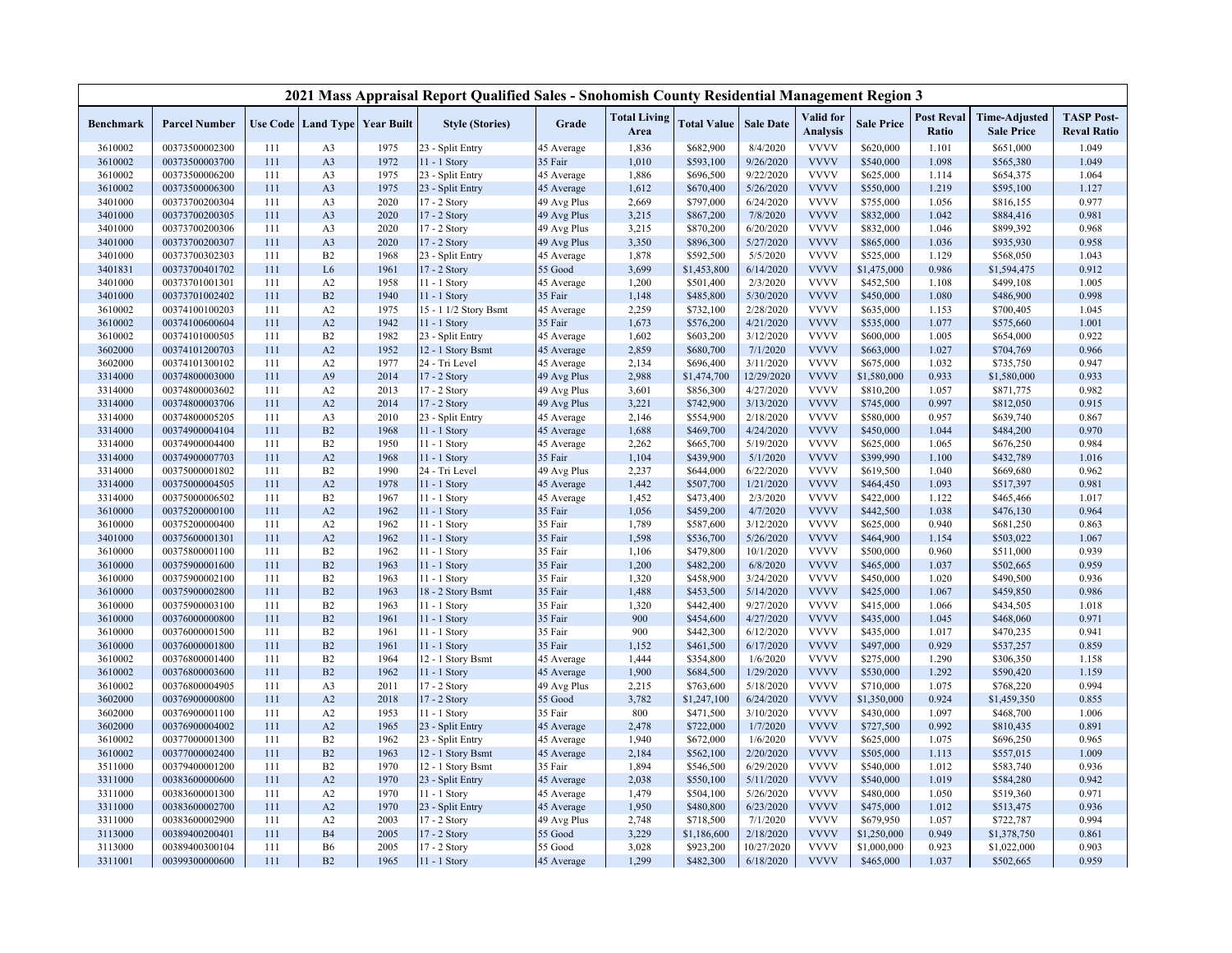|                    |                                  |            |                |                                   | 2021 Mass Appraisal Report Qualified Sales - Snohomish County Residential Management Region 3 |                    |                             |                        |                        |                              |                        |                            |                                           |                                         |
|--------------------|----------------------------------|------------|----------------|-----------------------------------|-----------------------------------------------------------------------------------------------|--------------------|-----------------------------|------------------------|------------------------|------------------------------|------------------------|----------------------------|-------------------------------------------|-----------------------------------------|
| <b>Benchmark</b>   | <b>Parcel Number</b>             |            |                | Use Code   Land Type   Year Built | <b>Style (Stories)</b>                                                                        | Grade              | <b>Total Living</b><br>Area | <b>Total Value</b>     | <b>Sale Date</b>       | Valid for<br><b>Analysis</b> | <b>Sale Price</b>      | <b>Post Reval</b><br>Ratio | <b>Time-Adjusted</b><br><b>Sale Price</b> | <b>TASP Post-</b><br><b>Reval Ratio</b> |
| 3610002            | 00373500002300                   | 111        | A3             | 1975                              | 23 - Split Entry                                                                              | 45 Average         | 1,836                       | \$682,900              | 8/4/2020               | <b>VVVV</b>                  | \$620,000              | 1.101                      | \$651,000                                 | 1.049                                   |
| 3610002            | 00373500003700                   | 111        | A3             | 1972                              | 11 - 1 Story                                                                                  | 35 Fair            | 1,010                       | \$593,100              | 9/26/2020              | <b>VVVV</b>                  | \$540,000              | 1.098                      | \$565,380                                 | 1.049                                   |
| 3610002            | 00373500006200                   | 111        | A3             | 1975                              | 23 - Split Entry                                                                              | 45 Average         | 1,886                       | \$696,500              | 9/22/2020              | <b>VVVV</b>                  | \$625,000              | 1.114                      | \$654,375                                 | 1.064                                   |
| 3610002            | 00373500006300                   | 111        | A <sub>3</sub> | 1975                              | 23 - Split Entry                                                                              | 45 Average         | 1,612                       | \$670,400              | 5/26/2020              | <b>VVVV</b>                  | \$550,000              | 1.219                      | \$595,100                                 | 1.127                                   |
| 3401000            | 00373700200304                   | 111        | A3             | 2020                              | 17 - 2 Story                                                                                  | 49 Avg Plus        | 2,669                       | \$797,000              | 6/24/2020              | <b>VVVV</b>                  | \$755,000              | 1.056                      | \$816,155                                 | 0.977                                   |
| 3401000            | 00373700200305                   | 111        | A3             | 2020                              | 17 - 2 Story                                                                                  | 49 Avg Plus        | 3,215                       | \$867,200              | 7/8/2020               | <b>VVVV</b>                  | \$832,000              | 1.042                      | \$884,416                                 | 0.981                                   |
| 3401000            | 00373700200306                   | 111        | A3             | 2020                              | 17 - 2 Story                                                                                  | 49 Avg Plus        | 3,215                       | \$870,200              | 6/20/2020              | <b>VVVV</b>                  | \$832,000              | 1.046                      | \$899,392                                 | 0.968                                   |
| 3401000            | 00373700200307                   | 111        | A <sub>3</sub> | 2020                              | 17 - 2 Story                                                                                  | 49 Avg Plus        | 3,350                       | \$896,300              | 5/27/2020              | <b>VVVV</b>                  | \$865,000              | 1.036                      | \$935,930                                 | 0.958                                   |
| 3401000            | 00373700302303                   | 111        | B2             | 1968                              | 23 - Split Entry                                                                              | 45 Average         | 1,878                       | \$592,500              | 5/5/2020               | <b>VVVV</b>                  | \$525,000              | 1.129                      | \$568,050                                 | 1.043                                   |
| 3401831            | 00373700401702                   | 111        | L <sub>6</sub> | 1961                              | 17 - 2 Story                                                                                  | 55 Good            | 3,699                       | \$1,453,800            | 6/14/2020              | <b>VVVV</b>                  | \$1,475,000            | 0.986                      | \$1,594,475                               | 0.912                                   |
| 3401000            | 00373701001301                   | 111        | A <sub>2</sub> | 1958                              | $11 - 1$ Story                                                                                | 45 Average         | 1,200                       | \$501,400              | 2/3/2020               | <b>VVVV</b>                  | \$452,500              | 1.108                      | \$499,108                                 | 1.005                                   |
| 3401000            | 00373701002402                   | 111        | B2             | 1940                              | 11 - 1 Story                                                                                  | 35 Fair            | 1,148                       | \$485,800              | 5/30/2020              | <b>VVVV</b>                  | \$450,000              | 1.080                      | \$486,900                                 | 0.998                                   |
| 3610002            | 00374100100203                   | 111        | A2             | 1975                              | 15 - 1 1/2 Story Bsmt                                                                         | 45 Average         | 2,259                       | \$732,100              | 2/28/2020              | <b>VVVV</b>                  | \$635,000              | 1.153                      | \$700,405                                 | 1.045                                   |
| 3610002            | 00374100600604                   | 111        | A2             | 1942                              | 11 - 1 Story                                                                                  | 35 Fair            | 1,673                       | \$576,200              | 4/21/2020              | <b>VVVV</b>                  | \$535,000              | 1.077                      | \$575,660                                 | 1.001                                   |
| 3610002            | 00374101000505                   | 111        | B2             | 1982                              | 23 - Split Entry                                                                              | 45 Average         | 1,602                       | \$603,200              | 3/12/2020              | <b>VVVV</b>                  | \$600,000              | 1.005                      | \$654,000                                 | 0.922                                   |
| 3602000            | 00374101200703                   | 111        | A2             | 1952                              | 12 - 1 Story Bsmt                                                                             | 45 Average         | 2,859                       | \$680,700              | 7/1/2020               | <b>VVVV</b>                  | \$663,000              | 1.027                      | \$704,769                                 | 0.966                                   |
| 3602000            | 00374101300102                   | 111        | A2             | 1977                              | 24 - Tri Level                                                                                | 45 Average         | 2,134                       | \$696,400              | 3/11/2020              | <b>VVVV</b>                  | \$675,000              | 1.032                      | \$735,750                                 | 0.947                                   |
| 3314000            | 00374800003000                   | 111        | A <sub>9</sub> | 2014                              | 17 - 2 Story                                                                                  | 49 Avg Plus        | 2,988                       | \$1,474,700            | 12/29/2020             | <b>VVVV</b>                  | \$1,580,000            | 0.933                      | \$1,580,000                               | 0.933                                   |
| 3314000            | 00374800003602                   | 111        | A2             | 2013                              | 17 - 2 Story                                                                                  | 49 Avg Plus        | 3,601                       | \$856,300              | 4/27/2020              | <b>VVVV</b>                  | \$810,200              | 1.057                      | \$871,775                                 | 0.982                                   |
| 3314000            | 00374800003706                   | 111        | A2             | 2014                              | 17 - 2 Story                                                                                  | 49 Avg Plus        | 3,221                       | \$742,900              | 3/13/2020              | <b>VVVV</b>                  | \$745,000              | 0.997                      | \$812,050                                 | 0.915                                   |
| 3314000            | 00374800005205                   | 111        | A3             | 2010                              | 23 - Split Entry                                                                              | 45 Average         | 2,146                       | \$554,900              | 2/18/2020              | <b>VVVV</b>                  | \$580,000              | 0.957                      | \$639,740                                 | 0.867                                   |
| 3314000            | 00374900004104                   | 111        | B2             | 1968                              | 11 - 1 Story                                                                                  | 45 Average         | 1,688                       | \$469,700              | 4/24/2020              | <b>VVVV</b>                  | \$450,000              | 1.044                      | \$484,200                                 | 0.970                                   |
| 3314000            | 00374900004400                   | 111        | B2             | 1950                              | 11 - 1 Story                                                                                  | 45 Average         | 2,262                       | \$665,700              | 5/19/2020              | <b>VVVV</b>                  | \$625,000              | 1.065                      | \$676,250                                 | 0.984                                   |
| 3314000            | 00374900007703                   | 111        | A2             | 1968                              | 11 - 1 Story                                                                                  | 35 Fair            | 1,104                       | \$439,900              | 5/1/2020               | <b>VVVV</b>                  | \$399,990              | 1.100                      | \$432,789                                 | 1.016                                   |
| 3314000            | 00375000001802                   | 111        | B2             | 1990                              | 24 - Tri Level                                                                                | 49 Avg Plus        | 2,237                       | \$644,000              | 6/22/2020              | <b>VVVV</b>                  | \$619,500              | 1.040                      | \$669,680                                 | 0.962                                   |
| 3314000            | 00375000004505                   | 111        | A2             | 1978                              | 11 - 1 Story                                                                                  | 45 Average         | 1,442                       | \$507,700              | 1/21/2020              | <b>VVVV</b>                  | \$464,450              | 1.093                      | \$517,397                                 | 0.981                                   |
| 3314000            | 00375000006502                   | 111        | B2             | 1967                              | 11 - 1 Story                                                                                  | 45 Average         | 1,452                       | \$473,400              | 2/3/2020               | <b>VVVV</b>                  | \$422,000              | 1.122                      | \$465,466                                 | 1.017                                   |
| 3610000            | 00375200000100                   | 111        | A2             | 1962                              | $11 - 1$ Story                                                                                | 35 Fair            | 1,056                       | \$459,200              | 4/7/2020               | <b>VVVV</b><br><b>VVVV</b>   | \$442,500              | 1.038                      | \$476,130                                 | 0.964                                   |
| 3610000            | 00375200000400                   | 111        | A2             | 1962                              | $11 - 1$ Story                                                                                | 35 Fair            | 1,789                       | \$587,600              | 3/12/2020              |                              | \$625,000              | 0.940                      | \$681,250                                 | 0.863                                   |
| 3401000<br>3610000 | 00375600001301<br>00375800001100 | 111<br>111 | A2<br>B2       | 1962<br>1962                      | $11 - 1$ Story                                                                                | 35 Fair<br>35 Fair | 1,598<br>1,106              | \$536,700<br>\$479,800 | 5/26/2020<br>10/1/2020 | <b>VVVV</b><br><b>VVVV</b>   | \$464,900<br>\$500,000 | 1.154<br>0.960             | \$503,022<br>\$511,000                    | 1.067<br>0.939                          |
| 3610000            | 00375900001600                   | 111        | B2             | 1963                              | 11 - 1 Story<br>11 - 1 Story                                                                  | 35 Fair            | 1,200                       |                        | 6/8/2020               | <b>VVVV</b>                  | \$465,000              | 1.037                      | \$502,665                                 | 0.959                                   |
| 3610000            | 00375900002100                   | 111        | B2             | 1963                              | $11 - 1$ Story                                                                                | 35 Fair            | 1,320                       | \$482,200<br>\$458,900 | 3/24/2020              | <b>VVVV</b>                  | \$450,000              | 1.020                      | \$490,500                                 | 0.936                                   |
| 3610000            | 00375900002800                   | 111        | B2             | 1963                              | 18 - 2 Story Bsmt                                                                             | 35 Fair            | 1,488                       | \$453,500              | 5/14/2020              | <b>VVVV</b>                  | \$425,000              | 1.067                      | \$459,850                                 | 0.986                                   |
| 3610000            | 00375900003100                   | 111        | B2             | 1963                              | 11 - 1 Story                                                                                  | 35 Fair            | 1,320                       | \$442,400              | 9/27/2020              | <b>VVVV</b>                  | \$415,000              | 1.066                      | \$434,505                                 | 1.018                                   |
| 3610000            | 00376000000800                   | 111        | B2             | 1961                              | 11 - 1 Story                                                                                  | 35 Fair            | 900                         | \$454,600              | 4/27/2020              | <b>VVVV</b>                  | \$435,000              | 1.045                      | \$468,060                                 | 0.971                                   |
| 3610000            | 00376000001500                   | 111        | B2             | 1961                              | 11 - 1 Story                                                                                  | 35 Fair            | 900                         | \$442,300              | 6/12/2020              | <b>VVVV</b>                  | \$435,000              | 1.017                      | \$470,235                                 | 0.941                                   |
| 3610000            | 00376000001800                   | 111        | B2             | 1961                              | 11 - 1 Story                                                                                  | 35 Fair            | 1,152                       | \$461,500              | 6/17/2020              | <b>VVVV</b>                  | \$497,000              | 0.929                      | \$537,257                                 | 0.859                                   |
| 3610002            | 00376800001400                   | 111        | B2             | 1964                              | 12 - 1 Story Bsmt                                                                             | 45 Average         | 1,444                       | \$354,800              | 1/6/2020               | <b>VVVV</b>                  | \$275,000              | 1.290                      | \$306,350                                 | 1.158                                   |
| 3610002            | 00376800003600                   | 111        | B2             | 1962                              | 11 - 1 Story                                                                                  | 45 Average         | 1,900                       | \$684,500              | 1/29/2020              | <b>VVVV</b>                  | \$530,000              | 1.292                      | \$590,420                                 | 1.159                                   |
| 3610002            | 00376800004905                   | 111        | A3             | 2011                              | 17 - 2 Story                                                                                  | 49 Avg Plus        | 2,215                       | \$763,600              | 5/18/2020              | <b>VVVV</b>                  | \$710,000              | 1.075                      | \$768,220                                 | 0.994                                   |
| 3602000            | 00376900000800                   | 111        | A2             | 2018                              | 17 - 2 Story                                                                                  | 55 Good            | 3,782                       | \$1,247,100            | 6/24/2020              | <b>VVVV</b>                  | \$1,350,000            | 0.924                      | \$1,459,350                               | 0.855                                   |
| 3602000            | 00376900001100                   | 111        | A2             | 1953                              | $11 - 1$ Story                                                                                | 35 Fair            | 800                         | \$471,500              | 3/10/2020              | <b>VVVV</b>                  | \$430,000              | 1.097                      | \$468,700                                 | 1.006                                   |
| 3602000            | 00376900004002                   | 111        | A2             | 1965                              | 23 - Split Entry                                                                              | 45 Average         | 2,478                       | \$722,000              | 1/7/2020               | <b>VVVV</b>                  | \$727,500              | 0.992                      | \$810,435                                 | 0.891                                   |
| 3610002            | 00377000001300                   | 111        | B <sub>2</sub> | 1962                              | 23 - Split Entry                                                                              | 45 Average         | 1,940                       | \$672,000              | 1/6/2020               | <b>VVVV</b>                  | \$625,000              | 1.075                      | \$696,250                                 | 0.965                                   |
| 3610002            | 00377000002400                   | 111        | B2             | 1963                              | 12 - 1 Story Bsmt                                                                             | 45 Average         | 2,184                       | \$562,100              | 2/20/2020              | <b>VVVV</b>                  | \$505,000              | 1.113                      | \$557,015                                 | 1.009                                   |
| 3511000            | 00379400001200                   | 111        | B2             | 1970                              | 12 - 1 Story Bsmt                                                                             | 35 Fair            | 1,894                       | \$546,500              | 6/29/2020              | <b>VVVV</b>                  | \$540,000              | 1.012                      | \$583,740                                 | 0.936                                   |
| 3311000            | 00383600000600                   | 111        | A2             | 1970                              | 23 - Split Entry                                                                              | 45 Average         | 2,038                       | \$550,100              | 5/11/2020              | <b>VVVV</b>                  | \$540,000              | 1.019                      | \$584,280                                 | 0.942                                   |
| 3311000            | 00383600001300                   | 111        | A2             | 1970                              | 11 - 1 Story                                                                                  | 45 Average         | 1,479                       | \$504,100              | 5/26/2020              | <b>VVVV</b>                  | \$480,000              | 1.050                      | \$519,360                                 | 0.971                                   |
| 3311000            | 00383600002700                   | 111        | A2             | 1970                              | 23 - Split Entry                                                                              | 45 Average         | 1,950                       | \$480,800              | 6/23/2020              | <b>VVVV</b>                  | \$475,000              | 1.012                      | \$513,475                                 | 0.936                                   |
| 3311000            | 00383600002900                   | 111        | A2             | 2003                              | 17 - 2 Story                                                                                  | 49 Avg Plus        | 2,748                       | \$718,500              | 7/1/2020               | <b>VVVV</b>                  | \$679,950              | 1.057                      | \$722,787                                 | 0.994                                   |
| 3113000            | 00389400200401                   | 111        | <b>B4</b>      | 2005                              | 17 - 2 Story                                                                                  | 55 Good            | 3,229                       | \$1,186,600            | 2/18/2020              | <b>VVVV</b>                  | \$1,250,000            | 0.949                      | \$1,378,750                               | 0.861                                   |
| 3113000            | 00389400300104                   | 111        | <b>B6</b>      | 2005                              | 17 - 2 Story                                                                                  | 55 Good            | 3,028                       | \$923,200              | 10/27/2020             | <b>VVVV</b>                  | \$1,000,000            | 0.923                      | \$1,022,000                               | 0.903                                   |
| 3311001            | 00399300000600                   | 111        | B2             | 1965                              | 11 - 1 Story                                                                                  | 45 Average         | 1,299                       | \$482,300              | 6/18/2020              | <b>VVVV</b>                  | \$465,000              | 1.037                      | \$502,665                                 | 0.959                                   |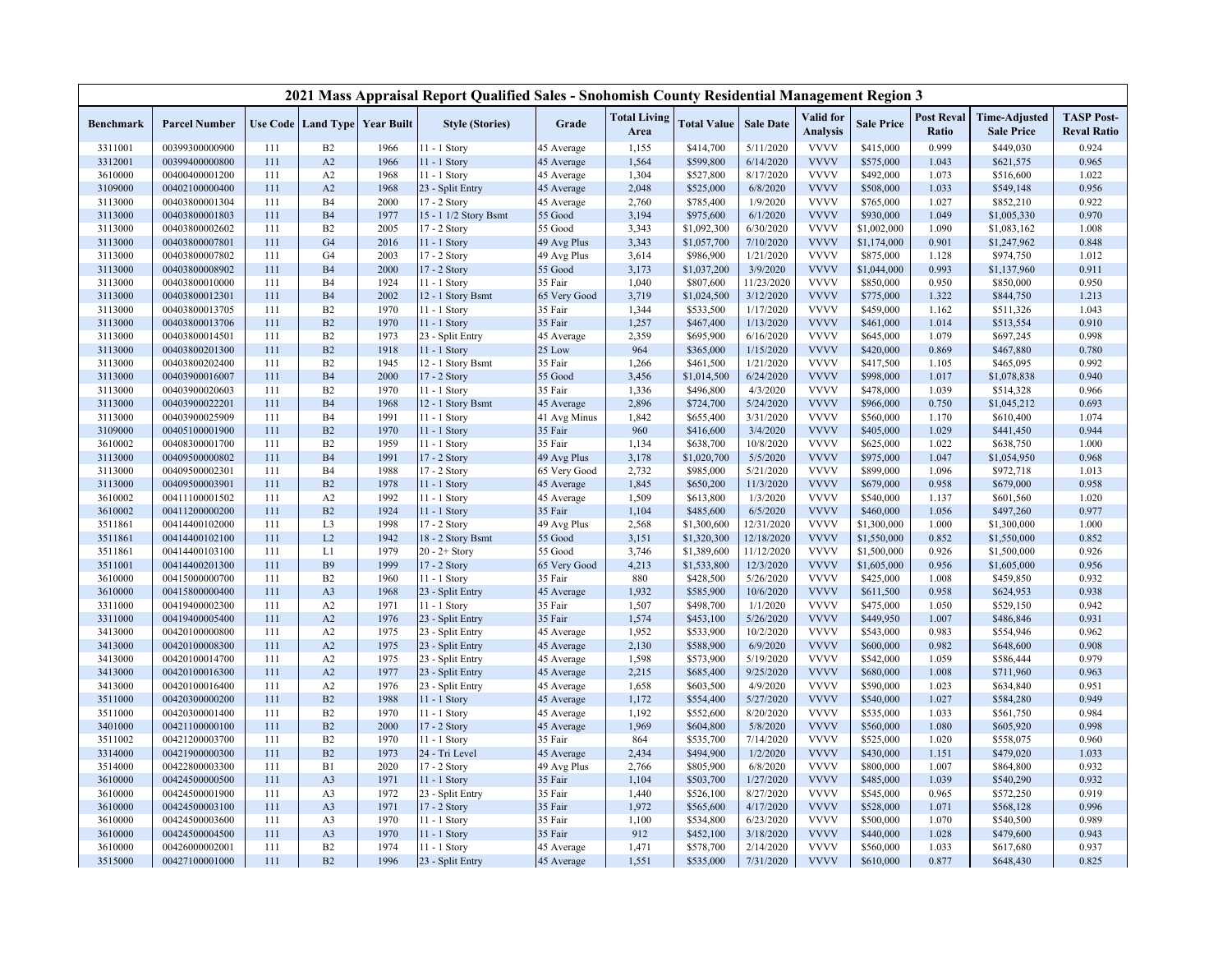|                  |                      |     |                |                                   | 2021 Mass Appraisal Report Qualified Sales - Snohomish County Residential Management Region 3 |              |                             |                    |                  |                              |                   |                            |                                           |                                         |
|------------------|----------------------|-----|----------------|-----------------------------------|-----------------------------------------------------------------------------------------------|--------------|-----------------------------|--------------------|------------------|------------------------------|-------------------|----------------------------|-------------------------------------------|-----------------------------------------|
| <b>Benchmark</b> | <b>Parcel Number</b> |     |                | Use Code   Land Type   Year Built | <b>Style (Stories)</b>                                                                        | Grade        | <b>Total Living</b><br>Area | <b>Total Value</b> | <b>Sale Date</b> | Valid for<br><b>Analysis</b> | <b>Sale Price</b> | <b>Post Reval</b><br>Ratio | <b>Time-Adjusted</b><br><b>Sale Price</b> | <b>TASP Post-</b><br><b>Reval Ratio</b> |
| 3311001          | 00399300000900       | 111 | B2             | 1966                              | $1 - 1$ Story                                                                                 | 45 Average   | 1,155                       | \$414,700          | 5/11/2020        | <b>VVVV</b>                  | \$415,000         | 0.999                      | \$449,030                                 | 0.924                                   |
| 3312001          | 00399400000800       | 111 | A2             | 1966                              | $11 - 1$ Story                                                                                | 45 Average   | 1,564                       | \$599,800          | 6/14/2020        | <b>VVVV</b>                  | \$575,000         | 1.043                      | \$621,575                                 | 0.965                                   |
| 3610000          | 00400400001200       | 111 | A <sub>2</sub> | 1968                              | 11 - 1 Story                                                                                  | 45 Average   | 1,304                       | \$527,800          | 8/17/2020        | <b>VVVV</b>                  | \$492,000         | 1.073                      | \$516,600                                 | 1.022                                   |
| 3109000          | 00402100000400       | 111 | A2             | 1968                              | 23 - Split Entry                                                                              | 45 Average   | 2,048                       | \$525,000          | 6/8/2020         | <b>VVVV</b>                  | \$508,000         | 1.033                      | \$549,148                                 | 0.956                                   |
| 3113000          | 00403800001304       | 111 | B <sub>4</sub> | 2000                              | 17 - 2 Story                                                                                  | 45 Average   | 2,760                       | \$785,400          | 1/9/2020         | <b>VVVV</b>                  | \$765,000         | 1.027                      | \$852,210                                 | 0.922                                   |
| 3113000          | 00403800001803       | 111 | <b>B4</b>      | 1977                              | 15 - 1 1/2 Story Bsmt                                                                         | 55 Good      | 3,194                       | \$975,600          | 6/1/2020         | <b>VVVV</b>                  | \$930,000         | 1.049                      | \$1,005,330                               | 0.970                                   |
| 3113000          | 00403800002602       | 111 | B <sub>2</sub> | 2005                              | 17 - 2 Story                                                                                  | 55 Good      | 3,343                       | \$1,092,300        | 6/30/2020        | <b>VVVV</b>                  | \$1,002,000       | 1.090                      | \$1,083,162                               | 1.008                                   |
| 3113000          | 00403800007801       | 111 | G <sub>4</sub> | 2016                              | $11 - 1$ Story                                                                                | 49 Avg Plus  | 3,343                       | \$1,057,700        | 7/10/2020        | <b>VVVV</b>                  | \$1,174,000       | 0.901                      | \$1,247,962                               | 0.848                                   |
| 3113000          | 00403800007802       | 111 | G <sub>4</sub> | 2003                              | 17 - 2 Story                                                                                  | 49 Avg Plus  | 3,614                       | \$986,900          | 1/21/2020        | <b>VVVV</b>                  | \$875,000         | 1.128                      | \$974,750                                 | 1.012                                   |
| 3113000          | 00403800008902       | 111 | <b>B4</b>      | 2000                              | 17 - 2 Story                                                                                  | 55 Good      | 3,173                       | \$1,037,200        | 3/9/2020         | <b>VVVV</b>                  | \$1,044,000       | 0.993                      | \$1,137,960                               | 0.911                                   |
| 3113000          | 00403800010000       | 111 | B <sub>4</sub> | 1924                              | 11 - 1 Story                                                                                  | 35 Fair      | 1,040                       | \$807,600          | 11/23/2020       | <b>VVVV</b>                  | \$850,000         | 0.950                      | \$850,000                                 | 0.950                                   |
| 3113000          | 00403800012301       | 111 | <b>B4</b>      | 2002                              | 12 - 1 Story Bsmt                                                                             | 65 Very Good | 3,719                       | \$1,024,500        | 3/12/2020        | <b>VVVV</b>                  | \$775,000         | 1.322                      | \$844,750                                 | 1.213                                   |
| 3113000          | 00403800013705       | 111 | B2             | 1970                              | 11 - 1 Story                                                                                  | 35 Fair      | 1,344                       | \$533,500          | 1/17/2020        | <b>VVVV</b>                  | \$459,000         | 1.162                      | \$511,326                                 | 1.043                                   |
| 3113000          | 00403800013706       | 111 | B2             | 1970                              | 11 - 1 Story                                                                                  | 35 Fair      | 1,257                       | \$467,400          | 1/13/2020        | <b>VVVV</b>                  | \$461,000         | 1.014                      | \$513,554                                 | 0.910                                   |
| 3113000          | 00403800014501       | 111 | B2             | 1973                              | 23 - Split Entry                                                                              | 45 Average   | 2,359                       | \$695,900          | 6/16/2020        | <b>VVVV</b>                  | \$645,000         | 1.079                      | \$697,245                                 | 0.998                                   |
| 3113000          | 00403800201300       | 111 | B2             | 1918                              | $11 - 1$ Story                                                                                | 25 Low       | 964                         | \$365,000          | 1/15/2020        | <b>VVVV</b>                  | \$420,000         | 0.869                      | \$467,880                                 | 0.780                                   |
| 3113000          | 00403800202400       | 111 | B2             | 1945                              | 12 - 1 Story Bsmt                                                                             | 35 Fair      | 1,266                       | \$461,500          | 1/21/2020        | <b>VVVV</b>                  | \$417,500         | 1.105                      | \$465,095                                 | 0.992                                   |
| 3113000          | 00403900016007       | 111 | <b>B4</b>      | 2000                              | 17 - 2 Story                                                                                  | 55 Good      | 3,456                       | \$1,014,500        | 6/24/2020        | <b>VVVV</b>                  | \$998,000         | 1.017                      | \$1,078,838                               | 0.940                                   |
| 3113000          | 00403900020603       | 111 | B2             | 1970                              | 11 - 1 Story                                                                                  | 35 Fair      | 1,336                       | \$496,800          | 4/3/2020         | <b>VVVV</b>                  | \$478,000         | 1.039                      | \$514,328                                 | 0.966                                   |
| 3113000          | 00403900022201       | 111 | <b>B4</b>      | 1968                              | 12 - 1 Story Bsmt                                                                             | 45 Average   | 2,896                       | \$724,700          | 5/24/2020        | <b>VVVV</b>                  | \$966,000         | 0.750                      | \$1,045,212                               | 0.693                                   |
| 3113000          | 00403900025909       | 111 | B <sub>4</sub> | 1991                              | 11 - 1 Story                                                                                  | 41 Avg Minus | 1,842                       | \$655,400          | 3/31/2020        | <b>VVVV</b>                  | \$560,000         | 1.170                      | \$610,400                                 | 1.074                                   |
| 3109000          | 00405100001900       | 111 | B2             | 1970                              | $11 - 1$ Story                                                                                | 35 Fair      | 960                         | \$416,600          | 3/4/2020         | <b>VVVV</b>                  | \$405,000         | 1.029                      | \$441,450                                 | 0.944                                   |
| 3610002          | 00408300001700       | 111 | B <sub>2</sub> | 1959                              | 11 - 1 Story                                                                                  | 35 Fair      | 1,134                       | \$638,700          | 10/8/2020        | <b>VVVV</b>                  | \$625,000         | 1.022                      | \$638,750                                 | 1.000                                   |
| 3113000          | 00409500000802       | 111 | <b>B4</b>      | 1991                              | 17 - 2 Story                                                                                  | 49 Avg Plus  | 3,178                       | \$1,020,700        | 5/5/2020         | <b>VVVV</b>                  | \$975,000         | 1.047                      | \$1,054,950                               | 0.968                                   |
| 3113000          | 00409500002301       | 111 | B <sub>4</sub> | 1988                              | 17 - 2 Story                                                                                  | 65 Very Good | 2,732                       | \$985,000          | 5/21/2020        | <b>VVVV</b>                  | \$899,000         | 1.096                      | \$972,718                                 | 1.013                                   |
| 3113000          | 00409500003901       | 111 | B2             | 1978                              | 11 - 1 Story                                                                                  | 45 Average   | 1,845                       | \$650,200          | 11/3/2020        | <b>VVVV</b>                  | \$679,000         | 0.958                      | \$679,000                                 | 0.958                                   |
| 3610002          | 00411100001502       | 111 | A2             | 1992                              | 11 - 1 Story                                                                                  | 45 Average   | 1,509                       | \$613,800          | 1/3/2020         | <b>VVVV</b>                  | \$540,000         | 1.137                      | \$601,560                                 | 1.020                                   |
| 3610002          | 00411200000200       | 111 | B2             | 1924                              | 11 - 1 Story                                                                                  | 35 Fair      | 1,104                       | \$485,600          | 6/5/2020         | <b>VVVV</b>                  | \$460,000         | 1.056                      | \$497,260                                 | 0.977                                   |
| 3511861          | 00414400102000       | 111 | L <sub>3</sub> | 1998                              | 17 - 2 Story                                                                                  | 49 Avg Plus  | 2,568                       | \$1,300,600        | 12/31/2020       | <b>VVVV</b>                  | \$1,300,000       | 1.000                      | \$1,300,000                               | 1.000                                   |
| 3511861          | 00414400102100       | 111 | L2             | 1942                              | 18 - 2 Story Bsmt                                                                             | 55 Good      | 3,151                       | \$1,320,300        | 12/18/2020       | <b>VVVV</b>                  | \$1,550,000       | 0.852                      | \$1,550,000                               | 0.852                                   |
| 3511861          | 00414400103100       | 111 | L1             | 1979                              | $20 - 2 +$ Story                                                                              | 55 Good      | 3,746                       | \$1,389,600        | 11/12/2020       | <b>VVVV</b>                  | \$1,500,000       | 0.926                      | \$1,500,000                               | 0.926                                   |
| 3511001          | 00414400201300       | 111 | <b>B</b> 9     | 1999                              | 17 - 2 Story                                                                                  | 65 Very Good | 4,213                       | \$1,533,800        | 12/3/2020        | <b>VVVV</b>                  | \$1,605,000       | 0.956                      | \$1,605,000                               | 0.956                                   |
| 3610000          | 00415000000700       | 111 | B2             | 1960                              | 11 - 1 Story                                                                                  | 35 Fair      | 880                         | \$428,500          | 5/26/2020        | <b>VVVV</b>                  | \$425,000         | 1.008                      | \$459,850                                 | 0.932                                   |
| 3610000          | 00415800000400       | 111 | A <sub>3</sub> | 1968                              | 23 - Split Entry                                                                              | 45 Average   | 1,932                       | \$585,900          | 10/6/2020        | <b>VVVV</b>                  | \$611,500         | 0.958                      | \$624,953                                 | 0.938                                   |
| 3311000          | 00419400002300       | 111 | A <sub>2</sub> | 1971                              | 11 - 1 Story                                                                                  | 35 Fair      | 1,507                       | \$498,700          | 1/1/2020         | <b>VVVV</b>                  | \$475,000         | 1.050                      | \$529,150                                 | 0.942                                   |
| 3311000          | 00419400005400       | 111 | A2             | 1976                              | 23 - Split Entry                                                                              | 35 Fair      | 1,574                       | \$453,100          | 5/26/2020        | <b>VVVV</b>                  | \$449,950         | 1.007                      | \$486,846                                 | 0.931                                   |
| 3413000          | 00420100000800       | 111 | A <sub>2</sub> | 1975                              | 23 - Split Entry                                                                              | 45 Average   | 1,952                       | \$533,900          | 10/2/2020        | <b>VVVV</b>                  | \$543,000         | 0.983                      | \$554,946                                 | 0.962                                   |
| 3413000          | 00420100008300       | 111 | A2             | 1975                              | 23 - Split Entry                                                                              | 45 Average   | 2,130                       | \$588,900          | 6/9/2020         | <b>VVVV</b>                  | \$600,000         | 0.982                      | \$648,600                                 | 0.908                                   |
| 3413000          | 00420100014700       | 111 | A <sub>2</sub> | 1975                              | 23 - Split Entry                                                                              | 45 Average   | 1,598                       | \$573,900          | 5/19/2020        | <b>VVVV</b>                  | \$542,000         | 1.059                      | \$586,444                                 | 0.979                                   |
| 3413000          | 00420100016300       | 111 | A2             | 1977                              | 23 - Split Entry                                                                              | 45 Average   | 2,215                       | \$685,400          | 9/25/2020        | <b>VVVV</b>                  | \$680,000         | 1.008                      | \$711,960                                 | 0.963                                   |
| 3413000          | 00420100016400       | 111 | A2             | 1976                              | 23 - Split Entry                                                                              | 45 Average   | 1,658                       | \$603,500          | 4/9/2020         | <b>VVVV</b>                  | \$590,000         | 1.023                      | \$634,840                                 | 0.951                                   |
| 3511000          | 00420300000200       | 111 | B2             | 1988                              | 11 - 1 Story                                                                                  | 45 Average   | 1,172                       | \$554,400          | 5/27/2020        | <b>VVVV</b>                  | \$540,000         | 1.027                      | \$584,280                                 | 0.949                                   |
| 3511000          | 00420300001400       | 111 | B2             | 1970                              | 11 - 1 Story                                                                                  | 45 Average   | 1,192                       | \$552,600          | 8/20/2020        | <b>VVVV</b>                  | \$535,000         | 1.033                      | \$561,750                                 | 0.984                                   |
| 3401000          | 00421100000100       | 111 | B2             | 2000                              | 17 - 2 Story                                                                                  | 45 Average   | 1,969                       | \$604,800          | 5/8/2020         | <b>VVVV</b>                  | \$560,000         | 1.080                      | \$605,920                                 | 0.998                                   |
| 3511002          | 00421200003700       | 111 | B2             | 1970                              | 11 - 1 Story                                                                                  | 35 Fair      | 864                         | \$535,700          | 7/14/2020        | <b>VVVV</b>                  | \$525,000         | 1.020                      | \$558,075                                 | 0.960                                   |
| 3314000          | 00421900000300       | 111 | B2             | 1973                              | 24 - Tri Level                                                                                | 45 Average   | 2,434                       | \$494,900          | 1/2/2020         | <b>VVVV</b>                  | \$430,000         | 1.151                      | \$479,020                                 | 1.033                                   |
| 3514000          | 00422800003300       | 111 | B1             | 2020                              | 17 - 2 Story                                                                                  | 49 Avg Plus  | 2,766                       | \$805,900          | 6/8/2020         | <b>VVVV</b>                  | \$800,000         | 1.007                      | \$864,800                                 | 0.932                                   |
| 3610000          | 00424500000500       | 111 | A <sub>3</sub> | 1971                              | 11 - 1 Story                                                                                  | 35 Fair      | 1,104                       | \$503,700          | 1/27/2020        | <b>VVVV</b>                  | \$485,000         | 1.039                      | \$540,290                                 | 0.932                                   |
| 3610000          | 00424500001900       | 111 | A <sub>3</sub> | 1972                              | 23 - Split Entry                                                                              | 35 Fair      | 1,440                       | \$526,100          | 8/27/2020        | <b>VVVV</b>                  | \$545,000         | 0.965                      | \$572,250                                 | 0.919                                   |
| 3610000          | 00424500003100       | 111 | A <sub>3</sub> | 1971                              | 17 - 2 Story                                                                                  | 35 Fair      | 1,972                       | \$565,600          | 4/17/2020        | <b>VVVV</b>                  | \$528,000         | 1.071                      | \$568,128                                 | 0.996                                   |
| 3610000          | 00424500003600       | 111 | A <sub>3</sub> | 1970                              | 11 - 1 Story                                                                                  | 35 Fair      | 1,100                       | \$534,800          | 6/23/2020        | <b>VVVV</b>                  | \$500,000         | 1.070                      | \$540,500                                 | 0.989                                   |
| 3610000          | 00424500004500       | 111 | A <sub>3</sub> | 1970                              | 11 - 1 Story                                                                                  | 35 Fair      | 912                         | \$452,100          | 3/18/2020        | <b>VVVV</b>                  | \$440,000         | 1.028                      | \$479,600                                 | 0.943                                   |
| 3610000          | 00426000002001       | 111 | B2             | 1974                              | 11 - 1 Story                                                                                  | 45 Average   | 1,471                       | \$578,700          | 2/14/2020        | <b>VVVV</b>                  | \$560,000         | 1.033                      | \$617,680                                 | 0.937                                   |
| 3515000          | 00427100001000       | 111 | B2             | 1996                              | 23 - Split Entry                                                                              | 45 Average   | 1,551                       | \$535,000          | 7/31/2020        | <b>VVVV</b>                  | \$610,000         | 0.877                      | \$648,430                                 | 0.825                                   |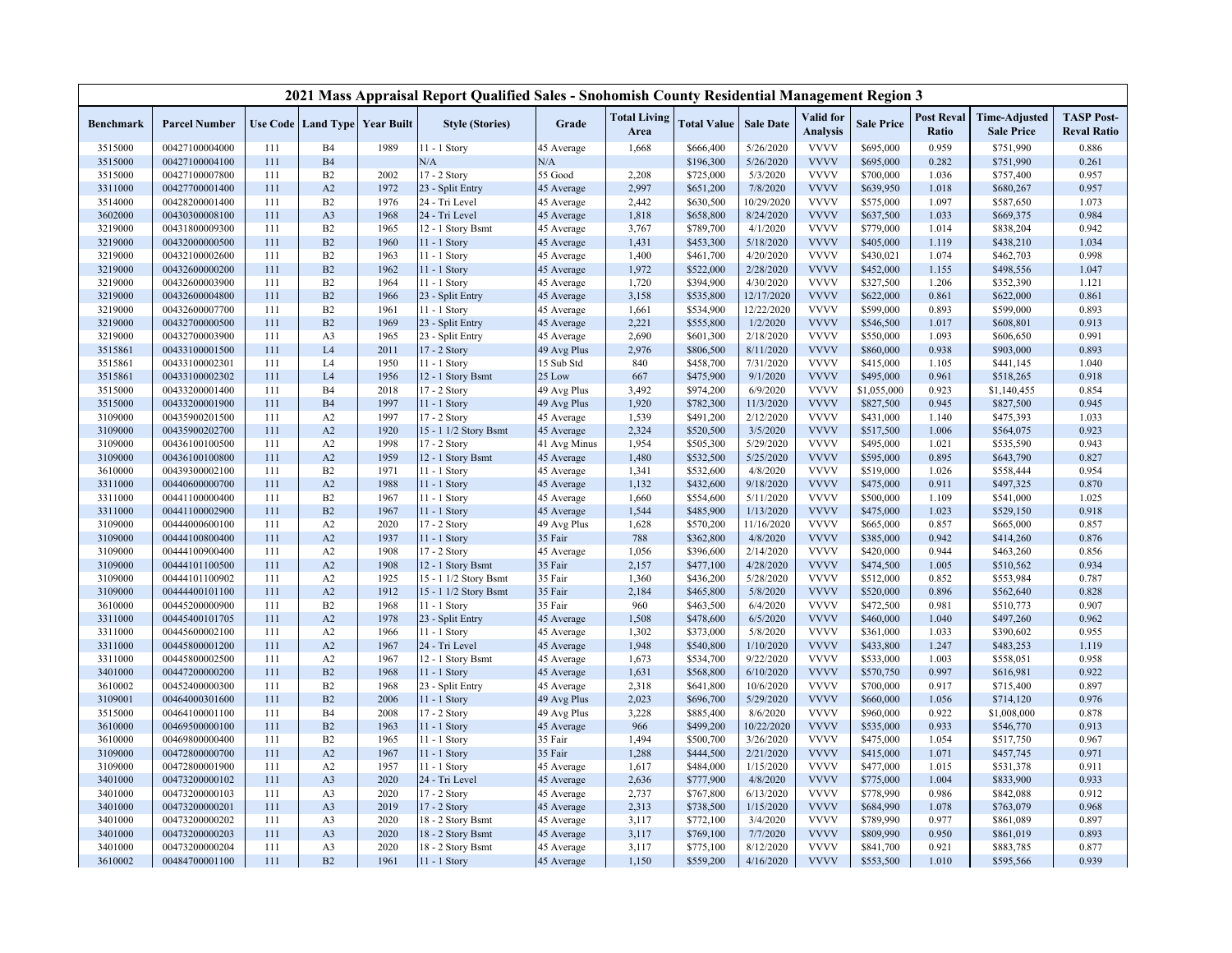|                    |                                  |            |                                          |              | 2021 Mass Appraisal Report Qualified Sales - Snohomish County Residential Management Region 3 |                          |                             |                        |                       |                              |                        |                            |                                           |                                         |
|--------------------|----------------------------------|------------|------------------------------------------|--------------|-----------------------------------------------------------------------------------------------|--------------------------|-----------------------------|------------------------|-----------------------|------------------------------|------------------------|----------------------------|-------------------------------------------|-----------------------------------------|
| <b>Benchmark</b>   | <b>Parcel Number</b>             |            | <b>Use Code   Land Type   Year Built</b> |              | <b>Style (Stories)</b>                                                                        | Grade                    | <b>Total Living</b><br>Area | <b>Total Value</b>     | <b>Sale Date</b>      | Valid for<br><b>Analysis</b> | <b>Sale Price</b>      | <b>Post Reval</b><br>Ratio | <b>Time-Adjusted</b><br><b>Sale Price</b> | <b>TASP Post-</b><br><b>Reval Ratio</b> |
| 3515000            | 00427100004000                   | 111        | B <sub>4</sub>                           | 1989         | $1 - 1$ Story                                                                                 | 45 Average               | 1,668                       | \$666,400              | 5/26/2020             | <b>VVVV</b>                  | \$695,000              | 0.959                      | \$751,990                                 | 0.886                                   |
| 3515000            | 00427100004100                   | 111        | <b>B4</b>                                |              | N/A                                                                                           | N/A                      |                             | \$196,300              | 5/26/2020             | <b>VVVV</b>                  | \$695,000              | 0.282                      | \$751,990                                 | 0.261                                   |
| 3515000            | 00427100007800                   | 111        | B <sub>2</sub>                           | 2002         | 17 - 2 Story                                                                                  | 55 Good                  | 2,208                       | \$725,000              | 5/3/2020              | <b>VVVV</b>                  | \$700,000              | 1.036                      | \$757,400                                 | 0.957                                   |
| 3311000            | 00427700001400                   | 111        | A <sub>2</sub>                           | 1972         | 23 - Split Entry                                                                              | 45 Average               | 2,997                       | \$651,200              | 7/8/2020              | <b>VVVV</b>                  | \$639,950              | 1.018                      | \$680,267                                 | 0.957                                   |
| 3514000            | 00428200001400                   | 111        | B <sub>2</sub>                           | 1976         | 24 - Tri Level                                                                                | 45 Average               | 2,442                       | \$630,500              | 10/29/2020            | <b>VVVV</b>                  | \$575,000              | 1.097                      | \$587,650                                 | 1.073                                   |
| 3602000            | 00430300008100                   | 111        | A <sub>3</sub>                           | 1968         | 24 - Tri Level                                                                                | 45 Average               | 1,818                       | \$658,800              | 8/24/2020             | <b>VVVV</b>                  | \$637,500              | 1.033                      | \$669,375                                 | 0.984                                   |
| 3219000            | 00431800009300                   | 111        | B <sub>2</sub>                           | 1965         | 12 - 1 Story Bsmt                                                                             | 45 Average               | 3,767                       | \$789,700              | 4/1/2020              | <b>VVVV</b>                  | \$779,000              | 1.014                      | \$838,204                                 | 0.942                                   |
| 3219000            | 00432000000500                   | 111        | B2                                       | 1960         | $11 - 1$ Story                                                                                | 45 Average               | 1,431                       | \$453,300              | 5/18/2020             | <b>VVVV</b>                  | \$405,000              | 1.119                      | \$438,210                                 | 1.034                                   |
| 3219000            | 00432100002600                   | 111        | B2                                       | 1963         | 11 - 1 Story                                                                                  | 45 Average               | 1,400                       | \$461,700              | 4/20/2020             | <b>VVVV</b>                  | \$430,021              | 1.074                      | \$462,703                                 | 0.998                                   |
| 3219000            | 00432600000200                   | 111        | B2                                       | 1962         | $11 - 1$ Story                                                                                | 45 Average               | 1,972                       | \$522,000              | 2/28/2020             | <b>VVVV</b>                  | \$452,000              | 1.155                      | \$498,556                                 | 1.047                                   |
| 3219000            | 00432600003900                   | 111        | B <sub>2</sub>                           | 1964         | 11 - 1 Story                                                                                  | 45 Average               | 1,720                       | \$394,900              | 4/30/2020             | <b>VVVV</b>                  | \$327,500              | 1.206                      | \$352,390                                 | 1.121                                   |
| 3219000            | 00432600004800                   | 111        | B2                                       | 1966         | 23 - Split Entry                                                                              | 45 Average               | 3,158                       | \$535,800              | 12/17/2020            | <b>VVVV</b>                  | \$622,000              | 0.861                      | \$622,000                                 | 0.861                                   |
| 3219000            | 00432600007700                   | 111        | B <sub>2</sub>                           | 1961         | 11 - 1 Story                                                                                  | 45 Average               | 1,661                       | \$534,900              | 12/22/2020            | <b>VVVV</b>                  | \$599,000              | 0.893                      | \$599,000                                 | 0.893                                   |
| 3219000            | 00432700000500                   | 111        | B2                                       | 1969         | 23 - Split Entry                                                                              | 45 Average               | 2,221                       | \$555,800              | 1/2/2020              | <b>VVVV</b>                  | \$546,500              | 1.017                      | \$608,801                                 | 0.913                                   |
| 3219000            | 00432700003900                   | 111        | A <sub>3</sub>                           | 1965         | 23 - Split Entry                                                                              | 45 Average               | 2,690                       | \$601,300              | 2/18/2020             | <b>VVVV</b>                  | \$550,000              | 1.093                      | \$606,650                                 | 0.991                                   |
| 3515861            | 00433100001500                   | 111        | L4                                       | 2011         | 17 - 2 Story                                                                                  | 49 Avg Plus              | 2,976                       | \$806,500              | 8/11/2020             | <b>VVVV</b>                  | \$860,000              | 0.938                      | \$903,000                                 | 0.893                                   |
| 3515861            | 00433100002301                   | 111        | L <sub>4</sub>                           | 1950         | 11 - 1 Story                                                                                  | 15 Sub Std               | 840                         | \$458,700              | 7/31/2020             | <b>VVVV</b>                  | \$415,000              | 1.105                      | \$441,145                                 | 1.040                                   |
| 3515861            | 00433100002302                   | 111        | L4                                       | 1956         | 2 - 1 Story Bsmt                                                                              | 25 Low                   | 667                         | \$475,900              | 9/1/2020              | <b>VVVV</b>                  | \$495,000              | 0.961                      | \$518,265                                 | 0.918                                   |
| 3515000            | 00433200001400                   | 111        | <b>B4</b>                                | 2018         | 17 - 2 Story                                                                                  | 49 Avg Plus              | 3,492                       | \$974,200              | 6/9/2020              | <b>VVVV</b>                  | \$1,055,000            | 0.923                      | \$1,140,455                               | 0.854                                   |
| 3515000            | 00433200001900                   | 111        | <b>B4</b>                                | 1997         | 11 - 1 Story                                                                                  | 49 Avg Plus              | 1,920                       | \$782,300              | 11/3/2020             | <b>VVVV</b>                  | \$827,500              | 0.945                      | \$827,500                                 | 0.945                                   |
| 3109000            | 00435900201500                   | 111        | A <sub>2</sub>                           | 1997         | 17 - 2 Story                                                                                  | 45 Average               | 1,539                       | \$491,200              | 2/12/2020             | <b>VVVV</b>                  | \$431,000              | 1.140                      | \$475,393                                 | 1.033                                   |
| 3109000            | 00435900202700                   | 111        | A2                                       | 1920         | 15 - 1 1/2 Story Bsmt                                                                         | 45 Average               | 2,324                       | \$520,500              | 3/5/2020              | <b>VVVV</b>                  | \$517,500              | 1.006                      | \$564,075                                 | 0.923                                   |
| 3109000            | 00436100100500                   | 111        | A <sub>2</sub>                           | 1998         | 17 - 2 Story                                                                                  | 41 Avg Minus             | 1,954                       | \$505,300              | 5/29/2020             | <b>VVVV</b>                  | \$495,000              | 1.021                      | \$535,590                                 | 0.943                                   |
| 3109000            | 00436100100800                   | 111        | A2                                       | 1959         | 12 - 1 Story Bsmt                                                                             | 45 Average               | 1,480                       | \$532,500              | 5/25/2020             | <b>VVVV</b>                  | \$595,000              | 0.895                      | \$643,790                                 | 0.827                                   |
| 3610000            | 00439300002100                   | 111        | B <sub>2</sub>                           | 1971         | 11 - 1 Story                                                                                  | 45 Average               | 1,341                       | \$532,600              | 4/8/2020              | <b>VVVV</b>                  | \$519,000              | 1.026                      | \$558,444                                 | 0.954                                   |
| 3311000            | 00440600000700                   | 111        | A2                                       | 1988         | 11 - 1 Story                                                                                  | 45 Average               | 1,132                       | \$432,600              | 9/18/2020             | <b>VVVV</b>                  | \$475,000              | 0.911                      | \$497,325                                 | 0.870                                   |
| 3311000            | 00441100000400                   | 111        | B2                                       | 1967         | 11 - 1 Story                                                                                  | 45 Average               | 1,660                       | \$554,600              | 5/11/2020             | <b>VVVV</b>                  | \$500,000              | 1.109                      | \$541,000                                 | 1.025                                   |
| 3311000            | 00441100002900                   | 111        | B2                                       | 1967         | 11 - 1 Story                                                                                  | 45 Average               | 1,544                       | \$485,900              | 1/13/2020             | <b>VVVV</b>                  | \$475,000              | 1.023                      | \$529,150                                 | 0.918                                   |
| 3109000            | 00444000600100                   | 111        | A2                                       | 2020         | 17 - 2 Story                                                                                  | 49 Avg Plus              | 1,628                       | \$570,200              | 11/16/2020            | <b>VVVV</b>                  | \$665,000              | 0.857                      | \$665,000                                 | 0.857                                   |
| 3109000            | 00444100800400                   | 111        | A2                                       | 1937         | 11 - 1 Story                                                                                  | 35 Fair                  | 788                         | \$362,800              | 4/8/2020              | <b>VVVV</b>                  | \$385,000              | 0.942                      | \$414,260                                 | 0.876                                   |
| 3109000            | 00444100900400                   | 111        | A2                                       | 1908         | 17 - 2 Story                                                                                  | 45 Average               | 1,056                       | \$396,600              | 2/14/2020             | <b>VVVV</b>                  | \$420,000              | 0.944                      | \$463,260                                 | 0.856                                   |
| 3109000            | 00444101100500                   | 111        | A2                                       | 1908         | 12 - 1 Story Bsmt                                                                             | 35 Fair                  | 2,157                       | \$477,100              | 4/28/2020             | <b>VVVV</b>                  | \$474,500              | 1.005                      | \$510,562                                 | 0.934                                   |
| 3109000            | 00444101100902                   | 111        | A <sub>2</sub>                           | 1925         | 15 - 1 1/2 Story Bsmt                                                                         | 35 Fair                  | 1,360                       | \$436,200              | 5/28/2020             | <b>VVVV</b>                  | \$512,000              | 0.852                      | \$553,984                                 | 0.787                                   |
| 3109000            | 00444400101100                   | 111        | A2                                       | 1912         | 15 - 1 1/2 Story Bsmt                                                                         | 35 Fair                  | 2,184                       | \$465,800              | 5/8/2020              | <b>VVVV</b>                  | \$520,000              | 0.896                      | \$562,640                                 | 0.828                                   |
| 3610000            | 00445200000900                   | 111        | B <sub>2</sub>                           | 1968         | 11 - 1 Story                                                                                  | 35 Fair                  | 960                         | \$463,500              | 6/4/2020              | <b>VVVV</b>                  | \$472,500              | 0.981                      | \$510,773                                 | 0.907                                   |
| 3311000            | 00445400101705                   | 111        | A2                                       | 1978         | 23 - Split Entry                                                                              | 45 Average               | 1,508                       | \$478,600              | 6/5/2020              | <b>VVVV</b>                  | \$460,000              | 1.040                      | \$497,260                                 | 0.962                                   |
| 3311000            | 00445600002100                   | 111        | A2                                       | 1966         | 11 - 1 Story                                                                                  | 45 Average               | 1,302                       | \$373,000              | 5/8/2020              | <b>VVVV</b>                  | \$361,000              | 1.033                      | \$390,602                                 | 0.955                                   |
| 3311000            | 00445800001200                   | 111        | A2                                       | 1967         | 24 - Tri Level                                                                                | 45 Average               | 1,948                       | \$540,800              | 1/10/2020             | <b>VVVV</b>                  | \$433,800              | 1.247                      | \$483,253                                 | 1.119                                   |
| 3311000            | 00445800002500                   | 111        | A2                                       | 1967         | 12 - 1 Story Bsmt                                                                             | 45 Average               | 1,673                       | \$534,700              | 9/22/2020             | <b>VVVV</b>                  | \$533,000              | 1.003                      | \$558,051                                 | 0.958                                   |
| 3401000            | 00447200000200                   | 111        | B2                                       | 1968         | 11 - 1 Story                                                                                  | 45 Average               | 1,631                       | \$568,800              | 6/10/2020             | <b>VVVV</b>                  | \$570,750              | 0.997                      | \$616,981                                 | 0.922                                   |
| 3610002            | 00452400000300                   | 111        | B2                                       | 1968         | 23 - Split Entry                                                                              | 45 Average               | 2,318                       | \$641,800              | 10/6/2020             | <b>VVVV</b>                  | \$700,000              | 0.917                      | \$715,400                                 | 0.897                                   |
| 3109001            | 00464000301600                   | 111        | B2                                       | 2006         | 11 - 1 Story                                                                                  | 49 Avg Plus              | 2,023                       | \$696,700              | 5/29/2020             | <b>VVVV</b>                  | \$660,000              | 1.056                      | \$714,120                                 | 0.976                                   |
| 3515000            | 00464100001100                   | 111        | <b>B4</b>                                | 2008         | 17 - 2 Story                                                                                  | 49 Avg Plus              | 3,228                       | \$885,400              | 8/6/2020              | <b>VVVV</b>                  | \$960,000              | 0.922                      | \$1,008,000                               | 0.878                                   |
| 3610000            | 00469500000100                   | 111        | B2                                       | 1963         | $11 - 1$ Story                                                                                | 45 Average               | 966                         | \$499,200              | 10/22/2020            | <b>VVVV</b>                  | \$535,000              | 0.933                      | \$546,770                                 | 0.913                                   |
| 3610000            | 00469800000400                   | 111        | B <sub>2</sub>                           | 1965         | 11 - 1 Story                                                                                  | 35 Fair                  | 1,494                       | \$500,700              | 3/26/2020             | <b>VVVV</b>                  | \$475,000              | 1.054                      | \$517,750                                 | 0.967                                   |
| 3109000            | 00472800000700                   | 111        | A2                                       | 1967         | 11 - 1 Story                                                                                  | 35 Fair                  | 1,288                       | \$444,500              | 2/21/2020             | <b>VVVV</b>                  | \$415,000              | 1.071                      | \$457,745                                 | 0.971                                   |
| 3109000            | 00472800001900                   | 111        | A <sub>2</sub>                           | 1957         | 11 - 1 Story                                                                                  | 45 Average               | 1,617                       | \$484,000              | 1/15/2020             | <b>VVVV</b>                  | \$477,000              | 1.015                      | \$531,378                                 | 0.911                                   |
| 3401000            | 00473200000102                   | 111        | A <sub>3</sub>                           | 2020         | 24 - Tri Level                                                                                | 45 Average               | 2,636                       | \$777,900              | 4/8/2020              | <b>VVVV</b>                  | \$775,000              | 1.004                      | \$833,900                                 | 0.933                                   |
| 3401000            | 00473200000103                   | 111        | A <sub>3</sub>                           | 2020         | 17 - 2 Story                                                                                  | 45 Average               | 2,737                       | \$767,800              | 6/13/2020             | <b>VVVV</b><br><b>VVVV</b>   | \$778,990              | 0.986                      | \$842,088                                 | 0.912                                   |
| 3401000            | 00473200000201                   | 111<br>111 | A <sub>3</sub>                           | 2019<br>2020 | 17 - 2 Story                                                                                  | 45 Average               | 2,313                       | \$738,500              | 1/15/2020<br>3/4/2020 | <b>VVVV</b>                  | \$684,990              | 1.078<br>0.977             | \$763,079                                 | 0.968<br>0.897                          |
| 3401000            | 00473200000202                   |            | A <sub>3</sub>                           | 2020         | 18 - 2 Story Bsmt                                                                             | 45 Average               | 3,117                       | \$772,100              |                       | <b>VVVV</b>                  | \$789,990              |                            | \$861,089                                 |                                         |
| 3401000<br>3401000 | 00473200000203<br>00473200000204 | 111<br>111 | A <sub>3</sub><br>A <sub>3</sub>         | 2020         | 18 - 2 Story Bsmt<br>18 - 2 Story Bsmt                                                        | 45 Average               | 3,117<br>3,117              | \$769,100<br>\$775,100 | 7/7/2020<br>8/12/2020 | <b>VVVV</b>                  | \$809,990<br>\$841,700 | 0.950<br>0.921             | \$861,019<br>\$883,785                    | 0.893<br>0.877                          |
| 3610002            | 00484700001100                   | 111        | B2                                       | 1961         | 11 - 1 Story                                                                                  | 45 Average<br>45 Average | 1,150                       | \$559,200              | 4/16/2020             | <b>VVVV</b>                  | \$553,500              | 1.010                      | \$595,566                                 | 0.939                                   |
|                    |                                  |            |                                          |              |                                                                                               |                          |                             |                        |                       |                              |                        |                            |                                           |                                         |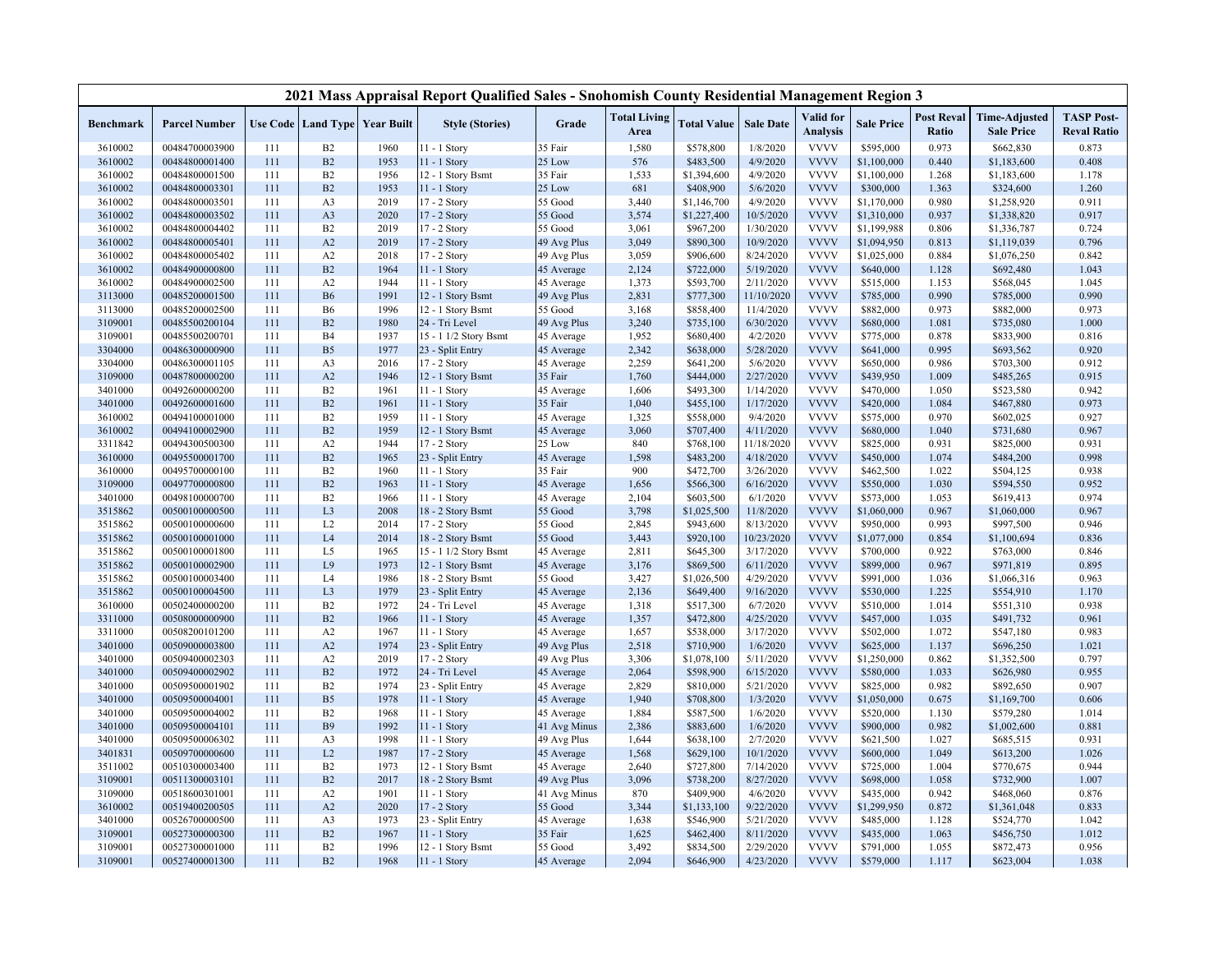|                  |                      |     |                |                                   | 2021 Mass Appraisal Report Qualified Sales - Snohomish County Residential Management Region 3 |              |                             |                    |                  |                              |                   |                            |                                           |                                         |
|------------------|----------------------|-----|----------------|-----------------------------------|-----------------------------------------------------------------------------------------------|--------------|-----------------------------|--------------------|------------------|------------------------------|-------------------|----------------------------|-------------------------------------------|-----------------------------------------|
| <b>Benchmark</b> | <b>Parcel Number</b> |     |                | Use Code   Land Type   Year Built | <b>Style (Stories)</b>                                                                        | Grade        | <b>Total Living</b><br>Area | <b>Total Value</b> | <b>Sale Date</b> | Valid for<br><b>Analysis</b> | <b>Sale Price</b> | <b>Post Reval</b><br>Ratio | <b>Time-Adjusted</b><br><b>Sale Price</b> | <b>TASP Post-</b><br><b>Reval Ratio</b> |
| 3610002          | 00484700003900       | 111 | B2             | 1960                              | 11 - 1 Story                                                                                  | 35 Fair      | 1,580                       | \$578,800          | 1/8/2020         | <b>VVVV</b>                  | \$595,000         | 0.973                      | \$662,830                                 | 0.873                                   |
| 3610002          | 00484800001400       | 111 | B2             | 1953                              | 11 - 1 Story                                                                                  | 25 Low       | 576                         | \$483,500          | 4/9/2020         | <b>VVVV</b>                  | \$1,100,000       | 0.440                      | \$1,183,600                               | 0.408                                   |
| 3610002          | 00484800001500       | 111 | B2             | 1956                              | 12 - 1 Story Bsmt                                                                             | 35 Fair      | 1,533                       | \$1,394,600        | 4/9/2020         | <b>VVVV</b>                  | \$1,100,000       | 1.268                      | \$1,183,600                               | 1.178                                   |
| 3610002          | 00484800003301       | 111 | B2             | 1953                              | 11 - 1 Story                                                                                  | 25 Low       | 681                         | \$408,900          | 5/6/2020         | <b>VVVV</b>                  | \$300,000         | 1.363                      | \$324,600                                 | 1.260                                   |
| 3610002          | 00484800003501       | 111 | A3             | 2019                              | 17 - 2 Story                                                                                  | 55 Good      | 3,440                       | \$1,146,700        | 4/9/2020         | <b>VVVV</b>                  | \$1,170,000       | 0.980                      | \$1,258,920                               | 0.911                                   |
| 3610002          | 00484800003502       | 111 | A3             | 2020                              | 17 - 2 Story                                                                                  | 55 Good      | 3,574                       | \$1,227,400        | 10/5/2020        | <b>VVVV</b>                  | \$1,310,000       | 0.937                      | \$1,338,820                               | 0.917                                   |
| 3610002          | 00484800004402       | 111 | B2             | 2019                              | 17 - 2 Story                                                                                  | 55 Good      | 3,061                       | \$967,200          | 1/30/2020        | <b>VVVV</b>                  | \$1,199,988       | 0.806                      | \$1,336,787                               | 0.724                                   |
| 3610002          | 00484800005401       | 111 | A2             | 2019                              | 17 - 2 Story                                                                                  | 49 Avg Plus  | 3,049                       | \$890,300          | 10/9/2020        | <b>VVVV</b>                  | \$1,094,950       | 0.813                      | \$1,119,039                               | 0.796                                   |
| 3610002          | 00484800005402       | 111 | A2             | 2018                              | 17 - 2 Story                                                                                  | 49 Avg Plus  | 3,059                       | \$906,600          | 8/24/2020        | <b>VVVV</b>                  | \$1,025,000       | 0.884                      | \$1,076,250                               | 0.842                                   |
| 3610002          | 00484900000800       | 111 | B2             | 1964                              | 11 - 1 Story                                                                                  | 45 Average   | 2,124                       | \$722,000          | 5/19/2020        | <b>VVVV</b>                  | \$640,000         | 1.128                      | \$692,480                                 | 1.043                                   |
| 3610002          | 00484900002500       | 111 | A2             | 1944                              | $11 - 1$ Story                                                                                | 45 Average   | 1,373                       | \$593,700          | 2/11/2020        | <b>VVVV</b>                  | \$515,000         | 1.153                      | \$568,045                                 | 1.045                                   |
| 3113000          | 00485200001500       | 111 | <b>B6</b>      | 1991                              | 12 - 1 Story Bsmt                                                                             | 49 Avg Plus  | 2,831                       | \$777,300          | 11/10/2020       | <b>VVVV</b>                  | \$785,000         | 0.990                      | \$785,000                                 | 0.990                                   |
| 3113000          | 00485200002500       | 111 | <b>B6</b>      | 1996                              | 12 - 1 Story Bsmt                                                                             | 55 Good      | 3,168                       | \$858,400          | 11/4/2020        | <b>VVVV</b>                  | \$882,000         | 0.973                      | \$882,000                                 | 0.973                                   |
| 3109001          | 00485500200104       | 111 | B2             | 1980                              | 24 - Tri Level                                                                                | 49 Avg Plus  | 3,240                       | \$735,100          | 6/30/2020        | <b>VVVV</b>                  | \$680,000         | 1.081                      | \$735,080                                 | 1.000                                   |
| 3109001          | 00485500200701       | 111 | <b>B4</b>      | 1937                              | 15 - 1 1/2 Story Bsmt                                                                         | 45 Average   | 1,952                       | \$680,400          | 4/2/2020         | <b>VVVV</b>                  | \$775,000         | 0.878                      | \$833,900                                 | 0.816                                   |
| 3304000          | 00486300000900       | 111 | B <sub>5</sub> | 1977                              | 23 - Split Entry                                                                              | 45 Average   | 2,342                       | \$638,000          | 5/28/2020        | <b>VVVV</b>                  | \$641,000         | 0.995                      | \$693,562                                 | 0.920                                   |
| 3304000          | 00486300001105       | 111 | A3             | 2016                              | 17 - 2 Story                                                                                  | 45 Average   | 2,259                       | \$641,200          | 5/6/2020         | <b>VVVV</b>                  | \$650,000         | 0.986                      | \$703,300                                 | 0.912                                   |
| 3109000          | 00487800000200       | 111 | A2             | 1946                              | 12 - 1 Story Bsmt                                                                             | 35 Fair      | 1,760                       | \$444,000          | 2/27/2020        | <b>VVVV</b>                  | \$439,950         | 1.009                      | \$485,265                                 | 0.915                                   |
| 3401000          | 00492600000200       | 111 | B2             | 1961                              | 11 - 1 Story                                                                                  | 45 Average   | 1,606                       | \$493,300          | 1/14/2020        | <b>VVVV</b>                  | \$470,000         | 1.050                      | \$523,580                                 | 0.942                                   |
| 3401000          | 00492600001600       | 111 | B2             | 1961                              | 11 - 1 Story                                                                                  | 35 Fair      | 1,040                       | \$455,100          | 1/17/2020        | <b>VVVV</b>                  | \$420,000         | 1.084                      | \$467,880                                 | 0.973                                   |
| 3610002          | 00494100001000       | 111 | B2             | 1959                              | 11 - 1 Story                                                                                  | 45 Average   | 1,325                       | \$558,000          | 9/4/2020         | <b>VVVV</b>                  | \$575,000         | 0.970                      | \$602,025                                 | 0.927                                   |
| 3610002          | 00494100002900       | 111 | B2             | 1959                              | 12 - 1 Story Bsmt                                                                             | 45 Average   | 3,060                       | \$707,400          | 4/11/2020        | <b>VVVV</b>                  | \$680,000         | 1.040                      | \$731,680                                 | 0.967                                   |
| 3311842          | 00494300500300       | 111 | A2             | 1944                              | 17 - 2 Story                                                                                  | 25 Low       | 840                         | \$768,100          | 11/18/2020       | <b>VVVV</b>                  | \$825,000         | 0.931                      | \$825,000                                 | 0.931                                   |
| 3610000          | 00495500001700       | 111 | B2             | 1965                              | 23 - Split Entry                                                                              | 45 Average   | 1,598                       | \$483,200          | 4/18/2020        | <b>VVVV</b>                  | \$450,000         | 1.074                      | \$484,200                                 | 0.998                                   |
| 3610000          | 00495700000100       | 111 | B2             | 1960                              | 11 - 1 Story                                                                                  | 35 Fair      | 900                         | \$472,700          | 3/26/2020        | <b>VVVV</b>                  | \$462,500         | 1.022                      | \$504,125                                 | 0.938                                   |
| 3109000          | 00497700000800       | 111 | B2             | 1963                              | 11 - 1 Story                                                                                  | 45 Average   | 1,656                       | \$566,300          | 6/16/2020        | <b>VVVV</b>                  | \$550,000         | 1.030                      | \$594,550                                 | 0.952                                   |
| 3401000          | 00498100000700       | 111 | B2             | 1966                              | 11 - 1 Story                                                                                  | 45 Average   | 2,104                       | \$603,500          | 6/1/2020         | <b>VVVV</b>                  | \$573,000         | 1.053                      | \$619,413                                 | 0.974                                   |
| 3515862          | 00500100000500       | 111 | L <sub>3</sub> | 2008                              | 18 - 2 Story Bsmt                                                                             | 55 Good      | 3,798                       | \$1,025,500        | 11/8/2020        | <b>VVVV</b>                  | \$1,060,000       | 0.967                      | \$1,060,000                               | 0.967                                   |
| 3515862          | 00500100000600       | 111 | L <sub>2</sub> | 2014                              | 17 - 2 Story                                                                                  | 55 Good      | 2,845                       | \$943,600          | 8/13/2020        | <b>VVVV</b>                  | \$950,000         | 0.993                      | \$997,500                                 | 0.946                                   |
| 3515862          | 00500100001000       | 111 | L4             | 2014                              | 18 - 2 Story Bsmt                                                                             | 55 Good      | 3,443                       | \$920,100          | 10/23/2020       | <b>VVVV</b>                  | \$1,077,000       | 0.854                      | \$1,100,694                               | 0.836                                   |
| 3515862          | 00500100001800       | 111 | L5             | 1965                              | 15 - 1 1/2 Story Bsmt                                                                         | 45 Average   | 2,811                       | \$645,300          | 3/17/2020        | <b>VVVV</b>                  | \$700,000         | 0.922                      | \$763,000                                 | 0.846                                   |
| 3515862          | 00500100002900       | 111 | L9             | 1973                              | 12 - 1 Story Bsmt                                                                             | 45 Average   | 3,176                       | \$869,500          | 6/11/2020        | <b>VVVV</b>                  | \$899,000         | 0.967                      | \$971,819                                 | 0.895                                   |
| 3515862          | 00500100003400       | 111 | L <sub>4</sub> | 1986                              | 18 - 2 Story Bsmt                                                                             | 55 Good      | 3,427                       | \$1,026,500        | 4/29/2020        | <b>VVVV</b>                  | \$991,000         | 1.036                      | \$1,066,316                               | 0.963                                   |
| 3515862          | 00500100004500       | 111 | L <sub>3</sub> | 1979                              | 23 - Split Entry                                                                              | 45 Average   | 2,136                       | \$649,400          | 9/16/2020        | <b>VVVV</b>                  | \$530,000         | 1.225                      | \$554,910                                 | 1.170                                   |
| 3610000          | 00502400000200       | 111 | B2             | 1972                              | 24 - Tri Level                                                                                | 45 Average   | 1,318                       | \$517,300          | 6/7/2020         | <b>VVVV</b>                  | \$510,000         | 1.014                      | \$551,310                                 | 0.938                                   |
| 3311000          | 00508000000900       | 111 | B2             | 1966                              | 11 - 1 Story                                                                                  | 45 Average   | 1,357                       | \$472,800          | 4/25/2020        | <b>VVVV</b>                  | \$457,000         | 1.035                      | \$491,732                                 | 0.961                                   |
| 3311000          | 00508200101200       | 111 | A2             | 1967                              | 11 - 1 Story                                                                                  | 45 Average   | 1,657                       | \$538,000          | 3/17/2020        | <b>VVVV</b>                  | \$502,000         | 1.072                      | \$547,180                                 | 0.983                                   |
| 3401000          | 00509000003800       | 111 | A2             | 1974                              | 23 - Split Entry                                                                              | 49 Avg Plus  | 2,518                       | \$710,900          | 1/6/2020         | <b>VVVV</b>                  | \$625,000         | 1.137                      | \$696,250                                 | 1.021                                   |
| 3401000          | 00509400002303       | 111 | A2             | 2019                              | 17 - 2 Story                                                                                  | 49 Avg Plus  | 3,306                       | \$1,078,100        | 5/11/2020        | <b>VVVV</b>                  | \$1,250,000       | 0.862                      | \$1,352,500                               | 0.797                                   |
| 3401000          | 00509400002902       | 111 | B2             | 1972                              | 24 - Tri Level                                                                                | 45 Average   | 2,064                       | \$598,900          | 6/15/2020        | <b>VVVV</b>                  | \$580,000         | 1.033                      | \$626,980                                 | 0.955                                   |
| 3401000          | 00509500001902       | 111 | B2             | 1974                              | 23 - Split Entry                                                                              | 45 Average   | 2,829                       | \$810,000          | 5/21/2020        | <b>VVVV</b>                  | \$825,000         | 0.982                      | \$892,650                                 | 0.907                                   |
| 3401000          | 00509500004001       | 111 | B <sub>5</sub> | 1978                              | 11 - 1 Story                                                                                  | 45 Average   | 1,940                       | \$708,800          | 1/3/2020         | <b>VVVV</b>                  | \$1,050,000       | 0.675                      | \$1,169,700                               | 0.606                                   |
| 3401000          | 00509500004002       | 111 | B2             | 1968                              | $11 - 1$ Story                                                                                | 45 Average   | 1,884                       | \$587,500          | 1/6/2020         | <b>VVVV</b>                  | \$520,000         | 1.130                      | \$579,280                                 | 1.014                                   |
| 3401000          | 00509500004101       | 111 | <b>B9</b>      | 1992                              | 11 - 1 Story                                                                                  | 41 Avg Minus | 2,386                       | \$883,600          | 1/6/2020         | <b>VVVV</b>                  | \$900,000         | 0.982                      | \$1,002,600                               | 0.881                                   |
| 3401000          | 00509500006302       | 111 | A3             | 1998                              | 11 - 1 Story                                                                                  | 49 Avg Plus  | 1,644                       | \$638,100          | 2/7/2020         | <b>VVVV</b>                  | \$621,500         | 1.027                      | \$685,515                                 | 0.931                                   |
| 3401831          | 00509700000600       | 111 | L2             | 1987                              | 17 - 2 Story                                                                                  | 45 Average   | 1,568                       | \$629,100          | 10/1/2020        | <b>VVVV</b>                  | \$600,000         | 1.049                      | \$613,200                                 | 1.026                                   |
| 3511002          | 00510300003400       | 111 | B2             | 1973                              | 12 - 1 Story Bsmt                                                                             | 45 Average   | 2,640                       | \$727,800          | 7/14/2020        | <b>VVVV</b>                  | \$725,000         | 1.004                      | \$770,675                                 | 0.944                                   |
| 3109001          | 00511300003101       | 111 | B2             | 2017                              | 18 - 2 Story Bsmt                                                                             | 49 Avg Plus  | 3,096                       | \$738,200          | 8/27/2020        | <b>VVVV</b>                  | \$698,000         | 1.058                      | \$732,900                                 | 1.007                                   |
| 3109000          | 00518600301001       | 111 | A2             | 1901                              | 11 - 1 Story                                                                                  | 41 Avg Minus | 870                         | \$409,900          | 4/6/2020         | <b>VVVV</b>                  | \$435,000         | 0.942                      | \$468,060                                 | 0.876                                   |
| 3610002          | 00519400200505       | 111 | A2             | 2020                              | 17 - 2 Story                                                                                  | 55 Good      | 3,344                       | \$1,133,100        | 9/22/2020        | <b>VVVV</b>                  | \$1,299,950       | 0.872                      | \$1,361,048                               | 0.833                                   |
| 3401000          | 00526700000500       | 111 | A3             | 1973                              | 23 - Split Entry                                                                              | 45 Average   | 1,638                       | \$546,900          | 5/21/2020        | <b>VVVV</b>                  | \$485,000         | 1.128                      | \$524,770                                 | 1.042                                   |
| 3109001          | 00527300000300       | 111 | B <sub>2</sub> | 1967                              | 11 - 1 Story                                                                                  | 35 Fair      | 1,625                       | \$462,400          | 8/11/2020        | <b>VVVV</b>                  | \$435,000         | 1.063                      | \$456,750                                 | 1.012                                   |
| 3109001          | 00527300001000       | 111 | B <sub>2</sub> | 1996                              | 12 - 1 Story Bsmt                                                                             | 55 Good      | 3,492                       | \$834,500          | 2/29/2020        | <b>VVVV</b>                  | \$791,000         | 1.055                      | \$872,473                                 | 0.956                                   |
| 3109001          | 00527400001300       | 111 | B2             | 1968                              | 11 - 1 Story                                                                                  | 45 Average   | 2,094                       | \$646,900          | 4/23/2020        | <b>VVVV</b>                  | \$579,000         | 1.117                      | \$623,004                                 | 1.038                                   |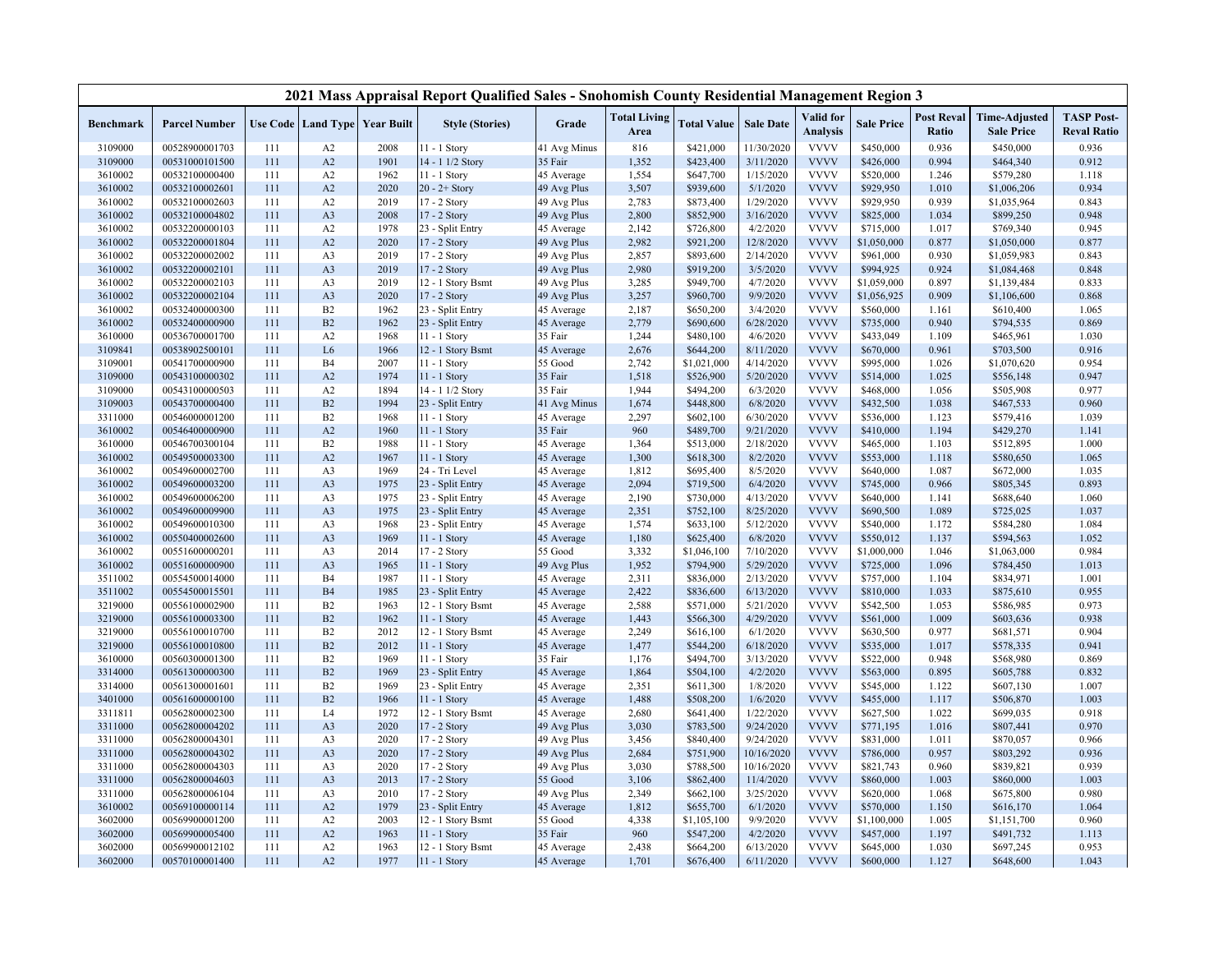|                    |                                  |            |                                          |              | 2021 Mass Appraisal Report Qualified Sales - Snohomish County Residential Management Region 3 |                          |                             |                          |                       |                              |                        |                            |                                           |                                         |
|--------------------|----------------------------------|------------|------------------------------------------|--------------|-----------------------------------------------------------------------------------------------|--------------------------|-----------------------------|--------------------------|-----------------------|------------------------------|------------------------|----------------------------|-------------------------------------------|-----------------------------------------|
| Benchmark          | <b>Parcel Number</b>             |            | <b>Use Code   Land Type   Year Built</b> |              | <b>Style (Stories)</b>                                                                        | Grade                    | <b>Total Living</b><br>Area | <b>Total Value</b>       | <b>Sale Date</b>      | Valid for<br><b>Analysis</b> | <b>Sale Price</b>      | <b>Post Reval</b><br>Ratio | <b>Time-Adjusted</b><br><b>Sale Price</b> | <b>TASP Post-</b><br><b>Reval Ratio</b> |
| 3109000            | 00528900001703                   | 111        | A2                                       | 2008         | $1 - 1$ Story                                                                                 | 41 Avg Minus             | 816                         | \$421,000                | 11/30/2020            | <b>VVVV</b>                  | \$450,000              | 0.936                      | \$450,000                                 | 0.936                                   |
| 3109000            | 00531000101500                   | 111        | A2                                       | 1901         | 14 - 1 1/2 Story                                                                              | 35 Fair                  | 1,352                       | \$423,400                | 3/11/2020             | <b>VVVV</b>                  | \$426,000              | 0.994                      | \$464,340                                 | 0.912                                   |
| 3610002            | 00532100000400                   | 111        | A <sub>2</sub>                           | 1962         | 11 - 1 Story                                                                                  | 45 Average               | 1,554                       | \$647,700                | 1/15/2020             | <b>VVVV</b>                  | \$520,000              | 1.246                      | \$579,280                                 | 1.118                                   |
| 3610002            | 00532100002601                   | 111        | A2                                       | 2020         | $20 - 2 +$ Story                                                                              | 49 Avg Plus              | 3,507                       | \$939,600                | 5/1/2020              | <b>VVVV</b>                  | \$929,950              | 1.010                      | \$1,006,206                               | 0.934                                   |
| 3610002            | 00532100002603                   | 111        | A2                                       | 2019         | 17 - 2 Story                                                                                  | 49 Avg Plus              | 2,783                       | \$873,400                | 1/29/2020             | <b>VVVV</b>                  | \$929,950              | 0.939                      | \$1,035,964                               | 0.843                                   |
| 3610002            | 00532100004802                   | 111        | A <sub>3</sub>                           | 2008         | 17 - 2 Story                                                                                  | 49 Avg Plus              | 2,800                       | \$852,900                | 3/16/2020             | <b>VVVV</b>                  | \$825,000              | 1.034                      | \$899,250                                 | 0.948                                   |
| 3610002            | 00532200000103                   | 111        | A2                                       | 1978         | 23 - Split Entry                                                                              | 45 Average               | 2,142                       | \$726,800                | 4/2/2020              | <b>VVVV</b>                  | \$715,000              | 1.017                      | \$769,340                                 | 0.945                                   |
| 3610002            | 00532200001804                   | 111        | A2                                       | 2020         | 17 - 2 Story                                                                                  | 49 Avg Plus              | 2,982                       | \$921,200                | 12/8/2020             | <b>VVVV</b>                  | \$1,050,000            | 0.877                      | \$1,050,000                               | 0.877                                   |
| 3610002            | 00532200002002                   | 111        | A <sub>3</sub>                           | 2019         | 17 - 2 Story                                                                                  | 49 Avg Plus              | 2,857                       | \$893,600                | 2/14/2020             | <b>VVVV</b>                  | \$961,000              | 0.930                      | \$1,059,983                               | 0.843                                   |
| 3610002            | 00532200002101                   | 111        | A <sub>3</sub>                           | 2019         | 17 - 2 Story                                                                                  | 49 Avg Plus              | 2,980                       | \$919,200                | 3/5/2020              | <b>VVVV</b>                  | \$994,925              | 0.924                      | \$1,084,468                               | 0.848                                   |
| 3610002            | 00532200002103                   | 111        | A <sub>3</sub>                           | 2019         | 12 - 1 Story Bsmt                                                                             | 49 Avg Plus              | 3,285                       | \$949,700                | 4/7/2020              | <b>VVVV</b>                  | \$1,059,000            | 0.897                      | \$1,139,484                               | 0.833                                   |
| 3610002            | 00532200002104                   | 111        | A <sub>3</sub>                           | 2020         | 17 - 2 Story                                                                                  | 49 Avg Plus              | 3,257                       | \$960,700                | 9/9/2020              | <b>VVVV</b>                  | \$1,056,925            | 0.909                      | \$1,106,600                               | 0.868                                   |
| 3610002            | 00532400000300                   | 111        | B2                                       | 1962         | 23 - Split Entry                                                                              | 45 Average               | 2,187                       | \$650,200                | 3/4/2020              | <b>VVVV</b>                  | \$560,000              | 1.161                      | \$610,400                                 | 1.065                                   |
| 3610002            | 00532400000900                   | 111        | B2                                       | 1962         | 23 - Split Entry                                                                              | 45 Average               | 2,779                       | \$690,600                | 6/28/2020             | <b>VVVV</b>                  | \$735,000              | 0.940                      | \$794,535                                 | 0.869                                   |
| 3610000            | 00536700001700                   | 111        | A2                                       | 1968         | 11 - 1 Story                                                                                  | 35 Fair                  | 1,244                       | \$480,100                | 4/6/2020              | <b>VVVV</b>                  | \$433,049              | 1.109                      | \$465,961                                 | 1.030                                   |
| 3109841            | 00538902500101                   | 111        | L <sub>6</sub>                           | 1966         | 12 - 1 Story Bsmt                                                                             | 45 Average               | 2,676                       | \$644,200                | 8/11/2020             | <b>VVVV</b>                  | \$670,000              | 0.961                      | \$703,500                                 | 0.916                                   |
| 3109001            | 00541700000900                   | 111        | B <sub>4</sub>                           | 2007         | 11 - 1 Story                                                                                  | 55 Good                  | 2,742                       | \$1,021,000              | 4/14/2020             | <b>VVVV</b>                  | \$995,000              | 1.026                      | \$1,070,620                               | 0.954                                   |
| 3109000            | 00543100000302                   | 111        | A2                                       | 1974         | 11 - 1 Story                                                                                  | 35 Fair                  | 1,518                       | \$526,900                | 5/20/2020             | <b>VVVV</b>                  | \$514,000              | 1.025                      | \$556,148                                 | 0.947                                   |
| 3109000            | 00543100000503                   | 111        | A2                                       | 1894         | 14 - 1 1/2 Story                                                                              | 35 Fair                  | 1,944                       | \$494,200                | 6/3/2020              | <b>VVVV</b>                  | \$468,000              | 1.056                      | \$505,908                                 | 0.977                                   |
| 3109003            | 00543700000400                   | 111        | B2                                       | 1994         | 23 - Split Entry                                                                              | 41 Avg Minus             | 1,674                       | \$448,800                | 6/8/2020              | <b>VVVV</b>                  | \$432,500              | 1.038                      | \$467,533                                 | 0.960                                   |
| 3311000            | 00546000001200                   | 111        | B <sub>2</sub>                           | 1968         | 11 - 1 Story                                                                                  | 45 Average               | 2,297                       | \$602,100                | 6/30/2020             | <b>VVVV</b>                  | \$536,000              | 1.123                      | \$579,416                                 | 1.039                                   |
| 3610002            | 00546400000900                   | 111        | A2                                       | 1960         | 11 - 1 Story                                                                                  | 35 Fair                  | 960                         | \$489,700                | 9/21/2020             | <b>VVVV</b>                  | \$410,000              | 1.194                      | \$429,270                                 | 1.141                                   |
| 3610000            | 00546700300104                   | 111        | B2                                       | 1988         | 11 - 1 Story                                                                                  | 45 Average               | 1,364                       | \$513,000                | 2/18/2020             | <b>VVVV</b>                  | \$465,000              | 1.103                      | \$512,895                                 | 1.000                                   |
| 3610002            | 00549500003300                   | 111        | A2                                       | 1967         | 11 - 1 Story                                                                                  | 45 Average               | 1,300                       | \$618,300                | 8/2/2020              | <b>VVVV</b>                  | \$553,000              | 1.118                      | \$580,650                                 | 1.065                                   |
| 3610002            | 00549600002700                   | 111        | A <sub>3</sub>                           | 1969         | 24 - Tri Level                                                                                | 45 Average               | 1,812                       | \$695,400                | 8/5/2020              | <b>VVVV</b>                  | \$640,000              | 1.087                      | \$672,000                                 | 1.035                                   |
| 3610002            | 00549600003200                   | 111        | A <sub>3</sub>                           | 1975         | 23 - Split Entry                                                                              | 45 Average               | 2,094                       | \$719,500                | 6/4/2020              | <b>VVVV</b>                  | \$745,000              | 0.966                      | \$805,345                                 | 0.893                                   |
| 3610002            | 00549600006200                   | 111        | A <sub>3</sub>                           | 1975         | 23 - Split Entry                                                                              | 45 Average               | 2,190                       | \$730,000                | 4/13/2020             | <b>VVVV</b><br><b>VVVV</b>   | \$640,000              | 1.141                      | \$688,640                                 | 1.060                                   |
| 3610002            | 00549600009900                   | 111<br>111 | A <sub>3</sub>                           | 1975         | 23 - Split Entry                                                                              | 45 Average               | 2,351                       | \$752,100                | 8/25/2020             | <b>VVVV</b>                  | \$690,500              | 1.089                      | \$725,025                                 | 1.037                                   |
| 3610002<br>3610002 | 00549600010300<br>00550400002600 | 111        | A <sub>3</sub><br>A <sub>3</sub>         | 1968<br>1969 | 23 - Split Entry<br>$11 - 1$ Story                                                            | 45 Average<br>45 Average | 1,574<br>1,180              | \$633,100                | 5/12/2020<br>6/8/2020 | <b>VVVV</b>                  | \$540,000<br>\$550,012 | 1.172<br>1.137             | \$584,280<br>\$594,563                    | 1.084<br>1.052                          |
| 3610002            | 00551600000201                   | 111        |                                          | 2014         | 17 - 2 Story                                                                                  | 55 Good                  | 3,332                       | \$625,400<br>\$1,046,100 | 7/10/2020             | <b>VVVV</b>                  | \$1,000,000            | 1.046                      | \$1,063,000                               | 0.984                                   |
| 3610002            | 00551600000900                   | 111        | A <sub>3</sub><br>A <sub>3</sub>         | 1965         | $11 - 1$ Story                                                                                | 49 Avg Plus              | 1,952                       | \$794,900                | 5/29/2020             | <b>VVVV</b>                  | \$725,000              | 1.096                      | \$784,450                                 | 1.013                                   |
| 3511002            | 00554500014000                   | 111        | B <sub>4</sub>                           | 1987         | 11 - 1 Story                                                                                  | 45 Average               | 2,311                       | \$836,000                | 2/13/2020             | <b>VVVV</b>                  | \$757,000              | 1.104                      | \$834,971                                 | 1.001                                   |
| 3511002            | 00554500015501                   | 111        | <b>B4</b>                                | 1985         | 23 - Split Entry                                                                              | 45 Average               | 2,422                       | \$836,600                | 6/13/2020             | <b>VVVV</b>                  | \$810,000              | 1.033                      | \$875,610                                 | 0.955                                   |
| 3219000            | 00556100002900                   | 111        | B2                                       | 1963         | 12 - 1 Story Bsmt                                                                             | 45 Average               | 2,588                       | \$571,000                | 5/21/2020             | <b>VVVV</b>                  | \$542,500              | 1.053                      | \$586,985                                 | 0.973                                   |
| 3219000            | 00556100003300                   | 111        | B2                                       | 1962         | 11 - 1 Story                                                                                  | 45 Average               | 1,443                       | \$566,300                | 4/29/2020             | <b>VVVV</b>                  | \$561,000              | 1.009                      | \$603,636                                 | 0.938                                   |
| 3219000            | 00556100010700                   | 111        | B2                                       | 2012         | 12 - 1 Story Bsmt                                                                             | 45 Average               | 2,249                       | \$616,100                | 6/1/2020              | <b>VVVV</b>                  | \$630,500              | 0.977                      | \$681,571                                 | 0.904                                   |
| 3219000            | 00556100010800                   | 111        | B2                                       | 2012         | 11 - 1 Story                                                                                  | 45 Average               | 1,477                       | \$544,200                | 6/18/2020             | <b>VVVV</b>                  | \$535,000              | 1.017                      | \$578,335                                 | 0.941                                   |
| 3610000            | 00560300001300                   | 111        | B2                                       | 1969         | 11 - 1 Story                                                                                  | 35 Fair                  | 1,176                       | \$494,700                | 3/13/2020             | <b>VVVV</b>                  | \$522,000              | 0.948                      | \$568,980                                 | 0.869                                   |
| 3314000            | 00561300000300                   | 111        | B2                                       | 1969         | 23 - Split Entry                                                                              | 45 Average               | 1,864                       | \$504,100                | 4/2/2020              | <b>VVVV</b>                  | \$563,000              | 0.895                      | \$605,788                                 | 0.832                                   |
| 3314000            | 00561300001601                   | 111        | B2                                       | 1969         | 23 - Split Entry                                                                              | 45 Average               | 2,351                       | \$611,300                | 1/8/2020              | <b>VVVV</b>                  | \$545,000              | 1.122                      | \$607,130                                 | 1.007                                   |
| 3401000            | 00561600000100                   | 111        | B2                                       | 1966         | $11 - 1$ Story                                                                                | 45 Average               | 1,488                       | \$508,200                | 1/6/2020              | <b>VVVV</b>                  | \$455,000              | 1.117                      | \$506,870                                 | 1.003                                   |
| 3311811            | 00562800002300                   | 111        | L <sub>4</sub>                           | 1972         | 12 - 1 Story Bsmt                                                                             | 45 Average               | 2,680                       | \$641,400                | 1/22/2020             | <b>VVVV</b>                  | \$627,500              | 1.022                      | \$699,035                                 | 0.918                                   |
| 3311000            | 00562800004202                   | 111        | A <sub>3</sub>                           | 2020         | 17 - 2 Story                                                                                  | 49 Avg Plus              | 3,030                       | \$783,500                | 9/24/2020             | <b>VVVV</b>                  | \$771,195              | 1.016                      | \$807,441                                 | 0.970                                   |
| 3311000            | 00562800004301                   | 111        | A <sub>3</sub>                           | 2020         | 17 - 2 Story                                                                                  | 49 Avg Plus              | 3,456                       | \$840,400                | 9/24/2020             | <b>VVVV</b>                  | \$831,000              | 1.011                      | \$870,057                                 | 0.966                                   |
| 3311000            | 00562800004302                   | 111        | A <sub>3</sub>                           | 2020         | 17 - 2 Story                                                                                  | 49 Avg Plus              | 2,684                       | \$751,900                | 10/16/2020            | <b>VVVV</b>                  | \$786,000              | 0.957                      | \$803,292                                 | 0.936                                   |
| 3311000            | 00562800004303                   | 111        | A <sub>3</sub>                           | 2020         | 17 - 2 Story                                                                                  | 49 Avg Plus              | 3,030                       | \$788,500                | 10/16/2020            | <b>VVVV</b>                  | \$821,743              | 0.960                      | \$839,821                                 | 0.939                                   |
| 3311000            | 00562800004603                   | 111        | A <sub>3</sub>                           | 2013         | 17 - 2 Story                                                                                  | 55 Good                  | 3,106                       | \$862,400                | 11/4/2020             | <b>VVVV</b>                  | \$860,000              | 1.003                      | \$860,000                                 | 1.003                                   |
| 3311000            | 00562800006104                   | 111        | A <sub>3</sub>                           | 2010         | 17 - 2 Story                                                                                  | 49 Avg Plus              | 2,349                       | \$662,100                | 3/25/2020             | <b>VVVV</b>                  | \$620,000              | 1.068                      | \$675,800                                 | 0.980                                   |
| 3610002            | 00569100000114                   | 111        | A2                                       | 1979         | 23 - Split Entry                                                                              | 45 Average               | 1,812                       | \$655,700                | 6/1/2020              | <b>VVVV</b>                  | \$570,000              | 1.150                      | \$616,170                                 | 1.064                                   |
| 3602000            | 00569900001200                   | 111        | A2                                       | 2003         | 12 - 1 Story Bsmt                                                                             | 55 Good                  | 4,338                       | \$1,105,100              | 9/9/2020              | <b>VVVV</b>                  | \$1,100,000            | 1.005                      | \$1,151,700                               | 0.960                                   |
| 3602000            | 00569900005400                   | 111        | A2                                       | 1963         | $11 - 1$ Story                                                                                | 35 Fair                  | 960                         | \$547,200                | 4/2/2020              | <b>VVVV</b>                  | \$457,000              | 1.197                      | \$491,732                                 | 1.113                                   |
| 3602000            | 00569900012102                   | 111        | A2                                       | 1963         | 12 - 1 Story Bsmt                                                                             | 45 Average               | 2,438                       | \$664,200                | 6/13/2020             | <b>VVVV</b>                  | \$645,000              | 1.030                      | \$697,245                                 | 0.953                                   |
| 3602000            | 00570100001400                   | 111        | A2                                       | 1977         | 11 - 1 Story                                                                                  | 45 Average               | 1,701                       | \$676,400                | 6/11/2020             | <b>VVVV</b>                  | \$600,000              | 1.127                      | \$648,600                                 | 1.043                                   |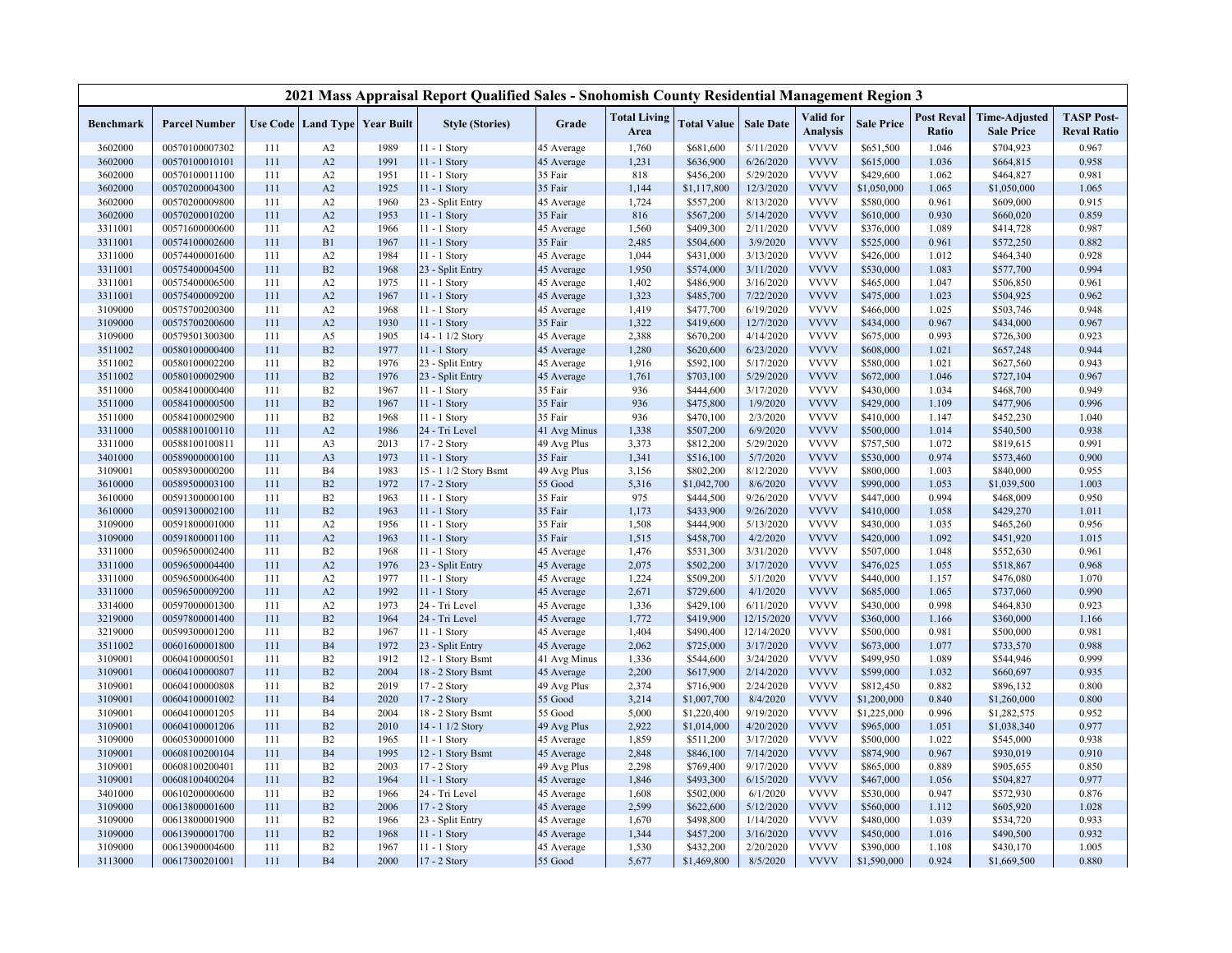|                    |                      |            |                                  |                                   | 2021 Mass Appraisal Report Qualified Sales - Snohomish County Residential Management Region 3 |              |                             |                        |                        |                              |                        |                            |                                           |                                         |
|--------------------|----------------------|------------|----------------------------------|-----------------------------------|-----------------------------------------------------------------------------------------------|--------------|-----------------------------|------------------------|------------------------|------------------------------|------------------------|----------------------------|-------------------------------------------|-----------------------------------------|
| <b>Benchmark</b>   | <b>Parcel Number</b> |            |                                  | Use Code   Land Type   Year Built | <b>Style (Stories)</b>                                                                        | Grade        | <b>Total Living</b><br>Area | <b>Total Value</b>     | <b>Sale Date</b>       | Valid for<br><b>Analysis</b> | <b>Sale Price</b>      | <b>Post Reval</b><br>Ratio | <b>Time-Adjusted</b><br><b>Sale Price</b> | <b>TASP Post-</b><br><b>Reval Ratio</b> |
| 3602000            | 00570100007302       | 111        | A2                               | 1989                              | 11 - 1 Story                                                                                  | 45 Average   | 1,760                       | \$681,600              | 5/11/2020              | <b>VVVV</b>                  | \$651,500              | 1.046                      | \$704,923                                 | 0.967                                   |
| 3602000            | 00570100010101       | 111        | A2                               | 1991                              | 11 - 1 Story                                                                                  | 45 Average   | 1,231                       | \$636,900              | 6/26/2020              | <b>VVVV</b>                  | \$615,000              | 1.036                      | \$664,815                                 | 0.958                                   |
| 3602000            | 00570100011100       | 111        | A2                               | 1951                              | 11 - 1 Story                                                                                  | 35 Fair      | 818                         | \$456,200              | 5/29/2020              | <b>VVVV</b>                  | \$429,600              | 1.062                      | \$464,827                                 | 0.981                                   |
| 3602000            | 00570200004300       | 111        | A2                               | 1925                              | 11 - 1 Story                                                                                  | 35 Fair      | 1,144                       | \$1,117,800            | 12/3/2020              | <b>VVVV</b>                  | \$1,050,000            | 1.065                      | \$1,050,000                               | 1.065                                   |
| 3602000            | 00570200009800       | 111        | A2                               | 1960                              | 23 - Split Entry                                                                              | 45 Average   | 1,724                       | \$557,200              | 8/13/2020              | <b>VVVV</b>                  | \$580,000              | 0.961                      | \$609,000                                 | 0.915                                   |
| 3602000            | 00570200010200       | 111        | A2                               | 1953                              | $11 - 1$ Story                                                                                | 35 Fair      | 816                         | \$567,200              | 5/14/2020              | <b>VVVV</b>                  | \$610,000              | 0.930                      | \$660,020                                 | 0.859                                   |
| 3311001            | 00571600000600       | 111        | A2                               | 1966                              | 11 - 1 Story                                                                                  | 45 Average   | 1,560                       | \$409,300              | 2/11/2020              | <b>VVVV</b>                  | \$376,000              | 1.089                      | \$414,728                                 | 0.987                                   |
| 3311001            | 00574100002600       | 111        | B1                               | 1967                              | 11 - 1 Story                                                                                  | 35 Fair      | 2,485                       | \$504,600              | 3/9/2020               | <b>VVVV</b>                  | \$525,000              | 0.961                      | \$572,250                                 | 0.882                                   |
| 3311000            | 00574400001600       | 111        | A2                               | 1984                              | 11 - 1 Story                                                                                  | 45 Average   | 1,044                       | \$431,000              | 3/13/2020              | <b>VVVV</b>                  | \$426,000              | 1.012                      | \$464,340                                 | 0.928                                   |
| 3311001            | 00575400004500       | 111        | B2                               | 1968                              | 23 - Split Entry                                                                              | 45 Average   | 1,950                       | \$574,000              | 3/11/2020              | <b>VVVV</b>                  | \$530,000              | 1.083                      | \$577,700                                 | 0.994                                   |
| 3311001            | 00575400006500       | 111        | A2                               | 1975                              | $11 - 1$ Story                                                                                | 45 Average   | 1,402                       | \$486,900              | 3/16/2020              | <b>VVVV</b>                  | \$465,000              | 1.047                      | \$506,850                                 | 0.961                                   |
| 3311001            | 00575400009200       | 111        | A2                               | 1967                              | 11 - 1 Story                                                                                  | 45 Average   | 1,323                       | \$485,700              | 7/22/2020              | <b>VVVV</b>                  | \$475,000              | 1.023                      | \$504,925                                 | 0.962                                   |
| 3109000            | 00575700200300       | 111        | A2                               | 1968                              | $11 - 1$ Story                                                                                | 45 Average   | 1,419                       | \$477,700              | 6/19/2020              | <b>VVVV</b>                  | \$466,000              | 1.025                      | \$503,746                                 | 0.948                                   |
| 3109000            | 00575700200600       | 111        | A2                               | 1930                              | 11 - 1 Story                                                                                  | 35 Fair      | 1,322                       | \$419,600              | 12/7/2020              | <b>VVVV</b>                  | \$434,000              | 0.967                      | \$434,000                                 | 0.967                                   |
| 3109000            | 00579501300300       | 111        | A5                               | 1905                              | 14 - 1 1/2 Story                                                                              | 45 Average   | 2,388                       | \$670,200              | 4/14/2020              | <b>VVVV</b>                  | \$675,000              | 0.993                      | \$726,300                                 | 0.923                                   |
| 3511002            | 00580100000400       | 111        | B2                               | 1977                              | 11 - 1 Story                                                                                  | 45 Average   | 1,280                       | \$620,600              | 6/23/2020              | <b>VVVV</b>                  | \$608,000              | 1.021                      | \$657,248                                 | 0.944                                   |
| 3511002            | 00580100002200       | 111        | B2                               | 1976                              | 23 - Split Entry                                                                              | 45 Average   | 1,916                       | \$592,100              | 5/17/2020              | <b>VVVV</b>                  | \$580,000              | 1.021                      | \$627,560                                 | 0.943                                   |
| 3511002            | 00580100002900       | 111        | B2                               | 1976                              | 23 - Split Entry                                                                              | 45 Average   | 1,761                       | \$703,100              | 5/29/2020              | <b>VVVV</b>                  | \$672,000              | 1.046                      | \$727,104                                 | 0.967                                   |
| 3511000            | 00584100000400       | 111        | B2                               | 1967                              | 11 - 1 Story                                                                                  | 35 Fair      | 936                         | \$444,600              | 3/17/2020              | <b>VVVV</b>                  | \$430,000              | 1.034                      | \$468,700                                 | 0.949                                   |
| 3511000            | 00584100000500       | 111        | B2                               | 1967                              | 11 - 1 Story                                                                                  | 35 Fair      | 936                         | \$475,800              | 1/9/2020               | <b>VVVV</b>                  | \$429,000              | 1.109                      | \$477,906                                 | 0.996                                   |
| 3511000            | 00584100002900       | 111        | B2                               | 1968                              | 11 - 1 Story                                                                                  | 35 Fair      | 936                         | \$470,100              | 2/3/2020               | <b>VVVV</b>                  | \$410,000              | 1.147                      | \$452,230                                 | 1.040                                   |
| 3311000            | 00588100100110       | 111        | A2                               | 1986                              | 24 - Tri Level                                                                                | 41 Avg Minus | 1,338                       | \$507,200              | 6/9/2020               | <b>VVVV</b>                  | \$500,000              | 1.014                      | \$540,500                                 | 0.938                                   |
| 3311000            | 00588100100811       | 111        | A3                               | 2013                              | 17 - 2 Story                                                                                  | 49 Avg Plus  | 3,373                       | \$812,200              | 5/29/2020              | <b>VVVV</b>                  | \$757,500              | 1.072                      | \$819,615                                 | 0.991                                   |
| 3401000            | 00589000000100       | 111        | A3                               | 1973                              | 11 - 1 Story                                                                                  | 35 Fair      | 1,341                       | \$516,100              | 5/7/2020               | <b>VVVV</b>                  | \$530,000              | 0.974                      | \$573,460                                 | 0.900                                   |
| 3109001            | 00589300000200       | 111        | <b>B4</b>                        | 1983                              | 15 - 1 1/2 Story Bsmt                                                                         | 49 Avg Plus  | 3,156                       | \$802,200              | 8/12/2020              | <b>VVVV</b>                  | \$800,000              | 1.003                      | \$840,000                                 | 0.955                                   |
| 3610000            | 00589500003100       | 111        | B2                               | 1972                              | 17 - 2 Story                                                                                  | 55 Good      | 5,316                       | \$1,042,700            | 8/6/2020               | <b>VVVV</b>                  | \$990,000              | 1.053                      | \$1,039,500                               | 1.003                                   |
| 3610000            | 00591300000100       | 111        | B2                               | 1963                              | $11 - 1$ Story                                                                                | 35 Fair      | 975                         | \$444,500              | 9/26/2020              | <b>VVVV</b>                  | \$447,000              | 0.994                      | \$468,009                                 | 0.950                                   |
| 3610000            | 00591300002100       | 111        | B2                               | 1963                              | 11 - 1 Story                                                                                  | 35 Fair      | 1,173                       | \$433,900              | 9/26/2020              | <b>VVVV</b>                  | \$410,000              | 1.058                      | \$429,270                                 | 1.011                                   |
| 3109000            | 00591800001000       | 111        | A2                               | 1956                              | 11 - 1 Story                                                                                  | 35 Fair      | 1,508                       | \$444,900              | 5/13/2020              | <b>VVVV</b>                  | \$430,000              | 1.035                      | \$465,260                                 | 0.956                                   |
| 3109000            | 00591800001100       | 111        | A2                               | 1963                              | 11 - 1 Story                                                                                  | 35 Fair      | 1,515                       | \$458,700              | 4/2/2020               | <b>VVVV</b>                  | \$420,000              | 1.092                      | \$451,920                                 | 1.015                                   |
| 3311000            | 00596500002400       | 111        | B2                               | 1968                              | 11 - 1 Story                                                                                  | 45 Average   | 1,476                       | \$531,300              | 3/31/2020              | <b>VVVV</b>                  | \$507,000              | 1.048                      | \$552,630                                 | 0.961                                   |
| 3311000            | 00596500004400       | 111        | A2                               | 1976                              | 23 - Split Entry                                                                              | 45 Average   | 2,075                       | \$502,200              | 3/17/2020              | <b>VVVV</b>                  | \$476,025              | 1.055                      | \$518,867                                 | 0.968                                   |
| 3311000            | 00596500006400       | 111        | A2                               | 1977                              | 11 - 1 Story                                                                                  | 45 Average   | 1,224                       | \$509,200              | 5/1/2020               | <b>VVVV</b>                  | \$440,000              | 1.157                      | \$476,080                                 | 1.070                                   |
| 3311000            | 00596500009200       | 111        | A2                               | 1992                              | 11 - 1 Story                                                                                  | 45 Average   | 2,671                       | \$729,600              | 4/1/2020               | <b>VVVV</b>                  | \$685,000              | 1.065                      | \$737,060                                 | 0.990                                   |
| 3314000            | 00597000001300       | 111        | A2                               | 1973                              | 24 - Tri Level                                                                                | 45 Average   | 1,336                       | \$429,100              | 6/11/2020              | <b>VVVV</b>                  | \$430,000              | 0.998                      | \$464,830                                 | 0.923                                   |
| 3219000            | 00597800001400       | 111        | B2                               | 1964                              | 24 - Tri Level                                                                                | 45 Average   | 1,772                       | \$419,900              | 12/15/2020             | <b>VVVV</b>                  | \$360,000              | 1.166                      | \$360,000                                 | 1.166                                   |
| 3219000            | 00599300001200       | 111        | B2                               | 1967                              | 11 - 1 Story                                                                                  | 45 Average   | 1,404                       | \$490,400              | 12/14/2020             | <b>VVVV</b>                  | \$500,000              | 0.981                      | \$500,000                                 | 0.981                                   |
| 3511002            | 00601600001800       | 111        | <b>B4</b>                        | 1972                              | 23 - Split Entry                                                                              | 45 Average   | 2,062                       | \$725,000              | 3/17/2020              | <b>VVVV</b>                  | \$673,000              | 1.077                      | \$733,570                                 | 0.988                                   |
| 3109001            | 00604100000501       | 111        | B <sub>2</sub>                   | 1912                              | 12 - 1 Story Bsmt                                                                             | 41 Avg Minus | 1,336                       | \$544,600              | 3/24/2020              | <b>VVVV</b>                  | \$499,950              | 1.089                      | \$544,946                                 | 0.999                                   |
| 3109001            | 00604100000807       | 111        | B2                               | 2004                              | 18 - 2 Story Bsmt                                                                             | 45 Average   | 2,200                       | \$617,900              | 2/14/2020              | <b>VVVV</b>                  | \$599,000              | 1.032                      | \$660,697                                 | 0.935                                   |
| 3109001            | 00604100000808       | 111        | B2                               | 2019                              | 17 - 2 Story                                                                                  | 49 Avg Plus  | 2,374                       | \$716,900              | 2/24/2020              | <b>VVVV</b>                  | \$812,450              | 0.882                      | \$896,132                                 | 0.800                                   |
| 3109001            | 00604100001002       | 111        | B <sub>4</sub>                   | 2020                              | 17 - 2 Story                                                                                  | 55 Good      | 3,214                       | \$1,007,700            | 8/4/2020               | <b>VVVV</b>                  | \$1,200,000            | 0.840                      | \$1,260,000                               | 0.800                                   |
| 3109001            | 00604100001205       | 111        | B <sub>4</sub>                   | 2004                              | 18 - 2 Story Bsmt                                                                             | 55 Good      | 5,000                       | \$1,220,400            | 9/19/2020              | <b>VVVV</b>                  | \$1,225,000            | 0.996                      | \$1,282,575                               | 0.952                                   |
| 3109001            | 00604100001206       | 111        | B <sub>2</sub>                   | 2010                              | 14 - 1 1/2 Story                                                                              | 49 Avg Plus  | 2,922                       | \$1,014,000            | 4/20/2020              | <b>VVVV</b>                  | \$965,000              | 1.051                      | \$1,038,340                               | 0.977                                   |
| 3109000            | 00605300001000       | 111        | B2                               | 1965                              | 11 - 1 Story                                                                                  | 45 Average   | 1,859                       | \$511,200              | 3/17/2020              | <b>VVVV</b>                  | \$500,000              | 1.022                      | \$545,000                                 | 0.938                                   |
| 3109001            | 00608100200104       | 111        | B <sub>4</sub>                   | 1995                              | 12 - 1 Story Bsmt                                                                             | 45 Average   | 2,848                       | \$846,100              | 7/14/2020              | <b>VVVV</b>                  | \$874,900              | 0.967                      | \$930,019                                 | 0.910                                   |
| 3109001            | 00608100200401       | 111        | B2                               | 2003                              | 17 - 2 Story                                                                                  | 49 Avg Plus  | 2,298                       | \$769,400              | 9/17/2020              | <b>VVVV</b>                  | \$865,000              | 0.889                      | \$905,655                                 | 0.850                                   |
| 3109001            | 00608100400204       | 111        | B2                               | 1964                              | 11 - 1 Story                                                                                  | 45 Average   | 1,846                       | \$493,300              | 6/15/2020              | <b>VVVV</b>                  | \$467,000              | 1.056                      | \$504,827                                 | 0.977                                   |
| 3401000            | 00610200000600       | 111        | B2                               | 1966                              | 24 - Tri Level                                                                                | 45 Average   | 1,608                       | \$502,000              | 6/1/2020               | <b>VVVV</b>                  | \$530,000              | 0.947                      | \$572,930                                 | 0.876                                   |
| 3109000            | 00613800001600       | 111        | B2                               | 2006                              | 17 - 2 Story                                                                                  | 45 Average   | 2,599                       | \$622,600              | 5/12/2020              | <b>VVVV</b><br><b>VVVV</b>   | \$560,000              | 1.112                      | \$605,920                                 | 1.028                                   |
| 3109000            | 00613800001900       | 111        | B2                               | 1966                              | 23 - Split Entry                                                                              | 45 Average   | 1,670                       | \$498,800              | 1/14/2020              |                              | \$480,000              | 1.039                      | \$534,720                                 | 0.933                                   |
| 3109000<br>3109000 | 00613900001700       | 111<br>111 | B <sub>2</sub><br>B <sub>2</sub> | 1968<br>1967                      | 11 - 1 Story                                                                                  | 45 Average   | 1,344                       | \$457,200<br>\$432,200 | 3/16/2020<br>2/20/2020 | <b>VVVV</b><br><b>VVVV</b>   | \$450,000<br>\$390,000 | 1.016<br>1.108             | \$490,500<br>\$430,170                    | 0.932<br>1.005                          |
|                    | 00613900004600       | 111        | B <sub>4</sub>                   | 2000                              | 11 - 1 Story                                                                                  | 45 Average   | 1,530                       |                        |                        | <b>VVVV</b>                  |                        | 0.924                      |                                           | 0.880                                   |
| 3113000            | 00617300201001       |            |                                  |                                   | 17 - 2 Story                                                                                  | 55 Good      | 5,677                       | \$1,469,800            | 8/5/2020               |                              | \$1,590,000            |                            | \$1,669,500                               |                                         |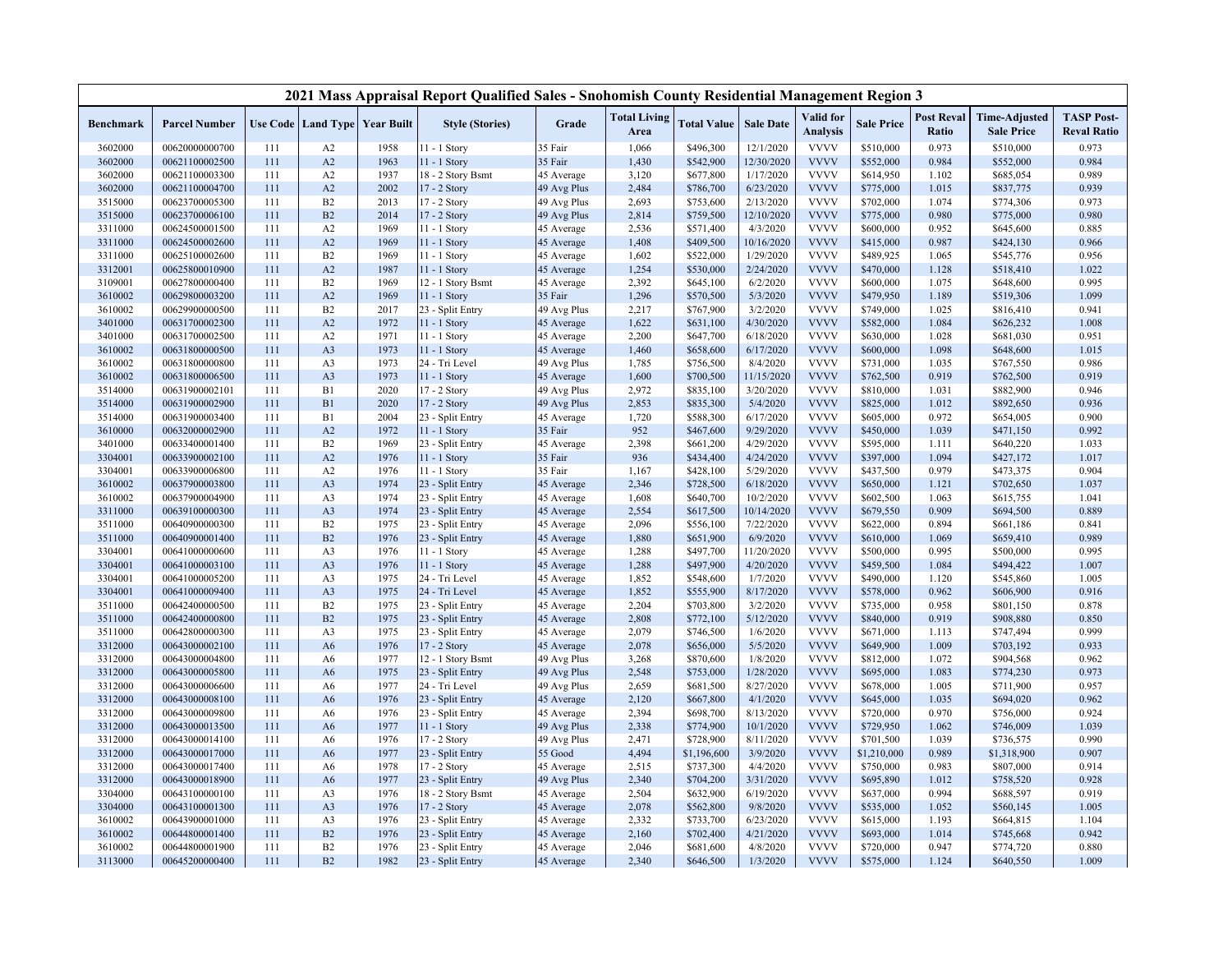|                    |                                  |            |                      |                                   | 2021 Mass Appraisal Report Qualified Sales - Snohomish County Residential Management Region 3 |                          |                             |                        |                         |                              |                        |                            |                                           |                                         |
|--------------------|----------------------------------|------------|----------------------|-----------------------------------|-----------------------------------------------------------------------------------------------|--------------------------|-----------------------------|------------------------|-------------------------|------------------------------|------------------------|----------------------------|-------------------------------------------|-----------------------------------------|
| <b>Benchmark</b>   | <b>Parcel Number</b>             |            |                      | Use Code   Land Type   Year Built | <b>Style (Stories)</b>                                                                        | Grade                    | <b>Total Living</b><br>Area | <b>Total Value</b>     | <b>Sale Date</b>        | Valid for<br><b>Analysis</b> | <b>Sale Price</b>      | <b>Post Reval</b><br>Ratio | <b>Time-Adjusted</b><br><b>Sale Price</b> | <b>TASP Post-</b><br><b>Reval Ratio</b> |
| 3602000            | 00620000000700                   | 111        | A2                   | 1958                              | 11 - 1 Story                                                                                  | 35 Fair                  | 1,066                       | \$496,300              | 12/1/2020               | <b>VVVV</b>                  | \$510,000              | 0.973                      | \$510,000                                 | 0.973                                   |
| 3602000            | 00621100002500                   | 111        | A2                   | 1963                              | 11 - 1 Story                                                                                  | 35 Fair                  | 1,430                       | \$542,900              | 12/30/2020              | <b>VVVV</b>                  | \$552,000              | 0.984                      | \$552,000                                 | 0.984                                   |
| 3602000            | 00621100003300                   | 111        | A2                   | 1937                              | 18 - 2 Story Bsmt                                                                             | 45 Average               | 3,120                       | \$677,800              | 1/17/2020               | <b>VVVV</b>                  | \$614,950              | 1.102                      | \$685,054                                 | 0.989                                   |
| 3602000            | 00621100004700                   | 111        | A2                   | 2002                              | 17 - 2 Story                                                                                  | 49 Avg Plus              | 2,484                       | \$786,700              | 6/23/2020               | <b>VVVV</b>                  | \$775,000              | 1.015                      | \$837,775                                 | 0.939                                   |
| 3515000            | 00623700005300                   | 111        | B2                   | 2013                              | 17 - 2 Story                                                                                  | 49 Avg Plus              | 2,693                       | \$753,600              | 2/13/2020               | <b>VVVV</b>                  | \$702,000              | 1.074                      | \$774,306                                 | 0.973                                   |
| 3515000            | 00623700006100                   | 111        | B2                   | 2014                              | 17 - 2 Story                                                                                  | 49 Avg Plus              | 2,814                       | \$759,500              | 12/10/2020              | <b>VVVV</b>                  | \$775,000              | 0.980                      | \$775,000                                 | 0.980                                   |
| 3311000            | 00624500001500                   | 111        | A2                   | 1969                              | 11 - 1 Story                                                                                  | 45 Average               | 2,536                       | \$571,400              | 4/3/2020                | <b>VVVV</b>                  | \$600,000              | 0.952                      | \$645,600                                 | 0.885                                   |
| 3311000            | 00624500002600                   | 111        | A2                   | 1969                              | 11 - 1 Story                                                                                  | 45 Average               | 1,408                       | \$409,500              | 10/16/2020              | <b>VVVV</b>                  | \$415,000              | 0.987                      | \$424,130                                 | 0.966                                   |
| 3311000            | 00625100002600                   | 111        | B2                   | 1969                              | 11 - 1 Story                                                                                  | 45 Average               | 1,602                       | \$522,000              | 1/29/2020               | <b>VVVV</b>                  | \$489,925              | 1.065                      | \$545,776                                 | 0.956                                   |
| 3312001            | 00625800010900                   | 111        | A2                   | 1987                              | 11 - 1 Story                                                                                  | 45 Average               | 1,254                       | \$530,000              | 2/24/2020               | <b>VVVV</b>                  | \$470,000              | 1.128                      | \$518,410                                 | 1.022                                   |
| 3109001            | 00627800000400                   | 111        | B2                   | 1969                              | 12 - 1 Story Bsmt                                                                             | 45 Average               | 2,392                       | \$645,100              | 6/2/2020                | <b>VVVV</b>                  | \$600,000              | 1.075                      | \$648,600                                 | 0.995                                   |
| 3610002            | 00629800003200                   | 111        | A2                   | 1969                              | $11 - 1$ Story                                                                                | 35 Fair                  | 1,296                       | \$570,500              | 5/3/2020                | <b>VVVV</b>                  | \$479,950              | 1.189                      | \$519,306                                 | 1.099                                   |
| 3610002            | 00629900000500                   | 111        | B2                   | 2017                              | 23 - Split Entry                                                                              | 49 Avg Plus              | 2,217                       | \$767,900              | 3/2/2020                | <b>VVVV</b>                  | \$749,000              | 1.025                      | \$816,410                                 | 0.941                                   |
| 3401000            | 00631700002300                   | 111        | A2                   | 1972                              | 11 - 1 Story                                                                                  | 45 Average               | 1,622                       | \$631,100              | 4/30/2020               | <b>VVVV</b>                  | \$582,000              | 1.084                      | \$626,232                                 | 1.008                                   |
| 3401000            | 00631700002500                   | 111        | A2                   | 1971                              | 11 - 1 Story                                                                                  | 45 Average               | 2,200                       | \$647,700              | 6/18/2020               | <b>VVVV</b>                  | \$630,000              | 1.028                      | \$681,030                                 | 0.951                                   |
| 3610002            | 00631800000500                   | 111        | A <sub>3</sub>       | 1973                              | 11 - 1 Story                                                                                  | 45 Average               | 1,460                       | \$658,600              | 6/17/2020               | <b>VVVV</b>                  | \$600,000              | 1.098                      | \$648,600                                 | 1.015                                   |
| 3610002            | 00631800000800                   | 111        | A3                   | 1973                              | 24 - Tri Level                                                                                | 49 Avg Plus              | 1,785                       | \$756,500              | 8/4/2020                | <b>VVVV</b>                  | \$731,000              | 1.035                      | \$767,550                                 | 0.986                                   |
| 3610002            | 00631800006500                   | 111        | A3                   | 1973                              | 11 - 1 Story                                                                                  | 45 Average               | 1,600                       | \$700,500              | 11/15/2020              | <b>VVVV</b>                  | \$762,500              | 0.919                      | \$762,500                                 | 0.919                                   |
| 3514000            | 00631900002101                   | 111        | B1                   | 2020                              | 17 - 2 Story                                                                                  | 49 Avg Plus              | 2,972                       | \$835,100              | 3/20/2020               | <b>VVVV</b>                  | \$810,000              | 1.031                      | \$882,900                                 | 0.946                                   |
| 3514000            | 00631900002900                   | 111        | B1                   | 2020                              | 17 - 2 Story                                                                                  | 49 Avg Plus              | 2,853                       | \$835,300              | 5/4/2020                | <b>VVVV</b>                  | \$825,000              | 1.012                      | \$892,650                                 | 0.936                                   |
| 3514000            | 00631900003400                   | 111        | B1                   | 2004                              | 23 - Split Entry                                                                              | 45 Average               | 1,720                       | \$588,300              | 6/17/2020               | <b>VVVV</b>                  | \$605,000              | 0.972                      | \$654,005                                 | 0.900                                   |
| 3610000            | 00632000002900                   | 111        | A2                   | 1972                              | 11 - 1 Story                                                                                  | 35 Fair                  | 952                         | \$467,600              | 9/29/2020               | <b>VVVV</b>                  | \$450,000              | 1.039                      | \$471,150                                 | 0.992                                   |
| 3401000            | 00633400001400                   | 111        | B2                   | 1969                              | 23 - Split Entry                                                                              | 45 Average               | 2,398                       | \$661,200              | 4/29/2020               | <b>VVVV</b>                  | \$595,000              | 1.111                      | \$640,220                                 | 1.033                                   |
| 3304001            | 00633900002100                   | 111        | A2                   | 1976                              | 11 - 1 Story                                                                                  | 35 Fair                  | 936                         | \$434,400              | 4/24/2020               | <b>VVVV</b>                  | \$397,000              | 1.094                      | \$427,172                                 | 1.017                                   |
| 3304001            | 00633900006800                   | 111        | A2                   | 1976                              | 11 - 1 Story                                                                                  | 35 Fair                  | 1,167                       | \$428,100              | 5/29/2020               | <b>VVVV</b>                  | \$437,500              | 0.979                      | \$473,375                                 | 0.904                                   |
| 3610002            | 00637900003800                   | 111        | A3                   | 1974                              | 23 - Split Entry                                                                              | 45 Average               | 2,346                       | \$728,500              | 6/18/2020               | <b>VVVV</b><br><b>VVVV</b>   | \$650,000              | 1.121                      | \$702,650                                 | 1.037                                   |
| 3610002            | 00637900004900                   | 111        | A <sub>3</sub>       | 1974                              | 23 - Split Entry                                                                              | 45 Average               | 1,608                       | \$640,700              | 10/2/2020               | <b>VVVV</b>                  | \$602,500              | 1.063                      | \$615,755                                 | 1.041                                   |
| 3311000            | 00639100000300                   | 111        | A3                   | 1974<br>1975                      | 23 - Split Entry                                                                              | 45 Average               | 2,554                       | \$617,500              | 10/14/2020              | <b>VVVV</b>                  | \$679,550              | 0.909<br>0.894             | \$694,500                                 | 0.889                                   |
| 3511000            | 00640900000300<br>00640900001400 | 111<br>111 | B2<br>B2             | 1976                              | 23 - Split Entry                                                                              | 45 Average               | 2,096                       | \$556,100              | 7/22/2020<br>6/9/2020   | <b>VVVV</b>                  | \$622,000              |                            | \$661,186                                 | 0.841                                   |
| 3511000            |                                  | 111        |                      |                                   | 23 - Split Entry                                                                              | 45 Average               | 1,880                       | \$651,900              |                         | <b>VVVV</b>                  | \$610,000              | 1.069                      | \$659,410                                 | 0.989                                   |
| 3304001<br>3304001 | 00641000000600<br>00641000003100 | 111        | A3<br>A <sub>3</sub> | 1976<br>1976                      | 11 - 1 Story<br>11 - 1 Story                                                                  | 45 Average<br>45 Average | 1,288<br>1,288              | \$497,700<br>\$497,900 | 11/20/2020<br>4/20/2020 | <b>VVVV</b>                  | \$500,000<br>\$459,500 | 0.995<br>1.084             | \$500,000<br>\$494,422                    | 0.995<br>1.007                          |
| 3304001            | 00641000005200                   | 111        | A <sub>3</sub>       | 1975                              | 24 - Tri Level                                                                                | 45 Average               |                             |                        | 1/7/2020                | <b>VVVV</b>                  | \$490,000              | 1.120                      | \$545,860                                 | 1.005                                   |
| 3304001            | 00641000009400                   | 111        | A <sub>3</sub>       | 1975                              | 24 - Tri Level                                                                                |                          | 1,852<br>1,852              | \$548,600<br>\$555,900 | 8/17/2020               | <b>VVVV</b>                  | \$578,000              | 0.962                      | \$606,900                                 | 0.916                                   |
| 3511000            | 00642400000500                   | 111        | B <sub>2</sub>       | 1975                              | 23 - Split Entry                                                                              | 45 Average               | 2,204                       | \$703,800              | 3/2/2020                | <b>VVVV</b>                  | \$735,000              | 0.958                      | \$801,150                                 | 0.878                                   |
| 3511000            | 00642400000800                   | 111        | B2                   | 1975                              | 23 - Split Entry                                                                              | 45 Average               | 2,808                       | \$772,100              | 5/12/2020               | <b>VVVV</b>                  | \$840,000              | 0.919                      | \$908,880                                 | 0.850                                   |
| 3511000            | 00642800000300                   | 111        | A <sub>3</sub>       | 1975                              | 23 - Split Entry                                                                              | 45 Average<br>45 Average | 2,079                       | \$746,500              | 1/6/2020                | <b>VVVV</b>                  | \$671,000              | 1.113                      | \$747,494                                 | 0.999                                   |
| 3312000            | 00643000002100                   | 111        | A <sub>6</sub>       | 1976                              | 17 - 2 Story                                                                                  | 45 Average               | 2,078                       | \$656,000              | 5/5/2020                | <b>VVVV</b>                  | \$649,900              | 1.009                      | \$703,192                                 | 0.933                                   |
| 3312000            | 00643000004800                   | 111        | A <sub>6</sub>       | 1977                              | 12 - 1 Story Bsmt                                                                             | 49 Avg Plus              | 3,268                       | \$870,600              | 1/8/2020                | <b>VVVV</b>                  | \$812,000              | 1.072                      | \$904,568                                 | 0.962                                   |
| 3312000            | 00643000005800                   | 111        | A <sub>6</sub>       | 1975                              | 23 - Split Entry                                                                              | 49 Avg Plus              | 2,548                       | \$753,000              | 1/28/2020               | <b>VVVV</b>                  | \$695,000              | 1.083                      | \$774,230                                 | 0.973                                   |
| 3312000            | 00643000006600                   | 111        | A6                   | 1977                              | 24 - Tri Level                                                                                | 49 Avg Plus              | 2,659                       | \$681,500              | 8/27/2020               | <b>VVVV</b>                  | \$678,000              | 1.005                      | \$711,900                                 | 0.957                                   |
| 3312000            | 00643000008100                   | 111        | A <sub>6</sub>       | 1976                              | 23 - Split Entry                                                                              | 45 Average               | 2,120                       | \$667,800              | 4/1/2020                | <b>VVVV</b>                  | \$645,000              | 1.035                      | \$694,020                                 | 0.962                                   |
| 3312000            | 00643000009800                   | 111        | A <sub>6</sub>       | 1976                              | 23 - Split Entry                                                                              | 45 Average               | 2,394                       | \$698,700              | 8/13/2020               | <b>VVVV</b>                  | \$720,000              | 0.970                      | \$756,000                                 | 0.924                                   |
| 3312000            | 00643000013500                   | 111        | A <sub>6</sub>       | 1977                              | 11 - 1 Story                                                                                  | 49 Avg Plus              | 2,338                       | \$774,900              | 10/1/2020               | <b>VVVV</b>                  | \$729,950              | 1.062                      | \$746,009                                 | 1.039                                   |
| 3312000            | 00643000014100                   | 111        | A <sub>6</sub>       | 1976                              | 17 - 2 Story                                                                                  | 49 Avg Plus              | 2,471                       | \$728,900              | 8/11/2020               | <b>VVVV</b>                  | \$701,500              | 1.039                      | \$736,575                                 | 0.990                                   |
| 3312000            | 00643000017000                   | 111        | A <sub>6</sub>       | 1977                              | 23 - Split Entry                                                                              | 55 Good                  | 4,494                       | \$1,196,600            | 3/9/2020                | <b>VVVV</b>                  | \$1,210,000            | 0.989                      | \$1,318,900                               | 0.907                                   |
| 3312000            | 00643000017400                   | 111        | A <sub>6</sub>       | 1978                              | 17 - 2 Story                                                                                  | 45 Average               | 2,515                       | \$737,300              | 4/4/2020                | <b>VVVV</b>                  | \$750,000              | 0.983                      | \$807,000                                 | 0.914                                   |
| 3312000            | 00643000018900                   | 111        | A <sub>6</sub>       | 1977                              | 23 - Split Entry                                                                              | 49 Avg Plus              | 2,340                       | \$704,200              | 3/31/2020               | <b>VVVV</b>                  | \$695,890              | 1.012                      | \$758,520                                 | 0.928                                   |
| 3304000            | 00643100000100                   | 111        | A3                   | 1976                              | 18 - 2 Story Bsmt                                                                             | 45 Average               | 2,504                       | \$632,900              | 6/19/2020               | <b>VVVV</b>                  | \$637,000              | 0.994                      | \$688,597                                 | 0.919                                   |
| 3304000            | 00643100001300                   | 111        | A3                   | 1976                              | 17 - 2 Story                                                                                  | 45 Average               | 2,078                       | \$562,800              | 9/8/2020                | <b>VVVV</b>                  | \$535,000              | 1.052                      | \$560,145                                 | 1.005                                   |
| 3610002            | 00643900001000                   | 111        | A3                   | 1976                              | 23 - Split Entry                                                                              | 45 Average               | 2,332                       | \$733,700              | 6/23/2020               | <b>VVVV</b>                  | \$615,000              | 1.193                      | \$664,815                                 | 1.104                                   |
| 3610002            | 00644800001400                   | 111        | B <sub>2</sub>       | 1976                              | 23 - Split Entry                                                                              | 45 Average               | 2,160                       | \$702,400              | 4/21/2020               | <b>VVVV</b>                  | \$693,000              | 1.014                      | \$745,668                                 | 0.942                                   |
| 3610002            | 00644800001900                   | 111        | B <sub>2</sub>       | 1976                              | 23 - Split Entry                                                                              | 45 Average               | 2,046                       | \$681,600              | 4/8/2020                | <b>VVVV</b>                  | \$720,000              | 0.947                      | \$774,720                                 | 0.880                                   |
| 3113000            | 00645200000400                   | 111        | B2                   | 1982                              | 23 - Split Entry                                                                              | 45 Average               | 2,340                       | \$646,500              | 1/3/2020                | <b>VVVV</b>                  | \$575,000              | 1.124                      | \$640,550                                 | 1.009                                   |
|                    |                                  |            |                      |                                   |                                                                                               |                          |                             |                        |                         |                              |                        |                            |                                           |                                         |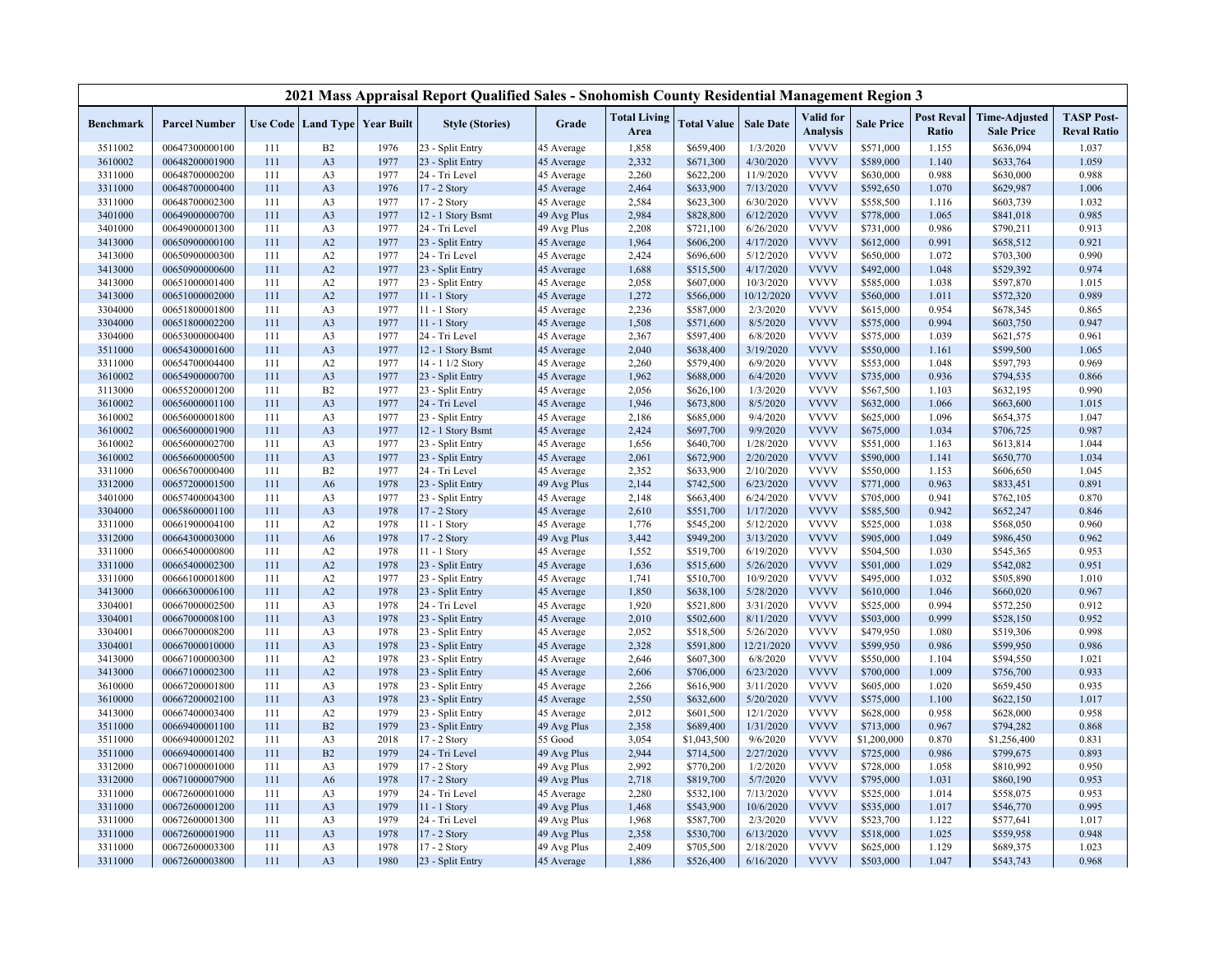|                    |                                  |            |                |                                   | 2021 Mass Appraisal Report Qualified Sales - Snohomish County Residential Management Region 3 |                          |                             |                        |                        |                              |                        |                            |                                           |                                         |
|--------------------|----------------------------------|------------|----------------|-----------------------------------|-----------------------------------------------------------------------------------------------|--------------------------|-----------------------------|------------------------|------------------------|------------------------------|------------------------|----------------------------|-------------------------------------------|-----------------------------------------|
| <b>Benchmark</b>   | <b>Parcel Number</b>             |            |                | Use Code   Land Type   Year Built | <b>Style (Stories)</b>                                                                        | Grade                    | <b>Total Living</b><br>Area | <b>Total Value</b>     | <b>Sale Date</b>       | Valid for<br><b>Analysis</b> | <b>Sale Price</b>      | <b>Post Reval</b><br>Ratio | <b>Time-Adjusted</b><br><b>Sale Price</b> | <b>TASP Post-</b><br><b>Reval Ratio</b> |
| 3511002            | 00647300000100                   | 111        | B2             | 1976                              | 23 - Split Entry                                                                              | 45 Average               | 1,858                       | \$659,400              | 1/3/2020               | <b>VVVV</b>                  | \$571,000              | 1.155                      | \$636,094                                 | 1.037                                   |
| 3610002            | 00648200001900                   | 111        | A3             | 1977                              | 23 - Split Entry                                                                              | 45 Average               | 2,332                       | \$671,300              | 4/30/2020              | <b>VVVV</b>                  | \$589,000              | 1.140                      | \$633,764                                 | 1.059                                   |
| 3311000            | 00648700000200                   | 111        | A3             | 1977                              | 24 - Tri Level                                                                                | 45 Average               | 2,260                       | \$622,200              | 11/9/2020              | <b>VVVV</b>                  | \$630,000              | 0.988                      | \$630,000                                 | 0.988                                   |
| 3311000            | 00648700000400                   | 111        | A3             | 1976                              | 17 - 2 Story                                                                                  | 45 Average               | 2,464                       | \$633,900              | 7/13/2020              | <b>VVVV</b>                  | \$592,650              | 1.070                      | \$629,987                                 | 1.006                                   |
| 3311000            | 00648700002300                   | 111        | A3             | 1977                              | 17 - 2 Story                                                                                  | 45 Average               | 2,584                       | \$623,300              | 6/30/2020              | <b>VVVV</b>                  | \$558,500              | 1.116                      | \$603,739                                 | 1.032                                   |
| 3401000            | 00649000000700                   | 111        | A3             | 1977                              | 12 - 1 Story Bsmt                                                                             | 49 Avg Plus              | 2,984                       | \$828,800              | 6/12/2020              | <b>VVVV</b>                  | \$778,000              | 1.065                      | \$841,018                                 | 0.985                                   |
| 3401000            | 00649000001300                   | 111        | A3             | 1977                              | 24 - Tri Level                                                                                | 49 Avg Plus              | 2,208                       | \$721,100              | 6/26/2020              | <b>VVVV</b>                  | \$731,000              | 0.986                      | \$790,211                                 | 0.913                                   |
| 3413000            | 00650900000100                   | 111        | A2             | 1977                              | 23 - Split Entry                                                                              | 45 Average               | 1,964                       | \$606,200              | 4/17/2020              | <b>VVVV</b>                  | \$612,000              | 0.991                      | \$658,512                                 | 0.921                                   |
| 3413000            | 00650900000300                   | 111        | A2             | 1977                              | 24 - Tri Level                                                                                | 45 Average               | 2,424                       | \$696,600              | 5/12/2020              | <b>VVVV</b>                  | \$650,000              | 1.072                      | \$703,300                                 | 0.990                                   |
| 3413000            | 00650900000600                   | 111        | A2             | 1977                              | 23 - Split Entry                                                                              | 45 Average               | 1,688                       | \$515,500              | 4/17/2020              | <b>VVVV</b>                  | \$492,000              | 1.048                      | \$529,392                                 | 0.974                                   |
| 3413000            | 00651000001400                   | 111        | A2             | 1977                              | 23 - Split Entry                                                                              | 45 Average               | 2,058                       | \$607,000              | 10/3/2020              | <b>VVVV</b>                  | \$585,000              | 1.038                      | \$597,870                                 | 1.015                                   |
| 3413000            | 00651000002000                   | 111        | A2             | 1977                              | 11 - 1 Story                                                                                  | 45 Average               | 1,272                       | \$566,000              | 10/12/2020             | <b>VVVV</b>                  | \$560,000              | 1.011                      | \$572,320                                 | 0.989                                   |
| 3304000            | 00651800001800                   | 111        | A3             | 1977                              | $11 - 1$ Story                                                                                | 45 Average               | 2,236                       | \$587,000              | 2/3/2020               | <b>VVVV</b>                  | \$615,000              | 0.954                      | \$678,345                                 | 0.865                                   |
| 3304000            | 00651800002200                   | 111        | A3             | 1977                              | 11 - 1 Story                                                                                  | 45 Average               | 1,508                       | \$571,600              | 8/5/2020               | <b>VVVV</b>                  | \$575,000              | 0.994                      | \$603,750                                 | 0.947                                   |
| 3304000            | 00653000000400                   | 111        | A <sub>3</sub> | 1977                              | 24 - Tri Level                                                                                | 45 Average               | 2,367                       | \$597,400              | 6/8/2020               | <b>VVVV</b>                  | \$575,000              | 1.039                      | \$621,575                                 | 0.961                                   |
| 3511000            | 00654300001600                   | 111        | A <sub>3</sub> | 1977                              | 12 - 1 Story Bsmt                                                                             | 45 Average               | 2,040                       | \$638,400              | 3/19/2020              | <b>VVVV</b>                  | \$550,000              | 1.161                      | \$599,500                                 | 1.065                                   |
| 3311000            | 00654700004400                   | 111        | A2             | 1977                              | 14 - 1 1/2 Story                                                                              | 45 Average               | 2,260                       | \$579,400              | 6/9/2020               | <b>VVVV</b>                  | \$553,000              | 1.048                      | \$597,793                                 | 0.969                                   |
| 3610002            | 00654900000700                   | 111        | A3             | 1977                              | 23 - Split Entry                                                                              | 45 Average               | 1,962                       | \$688,000              | 6/4/2020               | <b>VVVV</b>                  | \$735,000              | 0.936                      | \$794,535                                 | 0.866                                   |
| 3113000            | 00655200001200                   | 111        | B2             | 1977                              | 23 - Split Entry                                                                              | 45 Average               | 2,056                       | \$626,100              | 1/3/2020               | <b>VVVV</b>                  | \$567,500              | 1.103                      | \$632,195                                 | 0.990                                   |
| 3610002            | 00656000001100                   | 111        | A <sub>3</sub> | 1977                              | 24 - Tri Level                                                                                | 45 Average               | 1,946                       | \$673,800              | 8/5/2020               | <b>VVVV</b>                  | \$632,000              | 1.066                      | \$663,600                                 | 1.015                                   |
| 3610002            | 00656000001800                   | 111        | A3             | 1977                              | 23 - Split Entry                                                                              | 45 Average               | 2,186                       | \$685,000              | 9/4/2020               | <b>VVVV</b>                  | \$625,000              | 1.096                      | \$654,375                                 | 1.047                                   |
| 3610002            | 00656000001900                   | 111        | A3             | 1977                              | 12 - 1 Story Bsmt                                                                             | 45 Average               | 2,424                       | \$697,700              | 9/9/2020               | <b>VVVV</b>                  | \$675,000              | 1.034                      | \$706,725                                 | 0.987                                   |
| 3610002            | 00656000002700                   | 111        | A3             | 1977                              | 23 - Split Entry                                                                              | 45 Average               | 1,656                       | \$640,700              | 1/28/2020              | <b>VVVV</b>                  | \$551,000              | 1.163                      | \$613,814                                 | 1.044                                   |
| 3610002            | 00656600000500                   | 111        | A3             | 1977                              | 23 - Split Entry                                                                              | 45 Average               | 2,061                       | \$672,900              | 2/20/2020              | <b>VVVV</b>                  | \$590,000              | 1.141                      | \$650,770                                 | 1.034                                   |
| 3311000            | 00656700000400                   | 111        | B2             | 1977                              | 24 - Tri Level                                                                                | 45 Average               | 2,352                       | \$633,900              | 2/10/2020              | <b>VVVV</b>                  | \$550,000              | 1.153                      | \$606,650                                 | 1.045                                   |
| 3312000            | 00657200001500                   | 111        | A <sub>6</sub> | 1978                              | 23 - Split Entry                                                                              | 49 Avg Plus              | 2,144                       | \$742,500              | 6/23/2020              | <b>VVVV</b>                  | \$771,000              | 0.963                      | \$833,451                                 | 0.891                                   |
| 3401000            | 00657400004300                   | 111        | A <sub>3</sub> | 1977                              | 23 - Split Entry                                                                              | 45 Average               | 2,148                       | \$663,400              | 6/24/2020              | <b>VVVV</b>                  | \$705,000              | 0.941                      | \$762,105                                 | 0.870                                   |
| 3304000            | 00658600001100                   | 111        | A3             | 1978                              | 17 - 2 Story                                                                                  | 45 Average               | 2,610                       | \$551,700              | 1/17/2020              | <b>VVVV</b><br><b>VVVV</b>   | \$585,500              | 0.942                      | \$652,247                                 | 0.846                                   |
| 3311000            | 00661900004100                   | 111        | A2             | 1978                              | 11 - 1 Story                                                                                  | 45 Average               | 1,776                       | \$545,200              | 5/12/2020              |                              | \$525,000              | 1.038                      | \$568,050                                 | 0.960                                   |
| 3312000            | 00664300003000                   | 111<br>111 | A <sub>6</sub> | 1978                              | 17 - 2 Story                                                                                  | 49 Avg Plus              | 3,442                       | \$949,200              | 3/13/2020              | <b>VVVV</b><br><b>VVVV</b>   | \$905,000              | 1.049<br>1.030             | \$986,450                                 | 0.962                                   |
| 3311000<br>3311000 | 00665400000800<br>00665400002300 | 111        | A2<br>A2       | 1978<br>1978                      | 11 - 1 Story                                                                                  | 45 Average               | 1,552<br>1,636              | \$519,700<br>\$515,600 | 6/19/2020<br>5/26/2020 | <b>VVVV</b>                  | \$504,500<br>\$501,000 | 1.029                      | \$545,365<br>\$542,082                    | 0.953<br>0.951                          |
| 3311000            | 00666100001800                   | 111        | A2             | 1977                              | 23 - Split Entry<br>23 - Split Entry                                                          | 45 Average<br>45 Average | 1,741                       |                        | 10/9/2020              | <b>VVVV</b>                  | \$495,000              | 1.032                      | \$505,890                                 | 1.010                                   |
| 3413000            | 00666300006100                   | 111        | A2             | 1978                              | 23 - Split Entry                                                                              | 45 Average               | 1,850                       | \$510,700<br>\$638,100 | 5/28/2020              | <b>VVVV</b>                  | \$610,000              | 1.046                      | \$660,020                                 | 0.967                                   |
| 3304001            | 00667000002500                   | 111        | A <sub>3</sub> | 1978                              | 24 - Tri Level                                                                                |                          | 1,920                       | \$521,800              | 3/31/2020              | <b>VVVV</b>                  | \$525,000              | 0.994                      | \$572,250                                 | 0.912                                   |
| 3304001            | 00667000008100                   | 111        | A3             | 1978                              | 23 - Split Entry                                                                              | 45 Average<br>45 Average | 2,010                       | \$502,600              | 8/11/2020              | <b>VVVV</b>                  | \$503,000              | 0.999                      | \$528,150                                 | 0.952                                   |
| 3304001            | 00667000008200                   | 111        | A <sub>3</sub> | 1978                              | 23 - Split Entry                                                                              | 45 Average               | 2,052                       | \$518,500              | 5/26/2020              | <b>VVVV</b>                  | \$479,950              | 1.080                      | \$519,306                                 | 0.998                                   |
| 3304001            | 00667000010000                   | 111        | A3             | 1978                              | 23 - Split Entry                                                                              | 45 Average               | 2,328                       | \$591,800              | 12/21/2020             | <b>VVVV</b>                  | \$599,950              | 0.986                      | \$599,950                                 | 0.986                                   |
| 3413000            | 00667100000300                   | 111        | A2             | 1978                              | 23 - Split Entry                                                                              | 45 Average               | 2,646                       | \$607,300              | 6/8/2020               | <b>VVVV</b>                  | \$550,000              | 1.104                      | \$594,550                                 | 1.021                                   |
| 3413000            | 00667100002300                   | 111        | A2             | 1978                              | 23 - Split Entry                                                                              | 45 Average               | 2,606                       | \$706,000              | 6/23/2020              | <b>VVVV</b>                  | \$700,000              | 1.009                      | \$756,700                                 | 0.933                                   |
| 3610000            | 00667200001800                   | 111        | A <sub>3</sub> | 1978                              | 23 - Split Entry                                                                              | 45 Average               | 2,266                       | \$616,900              | 3/11/2020              | <b>VVVV</b>                  | \$605,000              | 1.020                      | \$659,450                                 | 0.935                                   |
| 3610000            | 00667200002100                   | 111        | A3             | 1978                              | 23 - Split Entry                                                                              | 45 Average               | 2,550                       | \$632,600              | 5/20/2020              | <b>VVVV</b>                  | \$575,000              | 1.100                      | \$622,150                                 | 1.017                                   |
| 3413000            | 00667400003400                   | 111        | A2             | 1979                              | 23 - Split Entry                                                                              | 45 Average               | 2,012                       | \$601,500              | 12/1/2020              | <b>VVVV</b>                  | \$628,000              | 0.958                      | \$628,000                                 | 0.958                                   |
| 3511000            | 00669400001100                   | 111        | B2             | 1979                              | 23 - Split Entry                                                                              | 49 Avg Plus              | 2,358                       | \$689,400              | 1/31/2020              | <b>VVVV</b>                  | \$713,000              | 0.967                      | \$794,282                                 | 0.868                                   |
| 3511000            | 00669400001202                   | 111        | A3             | 2018                              | 17 - 2 Story                                                                                  | 55 Good                  | 3,054                       | \$1,043,500            | 9/6/2020               | <b>VVVV</b>                  | \$1,200,000            | 0.870                      | \$1,256,400                               | 0.831                                   |
| 3511000            | 00669400001400                   | 111        | B2             | 1979                              | 24 - Tri Level                                                                                | 49 Avg Plus              | 2,944                       | \$714,500              | 2/27/2020              | <b>VVVV</b>                  | \$725,000              | 0.986                      | \$799,675                                 | 0.893                                   |
| 3312000            | 00671000001000                   | 111        | A3             | 1979                              | 17 - 2 Story                                                                                  | 49 Avg Plus              | 2,992                       | \$770,200              | 1/2/2020               | <b>VVVV</b>                  | \$728,000              | 1.058                      | \$810,992                                 | 0.950                                   |
| 3312000            | 00671000007900                   | 111        | A <sub>6</sub> | 1978                              | 17 - 2 Story                                                                                  | 49 Avg Plus              | 2,718                       | \$819,700              | 5/7/2020               | <b>VVVV</b>                  | \$795,000              | 1.031                      | \$860,190                                 | 0.953                                   |
| 3311000            | 00672600001000                   | 111        | A3             | 1979                              | 24 - Tri Level                                                                                | 45 Average               | 2,280                       | \$532,100              | 7/13/2020              | <b>VVVV</b>                  | \$525,000              | 1.014                      | \$558,075                                 | 0.953                                   |
| 3311000            | 00672600001200                   | 111        | A3             | 1979                              | 11 - 1 Story                                                                                  | 49 Avg Plus              | 1,468                       | \$543,900              | 10/6/2020              | <b>VVVV</b>                  | \$535,000              | 1.017                      | \$546,770                                 | 0.995                                   |
| 3311000            | 00672600001300                   | 111        | A3             | 1979                              | 24 - Tri Level                                                                                | 49 Avg Plus              | 1,968                       | \$587,700              | 2/3/2020               | <b>VVVV</b>                  | \$523,700              | 1.122                      | \$577,641                                 | 1.017                                   |
| 3311000            | 00672600001900                   | 111        | A <sub>3</sub> | 1978                              | 17 - 2 Story                                                                                  | 49 Avg Plus              | 2,358                       | \$530,700              | 6/13/2020              | <b>VVVV</b>                  | \$518,000              | 1.025                      | \$559,958                                 | 0.948                                   |
| 3311000            | 00672600003300                   | 111        | A3             | 1978                              | 17 - 2 Story                                                                                  | 49 Avg Plus              | 2,409                       | \$705,500              | 2/18/2020              | <b>VVVV</b>                  | \$625,000              | 1.129                      | \$689,375                                 | 1.023                                   |
| 3311000            | 00672600003800                   | 111        | A3             | 1980                              | 23 - Split Entry                                                                              | 45 Average               | 1,886                       | \$526,400              | 6/16/2020              | <b>VVVV</b>                  | \$503,000              | 1.047                      | \$543,743                                 | 0.968                                   |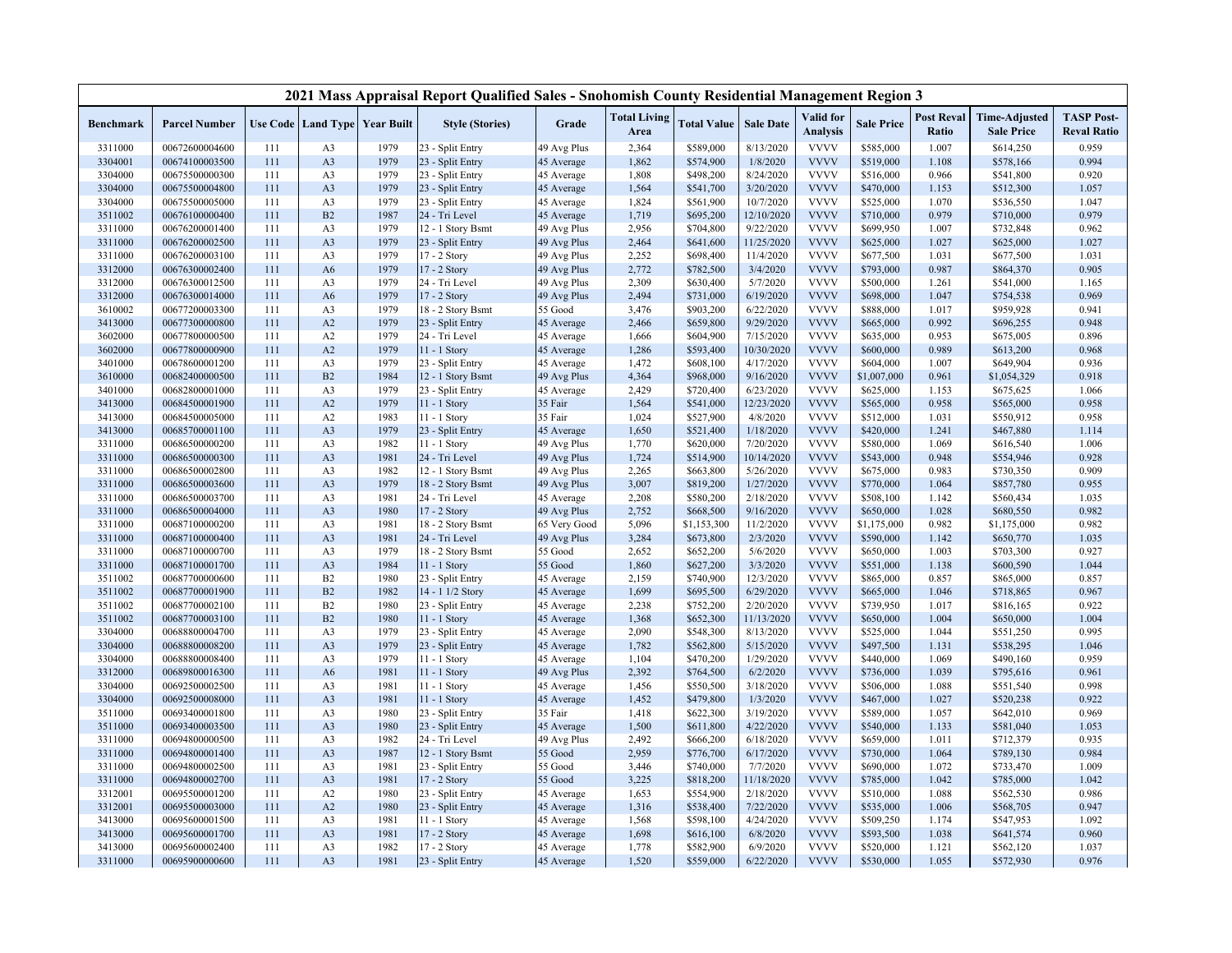|                  |                      |     |                |                                   | 2021 Mass Appraisal Report Qualified Sales - Snohomish County Residential Management Region 3 |              |                             |                    |                  |                              |                   |                            |                                           |                                         |
|------------------|----------------------|-----|----------------|-----------------------------------|-----------------------------------------------------------------------------------------------|--------------|-----------------------------|--------------------|------------------|------------------------------|-------------------|----------------------------|-------------------------------------------|-----------------------------------------|
| <b>Benchmark</b> | <b>Parcel Number</b> |     |                | Use Code   Land Type   Year Built | <b>Style (Stories)</b>                                                                        | Grade        | <b>Total Living</b><br>Area | <b>Total Value</b> | <b>Sale Date</b> | Valid for<br><b>Analysis</b> | <b>Sale Price</b> | <b>Post Reval</b><br>Ratio | <b>Time-Adjusted</b><br><b>Sale Price</b> | <b>TASP Post-</b><br><b>Reval Ratio</b> |
| 3311000          | 00672600004600       | 111 | A <sub>3</sub> | 1979                              | 23 - Split Entry                                                                              | 49 Avg Plus  | 2,364                       | \$589,000          | 8/13/2020        | <b>VVVV</b>                  | \$585,000         | 1.007                      | \$614,250                                 | 0.959                                   |
| 3304001          | 00674100003500       | 111 | A3             | 1979                              | 23 - Split Entry                                                                              | 45 Average   | 1,862                       | \$574,900          | 1/8/2020         | <b>VVVV</b>                  | \$519,000         | 1.108                      | \$578,166                                 | 0.994                                   |
| 3304000          | 00675500000300       | 111 | A3             | 1979                              | 23 - Split Entry                                                                              | 45 Average   | 1,808                       | \$498,200          | 8/24/2020        | <b>VVVV</b>                  | \$516,000         | 0.966                      | \$541,800                                 | 0.920                                   |
| 3304000          | 00675500004800       | 111 | A3             | 1979                              | 23 - Split Entry                                                                              | 45 Average   | 1,564                       | \$541,700          | 3/20/2020        | <b>VVVV</b>                  | \$470,000         | 1.153                      | \$512,300                                 | 1.057                                   |
| 3304000          | 00675500005000       | 111 | A3             | 1979                              | 23 - Split Entry                                                                              | 45 Average   | 1,824                       | \$561,900          | 10/7/2020        | <b>VVVV</b>                  | \$525,000         | 1.070                      | \$536,550                                 | 1.047                                   |
| 3511002          | 00676100000400       | 111 | B2             | 1987                              | 24 - Tri Level                                                                                | 45 Average   | 1,719                       | \$695,200          | 12/10/2020       | <b>VVVV</b>                  | \$710,000         | 0.979                      | \$710,000                                 | 0.979                                   |
| 3311000          | 00676200001400       | 111 | A3             | 1979                              | 12 - 1 Story Bsmt                                                                             | 49 Avg Plus  | 2,956                       | \$704,800          | 9/22/2020        | <b>VVVV</b>                  | \$699,950         | 1.007                      | \$732,848                                 | 0.962                                   |
| 3311000          | 00676200002500       | 111 | A <sub>3</sub> | 1979                              | 23 - Split Entry                                                                              | 49 Avg Plus  | 2,464                       | \$641,600          | 11/25/2020       | <b>VVVV</b>                  | \$625,000         | 1.027                      | \$625,000                                 | 1.027                                   |
| 3311000          | 00676200003100       | 111 | A3             | 1979                              | 17 - 2 Story                                                                                  | 49 Avg Plus  | 2,252                       | \$698,400          | 11/4/2020        | <b>VVVV</b>                  | \$677,500         | 1.031                      | \$677,500                                 | 1.031                                   |
| 3312000          | 00676300002400       | 111 | A <sub>6</sub> | 1979                              | 17 - 2 Story                                                                                  | 49 Avg Plus  | 2,772                       | \$782,500          | 3/4/2020         | <b>VVVV</b>                  | \$793,000         | 0.987                      | \$864,370                                 | 0.905                                   |
| 3312000          | 00676300012500       | 111 | A <sub>3</sub> | 1979                              | 24 - Tri Level                                                                                | 49 Avg Plus  | 2,309                       | \$630,400          | 5/7/2020         | <b>VVVV</b>                  | \$500,000         | 1.261                      | \$541,000                                 | 1.165                                   |
| 3312000          | 00676300014000       | 111 | A <sub>6</sub> | 1979                              | 17 - 2 Story                                                                                  | 49 Avg Plus  | 2,494                       | \$731,000          | 6/19/2020        | <b>VVVV</b>                  | \$698,000         | 1.047                      | \$754,538                                 | 0.969                                   |
| 3610002          | 00677200003300       | 111 | A3             | 1979                              | 18 - 2 Story Bsmt                                                                             | 55 Good      | 3,476                       | \$903,200          | 6/22/2020        | <b>VVVV</b>                  | \$888,000         | 1.017                      | \$959,928                                 | 0.941                                   |
| 3413000          | 00677300000800       | 111 | A2             | 1979                              | 23 - Split Entry                                                                              | 45 Average   | 2,466                       | \$659,800          | 9/29/2020        | <b>VVVV</b>                  | \$665,000         | 0.992                      | \$696,255                                 | 0.948                                   |
| 3602000          | 00677800000500       | 111 | A2             | 1979                              | 24 - Tri Level                                                                                | 45 Average   | 1,666                       | \$604,900          | 7/15/2020        | <b>VVVV</b>                  | \$635,000         | 0.953                      | \$675,005                                 | 0.896                                   |
| 3602000          | 00677800000900       | 111 | A2             | 1979                              | 11 - 1 Story                                                                                  | 45 Average   | 1,286                       | \$593,400          | 10/30/2020       | <b>VVVV</b>                  | \$600,000         | 0.989                      | \$613,200                                 | 0.968                                   |
| 3401000          | 00678600001200       | 111 | A3             | 1979                              | 23 - Split Entry                                                                              | 45 Average   | 1,472                       | \$608,100          | 4/17/2020        | <b>VVVV</b>                  | \$604,000         | 1.007                      | \$649,904                                 | 0.936                                   |
| 3610000          | 00682400000500       | 111 | B2             | 1984                              | 12 - 1 Story Bsmt                                                                             | 49 Avg Plus  | 4,364                       | \$968,000          | 9/16/2020        | <b>VVVV</b>                  | \$1,007,000       | 0.961                      | \$1,054,329                               | 0.918                                   |
| 3401000          | 00682800001000       | 111 | A3             | 1979                              | 23 - Split Entry                                                                              | 45 Average   | 2,429                       | \$720,400          | 6/23/2020        | <b>VVVV</b>                  | \$625,000         | 1.153                      | \$675,625                                 | 1.066                                   |
| 3413000          | 00684500001900       | 111 | A2             | 1979                              | 11 - 1 Story                                                                                  | 35 Fair      | 1,564                       | \$541,000          | 12/23/2020       | <b>VVVV</b>                  | \$565,000         | 0.958                      | \$565,000                                 | 0.958                                   |
| 3413000          | 00684500005000       | 111 | A2             | 1983                              | 11 - 1 Story                                                                                  | 35 Fair      | 1,024                       | \$527,900          | 4/8/2020         | <b>VVVV</b>                  | \$512,000         | 1.031                      | \$550,912                                 | 0.958                                   |
| 3413000          | 00685700001100       | 111 | A3             | 1979                              | 23 - Split Entry                                                                              | 45 Average   | 1,650                       | \$521,400          | 1/18/2020        | <b>VVVV</b>                  | \$420,000         | 1.241                      | \$467,880                                 | 1.114                                   |
| 3311000          | 00686500000200       | 111 | A3             | 1982                              | 11 - 1 Story                                                                                  | 49 Avg Plus  | 1,770                       | \$620,000          | 7/20/2020        | <b>VVVV</b>                  | \$580,000         | 1.069                      | \$616,540                                 | 1.006                                   |
| 3311000          | 00686500000300       | 111 | A3             | 1981                              | 24 - Tri Level                                                                                | 49 Avg Plus  | 1,724                       | \$514,900          | 10/14/2020       | <b>VVVV</b>                  | \$543,000         | 0.948                      | \$554,946                                 | 0.928                                   |
| 3311000          | 00686500002800       | 111 | A <sub>3</sub> | 1982                              | 12 - 1 Story Bsmt                                                                             | 49 Avg Plus  | 2,265                       | \$663,800          | 5/26/2020        | <b>VVVV</b>                  | \$675,000         | 0.983                      | \$730,350                                 | 0.909                                   |
| 3311000          | 00686500003600       | 111 | A3             | 1979                              | 18 - 2 Story Bsmt                                                                             | 49 Avg Plus  | 3,007                       | \$819,200          | 1/27/2020        | <b>VVVV</b>                  | \$770,000         | 1.064                      | \$857,780                                 | 0.955                                   |
| 3311000          | 00686500003700       | 111 | A <sub>3</sub> | 1981                              | 24 - Tri Level                                                                                | 45 Average   | 2,208                       | \$580,200          | 2/18/2020        | <b>VVVV</b>                  | \$508,100         | 1.142                      | \$560,434                                 | 1.035                                   |
| 3311000          | 00686500004000       | 111 | A3             | 1980                              | 17 - 2 Story                                                                                  | 49 Avg Plus  | 2,752                       | \$668,500          | 9/16/2020        | <b>VVVV</b>                  | \$650,000         | 1.028                      | \$680,550                                 | 0.982                                   |
| 3311000          | 00687100000200       | 111 | A <sub>3</sub> | 1981                              | 18 - 2 Story Bsmt                                                                             | 65 Very Good | 5,096                       | \$1,153,300        | 11/2/2020        | <b>VVVV</b>                  | \$1,175,000       | 0.982                      | \$1,175,000                               | 0.982                                   |
| 3311000          | 00687100000400       | 111 | A3             | 1981                              | 24 - Tri Level                                                                                | 49 Avg Plus  | 3,284                       | \$673,800          | 2/3/2020         | <b>VVVV</b>                  | \$590,000         | 1.142                      | \$650,770                                 | 1.035                                   |
| 3311000          | 00687100000700       | 111 | A3             | 1979                              | 18 - 2 Story Bsmt                                                                             | 55 Good      | 2,652                       | \$652,200          | 5/6/2020         | <b>VVVV</b>                  | \$650,000         | 1.003                      | \$703,300                                 | 0.927                                   |
| 3311000          | 00687100001700       | 111 | A <sub>3</sub> | 1984                              | 11 - 1 Story                                                                                  | 55 Good      | 1,860                       | \$627,200          | 3/3/2020         | <b>VVVV</b>                  | \$551,000         | 1.138                      | \$600,590                                 | 1.044                                   |
| 3511002          | 00687700000600       | 111 | B2             | 1980                              | 23 - Split Entry                                                                              | 45 Average   | 2,159                       | \$740,900          | 12/3/2020        | <b>VVVV</b>                  | \$865,000         | 0.857                      | \$865,000                                 | 0.857                                   |
| 3511002          | 00687700001900       | 111 | B2             | 1982                              | 14 - 1 1/2 Story                                                                              | 45 Average   | 1,699                       | \$695,500          | 6/29/2020        | <b>VVVV</b>                  | \$665,000         | 1.046                      | \$718,865                                 | 0.967                                   |
| 3511002          | 00687700002100       | 111 | B2             | 1980                              | 23 - Split Entry                                                                              | 45 Average   | 2,238                       | \$752,200          | 2/20/2020        | <b>VVVV</b>                  | \$739,950         | 1.017                      | \$816,165                                 | 0.922                                   |
| 3511002          | 00687700003100       | 111 | B2             | 1980                              | 11 - 1 Story                                                                                  | 45 Average   | 1,368                       | \$652,300          | 11/13/2020       | <b>VVVV</b>                  | \$650,000         | 1.004                      | \$650,000                                 | 1.004                                   |
| 3304000          | 00688800004700       | 111 | A <sub>3</sub> | 1979                              | 23 - Split Entry                                                                              | 45 Average   | 2,090                       | \$548,300          | 8/13/2020        | <b>VVVV</b>                  | \$525,000         | 1.044                      | \$551,250                                 | 0.995                                   |
| 3304000          | 00688800008200       | 111 | A3             | 1979                              | 23 - Split Entry                                                                              | 45 Average   | 1,782                       | \$562,800          | 5/15/2020        | <b>VVVV</b>                  | \$497,500         | 1.131                      | \$538,295                                 | 1.046                                   |
| 3304000          | 00688800008400       | 111 | A3             | 1979                              | 11 - 1 Story                                                                                  | 45 Average   | 1,104                       | \$470,200          | 1/29/2020        | <b>VVVV</b>                  | \$440,000         | 1.069                      | \$490,160                                 | 0.959                                   |
| 3312000          | 00689800016300       | 111 | A6             | 1981                              | 11 - 1 Story                                                                                  | 49 Avg Plus  | 2,392                       | \$764,500          | 6/2/2020         | <b>VVVV</b>                  | \$736,000         | 1.039                      | \$795,616                                 | 0.961                                   |
| 3304000          | 00692500002500       | 111 | A <sub>3</sub> | 1981                              | 11 - 1 Story                                                                                  | 45 Average   | 1,456                       | \$550,500          | 3/18/2020        | <b>VVVV</b>                  | \$506,000         | 1.088                      | \$551,540                                 | 0.998                                   |
| 3304000          | 00692500008000       | 111 | A3             | 1981                              | 11 - 1 Story                                                                                  | 45 Average   | 1,452                       | \$479,800          | 1/3/2020         | <b>VVVV</b>                  | \$467,000         | 1.027                      | \$520,238                                 | 0.922                                   |
| 3511000          | 00693400001800       | 111 | A3             | 1980                              | 23 - Split Entry                                                                              | 35 Fair      | 1,418                       | \$622,300          | 3/19/2020        | <b>VVVV</b>                  | \$589,000         | 1.057                      | \$642,010                                 | 0.969                                   |
| 3511000          | 00693400003500       | 111 | A3             | 1980                              | 23 - Split Entry                                                                              | 45 Average   | 1,500                       | \$611,800          | 4/22/2020        | <b>VVVV</b>                  | \$540,000         | 1.133                      | \$581,040                                 | 1.053                                   |
| 3311000          | 00694800000500       | 111 | A3             | 1982                              | 24 - Tri Level                                                                                | 49 Avg Plus  | 2,492                       | \$666,200          | 6/18/2020        | <b>VVVV</b>                  | \$659,000         | 1.011                      | \$712,379                                 | 0.935                                   |
| 3311000          | 00694800001400       | 111 | A <sub>3</sub> | 1987                              | 12 - 1 Story Bsmt                                                                             | 55 Good      | 2,959                       | \$776,700          | 6/17/2020        | <b>VVVV</b>                  | \$730,000         | 1.064                      | \$789,130                                 | 0.984                                   |
| 3311000          | 00694800002500       | 111 | A3             | 1981                              | 23 - Split Entry                                                                              | 55 Good      | 3,446                       | \$740,000          | 7/7/2020         | <b>VVVV</b>                  | \$690,000         | 1.072                      | \$733,470                                 | 1.009                                   |
| 3311000          | 00694800002700       | 111 | A <sub>3</sub> | 1981                              | 17 - 2 Story                                                                                  | 55 Good      | 3,225                       | \$818,200          | 11/18/2020       | <b>VVVV</b>                  | \$785,000         | 1.042                      | \$785,000                                 | 1.042                                   |
| 3312001          | 00695500001200       | 111 | A2             | 1980                              | 23 - Split Entry                                                                              | 45 Average   | 1,653                       | \$554,900          | 2/18/2020        | <b>VVVV</b>                  | \$510,000         | 1.088                      | \$562,530                                 | 0.986                                   |
| 3312001          | 00695500003000       | 111 | A2             | 1980                              | 23 - Split Entry                                                                              | 45 Average   | 1,316                       | \$538,400          | 7/22/2020        | <b>VVVV</b>                  | \$535,000         | 1.006                      | \$568,705                                 | 0.947                                   |
| 3413000          | 00695600001500       | 111 | A <sub>3</sub> | 1981                              | 11 - 1 Story                                                                                  | 45 Average   | 1,568                       | \$598,100          | 4/24/2020        | <b>VVVV</b>                  | \$509,250         | 1.174                      | \$547,953                                 | 1.092                                   |
| 3413000          | 00695600001700       | 111 | A <sub>3</sub> | 1981                              | 17 - 2 Story                                                                                  | 45 Average   | 1,698                       | \$616,100          | 6/8/2020         | <b>VVVV</b>                  | \$593,500         | 1.038                      | \$641,574                                 | 0.960                                   |
| 3413000          | 00695600002400       | 111 | A3             | 1982                              | 17 - 2 Story                                                                                  | 45 Average   | 1,778                       | \$582,900          | 6/9/2020         | <b>VVVV</b>                  | \$520,000         | 1.121                      | \$562,120                                 | 1.037                                   |
| 3311000          | 00695900000600       | 111 | A3             | 1981                              | 23 - Split Entry                                                                              | 45 Average   | 1,520                       | \$559,000          | 6/22/2020        | <b>VVVV</b>                  | \$530,000         | 1.055                      | \$572,930                                 | 0.976                                   |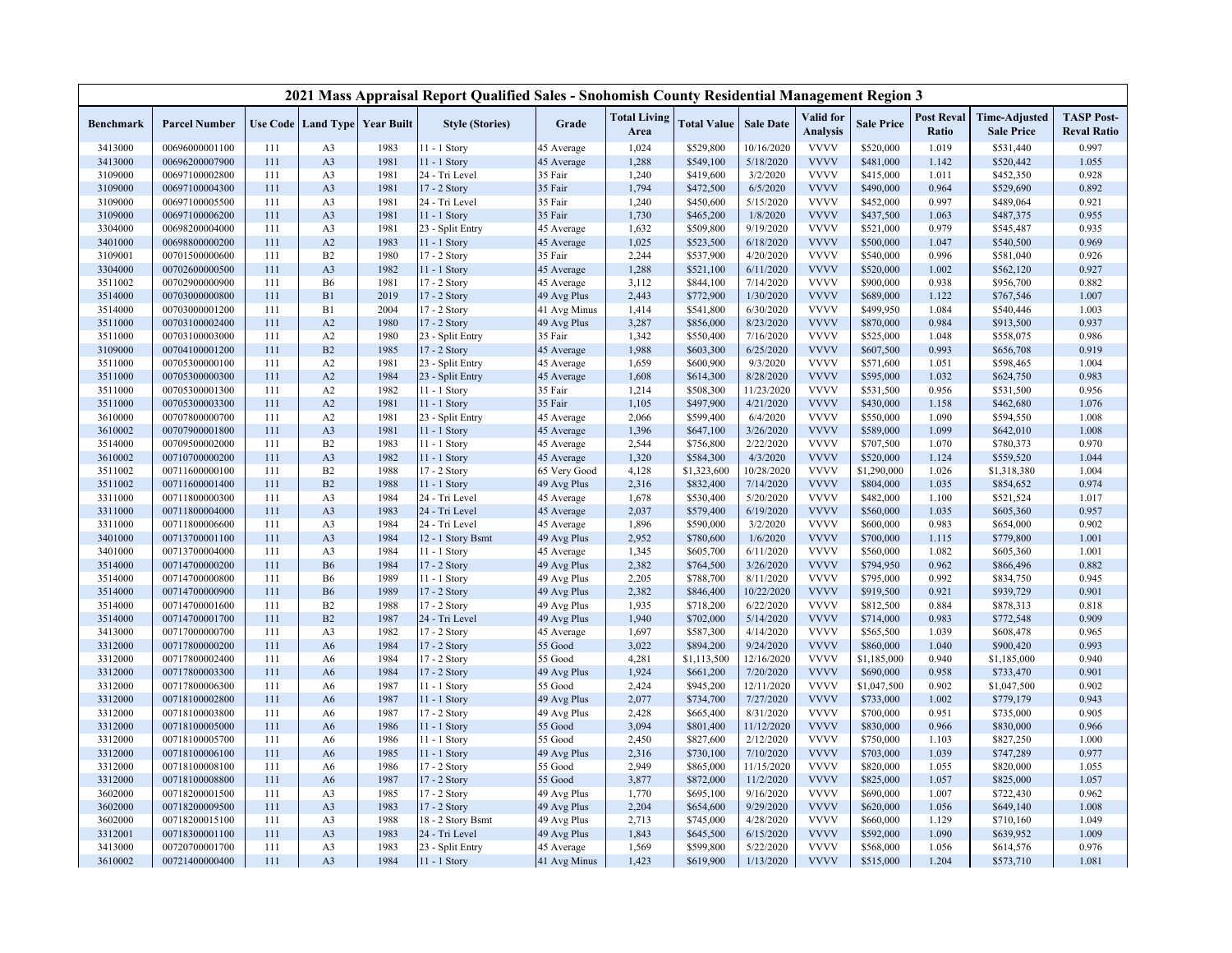|                  |                      |     |                |                                   | 2021 Mass Appraisal Report Qualified Sales - Snohomish County Residential Management Region 3 |              |                             |                    |                  |                              |                   |                            |                                           |                                         |
|------------------|----------------------|-----|----------------|-----------------------------------|-----------------------------------------------------------------------------------------------|--------------|-----------------------------|--------------------|------------------|------------------------------|-------------------|----------------------------|-------------------------------------------|-----------------------------------------|
| <b>Benchmark</b> | <b>Parcel Number</b> |     |                | Use Code   Land Type   Year Built | <b>Style (Stories)</b>                                                                        | Grade        | <b>Total Living</b><br>Area | <b>Total Value</b> | <b>Sale Date</b> | Valid for<br><b>Analysis</b> | <b>Sale Price</b> | <b>Post Reval</b><br>Ratio | <b>Time-Adjusted</b><br><b>Sale Price</b> | <b>TASP Post-</b><br><b>Reval Ratio</b> |
| 3413000          | 00696000001100       | 111 | A <sub>3</sub> | 1983                              | $11 - 1$ Story                                                                                | 45 Average   | 1,024                       | \$529,800          | 10/16/2020       | <b>VVVV</b>                  | \$520,000         | 1.019                      | \$531,440                                 | 0.997                                   |
| 3413000          | 00696200007900       | 111 | A <sub>3</sub> | 1981                              | $11 - 1$ Story                                                                                | 45 Average   | 1,288                       | \$549,100          | 5/18/2020        | <b>VVVV</b>                  | \$481,000         | 1.142                      | \$520,442                                 | 1.055                                   |
| 3109000          | 00697100002800       | 111 | A <sub>3</sub> | 1981                              | 24 - Tri Level                                                                                | 35 Fair      | 1,240                       | \$419,600          | 3/2/2020         | <b>VVVV</b>                  | \$415,000         | 1.011                      | \$452,350                                 | 0.928                                   |
| 3109000          | 00697100004300       | 111 | A <sub>3</sub> | 1981                              | 17 - 2 Story                                                                                  | 35 Fair      | 1,794                       | \$472,500          | 6/5/2020         | <b>VVVV</b>                  | \$490,000         | 0.964                      | \$529,690                                 | 0.892                                   |
| 3109000          | 00697100005500       | 111 | A <sub>3</sub> | 1981                              | 24 - Tri Level                                                                                | 35 Fair      | 1,240                       | \$450,600          | 5/15/2020        | <b>VVVV</b>                  | \$452,000         | 0.997                      | \$489,064                                 | 0.921                                   |
| 3109000          | 00697100006200       | 111 | A <sub>3</sub> | 1981                              | 11 - 1 Story                                                                                  | 35 Fair      | 1,730                       | \$465,200          | 1/8/2020         | <b>VVVV</b>                  | \$437,500         | 1.063                      | \$487,375                                 | 0.955                                   |
| 3304000          | 00698200004000       | 111 | A <sub>3</sub> | 1981                              | 23 - Split Entry                                                                              | 45 Average   | 1,632                       | \$509,800          | 9/19/2020        | <b>VVVV</b>                  | \$521,000         | 0.979                      | \$545,487                                 | 0.935                                   |
| 3401000          | 00698800000200       | 111 | A2             | 1983                              | 11 - 1 Story                                                                                  | 45 Average   | 1,025                       | \$523,500          | 6/18/2020        | <b>VVVV</b>                  | \$500,000         | 1.047                      | \$540,500                                 | 0.969                                   |
| 3109001          | 00701500000600       | 111 | B2             | 1980                              | 17 - 2 Story                                                                                  | 35 Fair      | 2,244                       | \$537,900          | 4/20/2020        | <b>VVVV</b>                  | \$540,000         | 0.996                      | \$581,040                                 | 0.926                                   |
| 3304000          | 00702600000500       | 111 | A <sub>3</sub> | 1982                              | 11 - 1 Story                                                                                  | 45 Average   | 1,288                       | \$521,100          | 6/11/2020        | <b>VVVV</b>                  | \$520,000         | 1.002                      | \$562,120                                 | 0.927                                   |
| 3511002          | 00702900000900       | 111 | <b>B6</b>      | 1981                              | 17 - 2 Story                                                                                  | 45 Average   | 3,112                       | \$844,100          | 7/14/2020        | <b>VVVV</b>                  | \$900,000         | 0.938                      | \$956,700                                 | 0.882                                   |
| 3514000          | 00703000000800       | 111 | B1             | 2019                              | 17 - 2 Story                                                                                  | 49 Avg Plus  | 2,443                       | \$772,900          | 1/30/2020        | <b>VVVV</b>                  | \$689,000         | 1.122                      | \$767,546                                 | 1.007                                   |
| 3514000          | 00703000001200       | 111 | B1             | 2004                              | 17 - 2 Story                                                                                  | 41 Avg Minus | 1,414                       | \$541,800          | 6/30/2020        | <b>VVVV</b>                  | \$499,950         | 1.084                      | \$540,446                                 | 1.003                                   |
| 3511000          | 00703100002400       | 111 | A2             | 1980                              | 17 - 2 Story                                                                                  | 49 Avg Plus  | 3,287                       | \$856,000          | 8/23/2020        | <b>VVVV</b>                  | \$870,000         | 0.984                      | \$913,500                                 | 0.937                                   |
| 3511000          | 00703100003000       | 111 | A2             | 1980                              | 23 - Split Entry                                                                              | 35 Fair      | 1,342                       | \$550,400          | 7/16/2020        | <b>VVVV</b>                  | \$525,000         | 1.048                      | \$558,075                                 | 0.986                                   |
| 3109000          | 00704100001200       | 111 | B2             | 1985                              | 17 - 2 Story                                                                                  | 45 Average   | 1,988                       | \$603,300          | 6/25/2020        | <b>VVVV</b>                  | \$607,500         | 0.993                      | \$656,708                                 | 0.919                                   |
| 3511000          | 00705300000100       | 111 | A2             | 1981                              | 23 - Split Entry                                                                              | 45 Average   | 1,659                       | \$600,900          | 9/3/2020         | <b>VVVV</b>                  | \$571,600         | 1.051                      | \$598,465                                 | 1.004                                   |
| 3511000          | 00705300000300       | 111 | A2             | 1984                              | 23 - Split Entry                                                                              | 45 Average   | 1,608                       | \$614,300          | 8/28/2020        | <b>VVVV</b>                  | \$595,000         | 1.032                      | \$624,750                                 | 0.983                                   |
| 3511000          | 00705300001300       | 111 | A <sub>2</sub> | 1982                              | 11 - 1 Story                                                                                  | 35 Fair      | 1,214                       | \$508,300          | 11/23/2020       | <b>VVVV</b>                  | \$531,500         | 0.956                      | \$531,500                                 | 0.956                                   |
| 3511000          | 00705300003300       | 111 | A2             | 1981                              | 11 - 1 Story                                                                                  | 35 Fair      | 1,105                       | \$497,900          | 4/21/2020        | <b>VVVV</b>                  | \$430,000         | 1.158                      | \$462,680                                 | 1.076                                   |
| 3610000          | 00707800000700       | 111 | A2             | 1981                              | 23 - Split Entry                                                                              | 45 Average   | 2,066                       | \$599,400          | 6/4/2020         | <b>VVVV</b>                  | \$550,000         | 1.090                      | \$594,550                                 | 1.008                                   |
| 3610002          | 00707900001800       | 111 | A <sub>3</sub> | 1981                              | 11 - 1 Story                                                                                  | 45 Average   | 1,396                       | \$647,100          | 3/26/2020        | <b>VVVV</b>                  | \$589,000         | 1.099                      | \$642,010                                 | 1.008                                   |
| 3514000          | 00709500002000       | 111 | B2             | 1983                              | 11 - 1 Story                                                                                  | 45 Average   | 2,544                       | \$756,800          | 2/22/2020        | <b>VVVV</b>                  | \$707,500         | 1.070                      | \$780,373                                 | 0.970                                   |
| 3610002          | 00710700000200       | 111 | A <sub>3</sub> | 1982                              | 11 - 1 Story                                                                                  | 45 Average   | 1,320                       | \$584,300          | 4/3/2020         | <b>VVVV</b>                  | \$520,000         | 1.124                      | \$559,520                                 | 1.044                                   |
| 3511002          | 00711600000100       | 111 | B2             | 1988                              | 17 - 2 Story                                                                                  | 65 Very Good | 4,128                       | \$1,323,600        | 10/28/2020       | <b>VVVV</b>                  | \$1,290,000       | 1.026                      | \$1,318,380                               | 1.004                                   |
| 3511002          | 00711600001400       | 111 | B2             | 1988                              | $11 - 1$ Story                                                                                | 49 Avg Plus  | 2,316                       | \$832,400          | 7/14/2020        | <b>VVVV</b>                  | \$804,000         | 1.035                      | \$854,652                                 | 0.974                                   |
| 3311000          | 00711800000300       | 111 | A <sub>3</sub> | 1984                              | 24 - Tri Level                                                                                | 45 Average   | 1,678                       | \$530,400          | 5/20/2020        | <b>VVVV</b>                  | \$482,000         | 1.100                      | \$521,524                                 | 1.017                                   |
| 3311000          | 00711800004000       | 111 | A <sub>3</sub> | 1983                              | 24 - Tri Level                                                                                | 45 Average   | 2,037                       | \$579,400          | 6/19/2020        | <b>VVVV</b>                  | \$560,000         | 1.035                      | \$605,360                                 | 0.957                                   |
| 3311000          | 00711800006600       | 111 | A <sub>3</sub> | 1984                              | 24 - Tri Level                                                                                | 45 Average   | 1,896                       | \$590,000          | 3/2/2020         | <b>VVVV</b>                  | \$600,000         | 0.983                      | \$654,000                                 | 0.902                                   |
| 3401000          | 00713700001100       | 111 | A <sub>3</sub> | 1984                              | 12 - 1 Story Bsmt                                                                             | 49 Avg Plus  | 2,952                       | \$780,600          | 1/6/2020         | <b>VVVV</b>                  | \$700,000         | 1.115                      | \$779,800                                 | 1.001                                   |
| 3401000          | 00713700004000       | 111 | A <sub>3</sub> | 1984                              | 11 - 1 Story                                                                                  | 45 Average   | 1,345                       | \$605,700          | 6/11/2020        | <b>VVVV</b>                  | \$560,000         | 1.082                      | \$605,360                                 | 1.001                                   |
| 3514000          | 00714700000200       | 111 | <b>B6</b>      | 1984                              | 17 - 2 Story                                                                                  | 49 Avg Plus  | 2,382                       | \$764,500          | 3/26/2020        | <b>VVVV</b>                  | \$794,950         | 0.962                      | \$866,496                                 | 0.882                                   |
| 3514000          | 00714700000800       | 111 | <b>B6</b>      | 1989                              | 11 - 1 Story                                                                                  | 49 Avg Plus  | 2,205                       | \$788,700          | 8/11/2020        | <b>VVVV</b>                  | \$795,000         | 0.992                      | \$834,750                                 | 0.945                                   |
| 3514000          | 00714700000900       | 111 | <b>B6</b>      | 1989                              | 17 - 2 Story                                                                                  | 49 Avg Plus  | 2,382                       | \$846,400          | 10/22/2020       | <b>VVVV</b>                  | \$919,500         | 0.921                      | \$939,729                                 | 0.901                                   |
| 3514000          | 00714700001600       | 111 | B2             | 1988                              | $17 - 2$ Story                                                                                | 49 Avg Plus  | 1,935                       | \$718,200          | 6/22/2020        | <b>VVVV</b>                  | \$812,500         | 0.884                      | \$878,313                                 | 0.818                                   |
| 3514000          | 00714700001700       | 111 | B2             | 1987                              | 24 - Tri Level                                                                                | 49 Avg Plus  | 1,940                       | \$702,000          | 5/14/2020        | <b>VVVV</b>                  | \$714,000         | 0.983                      | \$772,548                                 | 0.909                                   |
| 3413000          | 00717000000700       | 111 | A <sub>3</sub> | 1982                              | $17 - 2$ Story                                                                                | 45 Average   | 1,697                       | \$587,300          | 4/14/2020        | <b>VVVV</b>                  | \$565,500         | 1.039                      | \$608,478                                 | 0.965                                   |
| 3312000          | 00717800000200       | 111 | A <sub>6</sub> | 1984                              | 17 - 2 Story                                                                                  | 55 Good      | 3,022                       | \$894,200          | 9/24/2020        | <b>VVVV</b>                  | \$860,000         | 1.040                      | \$900,420                                 | 0.993                                   |
| 3312000          | 00717800002400       | 111 | A6             | 1984                              | 17 - 2 Story                                                                                  | 55 Good      | 4,281                       | \$1,113,500        | 12/16/2020       | <b>VVVV</b>                  | \$1,185,000       | 0.940                      | \$1,185,000                               | 0.940                                   |
| 3312000          | 00717800003300       | 111 | A <sub>6</sub> | 1984                              | 17 - 2 Story                                                                                  | 49 Avg Plus  | 1,924                       | \$661,200          | 7/20/2020        | <b>VVVV</b>                  | \$690,000         | 0.958                      | \$733,470                                 | 0.901                                   |
| 3312000          | 00717800006300       | 111 | A6             | 1987                              | 11 - 1 Story                                                                                  | 55 Good      | 2,424                       | \$945,200          | 12/11/2020       | <b>VVVV</b>                  | \$1,047,500       | 0.902                      | \$1,047,500                               | 0.902                                   |
| 3312000          | 00718100002800       | 111 | A6             | 1987                              | $11 - 1$ Story                                                                                | 49 Avg Plus  | 2,077                       | \$734,700          | 7/27/2020        | <b>VVVV</b>                  | \$733,000         | 1.002                      | \$779,179                                 | 0.943                                   |
| 3312000          | 00718100003800       | 111 | A6             | 1987                              | 17 - 2 Story                                                                                  | 49 Avg Plus  | 2,428                       | \$665,400          | 8/31/2020        | <b>VVVV</b>                  | \$700,000         | 0.951                      | \$735,000                                 | 0.905                                   |
| 3312000          | 00718100005000       | 111 | A6             | 1986                              | $11 - 1$ Story                                                                                | 55 Good      | 3,094                       | \$801,400          | 11/12/2020       | <b>VVVV</b>                  | \$830,000         | 0.966                      | \$830,000                                 | 0.966                                   |
| 3312000          | 00718100005700       | 111 | A6             | 1986                              | 11 - 1 Story                                                                                  | 55 Good      | 2,450                       | \$827,600          | 2/12/2020        | <b>VVVV</b>                  | \$750,000         | 1.103                      | \$827,250                                 | 1.000                                   |
| 3312000          | 00718100006100       | 111 | A6             | 1985                              | $11 - 1$ Story                                                                                | 49 Avg Plus  | 2,316                       | \$730,100          | 7/10/2020        | <b>VVVV</b>                  | \$703,000         | 1.039                      | \$747,289                                 | 0.977                                   |
| 3312000          | 00718100008100       | 111 | A <sub>6</sub> | 1986                              | 17 - 2 Story                                                                                  | 55 Good      | 2,949                       | \$865,000          | 11/15/2020       | <b>VVVV</b>                  | \$820,000         | 1.055                      | \$820,000                                 | 1.055                                   |
| 3312000          | 00718100008800       | 111 | A <sub>6</sub> | 1987                              | 17 - 2 Story                                                                                  | 55 Good      | 3,877                       | \$872,000          | 11/2/2020        | <b>VVVV</b>                  | \$825,000         | 1.057                      | \$825,000                                 | 1.057                                   |
| 3602000          | 00718200001500       | 111 | A <sub>3</sub> | 1985                              | 17 - 2 Story                                                                                  | 49 Avg Plus  | 1,770                       | \$695,100          | 9/16/2020        | <b>VVVV</b>                  | \$690,000         | 1.007                      | \$722,430                                 | 0.962                                   |
| 3602000          | 00718200009500       | 111 | A <sub>3</sub> | 1983                              | 17 - 2 Story                                                                                  | 49 Avg Plus  | 2,204                       | \$654,600          | 9/29/2020        | <b>VVVV</b>                  | \$620,000         | 1.056                      | \$649,140                                 | 1.008                                   |
| 3602000          | 00718200015100       | 111 | A <sub>3</sub> | 1988                              | 18 - 2 Story Bsmt                                                                             | 49 Avg Plus  | 2,713                       | \$745,000          | 4/28/2020        | <b>VVVV</b>                  | \$660,000         | 1.129                      | \$710,160                                 | 1.049                                   |
| 3312001          | 00718300001100       | 111 | A <sub>3</sub> | 1983                              | 24 - Tri Level                                                                                | 49 Avg Plus  | 1,843                       | \$645,500          | 6/15/2020        | <b>VVVV</b>                  | \$592,000         | 1.090                      | \$639,952                                 | 1.009                                   |
| 3413000          | 00720700001700       | 111 | A <sub>3</sub> | 1983                              | 23 - Split Entry                                                                              | 45 Average   | 1,569                       | \$599,800          | 5/22/2020        | <b>VVVV</b>                  | \$568,000         | 1.056                      | \$614,576                                 | 0.976                                   |
| 3610002          | 00721400000400       | 111 | A <sub>3</sub> | 1984                              | 11 - 1 Story                                                                                  | 41 Avg Minus | 1,423                       | \$619,900          | 1/13/2020        | <b>VVVV</b>                  | \$515,000         | 1.204                      | \$573,710                                 | 1.081                                   |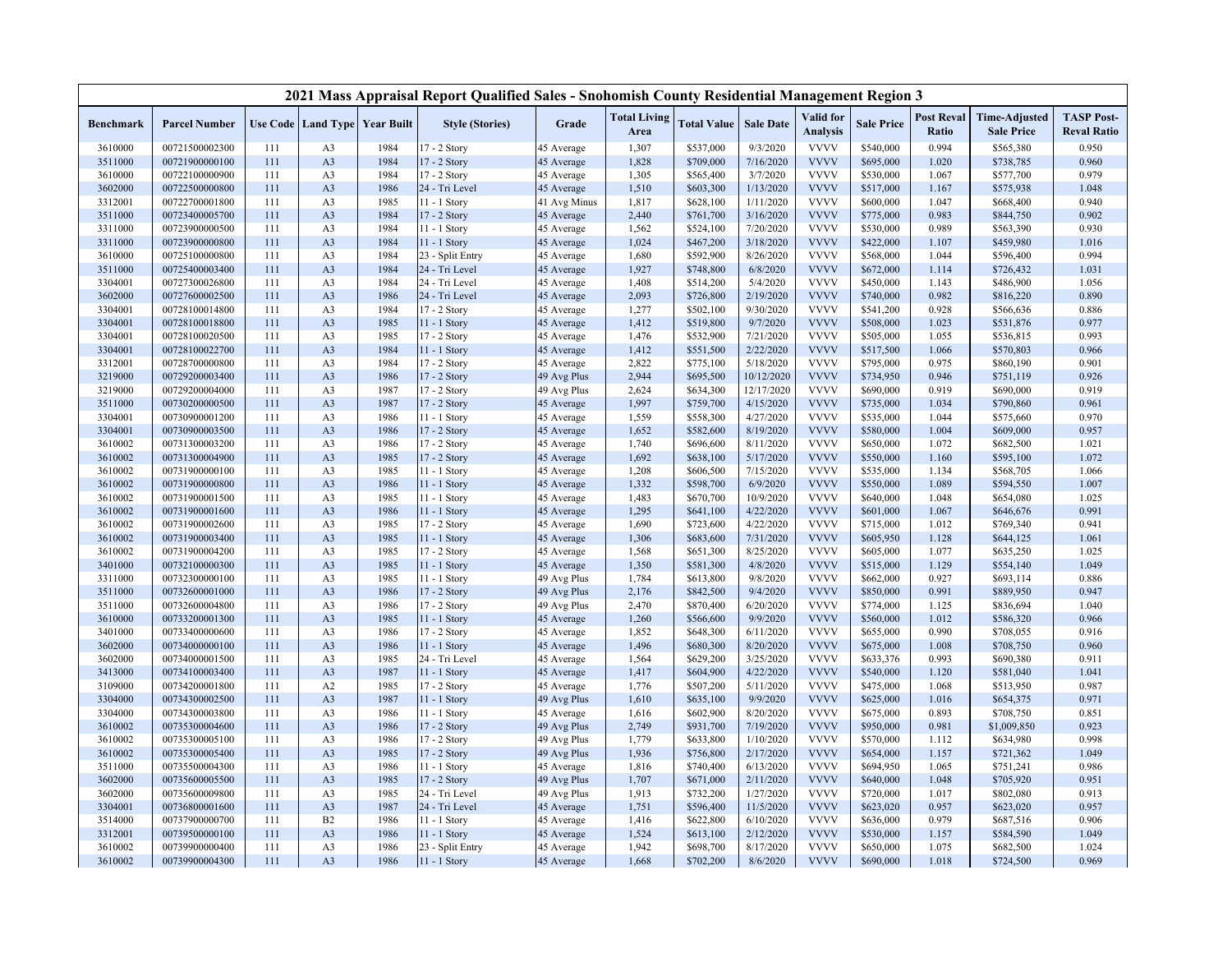|           |                      |     |                |                                          | 2021 Mass Appraisal Report Qualified Sales - Snohomish County Residential Management Region 3 |              |                             |                    |                  |                              |                   |                            |                                           |                                         |
|-----------|----------------------|-----|----------------|------------------------------------------|-----------------------------------------------------------------------------------------------|--------------|-----------------------------|--------------------|------------------|------------------------------|-------------------|----------------------------|-------------------------------------------|-----------------------------------------|
| Benchmark | <b>Parcel Number</b> |     |                | <b>Use Code   Land Type   Year Built</b> | <b>Style (Stories)</b>                                                                        | Grade        | <b>Total Living</b><br>Area | <b>Total Value</b> | <b>Sale Date</b> | Valid for<br><b>Analysis</b> | <b>Sale Price</b> | <b>Post Reval</b><br>Ratio | <b>Time-Adjusted</b><br><b>Sale Price</b> | <b>TASP Post-</b><br><b>Reval Ratio</b> |
| 3610000   | 00721500002300       | 111 | A <sub>3</sub> | 1984                                     | 17 - 2 Story                                                                                  | 45 Average   | 1,307                       | \$537,000          | 9/3/2020         | <b>VVVV</b>                  | \$540,000         | 0.994                      | \$565,380                                 | 0.950                                   |
| 3511000   | 00721900000100       | 111 | A <sub>3</sub> | 1984                                     | 17 - 2 Story                                                                                  | 45 Average   | 1,828                       | \$709,000          | 7/16/2020        | <b>VVVV</b>                  | \$695,000         | 1.020                      | \$738,785                                 | 0.960                                   |
| 3610000   | 00722100000900       | 111 | A <sub>3</sub> | 1984                                     | 17 - 2 Story                                                                                  | 45 Average   | 1,305                       | \$565,400          | 3/7/2020         | <b>VVVV</b>                  | \$530,000         | 1.067                      | \$577,700                                 | 0.979                                   |
| 3602000   | 00722500000800       | 111 | A <sub>3</sub> | 1986                                     | 24 - Tri Level                                                                                | 45 Average   | 1,510                       | \$603,300          | 1/13/2020        | <b>VVVV</b>                  | \$517,000         | 1.167                      | \$575,938                                 | 1.048                                   |
| 3312001   | 00722700001800       | 111 | A <sub>3</sub> | 1985                                     | 11 - 1 Story                                                                                  | 41 Avg Minus | 1,817                       | \$628,100          | 1/11/2020        | <b>VVVV</b>                  | \$600,000         | 1.047                      | \$668,400                                 | 0.940                                   |
| 3511000   | 00723400005700       | 111 | A <sub>3</sub> | 1984                                     | 17 - 2 Story                                                                                  | 45 Average   | 2,440                       | \$761,700          | 3/16/2020        | <b>VVVV</b>                  | \$775,000         | 0.983                      | \$844,750                                 | 0.902                                   |
| 3311000   | 00723900000500       | 111 | A <sub>3</sub> | 1984                                     | 11 - 1 Story                                                                                  | 45 Average   | 1,562                       | \$524,100          | 7/20/2020        | <b>VVVV</b>                  | \$530,000         | 0.989                      | \$563,390                                 | 0.930                                   |
| 3311000   | 00723900000800       | 111 | A <sub>3</sub> | 1984                                     | 11 - 1 Story                                                                                  | 45 Average   | 1,024                       | \$467,200          | 3/18/2020        | <b>VVVV</b>                  | \$422,000         | 1.107                      | \$459,980                                 | 1.016                                   |
| 3610000   | 00725100000800       | 111 | A <sub>3</sub> | 1984                                     | 23 - Split Entry                                                                              | 45 Average   | 1,680                       | \$592,900          | 8/26/2020        | <b>VVVV</b>                  | \$568,000         | 1.044                      | \$596,400                                 | 0.994                                   |
| 3511000   | 00725400003400       | 111 | A <sub>3</sub> | 1984                                     | 24 - Tri Level                                                                                | 45 Average   | 1,927                       | \$748,800          | 6/8/2020         | <b>VVVV</b>                  | \$672,000         | 1.114                      | \$726,432                                 | 1.031                                   |
| 3304001   | 00727300026800       | 111 | A <sub>3</sub> | 1984                                     | 24 - Tri Level                                                                                | 45 Average   | 1,408                       | \$514,200          | 5/4/2020         | <b>VVVV</b>                  | \$450,000         | 1.143                      | \$486,900                                 | 1.056                                   |
| 3602000   | 00727600002500       | 111 | A <sub>3</sub> | 1986                                     | 24 - Tri Level                                                                                | 45 Average   | 2,093                       | \$726,800          | 2/19/2020        | <b>VVVV</b>                  | \$740,000         | 0.982                      | \$816,220                                 | 0.890                                   |
| 3304001   | 00728100014800       | 111 | A <sub>3</sub> | 1984                                     | 17 - 2 Story                                                                                  | 45 Average   | 1,277                       | \$502,100          | 9/30/2020        | <b>VVVV</b>                  | \$541,200         | 0.928                      | \$566,636                                 | 0.886                                   |
| 3304001   | 00728100018800       | 111 | A <sub>3</sub> | 1985                                     | 11 - 1 Story                                                                                  | 45 Average   | 1,412                       | \$519,800          | 9/7/2020         | <b>VVVV</b>                  | \$508,000         | 1.023                      | \$531,876                                 | 0.977                                   |
| 3304001   | 00728100020500       | 111 | A <sub>3</sub> | 1985                                     | 17 - 2 Story                                                                                  | 45 Average   | 1,476                       | \$532,900          | 7/21/2020        | <b>VVVV</b>                  | \$505,000         | 1.055                      | \$536,815                                 | 0.993                                   |
| 3304001   | 00728100022700       | 111 | A <sub>3</sub> | 1984                                     | 11 - 1 Story                                                                                  | 45 Average   | 1,412                       | \$551,500          | 2/22/2020        | <b>VVVV</b>                  | \$517,500         | 1.066                      | \$570,803                                 | 0.966                                   |
| 3312001   | 00728700000800       | 111 | A <sub>3</sub> | 1984                                     | 17 - 2 Story                                                                                  | 45 Average   | 2,822                       | \$775,100          | 5/18/2020        | <b>VVVV</b>                  | \$795,000         | 0.975                      | \$860,190                                 | 0.901                                   |
| 3219000   | 00729200003400       | 111 | A <sub>3</sub> | 1986                                     | 17 - 2 Story                                                                                  | 49 Avg Plus  | 2,944                       | \$695,500          | 10/12/2020       | <b>VVVV</b>                  | \$734,950         | 0.946                      | \$751,119                                 | 0.926                                   |
| 3219000   | 00729200004000       | 111 | A <sub>3</sub> | 1987                                     | 17 - 2 Story                                                                                  | 49 Avg Plus  | 2,624                       | \$634,300          | 12/17/2020       | <b>VVVV</b>                  | \$690,000         | 0.919                      | \$690,000                                 | 0.919                                   |
| 3511000   | 00730200000500       | 111 | A <sub>3</sub> | 1987                                     | 17 - 2 Story                                                                                  | 45 Average   | 1,997                       | \$759,700          | 4/15/2020        | <b>VVVV</b>                  | \$735,000         | 1.034                      | \$790,860                                 | 0.961                                   |
| 3304001   | 00730900001200       | 111 | A <sub>3</sub> | 1986                                     | 11 - 1 Story                                                                                  | 45 Average   | 1,559                       | \$558,300          | 4/27/2020        | <b>VVVV</b>                  | \$535,000         | 1.044                      | \$575,660                                 | 0.970                                   |
| 3304001   | 00730900003500       | 111 | A <sub>3</sub> | 1986                                     | 17 - 2 Story                                                                                  | 45 Average   | 1,652                       | \$582,600          | 8/19/2020        | <b>VVVV</b>                  | \$580,000         | 1.004                      | \$609,000                                 | 0.957                                   |
| 3610002   | 00731300003200       | 111 | A <sub>3</sub> | 1986                                     | 17 - 2 Story                                                                                  | 45 Average   | 1,740                       | \$696,600          | 8/11/2020        | <b>VVVV</b>                  | \$650,000         | 1.072                      | \$682,500                                 | 1.021                                   |
| 3610002   | 00731300004900       | 111 | A <sub>3</sub> | 1985                                     | 17 - 2 Story                                                                                  | 45 Average   | 1,692                       | \$638,100          | 5/17/2020        | <b>VVVV</b>                  | \$550,000         | 1.160                      | \$595,100                                 | 1.072                                   |
| 3610002   | 00731900000100       | 111 | A <sub>3</sub> | 1985                                     | 11 - 1 Story                                                                                  | 45 Average   | 1,208                       | \$606,500          | 7/15/2020        | <b>VVVV</b>                  | \$535,000         | 1.134                      | \$568,705                                 | 1.066                                   |
| 3610002   | 00731900000800       | 111 | A <sub>3</sub> | 1986                                     | $11 - 1$ Story                                                                                | 45 Average   | 1,332                       | \$598,700          | 6/9/2020         | <b>VVVV</b>                  | \$550,000         | 1.089                      | \$594,550                                 | 1.007                                   |
| 3610002   | 00731900001500       | 111 | A <sub>3</sub> | 1985                                     | 11 - 1 Story                                                                                  | 45 Average   | 1,483                       | \$670,700          | 10/9/2020        | <b>VVVV</b>                  | \$640,000         | 1.048                      | \$654,080                                 | 1.025                                   |
| 3610002   | 00731900001600       | 111 | A <sub>3</sub> | 1986                                     | $11 - 1$ Story                                                                                | 45 Average   | 1,295                       | \$641,100          | 4/22/2020        | <b>VVVV</b>                  | \$601,000         | 1.067                      | \$646,676                                 | 0.991                                   |
| 3610002   | 00731900002600       | 111 | A <sub>3</sub> | 1985                                     | 17 - 2 Story                                                                                  | 45 Average   | 1,690                       | \$723,600          | 4/22/2020        | <b>VVVV</b>                  | \$715,000         | 1.012                      | \$769,340                                 | 0.941                                   |
| 3610002   | 00731900003400       | 111 | A <sub>3</sub> | 1985                                     | 11 - 1 Story                                                                                  | 45 Average   | 1,306                       | \$683,600          | 7/31/2020        | <b>VVVV</b>                  | \$605,950         | 1.128                      | \$644,125                                 | 1.061                                   |
| 3610002   | 00731900004200       | 111 | A <sub>3</sub> | 1985                                     | 17 - 2 Story                                                                                  | 45 Average   | 1,568                       | \$651,300          | 8/25/2020        | <b>VVVV</b>                  | \$605,000         | 1.077                      | \$635,250                                 | 1.025                                   |
| 3401000   | 00732100000300       | 111 | A <sub>3</sub> | 1985                                     | $11 - 1$ Story                                                                                | 45 Average   | 1,350                       | \$581,300          | 4/8/2020         | <b>VVVV</b>                  | \$515,000         | 1.129                      | \$554,140                                 | 1.049                                   |
| 3311000   | 00732300000100       | 111 | A <sub>3</sub> | 1985                                     | 11 - 1 Story                                                                                  | 49 Avg Plus  | 1,784                       | \$613,800          | 9/8/2020         | <b>VVVV</b>                  | \$662,000         | 0.927                      | \$693,114                                 | 0.886                                   |
| 3511000   | 00732600001000       | 111 | A <sub>3</sub> | 1986                                     | 17 - 2 Story                                                                                  | 49 Avg Plus  | 2,176                       | \$842,500          | 9/4/2020         | <b>VVVV</b>                  | \$850,000         | 0.991                      | \$889,950                                 | 0.947                                   |
| 3511000   | 00732600004800       | 111 | A <sub>3</sub> | 1986                                     | 17 - 2 Story                                                                                  | 49 Avg Plus  | 2,470                       | \$870,400          | 6/20/2020        | <b>VVVV</b>                  | \$774,000         | 1.125                      | \$836,694                                 | 1.040                                   |
| 3610000   | 00733200001300       | 111 | A <sub>3</sub> | 1985                                     | 11 - 1 Story                                                                                  | 45 Average   | 1,260                       | \$566,600          | 9/9/2020         | <b>VVVV</b>                  | \$560,000         | 1.012                      | \$586,320                                 | 0.966                                   |
| 3401000   | 00733400000600       | 111 | A <sub>3</sub> | 1986                                     | 17 - 2 Story                                                                                  | 45 Average   | 1,852                       | \$648,300          | 6/11/2020        | <b>VVVV</b>                  | \$655,000         | 0.990                      | \$708,055                                 | 0.916                                   |
| 3602000   | 00734000000100       | 111 | A <sub>3</sub> | 1986                                     | 11 - 1 Story                                                                                  | 45 Average   | 1,496                       | \$680,300          | 8/20/2020        | <b>VVVV</b>                  | \$675,000         | 1.008                      | \$708,750                                 | 0.960                                   |
| 3602000   | 00734000001500       | 111 | A <sub>3</sub> | 1985                                     | 24 - Tri Level                                                                                | 45 Average   | 1,564                       | \$629,200          | 3/25/2020        | <b>VVVV</b>                  | \$633,376         | 0.993                      | \$690,380                                 | 0.911                                   |
| 3413000   | 00734100003400       | 111 | A <sub>3</sub> | 1987                                     | 11 - 1 Story                                                                                  | 45 Average   | 1,417                       | \$604,900          | 4/22/2020        | <b>VVVV</b>                  | \$540,000         | 1.120                      | \$581,040                                 | 1.041                                   |
| 3109000   | 00734200001800       | 111 | A2             | 1985                                     | 17 - 2 Story                                                                                  | 45 Average   | 1,776                       | \$507,200          | 5/11/2020        | <b>VVVV</b>                  | \$475,000         | 1.068                      | \$513,950                                 | 0.987                                   |
| 3304000   | 00734300002500       | 111 | A <sub>3</sub> | 1987                                     | $11 - 1$ Story                                                                                | 49 Avg Plus  | 1,610                       | \$635,100          | 9/9/2020         | <b>VVVV</b>                  | \$625,000         | 1.016                      | \$654,375                                 | 0.971                                   |
| 3304000   | 00734300003800       | 111 | A <sub>3</sub> | 1986                                     | 11 - 1 Story                                                                                  | 45 Average   | 1,616                       | \$602,900          | 8/20/2020        | <b>VVVV</b>                  | \$675,000         | 0.893                      | \$708,750                                 | 0.851                                   |
| 3610002   | 00735300004600       | 111 | A <sub>3</sub> | 1986                                     | 17 - 2 Story                                                                                  | 49 Avg Plus  | 2,749                       | \$931,700          | 7/19/2020        | <b>VVVV</b>                  | \$950,000         | 0.981                      | \$1,009,850                               | 0.923                                   |
| 3610002   | 00735300005100       | 111 | A <sub>3</sub> | 1986                                     | 17 - 2 Story                                                                                  | 49 Avg Plus  | 1,779                       | \$633,800          | 1/10/2020        | <b>VVVV</b>                  | \$570,000         | 1.112                      | \$634,980                                 | 0.998                                   |
| 3610002   | 00735300005400       | 111 | A <sub>3</sub> | 1985                                     | 17 - 2 Story                                                                                  | 49 Avg Plus  | 1,936                       | \$756,800          | 2/17/2020        | <b>VVVV</b>                  | \$654,000         | 1.157                      | \$721,362                                 | 1.049                                   |
| 3511000   | 00735500004300       | 111 | A <sub>3</sub> | 1986                                     | 11 - 1 Story                                                                                  | 45 Average   | 1,816                       | \$740,400          | 6/13/2020        | <b>VVVV</b>                  | \$694,950         | 1.065                      | \$751,241                                 | 0.986                                   |
| 3602000   | 00735600005500       | 111 | A <sub>3</sub> | 1985                                     | 17 - 2 Story                                                                                  | 49 Avg Plus  | 1,707                       | \$671,000          | 2/11/2020        | <b>VVVV</b>                  | \$640,000         | 1.048                      | \$705,920                                 | 0.951                                   |
| 3602000   | 00735600009800       | 111 | A <sub>3</sub> | 1985                                     | 24 - Tri Level                                                                                | 49 Avg Plus  | 1,913                       | \$732,200          | 1/27/2020        | <b>VVVV</b>                  | \$720,000         | 1.017                      | \$802,080                                 | 0.913                                   |
| 3304001   | 00736800001600       | 111 | A <sub>3</sub> | 1987                                     | 24 - Tri Level                                                                                | 45 Average   | 1,751                       | \$596,400          | 11/5/2020        | <b>VVVV</b>                  | \$623,020         | 0.957                      | \$623,020                                 | 0.957                                   |
| 3514000   | 00737900000700       | 111 | B2             | 1986                                     | 11 - 1 Story                                                                                  | 45 Average   | 1,416                       | \$622,800          | 6/10/2020        | <b>VVVV</b>                  | \$636,000         | 0.979                      | \$687,516                                 | 0.906                                   |
| 3312001   | 00739500000100       | 111 | A <sub>3</sub> | 1986                                     | 11 - 1 Story                                                                                  | 45 Average   | 1,524                       | \$613,100          | 2/12/2020        | <b>VVVV</b>                  | \$530,000         | 1.157                      | \$584,590                                 | 1.049                                   |
| 3610002   | 00739900000400       | 111 | A <sub>3</sub> | 1986                                     | 23 - Split Entry                                                                              | 45 Average   | 1,942                       | \$698,700          | 8/17/2020        | <b>VVVV</b>                  | \$650,000         | 1.075                      | \$682,500                                 | 1.024                                   |
| 3610002   | 00739900004300       | 111 | A <sub>3</sub> | 1986                                     | 11 - 1 Story                                                                                  | 45 Average   | 1,668                       | \$702,200          | 8/6/2020         | <b>VVVV</b>                  | \$690,000         | 1.018                      | \$724,500                                 | 0.969                                   |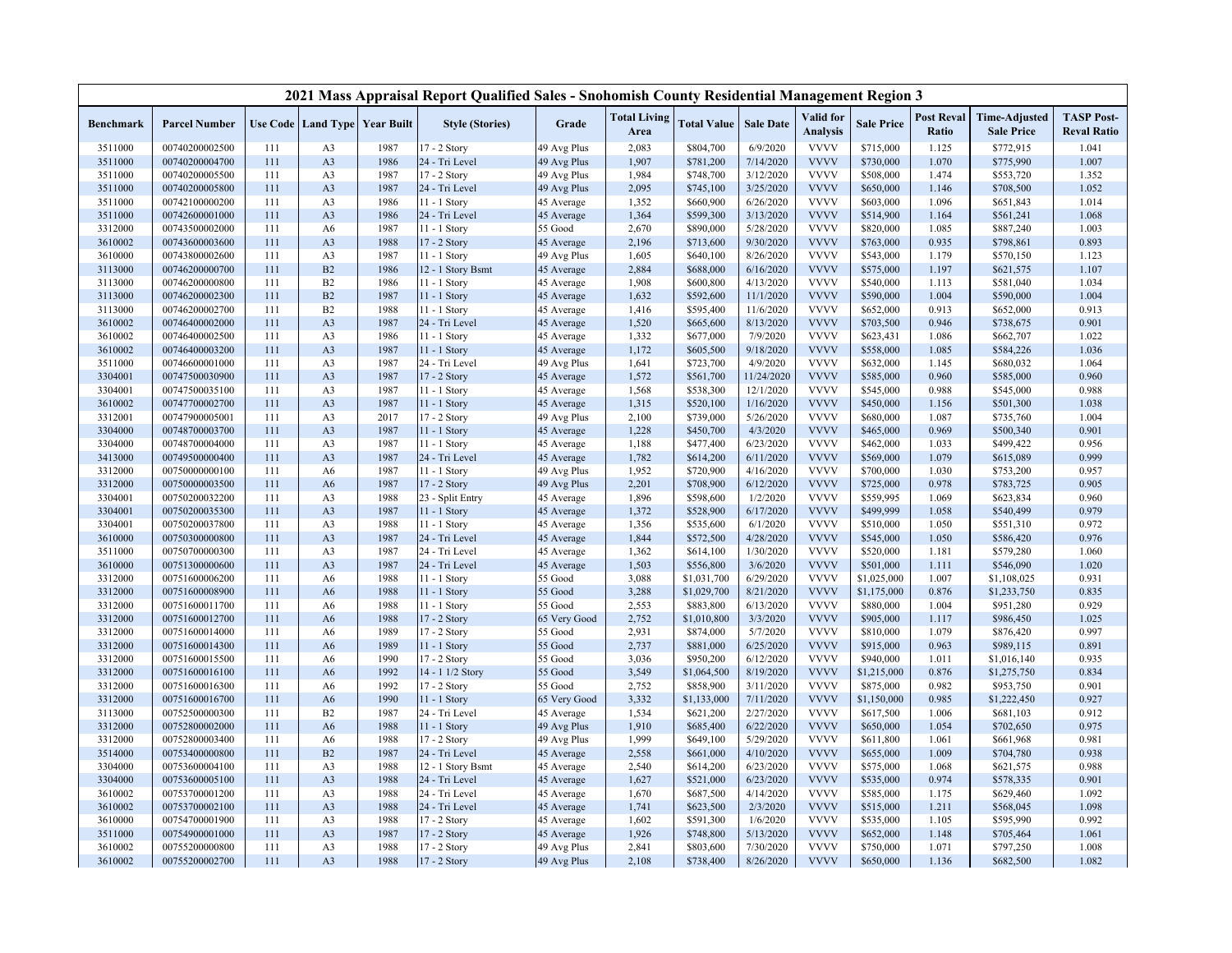|                  |                      |     |                |                                   | 2021 Mass Appraisal Report Qualified Sales - Snohomish County Residential Management Region 3 |              |                             |                    |                  |                              |                   |                            |                                           |                                         |
|------------------|----------------------|-----|----------------|-----------------------------------|-----------------------------------------------------------------------------------------------|--------------|-----------------------------|--------------------|------------------|------------------------------|-------------------|----------------------------|-------------------------------------------|-----------------------------------------|
| <b>Benchmark</b> | <b>Parcel Number</b> |     |                | Use Code   Land Type   Year Built | <b>Style (Stories)</b>                                                                        | Grade        | <b>Total Living</b><br>Area | <b>Total Value</b> | <b>Sale Date</b> | Valid for<br><b>Analysis</b> | <b>Sale Price</b> | <b>Post Reval</b><br>Ratio | <b>Time-Adjusted</b><br><b>Sale Price</b> | <b>TASP Post-</b><br><b>Reval Ratio</b> |
| 3511000          | 00740200002500       | 111 | A <sub>3</sub> | 1987                              | 17 - 2 Story                                                                                  | 49 Avg Plus  | 2,083                       | \$804,700          | 6/9/2020         | <b>VVVV</b>                  | \$715,000         | 1.125                      | \$772,915                                 | 1.041                                   |
| 3511000          | 00740200004700       | 111 | A3             | 1986                              | 24 - Tri Level                                                                                | 49 Avg Plus  | 1,907                       | \$781,200          | 7/14/2020        | <b>VVVV</b>                  | \$730,000         | 1.070                      | \$775,990                                 | 1.007                                   |
| 3511000          | 00740200005500       | 111 | A3             | 1987                              | 17 - 2 Story                                                                                  | 49 Avg Plus  | 1,984                       | \$748,700          | 3/12/2020        | <b>VVVV</b>                  | \$508,000         | 1.474                      | \$553,720                                 | 1.352                                   |
| 3511000          | 00740200005800       | 111 | A3             | 1987                              | 24 - Tri Level                                                                                | 49 Avg Plus  | 2,095                       | \$745,100          | 3/25/2020        | <b>VVVV</b>                  | \$650,000         | 1.146                      | \$708,500                                 | 1.052                                   |
| 3511000          | 00742100000200       | 111 | A3             | 1986                              | 11 - 1 Story                                                                                  | 45 Average   | 1,352                       | \$660,900          | 6/26/2020        | <b>VVVV</b>                  | \$603,000         | 1.096                      | \$651,843                                 | 1.014                                   |
| 3511000          | 00742600001000       | 111 | A3             | 1986                              | 24 - Tri Level                                                                                | 45 Average   | 1,364                       | \$599,300          | 3/13/2020        | <b>VVVV</b>                  | \$514,900         | 1.164                      | \$561,241                                 | 1.068                                   |
| 3312000          | 00743500002000       | 111 | A <sub>6</sub> | 1987                              | 11 - 1 Story                                                                                  | 55 Good      | 2,670                       | \$890,000          | 5/28/2020        | <b>VVVV</b>                  | \$820,000         | 1.085                      | \$887,240                                 | 1.003                                   |
| 3610002          | 00743600003600       | 111 | A <sub>3</sub> | 1988                              | 17 - 2 Story                                                                                  | 45 Average   | 2,196                       | \$713,600          | 9/30/2020        | <b>VVVV</b>                  | \$763,000         | 0.935                      | \$798,861                                 | 0.893                                   |
| 3610000          | 00743800002600       | 111 | A3             | 1987                              | 11 - 1 Story                                                                                  | 49 Avg Plus  | 1,605                       | \$640,100          | 8/26/2020        | <b>VVVV</b>                  | \$543,000         | 1.179                      | \$570,150                                 | 1.123                                   |
| 3113000          | 00746200000700       | 111 | B2             | 1986                              | 12 - 1 Story Bsmt                                                                             | 45 Average   | 2,884                       | \$688,000          | 6/16/2020        | <b>VVVV</b>                  | \$575,000         | 1.197                      | \$621,575                                 | 1.107                                   |
| 3113000          | 00746200000800       | 111 | B <sub>2</sub> | 1986                              | $11 - 1$ Story                                                                                | 45 Average   | 1,908                       | \$600,800          | 4/13/2020        | <b>VVVV</b>                  | \$540,000         | 1.113                      | \$581,040                                 | 1.034                                   |
| 3113000          | 00746200002300       | 111 | B2             | 1987                              | 11 - 1 Story                                                                                  | 45 Average   | 1,632                       | \$592,600          | 11/1/2020        | <b>VVVV</b>                  | \$590,000         | 1.004                      | \$590,000                                 | 1.004                                   |
| 3113000          | 00746200002700       | 111 | B2             | 1988                              | 11 - 1 Story                                                                                  | 45 Average   | 1,416                       | \$595,400          | 11/6/2020        | <b>VVVV</b>                  | \$652,000         | 0.913                      | \$652,000                                 | 0.913                                   |
| 3610002          | 00746400002000       | 111 | A3             | 1987                              | 24 - Tri Level                                                                                | 45 Average   | 1,520                       | \$665,600          | 8/13/2020        | <b>VVVV</b>                  | \$703,500         | 0.946                      | \$738,675                                 | 0.901                                   |
| 3610002          | 00746400002500       | 111 | A <sub>3</sub> | 1986                              | 11 - 1 Story                                                                                  | 45 Average   | 1,332                       | \$677,000          | 7/9/2020         | <b>VVVV</b>                  | \$623,431         | 1.086                      | \$662,707                                 | 1.022                                   |
| 3610002          | 00746400003200       | 111 | A <sub>3</sub> | 1987                              | 11 - 1 Story                                                                                  | 45 Average   | 1,172                       | \$605,500          | 9/18/2020        | <b>VVVV</b>                  | \$558,000         | 1.085                      | \$584,226                                 | 1.036                                   |
| 3511000          | 00746600001000       | 111 | A3             | 1987                              | 24 - Tri Level                                                                                | 49 Avg Plus  | 1,641                       | \$723,700          | 4/9/2020         | <b>VVVV</b>                  | \$632,000         | 1.145                      | \$680,032                                 | 1.064                                   |
| 3304001          | 00747500030900       | 111 | A3             | 1987                              | 17 - 2 Story                                                                                  | 45 Average   | 1,572                       | \$561,700          | 11/24/2020       | <b>VVVV</b>                  | \$585,000         | 0.960                      | \$585,000                                 | 0.960                                   |
| 3304001          | 00747500035100       | 111 | A3             | 1987                              | 11 - 1 Story                                                                                  | 45 Average   | 1,568                       | \$538,300          | 12/1/2020        | <b>VVVV</b>                  | \$545,000         | 0.988                      | \$545,000                                 | 0.988                                   |
| 3610002          | 00747700002700       | 111 | A <sub>3</sub> | 1987                              | 11 - 1 Story                                                                                  | 45 Average   | 1,315                       | \$520,100          | 1/16/2020        | <b>VVVV</b>                  | \$450,000         | 1.156                      | \$501,300                                 | 1.038                                   |
| 3312001          | 00747900005001       | 111 | A3             | 2017                              | 17 - 2 Story                                                                                  | 49 Avg Plus  | 2,100                       | \$739,000          | 5/26/2020        | <b>VVVV</b>                  | \$680,000         | 1.087                      | \$735,760                                 | 1.004                                   |
| 3304000          | 00748700003700       | 111 | A3             | 1987                              | 11 - 1 Story                                                                                  | 45 Average   | 1,228                       | \$450,700          | 4/3/2020         | <b>VVVV</b>                  | \$465,000         | 0.969                      | \$500,340                                 | 0.901                                   |
| 3304000          | 00748700004000       | 111 | A3             | 1987                              | 11 - 1 Story                                                                                  | 45 Average   | 1,188                       | \$477,400          | 6/23/2020        | <b>VVVV</b>                  | \$462,000         | 1.033                      | \$499,422                                 | 0.956                                   |
| 3413000          | 00749500000400       | 111 | A3             | 1987                              | 24 - Tri Level                                                                                | 45 Average   | 1,782                       | \$614,200          | 6/11/2020        | <b>VVVV</b>                  | \$569,000         | 1.079                      | \$615,089                                 | 0.999                                   |
| 3312000          | 00750000000100       | 111 | A <sub>6</sub> | 1987                              | 11 - 1 Story                                                                                  | 49 Avg Plus  | 1,952                       | \$720,900          | 4/16/2020        | <b>VVVV</b>                  | \$700,000         | 1.030                      | \$753,200                                 | 0.957                                   |
| 3312000          | 00750000003500       | 111 | A <sub>6</sub> | 1987                              | 17 - 2 Story                                                                                  | 49 Avg Plus  | 2,201                       | \$708,900          | 6/12/2020        | <b>VVVV</b>                  | \$725,000         | 0.978                      | \$783,725                                 | 0.905                                   |
| 3304001          | 00750200032200       | 111 | A <sub>3</sub> | 1988                              | 23 - Split Entry                                                                              | 45 Average   | 1,896                       | \$598,600          | 1/2/2020         | <b>VVVV</b>                  | \$559,995         | 1.069                      | \$623,834                                 | 0.960                                   |
| 3304001          | 00750200035300       | 111 | A3             | 1987                              | 11 - 1 Story                                                                                  | 45 Average   | 1,372                       | \$528,900          | 6/17/2020        | <b>VVVV</b>                  | \$499,999         | 1.058                      | \$540,499                                 | 0.979                                   |
| 3304001          | 00750200037800       | 111 | A <sub>3</sub> | 1988                              | 11 - 1 Story                                                                                  | 45 Average   | 1,356                       | \$535,600          | 6/1/2020         | <b>VVVV</b>                  | \$510,000         | 1.050                      | \$551,310                                 | 0.972                                   |
| 3610000          | 00750300000800       | 111 | A3             | 1987                              | 24 - Tri Level                                                                                | 45 Average   | 1,844                       | \$572,500          | 4/28/2020        | <b>VVVV</b>                  | \$545,000         | 1.050                      | \$586,420                                 | 0.976                                   |
| 3511000          | 00750700000300       | 111 | A3             | 1987                              | 24 - Tri Level                                                                                | 45 Average   | 1,362                       | \$614,100          | 1/30/2020        | <b>VVVV</b>                  | \$520,000         | 1.181                      | \$579,280                                 | 1.060                                   |
| 3610000          | 00751300000600       | 111 | A <sub>3</sub> | 1987                              | 24 - Tri Level                                                                                | 45 Average   | 1,503                       | \$556,800          | 3/6/2020         | <b>VVVV</b>                  | \$501,000         | 1.111                      | \$546,090                                 | 1.020                                   |
| 3312000          | 00751600006200       | 111 | A <sub>6</sub> | 1988                              | 11 - 1 Story                                                                                  | 55 Good      | 3,088                       | \$1,031,700        | 6/29/2020        | <b>VVVV</b>                  | \$1,025,000       | 1.007                      | \$1,108,025                               | 0.931                                   |
| 3312000          | 00751600008900       | 111 | A <sub>6</sub> | 1988                              | 11 - 1 Story                                                                                  | 55 Good      | 3,288                       | \$1,029,700        | 8/21/2020        | <b>VVVV</b>                  | \$1,175,000       | 0.876                      | \$1,233,750                               | 0.835                                   |
| 3312000          | 00751600011700       | 111 | A <sub>6</sub> | 1988                              | 11 - 1 Story                                                                                  | 55 Good      | 2,553                       | \$883,800          | 6/13/2020        | <b>VVVV</b>                  | \$880,000         | 1.004                      | \$951,280                                 | 0.929                                   |
| 3312000          | 00751600012700       | 111 | A <sub>6</sub> | 1988                              | 17 - 2 Story                                                                                  | 65 Very Good | 2,752                       | \$1,010,800        | 3/3/2020         | <b>VVVV</b>                  | \$905,000         | 1.117                      | \$986,450                                 | 1.025                                   |
| 3312000          | 00751600014000       | 111 | A <sub>6</sub> | 1989                              | 17 - 2 Story                                                                                  | 55 Good      | 2,931                       | \$874,000          | 5/7/2020         | <b>VVVV</b>                  | \$810,000         | 1.079                      | \$876,420                                 | 0.997                                   |
| 3312000          | 00751600014300       | 111 | A <sub>6</sub> | 1989                              | 11 - 1 Story                                                                                  | 55 Good      | 2,737                       | \$881,000          | 6/25/2020        | <b>VVVV</b>                  | \$915,000         | 0.963                      | \$989,115                                 | 0.891                                   |
| 3312000          | 00751600015500       | 111 | A <sub>6</sub> | 1990                              | 17 - 2 Story                                                                                  | 55 Good      | 3,036                       | \$950,200          | 6/12/2020        | <b>VVVV</b>                  | \$940,000         | 1.011                      | \$1,016,140                               | 0.935                                   |
| 3312000          | 00751600016100       | 111 | A <sub>6</sub> | 1992                              | 14 - 1 1/2 Story                                                                              | 55 Good      | 3,549                       | \$1,064,500        | 8/19/2020        | <b>VVVV</b>                  | \$1,215,000       | 0.876                      | \$1,275,750                               | 0.834                                   |
| 3312000          | 00751600016300       | 111 | A6             | 1992                              | 17 - 2 Story                                                                                  | 55 Good      | 2,752                       | \$858,900          | 3/11/2020        | <b>VVVV</b>                  | \$875,000         | 0.982                      | \$953,750                                 | 0.901                                   |
| 3312000          | 00751600016700       | 111 | A <sub>6</sub> | 1990                              | 11 - 1 Story                                                                                  | 65 Very Good | 3,332                       | \$1,133,000        | 7/11/2020        | <b>VVVV</b>                  | \$1,150,000       | 0.985                      | \$1,222,450                               | 0.927                                   |
| 3113000          | 00752500000300       | 111 | B2             | 1987                              | 24 - Tri Level                                                                                | 45 Average   | 1,534                       | \$621,200          | 2/27/2020        | <b>VVVV</b>                  | \$617,500         | 1.006                      | \$681,103                                 | 0.912                                   |
| 3312000          | 00752800002000       | 111 | A <sub>6</sub> | 1988                              | 11 - 1 Story                                                                                  | 49 Avg Plus  | 1,910                       | \$685,400          | 6/22/2020        | <b>VVVV</b>                  | \$650,000         | 1.054                      | \$702,650                                 | 0.975                                   |
| 3312000          | 00752800003400       | 111 | A <sub>6</sub> | 1988                              | 17 - 2 Story                                                                                  | 49 Avg Plus  | 1,999                       | \$649,100          | 5/29/2020        | <b>VVVV</b>                  | \$611,800         | 1.061                      | \$661,968                                 | 0.981                                   |
| 3514000          | 00753400000800       | 111 | B2             | 1987                              | 24 - Tri Level                                                                                | 45 Average   | 2,558                       | \$661,000          | 4/10/2020        | <b>VVVV</b>                  | \$655,000         | 1.009                      | \$704,780                                 | 0.938                                   |
| 3304000          | 00753600004100       | 111 | A3             | 1988                              | 12 - 1 Story Bsmt                                                                             | 45 Average   | 2,540                       | \$614,200          | 6/23/2020        | <b>VVVV</b>                  | \$575,000         | 1.068                      | \$621,575                                 | 0.988                                   |
| 3304000          | 00753600005100       | 111 | A <sub>3</sub> | 1988                              | 24 - Tri Level                                                                                | 45 Average   | 1,627                       | \$521,000          | 6/23/2020        | <b>VVVV</b>                  | \$535,000         | 0.974                      | \$578,335                                 | 0.901                                   |
| 3610002          | 00753700001200       | 111 | A3             | 1988                              | 24 - Tri Level                                                                                | 45 Average   | 1,670                       | \$687,500          | 4/14/2020        | <b>VVVV</b>                  | \$585,000         | 1.175                      | \$629,460                                 | 1.092                                   |
| 3610002          | 00753700002100       | 111 | A3             | 1988                              | 24 - Tri Level                                                                                | 45 Average   | 1,741                       | \$623,500          | 2/3/2020         | <b>VVVV</b>                  | \$515,000         | 1.211                      | \$568,045                                 | 1.098                                   |
| 3610000          | 00754700001900       | 111 | A3             | 1988                              | 17 - 2 Story                                                                                  | 45 Average   | 1,602                       | \$591,300          | 1/6/2020         | <b>VVVV</b>                  | \$535,000         | 1.105                      | \$595,990                                 | 0.992                                   |
| 3511000          | 00754900001000       | 111 | A <sub>3</sub> | 1987                              | 17 - 2 Story                                                                                  | 45 Average   | 1,926                       | \$748,800          | 5/13/2020        | <b>VVVV</b>                  | \$652,000         | 1.148                      | \$705,464                                 | 1.061                                   |
| 3610002          | 00755200000800       | 111 | A <sub>3</sub> | 1988                              | 17 - 2 Story                                                                                  | 49 Avg Plus  | 2,841                       | \$803,600          | 7/30/2020        | <b>VVVV</b>                  | \$750,000         | 1.071                      | \$797,250                                 | 1.008                                   |
| 3610002          | 00755200002700       | 111 | A3             | 1988                              | 17 - 2 Story                                                                                  | 49 Avg Plus  | 2,108                       | \$738,400          | 8/26/2020        | <b>VVVV</b>                  | \$650,000         | 1.136                      | \$682,500                                 | 1.082                                   |
|                  |                      |     |                |                                   |                                                                                               |              |                             |                    |                  |                              |                   |                            |                                           |                                         |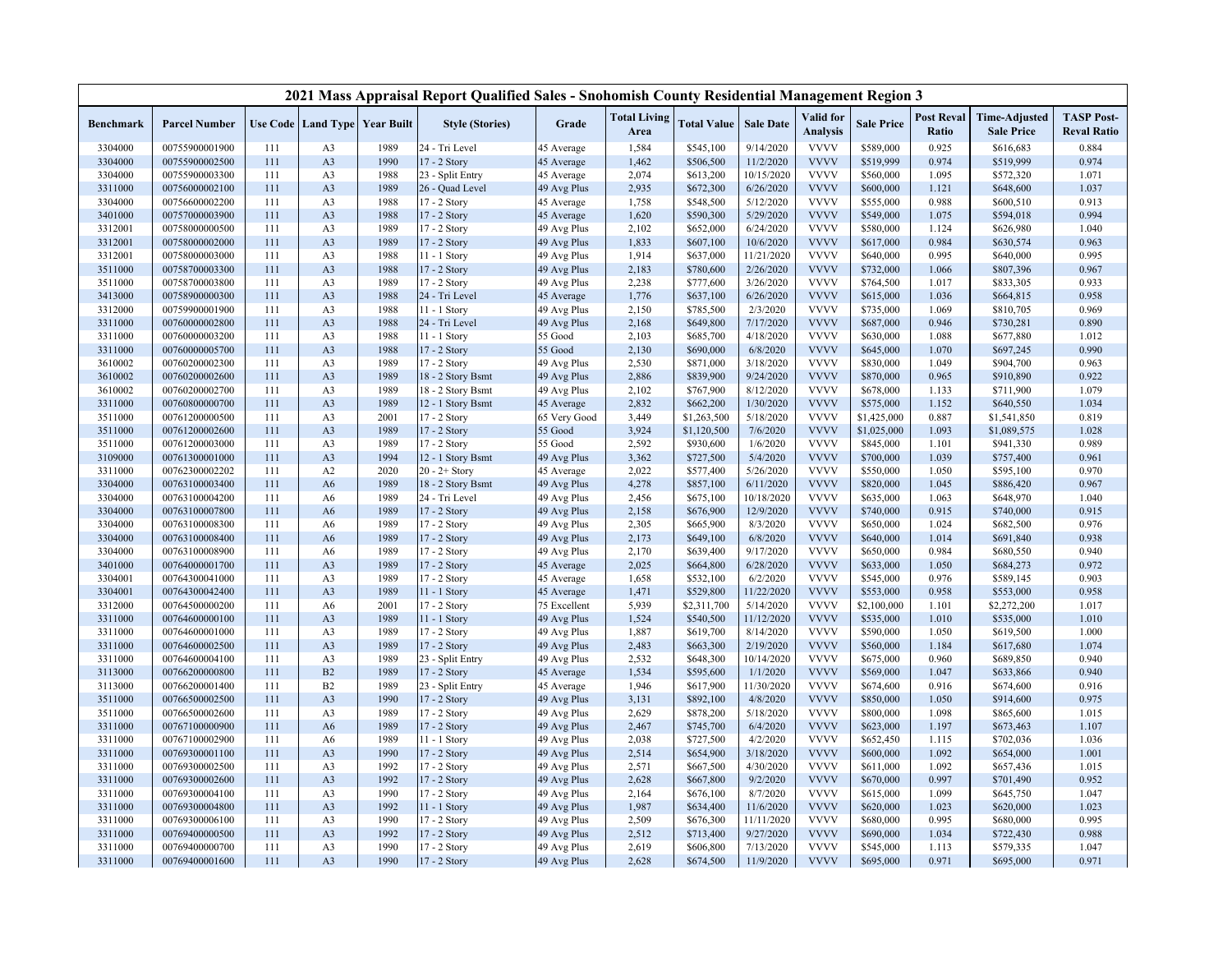|                    |                                  |            |                      |                                   | 2021 Mass Appraisal Report Qualified Sales - Snohomish County Residential Management Region 3 |                             |                             |                          |                         |                              |                          |                            |                                           |                                         |
|--------------------|----------------------------------|------------|----------------------|-----------------------------------|-----------------------------------------------------------------------------------------------|-----------------------------|-----------------------------|--------------------------|-------------------------|------------------------------|--------------------------|----------------------------|-------------------------------------------|-----------------------------------------|
| <b>Benchmark</b>   | <b>Parcel Number</b>             |            |                      | Use Code   Land Type   Year Built | <b>Style (Stories)</b>                                                                        | Grade                       | <b>Total Living</b><br>Area | <b>Total Value</b>       | <b>Sale Date</b>        | Valid for<br><b>Analysis</b> | <b>Sale Price</b>        | <b>Post Reval</b><br>Ratio | <b>Time-Adjusted</b><br><b>Sale Price</b> | <b>TASP Post-</b><br><b>Reval Ratio</b> |
| 3304000            | 00755900001900                   | 111        | A <sub>3</sub>       | 1989                              | 24 - Tri Level                                                                                | 45 Average                  | 1,584                       | \$545,100                | 9/14/2020               | <b>VVVV</b>                  | \$589,000                | 0.925                      | \$616,683                                 | 0.884                                   |
| 3304000            | 00755900002500                   | 111        | A <sub>3</sub>       | 1990                              | 17 - 2 Story                                                                                  | 45 Average                  | 1,462                       | \$506,500                | 11/2/2020               | <b>VVVV</b>                  | \$519,999                | 0.974                      | \$519,999                                 | 0.974                                   |
| 3304000            | 00755900003300                   | 111        | A <sub>3</sub>       | 1988                              | 23 - Split Entry                                                                              | 45 Average                  | 2,074                       | \$613,200                | 10/15/2020              | <b>VVVV</b>                  | \$560,000                | 1.095                      | \$572,320                                 | 1.071                                   |
| 3311000            | 00756000002100                   | 111        | A <sub>3</sub>       | 1989                              | 26 - Quad Level                                                                               | 49 Avg Plus                 | 2,935                       | \$672,300                | 6/26/2020               | <b>VVVV</b>                  | \$600,000                | 1.121                      | \$648,600                                 | 1.037                                   |
| 3304000            | 00756600002200                   | 111        | A <sub>3</sub>       | 1988                              | 17 - 2 Story                                                                                  | 45 Average                  | 1,758                       | \$548,500                | 5/12/2020               | <b>VVVV</b>                  | \$555,000                | 0.988                      | \$600,510                                 | 0.913                                   |
| 3401000            | 00757000003900                   | 111        | A <sub>3</sub>       | 1988                              | 17 - 2 Story                                                                                  | 45 Average                  | 1,620                       | \$590,300                | 5/29/2020               | <b>VVVV</b>                  | \$549,000                | 1.075                      | \$594,018                                 | 0.994                                   |
| 3312001            | 00758000000500                   | 111        | A <sub>3</sub>       | 1989                              | 17 - 2 Story                                                                                  | 49 Avg Plus                 | 2,102                       | \$652,000                | 6/24/2020               | <b>VVVV</b>                  | \$580,000                | 1.124                      | \$626,980                                 | 1.040                                   |
| 3312001            | 00758000002000                   | 111        | A <sub>3</sub>       | 1989                              | 17 - 2 Story                                                                                  | 49 Avg Plus                 | 1,833                       | \$607,100                | 10/6/2020               | <b>VVVV</b>                  | \$617,000                | 0.984                      | \$630,574                                 | 0.963                                   |
| 3312001            | 00758000003000                   | 111        | A <sub>3</sub>       | 1988                              | 11 - 1 Story                                                                                  | 49 Avg Plus                 | 1,914                       | \$637,000                | 11/21/2020              | <b>VVVV</b>                  | \$640,000                | 0.995                      | \$640,000                                 | 0.995                                   |
| 3511000            | 00758700003300                   | 111        | A <sub>3</sub>       | 1988                              | 17 - 2 Story                                                                                  | 49 Avg Plus                 | 2,183                       | \$780,600                | 2/26/2020               | <b>VVVV</b>                  | \$732,000                | 1.066                      | \$807,396                                 | 0.967                                   |
| 3511000            | 00758700003800                   | 111        | A <sub>3</sub>       | 1989                              | 17 - 2 Story                                                                                  | 49 Avg Plus                 | 2,238                       | \$777,600                | 3/26/2020               | <b>VVVV</b>                  | \$764,500                | 1.017                      | \$833,305                                 | 0.933                                   |
| 3413000            | 00758900000300                   | 111        | A <sub>3</sub>       | 1988                              | 24 - Tri Level                                                                                | 45 Average                  | 1,776                       | \$637,100                | 6/26/2020               | <b>VVVV</b>                  | \$615,000                | 1.036                      | \$664,815                                 | 0.958                                   |
| 3312000            | 00759900001900                   | 111        | A <sub>3</sub>       | 1988                              | 11 - 1 Story                                                                                  | 49 Avg Plus                 | 2,150                       | \$785,500                | 2/3/2020                | <b>VVVV</b>                  | \$735,000                | 1.069                      | \$810,705                                 | 0.969                                   |
| 3311000            | 00760000002800                   | 111        | A <sub>3</sub>       | 1988                              | 24 - Tri Level                                                                                | 49 Avg Plus                 | 2,168                       | \$649,800                | 7/17/2020               | <b>VVVV</b>                  | \$687,000                | 0.946                      | \$730,281                                 | 0.890                                   |
| 3311000            | 00760000003200                   | 111        | A <sub>3</sub>       | 1988                              | 11 - 1 Story                                                                                  | 55 Good                     | 2,103                       | \$685,700                | 4/18/2020               | <b>VVVV</b>                  | \$630,000                | 1.088                      | \$677,880                                 | 1.012                                   |
| 3311000            | 00760000005700                   | 111        | A <sub>3</sub>       | 1988                              | 17 - 2 Story                                                                                  | 55 Good                     | 2,130                       | \$690,000                | 6/8/2020                | <b>VVVV</b>                  | \$645,000                | 1.070                      | \$697,245                                 | 0.990                                   |
| 3610002            | 00760200002300                   | 111        | A <sub>3</sub>       | 1989                              | 17 - 2 Story                                                                                  | 49 Avg Plus                 | 2,530                       | \$871,000                | 3/18/2020               | <b>VVVV</b>                  | \$830,000                | 1.049                      | \$904,700                                 | 0.963                                   |
| 3610002            | 00760200002600                   | 111        | A <sub>3</sub>       | 1989                              | 18 - 2 Story Bsmt                                                                             | 49 Avg Plus                 | 2,886                       | \$839,900                | 9/24/2020               | <b>VVVV</b>                  | \$870,000                | 0.965                      | \$910,890                                 | 0.922                                   |
| 3610002            | 00760200002700                   | 111        | A <sub>3</sub>       | 1989                              | 18 - 2 Story Bsmt                                                                             | 49 Avg Plus                 | 2,102                       | \$767,900                | 8/12/2020               | <b>VVVV</b>                  | \$678,000                | 1.133                      | \$711,900                                 | 1.079                                   |
| 3311000            | 00760800000700                   | 111        | A <sub>3</sub>       | 1989                              | 12 - 1 Story Bsmt                                                                             | 45 Average                  | 2,832                       | \$662,200                | 1/30/2020               | <b>VVVV</b>                  | \$575,000                | 1.152                      | \$640,550                                 | 1.034                                   |
| 3511000            | 00761200000500                   | 111        | A <sub>3</sub>       | 2001                              | 17 - 2 Story                                                                                  | 65 Very Good                | 3,449                       | \$1,263,500              | 5/18/2020               | <b>VVVV</b>                  | \$1,425,000              | 0.887                      | \$1,541,850                               | 0.819                                   |
| 3511000            | 00761200002600                   | 111        | A <sub>3</sub>       | 1989                              | 17 - 2 Story                                                                                  | 55 Good                     | 3,924                       | \$1,120,500              | 7/6/2020                | <b>VVVV</b>                  | \$1,025,000              | 1.093                      | \$1,089,575                               | 1.028                                   |
| 3511000            | 00761200003000                   | 111        | A <sub>3</sub>       | 1989                              | 17 - 2 Story                                                                                  | 55 Good                     | 2,592                       | \$930,600                | 1/6/2020                | <b>VVVV</b>                  | \$845,000                | 1.101                      | \$941,330                                 | 0.989                                   |
| 3109000            | 00761300001000                   | 111        | A <sub>3</sub>       | 1994                              | 12 - 1 Story Bsmt                                                                             | 49 Avg Plus                 | 3,362                       | \$727,500                | 5/4/2020                | <b>VVVV</b>                  | \$700,000                | 1.039                      | \$757,400                                 | 0.961                                   |
| 3311000            | 00762300002202                   | 111        | A2                   | 2020                              | $20 - 2 +$ Story                                                                              | 45 Average                  | 2,022                       | \$577,400                | 5/26/2020               | <b>VVVV</b>                  | \$550,000                | 1.050                      | \$595,100                                 | 0.970                                   |
| 3304000            | 00763100003400                   | 111        | A6                   | 1989                              | 18 - 2 Story Bsmt                                                                             | 49 Avg Plus                 | 4,278                       | \$857,100                | 6/11/2020               | <b>VVVV</b>                  | \$820,000                | 1.045                      | \$886,420                                 | 0.967                                   |
| 3304000            | 00763100004200                   | 111        | A6                   | 1989                              | 24 - Tri Level                                                                                | 49 Avg Plus                 | 2,456                       | \$675,100                | 10/18/2020              | <b>VVVV</b>                  | \$635,000                | 1.063                      | \$648,970                                 | 1.040                                   |
| 3304000            | 00763100007800                   | 111        | A6                   | 1989                              | 17 - 2 Story                                                                                  | 49 Avg Plus                 | 2,158                       | \$676,900                | 12/9/2020               | <b>VVVV</b>                  | \$740,000                | 0.915                      | \$740,000                                 | 0.915                                   |
| 3304000            | 00763100008300                   | 111        | A6                   | 1989                              | 17 - 2 Story                                                                                  | 49 Avg Plus                 | 2,305                       | \$665,900                | 8/3/2020                | <b>VVVV</b>                  | \$650,000                | 1.024                      | \$682,500                                 | 0.976                                   |
| 3304000            | 00763100008400                   | 111        | A6                   | 1989                              | 17 - 2 Story                                                                                  | 49 Avg Plus                 | 2,173                       | \$649,100                | 6/8/2020                | <b>VVVV</b>                  | \$640,000                | 1.014                      | \$691,840                                 | 0.938                                   |
| 3304000            | 00763100008900                   | 111        | A6                   | 1989                              | 17 - 2 Story                                                                                  | 49 Avg Plus                 | 2,170                       | \$639,400                | 9/17/2020               | <b>VVVV</b>                  | \$650,000                | 0.984                      | \$680,550                                 | 0.940                                   |
| 3401000            | 00764000001700                   | 111        | A <sub>3</sub>       | 1989                              | 17 - 2 Story                                                                                  | 45 Average                  | 2,025                       | \$664,800                | 6/28/2020               | <b>VVVV</b>                  | \$633,000                | 1.050                      | \$684,273                                 | 0.972                                   |
| 3304001            | 00764300041000                   | 111        | A <sub>3</sub>       | 1989                              | 17 - 2 Story                                                                                  | 45 Average                  | 1,658                       | \$532,100                | 6/2/2020                | <b>VVVV</b><br><b>VVVV</b>   | \$545,000                | 0.976                      | \$589,145                                 | 0.903                                   |
| 3304001            | 00764300042400                   | 111        | A <sub>3</sub>       | 1989                              | 11 - 1 Story                                                                                  | 45 Average                  | 1,471                       | \$529,800                | 11/22/2020              | <b>VVVV</b>                  | \$553,000                | 0.958                      | \$553,000                                 | 0.958                                   |
| 3312000<br>3311000 | 00764500000200<br>00764600000100 | 111<br>111 | A6<br>A <sub>3</sub> | 2001<br>1989                      | 17 - 2 Story<br>11 - 1 Story                                                                  | 75 Excellent<br>49 Avg Plus | 5,939<br>1,524              | \$2,311,700<br>\$540,500 | 5/14/2020<br>11/12/2020 | <b>VVVV</b>                  | \$2,100,000<br>\$535,000 | 1.101<br>1.010             | \$2,272,200<br>\$535,000                  | 1.017<br>1.010                          |
| 3311000            | 00764600001000                   | 111        | A <sub>3</sub>       | 1989                              | 17 - 2 Story                                                                                  |                             | 1,887                       |                          | 8/14/2020               | <b>VVVV</b>                  | \$590,000                | 1.050                      | \$619,500                                 | 1.000                                   |
| 3311000            | 00764600002500                   | 111        | A <sub>3</sub>       | 1989                              | 17 - 2 Story                                                                                  | 49 Avg Plus<br>49 Avg Plus  | 2,483                       | \$619,700<br>\$663,300   | 2/19/2020               | <b>VVVV</b>                  | \$560,000                | 1.184                      | \$617,680                                 | 1.074                                   |
| 3311000            | 00764600004100                   | 111        | A <sub>3</sub>       | 1989                              | 23 - Split Entry                                                                              | 49 Avg Plus                 | 2,532                       | \$648,300                | 10/14/2020              | <b>VVVV</b>                  | \$675,000                | 0.960                      | \$689,850                                 | 0.940                                   |
| 3113000            | 00766200000800                   | 111        | B2                   | 1989                              | 17 - 2 Story                                                                                  | 45 Average                  | 1,534                       | \$595,600                | 1/1/2020                | <b>VVVV</b>                  | \$569,000                | 1.047                      | \$633,866                                 | 0.940                                   |
| 3113000            | 00766200001400                   | 111        | B2                   | 1989                              | 23 - Split Entry                                                                              | 45 Average                  | 1,946                       | \$617,900                | 11/30/2020              | <b>VVVV</b>                  | \$674,600                | 0.916                      | \$674,600                                 | 0.916                                   |
| 3511000            | 00766500002500                   | 111        | A <sub>3</sub>       | 1990                              | 17 - 2 Story                                                                                  | 49 Avg Plus                 | 3,131                       | \$892,100                | 4/8/2020                | <b>VVVV</b>                  | \$850,000                | 1.050                      | \$914,600                                 | 0.975                                   |
| 3511000            | 00766500002600                   | 111        | A <sub>3</sub>       | 1989                              | 17 - 2 Story                                                                                  | 49 Avg Plus                 | 2,629                       | \$878,200                | 5/18/2020               | <b>VVVV</b>                  | \$800,000                | 1.098                      | \$865,600                                 | 1.015                                   |
| 3311000            | 00767100000900                   | 111        | A <sub>6</sub>       | 1989                              | 17 - 2 Story                                                                                  | 49 Avg Plus                 | 2,467                       | \$745,700                | 6/4/2020                | <b>VVVV</b>                  | \$623,000                | 1.197                      | \$673,463                                 | 1.107                                   |
| 3311000            | 00767100002900                   | 111        | A6                   | 1989                              | 11 - 1 Story                                                                                  | 49 Avg Plus                 | 2,038                       | \$727,500                | 4/2/2020                | <b>VVVV</b>                  | \$652,450                | 1.115                      | \$702,036                                 | 1.036                                   |
| 3311000            | 00769300001100                   | 111        | A <sub>3</sub>       | 1990                              | 17 - 2 Story                                                                                  | 49 Avg Plus                 | 2,514                       | \$654,900                | 3/18/2020               | <b>VVVV</b>                  | \$600,000                | 1.092                      | \$654,000                                 | 1.001                                   |
| 3311000            | 00769300002500                   | 111        | A <sub>3</sub>       | 1992                              | 17 - 2 Story                                                                                  | 49 Avg Plus                 | 2,571                       | \$667,500                | 4/30/2020               | <b>VVVV</b>                  | \$611,000                | 1.092                      | \$657,436                                 | 1.015                                   |
| 3311000            | 00769300002600                   | 111        | A <sub>3</sub>       | 1992                              | 17 - 2 Story                                                                                  | 49 Avg Plus                 | 2,628                       | \$667,800                | 9/2/2020                | <b>VVVV</b>                  | \$670,000                | 0.997                      | \$701,490                                 | 0.952                                   |
| 3311000            | 00769300004100                   | 111        | A <sub>3</sub>       | 1990                              | 17 - 2 Story                                                                                  | 49 Avg Plus                 | 2,164                       | \$676,100                | 8/7/2020                | <b>VVVV</b>                  | \$615,000                | 1.099                      | \$645,750                                 | 1.047                                   |
| 3311000            | 00769300004800                   | 111        | A <sub>3</sub>       | 1992                              | 11 - 1 Story                                                                                  | 49 Avg Plus                 | 1,987                       | \$634,400                | 11/6/2020               | <b>VVVV</b>                  | \$620,000                | 1.023                      | \$620,000                                 | 1.023                                   |
| 3311000            | 00769300006100                   | 111        | A <sub>3</sub>       | 1990                              | 17 - 2 Story                                                                                  | 49 Avg Plus                 | 2,509                       | \$676,300                | 11/11/2020              | <b>VVVV</b>                  | \$680,000                | 0.995                      | \$680,000                                 | 0.995                                   |
| 3311000            | 00769400000500                   | 111        | A <sub>3</sub>       | 1992                              | 17 - 2 Story                                                                                  | 49 Avg Plus                 | 2,512                       | \$713,400                | 9/27/2020               | <b>VVVV</b>                  | \$690,000                | 1.034                      | \$722,430                                 | 0.988                                   |
| 3311000            | 00769400000700                   | 111        | A <sub>3</sub>       | 1990                              | 17 - 2 Story                                                                                  | 49 Avg Plus                 | 2,619                       | \$606,800                | 7/13/2020               | <b>VVVV</b>                  | \$545,000                | 1.113                      | \$579,335                                 | 1.047                                   |
| 3311000            | 00769400001600                   | 111        | A <sub>3</sub>       | 1990                              | 17 - 2 Story                                                                                  | 49 Avg Plus                 | 2,628                       | \$674,500                | 11/9/2020               | <b>VVVV</b>                  | \$695,000                | 0.971                      | \$695,000                                 | 0.971                                   |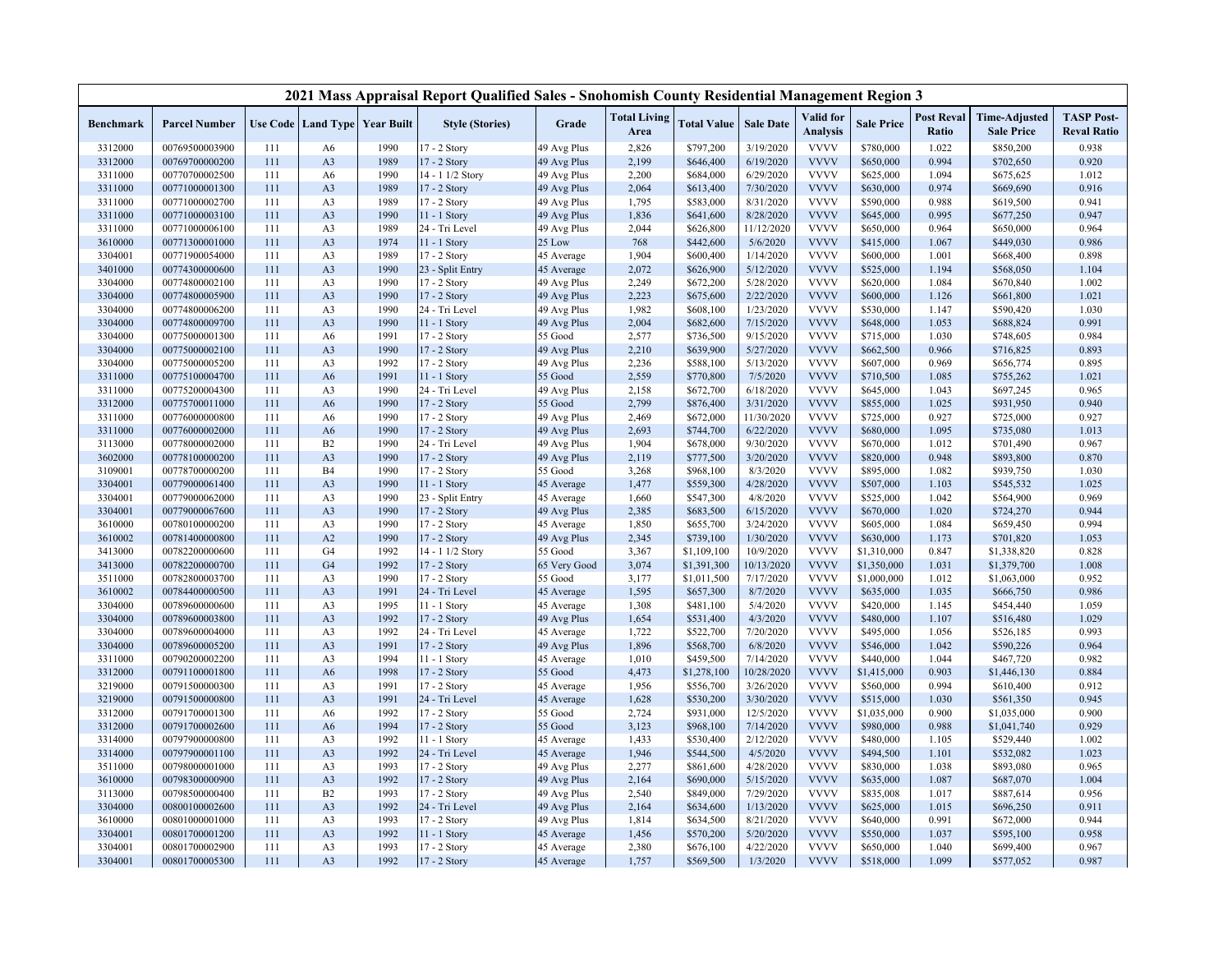| <b>Total Living</b><br>Valid for<br><b>Post Reval</b><br><b>TASP Post-</b><br><b>Time-Adjusted</b><br><b>Parcel Number</b><br>Use Code   Land Type   Year Built<br><b>Style (Stories)</b><br>Grade<br><b>Total Value</b><br><b>Sale Date</b><br><b>Sale Price</b><br><b>Benchmark</b><br><b>Analysis</b><br>Area<br>Ratio<br><b>Sale Price</b><br><b>Reval Ratio</b><br>2,826<br><b>VVVV</b><br>1.022<br>0.938<br>3312000<br>00769500003900<br>A <sub>6</sub><br>1990<br>17 - 2 Story<br>49 Avg Plus<br>\$797,200<br>3/19/2020<br>\$780,000<br>\$850,200<br>111<br><b>VVVV</b><br>1989<br>17 - 2 Story<br>49 Avg Plus<br>2,199<br>6/19/2020<br>\$650,000<br>0.994<br>0.920<br>3312000<br>00769700000200<br>111<br>A3<br>\$646,400<br>\$702,650<br><b>VVVV</b><br>1.012<br>3311000<br>00770700002500<br>111<br>1990<br>14 - 1 1/2 Story<br>49 Avg Plus<br>2,200<br>\$684,000<br>6/29/2020<br>\$625,000<br>1.094<br>\$675,625<br>A <sub>6</sub><br><b>VVVV</b><br>1989<br>49 Avg Plus<br>7/30/2020<br>\$630,000<br>0.974<br>\$669,690<br>0.916<br>3311000<br>00771000001300<br>111<br>A3<br>17 - 2 Story<br>2,064<br>\$613,400<br><b>VVVV</b><br>3311000<br>00771000002700<br>111<br>A3<br>1989<br>17 - 2 Story<br>49 Avg Plus<br>1,795<br>\$583,000<br>8/31/2020<br>\$590,000<br>0.988<br>\$619,500<br>0.941<br><b>VVVV</b><br>3311000<br>00771000003100<br>111<br>A3<br>1990<br>11 - 1 Story<br>1,836<br>\$641,600<br>8/28/2020<br>\$645,000<br>0.995<br>\$677,250<br>0.947<br>49 Avg Plus<br><b>VVVV</b><br>2,044<br>11/12/2020<br>0.964<br>3311000<br>00771000006100<br>111<br>A3<br>1989<br>24 - Tri Level<br>49 Avg Plus<br>\$626,800<br>\$650,000<br>0.964<br>\$650,000<br><b>VVVV</b><br>3610000<br>00771300001000<br>111<br>A <sub>3</sub><br>1974<br>$11 - 1$ Story<br>25 Low<br>768<br>\$442,600<br>5/6/2020<br>\$415,000<br>1.067<br>\$449,030<br>0.986<br><b>VVVV</b><br>111<br>1989<br>1,904<br>\$600,400<br>1/14/2020<br>1.001<br>0.898<br>3304001<br>00771900054000<br>A <sub>3</sub><br>17 - 2 Story<br>45 Average<br>\$600,000<br>\$668,400<br><b>VVVV</b><br>1990<br>\$626,900<br>3401000<br>00774300000600<br>111<br>A3<br>23 - Split Entry<br>2,072<br>5/12/2020<br>\$525,000<br>1.194<br>\$568,050<br>1.104<br>45 Average<br><b>VVVV</b><br>1990<br>49 Avg Plus<br>2,249<br>5/28/2020<br>1.084<br>1.002<br>3304000<br>00774800002100<br>111<br>A3<br>17 - 2 Story<br>\$672,200<br>\$620,000<br>\$670,840<br><b>VVVV</b><br>3304000<br>00774800005900<br>111<br>A <sub>3</sub><br>1990<br>17 - 2 Story<br>49 Avg Plus<br>2,223<br>\$675,600<br>2/22/2020<br>\$600,000<br>1.126<br>\$661,800<br>1.021<br><b>VVVV</b><br>3304000<br>00774800006200<br>1990<br>24 - Tri Level<br>49 Avg Plus<br>1,982<br>\$608,100<br>1/23/2020<br>\$530,000<br>\$590,420<br>1.030<br>111<br>A3<br>1.147<br>A3<br>1990<br>2,004<br>\$682,600<br>7/15/2020<br><b>VVVV</b><br>\$648,000<br>1.053<br>0.991<br>3304000<br>00774800009700<br>111<br>11 - 1 Story<br>49 Avg Plus<br>\$688,824<br><b>VVVV</b><br>3304000<br>00775000001300<br>111<br>A <sub>6</sub><br>1991<br>17 - 2 Story<br>55 Good<br>2,577<br>\$736,500<br>9/15/2020<br>\$715,000<br>1.030<br>\$748,605<br>0.984<br><b>VVVV</b><br>111<br>A <sub>3</sub><br>1990<br>17 - 2 Story<br>2,210<br>\$639,900<br>5/27/2020<br>\$662,500<br>0.966<br>0.893<br>3304000<br>00775000002100<br>49 Avg Plus<br>\$716,825<br>2,236<br>5/13/2020<br><b>VVVV</b><br>\$607,000<br>3304000<br>00775000005200<br>111<br>A3<br>1992<br>49 Avg Plus<br>\$588,100<br>0.969<br>\$656,774<br>0.895<br>17 - 2 Story<br>2,559<br><b>VVVV</b><br>1991<br>55 Good<br>\$770,800<br>7/5/2020<br>\$710,500<br>1.085<br>1.021<br>3311000<br>00775100004700<br>111<br>A <sub>6</sub><br>11 - 1 Story<br>\$755,262<br>2,158<br><b>VVVV</b><br>3311000<br>00775200004300<br>111<br>A3<br>1990<br>24 - Tri Level<br>49 Avg Plus<br>\$672,700<br>6/18/2020<br>\$645,000<br>1.043<br>\$697,245<br>0.965<br><b>VVVV</b><br>111<br>1990<br>17 - 2 Story<br>55 Good<br>2,799<br>3/31/2020<br>\$855,000<br>1.025<br>\$931,950<br>0.940<br>3312000<br>00775700011000<br>A <sub>6</sub><br>\$876,400<br><b>VVVV</b><br>2,469<br>11/30/2020<br>\$725,000<br>0.927<br>0.927<br>3311000<br>00776000000800<br>111<br>1990<br>17 - 2 Story<br>49 Avg Plus<br>\$672,000<br>\$725,000<br>A <sub>6</sub><br><b>VVVV</b><br>1.013<br>3311000<br>00776000002000<br>111<br>1990<br>17 - 2 Story<br>49 Avg Plus<br>2,693<br>\$744,700<br>6/22/2020<br>\$680,000<br>1.095<br>\$735,080<br>A <sub>6</sub><br>1990<br>1,904<br>\$678,000<br>9/30/2020<br><b>VVVV</b><br>1.012<br>\$701,490<br>0.967<br>3113000<br>00778000002000<br>111<br>B2<br>24 - Tri Level<br>49 Avg Plus<br>\$670,000<br>1990<br>2,119<br>3/20/2020<br><b>VVVV</b><br>0.870<br>3602000<br>00778100000200<br>111<br>A3<br>17 - 2 Story<br>49 Avg Plus<br>\$777,500<br>\$820,000<br>0.948<br>\$893,800<br><b>VVVV</b><br>111<br><b>B4</b><br>1990<br>3,268<br>8/3/2020<br>\$895,000<br>1.082<br>\$939,750<br>1.030<br>3109001<br>00778700000200<br>17 - 2 Story<br>55 Good<br>\$968,100<br>1990<br>1,477<br>\$559,300<br>4/28/2020<br><b>VVVV</b><br>1.103<br>1.025<br>3304001<br>00779000061400<br>111<br>A3<br>11 - 1 Story<br>45 Average<br>\$507,000<br>\$545,532<br>4/8/2020<br><b>VVVV</b><br>0.969<br>111<br>1990<br>1,660<br>\$547,300<br>\$525,000<br>1.042<br>\$564,900<br>3304001<br>00779000062000<br>A <sub>3</sub><br>23 - Split Entry<br>45 Average<br><b>VVVV</b><br>1990<br>6/15/2020<br>\$670,000<br>1.020<br>0.944<br>3304001<br>00779000067600<br>111<br>A3<br>17 - 2 Story<br>49 Avg Plus<br>2,385<br>\$683,500<br>\$724,270<br><b>VVVV</b><br>0.994<br>111<br>A <sub>3</sub><br>1990<br>17 - 2 Story<br>45 Average<br>1,850<br>\$655,700<br>3/24/2020<br>\$605,000<br>1.084<br>\$659,450<br>3610000<br>00780100000200<br>A2<br><b>VVVV</b><br>3610002<br>00781400000800<br>111<br>1990<br>17 - 2 Story<br>49 Avg Plus<br>2,345<br>\$739,100<br>1/30/2020<br>\$630,000<br>1.173<br>\$701,820<br>1.053<br>10/9/2020<br><b>VVVV</b><br>3413000<br>00782200000600<br>111<br>G <sub>4</sub><br>1992<br>14 - 1 1/2 Story<br>55 Good<br>3,367<br>\$1,109,100<br>\$1,310,000<br>0.847<br>\$1,338,820<br>0.828<br><b>VVVV</b><br>G <sub>4</sub><br>1992<br>3,074<br>\$1,391,300<br>10/13/2020<br>\$1,350,000<br>1.031<br>\$1,379,700<br>1.008<br>3413000<br>00782200000700<br>111<br>17 - 2 Story<br>65 Very Good<br>1990<br>7/17/2020<br><b>VVVV</b><br>0.952<br>3511000<br>00782800003700<br>111<br>A <sub>3</sub><br>17 - 2 Story<br>55 Good<br>3,177<br>\$1,011,500<br>\$1,000,000<br>1.012<br>\$1,063,000<br><b>VVVV</b><br>111<br>A <sub>3</sub><br>1991<br>24 - Tri Level<br>1,595<br>\$657,300<br>8/7/2020<br>\$635,000<br>1.035<br>\$666,750<br>0.986<br>3610002<br>00784400000500<br>45 Average<br><b>VVVV</b><br>1995<br>1,308<br>5/4/2020<br>\$420,000<br>1.059<br>3304000<br>00789600000600<br>111<br>A3<br>11 - 1 Story<br>45 Average<br>\$481,100<br>1.145<br>\$454,440<br><b>VVVV</b><br>1992<br>4/3/2020<br>1.029<br>3304000<br>00789600003800<br>111<br>A3<br>17 - 2 Story<br>49 Avg Plus<br>1,654<br>\$531,400<br>\$480,000<br>1.107<br>\$516,480<br>1992<br>24 - Tri Level<br>1,722<br>\$522,700<br>7/20/2020<br><b>VVVV</b><br>\$495,000<br>1.056<br>\$526,185<br>0.993<br>3304000<br>00789600004000<br>111<br>A3<br>45 Average<br>6/8/2020<br><b>VVVV</b><br>0.964<br>3304000<br>00789600005200<br>111<br>A3<br>1991<br>17 - 2 Story<br>49 Avg Plus<br>1,896<br>\$568,700<br>\$546,000<br>1.042<br>\$590,226<br><b>VVVV</b><br>1994<br>1,010<br>\$459,500<br>7/14/2020<br>\$440,000<br>1.044<br>\$467,720<br>0.982<br>3311000<br>00790200002200<br>111<br>A3<br>$11 - 1$ Story<br>45 Average<br>1998<br>4,473<br>\$1,278,100<br>10/28/2020<br><b>VVVV</b><br>0.903<br>\$1,446,130<br>0.884<br>3312000<br>00791100001800<br>111<br>A6<br>17 - 2 Story<br>55 Good<br>\$1,415,000<br><b>VVVV</b><br>3219000<br>00791500000300<br>111<br>1991<br>17 - 2 Story<br>1,956<br>\$556,700<br>3/26/2020<br>\$560,000<br>0.994<br>\$610,400<br>0.912<br>A <sub>3</sub><br>45 Average<br><b>VVVV</b><br>3219000<br>00791500000800<br>111<br>A3<br>1991<br>24 - Tri Level<br>1,628<br>\$530,200<br>3/30/2020<br>\$515,000<br>1.030<br>\$561,350<br>0.945<br>45 Average<br><b>VVVV</b><br>1992<br>2,724<br>0.900<br>3312000<br>00791700001300<br>111<br>17 - 2 Story<br>55 Good<br>\$931,000<br>12/5/2020<br>\$1,035,000<br>0.900<br>\$1,035,000<br>A <sub>6</sub><br><b>VVVV</b><br>0.929<br>00791700002600<br>1994<br>55 Good<br>3,123<br>\$968,100<br>7/14/2020<br>0.988<br>3312000<br>111<br>A <sub>6</sub><br>17 - 2 Story<br>\$980,000<br>\$1,041,740<br><b>VVVV</b><br>1,433<br>1.002<br>00797900000800<br>111<br>A3<br>1992<br>11 - 1 Story<br>\$530,400<br>2/12/2020<br>\$480,000<br>1.105<br>\$529,440<br>3314000<br>45 Average<br>4/5/2020<br><b>VVVV</b><br>1992<br>24 - Tri Level<br>1,946<br>\$544,500<br>\$494,500<br>1.023<br>3314000<br>00797900001100<br>111<br>A <sub>3</sub><br>45 Average<br>1.101<br>\$532,082<br><b>VVVV</b><br>1993<br>0.965<br>3511000<br>00798000001000<br>111<br>A3<br>17 - 2 Story<br>49 Avg Plus<br>2,277<br>\$861,600<br>4/28/2020<br>\$830,000<br>1.038<br>\$893,080<br>00798300000900<br>A <sub>3</sub><br>1992<br>17 - 2 Story<br>2,164<br>\$690,000<br>5/15/2020<br><b>VVVV</b><br>\$635,000<br>1.087<br>\$687,070<br>1.004<br>3610000<br>111<br>49 Avg Plus<br><b>VVVV</b><br>1993<br>17 - 2 Story<br>2,540<br>\$849,000<br>7/29/2020<br>\$835,008<br>0.956<br>3113000<br>00798500000400<br>111<br>B2<br>49 Avg Plus<br>1.017<br>\$887,614<br>1992<br>1/13/2020<br><b>VVVV</b><br>3304000<br>00800100002600<br>111<br>A3<br>24 - Tri Level<br>49 Avg Plus<br>2,164<br>\$634,600<br>\$625,000<br>1.015<br>\$696,250<br>0.911<br><b>VVVV</b><br>1993<br>1,814<br>\$634,500<br>8/21/2020<br>\$640,000<br>0.991<br>0.944<br>3610000<br>00801000001000<br>111<br>A3<br>17 - 2 Story<br>49 Avg Plus<br>\$672,000<br><b>VVVV</b><br>A <sub>3</sub><br>1992<br>5/20/2020<br>1.037<br>0.958<br>3304001<br>00801700001200<br>111<br>11 - 1 Story<br>1,456<br>\$570,200<br>\$550,000<br>\$595,100<br>45 Average<br>4/22/2020<br><b>VVVV</b><br>3304001<br>111<br>A3<br>1993<br>2,380<br>\$676,100<br>\$650,000<br>1.040<br>\$699,400<br>0.967<br>00801700002900<br>17 - 2 Story<br>45 Average<br><b>VVVV</b><br>111<br>A3<br>1992<br>\$569,500<br>1/3/2020<br>\$518,000<br>1.099<br>0.987<br>3304001<br>00801700005300<br>17 - 2 Story<br>1,757<br>\$577,052<br>45 Average |  |  | 2021 Mass Appraisal Report Qualified Sales - Snohomish County Residential Management Region 3 |  |  |  |  |  |
|---------------------------------------------------------------------------------------------------------------------------------------------------------------------------------------------------------------------------------------------------------------------------------------------------------------------------------------------------------------------------------------------------------------------------------------------------------------------------------------------------------------------------------------------------------------------------------------------------------------------------------------------------------------------------------------------------------------------------------------------------------------------------------------------------------------------------------------------------------------------------------------------------------------------------------------------------------------------------------------------------------------------------------------------------------------------------------------------------------------------------------------------------------------------------------------------------------------------------------------------------------------------------------------------------------------------------------------------------------------------------------------------------------------------------------------------------------------------------------------------------------------------------------------------------------------------------------------------------------------------------------------------------------------------------------------------------------------------------------------------------------------------------------------------------------------------------------------------------------------------------------------------------------------------------------------------------------------------------------------------------------------------------------------------------------------------------------------------------------------------------------------------------------------------------------------------------------------------------------------------------------------------------------------------------------------------------------------------------------------------------------------------------------------------------------------------------------------------------------------------------------------------------------------------------------------------------------------------------------------------------------------------------------------------------------------------------------------------------------------------------------------------------------------------------------------------------------------------------------------------------------------------------------------------------------------------------------------------------------------------------------------------------------------------------------------------------------------------------------------------------------------------------------------------------------------------------------------------------------------------------------------------------------------------------------------------------------------------------------------------------------------------------------------------------------------------------------------------------------------------------------------------------------------------------------------------------------------------------------------------------------------------------------------------------------------------------------------------------------------------------------------------------------------------------------------------------------------------------------------------------------------------------------------------------------------------------------------------------------------------------------------------------------------------------------------------------------------------------------------------------------------------------------------------------------------------------------------------------------------------------------------------------------------------------------------------------------------------------------------------------------------------------------------------------------------------------------------------------------------------------------------------------------------------------------------------------------------------------------------------------------------------------------------------------------------------------------------------------------------------------------------------------------------------------------------------------------------------------------------------------------------------------------------------------------------------------------------------------------------------------------------------------------------------------------------------------------------------------------------------------------------------------------------------------------------------------------------------------------------------------------------------------------------------------------------------------------------------------------------------------------------------------------------------------------------------------------------------------------------------------------------------------------------------------------------------------------------------------------------------------------------------------------------------------------------------------------------------------------------------------------------------------------------------------------------------------------------------------------------------------------------------------------------------------------------------------------------------------------------------------------------------------------------------------------------------------------------------------------------------------------------------------------------------------------------------------------------------------------------------------------------------------------------------------------------------------------------------------------------------------------------------------------------------------------------------------------------------------------------------------------------------------------------------------------------------------------------------------------------------------------------------------------------------------------------------------------------------------------------------------------------------------------------------------------------------------------------------------------------------------------------------------------------------------------------------------------------------------------------------------------------------------------------------------------------------------------------------------------------------------------------------------------------------------------------------------------------------------------------------------------------------------------------------------------------------------------------------------------------------------------------------------------------------------------------------------------------------------------------------------------------------------------------------------------------------------------------------------------------------------------------------------------------------------------------------------------------------------------------------------------------------------------------------------------------------------------------------------------------------------------------------------------------------------------------------------------------------------------------------------------------------------------------------------------------------------------------------------------------------------------------------------------------------------------------------------------------------------------------------------------------------------------------------------------------------------------------------------------------------------------------------------------------------------------------------------------------------------------------------------------------------------------------------------------------------------------------------------------------------------------------------------------------------------------------------------------------------------------------------------------------------------------------------------------------------------------------------------------------------------------------------------------------------------------------------------------------------------------------------------------------------------------------------------------------------------------------------------------------------------------------------------------------------------------------------------------------------------------------------------------------------------------------------------------------------------------------------------------------------------------------------------------------------------------------------------------------------------------------------------------------------------------------------------------------------------------------------------------------------------------------------------------------------------------------------------------------------------------------------------------------------------------------------------------------------------------------------------------------------------------------------------------------------------------------------------------------------------------------------------------------------------------------------------------------------------------------------------------------------------------------------------------------------------------------------------------------------------------------------------------------------------------------------------------------------------------------------------------------------------------------------------------------------------------------------------------------------------------------------------------------|--|--|-----------------------------------------------------------------------------------------------|--|--|--|--|--|
|                                                                                                                                                                                                                                                                                                                                                                                                                                                                                                                                                                                                                                                                                                                                                                                                                                                                                                                                                                                                                                                                                                                                                                                                                                                                                                                                                                                                                                                                                                                                                                                                                                                                                                                                                                                                                                                                                                                                                                                                                                                                                                                                                                                                                                                                                                                                                                                                                                                                                                                                                                                                                                                                                                                                                                                                                                                                                                                                                                                                                                                                                                                                                                                                                                                                                                                                                                                                                                                                                                                                                                                                                                                                                                                                                                                                                                                                                                                                                                                                                                                                                                                                                                                                                                                                                                                                                                                                                                                                                                                                                                                                                                                                                                                                                                                                                                                                                                                                                                                                                                                                                                                                                                                                                                                                                                                                                                                                                                                                                                                                                                                                                                                                                                                                                                                                                                                                                                                                                                                                                                                                                                                                                                                                                                                                                                                                                                                                                                                                                                                                                                                                                                                                                                                                                                                                                                                                                                                                                                                                                                                                                                                                                                                                                                                                                                                                                                                                                                                                                                                                                                                                                                                                                                                                                                                                                                                                                                                                                                                                                                                                                                                                                                                                                                                                                                                                                                                                                                                                                                                                                                                                                                                                                                                                                                                                                                                                                                                                                                                                                                                                                                                                                                                                                                                                                                                                                                                                                                                                                                                                                                                                                                                                                                                                                                                                                                                                                                                                                                                                                                                                                                                                                                                                                                                                                                                                                                                                                                                                                                               |  |  |                                                                                               |  |  |  |  |  |
|                                                                                                                                                                                                                                                                                                                                                                                                                                                                                                                                                                                                                                                                                                                                                                                                                                                                                                                                                                                                                                                                                                                                                                                                                                                                                                                                                                                                                                                                                                                                                                                                                                                                                                                                                                                                                                                                                                                                                                                                                                                                                                                                                                                                                                                                                                                                                                                                                                                                                                                                                                                                                                                                                                                                                                                                                                                                                                                                                                                                                                                                                                                                                                                                                                                                                                                                                                                                                                                                                                                                                                                                                                                                                                                                                                                                                                                                                                                                                                                                                                                                                                                                                                                                                                                                                                                                                                                                                                                                                                                                                                                                                                                                                                                                                                                                                                                                                                                                                                                                                                                                                                                                                                                                                                                                                                                                                                                                                                                                                                                                                                                                                                                                                                                                                                                                                                                                                                                                                                                                                                                                                                                                                                                                                                                                                                                                                                                                                                                                                                                                                                                                                                                                                                                                                                                                                                                                                                                                                                                                                                                                                                                                                                                                                                                                                                                                                                                                                                                                                                                                                                                                                                                                                                                                                                                                                                                                                                                                                                                                                                                                                                                                                                                                                                                                                                                                                                                                                                                                                                                                                                                                                                                                                                                                                                                                                                                                                                                                                                                                                                                                                                                                                                                                                                                                                                                                                                                                                                                                                                                                                                                                                                                                                                                                                                                                                                                                                                                                                                                                                                                                                                                                                                                                                                                                                                                                                                                                                                                                                                               |  |  |                                                                                               |  |  |  |  |  |
|                                                                                                                                                                                                                                                                                                                                                                                                                                                                                                                                                                                                                                                                                                                                                                                                                                                                                                                                                                                                                                                                                                                                                                                                                                                                                                                                                                                                                                                                                                                                                                                                                                                                                                                                                                                                                                                                                                                                                                                                                                                                                                                                                                                                                                                                                                                                                                                                                                                                                                                                                                                                                                                                                                                                                                                                                                                                                                                                                                                                                                                                                                                                                                                                                                                                                                                                                                                                                                                                                                                                                                                                                                                                                                                                                                                                                                                                                                                                                                                                                                                                                                                                                                                                                                                                                                                                                                                                                                                                                                                                                                                                                                                                                                                                                                                                                                                                                                                                                                                                                                                                                                                                                                                                                                                                                                                                                                                                                                                                                                                                                                                                                                                                                                                                                                                                                                                                                                                                                                                                                                                                                                                                                                                                                                                                                                                                                                                                                                                                                                                                                                                                                                                                                                                                                                                                                                                                                                                                                                                                                                                                                                                                                                                                                                                                                                                                                                                                                                                                                                                                                                                                                                                                                                                                                                                                                                                                                                                                                                                                                                                                                                                                                                                                                                                                                                                                                                                                                                                                                                                                                                                                                                                                                                                                                                                                                                                                                                                                                                                                                                                                                                                                                                                                                                                                                                                                                                                                                                                                                                                                                                                                                                                                                                                                                                                                                                                                                                                                                                                                                                                                                                                                                                                                                                                                                                                                                                                                                                                                                                               |  |  |                                                                                               |  |  |  |  |  |
|                                                                                                                                                                                                                                                                                                                                                                                                                                                                                                                                                                                                                                                                                                                                                                                                                                                                                                                                                                                                                                                                                                                                                                                                                                                                                                                                                                                                                                                                                                                                                                                                                                                                                                                                                                                                                                                                                                                                                                                                                                                                                                                                                                                                                                                                                                                                                                                                                                                                                                                                                                                                                                                                                                                                                                                                                                                                                                                                                                                                                                                                                                                                                                                                                                                                                                                                                                                                                                                                                                                                                                                                                                                                                                                                                                                                                                                                                                                                                                                                                                                                                                                                                                                                                                                                                                                                                                                                                                                                                                                                                                                                                                                                                                                                                                                                                                                                                                                                                                                                                                                                                                                                                                                                                                                                                                                                                                                                                                                                                                                                                                                                                                                                                                                                                                                                                                                                                                                                                                                                                                                                                                                                                                                                                                                                                                                                                                                                                                                                                                                                                                                                                                                                                                                                                                                                                                                                                                                                                                                                                                                                                                                                                                                                                                                                                                                                                                                                                                                                                                                                                                                                                                                                                                                                                                                                                                                                                                                                                                                                                                                                                                                                                                                                                                                                                                                                                                                                                                                                                                                                                                                                                                                                                                                                                                                                                                                                                                                                                                                                                                                                                                                                                                                                                                                                                                                                                                                                                                                                                                                                                                                                                                                                                                                                                                                                                                                                                                                                                                                                                                                                                                                                                                                                                                                                                                                                                                                                                                                                                                               |  |  |                                                                                               |  |  |  |  |  |
|                                                                                                                                                                                                                                                                                                                                                                                                                                                                                                                                                                                                                                                                                                                                                                                                                                                                                                                                                                                                                                                                                                                                                                                                                                                                                                                                                                                                                                                                                                                                                                                                                                                                                                                                                                                                                                                                                                                                                                                                                                                                                                                                                                                                                                                                                                                                                                                                                                                                                                                                                                                                                                                                                                                                                                                                                                                                                                                                                                                                                                                                                                                                                                                                                                                                                                                                                                                                                                                                                                                                                                                                                                                                                                                                                                                                                                                                                                                                                                                                                                                                                                                                                                                                                                                                                                                                                                                                                                                                                                                                                                                                                                                                                                                                                                                                                                                                                                                                                                                                                                                                                                                                                                                                                                                                                                                                                                                                                                                                                                                                                                                                                                                                                                                                                                                                                                                                                                                                                                                                                                                                                                                                                                                                                                                                                                                                                                                                                                                                                                                                                                                                                                                                                                                                                                                                                                                                                                                                                                                                                                                                                                                                                                                                                                                                                                                                                                                                                                                                                                                                                                                                                                                                                                                                                                                                                                                                                                                                                                                                                                                                                                                                                                                                                                                                                                                                                                                                                                                                                                                                                                                                                                                                                                                                                                                                                                                                                                                                                                                                                                                                                                                                                                                                                                                                                                                                                                                                                                                                                                                                                                                                                                                                                                                                                                                                                                                                                                                                                                                                                                                                                                                                                                                                                                                                                                                                                                                                                                                                                                               |  |  |                                                                                               |  |  |  |  |  |
|                                                                                                                                                                                                                                                                                                                                                                                                                                                                                                                                                                                                                                                                                                                                                                                                                                                                                                                                                                                                                                                                                                                                                                                                                                                                                                                                                                                                                                                                                                                                                                                                                                                                                                                                                                                                                                                                                                                                                                                                                                                                                                                                                                                                                                                                                                                                                                                                                                                                                                                                                                                                                                                                                                                                                                                                                                                                                                                                                                                                                                                                                                                                                                                                                                                                                                                                                                                                                                                                                                                                                                                                                                                                                                                                                                                                                                                                                                                                                                                                                                                                                                                                                                                                                                                                                                                                                                                                                                                                                                                                                                                                                                                                                                                                                                                                                                                                                                                                                                                                                                                                                                                                                                                                                                                                                                                                                                                                                                                                                                                                                                                                                                                                                                                                                                                                                                                                                                                                                                                                                                                                                                                                                                                                                                                                                                                                                                                                                                                                                                                                                                                                                                                                                                                                                                                                                                                                                                                                                                                                                                                                                                                                                                                                                                                                                                                                                                                                                                                                                                                                                                                                                                                                                                                                                                                                                                                                                                                                                                                                                                                                                                                                                                                                                                                                                                                                                                                                                                                                                                                                                                                                                                                                                                                                                                                                                                                                                                                                                                                                                                                                                                                                                                                                                                                                                                                                                                                                                                                                                                                                                                                                                                                                                                                                                                                                                                                                                                                                                                                                                                                                                                                                                                                                                                                                                                                                                                                                                                                                                                               |  |  |                                                                                               |  |  |  |  |  |
|                                                                                                                                                                                                                                                                                                                                                                                                                                                                                                                                                                                                                                                                                                                                                                                                                                                                                                                                                                                                                                                                                                                                                                                                                                                                                                                                                                                                                                                                                                                                                                                                                                                                                                                                                                                                                                                                                                                                                                                                                                                                                                                                                                                                                                                                                                                                                                                                                                                                                                                                                                                                                                                                                                                                                                                                                                                                                                                                                                                                                                                                                                                                                                                                                                                                                                                                                                                                                                                                                                                                                                                                                                                                                                                                                                                                                                                                                                                                                                                                                                                                                                                                                                                                                                                                                                                                                                                                                                                                                                                                                                                                                                                                                                                                                                                                                                                                                                                                                                                                                                                                                                                                                                                                                                                                                                                                                                                                                                                                                                                                                                                                                                                                                                                                                                                                                                                                                                                                                                                                                                                                                                                                                                                                                                                                                                                                                                                                                                                                                                                                                                                                                                                                                                                                                                                                                                                                                                                                                                                                                                                                                                                                                                                                                                                                                                                                                                                                                                                                                                                                                                                                                                                                                                                                                                                                                                                                                                                                                                                                                                                                                                                                                                                                                                                                                                                                                                                                                                                                                                                                                                                                                                                                                                                                                                                                                                                                                                                                                                                                                                                                                                                                                                                                                                                                                                                                                                                                                                                                                                                                                                                                                                                                                                                                                                                                                                                                                                                                                                                                                                                                                                                                                                                                                                                                                                                                                                                                                                                                                                               |  |  |                                                                                               |  |  |  |  |  |
|                                                                                                                                                                                                                                                                                                                                                                                                                                                                                                                                                                                                                                                                                                                                                                                                                                                                                                                                                                                                                                                                                                                                                                                                                                                                                                                                                                                                                                                                                                                                                                                                                                                                                                                                                                                                                                                                                                                                                                                                                                                                                                                                                                                                                                                                                                                                                                                                                                                                                                                                                                                                                                                                                                                                                                                                                                                                                                                                                                                                                                                                                                                                                                                                                                                                                                                                                                                                                                                                                                                                                                                                                                                                                                                                                                                                                                                                                                                                                                                                                                                                                                                                                                                                                                                                                                                                                                                                                                                                                                                                                                                                                                                                                                                                                                                                                                                                                                                                                                                                                                                                                                                                                                                                                                                                                                                                                                                                                                                                                                                                                                                                                                                                                                                                                                                                                                                                                                                                                                                                                                                                                                                                                                                                                                                                                                                                                                                                                                                                                                                                                                                                                                                                                                                                                                                                                                                                                                                                                                                                                                                                                                                                                                                                                                                                                                                                                                                                                                                                                                                                                                                                                                                                                                                                                                                                                                                                                                                                                                                                                                                                                                                                                                                                                                                                                                                                                                                                                                                                                                                                                                                                                                                                                                                                                                                                                                                                                                                                                                                                                                                                                                                                                                                                                                                                                                                                                                                                                                                                                                                                                                                                                                                                                                                                                                                                                                                                                                                                                                                                                                                                                                                                                                                                                                                                                                                                                                                                                                                                                                               |  |  |                                                                                               |  |  |  |  |  |
|                                                                                                                                                                                                                                                                                                                                                                                                                                                                                                                                                                                                                                                                                                                                                                                                                                                                                                                                                                                                                                                                                                                                                                                                                                                                                                                                                                                                                                                                                                                                                                                                                                                                                                                                                                                                                                                                                                                                                                                                                                                                                                                                                                                                                                                                                                                                                                                                                                                                                                                                                                                                                                                                                                                                                                                                                                                                                                                                                                                                                                                                                                                                                                                                                                                                                                                                                                                                                                                                                                                                                                                                                                                                                                                                                                                                                                                                                                                                                                                                                                                                                                                                                                                                                                                                                                                                                                                                                                                                                                                                                                                                                                                                                                                                                                                                                                                                                                                                                                                                                                                                                                                                                                                                                                                                                                                                                                                                                                                                                                                                                                                                                                                                                                                                                                                                                                                                                                                                                                                                                                                                                                                                                                                                                                                                                                                                                                                                                                                                                                                                                                                                                                                                                                                                                                                                                                                                                                                                                                                                                                                                                                                                                                                                                                                                                                                                                                                                                                                                                                                                                                                                                                                                                                                                                                                                                                                                                                                                                                                                                                                                                                                                                                                                                                                                                                                                                                                                                                                                                                                                                                                                                                                                                                                                                                                                                                                                                                                                                                                                                                                                                                                                                                                                                                                                                                                                                                                                                                                                                                                                                                                                                                                                                                                                                                                                                                                                                                                                                                                                                                                                                                                                                                                                                                                                                                                                                                                                                                                                                                               |  |  |                                                                                               |  |  |  |  |  |
|                                                                                                                                                                                                                                                                                                                                                                                                                                                                                                                                                                                                                                                                                                                                                                                                                                                                                                                                                                                                                                                                                                                                                                                                                                                                                                                                                                                                                                                                                                                                                                                                                                                                                                                                                                                                                                                                                                                                                                                                                                                                                                                                                                                                                                                                                                                                                                                                                                                                                                                                                                                                                                                                                                                                                                                                                                                                                                                                                                                                                                                                                                                                                                                                                                                                                                                                                                                                                                                                                                                                                                                                                                                                                                                                                                                                                                                                                                                                                                                                                                                                                                                                                                                                                                                                                                                                                                                                                                                                                                                                                                                                                                                                                                                                                                                                                                                                                                                                                                                                                                                                                                                                                                                                                                                                                                                                                                                                                                                                                                                                                                                                                                                                                                                                                                                                                                                                                                                                                                                                                                                                                                                                                                                                                                                                                                                                                                                                                                                                                                                                                                                                                                                                                                                                                                                                                                                                                                                                                                                                                                                                                                                                                                                                                                                                                                                                                                                                                                                                                                                                                                                                                                                                                                                                                                                                                                                                                                                                                                                                                                                                                                                                                                                                                                                                                                                                                                                                                                                                                                                                                                                                                                                                                                                                                                                                                                                                                                                                                                                                                                                                                                                                                                                                                                                                                                                                                                                                                                                                                                                                                                                                                                                                                                                                                                                                                                                                                                                                                                                                                                                                                                                                                                                                                                                                                                                                                                                                                                                                                                               |  |  |                                                                                               |  |  |  |  |  |
|                                                                                                                                                                                                                                                                                                                                                                                                                                                                                                                                                                                                                                                                                                                                                                                                                                                                                                                                                                                                                                                                                                                                                                                                                                                                                                                                                                                                                                                                                                                                                                                                                                                                                                                                                                                                                                                                                                                                                                                                                                                                                                                                                                                                                                                                                                                                                                                                                                                                                                                                                                                                                                                                                                                                                                                                                                                                                                                                                                                                                                                                                                                                                                                                                                                                                                                                                                                                                                                                                                                                                                                                                                                                                                                                                                                                                                                                                                                                                                                                                                                                                                                                                                                                                                                                                                                                                                                                                                                                                                                                                                                                                                                                                                                                                                                                                                                                                                                                                                                                                                                                                                                                                                                                                                                                                                                                                                                                                                                                                                                                                                                                                                                                                                                                                                                                                                                                                                                                                                                                                                                                                                                                                                                                                                                                                                                                                                                                                                                                                                                                                                                                                                                                                                                                                                                                                                                                                                                                                                                                                                                                                                                                                                                                                                                                                                                                                                                                                                                                                                                                                                                                                                                                                                                                                                                                                                                                                                                                                                                                                                                                                                                                                                                                                                                                                                                                                                                                                                                                                                                                                                                                                                                                                                                                                                                                                                                                                                                                                                                                                                                                                                                                                                                                                                                                                                                                                                                                                                                                                                                                                                                                                                                                                                                                                                                                                                                                                                                                                                                                                                                                                                                                                                                                                                                                                                                                                                                                                                                                                                               |  |  |                                                                                               |  |  |  |  |  |
|                                                                                                                                                                                                                                                                                                                                                                                                                                                                                                                                                                                                                                                                                                                                                                                                                                                                                                                                                                                                                                                                                                                                                                                                                                                                                                                                                                                                                                                                                                                                                                                                                                                                                                                                                                                                                                                                                                                                                                                                                                                                                                                                                                                                                                                                                                                                                                                                                                                                                                                                                                                                                                                                                                                                                                                                                                                                                                                                                                                                                                                                                                                                                                                                                                                                                                                                                                                                                                                                                                                                                                                                                                                                                                                                                                                                                                                                                                                                                                                                                                                                                                                                                                                                                                                                                                                                                                                                                                                                                                                                                                                                                                                                                                                                                                                                                                                                                                                                                                                                                                                                                                                                                                                                                                                                                                                                                                                                                                                                                                                                                                                                                                                                                                                                                                                                                                                                                                                                                                                                                                                                                                                                                                                                                                                                                                                                                                                                                                                                                                                                                                                                                                                                                                                                                                                                                                                                                                                                                                                                                                                                                                                                                                                                                                                                                                                                                                                                                                                                                                                                                                                                                                                                                                                                                                                                                                                                                                                                                                                                                                                                                                                                                                                                                                                                                                                                                                                                                                                                                                                                                                                                                                                                                                                                                                                                                                                                                                                                                                                                                                                                                                                                                                                                                                                                                                                                                                                                                                                                                                                                                                                                                                                                                                                                                                                                                                                                                                                                                                                                                                                                                                                                                                                                                                                                                                                                                                                                                                                                                                               |  |  |                                                                                               |  |  |  |  |  |
|                                                                                                                                                                                                                                                                                                                                                                                                                                                                                                                                                                                                                                                                                                                                                                                                                                                                                                                                                                                                                                                                                                                                                                                                                                                                                                                                                                                                                                                                                                                                                                                                                                                                                                                                                                                                                                                                                                                                                                                                                                                                                                                                                                                                                                                                                                                                                                                                                                                                                                                                                                                                                                                                                                                                                                                                                                                                                                                                                                                                                                                                                                                                                                                                                                                                                                                                                                                                                                                                                                                                                                                                                                                                                                                                                                                                                                                                                                                                                                                                                                                                                                                                                                                                                                                                                                                                                                                                                                                                                                                                                                                                                                                                                                                                                                                                                                                                                                                                                                                                                                                                                                                                                                                                                                                                                                                                                                                                                                                                                                                                                                                                                                                                                                                                                                                                                                                                                                                                                                                                                                                                                                                                                                                                                                                                                                                                                                                                                                                                                                                                                                                                                                                                                                                                                                                                                                                                                                                                                                                                                                                                                                                                                                                                                                                                                                                                                                                                                                                                                                                                                                                                                                                                                                                                                                                                                                                                                                                                                                                                                                                                                                                                                                                                                                                                                                                                                                                                                                                                                                                                                                                                                                                                                                                                                                                                                                                                                                                                                                                                                                                                                                                                                                                                                                                                                                                                                                                                                                                                                                                                                                                                                                                                                                                                                                                                                                                                                                                                                                                                                                                                                                                                                                                                                                                                                                                                                                                                                                                                                                               |  |  |                                                                                               |  |  |  |  |  |
|                                                                                                                                                                                                                                                                                                                                                                                                                                                                                                                                                                                                                                                                                                                                                                                                                                                                                                                                                                                                                                                                                                                                                                                                                                                                                                                                                                                                                                                                                                                                                                                                                                                                                                                                                                                                                                                                                                                                                                                                                                                                                                                                                                                                                                                                                                                                                                                                                                                                                                                                                                                                                                                                                                                                                                                                                                                                                                                                                                                                                                                                                                                                                                                                                                                                                                                                                                                                                                                                                                                                                                                                                                                                                                                                                                                                                                                                                                                                                                                                                                                                                                                                                                                                                                                                                                                                                                                                                                                                                                                                                                                                                                                                                                                                                                                                                                                                                                                                                                                                                                                                                                                                                                                                                                                                                                                                                                                                                                                                                                                                                                                                                                                                                                                                                                                                                                                                                                                                                                                                                                                                                                                                                                                                                                                                                                                                                                                                                                                                                                                                                                                                                                                                                                                                                                                                                                                                                                                                                                                                                                                                                                                                                                                                                                                                                                                                                                                                                                                                                                                                                                                                                                                                                                                                                                                                                                                                                                                                                                                                                                                                                                                                                                                                                                                                                                                                                                                                                                                                                                                                                                                                                                                                                                                                                                                                                                                                                                                                                                                                                                                                                                                                                                                                                                                                                                                                                                                                                                                                                                                                                                                                                                                                                                                                                                                                                                                                                                                                                                                                                                                                                                                                                                                                                                                                                                                                                                                                                                                                                                               |  |  |                                                                                               |  |  |  |  |  |
|                                                                                                                                                                                                                                                                                                                                                                                                                                                                                                                                                                                                                                                                                                                                                                                                                                                                                                                                                                                                                                                                                                                                                                                                                                                                                                                                                                                                                                                                                                                                                                                                                                                                                                                                                                                                                                                                                                                                                                                                                                                                                                                                                                                                                                                                                                                                                                                                                                                                                                                                                                                                                                                                                                                                                                                                                                                                                                                                                                                                                                                                                                                                                                                                                                                                                                                                                                                                                                                                                                                                                                                                                                                                                                                                                                                                                                                                                                                                                                                                                                                                                                                                                                                                                                                                                                                                                                                                                                                                                                                                                                                                                                                                                                                                                                                                                                                                                                                                                                                                                                                                                                                                                                                                                                                                                                                                                                                                                                                                                                                                                                                                                                                                                                                                                                                                                                                                                                                                                                                                                                                                                                                                                                                                                                                                                                                                                                                                                                                                                                                                                                                                                                                                                                                                                                                                                                                                                                                                                                                                                                                                                                                                                                                                                                                                                                                                                                                                                                                                                                                                                                                                                                                                                                                                                                                                                                                                                                                                                                                                                                                                                                                                                                                                                                                                                                                                                                                                                                                                                                                                                                                                                                                                                                                                                                                                                                                                                                                                                                                                                                                                                                                                                                                                                                                                                                                                                                                                                                                                                                                                                                                                                                                                                                                                                                                                                                                                                                                                                                                                                                                                                                                                                                                                                                                                                                                                                                                                                                                                                                               |  |  |                                                                                               |  |  |  |  |  |
|                                                                                                                                                                                                                                                                                                                                                                                                                                                                                                                                                                                                                                                                                                                                                                                                                                                                                                                                                                                                                                                                                                                                                                                                                                                                                                                                                                                                                                                                                                                                                                                                                                                                                                                                                                                                                                                                                                                                                                                                                                                                                                                                                                                                                                                                                                                                                                                                                                                                                                                                                                                                                                                                                                                                                                                                                                                                                                                                                                                                                                                                                                                                                                                                                                                                                                                                                                                                                                                                                                                                                                                                                                                                                                                                                                                                                                                                                                                                                                                                                                                                                                                                                                                                                                                                                                                                                                                                                                                                                                                                                                                                                                                                                                                                                                                                                                                                                                                                                                                                                                                                                                                                                                                                                                                                                                                                                                                                                                                                                                                                                                                                                                                                                                                                                                                                                                                                                                                                                                                                                                                                                                                                                                                                                                                                                                                                                                                                                                                                                                                                                                                                                                                                                                                                                                                                                                                                                                                                                                                                                                                                                                                                                                                                                                                                                                                                                                                                                                                                                                                                                                                                                                                                                                                                                                                                                                                                                                                                                                                                                                                                                                                                                                                                                                                                                                                                                                                                                                                                                                                                                                                                                                                                                                                                                                                                                                                                                                                                                                                                                                                                                                                                                                                                                                                                                                                                                                                                                                                                                                                                                                                                                                                                                                                                                                                                                                                                                                                                                                                                                                                                                                                                                                                                                                                                                                                                                                                                                                                                                                               |  |  |                                                                                               |  |  |  |  |  |
|                                                                                                                                                                                                                                                                                                                                                                                                                                                                                                                                                                                                                                                                                                                                                                                                                                                                                                                                                                                                                                                                                                                                                                                                                                                                                                                                                                                                                                                                                                                                                                                                                                                                                                                                                                                                                                                                                                                                                                                                                                                                                                                                                                                                                                                                                                                                                                                                                                                                                                                                                                                                                                                                                                                                                                                                                                                                                                                                                                                                                                                                                                                                                                                                                                                                                                                                                                                                                                                                                                                                                                                                                                                                                                                                                                                                                                                                                                                                                                                                                                                                                                                                                                                                                                                                                                                                                                                                                                                                                                                                                                                                                                                                                                                                                                                                                                                                                                                                                                                                                                                                                                                                                                                                                                                                                                                                                                                                                                                                                                                                                                                                                                                                                                                                                                                                                                                                                                                                                                                                                                                                                                                                                                                                                                                                                                                                                                                                                                                                                                                                                                                                                                                                                                                                                                                                                                                                                                                                                                                                                                                                                                                                                                                                                                                                                                                                                                                                                                                                                                                                                                                                                                                                                                                                                                                                                                                                                                                                                                                                                                                                                                                                                                                                                                                                                                                                                                                                                                                                                                                                                                                                                                                                                                                                                                                                                                                                                                                                                                                                                                                                                                                                                                                                                                                                                                                                                                                                                                                                                                                                                                                                                                                                                                                                                                                                                                                                                                                                                                                                                                                                                                                                                                                                                                                                                                                                                                                                                                                                                                               |  |  |                                                                                               |  |  |  |  |  |
|                                                                                                                                                                                                                                                                                                                                                                                                                                                                                                                                                                                                                                                                                                                                                                                                                                                                                                                                                                                                                                                                                                                                                                                                                                                                                                                                                                                                                                                                                                                                                                                                                                                                                                                                                                                                                                                                                                                                                                                                                                                                                                                                                                                                                                                                                                                                                                                                                                                                                                                                                                                                                                                                                                                                                                                                                                                                                                                                                                                                                                                                                                                                                                                                                                                                                                                                                                                                                                                                                                                                                                                                                                                                                                                                                                                                                                                                                                                                                                                                                                                                                                                                                                                                                                                                                                                                                                                                                                                                                                                                                                                                                                                                                                                                                                                                                                                                                                                                                                                                                                                                                                                                                                                                                                                                                                                                                                                                                                                                                                                                                                                                                                                                                                                                                                                                                                                                                                                                                                                                                                                                                                                                                                                                                                                                                                                                                                                                                                                                                                                                                                                                                                                                                                                                                                                                                                                                                                                                                                                                                                                                                                                                                                                                                                                                                                                                                                                                                                                                                                                                                                                                                                                                                                                                                                                                                                                                                                                                                                                                                                                                                                                                                                                                                                                                                                                                                                                                                                                                                                                                                                                                                                                                                                                                                                                                                                                                                                                                                                                                                                                                                                                                                                                                                                                                                                                                                                                                                                                                                                                                                                                                                                                                                                                                                                                                                                                                                                                                                                                                                                                                                                                                                                                                                                                                                                                                                                                                                                                                                                               |  |  |                                                                                               |  |  |  |  |  |
|                                                                                                                                                                                                                                                                                                                                                                                                                                                                                                                                                                                                                                                                                                                                                                                                                                                                                                                                                                                                                                                                                                                                                                                                                                                                                                                                                                                                                                                                                                                                                                                                                                                                                                                                                                                                                                                                                                                                                                                                                                                                                                                                                                                                                                                                                                                                                                                                                                                                                                                                                                                                                                                                                                                                                                                                                                                                                                                                                                                                                                                                                                                                                                                                                                                                                                                                                                                                                                                                                                                                                                                                                                                                                                                                                                                                                                                                                                                                                                                                                                                                                                                                                                                                                                                                                                                                                                                                                                                                                                                                                                                                                                                                                                                                                                                                                                                                                                                                                                                                                                                                                                                                                                                                                                                                                                                                                                                                                                                                                                                                                                                                                                                                                                                                                                                                                                                                                                                                                                                                                                                                                                                                                                                                                                                                                                                                                                                                                                                                                                                                                                                                                                                                                                                                                                                                                                                                                                                                                                                                                                                                                                                                                                                                                                                                                                                                                                                                                                                                                                                                                                                                                                                                                                                                                                                                                                                                                                                                                                                                                                                                                                                                                                                                                                                                                                                                                                                                                                                                                                                                                                                                                                                                                                                                                                                                                                                                                                                                                                                                                                                                                                                                                                                                                                                                                                                                                                                                                                                                                                                                                                                                                                                                                                                                                                                                                                                                                                                                                                                                                                                                                                                                                                                                                                                                                                                                                                                                                                                                                                               |  |  |                                                                                               |  |  |  |  |  |
|                                                                                                                                                                                                                                                                                                                                                                                                                                                                                                                                                                                                                                                                                                                                                                                                                                                                                                                                                                                                                                                                                                                                                                                                                                                                                                                                                                                                                                                                                                                                                                                                                                                                                                                                                                                                                                                                                                                                                                                                                                                                                                                                                                                                                                                                                                                                                                                                                                                                                                                                                                                                                                                                                                                                                                                                                                                                                                                                                                                                                                                                                                                                                                                                                                                                                                                                                                                                                                                                                                                                                                                                                                                                                                                                                                                                                                                                                                                                                                                                                                                                                                                                                                                                                                                                                                                                                                                                                                                                                                                                                                                                                                                                                                                                                                                                                                                                                                                                                                                                                                                                                                                                                                                                                                                                                                                                                                                                                                                                                                                                                                                                                                                                                                                                                                                                                                                                                                                                                                                                                                                                                                                                                                                                                                                                                                                                                                                                                                                                                                                                                                                                                                                                                                                                                                                                                                                                                                                                                                                                                                                                                                                                                                                                                                                                                                                                                                                                                                                                                                                                                                                                                                                                                                                                                                                                                                                                                                                                                                                                                                                                                                                                                                                                                                                                                                                                                                                                                                                                                                                                                                                                                                                                                                                                                                                                                                                                                                                                                                                                                                                                                                                                                                                                                                                                                                                                                                                                                                                                                                                                                                                                                                                                                                                                                                                                                                                                                                                                                                                                                                                                                                                                                                                                                                                                                                                                                                                                                                                                                                               |  |  |                                                                                               |  |  |  |  |  |
|                                                                                                                                                                                                                                                                                                                                                                                                                                                                                                                                                                                                                                                                                                                                                                                                                                                                                                                                                                                                                                                                                                                                                                                                                                                                                                                                                                                                                                                                                                                                                                                                                                                                                                                                                                                                                                                                                                                                                                                                                                                                                                                                                                                                                                                                                                                                                                                                                                                                                                                                                                                                                                                                                                                                                                                                                                                                                                                                                                                                                                                                                                                                                                                                                                                                                                                                                                                                                                                                                                                                                                                                                                                                                                                                                                                                                                                                                                                                                                                                                                                                                                                                                                                                                                                                                                                                                                                                                                                                                                                                                                                                                                                                                                                                                                                                                                                                                                                                                                                                                                                                                                                                                                                                                                                                                                                                                                                                                                                                                                                                                                                                                                                                                                                                                                                                                                                                                                                                                                                                                                                                                                                                                                                                                                                                                                                                                                                                                                                                                                                                                                                                                                                                                                                                                                                                                                                                                                                                                                                                                                                                                                                                                                                                                                                                                                                                                                                                                                                                                                                                                                                                                                                                                                                                                                                                                                                                                                                                                                                                                                                                                                                                                                                                                                                                                                                                                                                                                                                                                                                                                                                                                                                                                                                                                                                                                                                                                                                                                                                                                                                                                                                                                                                                                                                                                                                                                                                                                                                                                                                                                                                                                                                                                                                                                                                                                                                                                                                                                                                                                                                                                                                                                                                                                                                                                                                                                                                                                                                                                                               |  |  |                                                                                               |  |  |  |  |  |
|                                                                                                                                                                                                                                                                                                                                                                                                                                                                                                                                                                                                                                                                                                                                                                                                                                                                                                                                                                                                                                                                                                                                                                                                                                                                                                                                                                                                                                                                                                                                                                                                                                                                                                                                                                                                                                                                                                                                                                                                                                                                                                                                                                                                                                                                                                                                                                                                                                                                                                                                                                                                                                                                                                                                                                                                                                                                                                                                                                                                                                                                                                                                                                                                                                                                                                                                                                                                                                                                                                                                                                                                                                                                                                                                                                                                                                                                                                                                                                                                                                                                                                                                                                                                                                                                                                                                                                                                                                                                                                                                                                                                                                                                                                                                                                                                                                                                                                                                                                                                                                                                                                                                                                                                                                                                                                                                                                                                                                                                                                                                                                                                                                                                                                                                                                                                                                                                                                                                                                                                                                                                                                                                                                                                                                                                                                                                                                                                                                                                                                                                                                                                                                                                                                                                                                                                                                                                                                                                                                                                                                                                                                                                                                                                                                                                                                                                                                                                                                                                                                                                                                                                                                                                                                                                                                                                                                                                                                                                                                                                                                                                                                                                                                                                                                                                                                                                                                                                                                                                                                                                                                                                                                                                                                                                                                                                                                                                                                                                                                                                                                                                                                                                                                                                                                                                                                                                                                                                                                                                                                                                                                                                                                                                                                                                                                                                                                                                                                                                                                                                                                                                                                                                                                                                                                                                                                                                                                                                                                                                                                               |  |  |                                                                                               |  |  |  |  |  |
|                                                                                                                                                                                                                                                                                                                                                                                                                                                                                                                                                                                                                                                                                                                                                                                                                                                                                                                                                                                                                                                                                                                                                                                                                                                                                                                                                                                                                                                                                                                                                                                                                                                                                                                                                                                                                                                                                                                                                                                                                                                                                                                                                                                                                                                                                                                                                                                                                                                                                                                                                                                                                                                                                                                                                                                                                                                                                                                                                                                                                                                                                                                                                                                                                                                                                                                                                                                                                                                                                                                                                                                                                                                                                                                                                                                                                                                                                                                                                                                                                                                                                                                                                                                                                                                                                                                                                                                                                                                                                                                                                                                                                                                                                                                                                                                                                                                                                                                                                                                                                                                                                                                                                                                                                                                                                                                                                                                                                                                                                                                                                                                                                                                                                                                                                                                                                                                                                                                                                                                                                                                                                                                                                                                                                                                                                                                                                                                                                                                                                                                                                                                                                                                                                                                                                                                                                                                                                                                                                                                                                                                                                                                                                                                                                                                                                                                                                                                                                                                                                                                                                                                                                                                                                                                                                                                                                                                                                                                                                                                                                                                                                                                                                                                                                                                                                                                                                                                                                                                                                                                                                                                                                                                                                                                                                                                                                                                                                                                                                                                                                                                                                                                                                                                                                                                                                                                                                                                                                                                                                                                                                                                                                                                                                                                                                                                                                                                                                                                                                                                                                                                                                                                                                                                                                                                                                                                                                                                                                                                                                                               |  |  |                                                                                               |  |  |  |  |  |
|                                                                                                                                                                                                                                                                                                                                                                                                                                                                                                                                                                                                                                                                                                                                                                                                                                                                                                                                                                                                                                                                                                                                                                                                                                                                                                                                                                                                                                                                                                                                                                                                                                                                                                                                                                                                                                                                                                                                                                                                                                                                                                                                                                                                                                                                                                                                                                                                                                                                                                                                                                                                                                                                                                                                                                                                                                                                                                                                                                                                                                                                                                                                                                                                                                                                                                                                                                                                                                                                                                                                                                                                                                                                                                                                                                                                                                                                                                                                                                                                                                                                                                                                                                                                                                                                                                                                                                                                                                                                                                                                                                                                                                                                                                                                                                                                                                                                                                                                                                                                                                                                                                                                                                                                                                                                                                                                                                                                                                                                                                                                                                                                                                                                                                                                                                                                                                                                                                                                                                                                                                                                                                                                                                                                                                                                                                                                                                                                                                                                                                                                                                                                                                                                                                                                                                                                                                                                                                                                                                                                                                                                                                                                                                                                                                                                                                                                                                                                                                                                                                                                                                                                                                                                                                                                                                                                                                                                                                                                                                                                                                                                                                                                                                                                                                                                                                                                                                                                                                                                                                                                                                                                                                                                                                                                                                                                                                                                                                                                                                                                                                                                                                                                                                                                                                                                                                                                                                                                                                                                                                                                                                                                                                                                                                                                                                                                                                                                                                                                                                                                                                                                                                                                                                                                                                                                                                                                                                                                                                                                                                               |  |  |                                                                                               |  |  |  |  |  |
|                                                                                                                                                                                                                                                                                                                                                                                                                                                                                                                                                                                                                                                                                                                                                                                                                                                                                                                                                                                                                                                                                                                                                                                                                                                                                                                                                                                                                                                                                                                                                                                                                                                                                                                                                                                                                                                                                                                                                                                                                                                                                                                                                                                                                                                                                                                                                                                                                                                                                                                                                                                                                                                                                                                                                                                                                                                                                                                                                                                                                                                                                                                                                                                                                                                                                                                                                                                                                                                                                                                                                                                                                                                                                                                                                                                                                                                                                                                                                                                                                                                                                                                                                                                                                                                                                                                                                                                                                                                                                                                                                                                                                                                                                                                                                                                                                                                                                                                                                                                                                                                                                                                                                                                                                                                                                                                                                                                                                                                                                                                                                                                                                                                                                                                                                                                                                                                                                                                                                                                                                                                                                                                                                                                                                                                                                                                                                                                                                                                                                                                                                                                                                                                                                                                                                                                                                                                                                                                                                                                                                                                                                                                                                                                                                                                                                                                                                                                                                                                                                                                                                                                                                                                                                                                                                                                                                                                                                                                                                                                                                                                                                                                                                                                                                                                                                                                                                                                                                                                                                                                                                                                                                                                                                                                                                                                                                                                                                                                                                                                                                                                                                                                                                                                                                                                                                                                                                                                                                                                                                                                                                                                                                                                                                                                                                                                                                                                                                                                                                                                                                                                                                                                                                                                                                                                                                                                                                                                                                                                                                                               |  |  |                                                                                               |  |  |  |  |  |
|                                                                                                                                                                                                                                                                                                                                                                                                                                                                                                                                                                                                                                                                                                                                                                                                                                                                                                                                                                                                                                                                                                                                                                                                                                                                                                                                                                                                                                                                                                                                                                                                                                                                                                                                                                                                                                                                                                                                                                                                                                                                                                                                                                                                                                                                                                                                                                                                                                                                                                                                                                                                                                                                                                                                                                                                                                                                                                                                                                                                                                                                                                                                                                                                                                                                                                                                                                                                                                                                                                                                                                                                                                                                                                                                                                                                                                                                                                                                                                                                                                                                                                                                                                                                                                                                                                                                                                                                                                                                                                                                                                                                                                                                                                                                                                                                                                                                                                                                                                                                                                                                                                                                                                                                                                                                                                                                                                                                                                                                                                                                                                                                                                                                                                                                                                                                                                                                                                                                                                                                                                                                                                                                                                                                                                                                                                                                                                                                                                                                                                                                                                                                                                                                                                                                                                                                                                                                                                                                                                                                                                                                                                                                                                                                                                                                                                                                                                                                                                                                                                                                                                                                                                                                                                                                                                                                                                                                                                                                                                                                                                                                                                                                                                                                                                                                                                                                                                                                                                                                                                                                                                                                                                                                                                                                                                                                                                                                                                                                                                                                                                                                                                                                                                                                                                                                                                                                                                                                                                                                                                                                                                                                                                                                                                                                                                                                                                                                                                                                                                                                                                                                                                                                                                                                                                                                                                                                                                                                                                                                                                               |  |  |                                                                                               |  |  |  |  |  |
|                                                                                                                                                                                                                                                                                                                                                                                                                                                                                                                                                                                                                                                                                                                                                                                                                                                                                                                                                                                                                                                                                                                                                                                                                                                                                                                                                                                                                                                                                                                                                                                                                                                                                                                                                                                                                                                                                                                                                                                                                                                                                                                                                                                                                                                                                                                                                                                                                                                                                                                                                                                                                                                                                                                                                                                                                                                                                                                                                                                                                                                                                                                                                                                                                                                                                                                                                                                                                                                                                                                                                                                                                                                                                                                                                                                                                                                                                                                                                                                                                                                                                                                                                                                                                                                                                                                                                                                                                                                                                                                                                                                                                                                                                                                                                                                                                                                                                                                                                                                                                                                                                                                                                                                                                                                                                                                                                                                                                                                                                                                                                                                                                                                                                                                                                                                                                                                                                                                                                                                                                                                                                                                                                                                                                                                                                                                                                                                                                                                                                                                                                                                                                                                                                                                                                                                                                                                                                                                                                                                                                                                                                                                                                                                                                                                                                                                                                                                                                                                                                                                                                                                                                                                                                                                                                                                                                                                                                                                                                                                                                                                                                                                                                                                                                                                                                                                                                                                                                                                                                                                                                                                                                                                                                                                                                                                                                                                                                                                                                                                                                                                                                                                                                                                                                                                                                                                                                                                                                                                                                                                                                                                                                                                                                                                                                                                                                                                                                                                                                                                                                                                                                                                                                                                                                                                                                                                                                                                                                                                                                                               |  |  |                                                                                               |  |  |  |  |  |
|                                                                                                                                                                                                                                                                                                                                                                                                                                                                                                                                                                                                                                                                                                                                                                                                                                                                                                                                                                                                                                                                                                                                                                                                                                                                                                                                                                                                                                                                                                                                                                                                                                                                                                                                                                                                                                                                                                                                                                                                                                                                                                                                                                                                                                                                                                                                                                                                                                                                                                                                                                                                                                                                                                                                                                                                                                                                                                                                                                                                                                                                                                                                                                                                                                                                                                                                                                                                                                                                                                                                                                                                                                                                                                                                                                                                                                                                                                                                                                                                                                                                                                                                                                                                                                                                                                                                                                                                                                                                                                                                                                                                                                                                                                                                                                                                                                                                                                                                                                                                                                                                                                                                                                                                                                                                                                                                                                                                                                                                                                                                                                                                                                                                                                                                                                                                                                                                                                                                                                                                                                                                                                                                                                                                                                                                                                                                                                                                                                                                                                                                                                                                                                                                                                                                                                                                                                                                                                                                                                                                                                                                                                                                                                                                                                                                                                                                                                                                                                                                                                                                                                                                                                                                                                                                                                                                                                                                                                                                                                                                                                                                                                                                                                                                                                                                                                                                                                                                                                                                                                                                                                                                                                                                                                                                                                                                                                                                                                                                                                                                                                                                                                                                                                                                                                                                                                                                                                                                                                                                                                                                                                                                                                                                                                                                                                                                                                                                                                                                                                                                                                                                                                                                                                                                                                                                                                                                                                                                                                                                                                               |  |  |                                                                                               |  |  |  |  |  |
|                                                                                                                                                                                                                                                                                                                                                                                                                                                                                                                                                                                                                                                                                                                                                                                                                                                                                                                                                                                                                                                                                                                                                                                                                                                                                                                                                                                                                                                                                                                                                                                                                                                                                                                                                                                                                                                                                                                                                                                                                                                                                                                                                                                                                                                                                                                                                                                                                                                                                                                                                                                                                                                                                                                                                                                                                                                                                                                                                                                                                                                                                                                                                                                                                                                                                                                                                                                                                                                                                                                                                                                                                                                                                                                                                                                                                                                                                                                                                                                                                                                                                                                                                                                                                                                                                                                                                                                                                                                                                                                                                                                                                                                                                                                                                                                                                                                                                                                                                                                                                                                                                                                                                                                                                                                                                                                                                                                                                                                                                                                                                                                                                                                                                                                                                                                                                                                                                                                                                                                                                                                                                                                                                                                                                                                                                                                                                                                                                                                                                                                                                                                                                                                                                                                                                                                                                                                                                                                                                                                                                                                                                                                                                                                                                                                                                                                                                                                                                                                                                                                                                                                                                                                                                                                                                                                                                                                                                                                                                                                                                                                                                                                                                                                                                                                                                                                                                                                                                                                                                                                                                                                                                                                                                                                                                                                                                                                                                                                                                                                                                                                                                                                                                                                                                                                                                                                                                                                                                                                                                                                                                                                                                                                                                                                                                                                                                                                                                                                                                                                                                                                                                                                                                                                                                                                                                                                                                                                                                                                                                                               |  |  |                                                                                               |  |  |  |  |  |
|                                                                                                                                                                                                                                                                                                                                                                                                                                                                                                                                                                                                                                                                                                                                                                                                                                                                                                                                                                                                                                                                                                                                                                                                                                                                                                                                                                                                                                                                                                                                                                                                                                                                                                                                                                                                                                                                                                                                                                                                                                                                                                                                                                                                                                                                                                                                                                                                                                                                                                                                                                                                                                                                                                                                                                                                                                                                                                                                                                                                                                                                                                                                                                                                                                                                                                                                                                                                                                                                                                                                                                                                                                                                                                                                                                                                                                                                                                                                                                                                                                                                                                                                                                                                                                                                                                                                                                                                                                                                                                                                                                                                                                                                                                                                                                                                                                                                                                                                                                                                                                                                                                                                                                                                                                                                                                                                                                                                                                                                                                                                                                                                                                                                                                                                                                                                                                                                                                                                                                                                                                                                                                                                                                                                                                                                                                                                                                                                                                                                                                                                                                                                                                                                                                                                                                                                                                                                                                                                                                                                                                                                                                                                                                                                                                                                                                                                                                                                                                                                                                                                                                                                                                                                                                                                                                                                                                                                                                                                                                                                                                                                                                                                                                                                                                                                                                                                                                                                                                                                                                                                                                                                                                                                                                                                                                                                                                                                                                                                                                                                                                                                                                                                                                                                                                                                                                                                                                                                                                                                                                                                                                                                                                                                                                                                                                                                                                                                                                                                                                                                                                                                                                                                                                                                                                                                                                                                                                                                                                                                                                               |  |  |                                                                                               |  |  |  |  |  |
|                                                                                                                                                                                                                                                                                                                                                                                                                                                                                                                                                                                                                                                                                                                                                                                                                                                                                                                                                                                                                                                                                                                                                                                                                                                                                                                                                                                                                                                                                                                                                                                                                                                                                                                                                                                                                                                                                                                                                                                                                                                                                                                                                                                                                                                                                                                                                                                                                                                                                                                                                                                                                                                                                                                                                                                                                                                                                                                                                                                                                                                                                                                                                                                                                                                                                                                                                                                                                                                                                                                                                                                                                                                                                                                                                                                                                                                                                                                                                                                                                                                                                                                                                                                                                                                                                                                                                                                                                                                                                                                                                                                                                                                                                                                                                                                                                                                                                                                                                                                                                                                                                                                                                                                                                                                                                                                                                                                                                                                                                                                                                                                                                                                                                                                                                                                                                                                                                                                                                                                                                                                                                                                                                                                                                                                                                                                                                                                                                                                                                                                                                                                                                                                                                                                                                                                                                                                                                                                                                                                                                                                                                                                                                                                                                                                                                                                                                                                                                                                                                                                                                                                                                                                                                                                                                                                                                                                                                                                                                                                                                                                                                                                                                                                                                                                                                                                                                                                                                                                                                                                                                                                                                                                                                                                                                                                                                                                                                                                                                                                                                                                                                                                                                                                                                                                                                                                                                                                                                                                                                                                                                                                                                                                                                                                                                                                                                                                                                                                                                                                                                                                                                                                                                                                                                                                                                                                                                                                                                                                                                                               |  |  |                                                                                               |  |  |  |  |  |
|                                                                                                                                                                                                                                                                                                                                                                                                                                                                                                                                                                                                                                                                                                                                                                                                                                                                                                                                                                                                                                                                                                                                                                                                                                                                                                                                                                                                                                                                                                                                                                                                                                                                                                                                                                                                                                                                                                                                                                                                                                                                                                                                                                                                                                                                                                                                                                                                                                                                                                                                                                                                                                                                                                                                                                                                                                                                                                                                                                                                                                                                                                                                                                                                                                                                                                                                                                                                                                                                                                                                                                                                                                                                                                                                                                                                                                                                                                                                                                                                                                                                                                                                                                                                                                                                                                                                                                                                                                                                                                                                                                                                                                                                                                                                                                                                                                                                                                                                                                                                                                                                                                                                                                                                                                                                                                                                                                                                                                                                                                                                                                                                                                                                                                                                                                                                                                                                                                                                                                                                                                                                                                                                                                                                                                                                                                                                                                                                                                                                                                                                                                                                                                                                                                                                                                                                                                                                                                                                                                                                                                                                                                                                                                                                                                                                                                                                                                                                                                                                                                                                                                                                                                                                                                                                                                                                                                                                                                                                                                                                                                                                                                                                                                                                                                                                                                                                                                                                                                                                                                                                                                                                                                                                                                                                                                                                                                                                                                                                                                                                                                                                                                                                                                                                                                                                                                                                                                                                                                                                                                                                                                                                                                                                                                                                                                                                                                                                                                                                                                                                                                                                                                                                                                                                                                                                                                                                                                                                                                                                                                               |  |  |                                                                                               |  |  |  |  |  |
|                                                                                                                                                                                                                                                                                                                                                                                                                                                                                                                                                                                                                                                                                                                                                                                                                                                                                                                                                                                                                                                                                                                                                                                                                                                                                                                                                                                                                                                                                                                                                                                                                                                                                                                                                                                                                                                                                                                                                                                                                                                                                                                                                                                                                                                                                                                                                                                                                                                                                                                                                                                                                                                                                                                                                                                                                                                                                                                                                                                                                                                                                                                                                                                                                                                                                                                                                                                                                                                                                                                                                                                                                                                                                                                                                                                                                                                                                                                                                                                                                                                                                                                                                                                                                                                                                                                                                                                                                                                                                                                                                                                                                                                                                                                                                                                                                                                                                                                                                                                                                                                                                                                                                                                                                                                                                                                                                                                                                                                                                                                                                                                                                                                                                                                                                                                                                                                                                                                                                                                                                                                                                                                                                                                                                                                                                                                                                                                                                                                                                                                                                                                                                                                                                                                                                                                                                                                                                                                                                                                                                                                                                                                                                                                                                                                                                                                                                                                                                                                                                                                                                                                                                                                                                                                                                                                                                                                                                                                                                                                                                                                                                                                                                                                                                                                                                                                                                                                                                                                                                                                                                                                                                                                                                                                                                                                                                                                                                                                                                                                                                                                                                                                                                                                                                                                                                                                                                                                                                                                                                                                                                                                                                                                                                                                                                                                                                                                                                                                                                                                                                                                                                                                                                                                                                                                                                                                                                                                                                                                                                                               |  |  |                                                                                               |  |  |  |  |  |
|                                                                                                                                                                                                                                                                                                                                                                                                                                                                                                                                                                                                                                                                                                                                                                                                                                                                                                                                                                                                                                                                                                                                                                                                                                                                                                                                                                                                                                                                                                                                                                                                                                                                                                                                                                                                                                                                                                                                                                                                                                                                                                                                                                                                                                                                                                                                                                                                                                                                                                                                                                                                                                                                                                                                                                                                                                                                                                                                                                                                                                                                                                                                                                                                                                                                                                                                                                                                                                                                                                                                                                                                                                                                                                                                                                                                                                                                                                                                                                                                                                                                                                                                                                                                                                                                                                                                                                                                                                                                                                                                                                                                                                                                                                                                                                                                                                                                                                                                                                                                                                                                                                                                                                                                                                                                                                                                                                                                                                                                                                                                                                                                                                                                                                                                                                                                                                                                                                                                                                                                                                                                                                                                                                                                                                                                                                                                                                                                                                                                                                                                                                                                                                                                                                                                                                                                                                                                                                                                                                                                                                                                                                                                                                                                                                                                                                                                                                                                                                                                                                                                                                                                                                                                                                                                                                                                                                                                                                                                                                                                                                                                                                                                                                                                                                                                                                                                                                                                                                                                                                                                                                                                                                                                                                                                                                                                                                                                                                                                                                                                                                                                                                                                                                                                                                                                                                                                                                                                                                                                                                                                                                                                                                                                                                                                                                                                                                                                                                                                                                                                                                                                                                                                                                                                                                                                                                                                                                                                                                                                                                               |  |  |                                                                                               |  |  |  |  |  |
|                                                                                                                                                                                                                                                                                                                                                                                                                                                                                                                                                                                                                                                                                                                                                                                                                                                                                                                                                                                                                                                                                                                                                                                                                                                                                                                                                                                                                                                                                                                                                                                                                                                                                                                                                                                                                                                                                                                                                                                                                                                                                                                                                                                                                                                                                                                                                                                                                                                                                                                                                                                                                                                                                                                                                                                                                                                                                                                                                                                                                                                                                                                                                                                                                                                                                                                                                                                                                                                                                                                                                                                                                                                                                                                                                                                                                                                                                                                                                                                                                                                                                                                                                                                                                                                                                                                                                                                                                                                                                                                                                                                                                                                                                                                                                                                                                                                                                                                                                                                                                                                                                                                                                                                                                                                                                                                                                                                                                                                                                                                                                                                                                                                                                                                                                                                                                                                                                                                                                                                                                                                                                                                                                                                                                                                                                                                                                                                                                                                                                                                                                                                                                                                                                                                                                                                                                                                                                                                                                                                                                                                                                                                                                                                                                                                                                                                                                                                                                                                                                                                                                                                                                                                                                                                                                                                                                                                                                                                                                                                                                                                                                                                                                                                                                                                                                                                                                                                                                                                                                                                                                                                                                                                                                                                                                                                                                                                                                                                                                                                                                                                                                                                                                                                                                                                                                                                                                                                                                                                                                                                                                                                                                                                                                                                                                                                                                                                                                                                                                                                                                                                                                                                                                                                                                                                                                                                                                                                                                                                                                                               |  |  |                                                                                               |  |  |  |  |  |
|                                                                                                                                                                                                                                                                                                                                                                                                                                                                                                                                                                                                                                                                                                                                                                                                                                                                                                                                                                                                                                                                                                                                                                                                                                                                                                                                                                                                                                                                                                                                                                                                                                                                                                                                                                                                                                                                                                                                                                                                                                                                                                                                                                                                                                                                                                                                                                                                                                                                                                                                                                                                                                                                                                                                                                                                                                                                                                                                                                                                                                                                                                                                                                                                                                                                                                                                                                                                                                                                                                                                                                                                                                                                                                                                                                                                                                                                                                                                                                                                                                                                                                                                                                                                                                                                                                                                                                                                                                                                                                                                                                                                                                                                                                                                                                                                                                                                                                                                                                                                                                                                                                                                                                                                                                                                                                                                                                                                                                                                                                                                                                                                                                                                                                                                                                                                                                                                                                                                                                                                                                                                                                                                                                                                                                                                                                                                                                                                                                                                                                                                                                                                                                                                                                                                                                                                                                                                                                                                                                                                                                                                                                                                                                                                                                                                                                                                                                                                                                                                                                                                                                                                                                                                                                                                                                                                                                                                                                                                                                                                                                                                                                                                                                                                                                                                                                                                                                                                                                                                                                                                                                                                                                                                                                                                                                                                                                                                                                                                                                                                                                                                                                                                                                                                                                                                                                                                                                                                                                                                                                                                                                                                                                                                                                                                                                                                                                                                                                                                                                                                                                                                                                                                                                                                                                                                                                                                                                                                                                                                                                               |  |  |                                                                                               |  |  |  |  |  |
|                                                                                                                                                                                                                                                                                                                                                                                                                                                                                                                                                                                                                                                                                                                                                                                                                                                                                                                                                                                                                                                                                                                                                                                                                                                                                                                                                                                                                                                                                                                                                                                                                                                                                                                                                                                                                                                                                                                                                                                                                                                                                                                                                                                                                                                                                                                                                                                                                                                                                                                                                                                                                                                                                                                                                                                                                                                                                                                                                                                                                                                                                                                                                                                                                                                                                                                                                                                                                                                                                                                                                                                                                                                                                                                                                                                                                                                                                                                                                                                                                                                                                                                                                                                                                                                                                                                                                                                                                                                                                                                                                                                                                                                                                                                                                                                                                                                                                                                                                                                                                                                                                                                                                                                                                                                                                                                                                                                                                                                                                                                                                                                                                                                                                                                                                                                                                                                                                                                                                                                                                                                                                                                                                                                                                                                                                                                                                                                                                                                                                                                                                                                                                                                                                                                                                                                                                                                                                                                                                                                                                                                                                                                                                                                                                                                                                                                                                                                                                                                                                                                                                                                                                                                                                                                                                                                                                                                                                                                                                                                                                                                                                                                                                                                                                                                                                                                                                                                                                                                                                                                                                                                                                                                                                                                                                                                                                                                                                                                                                                                                                                                                                                                                                                                                                                                                                                                                                                                                                                                                                                                                                                                                                                                                                                                                                                                                                                                                                                                                                                                                                                                                                                                                                                                                                                                                                                                                                                                                                                                                                                               |  |  |                                                                                               |  |  |  |  |  |
|                                                                                                                                                                                                                                                                                                                                                                                                                                                                                                                                                                                                                                                                                                                                                                                                                                                                                                                                                                                                                                                                                                                                                                                                                                                                                                                                                                                                                                                                                                                                                                                                                                                                                                                                                                                                                                                                                                                                                                                                                                                                                                                                                                                                                                                                                                                                                                                                                                                                                                                                                                                                                                                                                                                                                                                                                                                                                                                                                                                                                                                                                                                                                                                                                                                                                                                                                                                                                                                                                                                                                                                                                                                                                                                                                                                                                                                                                                                                                                                                                                                                                                                                                                                                                                                                                                                                                                                                                                                                                                                                                                                                                                                                                                                                                                                                                                                                                                                                                                                                                                                                                                                                                                                                                                                                                                                                                                                                                                                                                                                                                                                                                                                                                                                                                                                                                                                                                                                                                                                                                                                                                                                                                                                                                                                                                                                                                                                                                                                                                                                                                                                                                                                                                                                                                                                                                                                                                                                                                                                                                                                                                                                                                                                                                                                                                                                                                                                                                                                                                                                                                                                                                                                                                                                                                                                                                                                                                                                                                                                                                                                                                                                                                                                                                                                                                                                                                                                                                                                                                                                                                                                                                                                                                                                                                                                                                                                                                                                                                                                                                                                                                                                                                                                                                                                                                                                                                                                                                                                                                                                                                                                                                                                                                                                                                                                                                                                                                                                                                                                                                                                                                                                                                                                                                                                                                                                                                                                                                                                                                                               |  |  |                                                                                               |  |  |  |  |  |
|                                                                                                                                                                                                                                                                                                                                                                                                                                                                                                                                                                                                                                                                                                                                                                                                                                                                                                                                                                                                                                                                                                                                                                                                                                                                                                                                                                                                                                                                                                                                                                                                                                                                                                                                                                                                                                                                                                                                                                                                                                                                                                                                                                                                                                                                                                                                                                                                                                                                                                                                                                                                                                                                                                                                                                                                                                                                                                                                                                                                                                                                                                                                                                                                                                                                                                                                                                                                                                                                                                                                                                                                                                                                                                                                                                                                                                                                                                                                                                                                                                                                                                                                                                                                                                                                                                                                                                                                                                                                                                                                                                                                                                                                                                                                                                                                                                                                                                                                                                                                                                                                                                                                                                                                                                                                                                                                                                                                                                                                                                                                                                                                                                                                                                                                                                                                                                                                                                                                                                                                                                                                                                                                                                                                                                                                                                                                                                                                                                                                                                                                                                                                                                                                                                                                                                                                                                                                                                                                                                                                                                                                                                                                                                                                                                                                                                                                                                                                                                                                                                                                                                                                                                                                                                                                                                                                                                                                                                                                                                                                                                                                                                                                                                                                                                                                                                                                                                                                                                                                                                                                                                                                                                                                                                                                                                                                                                                                                                                                                                                                                                                                                                                                                                                                                                                                                                                                                                                                                                                                                                                                                                                                                                                                                                                                                                                                                                                                                                                                                                                                                                                                                                                                                                                                                                                                                                                                                                                                                                                                                                               |  |  |                                                                                               |  |  |  |  |  |
|                                                                                                                                                                                                                                                                                                                                                                                                                                                                                                                                                                                                                                                                                                                                                                                                                                                                                                                                                                                                                                                                                                                                                                                                                                                                                                                                                                                                                                                                                                                                                                                                                                                                                                                                                                                                                                                                                                                                                                                                                                                                                                                                                                                                                                                                                                                                                                                                                                                                                                                                                                                                                                                                                                                                                                                                                                                                                                                                                                                                                                                                                                                                                                                                                                                                                                                                                                                                                                                                                                                                                                                                                                                                                                                                                                                                                                                                                                                                                                                                                                                                                                                                                                                                                                                                                                                                                                                                                                                                                                                                                                                                                                                                                                                                                                                                                                                                                                                                                                                                                                                                                                                                                                                                                                                                                                                                                                                                                                                                                                                                                                                                                                                                                                                                                                                                                                                                                                                                                                                                                                                                                                                                                                                                                                                                                                                                                                                                                                                                                                                                                                                                                                                                                                                                                                                                                                                                                                                                                                                                                                                                                                                                                                                                                                                                                                                                                                                                                                                                                                                                                                                                                                                                                                                                                                                                                                                                                                                                                                                                                                                                                                                                                                                                                                                                                                                                                                                                                                                                                                                                                                                                                                                                                                                                                                                                                                                                                                                                                                                                                                                                                                                                                                                                                                                                                                                                                                                                                                                                                                                                                                                                                                                                                                                                                                                                                                                                                                                                                                                                                                                                                                                                                                                                                                                                                                                                                                                                                                                                                                               |  |  |                                                                                               |  |  |  |  |  |
|                                                                                                                                                                                                                                                                                                                                                                                                                                                                                                                                                                                                                                                                                                                                                                                                                                                                                                                                                                                                                                                                                                                                                                                                                                                                                                                                                                                                                                                                                                                                                                                                                                                                                                                                                                                                                                                                                                                                                                                                                                                                                                                                                                                                                                                                                                                                                                                                                                                                                                                                                                                                                                                                                                                                                                                                                                                                                                                                                                                                                                                                                                                                                                                                                                                                                                                                                                                                                                                                                                                                                                                                                                                                                                                                                                                                                                                                                                                                                                                                                                                                                                                                                                                                                                                                                                                                                                                                                                                                                                                                                                                                                                                                                                                                                                                                                                                                                                                                                                                                                                                                                                                                                                                                                                                                                                                                                                                                                                                                                                                                                                                                                                                                                                                                                                                                                                                                                                                                                                                                                                                                                                                                                                                                                                                                                                                                                                                                                                                                                                                                                                                                                                                                                                                                                                                                                                                                                                                                                                                                                                                                                                                                                                                                                                                                                                                                                                                                                                                                                                                                                                                                                                                                                                                                                                                                                                                                                                                                                                                                                                                                                                                                                                                                                                                                                                                                                                                                                                                                                                                                                                                                                                                                                                                                                                                                                                                                                                                                                                                                                                                                                                                                                                                                                                                                                                                                                                                                                                                                                                                                                                                                                                                                                                                                                                                                                                                                                                                                                                                                                                                                                                                                                                                                                                                                                                                                                                                                                                                                                                               |  |  |                                                                                               |  |  |  |  |  |
|                                                                                                                                                                                                                                                                                                                                                                                                                                                                                                                                                                                                                                                                                                                                                                                                                                                                                                                                                                                                                                                                                                                                                                                                                                                                                                                                                                                                                                                                                                                                                                                                                                                                                                                                                                                                                                                                                                                                                                                                                                                                                                                                                                                                                                                                                                                                                                                                                                                                                                                                                                                                                                                                                                                                                                                                                                                                                                                                                                                                                                                                                                                                                                                                                                                                                                                                                                                                                                                                                                                                                                                                                                                                                                                                                                                                                                                                                                                                                                                                                                                                                                                                                                                                                                                                                                                                                                                                                                                                                                                                                                                                                                                                                                                                                                                                                                                                                                                                                                                                                                                                                                                                                                                                                                                                                                                                                                                                                                                                                                                                                                                                                                                                                                                                                                                                                                                                                                                                                                                                                                                                                                                                                                                                                                                                                                                                                                                                                                                                                                                                                                                                                                                                                                                                                                                                                                                                                                                                                                                                                                                                                                                                                                                                                                                                                                                                                                                                                                                                                                                                                                                                                                                                                                                                                                                                                                                                                                                                                                                                                                                                                                                                                                                                                                                                                                                                                                                                                                                                                                                                                                                                                                                                                                                                                                                                                                                                                                                                                                                                                                                                                                                                                                                                                                                                                                                                                                                                                                                                                                                                                                                                                                                                                                                                                                                                                                                                                                                                                                                                                                                                                                                                                                                                                                                                                                                                                                                                                                                                                                               |  |  |                                                                                               |  |  |  |  |  |
|                                                                                                                                                                                                                                                                                                                                                                                                                                                                                                                                                                                                                                                                                                                                                                                                                                                                                                                                                                                                                                                                                                                                                                                                                                                                                                                                                                                                                                                                                                                                                                                                                                                                                                                                                                                                                                                                                                                                                                                                                                                                                                                                                                                                                                                                                                                                                                                                                                                                                                                                                                                                                                                                                                                                                                                                                                                                                                                                                                                                                                                                                                                                                                                                                                                                                                                                                                                                                                                                                                                                                                                                                                                                                                                                                                                                                                                                                                                                                                                                                                                                                                                                                                                                                                                                                                                                                                                                                                                                                                                                                                                                                                                                                                                                                                                                                                                                                                                                                                                                                                                                                                                                                                                                                                                                                                                                                                                                                                                                                                                                                                                                                                                                                                                                                                                                                                                                                                                                                                                                                                                                                                                                                                                                                                                                                                                                                                                                                                                                                                                                                                                                                                                                                                                                                                                                                                                                                                                                                                                                                                                                                                                                                                                                                                                                                                                                                                                                                                                                                                                                                                                                                                                                                                                                                                                                                                                                                                                                                                                                                                                                                                                                                                                                                                                                                                                                                                                                                                                                                                                                                                                                                                                                                                                                                                                                                                                                                                                                                                                                                                                                                                                                                                                                                                                                                                                                                                                                                                                                                                                                                                                                                                                                                                                                                                                                                                                                                                                                                                                                                                                                                                                                                                                                                                                                                                                                                                                                                                                                                                               |  |  |                                                                                               |  |  |  |  |  |
|                                                                                                                                                                                                                                                                                                                                                                                                                                                                                                                                                                                                                                                                                                                                                                                                                                                                                                                                                                                                                                                                                                                                                                                                                                                                                                                                                                                                                                                                                                                                                                                                                                                                                                                                                                                                                                                                                                                                                                                                                                                                                                                                                                                                                                                                                                                                                                                                                                                                                                                                                                                                                                                                                                                                                                                                                                                                                                                                                                                                                                                                                                                                                                                                                                                                                                                                                                                                                                                                                                                                                                                                                                                                                                                                                                                                                                                                                                                                                                                                                                                                                                                                                                                                                                                                                                                                                                                                                                                                                                                                                                                                                                                                                                                                                                                                                                                                                                                                                                                                                                                                                                                                                                                                                                                                                                                                                                                                                                                                                                                                                                                                                                                                                                                                                                                                                                                                                                                                                                                                                                                                                                                                                                                                                                                                                                                                                                                                                                                                                                                                                                                                                                                                                                                                                                                                                                                                                                                                                                                                                                                                                                                                                                                                                                                                                                                                                                                                                                                                                                                                                                                                                                                                                                                                                                                                                                                                                                                                                                                                                                                                                                                                                                                                                                                                                                                                                                                                                                                                                                                                                                                                                                                                                                                                                                                                                                                                                                                                                                                                                                                                                                                                                                                                                                                                                                                                                                                                                                                                                                                                                                                                                                                                                                                                                                                                                                                                                                                                                                                                                                                                                                                                                                                                                                                                                                                                                                                                                                                                                                               |  |  |                                                                                               |  |  |  |  |  |
|                                                                                                                                                                                                                                                                                                                                                                                                                                                                                                                                                                                                                                                                                                                                                                                                                                                                                                                                                                                                                                                                                                                                                                                                                                                                                                                                                                                                                                                                                                                                                                                                                                                                                                                                                                                                                                                                                                                                                                                                                                                                                                                                                                                                                                                                                                                                                                                                                                                                                                                                                                                                                                                                                                                                                                                                                                                                                                                                                                                                                                                                                                                                                                                                                                                                                                                                                                                                                                                                                                                                                                                                                                                                                                                                                                                                                                                                                                                                                                                                                                                                                                                                                                                                                                                                                                                                                                                                                                                                                                                                                                                                                                                                                                                                                                                                                                                                                                                                                                                                                                                                                                                                                                                                                                                                                                                                                                                                                                                                                                                                                                                                                                                                                                                                                                                                                                                                                                                                                                                                                                                                                                                                                                                                                                                                                                                                                                                                                                                                                                                                                                                                                                                                                                                                                                                                                                                                                                                                                                                                                                                                                                                                                                                                                                                                                                                                                                                                                                                                                                                                                                                                                                                                                                                                                                                                                                                                                                                                                                                                                                                                                                                                                                                                                                                                                                                                                                                                                                                                                                                                                                                                                                                                                                                                                                                                                                                                                                                                                                                                                                                                                                                                                                                                                                                                                                                                                                                                                                                                                                                                                                                                                                                                                                                                                                                                                                                                                                                                                                                                                                                                                                                                                                                                                                                                                                                                                                                                                                                                                                               |  |  |                                                                                               |  |  |  |  |  |
|                                                                                                                                                                                                                                                                                                                                                                                                                                                                                                                                                                                                                                                                                                                                                                                                                                                                                                                                                                                                                                                                                                                                                                                                                                                                                                                                                                                                                                                                                                                                                                                                                                                                                                                                                                                                                                                                                                                                                                                                                                                                                                                                                                                                                                                                                                                                                                                                                                                                                                                                                                                                                                                                                                                                                                                                                                                                                                                                                                                                                                                                                                                                                                                                                                                                                                                                                                                                                                                                                                                                                                                                                                                                                                                                                                                                                                                                                                                                                                                                                                                                                                                                                                                                                                                                                                                                                                                                                                                                                                                                                                                                                                                                                                                                                                                                                                                                                                                                                                                                                                                                                                                                                                                                                                                                                                                                                                                                                                                                                                                                                                                                                                                                                                                                                                                                                                                                                                                                                                                                                                                                                                                                                                                                                                                                                                                                                                                                                                                                                                                                                                                                                                                                                                                                                                                                                                                                                                                                                                                                                                                                                                                                                                                                                                                                                                                                                                                                                                                                                                                                                                                                                                                                                                                                                                                                                                                                                                                                                                                                                                                                                                                                                                                                                                                                                                                                                                                                                                                                                                                                                                                                                                                                                                                                                                                                                                                                                                                                                                                                                                                                                                                                                                                                                                                                                                                                                                                                                                                                                                                                                                                                                                                                                                                                                                                                                                                                                                                                                                                                                                                                                                                                                                                                                                                                                                                                                                                                                                                                                                               |  |  |                                                                                               |  |  |  |  |  |
|                                                                                                                                                                                                                                                                                                                                                                                                                                                                                                                                                                                                                                                                                                                                                                                                                                                                                                                                                                                                                                                                                                                                                                                                                                                                                                                                                                                                                                                                                                                                                                                                                                                                                                                                                                                                                                                                                                                                                                                                                                                                                                                                                                                                                                                                                                                                                                                                                                                                                                                                                                                                                                                                                                                                                                                                                                                                                                                                                                                                                                                                                                                                                                                                                                                                                                                                                                                                                                                                                                                                                                                                                                                                                                                                                                                                                                                                                                                                                                                                                                                                                                                                                                                                                                                                                                                                                                                                                                                                                                                                                                                                                                                                                                                                                                                                                                                                                                                                                                                                                                                                                                                                                                                                                                                                                                                                                                                                                                                                                                                                                                                                                                                                                                                                                                                                                                                                                                                                                                                                                                                                                                                                                                                                                                                                                                                                                                                                                                                                                                                                                                                                                                                                                                                                                                                                                                                                                                                                                                                                                                                                                                                                                                                                                                                                                                                                                                                                                                                                                                                                                                                                                                                                                                                                                                                                                                                                                                                                                                                                                                                                                                                                                                                                                                                                                                                                                                                                                                                                                                                                                                                                                                                                                                                                                                                                                                                                                                                                                                                                                                                                                                                                                                                                                                                                                                                                                                                                                                                                                                                                                                                                                                                                                                                                                                                                                                                                                                                                                                                                                                                                                                                                                                                                                                                                                                                                                                                                                                                                                                               |  |  |                                                                                               |  |  |  |  |  |
|                                                                                                                                                                                                                                                                                                                                                                                                                                                                                                                                                                                                                                                                                                                                                                                                                                                                                                                                                                                                                                                                                                                                                                                                                                                                                                                                                                                                                                                                                                                                                                                                                                                                                                                                                                                                                                                                                                                                                                                                                                                                                                                                                                                                                                                                                                                                                                                                                                                                                                                                                                                                                                                                                                                                                                                                                                                                                                                                                                                                                                                                                                                                                                                                                                                                                                                                                                                                                                                                                                                                                                                                                                                                                                                                                                                                                                                                                                                                                                                                                                                                                                                                                                                                                                                                                                                                                                                                                                                                                                                                                                                                                                                                                                                                                                                                                                                                                                                                                                                                                                                                                                                                                                                                                                                                                                                                                                                                                                                                                                                                                                                                                                                                                                                                                                                                                                                                                                                                                                                                                                                                                                                                                                                                                                                                                                                                                                                                                                                                                                                                                                                                                                                                                                                                                                                                                                                                                                                                                                                                                                                                                                                                                                                                                                                                                                                                                                                                                                                                                                                                                                                                                                                                                                                                                                                                                                                                                                                                                                                                                                                                                                                                                                                                                                                                                                                                                                                                                                                                                                                                                                                                                                                                                                                                                                                                                                                                                                                                                                                                                                                                                                                                                                                                                                                                                                                                                                                                                                                                                                                                                                                                                                                                                                                                                                                                                                                                                                                                                                                                                                                                                                                                                                                                                                                                                                                                                                                                                                                                                                               |  |  |                                                                                               |  |  |  |  |  |
|                                                                                                                                                                                                                                                                                                                                                                                                                                                                                                                                                                                                                                                                                                                                                                                                                                                                                                                                                                                                                                                                                                                                                                                                                                                                                                                                                                                                                                                                                                                                                                                                                                                                                                                                                                                                                                                                                                                                                                                                                                                                                                                                                                                                                                                                                                                                                                                                                                                                                                                                                                                                                                                                                                                                                                                                                                                                                                                                                                                                                                                                                                                                                                                                                                                                                                                                                                                                                                                                                                                                                                                                                                                                                                                                                                                                                                                                                                                                                                                                                                                                                                                                                                                                                                                                                                                                                                                                                                                                                                                                                                                                                                                                                                                                                                                                                                                                                                                                                                                                                                                                                                                                                                                                                                                                                                                                                                                                                                                                                                                                                                                                                                                                                                                                                                                                                                                                                                                                                                                                                                                                                                                                                                                                                                                                                                                                                                                                                                                                                                                                                                                                                                                                                                                                                                                                                                                                                                                                                                                                                                                                                                                                                                                                                                                                                                                                                                                                                                                                                                                                                                                                                                                                                                                                                                                                                                                                                                                                                                                                                                                                                                                                                                                                                                                                                                                                                                                                                                                                                                                                                                                                                                                                                                                                                                                                                                                                                                                                                                                                                                                                                                                                                                                                                                                                                                                                                                                                                                                                                                                                                                                                                                                                                                                                                                                                                                                                                                                                                                                                                                                                                                                                                                                                                                                                                                                                                                                                                                                                                                               |  |  |                                                                                               |  |  |  |  |  |
|                                                                                                                                                                                                                                                                                                                                                                                                                                                                                                                                                                                                                                                                                                                                                                                                                                                                                                                                                                                                                                                                                                                                                                                                                                                                                                                                                                                                                                                                                                                                                                                                                                                                                                                                                                                                                                                                                                                                                                                                                                                                                                                                                                                                                                                                                                                                                                                                                                                                                                                                                                                                                                                                                                                                                                                                                                                                                                                                                                                                                                                                                                                                                                                                                                                                                                                                                                                                                                                                                                                                                                                                                                                                                                                                                                                                                                                                                                                                                                                                                                                                                                                                                                                                                                                                                                                                                                                                                                                                                                                                                                                                                                                                                                                                                                                                                                                                                                                                                                                                                                                                                                                                                                                                                                                                                                                                                                                                                                                                                                                                                                                                                                                                                                                                                                                                                                                                                                                                                                                                                                                                                                                                                                                                                                                                                                                                                                                                                                                                                                                                                                                                                                                                                                                                                                                                                                                                                                                                                                                                                                                                                                                                                                                                                                                                                                                                                                                                                                                                                                                                                                                                                                                                                                                                                                                                                                                                                                                                                                                                                                                                                                                                                                                                                                                                                                                                                                                                                                                                                                                                                                                                                                                                                                                                                                                                                                                                                                                                                                                                                                                                                                                                                                                                                                                                                                                                                                                                                                                                                                                                                                                                                                                                                                                                                                                                                                                                                                                                                                                                                                                                                                                                                                                                                                                                                                                                                                                                                                                                                                               |  |  |                                                                                               |  |  |  |  |  |
|                                                                                                                                                                                                                                                                                                                                                                                                                                                                                                                                                                                                                                                                                                                                                                                                                                                                                                                                                                                                                                                                                                                                                                                                                                                                                                                                                                                                                                                                                                                                                                                                                                                                                                                                                                                                                                                                                                                                                                                                                                                                                                                                                                                                                                                                                                                                                                                                                                                                                                                                                                                                                                                                                                                                                                                                                                                                                                                                                                                                                                                                                                                                                                                                                                                                                                                                                                                                                                                                                                                                                                                                                                                                                                                                                                                                                                                                                                                                                                                                                                                                                                                                                                                                                                                                                                                                                                                                                                                                                                                                                                                                                                                                                                                                                                                                                                                                                                                                                                                                                                                                                                                                                                                                                                                                                                                                                                                                                                                                                                                                                                                                                                                                                                                                                                                                                                                                                                                                                                                                                                                                                                                                                                                                                                                                                                                                                                                                                                                                                                                                                                                                                                                                                                                                                                                                                                                                                                                                                                                                                                                                                                                                                                                                                                                                                                                                                                                                                                                                                                                                                                                                                                                                                                                                                                                                                                                                                                                                                                                                                                                                                                                                                                                                                                                                                                                                                                                                                                                                                                                                                                                                                                                                                                                                                                                                                                                                                                                                                                                                                                                                                                                                                                                                                                                                                                                                                                                                                                                                                                                                                                                                                                                                                                                                                                                                                                                                                                                                                                                                                                                                                                                                                                                                                                                                                                                                                                                                                                                                                                               |  |  |                                                                                               |  |  |  |  |  |
|                                                                                                                                                                                                                                                                                                                                                                                                                                                                                                                                                                                                                                                                                                                                                                                                                                                                                                                                                                                                                                                                                                                                                                                                                                                                                                                                                                                                                                                                                                                                                                                                                                                                                                                                                                                                                                                                                                                                                                                                                                                                                                                                                                                                                                                                                                                                                                                                                                                                                                                                                                                                                                                                                                                                                                                                                                                                                                                                                                                                                                                                                                                                                                                                                                                                                                                                                                                                                                                                                                                                                                                                                                                                                                                                                                                                                                                                                                                                                                                                                                                                                                                                                                                                                                                                                                                                                                                                                                                                                                                                                                                                                                                                                                                                                                                                                                                                                                                                                                                                                                                                                                                                                                                                                                                                                                                                                                                                                                                                                                                                                                                                                                                                                                                                                                                                                                                                                                                                                                                                                                                                                                                                                                                                                                                                                                                                                                                                                                                                                                                                                                                                                                                                                                                                                                                                                                                                                                                                                                                                                                                                                                                                                                                                                                                                                                                                                                                                                                                                                                                                                                                                                                                                                                                                                                                                                                                                                                                                                                                                                                                                                                                                                                                                                                                                                                                                                                                                                                                                                                                                                                                                                                                                                                                                                                                                                                                                                                                                                                                                                                                                                                                                                                                                                                                                                                                                                                                                                                                                                                                                                                                                                                                                                                                                                                                                                                                                                                                                                                                                                                                                                                                                                                                                                                                                                                                                                                                                                                                                                                               |  |  |                                                                                               |  |  |  |  |  |
|                                                                                                                                                                                                                                                                                                                                                                                                                                                                                                                                                                                                                                                                                                                                                                                                                                                                                                                                                                                                                                                                                                                                                                                                                                                                                                                                                                                                                                                                                                                                                                                                                                                                                                                                                                                                                                                                                                                                                                                                                                                                                                                                                                                                                                                                                                                                                                                                                                                                                                                                                                                                                                                                                                                                                                                                                                                                                                                                                                                                                                                                                                                                                                                                                                                                                                                                                                                                                                                                                                                                                                                                                                                                                                                                                                                                                                                                                                                                                                                                                                                                                                                                                                                                                                                                                                                                                                                                                                                                                                                                                                                                                                                                                                                                                                                                                                                                                                                                                                                                                                                                                                                                                                                                                                                                                                                                                                                                                                                                                                                                                                                                                                                                                                                                                                                                                                                                                                                                                                                                                                                                                                                                                                                                                                                                                                                                                                                                                                                                                                                                                                                                                                                                                                                                                                                                                                                                                                                                                                                                                                                                                                                                                                                                                                                                                                                                                                                                                                                                                                                                                                                                                                                                                                                                                                                                                                                                                                                                                                                                                                                                                                                                                                                                                                                                                                                                                                                                                                                                                                                                                                                                                                                                                                                                                                                                                                                                                                                                                                                                                                                                                                                                                                                                                                                                                                                                                                                                                                                                                                                                                                                                                                                                                                                                                                                                                                                                                                                                                                                                                                                                                                                                                                                                                                                                                                                                                                                                                                                                                                               |  |  |                                                                                               |  |  |  |  |  |
|                                                                                                                                                                                                                                                                                                                                                                                                                                                                                                                                                                                                                                                                                                                                                                                                                                                                                                                                                                                                                                                                                                                                                                                                                                                                                                                                                                                                                                                                                                                                                                                                                                                                                                                                                                                                                                                                                                                                                                                                                                                                                                                                                                                                                                                                                                                                                                                                                                                                                                                                                                                                                                                                                                                                                                                                                                                                                                                                                                                                                                                                                                                                                                                                                                                                                                                                                                                                                                                                                                                                                                                                                                                                                                                                                                                                                                                                                                                                                                                                                                                                                                                                                                                                                                                                                                                                                                                                                                                                                                                                                                                                                                                                                                                                                                                                                                                                                                                                                                                                                                                                                                                                                                                                                                                                                                                                                                                                                                                                                                                                                                                                                                                                                                                                                                                                                                                                                                                                                                                                                                                                                                                                                                                                                                                                                                                                                                                                                                                                                                                                                                                                                                                                                                                                                                                                                                                                                                                                                                                                                                                                                                                                                                                                                                                                                                                                                                                                                                                                                                                                                                                                                                                                                                                                                                                                                                                                                                                                                                                                                                                                                                                                                                                                                                                                                                                                                                                                                                                                                                                                                                                                                                                                                                                                                                                                                                                                                                                                                                                                                                                                                                                                                                                                                                                                                                                                                                                                                                                                                                                                                                                                                                                                                                                                                                                                                                                                                                                                                                                                                                                                                                                                                                                                                                                                                                                                                                                                                                                                                                               |  |  |                                                                                               |  |  |  |  |  |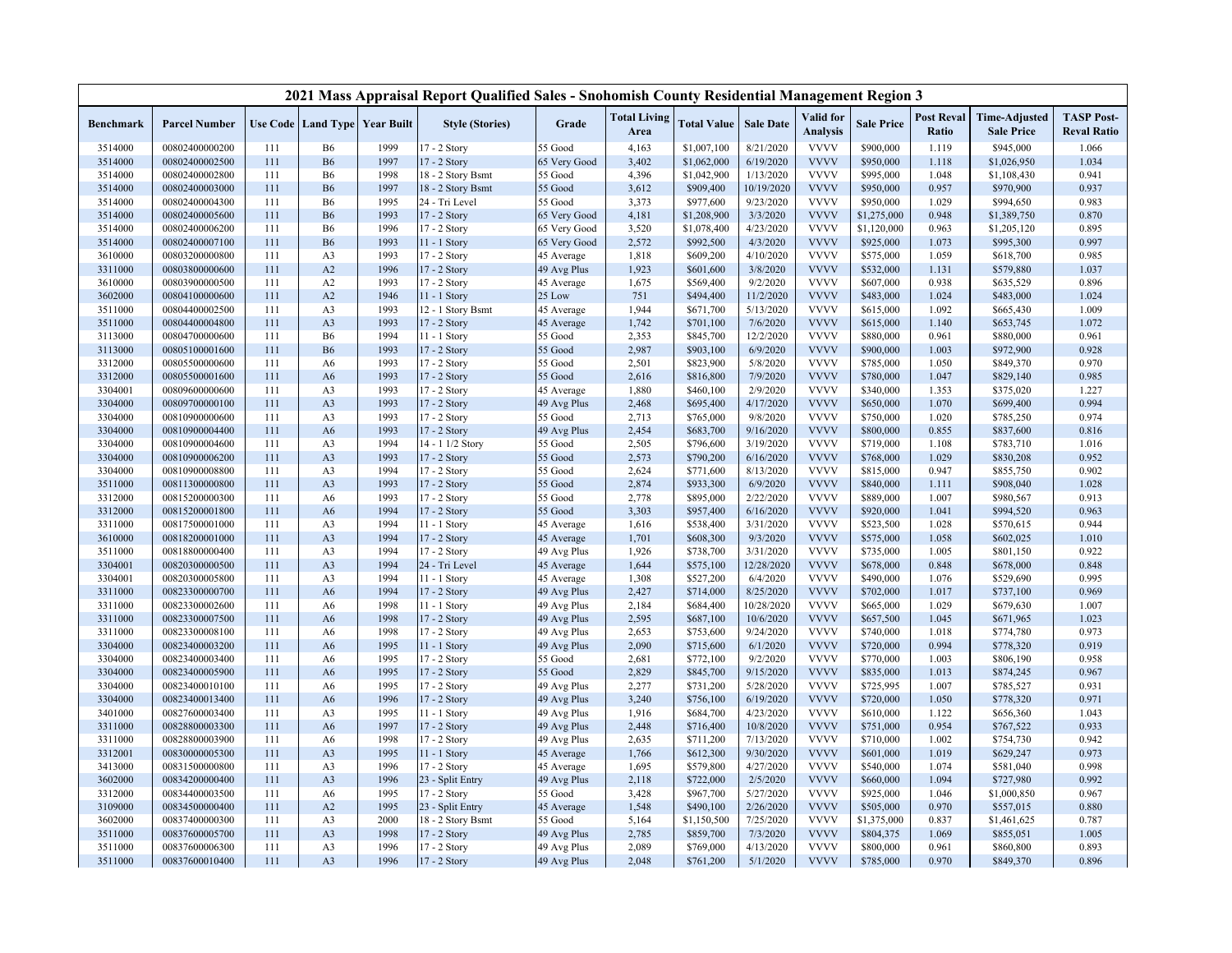|                    |                                  |            |                                  |                               | 2021 Mass Appraisal Report Qualified Sales - Snohomish County Residential Management Region 3 |                    |                             |                        |                        |                              |                        |                            |                                           |                                         |
|--------------------|----------------------------------|------------|----------------------------------|-------------------------------|-----------------------------------------------------------------------------------------------|--------------------|-----------------------------|------------------------|------------------------|------------------------------|------------------------|----------------------------|-------------------------------------------|-----------------------------------------|
| Benchmark          | <b>Parcel Number</b>             |            |                                  | Use Code Land Type Year Built | <b>Style (Stories)</b>                                                                        | Grade              | <b>Total Living</b><br>Area | <b>Total Value</b>     | <b>Sale Date</b>       | Valid for<br><b>Analysis</b> | <b>Sale Price</b>      | <b>Post Reval</b><br>Ratio | <b>Time-Adjusted</b><br><b>Sale Price</b> | <b>TASP Post-</b><br><b>Reval Ratio</b> |
| 3514000            | 00802400000200                   | 111        | <b>B6</b>                        | 1999                          | 17 - 2 Story                                                                                  | 55 Good            | 4,163                       | \$1,007,100            | 8/21/2020              | <b>VVVV</b>                  | \$900,000              | 1.119                      | \$945,000                                 | 1.066                                   |
| 3514000            | 00802400002500                   | 111        | <b>B6</b>                        | 1997                          | 17 - 2 Story                                                                                  | 65 Very Good       | 3,402                       | \$1,062,000            | 6/19/2020              | <b>VVVV</b>                  | \$950,000              | 1.118                      | \$1,026,950                               | 1.034                                   |
| 3514000            | 00802400002800                   | 111        | <b>B6</b>                        | 1998                          | 18 - 2 Story Bsmt                                                                             | 55 Good            | 4,396                       | \$1,042,900            | 1/13/2020              | <b>VVVV</b>                  | \$995,000              | 1.048                      | \$1,108,430                               | 0.941                                   |
| 3514000            | 00802400003000                   | 111        | <b>B6</b>                        | 1997                          | 18 - 2 Story Bsmt                                                                             | 55 Good            | 3,612                       | \$909,400              | 10/19/2020             | <b>VVVV</b>                  | \$950,000              | 0.957                      | \$970,900                                 | 0.937                                   |
| 3514000            | 00802400004300                   | 111        | <b>B6</b>                        | 1995                          | 24 - Tri Level                                                                                | 55 Good            | 3,373                       | \$977,600              | 9/23/2020              | <b>VVVV</b>                  | \$950,000              | 1.029                      | \$994,650                                 | 0.983                                   |
| 3514000            | 00802400005600                   | 111        | <b>B6</b>                        | 1993                          | 17 - 2 Story                                                                                  | 65 Very Good       | 4,181                       | \$1,208,900            | 3/3/2020               | <b>VVVV</b>                  | \$1,275,000            | 0.948                      | \$1,389,750                               | 0.870                                   |
| 3514000            | 00802400006200                   | 111        | <b>B6</b>                        | 1996                          | 17 - 2 Story                                                                                  | 65 Very Good       | 3,520                       | \$1,078,400            | 4/23/2020              | <b>VVVV</b>                  | \$1,120,000            | 0.963                      | \$1,205,120                               | 0.895                                   |
| 3514000            | 00802400007100                   | 111        | <b>B6</b>                        | 1993                          | $11 - 1$ Story                                                                                | 65 Very Good       | 2,572                       | \$992,500              | 4/3/2020               | <b>VVVV</b>                  | \$925,000              | 1.073                      | \$995,300                                 | 0.997                                   |
| 3610000            | 00803200000800                   | 111        | A <sub>3</sub>                   | 1993                          | 17 - 2 Story                                                                                  | 45 Average         | 1,818                       | \$609,200              | 4/10/2020              | <b>VVVV</b>                  | \$575,000              | 1.059                      | \$618,700                                 | 0.985                                   |
| 3311000            | 00803800000600                   | 111        | A2                               | 1996                          | 17 - 2 Story                                                                                  | 49 Avg Plus        | 1,923                       | \$601,600              | 3/8/2020               | <b>VVVV</b>                  | \$532,000              | 1.131                      | \$579,880                                 | 1.037                                   |
| 3610000            | 00803900000500                   | 111        | A <sub>2</sub>                   | 1993                          | 17 - 2 Story                                                                                  | 45 Average         | 1,675                       | \$569,400              | 9/2/2020               | <b>VVVV</b>                  | \$607,000              | 0.938                      | \$635,529                                 | 0.896                                   |
| 3602000            | 00804100000600                   | 111        | A2                               | 1946                          | 11 - 1 Story                                                                                  | 25 Low             | 751                         | \$494,400              | 11/2/2020              | <b>VVVV</b>                  | \$483,000              | 1.024                      | \$483,000                                 | 1.024                                   |
| 3511000            | 00804400002500                   | 111        | A <sub>3</sub>                   | 1993                          | 12 - 1 Story Bsmt                                                                             | 45 Average         | 1,944                       | \$671,700              | 5/13/2020              | <b>VVVV</b>                  | \$615,000              | 1.092                      | \$665,430                                 | 1.009                                   |
| 3511000            | 00804400004800                   | 111        | A <sub>3</sub>                   | 1993                          | 17 - 2 Story                                                                                  | 45 Average         | 1,742                       | \$701,100              | 7/6/2020               | <b>VVVV</b>                  | \$615,000              | 1.140                      | \$653,745                                 | 1.072                                   |
| 3113000            | 00804700000600                   | 111        | <b>B6</b>                        | 1994                          | 11 - 1 Story                                                                                  | 55 Good            | 2,353                       | \$845,700              | 12/2/2020              | <b>VVVV</b>                  | \$880,000              | 0.961                      | \$880,000                                 | 0.961                                   |
| 3113000            | 00805100001600                   | 111        | <b>B6</b>                        | 1993                          | 17 - 2 Story                                                                                  | 55 Good            | 2,987                       | \$903,100              | 6/9/2020               | <b>VVVV</b>                  | \$900,000              | 1.003                      | \$972,900                                 | 0.928                                   |
| 3312000            | 00805500000600                   | 111        | A6                               | 1993                          | 17 - 2 Story                                                                                  | 55 Good            | 2,501                       | \$823,900              | 5/8/2020               | <b>VVVV</b>                  | \$785,000              | 1.050                      | \$849,370                                 | 0.970                                   |
| 3312000            | 00805500001600                   | 111        | A6                               | 1993                          | 17 - 2 Story                                                                                  | 55 Good            | 2,616                       | \$816,800              | 7/9/2020               | <b>VVVV</b>                  | \$780,000              | 1.047                      | \$829,140                                 | 0.985                                   |
| 3304001            | 00809600000600                   | 111        | A <sub>3</sub>                   | 1993                          | 17 - 2 Story                                                                                  | 45 Average         | 1,880                       | \$460,100              | 2/9/2020               | <b>VVVV</b>                  | \$340,000              | 1.353                      | \$375,020                                 | 1.227                                   |
| 3304000            | 00809700000100                   | 111        | A <sub>3</sub>                   | 1993                          | 17 - 2 Story                                                                                  | 49 Avg Plus        | 2,468                       | \$695,400              | 4/17/2020              | <b>VVVV</b>                  | \$650,000              | 1.070                      | \$699,400                                 | 0.994                                   |
| 3304000            | 00810900000600                   | 111        | A <sub>3</sub>                   | 1993                          | 17 - 2 Story                                                                                  | 55 Good            | 2,713                       | \$765,000              | 9/8/2020               | <b>VVVV</b>                  | \$750,000              | 1.020                      | \$785,250                                 | 0.974                                   |
| 3304000            | 00810900004400                   | 111        | A6                               | 1993                          | 17 - 2 Story                                                                                  | 49 Avg Plus        | 2,454                       | \$683,700              | 9/16/2020              | <b>VVVV</b>                  | \$800,000              | 0.855                      | \$837,600                                 | 0.816                                   |
| 3304000            | 00810900004600                   | 111        | A <sub>3</sub>                   | 1994                          | 14 - 1 1/2 Story                                                                              | 55 Good            | 2,505                       | \$796,600              | 3/19/2020              | <b>VVVV</b>                  | \$719,000              | 1.108                      | \$783,710                                 | 1.016                                   |
| 3304000            | 00810900006200<br>00810900008800 | 111<br>111 | A <sub>3</sub><br>A <sub>3</sub> | 1993<br>1994                  | 17 - 2 Story                                                                                  | 55 Good<br>55 Good | 2,573<br>2,624              | \$790,200<br>\$771,600 | 6/16/2020<br>8/13/2020 | <b>VVVV</b><br><b>VVVV</b>   | \$768,000<br>\$815,000 | 1.029<br>0.947             | \$830,208<br>\$855,750                    | 0.952<br>0.902                          |
| 3304000<br>3511000 | 00811300000800                   | 111        | A <sub>3</sub>                   | 1993                          | 17 - 2 Story<br>17 - 2 Story                                                                  | 55 Good            | 2,874                       | \$933,300              | 6/9/2020               | <b>VVVV</b>                  | \$840,000              | 1.111                      | \$908,040                                 | 1.028                                   |
| 3312000            | 00815200000300                   | 111        | A6                               | 1993                          | 17 - 2 Story                                                                                  | 55 Good            | 2,778                       | \$895,000              | 2/22/2020              | <b>VVVV</b>                  | \$889,000              | 1.007                      | \$980,567                                 | 0.913                                   |
| 3312000            | 00815200001800                   | 111        | A <sub>6</sub>                   | 1994                          | 17 - 2 Story                                                                                  | 55 Good            | 3,303                       | \$957,400              | 6/16/2020              | <b>VVVV</b>                  | \$920,000              | 1.041                      | \$994,520                                 | 0.963                                   |
| 3311000            | 00817500001000                   | 111        | A <sub>3</sub>                   | 1994                          | 11 - 1 Story                                                                                  | 45 Average         | 1,616                       | \$538,400              | 3/31/2020              | <b>VVVV</b>                  | \$523,500              | 1.028                      | \$570,615                                 | 0.944                                   |
| 3610000            | 00818200001000                   | 111        | A <sub>3</sub>                   | 1994                          | 17 - 2 Story                                                                                  | 45 Average         | 1,701                       | \$608,300              | 9/3/2020               | <b>VVVV</b>                  | \$575,000              | 1.058                      | \$602,025                                 | 1.010                                   |
| 3511000            | 00818800000400                   | 111        | A <sub>3</sub>                   | 1994                          | 17 - 2 Story                                                                                  | 49 Avg Plus        | 1,926                       | \$738,700              | 3/31/2020              | <b>VVVV</b>                  | \$735,000              | 1.005                      | \$801,150                                 | 0.922                                   |
| 3304001            | 00820300000500                   | 111        | A <sub>3</sub>                   | 1994                          | 24 - Tri Level                                                                                | 45 Average         | 1,644                       | \$575,100              | 12/28/2020             | <b>VVVV</b>                  | \$678,000              | 0.848                      | \$678,000                                 | 0.848                                   |
| 3304001            | 00820300005800                   | 111        | A <sub>3</sub>                   | 1994                          | 11 - 1 Story                                                                                  | 45 Average         | 1,308                       | \$527,200              | 6/4/2020               | <b>VVVV</b>                  | \$490,000              | 1.076                      | \$529,690                                 | 0.995                                   |
| 3311000            | 00823300000700                   | 111        | A6                               | 1994                          | 17 - 2 Story                                                                                  | 49 Avg Plus        | 2,427                       | \$714,000              | 8/25/2020              | <b>VVVV</b>                  | \$702,000              | 1.017                      | \$737,100                                 | 0.969                                   |
| 3311000            | 00823300002600                   | 111        | A <sub>6</sub>                   | 1998                          | 11 - 1 Story                                                                                  | 49 Avg Plus        | 2,184                       | \$684,400              | 10/28/2020             | <b>VVVV</b>                  | \$665,000              | 1.029                      | \$679,630                                 | 1.007                                   |
| 3311000            | 00823300007500                   | 111        | A <sub>6</sub>                   | 1998                          | 17 - 2 Story                                                                                  | 49 Avg Plus        | 2,595                       | \$687,100              | 10/6/2020              | <b>VVVV</b>                  | \$657,500              | 1.045                      | \$671,965                                 | 1.023                                   |
| 3311000            | 00823300008100                   | 111        | A <sub>6</sub>                   | 1998                          | 17 - 2 Story                                                                                  | 49 Avg Plus        | 2,653                       | \$753,600              | 9/24/2020              | <b>VVVV</b>                  | \$740,000              | 1.018                      | \$774,780                                 | 0.973                                   |
| 3304000            | 00823400003200                   | 111        | A6                               | 1995                          | 11 - 1 Story                                                                                  | 49 Avg Plus        | 2,090                       | \$715,600              | 6/1/2020               | <b>VVVV</b>                  | \$720,000              | 0.994                      | \$778,320                                 | 0.919                                   |
| 3304000            | 00823400003400                   | 111        | A6                               | 1995                          | 17 - 2 Story                                                                                  | 55 Good            | 2,681                       | \$772,100              | 9/2/2020               | <b>VVVV</b>                  | \$770,000              | 1.003                      | \$806,190                                 | 0.958                                   |
| 3304000            | 00823400005900                   | 111        | A <sub>6</sub>                   | 1995                          | 17 - 2 Story                                                                                  | 55 Good            | 2,829                       | \$845,700              | 9/15/2020              | <b>VVVV</b>                  | \$835,000              | 1.013                      | \$874,245                                 | 0.967                                   |
| 3304000            | 00823400010100                   | 111        | A6                               | 1995                          | 17 - 2 Story                                                                                  | 49 Avg Plus        | 2,277                       | \$731,200              | 5/28/2020              | <b>VVVV</b>                  | \$725,995              | 1.007                      | \$785,527                                 | 0.931                                   |
| 3304000            | 00823400013400                   | 111        | A <sub>6</sub>                   | 1996                          | 17 - 2 Story                                                                                  | 49 Avg Plus        | 3,240                       | \$756,100              | 6/19/2020              | <b>VVVV</b>                  | \$720,000              | 1.050                      | \$778,320                                 | 0.971                                   |
| 3401000            | 00827600003400                   | 111        | A <sub>3</sub>                   | 1995                          | 11 - 1 Story                                                                                  | 49 Avg Plus        | 1,916                       | \$684,700              | 4/23/2020              | <b>VVVV</b>                  | \$610,000              | 1.122                      | \$656,360                                 | 1.043                                   |
| 3311000            | 00828800003300                   | 111        | A6                               | 1997                          | 17 - 2 Story                                                                                  | 49 Avg Plus        | 2,448                       | \$716,400              | 10/8/2020              | <b>VVVV</b>                  | \$751,000              | 0.954                      | \$767,522                                 | 0.933                                   |
| 3311000            | 00828800003900                   | 111        | A6                               | 1998                          | 17 - 2 Story                                                                                  | 49 Avg Plus        | 2,635                       | \$711,200              | 7/13/2020              | <b>VVVV</b>                  | \$710,000              | 1.002                      | \$754,730                                 | 0.942                                   |
| 3312001            | 00830000005300                   | 111        | A <sub>3</sub>                   | 1995                          | $11 - 1$ Story                                                                                | 45 Average         | 1,766                       | \$612,300              | 9/30/2020              | <b>VVVV</b>                  | \$601,000              | 1.019                      | \$629,247                                 | 0.973                                   |
| 3413000            | 00831500000800                   | 111        | A <sub>3</sub>                   | 1996                          | 17 - 2 Story                                                                                  | 45 Average         | 1,695                       | \$579,800              | 4/27/2020              | <b>VVVV</b>                  | \$540,000              | 1.074                      | \$581,040                                 | 0.998                                   |
| 3602000            | 00834200000400                   | 111        | A <sub>3</sub>                   | 1996                          | 23 - Split Entry                                                                              | 49 Avg Plus        | 2,118                       | \$722,000              | 2/5/2020               | <b>VVVV</b>                  | \$660,000              | 1.094                      | \$727,980                                 | 0.992                                   |
| 3312000            | 00834400003500                   | 111        | A <sub>6</sub>                   | 1995                          | 17 - 2 Story                                                                                  | 55 Good            | 3,428                       | \$967,700              | 5/27/2020              | <b>VVVV</b>                  | \$925,000              | 1.046                      | \$1,000,850                               | 0.967                                   |
| 3109000            | 00834500000400                   | 111        | A2                               | 1995                          | 23 - Split Entry                                                                              | 45 Average         | 1,548                       | \$490,100              | 2/26/2020              | <b>VVVV</b>                  | \$505,000              | 0.970                      | \$557,015                                 | 0.880                                   |
| 3602000            | 00837400000300                   | 111        | A <sub>3</sub>                   | 2000                          | 18 - 2 Story Bsmt                                                                             | 55 Good            | 5,164                       | \$1,150,500            | 7/25/2020              | <b>VVVV</b>                  | \$1,375,000            | 0.837                      | \$1,461,625                               | 0.787                                   |
| 3511000            | 00837600005700                   | 111        | A <sub>3</sub>                   | 1998                          | 17 - 2 Story                                                                                  | 49 Avg Plus        | 2,785                       | \$859,700              | 7/3/2020               | <b>VVVV</b>                  | \$804,375              | 1.069                      | \$855,051                                 | 1.005                                   |
| 3511000            | 00837600006300                   | 111        | A <sub>3</sub>                   | 1996                          | 17 - 2 Story                                                                                  | 49 Avg Plus        | 2,089                       | \$769,000              | 4/13/2020              | <b>VVVV</b>                  | \$800,000              | 0.961                      | \$860,800                                 | 0.893                                   |
| 3511000            | 00837600010400                   | 111        | A <sub>3</sub>                   | 1996                          | 17 - 2 Story                                                                                  | 49 Avg Plus        | 2,048                       | \$761,200              | 5/1/2020               | <b>VVVV</b>                  | \$785,000              | 0.970                      | \$849,370                                 | 0.896                                   |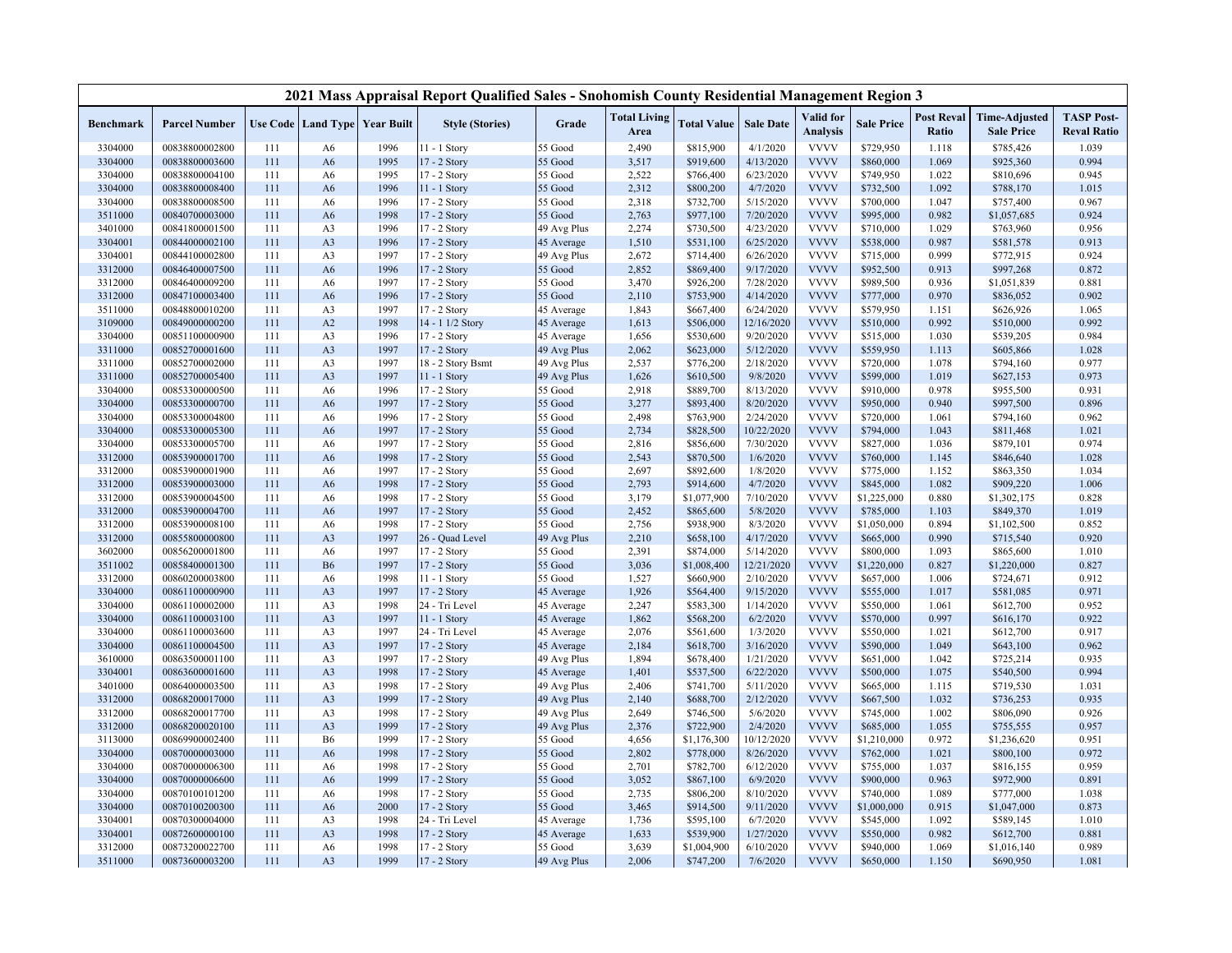|                  |                      |     |                |                                          | 2021 Mass Appraisal Report Qualified Sales - Snohomish County Residential Management Region 3 |             |                             |                    |                  |                              |                   |                            |                                           |                                         |
|------------------|----------------------|-----|----------------|------------------------------------------|-----------------------------------------------------------------------------------------------|-------------|-----------------------------|--------------------|------------------|------------------------------|-------------------|----------------------------|-------------------------------------------|-----------------------------------------|
| <b>Benchmark</b> | <b>Parcel Number</b> |     |                | <b>Use Code   Land Type   Year Built</b> | <b>Style (Stories)</b>                                                                        | Grade       | <b>Total Living</b><br>Area | <b>Total Value</b> | <b>Sale Date</b> | Valid for<br><b>Analysis</b> | <b>Sale Price</b> | <b>Post Reval</b><br>Ratio | <b>Time-Adjusted</b><br><b>Sale Price</b> | <b>TASP Post-</b><br><b>Reval Ratio</b> |
| 3304000          | 00838800002800       | 111 | A6             | 1996                                     | 11 - 1 Story                                                                                  | 55 Good     | 2,490                       | \$815,900          | 4/1/2020         | <b>VVVV</b>                  | \$729,950         | 1.118                      | \$785,426                                 | 1.039                                   |
| 3304000          | 00838800003600       | 111 | A <sub>6</sub> | 1995                                     | 17 - 2 Story                                                                                  | 55 Good     | 3,517                       | \$919,600          | 4/13/2020        | <b>VVVV</b>                  | \$860,000         | 1.069                      | \$925,360                                 | 0.994                                   |
| 3304000          | 00838800004100       | 111 | A6             | 1995                                     | 17 - 2 Story                                                                                  | 55 Good     | 2,522                       | \$766,400          | 6/23/2020        | <b>VVVV</b>                  | \$749,950         | 1.022                      | \$810,696                                 | 0.945                                   |
| 3304000          | 00838800008400       | 111 | A <sub>6</sub> | 1996                                     | $11 - 1$ Story                                                                                | 55 Good     | 2,312                       | \$800,200          | 4/7/2020         | <b>VVVV</b>                  | \$732,500         | 1.092                      | \$788,170                                 | 1.015                                   |
| 3304000          | 00838800008500       | 111 | A6             | 1996                                     | 17 - 2 Story                                                                                  | 55 Good     | 2,318                       | \$732,700          | 5/15/2020        | <b>VVVV</b>                  | \$700,000         | 1.047                      | \$757,400                                 | 0.967                                   |
| 3511000          | 00840700003000       | 111 | A <sub>6</sub> | 1998                                     | 17 - 2 Story                                                                                  | 55 Good     | 2,763                       | \$977,100          | 7/20/2020        | <b>VVVV</b>                  | \$995,000         | 0.982                      | \$1,057,685                               | 0.924                                   |
| 3401000          | 00841800001500       | 111 | A3             | 1996                                     | 17 - 2 Story                                                                                  | 49 Avg Plus | 2,274                       | \$730,500          | 4/23/2020        | <b>VVVV</b>                  | \$710,000         | 1.029                      | \$763,960                                 | 0.956                                   |
| 3304001          | 00844000002100       | 111 | A <sub>3</sub> | 1996                                     | 17 - 2 Story                                                                                  | 45 Average  | 1,510                       | \$531,100          | 6/25/2020        | <b>VVVV</b>                  | \$538,000         | 0.987                      | \$581,578                                 | 0.913                                   |
| 3304001          | 00844100002800       | 111 | A3             | 1997                                     | 17 - 2 Story                                                                                  | 49 Avg Plus | 2,672                       | \$714,400          | 6/26/2020        | <b>VVVV</b>                  | \$715,000         | 0.999                      | \$772,915                                 | 0.924                                   |
| 3312000          | 00846400007500       | 111 | A <sub>6</sub> | 1996                                     | 17 - 2 Story                                                                                  | 55 Good     | 2,852                       | \$869,400          | 9/17/2020        | <b>VVVV</b>                  | \$952,500         | 0.913                      | \$997,268                                 | 0.872                                   |
| 3312000          | 00846400009200       | 111 | A <sub>6</sub> | 1997                                     | 17 - 2 Story                                                                                  | 55 Good     | 3,470                       | \$926,200          | 7/28/2020        | <b>VVVV</b>                  | \$989,500         | 0.936                      | \$1,051,839                               | 0.881                                   |
| 3312000          | 00847100003400       | 111 | A <sub>6</sub> | 1996                                     | 17 - 2 Story                                                                                  | 55 Good     | 2,110                       | \$753,900          | 4/14/2020        | <b>VVVV</b>                  | \$777,000         | 0.970                      | \$836,052                                 | 0.902                                   |
| 3511000          | 00848800010200       | 111 | A3             | 1997                                     | 17 - 2 Story                                                                                  | 45 Average  | 1,843                       | \$667,400          | 6/24/2020        | <b>VVVV</b>                  | \$579,950         | 1.151                      | \$626,926                                 | 1.065                                   |
| 3109000          | 00849000000200       | 111 | A2             | 1998                                     | 14 - 1 1/2 Story                                                                              | 45 Average  | 1,613                       | \$506,000          | 12/16/2020       | <b>VVVV</b>                  | \$510,000         | 0.992                      | \$510,000                                 | 0.992                                   |
| 3304000          | 00851100000900       | 111 | A <sub>3</sub> | 1996                                     | 17 - 2 Story                                                                                  | 45 Average  | 1,656                       | \$530,600          | 9/20/2020        | <b>VVVV</b>                  | \$515,000         | 1.030                      | \$539,205                                 | 0.984                                   |
| 3311000          | 00852700001600       | 111 | A <sub>3</sub> | 1997                                     | 17 - 2 Story                                                                                  | 49 Avg Plus | 2,062                       | \$623,000          | 5/12/2020        | <b>VVVV</b>                  | \$559,950         | 1.113                      | \$605,866                                 | 1.028                                   |
| 3311000          | 00852700002000       | 111 | A3             | 1997                                     | 18 - 2 Story Bsmt                                                                             | 49 Avg Plus | 2,537                       | \$776,200          | 2/18/2020        | <b>VVVV</b>                  | \$720,000         | 1.078                      | \$794,160                                 | 0.977                                   |
| 3311000          | 00852700005400       | 111 | A3             | 1997                                     | 11 - 1 Story                                                                                  | 49 Avg Plus | 1,626                       | \$610,500          | 9/8/2020         | <b>VVVV</b>                  | \$599,000         | 1.019                      | \$627,153                                 | 0.973                                   |
| 3304000          | 00853300000500       | 111 | A <sub>6</sub> | 1996                                     | $17 - 2$ Story                                                                                | 55 Good     | 2,918                       | \$889,700          | 8/13/2020        | <b>VVVV</b>                  | \$910,000         | 0.978                      | \$955,500                                 | 0.931                                   |
| 3304000          | 00853300000700       | 111 | A <sub>6</sub> | 1997                                     | 17 - 2 Story                                                                                  | 55 Good     | 3,277                       | \$893,400          | 8/20/2020        | <b>VVVV</b>                  | \$950,000         | 0.940                      | \$997,500                                 | 0.896                                   |
| 3304000          | 00853300004800       | 111 | A6             | 1996                                     | 17 - 2 Story                                                                                  | 55 Good     | 2,498                       | \$763,900          | 2/24/2020        | <b>VVVV</b>                  | \$720,000         | 1.061                      | \$794,160                                 | 0.962                                   |
| 3304000          | 00853300005300       | 111 | A <sub>6</sub> | 1997                                     | 17 - 2 Story                                                                                  | 55 Good     | 2,734                       | \$828,500          | 10/22/2020       | <b>VVVV</b>                  | \$794,000         | 1.043                      | \$811,468                                 | 1.021                                   |
| 3304000          | 00853300005700       | 111 | A <sub>6</sub> | 1997                                     | 17 - 2 Story                                                                                  | 55 Good     | 2,816                       | \$856,600          | 7/30/2020        | <b>VVVV</b>                  | \$827,000         | 1.036                      | \$879,101                                 | 0.974                                   |
| 3312000          | 00853900001700       | 111 | A <sub>6</sub> | 1998                                     | 17 - 2 Story                                                                                  | 55 Good     | 2,543                       | \$870,500          | 1/6/2020         | <b>VVVV</b>                  | \$760,000         | 1.145                      | \$846,640                                 | 1.028                                   |
| 3312000          | 00853900001900       | 111 | A <sub>6</sub> | 1997                                     | 17 - 2 Story                                                                                  | 55 Good     | 2,697                       | \$892,600          | 1/8/2020         | <b>VVVV</b>                  | \$775,000         | 1.152                      | \$863,350                                 | 1.034                                   |
| 3312000          | 00853900003000       | 111 | A <sub>6</sub> | 1998                                     | 17 - 2 Story                                                                                  | 55 Good     | 2,793                       | \$914,600          | 4/7/2020         | <b>VVVV</b>                  | \$845,000         | 1.082                      | \$909,220                                 | 1.006                                   |
| 3312000          | 00853900004500       | 111 | A <sub>6</sub> | 1998                                     | 17 - 2 Story                                                                                  | 55 Good     | 3,179                       | \$1,077,900        | 7/10/2020        | <b>VVVV</b>                  | \$1,225,000       | 0.880                      | \$1,302,175                               | 0.828                                   |
| 3312000          | 00853900004700       | 111 | A <sub>6</sub> | 1997                                     | $17 - 2$ Story                                                                                | 55 Good     | 2,452                       | \$865,600          | 5/8/2020         | <b>VVVV</b>                  | \$785,000         | 1.103                      | \$849,370                                 | 1.019                                   |
| 3312000          | 00853900008100       | 111 | A <sub>6</sub> | 1998                                     | 17 - 2 Story                                                                                  | 55 Good     | 2,756                       | \$938,900          | 8/3/2020         | <b>VVVV</b>                  | \$1,050,000       | 0.894                      | \$1,102,500                               | 0.852                                   |
| 3312000          | 00855800000800       | 111 | A <sub>3</sub> | 1997                                     | 26 - Quad Level                                                                               | 49 Avg Plus | 2,210                       | \$658,100          | 4/17/2020        | <b>VVVV</b>                  | \$665,000         | 0.990                      | \$715,540                                 | 0.920                                   |
| 3602000          | 00856200001800       | 111 | A <sub>6</sub> | 1997                                     | 17 - 2 Story                                                                                  | 55 Good     | 2,391                       | \$874,000          | 5/14/2020        | <b>VVVV</b>                  | \$800,000         | 1.093                      | \$865,600                                 | 1.010                                   |
| 3511002          | 00858400001300       | 111 | <b>B6</b>      | 1997                                     | 17 - 2 Story                                                                                  | 55 Good     | 3,036                       | \$1,008,400        | 12/21/2020       | <b>VVVV</b>                  | \$1,220,000       | 0.827                      | \$1,220,000                               | 0.827                                   |
| 3312000          | 00860200003800       | 111 | A <sub>6</sub> | 1998                                     | 11 - 1 Story                                                                                  | 55 Good     | 1,527                       | \$660,900          | 2/10/2020        | <b>VVVV</b>                  | \$657,000         | 1.006                      | \$724,671                                 | 0.912                                   |
| 3304000          | 00861100000900       | 111 | A <sub>3</sub> | 1997                                     | 17 - 2 Story                                                                                  | 45 Average  | 1,926                       | \$564,400          | 9/15/2020        | <b>VVVV</b>                  | \$555,000         | 1.017                      | \$581,085                                 | 0.971                                   |
| 3304000          | 00861100002000       | 111 | A <sub>3</sub> | 1998                                     | 24 - Tri Level                                                                                | 45 Average  | 2,247                       | \$583,300          | 1/14/2020        | <b>VVVV</b>                  | \$550,000         | 1.061                      | \$612,700                                 | 0.952                                   |
| 3304000          | 00861100003100       | 111 | A3             | 1997                                     | 11 - 1 Story                                                                                  | 45 Average  | 1,862                       | \$568,200          | 6/2/2020         | <b>VVVV</b>                  | \$570,000         | 0.997                      | \$616,170                                 | 0.922                                   |
| 3304000          | 00861100003600       | 111 | A <sub>3</sub> | 1997                                     | 24 - Tri Level                                                                                | 45 Average  | 2,076                       | \$561,600          | 1/3/2020         | <b>VVVV</b>                  | \$550,000         | 1.021                      | \$612,700                                 | 0.917                                   |
| 3304000          | 00861100004500       | 111 | A3             | 1997                                     | 17 - 2 Story                                                                                  | 45 Average  | 2,184                       | \$618,700          | 3/16/2020        | <b>VVVV</b>                  | \$590,000         | 1.049                      | \$643,100                                 | 0.962                                   |
| 3610000          | 00863500001100       | 111 | A <sub>3</sub> | 1997                                     | 17 - 2 Story                                                                                  | 49 Avg Plus | 1,894                       | \$678,400          | 1/21/2020        | <b>VVVV</b>                  | \$651,000         | 1.042                      | \$725,214                                 | 0.935                                   |
| 3304001          | 00863600001600       | 111 | A <sub>3</sub> | 1998                                     | 17 - 2 Story                                                                                  | 45 Average  | 1,401                       | \$537,500          | 6/22/2020        | <b>VVVV</b>                  | \$500,000         | 1.075                      | \$540,500                                 | 0.994                                   |
| 3401000          | 00864000003500       | 111 | A3             | 1998                                     | 17 - 2 Story                                                                                  | 49 Avg Plus | 2,406                       | \$741,700          | 5/11/2020        | <b>VVVV</b>                  | \$665,000         | 1.115                      | \$719,530                                 | 1.031                                   |
| 3312000          | 00868200017000       | 111 | A3             | 1999                                     | 17 - 2 Story                                                                                  | 49 Avg Plus | 2,140                       | \$688,700          | 2/12/2020        | <b>VVVV</b>                  | \$667,500         | 1.032                      | \$736,253                                 | 0.935                                   |
| 3312000          | 00868200017700       | 111 | A3             | 1998                                     | 17 - 2 Story                                                                                  | 49 Avg Plus | 2,649                       | \$746,500          | 5/6/2020         | <b>VVVV</b>                  | \$745,000         | 1.002                      | \$806,090                                 | 0.926                                   |
| 3312000          | 00868200020100       | 111 | A3             | 1999                                     | 17 - 2 Story                                                                                  | 49 Avg Plus | 2,376                       | \$722,900          | 2/4/2020         | <b>VVVV</b>                  | \$685,000         | 1.055                      | \$755,555                                 | 0.957                                   |
| 3113000          | 00869900002400       | 111 | <b>B6</b>      | 1999                                     | 17 - 2 Story                                                                                  | 55 Good     | 4,656                       | \$1,176,300        | 10/12/2020       | <b>VVVV</b>                  | \$1,210,000       | 0.972                      | \$1,236,620                               | 0.951                                   |
| 3304000          | 00870000003000       | 111 | A <sub>6</sub> | 1998                                     | $17 - 2$ Story                                                                                | 55 Good     | 2,802                       | \$778,000          | 8/26/2020        | <b>VVVV</b>                  | \$762,000         | 1.021                      | \$800,100                                 | 0.972                                   |
| 3304000          | 00870000006300       | 111 | A <sub>6</sub> | 1998                                     | 17 - 2 Story                                                                                  | 55 Good     | 2,701                       | \$782,700          | 6/12/2020        | <b>VVVV</b>                  | \$755,000         | 1.037                      | \$816,155                                 | 0.959                                   |
| 3304000          | 00870000006600       | 111 | A <sub>6</sub> | 1999                                     | 17 - 2 Story                                                                                  | 55 Good     | 3,052                       | \$867,100          | 6/9/2020         | <b>VVVV</b>                  | \$900,000         | 0.963                      | \$972,900                                 | 0.891                                   |
| 3304000          | 00870100101200       | 111 | A6             | 1998                                     | 17 - 2 Story                                                                                  | 55 Good     | 2,735                       | \$806,200          | 8/10/2020        | <b>VVVV</b>                  | \$740,000         | 1.089                      | \$777,000                                 | 1.038                                   |
| 3304000          | 00870100200300       | 111 | A <sub>6</sub> | 2000                                     | 17 - 2 Story                                                                                  | 55 Good     | 3,465                       | \$914,500          | 9/11/2020        | <b>VVVV</b>                  | \$1,000,000       | 0.915                      | \$1,047,000                               | 0.873                                   |
| 3304001          | 00870300004000       | 111 | A <sub>3</sub> | 1998                                     | 24 - Tri Level                                                                                | 45 Average  | 1,736                       | \$595,100          | 6/7/2020         | <b>VVVV</b>                  | \$545,000         | 1.092                      | \$589,145                                 | 1.010                                   |
| 3304001          | 00872600000100       | 111 | A <sub>3</sub> | 1998                                     | 17 - 2 Story                                                                                  | 45 Average  | 1,633                       | \$539,900          | 1/27/2020        | <b>VVVV</b>                  | \$550,000         | 0.982                      | \$612,700                                 | 0.881                                   |
| 3312000          | 00873200022700       | 111 | A6             | 1998                                     | 17 - 2 Story                                                                                  | 55 Good     | 3,639                       | \$1,004,900        | 6/10/2020        | <b>VVVV</b>                  | \$940,000         | 1.069                      | \$1,016,140                               | 0.989                                   |
| 3511000          | 00873600003200       | 111 | A3             | 1999                                     | 17 - 2 Story                                                                                  | 49 Avg Plus | 2,006                       | \$747,200          | 7/6/2020         | <b>VVVV</b>                  | \$650,000         | 1.150                      | \$690,950                                 | 1.081                                   |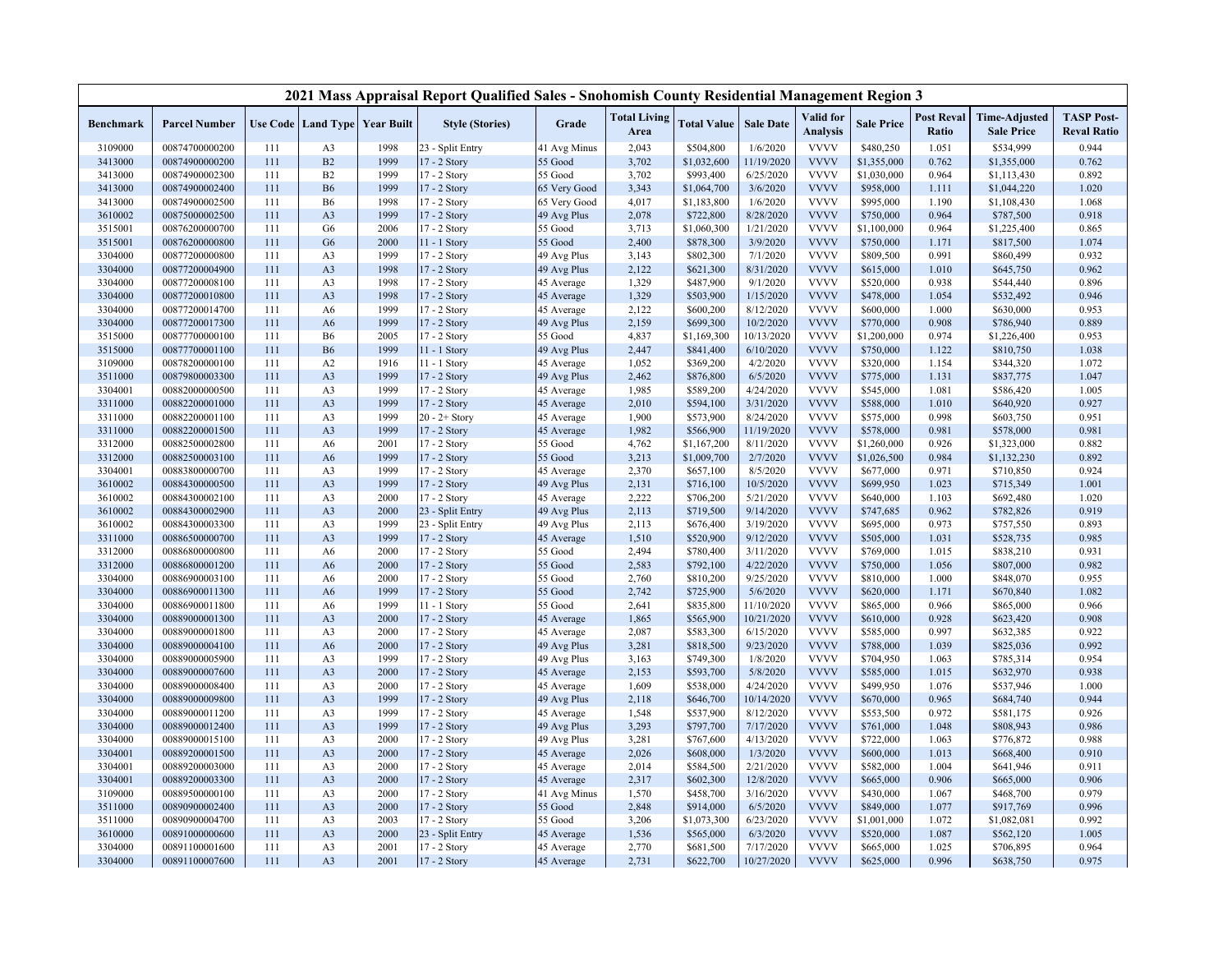|                    |                                  |            |                                  |                                   | 2021 Mass Appraisal Report Qualified Sales - Snohomish County Residential Management Region 3 |                          |                             |                        |                       |                              |                        |                            |                                           |                                         |
|--------------------|----------------------------------|------------|----------------------------------|-----------------------------------|-----------------------------------------------------------------------------------------------|--------------------------|-----------------------------|------------------------|-----------------------|------------------------------|------------------------|----------------------------|-------------------------------------------|-----------------------------------------|
| Benchmark          | <b>Parcel Number</b>             |            |                                  | Use Code   Land Type   Year Built | <b>Style (Stories)</b>                                                                        | Grade                    | <b>Total Living</b><br>Area | <b>Total Value</b>     | <b>Sale Date</b>      | Valid for<br><b>Analysis</b> | <b>Sale Price</b>      | <b>Post Reval</b><br>Ratio | <b>Time-Adjusted</b><br><b>Sale Price</b> | <b>TASP Post-</b><br><b>Reval Ratio</b> |
| 3109000            | 00874700000200                   | 111        | A <sub>3</sub>                   | 1998                              | 23 - Split Entry                                                                              | 41 Avg Minus             | 2,043                       | \$504,800              | 1/6/2020              | <b>VVVV</b>                  | \$480,250              | 1.051                      | \$534,999                                 | 0.944                                   |
| 3413000            | 00874900000200                   | 111        | B2                               | 1999                              | 17 - 2 Story                                                                                  | 55 Good                  | 3,702                       | \$1,032,600            | 11/19/2020            | <b>VVVV</b>                  | \$1,355,000            | 0.762                      | \$1,355,000                               | 0.762                                   |
| 3413000            | 00874900002300                   | 111        | B2                               | 1999                              | 17 - 2 Story                                                                                  | 55 Good                  | 3,702                       | \$993,400              | 6/25/2020             | <b>VVVV</b>                  | \$1,030,000            | 0.964                      | \$1,113,430                               | 0.892                                   |
| 3413000            | 00874900002400                   | 111        | <b>B6</b>                        | 1999                              | 17 - 2 Story                                                                                  | 65 Very Good             | 3,343                       | \$1,064,700            | 3/6/2020              | <b>VVVV</b>                  | \$958,000              | 1.111                      | \$1,044,220                               | 1.020                                   |
| 3413000            | 00874900002500                   | 111        | <b>B6</b>                        | 1998                              | 17 - 2 Story                                                                                  | 65 Very Good             | 4,017                       | \$1,183,800            | 1/6/2020              | <b>VVVV</b>                  | \$995,000              | 1.190                      | \$1,108,430                               | 1.068                                   |
| 3610002            | 00875000002500                   | 111        | A <sub>3</sub>                   | 1999                              | 17 - 2 Story                                                                                  | 49 Avg Plus              | 2,078                       | \$722,800              | 8/28/2020             | <b>VVVV</b>                  | \$750,000              | 0.964                      | \$787,500                                 | 0.918                                   |
| 3515001            | 00876200000700                   | 111        | G <sub>6</sub>                   | 2006                              | 17 - 2 Story                                                                                  | 55 Good                  | 3,713                       | \$1,060,300            | 1/21/2020             | <b>VVVV</b>                  | \$1,100,000            | 0.964                      | \$1,225,400                               | 0.865                                   |
| 3515001            | 00876200000800                   | 111        | G <sub>6</sub>                   | 2000                              | $11 - 1$ Story                                                                                | 55 Good                  | 2,400                       | \$878,300              | 3/9/2020              | <b>VVVV</b>                  | \$750,000              | 1.171                      | \$817,500                                 | 1.074                                   |
| 3304000            | 00877200000800                   | 111        | A <sub>3</sub>                   | 1999                              | 17 - 2 Story                                                                                  | 49 Avg Plus              | 3,143                       | \$802,300              | 7/1/2020              | <b>VVVV</b>                  | \$809,500              | 0.991                      | \$860,499                                 | 0.932                                   |
| 3304000            | 00877200004900                   | 111        | A <sub>3</sub>                   | 1998                              | 17 - 2 Story                                                                                  | 49 Avg Plus              | 2,122                       | \$621,300              | 8/31/2020             | <b>VVVV</b>                  | \$615,000              | 1.010                      | \$645,750                                 | 0.962                                   |
| 3304000            | 00877200008100                   | 111        | A <sub>3</sub>                   | 1998                              | 17 - 2 Story                                                                                  | 45 Average               | 1,329                       | \$487,900              | 9/1/2020              | <b>VVVV</b>                  | \$520,000              | 0.938                      | \$544,440                                 | 0.896                                   |
| 3304000            | 00877200010800                   | 111        | A <sub>3</sub>                   | 1998                              | 17 - 2 Story                                                                                  | 45 Average               | 1,329                       | \$503,900              | 1/15/2020             | <b>VVVV</b>                  | \$478,000              | 1.054                      | \$532,492                                 | 0.946                                   |
| 3304000            | 00877200014700                   | 111        | A <sub>6</sub>                   | 1999                              | 17 - 2 Story                                                                                  | 45 Average               | 2,122                       | \$600,200              | 8/12/2020             | <b>VVVV</b>                  | \$600,000              | 1.000                      | \$630,000                                 | 0.953                                   |
| 3304000            | 00877200017300                   | 111        | A6                               | 1999                              | 17 - 2 Story                                                                                  | 49 Avg Plus              | 2,159                       | \$699,300              | 10/2/2020             | <b>VVVV</b>                  | \$770,000              | 0.908                      | \$786,940                                 | 0.889                                   |
| 3515000            | 00877700000100                   | 111        | <b>B6</b>                        | 2005                              | 17 - 2 Story                                                                                  | 55 Good                  | 4,837                       | \$1,169,300            | 10/13/2020            | <b>VVVV</b>                  | \$1,200,000            | 0.974                      | \$1,226,400                               | 0.953                                   |
| 3515000            | 00877700001100                   | 111        | <b>B6</b>                        | 1999                              | 11 - 1 Story                                                                                  | 49 Avg Plus              | 2,447                       | \$841,400              | 6/10/2020             | <b>VVVV</b>                  | \$750,000              | 1.122                      | \$810,750                                 | 1.038                                   |
| 3109000            | 00878200000100                   | 111        | A2                               | 1916                              | 11 - 1 Story                                                                                  | 45 Average               | 1,052                       | \$369,200              | 4/2/2020              | <b>VVVV</b>                  | \$320,000              | 1.154                      | \$344,320                                 | 1.072                                   |
| 3511000            | 00879800003300                   | 111        | A <sub>3</sub>                   | 1999                              | 17 - 2 Story                                                                                  | 49 Avg Plus              | 2,462                       | \$876,800              | 6/5/2020              | <b>VVVV</b>                  | \$775,000              | 1.131                      | \$837,775                                 | 1.047                                   |
| 3304001            | 00882000000500                   | 111        | A <sub>3</sub>                   | 1999                              | 17 - 2 Story                                                                                  | 45 Average               | 1,985                       | \$589,200              | 4/24/2020             | <b>VVVV</b>                  | \$545,000              | 1.081                      | \$586,420                                 | 1.005                                   |
| 3311000            | 00882200001000                   | 111        | A <sub>3</sub>                   | 1999                              | 17 - 2 Story                                                                                  | 45 Average               | 2,010                       | \$594,100              | 3/31/2020             | <b>VVVV</b>                  | \$588,000              | 1.010                      | \$640,920                                 | 0.927                                   |
| 3311000            | 00882200001100                   | 111        | A <sub>3</sub>                   | 1999                              | 20 - 2+ Story                                                                                 | 45 Average               | 1,900                       | \$573,900              | 8/24/2020             | <b>VVVV</b>                  | \$575,000              | 0.998                      | \$603,750                                 | 0.951                                   |
| 3311000            | 00882200001500                   | 111        | A <sub>3</sub>                   | 1999                              | 17 - 2 Story                                                                                  | 45 Average               | 1,982                       | \$566,900              | 11/19/2020            | <b>VVVV</b>                  | \$578,000              | 0.981                      | \$578,000                                 | 0.981                                   |
| 3312000            | 00882500002800                   | 111        | A6                               | 2001                              | 17 - 2 Story                                                                                  | 55 Good                  | 4,762                       | \$1,167,200            | 8/11/2020             | <b>VVVV</b>                  | \$1,260,000            | 0.926                      | \$1,323,000                               | 0.882                                   |
| 3312000            | 00882500003100                   | 111        | A6                               | 1999                              | 17 - 2 Story                                                                                  | 55 Good                  | 3,213                       | \$1,009,700            | 2/7/2020              | <b>VVVV</b>                  | \$1,026,500            | 0.984                      | \$1,132,230                               | 0.892                                   |
| 3304001            | 00883800000700                   | 111        | A <sub>3</sub>                   | 1999                              | 17 - 2 Story                                                                                  | 45 Average               | 2,370                       | \$657,100              | 8/5/2020              | <b>VVVV</b>                  | \$677,000              | 0.971                      | \$710,850                                 | 0.924                                   |
| 3610002            | 00884300000500                   | 111        | A <sub>3</sub>                   | 1999                              | 17 - 2 Story                                                                                  | 49 Avg Plus              | 2,131                       | \$716,100              | 10/5/2020             | <b>VVVV</b>                  | \$699,950              | 1.023                      | \$715,349                                 | 1.001                                   |
| 3610002            | 00884300002100                   | 111        | A <sub>3</sub>                   | 2000                              | 17 - 2 Story                                                                                  | 45 Average               | 2,222                       | \$706,200              | 5/21/2020             | <b>VVVV</b>                  | \$640,000              | 1.103                      | \$692,480                                 | 1.020                                   |
| 3610002            | 00884300002900                   | 111        | A <sub>3</sub>                   | 2000                              | 23 - Split Entry                                                                              | 49 Avg Plus              | 2,113                       | \$719,500              | 9/14/2020             | <b>VVVV</b>                  | \$747,685              | 0.962                      | \$782,826                                 | 0.919                                   |
| 3610002            | 00884300003300                   | 111        | A <sub>3</sub>                   | 1999                              | 23 - Split Entry                                                                              | 49 Avg Plus              | 2,113                       | \$676,400              | 3/19/2020             | <b>VVVV</b>                  | \$695,000              | 0.973                      | \$757,550                                 | 0.893                                   |
| 3311000            | 00886500000700                   | 111        | A <sub>3</sub>                   | 1999                              | 17 - 2 Story                                                                                  | 45 Average               | 1,510                       | \$520,900              | 9/12/2020             | <b>VVVV</b>                  | \$505,000              | 1.031                      | \$528,735                                 | 0.985                                   |
| 3312000            | 00886800000800                   | 111        | A <sub>6</sub>                   | 2000                              | 17 - 2 Story                                                                                  | 55 Good                  | 2,494                       | \$780,400              | 3/11/2020             | <b>VVVV</b>                  | \$769,000              | 1.015                      | \$838,210                                 | 0.931                                   |
| 3312000            | 00886800001200                   | 111        | A <sub>6</sub>                   | 2000                              | 17 - 2 Story                                                                                  | 55 Good                  | 2,583                       | \$792,100              | 4/22/2020             | <b>VVVV</b>                  | \$750,000              | 1.056                      | \$807,000                                 | 0.982                                   |
| 3304000            | 00886900003100                   | 111        | A6                               | 2000                              | 17 - 2 Story                                                                                  | 55 Good                  | 2,760                       | \$810,200              | 9/25/2020             | <b>VVVV</b>                  | \$810,000              | 1.000                      | \$848,070                                 | 0.955                                   |
| 3304000            | 00886900011300                   | 111        | A6                               | 1999                              | 17 - 2 Story                                                                                  | 55 Good                  | 2,742                       | \$725,900              | 5/6/2020              | <b>VVVV</b>                  | \$620,000              | 1.171                      | \$670,840                                 | 1.082                                   |
| 3304000            | 00886900011800                   | 111        | A <sub>6</sub>                   | 1999                              | 11 - 1 Story                                                                                  | 55 Good                  | 2,641                       | \$835,800              | 11/10/2020            | <b>VVVV</b>                  | \$865,000              | 0.966                      | \$865,000                                 | 0.966                                   |
| 3304000            | 00889000001300                   | 111        | A <sub>3</sub>                   | 2000                              | 17 - 2 Story                                                                                  | 45 Average               | 1,865                       | \$565,900              | 10/21/2020            | <b>VVVV</b>                  | \$610,000              | 0.928                      | \$623,420                                 | 0.908                                   |
| 3304000            | 00889000001800                   | 111        | A <sub>3</sub>                   | 2000                              | 17 - 2 Story                                                                                  | 45 Average               | 2,087                       | \$583,300              | 6/15/2020             | <b>VVVV</b><br><b>VVVV</b>   | \$585,000              | 0.997                      | \$632,385                                 | 0.922                                   |
| 3304000            | 00889000004100<br>00889000005900 | 111<br>111 | A6                               | 2000<br>1999                      | 17 - 2 Story                                                                                  | 49 Avg Plus              | 3,281                       | \$818,500<br>\$749,300 | 9/23/2020<br>1/8/2020 | <b>VVVV</b>                  | \$788,000              | 1.039<br>1.063             | \$825,036                                 | 0.992<br>0.954                          |
| 3304000            |                                  |            | A <sub>3</sub>                   |                                   | 17 - 2 Story                                                                                  | 49 Avg Plus              | 3,163                       |                        |                       | <b>VVVV</b>                  | \$704,950              |                            | \$785,314                                 |                                         |
| 3304000<br>3304000 | 00889000007600<br>00889000008400 | 111<br>111 | A <sub>3</sub><br>A <sub>3</sub> | 2000<br>2000                      | 17 - 2 Story<br>17 - 2 Story                                                                  | 45 Average<br>45 Average | 2,153<br>1,609              | \$593,700<br>\$538,000 | 5/8/2020<br>4/24/2020 | <b>VVVV</b>                  | \$585,000<br>\$499,950 | 1.015<br>1.076             | \$632,970<br>\$537,946                    | 0.938<br>1.000                          |
| 3304000            | 00889000009800                   | 111        | A <sub>3</sub>                   | 1999                              | 17 - 2 Story                                                                                  | 49 Avg Plus              | 2,118                       | \$646,700              | 10/14/2020            | <b>VVVV</b>                  | \$670,000              | 0.965                      | \$684,740                                 | 0.944                                   |
| 3304000            | 00889000011200                   | 111        | A <sub>3</sub>                   | 1999                              | 17 - 2 Story                                                                                  | 45 Average               | 1,548                       | \$537,900              | 8/12/2020             | <b>VVVV</b>                  | \$553,500              | 0.972                      | \$581,175                                 | 0.926                                   |
| 3304000            | 00889000012400                   | 111        | A <sub>3</sub>                   | 1999                              | 17 - 2 Story                                                                                  | 49 Avg Plus              | 3,293                       | \$797,700              | 7/17/2020             | <b>VVVV</b>                  | \$761,000              | 1.048                      | \$808,943                                 | 0.986                                   |
| 3304000            | 00889000015100                   | 111        | A <sub>3</sub>                   | 2000                              | 17 - 2 Story                                                                                  | 49 Avg Plus              | 3,281                       | \$767,600              | 4/13/2020             | <b>VVVV</b>                  | \$722,000              | 1.063                      | \$776,872                                 | 0.988                                   |
| 3304001            | 00889200001500                   | 111        | A <sub>3</sub>                   | 2000                              | 17 - 2 Story                                                                                  | 45 Average               | 2,026                       | \$608,000              | 1/3/2020              | <b>VVVV</b>                  | \$600,000              | 1.013                      | \$668,400                                 | 0.910                                   |
| 3304001            | 00889200003000                   | 111        | A <sub>3</sub>                   | 2000                              | 17 - 2 Story                                                                                  | 45 Average               | 2,014                       | \$584,500              | 2/21/2020             | <b>VVVV</b>                  | \$582,000              | 1.004                      | \$641,946                                 | 0.911                                   |
| 3304001            | 00889200003300                   | 111        | A <sub>3</sub>                   | 2000                              | 17 - 2 Story                                                                                  | 45 Average               | 2,317                       | \$602,300              | 12/8/2020             | <b>VVVV</b>                  | \$665,000              | 0.906                      | \$665,000                                 | 0.906                                   |
| 3109000            | 00889500000100                   | 111        | A <sub>3</sub>                   | 2000                              | 17 - 2 Story                                                                                  | 41 Avg Minus             | 1,570                       | \$458,700              | 3/16/2020             | <b>VVVV</b>                  | \$430,000              | 1.067                      | \$468,700                                 | 0.979                                   |
| 3511000            | 00890900002400                   | 111        | A <sub>3</sub>                   | 2000                              | 17 - 2 Story                                                                                  | 55 Good                  | 2,848                       | \$914,000              | 6/5/2020              | <b>VVVV</b>                  | \$849,000              | 1.077                      | \$917,769                                 | 0.996                                   |
| 3511000            | 00890900004700                   | 111        | A <sub>3</sub>                   | 2003                              | 17 - 2 Story                                                                                  | 55 Good                  | 3,206                       | \$1,073,300            | 6/23/2020             | <b>VVVV</b>                  | \$1,001,000            | 1.072                      | \$1,082,081                               | 0.992                                   |
| 3610000            | 00891000000600                   | 111        | A <sub>3</sub>                   | 2000                              | 23 - Split Entry                                                                              | 45 Average               | 1,536                       | \$565,000              | 6/3/2020              | <b>VVVV</b>                  | \$520,000              | 1.087                      | \$562,120                                 | 1.005                                   |
| 3304000            | 00891100001600                   | 111        | A <sub>3</sub>                   | 2001                              | 17 - 2 Story                                                                                  | 45 Average               | 2,770                       | \$681,500              | 7/17/2020             | <b>VVVV</b>                  | \$665,000              | 1.025                      | \$706,895                                 | 0.964                                   |
| 3304000            | 00891100007600                   | 111        | A <sub>3</sub>                   | 2001                              | 17 - 2 Story                                                                                  | 45 Average               | 2,731                       | \$622,700              | 10/27/2020            | <b>VVVV</b>                  | \$625,000              | 0.996                      | \$638,750                                 | 0.975                                   |
|                    |                                  |            |                                  |                                   |                                                                                               |                          |                             |                        |                       |                              |                        |                            |                                           |                                         |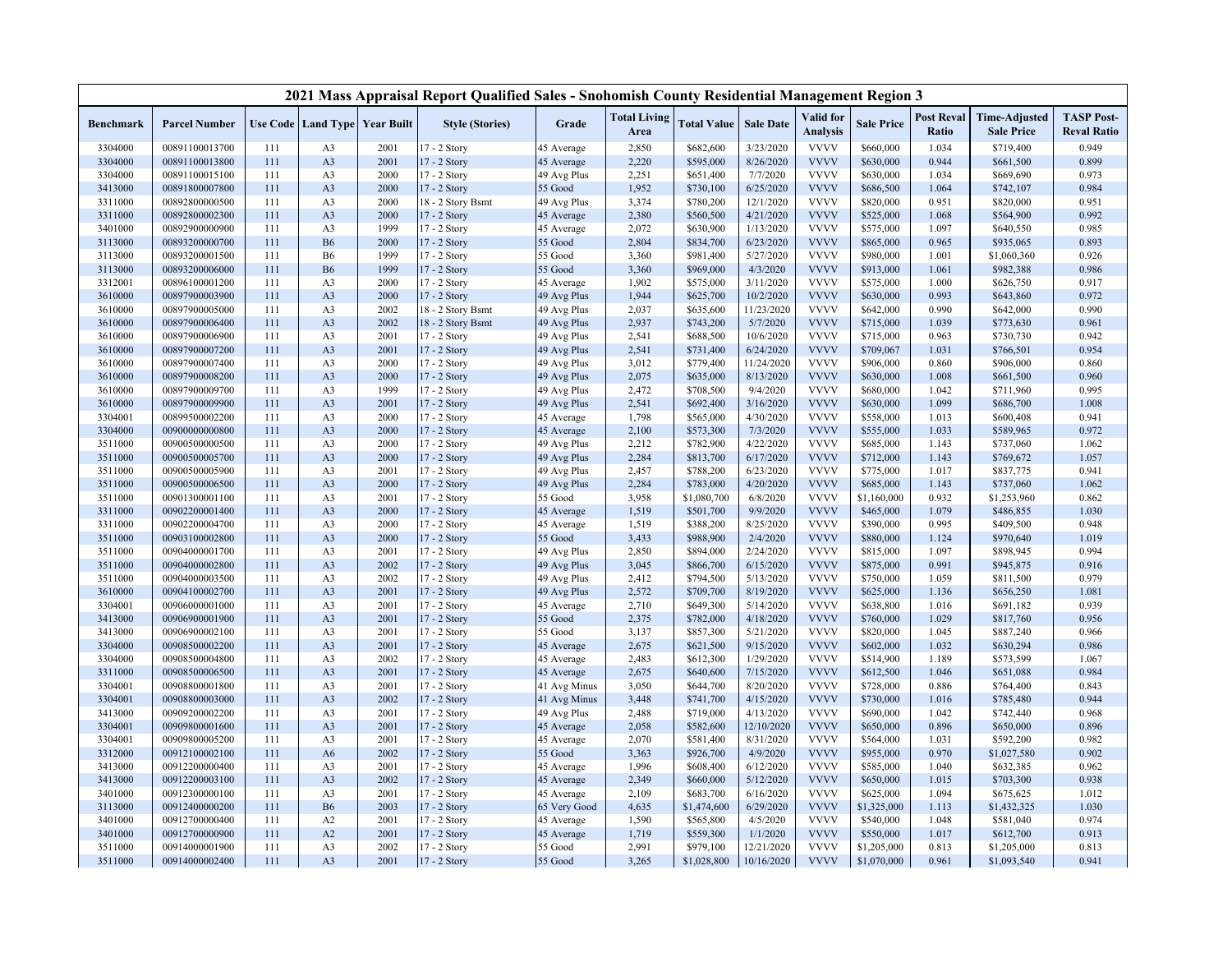|           |                      |     |                |                                          | 2021 Mass Appraisal Report Qualified Sales - Snohomish County Residential Management Region 3 |              |                             |                    |                  |                              |                   |                            |                                           |                                         |
|-----------|----------------------|-----|----------------|------------------------------------------|-----------------------------------------------------------------------------------------------|--------------|-----------------------------|--------------------|------------------|------------------------------|-------------------|----------------------------|-------------------------------------------|-----------------------------------------|
| Benchmark | <b>Parcel Number</b> |     |                | <b>Use Code   Land Type   Year Built</b> | <b>Style (Stories)</b>                                                                        | Grade        | <b>Total Living</b><br>Area | <b>Total Value</b> | <b>Sale Date</b> | Valid for<br><b>Analysis</b> | <b>Sale Price</b> | <b>Post Reval</b><br>Ratio | <b>Time-Adjusted</b><br><b>Sale Price</b> | <b>TASP Post-</b><br><b>Reval Ratio</b> |
| 3304000   | 00891100013700       | 111 | A <sub>3</sub> | 2001                                     | 17 - 2 Story                                                                                  | 45 Average   | 2,850                       | \$682,600          | 3/23/2020        | <b>VVVV</b>                  | \$660,000         | 1.034                      | \$719,400                                 | 0.949                                   |
| 3304000   | 00891100013800       | 111 | A <sub>3</sub> | 2001                                     | 17 - 2 Story                                                                                  | 45 Average   | 2,220                       | \$595,000          | 8/26/2020        | <b>VVVV</b>                  | \$630,000         | 0.944                      | \$661,500                                 | 0.899                                   |
| 3304000   | 00891100015100       | 111 | A <sub>3</sub> | 2000                                     | 17 - 2 Story                                                                                  | 49 Avg Plus  | 2,251                       | \$651,400          | 7/7/2020         | <b>VVVV</b>                  | \$630,000         | 1.034                      | \$669,690                                 | 0.973                                   |
| 3413000   | 00891800007800       | 111 | A <sub>3</sub> | 2000                                     | 17 - 2 Story                                                                                  | 55 Good      | 1,952                       | \$730,100          | 6/25/2020        | <b>VVVV</b>                  | \$686,500         | 1.064                      | \$742,107                                 | 0.984                                   |
| 3311000   | 00892800000500       | 111 | A <sub>3</sub> | 2000                                     | 18 - 2 Story Bsmt                                                                             | 49 Avg Plus  | 3,374                       | \$780,200          | 12/1/2020        | <b>VVVV</b>                  | \$820,000         | 0.951                      | \$820,000                                 | 0.951                                   |
| 3311000   | 00892800002300       | 111 | A <sub>3</sub> | 2000                                     | 17 - 2 Story                                                                                  | 45 Average   | 2,380                       | \$560,500          | 4/21/2020        | <b>VVVV</b>                  | \$525,000         | 1.068                      | \$564,900                                 | 0.992                                   |
| 3401000   | 00892900000900       | 111 | A <sub>3</sub> | 1999                                     | 17 - 2 Story                                                                                  | 45 Average   | 2,072                       | \$630,900          | 1/13/2020        | <b>VVVV</b>                  | \$575,000         | 1.097                      | \$640,550                                 | 0.985                                   |
| 3113000   | 00893200000700       | 111 | <b>B6</b>      | 2000                                     | 17 - 2 Story                                                                                  | 55 Good      | 2,804                       | \$834,700          | 6/23/2020        | <b>VVVV</b>                  | \$865,000         | 0.965                      | \$935,065                                 | 0.893                                   |
| 3113000   | 00893200001500       | 111 | <b>B6</b>      | 1999                                     | 17 - 2 Story                                                                                  | 55 Good      | 3,360                       | \$981,400          | 5/27/2020        | <b>VVVV</b>                  | \$980,000         | 1.001                      | \$1,060,360                               | 0.926                                   |
| 3113000   | 00893200006000       | 111 | <b>B6</b>      | 1999                                     | 17 - 2 Story                                                                                  | 55 Good      | 3,360                       | \$969,000          | 4/3/2020         | <b>VVVV</b>                  | \$913,000         | 1.061                      | \$982,388                                 | 0.986                                   |
| 3312001   | 00896100001200       | 111 | A <sub>3</sub> | 2000                                     | 17 - 2 Story                                                                                  | 45 Average   | 1,902                       | \$575,000          | 3/11/2020        | <b>VVVV</b>                  | \$575,000         | 1.000                      | \$626,750                                 | 0.917                                   |
| 3610000   | 00897900003900       | 111 | A <sub>3</sub> | 2000                                     | 17 - 2 Story                                                                                  | 49 Avg Plus  | 1,944                       | \$625,700          | 10/2/2020        | <b>VVVV</b>                  | \$630,000         | 0.993                      | \$643,860                                 | 0.972                                   |
| 3610000   | 00897900005000       | 111 | A <sub>3</sub> | 2002                                     | 18 - 2 Story Bsmt                                                                             | 49 Avg Plus  | 2,037                       | \$635,600          | 11/23/2020       | <b>VVVV</b>                  | \$642,000         | 0.990                      | \$642,000                                 | 0.990                                   |
| 3610000   | 00897900006400       | 111 | A <sub>3</sub> | 2002                                     | 18 - 2 Story Bsmt                                                                             | 49 Avg Plus  | 2,937                       | \$743,200          | 5/7/2020         | <b>VVVV</b>                  | \$715,000         | 1.039                      | \$773,630                                 | 0.961                                   |
| 3610000   | 00897900006900       | 111 | A <sub>3</sub> | 2001                                     | 17 - 2 Story                                                                                  | 49 Avg Plus  | 2,541                       | \$688,500          | 10/6/2020        | <b>VVVV</b>                  | \$715,000         | 0.963                      | \$730,730                                 | 0.942                                   |
| 3610000   | 00897900007200       | 111 | A <sub>3</sub> | 2001                                     | 17 - 2 Story                                                                                  | 49 Avg Plus  | 2,541                       | \$731,400          | 6/24/2020        | <b>VVVV</b>                  | \$709,067         | 1.031                      | \$766,501                                 | 0.954                                   |
| 3610000   | 00897900007400       | 111 | A <sub>3</sub> | 2000                                     | 17 - 2 Story                                                                                  | 49 Avg Plus  | 3,012                       | \$779,400          | 11/24/2020       | <b>VVVV</b>                  | \$906,000         | 0.860                      | \$906,000                                 | 0.860                                   |
| 3610000   | 00897900008200       | 111 | A <sub>3</sub> | 2000                                     | 17 - 2 Story                                                                                  | 49 Avg Plus  | 2,075                       | \$635,000          | 8/13/2020        | <b>VVVV</b>                  | \$630,000         | 1.008                      | \$661,500                                 | 0.960                                   |
| 3610000   | 00897900009700       | 111 | A <sub>3</sub> | 1999                                     | 17 - 2 Story                                                                                  | 49 Avg Plus  | 2,472                       | \$708,500          | 9/4/2020         | <b>VVVV</b>                  | \$680,000         | 1.042                      | \$711,960                                 | 0.995                                   |
| 3610000   | 00897900009900       | 111 | A <sub>3</sub> | 2001                                     | 17 - 2 Story                                                                                  | 49 Avg Plus  | 2,541                       | \$692,400          | 3/16/2020        | <b>VVVV</b>                  | \$630,000         | 1.099                      | \$686,700                                 | 1.008                                   |
| 3304001   | 00899500002200       | 111 | A <sub>3</sub> | 2000                                     | 17 - 2 Story                                                                                  | 45 Average   | 1,798                       | \$565,000          | 4/30/2020        | <b>VVVV</b>                  | \$558,000         | 1.013                      | \$600,408                                 | 0.941                                   |
| 3304000   | 00900000000800       | 111 | A <sub>3</sub> | 2000                                     | 17 - 2 Story                                                                                  | 45 Average   | 2,100                       | \$573,300          | 7/3/2020         | <b>VVVV</b>                  | \$555,000         | 1.033                      | \$589,965                                 | 0.972                                   |
| 3511000   | 00900500000500       | 111 | A <sub>3</sub> | 2000                                     | 17 - 2 Story                                                                                  | 49 Avg Plus  | 2,212                       | \$782,900          | 4/22/2020        | <b>VVVV</b>                  | \$685,000         | 1.143                      | \$737,060                                 | 1.062                                   |
| 3511000   | 00900500005700       | 111 | A3             | 2000                                     | 17 - 2 Story                                                                                  | 49 Avg Plus  | 2,284                       | \$813,700          | 6/17/2020        | <b>VVVV</b>                  | \$712,000         | 1.143                      | \$769,672                                 | 1.057                                   |
| 3511000   | 00900500005900       | 111 | A <sub>3</sub> | 2001                                     | 17 - 2 Story                                                                                  | 49 Avg Plus  | 2,457                       | \$788,200          | 6/23/2020        | <b>VVVV</b>                  | \$775,000         | 1.017                      | \$837,775                                 | 0.941                                   |
| 3511000   | 00900500006500       | 111 | A <sub>3</sub> | 2000                                     | 17 - 2 Story                                                                                  | 49 Avg Plus  | 2,284                       | \$783,000          | 4/20/2020        | <b>VVVV</b>                  | \$685,000         | 1.143                      | \$737,060                                 | 1.062                                   |
| 3511000   | 00901300001100       | 111 | A <sub>3</sub> | 2001                                     | 17 - 2 Story                                                                                  | 55 Good      | 3,958                       | \$1,080,700        | 6/8/2020         | <b>VVVV</b>                  | \$1,160,000       | 0.932                      | \$1,253,960                               | 0.862                                   |
| 3311000   | 00902200001400       | 111 | A <sub>3</sub> | 2000                                     | 17 - 2 Story                                                                                  | 45 Average   | 1,519                       | \$501,700          | 9/9/2020         | <b>VVVV</b>                  | \$465,000         | 1.079                      | \$486,855                                 | 1.030                                   |
| 3311000   | 00902200004700       | 111 | A <sub>3</sub> | 2000                                     | 17 - 2 Story                                                                                  | 45 Average   | 1,519                       | \$388,200          | 8/25/2020        | <b>VVVV</b>                  | \$390,000         | 0.995                      | \$409,500                                 | 0.948                                   |
| 3511000   | 00903100002800       | 111 | A <sub>3</sub> | 2000                                     | 17 - 2 Story                                                                                  | 55 Good      | 3,433                       | \$988,900          | 2/4/2020         | <b>VVVV</b>                  | \$880,000         | 1.124                      | \$970,640                                 | 1.019                                   |
| 3511000   | 00904000001700       | 111 | A <sub>3</sub> | 2001                                     | 17 - 2 Story                                                                                  | 49 Avg Plus  | 2,850                       | \$894,000          | 2/24/2020        | <b>VVVV</b>                  | \$815,000         | 1.097                      | \$898,945                                 | 0.994                                   |
| 3511000   | 00904000002800       | 111 | A <sub>3</sub> | 2002                                     | 17 - 2 Story                                                                                  | 49 Avg Plus  | 3,045                       | \$866,700          | 6/15/2020        | <b>VVVV</b>                  | \$875,000         | 0.991                      | \$945,875                                 | 0.916                                   |
| 3511000   | 00904000003500       | 111 | A <sub>3</sub> | 2002                                     | 17 - 2 Story                                                                                  | 49 Avg Plus  | 2,412                       | \$794,500          | 5/13/2020        | <b>VVVV</b>                  | \$750,000         | 1.059                      | \$811,500                                 | 0.979                                   |
| 3610000   | 00904100002700       | 111 | A <sub>3</sub> | 2001                                     | 17 - 2 Story                                                                                  | 49 Avg Plus  | 2,572                       | \$709,700          | 8/19/2020        | <b>VVVV</b>                  | \$625,000         | 1.136                      | \$656,250                                 | 1.081                                   |
| 3304001   | 00906000001000       | 111 | A <sub>3</sub> | 2001                                     | 17 - 2 Story                                                                                  | 45 Average   | 2,710                       | \$649,300          | 5/14/2020        | <b>VVVV</b>                  | \$638,800         | 1.016                      | \$691,182                                 | 0.939                                   |
| 3413000   | 00906900001900       | 111 | A <sub>3</sub> | 2001                                     | 17 - 2 Story                                                                                  | 55 Good      | 2,375                       | \$782,000          | 4/18/2020        | <b>VVVV</b>                  | \$760,000         | 1.029                      | \$817,760                                 | 0.956                                   |
| 3413000   | 00906900002100       | 111 | A <sub>3</sub> | 2001                                     | 17 - 2 Story                                                                                  | 55 Good      | 3,137                       | \$857,300          | 5/21/2020        | <b>VVVV</b>                  | \$820,000         | 1.045                      | \$887,240                                 | 0.966                                   |
| 3304000   | 00908500002200       | 111 | A <sub>3</sub> | 2001                                     | 17 - 2 Story                                                                                  | 45 Average   | 2,675                       | \$621,500          | 9/15/2020        | <b>VVVV</b>                  | \$602,000         | 1.032                      | \$630,294                                 | 0.986                                   |
| 3304000   | 00908500004800       | 111 | A <sub>3</sub> | 2002                                     | 17 - 2 Story                                                                                  | 45 Average   | 2,483                       | \$612,300          | 1/29/2020        | <b>VVVV</b>                  | \$514,900         | 1.189                      | \$573,599                                 | 1.067                                   |
| 3311000   | 00908500006500       | 111 | A <sub>3</sub> | 2001                                     | 17 - 2 Story                                                                                  | 45 Average   | 2,675                       | \$640,600          | 7/15/2020        | <b>VVVV</b>                  | \$612,500         | 1.046                      | \$651,088                                 | 0.984                                   |
| 3304001   | 00908800001800       | 111 | A <sub>3</sub> | 2001                                     | 17 - 2 Story                                                                                  | 41 Avg Minus | 3,050                       | \$644,700          | 8/20/2020        | <b>VVVV</b>                  | \$728,000         | 0.886                      | \$764,400                                 | 0.843                                   |
| 3304001   | 00908800003000       | 111 | A <sub>3</sub> | 2002                                     | 17 - 2 Story                                                                                  | 41 Avg Minus | 3,448                       | \$741,700          | 4/15/2020        | <b>VVVV</b>                  | \$730,000         | 1.016                      | \$785,480                                 | 0.944                                   |
| 3413000   | 00909200002200       | 111 | A <sub>3</sub> | 2001                                     | 17 - 2 Story                                                                                  | 49 Avg Plus  | 2,488                       | \$719,000          | 4/13/2020        | <b>VVVV</b>                  | \$690,000         | 1.042                      | \$742,440                                 | 0.968                                   |
| 3304001   | 00909800001600       | 111 | A <sub>3</sub> | 2001                                     | 17 - 2 Story                                                                                  | 45 Average   | 2,058                       | \$582,600          | 12/10/2020       | <b>VVVV</b>                  | \$650,000         | 0.896                      | \$650,000                                 | 0.896                                   |
| 3304001   | 00909800005200       | 111 | A <sub>3</sub> | 2001                                     | 17 - 2 Story                                                                                  | 45 Average   | 2,070                       | \$581,400          | 8/31/2020        | <b>VVVV</b>                  | \$564,000         | 1.031                      | \$592,200                                 | 0.982                                   |
| 3312000   | 00912100002100       | 111 | A <sub>6</sub> | 2002                                     | 17 - 2 Story                                                                                  | 55 Good      | 3,363                       | \$926,700          | 4/9/2020         | <b>VVVV</b>                  | \$955,000         | 0.970                      | \$1,027,580                               | 0.902                                   |
| 3413000   | 00912200000400       | 111 | A <sub>3</sub> | 2001                                     | 17 - 2 Story                                                                                  | 45 Average   | 1,996                       | \$608,400          | 6/12/2020        | <b>VVVV</b>                  | \$585,000         | 1.040                      | \$632,385                                 | 0.962                                   |
| 3413000   | 00912200003100       | 111 | A <sub>3</sub> | 2002                                     | 17 - 2 Story                                                                                  | 45 Average   | 2,349                       | \$660,000          | 5/12/2020        | <b>VVVV</b>                  | \$650,000         | 1.015                      | \$703,300                                 | 0.938                                   |
| 3401000   | 00912300000100       | 111 | A <sub>3</sub> | 2001                                     | 17 - 2 Story                                                                                  | 45 Average   | 2,109                       | \$683,700          | 6/16/2020        | <b>VVVV</b>                  | \$625,000         | 1.094                      | \$675,625                                 | 1.012                                   |
| 3113000   | 00912400000200       | 111 | <b>B6</b>      | 2003                                     | 17 - 2 Story                                                                                  | 65 Very Good | 4,635                       | \$1,474,600        | 6/29/2020        | <b>VVVV</b>                  | \$1,325,000       | 1.113                      | \$1,432,325                               | 1.030                                   |
| 3401000   | 00912700000400       | 111 | A2             | 2001                                     | 17 - 2 Story                                                                                  | 45 Average   | 1,590                       | \$565,800          | 4/5/2020         | <b>VVVV</b>                  | \$540,000         | 1.048                      | \$581,040                                 | 0.974                                   |
| 3401000   | 00912700000900       | 111 | A2             | 2001                                     | 17 - 2 Story                                                                                  | 45 Average   | 1,719                       | \$559,300          | 1/1/2020         | <b>VVVV</b>                  | \$550,000         | 1.017                      | \$612,700                                 | 0.913                                   |
| 3511000   | 00914000001900       | 111 | A <sub>3</sub> | 2002                                     | 17 - 2 Story                                                                                  | 55 Good      | 2,991                       | \$979,100          | 12/21/2020       | <b>VVVV</b>                  | \$1,205,000       | 0.813                      | \$1,205,000                               | 0.813                                   |
| 3511000   | 00914000002400       | 111 | A <sub>3</sub> | 2001                                     | 17 - 2 Story                                                                                  | 55 Good      | 3,265                       | \$1,028,800        | 10/16/2020       | <b>VVVV</b>                  | \$1,070,000       | 0.961                      | \$1,093,540                               | 0.941                                   |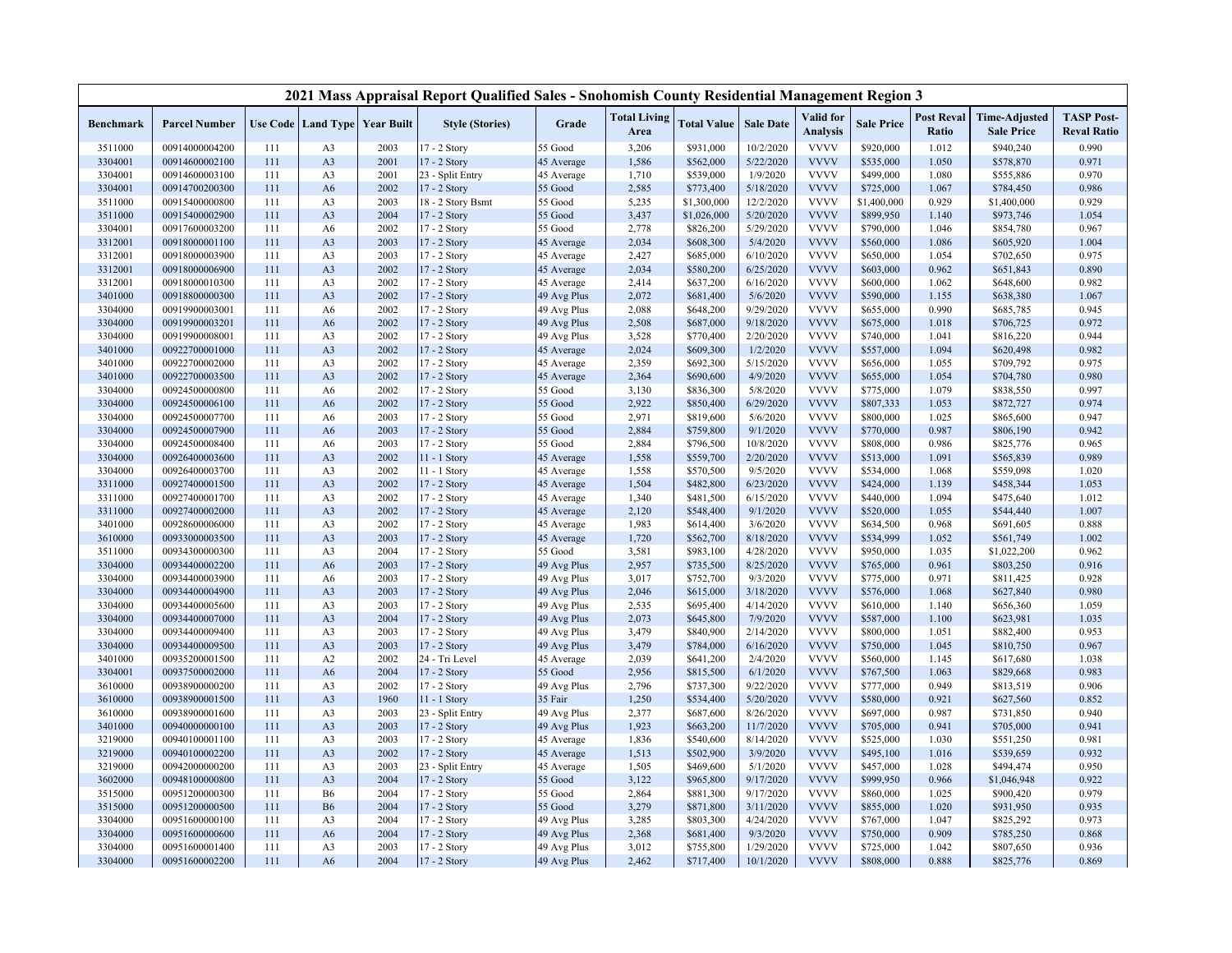|                    |                                  |            |                                  |                               | 2021 Mass Appraisal Report Qualified Sales - Snohomish County Residential Management Region 3 |                          |                             |                        |                        |                              |                        |                            |                                           |                                         |
|--------------------|----------------------------------|------------|----------------------------------|-------------------------------|-----------------------------------------------------------------------------------------------|--------------------------|-----------------------------|------------------------|------------------------|------------------------------|------------------------|----------------------------|-------------------------------------------|-----------------------------------------|
| Benchmark          | <b>Parcel Number</b>             |            |                                  | Use Code Land Type Year Built | <b>Style (Stories)</b>                                                                        | Grade                    | <b>Total Living</b><br>Area | <b>Total Value</b>     | <b>Sale Date</b>       | Valid for<br><b>Analysis</b> | <b>Sale Price</b>      | <b>Post Reval</b><br>Ratio | <b>Time-Adjusted</b><br><b>Sale Price</b> | <b>TASP Post-</b><br><b>Reval Ratio</b> |
| 3511000            | 00914000004200                   | 111        | A <sub>3</sub>                   | 2003                          | 17 - 2 Story                                                                                  | 55 Good                  | 3,206                       | \$931,000              | 10/2/2020              | <b>VVVV</b>                  | \$920,000              | 1.012                      | \$940,240                                 | 0.990                                   |
| 3304001            | 00914600002100                   | 111        | A <sub>3</sub>                   | 2001                          | 17 - 2 Story                                                                                  | 45 Average               | 1,586                       | \$562,000              | 5/22/2020              | <b>VVVV</b>                  | \$535,000              | 1.050                      | \$578,870                                 | 0.971                                   |
| 3304001            | 00914600003100                   | 111        | A <sub>3</sub>                   | 2001                          | 23 - Split Entry                                                                              | 45 Average               | 1,710                       | \$539,000              | 1/9/2020               | <b>VVVV</b>                  | \$499,000              | 1.080                      | \$555,886                                 | 0.970                                   |
| 3304001            | 00914700200300                   | 111        | A <sub>6</sub>                   | 2002                          | 17 - 2 Story                                                                                  | 55 Good                  | 2,585                       | \$773,400              | 5/18/2020              | <b>VVVV</b>                  | \$725,000              | 1.067                      | \$784,450                                 | 0.986                                   |
| 3511000            | 00915400000800                   | 111        | A <sub>3</sub>                   | 2003                          | 18 - 2 Story Bsmt                                                                             | 55 Good                  | 5,235                       | \$1,300,000            | 12/2/2020              | <b>VVVV</b>                  | \$1,400,000            | 0.929                      | \$1,400,000                               | 0.929                                   |
| 3511000            | 00915400002900                   | 111        | A <sub>3</sub>                   | 2004                          | 17 - 2 Story                                                                                  | 55 Good                  | 3,437                       | \$1,026,000            | 5/20/2020              | <b>VVVV</b>                  | \$899,950              | 1.140                      | \$973,746                                 | 1.054                                   |
| 3304001            | 00917600003200                   | 111        | A <sub>6</sub>                   | 2002                          | 17 - 2 Story                                                                                  | 55 Good                  | 2,778                       | \$826,200              | 5/29/2020              | <b>VVVV</b>                  | \$790,000              | 1.046                      | \$854,780                                 | 0.967                                   |
| 3312001            | 00918000001100                   | 111        | A <sub>3</sub>                   | 2003                          | 17 - 2 Story                                                                                  | 45 Average               | 2,034                       | \$608,300              | 5/4/2020               | <b>VVVV</b>                  | \$560,000              | 1.086                      | \$605,920                                 | 1.004                                   |
| 3312001            | 00918000003900                   | 111        | A <sub>3</sub>                   | 2003                          | 17 - 2 Story                                                                                  | 45 Average               | 2,427                       | \$685,000              | 6/10/2020              | <b>VVVV</b>                  | \$650,000              | 1.054                      | \$702,650                                 | 0.975                                   |
| 3312001            | 00918000006900                   | 111        | A <sub>3</sub>                   | 2002                          | 17 - 2 Story                                                                                  | 45 Average               | 2,034                       | \$580,200              | 6/25/2020              | <b>VVVV</b>                  | \$603,000              | 0.962                      | \$651,843                                 | 0.890                                   |
| 3312001            | 00918000010300                   | 111        | A <sub>3</sub>                   | 2002                          | 17 - 2 Story                                                                                  | 45 Average               | 2,414                       | \$637,200              | 6/16/2020              | <b>VVVV</b>                  | \$600,000              | 1.062                      | \$648,600                                 | 0.982                                   |
| 3401000            | 00918800000300                   | 111        | A <sub>3</sub>                   | 2002                          | 17 - 2 Story                                                                                  | 49 Avg Plus              | 2,072                       | \$681,400              | 5/6/2020               | <b>VVVV</b>                  | \$590,000              | 1.155                      | \$638,380                                 | 1.067                                   |
| 3304000            | 00919900003001                   | 111        | A6                               | 2002                          | 17 - 2 Story                                                                                  | 49 Avg Plus              | 2,088                       | \$648,200              | 9/29/2020              | <b>VVVV</b>                  | \$655,000              | 0.990                      | \$685,785                                 | 0.945                                   |
| 3304000            | 00919900003201                   | 111        | A6                               | 2002                          | 17 - 2 Story                                                                                  | 49 Avg Plus              | 2,508                       | \$687,000              | 9/18/2020              | <b>VVVV</b>                  | \$675,000              | 1.018                      | \$706,725                                 | 0.972                                   |
| 3304000            | 00919900008001                   | 111        | A <sub>3</sub>                   | 2002                          | 17 - 2 Story                                                                                  | 49 Avg Plus              | 3,528                       | \$770,400              | 2/20/2020              | <b>VVVV</b>                  | \$740,000              | 1.041                      | \$816,220                                 | 0.944                                   |
| 3401000            | 00922700001000                   | 111        | A <sub>3</sub>                   | 2002                          | 17 - 2 Story                                                                                  | 45 Average               | 2,024                       | \$609,300              | 1/2/2020               | <b>VVVV</b>                  | \$557,000              | 1.094                      | \$620,498                                 | 0.982                                   |
| 3401000            | 00922700002000                   | 111        | A <sub>3</sub>                   | 2002                          | 17 - 2 Story                                                                                  | 45 Average               | 2,359                       | \$692,300              | 5/15/2020              | <b>VVVV</b>                  | \$656,000              | 1.055                      | \$709,792                                 | 0.975                                   |
| 3401000            | 00922700003500                   | 111        | A <sub>3</sub>                   | 2002                          | 17 - 2 Story                                                                                  | 45 Average               | 2,364                       | \$690,600              | 4/9/2020               | <b>VVVV</b>                  | \$655,000              | 1.054                      | \$704,780                                 | 0.980                                   |
| 3304000            | 00924500000800                   | 111        | A <sub>6</sub>                   | 2002                          | 17 - 2 Story                                                                                  | 55 Good                  | 3,130                       | \$836,300              | 5/8/2020               | <b>VVVV</b>                  | \$775,000              | 1.079                      | \$838,550                                 | 0.997                                   |
| 3304000            | 00924500006100                   | 111        | A6                               | 2002                          | 17 - 2 Story                                                                                  | 55 Good                  | 2,922                       | \$850,400              | 6/29/2020              | <b>VVVV</b>                  | \$807,333              | 1.053                      | \$872,727                                 | 0.974                                   |
| 3304000            | 00924500007700                   | 111        | A <sub>6</sub>                   | 2003                          | 17 - 2 Story                                                                                  | 55 Good                  | 2,971                       | \$819,600              | 5/6/2020               | <b>VVVV</b>                  | \$800,000              | 1.025                      | \$865,600                                 | 0.947                                   |
| 3304000            | 00924500007900                   | 111        | A6                               | 2003                          | 17 - 2 Story                                                                                  | 55 Good                  | 2,884                       | \$759,800              | 9/1/2020               | <b>VVVV</b><br><b>VVVV</b>   | \$770,000              | 0.987                      | \$806,190                                 | 0.942                                   |
| 3304000            | 00924500008400                   | 111        | A <sub>6</sub>                   | 2003                          | 17 - 2 Story                                                                                  | 55 Good                  | 2,884                       | \$796,500              | 10/8/2020              |                              | \$808,000              | 0.986                      | \$825,776                                 | 0.965                                   |
| 3304000            | 00926400003600                   | 111        | A <sub>3</sub>                   | 2002<br>2002                  | 11 - 1 Story                                                                                  | 45 Average               | 1,558                       | \$559,700              | 2/20/2020<br>9/5/2020  | <b>VVVV</b><br><b>VVVV</b>   | \$513,000              | 1.091<br>1.068             | \$565,839                                 | 0.989                                   |
| 3304000            | 00926400003700                   | 111        | A <sub>3</sub>                   |                               | 11 - 1 Story                                                                                  | 45 Average               | 1,558                       | \$570,500              |                        |                              | \$534,000              |                            | \$559,098                                 | 1.020                                   |
| 3311000            | 00927400001500                   | 111        | A <sub>3</sub>                   | 2002<br>2002                  | 17 - 2 Story                                                                                  | 45 Average               | 1,504<br>1,340              | \$482,800              | 6/23/2020<br>6/15/2020 | <b>VVVV</b><br><b>VVVV</b>   | \$424,000<br>\$440,000 | 1.139<br>1.094             | \$458,344<br>\$475,640                    | 1.053<br>1.012                          |
| 3311000            | 00927400001700<br>00927400002000 | 111<br>111 | A <sub>3</sub><br>A <sub>3</sub> | 2002                          | 17 - 2 Story                                                                                  | 45 Average               |                             | \$481,500              | 9/1/2020               | <b>VVVV</b>                  |                        |                            |                                           | 1.007                                   |
| 3311000<br>3401000 | 00928600006000                   | 111        | A <sub>3</sub>                   | 2002                          | 17 - 2 Story                                                                                  | 45 Average<br>45 Average | 2,120<br>1,983              | \$548,400<br>\$614,400 | 3/6/2020               | <b>VVVV</b>                  | \$520,000<br>\$634,500 | 1.055<br>0.968             | \$544,440<br>\$691,605                    | 0.888                                   |
| 3610000            | 00933000003500                   | 111        | A <sub>3</sub>                   | 2003                          | 17 - 2 Story<br>17 - 2 Story                                                                  | 45 Average               | 1,720                       | \$562,700              | 8/18/2020              | <b>VVVV</b>                  | \$534,999              | 1.052                      | \$561,749                                 | 1.002                                   |
| 3511000            | 00934300000300                   | 111        | A <sub>3</sub>                   | 2004                          | 17 - 2 Story                                                                                  | 55 Good                  | 3,581                       | \$983,100              | 4/28/2020              | <b>VVVV</b>                  | \$950,000              | 1.035                      | \$1,022,200                               | 0.962                                   |
| 3304000            | 00934400002200                   | 111        | A6                               | 2003                          | 17 - 2 Story                                                                                  | 49 Avg Plus              | 2,957                       | \$735,500              | 8/25/2020              | <b>VVVV</b>                  | \$765,000              | 0.961                      | \$803,250                                 | 0.916                                   |
| 3304000            | 00934400003900                   | 111        | A <sub>6</sub>                   | 2003                          | 17 - 2 Story                                                                                  | 49 Avg Plus              | 3,017                       | \$752,700              | 9/3/2020               | <b>VVVV</b>                  | \$775,000              | 0.971                      | \$811,425                                 | 0.928                                   |
| 3304000            | 00934400004900                   | 111        | A <sub>3</sub>                   | 2003                          | 17 - 2 Story                                                                                  | 49 Avg Plus              | 2,046                       | \$615,000              | 3/18/2020              | <b>VVVV</b>                  | \$576,000              | 1.068                      | \$627,840                                 | 0.980                                   |
| 3304000            | 00934400005600                   | 111        | A <sub>3</sub>                   | 2003                          | 17 - 2 Story                                                                                  | 49 Avg Plus              | 2,535                       | \$695,400              | 4/14/2020              | <b>VVVV</b>                  | \$610,000              | 1.140                      | \$656,360                                 | 1.059                                   |
| 3304000            | 00934400007000                   | 111        | A <sub>3</sub>                   | 2004                          | 17 - 2 Story                                                                                  | 49 Avg Plus              | 2,073                       | \$645,800              | 7/9/2020               | <b>VVVV</b>                  | \$587,000              | 1.100                      | \$623,981                                 | 1.035                                   |
| 3304000            | 00934400009400                   | 111        | A <sub>3</sub>                   | 2003                          | 17 - 2 Story                                                                                  | 49 Avg Plus              | 3,479                       | \$840,900              | 2/14/2020              | <b>VVVV</b>                  | \$800,000              | 1.051                      | \$882,400                                 | 0.953                                   |
| 3304000            | 00934400009500                   | 111        | A <sub>3</sub>                   | 2003                          | 17 - 2 Story                                                                                  | 49 Avg Plus              | 3,479                       | \$784,000              | 6/16/2020              | <b>VVVV</b>                  | \$750,000              | 1.045                      | \$810,750                                 | 0.967                                   |
| 3401000            | 00935200001500                   | 111        | A <sub>2</sub>                   | 2002                          | 24 - Tri Level                                                                                | 45 Average               | 2,039                       | \$641,200              | 2/4/2020               | <b>VVVV</b>                  | \$560,000              | 1.145                      | \$617,680                                 | 1.038                                   |
| 3304001            | 00937500002000                   | 111        | A <sub>6</sub>                   | 2004                          | 17 - 2 Story                                                                                  | 55 Good                  | 2,956                       | \$815,500              | 6/1/2020               | <b>VVVV</b>                  | \$767,500              | 1.063                      | \$829,668                                 | 0.983                                   |
| 3610000            | 00938900000200                   | 111        | A <sub>3</sub>                   | 2002                          | 17 - 2 Story                                                                                  | 49 Avg Plus              | 2,796                       | \$737,300              | 9/22/2020              | <b>VVVV</b>                  | \$777,000              | 0.949                      | \$813,519                                 | 0.906                                   |
| 3610000            | 00938900001500                   | 111        | A <sub>3</sub>                   | 1960                          | 11 - 1 Story                                                                                  | 35 Fair                  | 1,250                       | \$534,400              | 5/20/2020              | <b>VVVV</b>                  | \$580,000              | 0.921                      | \$627,560                                 | 0.852                                   |
| 3610000            | 00938900001600                   | 111        | A <sub>3</sub>                   | 2003                          | 23 - Split Entry                                                                              | 49 Avg Plus              | 2,377                       | \$687,600              | 8/26/2020              | <b>VVVV</b>                  | \$697,000              | 0.987                      | \$731,850                                 | 0.940                                   |
| 3401000            | 00940000000100                   | 111        | A <sub>3</sub>                   | 2003                          | 17 - 2 Story                                                                                  | 49 Avg Plus              | 1,923                       | \$663,200              | 11/7/2020              | <b>VVVV</b>                  | \$705,000              | 0.941                      | \$705,000                                 | 0.941                                   |
| 3219000            | 00940100001100                   | 111        | A <sub>3</sub>                   | 2003                          | 17 - 2 Story                                                                                  | 45 Average               | 1,836                       | \$540,600              | 8/14/2020              | <b>VVVV</b>                  | \$525,000              | 1.030                      | \$551,250                                 | 0.981                                   |
| 3219000            | 00940100002200                   | 111        | A <sub>3</sub>                   | 2002                          | 17 - 2 Story                                                                                  | 45 Average               | 1,513                       | \$502,900              | 3/9/2020               | <b>VVVV</b>                  | \$495,100              | 1.016                      | \$539,659                                 | 0.932                                   |
| 3219000            | 00942000000200                   | 111        | A <sub>3</sub>                   | 2003                          | 23 - Split Entry                                                                              | 45 Average               | 1,505                       | \$469,600              | 5/1/2020               | <b>VVVV</b>                  | \$457,000              | 1.028                      | \$494,474                                 | 0.950                                   |
| 3602000            | 00948100000800                   | 111        | A <sub>3</sub>                   | 2004                          | 17 - 2 Story                                                                                  | 55 Good                  | 3,122                       | \$965,800              | 9/17/2020              | <b>VVVV</b>                  | \$999,950              | 0.966                      | \$1,046,948                               | 0.922                                   |
| 3515000            | 00951200000300                   | 111        | <b>B6</b>                        | 2004                          | 17 - 2 Story                                                                                  | 55 Good                  | 2,864                       | \$881,300              | 9/17/2020              | <b>VVVV</b>                  | \$860,000              | 1.025                      | \$900,420                                 | 0.979                                   |
| 3515000            | 00951200000500                   | 111        | <b>B6</b>                        | 2004                          | 17 - 2 Story                                                                                  | 55 Good                  | 3,279                       | \$871,800              | 3/11/2020              | <b>VVVV</b>                  | \$855,000              | 1.020                      | \$931,950                                 | 0.935                                   |
| 3304000            | 00951600000100                   | 111        | A <sub>3</sub>                   | 2004                          | 17 - 2 Story                                                                                  | 49 Avg Plus              | 3,285                       | \$803,300              | 4/24/2020              | <b>VVVV</b>                  | \$767,000              | 1.047                      | \$825,292                                 | 0.973                                   |
| 3304000            | 00951600000600                   | 111        | A6                               | 2004                          | 17 - 2 Story                                                                                  | 49 Avg Plus              | 2,368                       | \$681,400              | 9/3/2020               | <b>VVVV</b>                  | \$750,000              | 0.909                      | \$785,250                                 | 0.868                                   |
| 3304000            | 00951600001400                   | 111        | A <sub>3</sub>                   | 2003                          | 17 - 2 Story                                                                                  | 49 Avg Plus              | 3,012                       | \$755,800              | 1/29/2020              | <b>VVVV</b>                  | \$725,000              | 1.042                      | \$807,650                                 | 0.936                                   |
| 3304000            | 00951600002200                   | 111        | A6                               | 2004                          | 17 - 2 Story                                                                                  | 49 Avg Plus              | 2,462                       | \$717,400              | 10/1/2020              | <b>VVVV</b>                  | \$808,000              | 0.888                      | \$825,776                                 | 0.869                                   |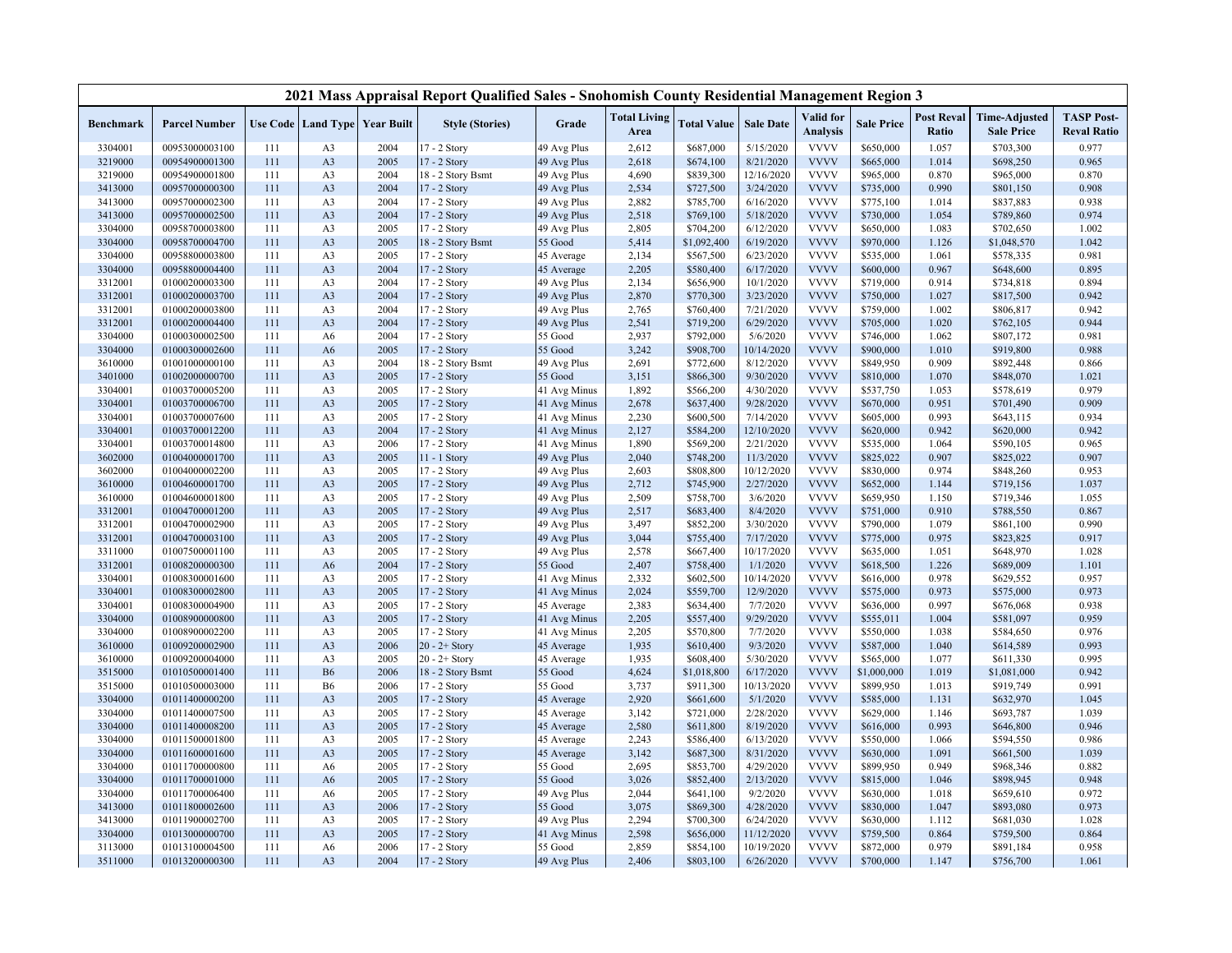|           |                      |     |                                          |      | 2021 Mass Appraisal Report Qualified Sales - Snohomish County Residential Management Region 3 |              |                             |                    |                  |                              |                   |                            |                                           |                                         |
|-----------|----------------------|-----|------------------------------------------|------|-----------------------------------------------------------------------------------------------|--------------|-----------------------------|--------------------|------------------|------------------------------|-------------------|----------------------------|-------------------------------------------|-----------------------------------------|
| Benchmark | <b>Parcel Number</b> |     | <b>Use Code   Land Type   Year Built</b> |      | <b>Style (Stories)</b>                                                                        | Grade        | <b>Total Living</b><br>Area | <b>Total Value</b> | <b>Sale Date</b> | Valid for<br><b>Analysis</b> | <b>Sale Price</b> | <b>Post Reval</b><br>Ratio | <b>Time-Adjusted</b><br><b>Sale Price</b> | <b>TASP Post-</b><br><b>Reval Ratio</b> |
| 3304001   | 00953000003100       | 111 | A <sub>3</sub>                           | 2004 | $17 - 2$ Story                                                                                | 49 Avg Plus  | 2,612                       | \$687,000          | 5/15/2020        | <b>VVVV</b>                  | \$650,000         | 1.057                      | \$703,300                                 | 0.977                                   |
| 3219000   | 00954900001300       | 111 | A <sub>3</sub>                           | 2005 | 17 - 2 Story                                                                                  | 49 Avg Plus  | 2,618                       | \$674,100          | 8/21/2020        | <b>VVVV</b>                  | \$665,000         | 1.014                      | \$698,250                                 | 0.965                                   |
| 3219000   | 00954900001800       | 111 | A <sub>3</sub>                           | 2004 | 18 - 2 Story Bsmt                                                                             | 49 Avg Plus  | 4,690                       | \$839,300          | 12/16/2020       | <b>VVVV</b>                  | \$965,000         | 0.870                      | \$965,000                                 | 0.870                                   |
| 3413000   | 00957000000300       | 111 | A <sub>3</sub>                           | 2004 | 17 - 2 Story                                                                                  | 49 Avg Plus  | 2,534                       | \$727,500          | 3/24/2020        | <b>VVVV</b>                  | \$735,000         | 0.990                      | \$801,150                                 | 0.908                                   |
| 3413000   | 00957000002300       | 111 | A <sub>3</sub>                           | 2004 | 17 - 2 Story                                                                                  | 49 Avg Plus  | 2,882                       | \$785,700          | 6/16/2020        | <b>VVVV</b>                  | \$775,100         | 1.014                      | \$837,883                                 | 0.938                                   |
| 3413000   | 00957000002500       | 111 | A <sub>3</sub>                           | 2004 | 17 - 2 Story                                                                                  | 49 Avg Plus  | 2,518                       | \$769,100          | 5/18/2020        | <b>VVVV</b>                  | \$730,000         | 1.054                      | \$789,860                                 | 0.974                                   |
| 3304000   | 00958700003800       | 111 | A <sub>3</sub>                           | 2005 | 17 - 2 Story                                                                                  | 49 Avg Plus  | 2,805                       | \$704,200          | 6/12/2020        | <b>VVVV</b>                  | \$650,000         | 1.083                      | \$702,650                                 | 1.002                                   |
| 3304000   | 00958700004700       | 111 | A <sub>3</sub>                           | 2005 | 18 - 2 Story Bsmt                                                                             | 55 Good      | 5,414                       | \$1,092,400        | 6/19/2020        | <b>VVVV</b>                  | \$970,000         | 1.126                      | \$1,048,570                               | 1.042                                   |
| 3304000   | 00958800003800       | 111 | A <sub>3</sub>                           | 2005 | 17 - 2 Story                                                                                  | 45 Average   | 2,134                       | \$567,500          | 6/23/2020        | <b>VVVV</b>                  | \$535,000         | 1.061                      | \$578,335                                 | 0.981                                   |
| 3304000   | 00958800004400       | 111 | A <sub>3</sub>                           | 2004 | 17 - 2 Story                                                                                  | 45 Average   | 2,205                       | \$580,400          | 6/17/2020        | <b>VVVV</b>                  | \$600,000         | 0.967                      | \$648,600                                 | 0.895                                   |
| 3312001   | 01000200003300       | 111 | A <sub>3</sub>                           | 2004 | 17 - 2 Story                                                                                  | 49 Avg Plus  | 2,134                       | \$656,900          | 10/1/2020        | <b>VVVV</b>                  | \$719,000         | 0.914                      | \$734,818                                 | 0.894                                   |
| 3312001   | 01000200003700       | 111 | A <sub>3</sub>                           | 2004 | 17 - 2 Story                                                                                  | 49 Avg Plus  | 2,870                       | \$770,300          | 3/23/2020        | <b>VVVV</b>                  | \$750,000         | 1.027                      | \$817,500                                 | 0.942                                   |
| 3312001   | 01000200003800       | 111 | A <sub>3</sub>                           | 2004 | 17 - 2 Story                                                                                  | 49 Avg Plus  | 2,765                       | \$760,400          | 7/21/2020        | <b>VVVV</b>                  | \$759,000         | 1.002                      | \$806,817                                 | 0.942                                   |
| 3312001   | 01000200004400       | 111 | A <sub>3</sub>                           | 2004 | 17 - 2 Story                                                                                  | 49 Avg Plus  | 2,541                       | \$719,200          | 6/29/2020        | <b>VVVV</b>                  | \$705,000         | 1.020                      | \$762,105                                 | 0.944                                   |
| 3304000   | 01000300002500       | 111 | A <sub>6</sub>                           | 2004 | 17 - 2 Story                                                                                  | 55 Good      | 2,937                       | \$792,000          | 5/6/2020         | <b>VVVV</b>                  | \$746,000         | 1.062                      | \$807,172                                 | 0.981                                   |
| 3304000   | 01000300002600       | 111 | A6                                       | 2005 | 17 - 2 Story                                                                                  | 55 Good      | 3,242                       | \$908,700          | 10/14/2020       | <b>VVVV</b>                  | \$900,000         | 1.010                      | \$919,800                                 | 0.988                                   |
| 3610000   | 01001000000100       | 111 | A <sub>3</sub>                           | 2004 | 18 - 2 Story Bsmt                                                                             | 49 Avg Plus  | 2,691                       | \$772,600          | 8/12/2020        | <b>VVVV</b>                  | \$849,950         | 0.909                      | \$892,448                                 | 0.866                                   |
| 3401000   | 01002000000700       | 111 | A <sub>3</sub>                           | 2005 | 17 - 2 Story                                                                                  | 55 Good      | 3,151                       | \$866,300          | 9/30/2020        | <b>VVVV</b>                  | \$810,000         | 1.070                      | \$848,070                                 | 1.021                                   |
| 3304001   | 01003700005200       | 111 | A <sub>3</sub>                           | 2005 | 17 - 2 Story                                                                                  | 41 Avg Minus | 1,892                       | \$566,200          | 4/30/2020        | <b>VVVV</b>                  | \$537,750         | 1.053                      | \$578,619                                 | 0.979                                   |
| 3304001   | 01003700006700       | 111 | A <sub>3</sub>                           | 2005 | 17 - 2 Story                                                                                  | 41 Avg Minus | 2,678                       | \$637,400          | 9/28/2020        | <b>VVVV</b>                  | \$670,000         | 0.951                      | \$701,490                                 | 0.909                                   |
| 3304001   | 01003700007600       | 111 | A <sub>3</sub>                           | 2005 | 17 - 2 Story                                                                                  | 41 Avg Minus | 2,230                       | \$600,500          | 7/14/2020        | <b>VVVV</b>                  | \$605,000         | 0.993                      | \$643,115                                 | 0.934                                   |
| 3304001   | 01003700012200       | 111 | A <sub>3</sub>                           | 2004 | 17 - 2 Story                                                                                  | 41 Avg Minus | 2,127                       | \$584,200          | 12/10/2020       | <b>VVVV</b>                  | \$620,000         | 0.942                      | \$620,000                                 | 0.942                                   |
| 3304001   | 01003700014800       | 111 | A <sub>3</sub>                           | 2006 | 17 - 2 Story                                                                                  | 41 Avg Minus | 1,890                       | \$569,200          | 2/21/2020        | <b>VVVV</b>                  | \$535,000         | 1.064                      | \$590,105                                 | 0.965                                   |
| 3602000   | 01004000001700       | 111 | A <sub>3</sub>                           | 2005 | $11 - 1$ Story                                                                                | 49 Avg Plus  | 2,040                       | \$748,200          | 11/3/2020        | <b>VVVV</b>                  | \$825,022         | 0.907                      | \$825,022                                 | 0.907                                   |
| 3602000   | 01004000002200       | 111 | A <sub>3</sub>                           | 2005 | 17 - 2 Story                                                                                  | 49 Avg Plus  | 2,603                       | \$808,800          | 10/12/2020       | <b>VVVV</b>                  | \$830,000         | 0.974                      | \$848,260                                 | 0.953                                   |
| 3610000   | 01004600001700       | 111 | A <sub>3</sub>                           | 2005 | 17 - 2 Story                                                                                  | 49 Avg Plus  | 2,712                       | \$745,900          | 2/27/2020        | <b>VVVV</b>                  | \$652,000         | 1.144                      | \$719,156                                 | 1.037                                   |
| 3610000   | 01004600001800       | 111 | A <sub>3</sub>                           | 2005 | 17 - 2 Story                                                                                  | 49 Avg Plus  | 2,509                       | \$758,700          | 3/6/2020         | <b>VVVV</b>                  | \$659,950         | 1.150                      | \$719,346                                 | 1.055                                   |
| 3312001   | 01004700001200       | 111 | A <sub>3</sub>                           | 2005 | 17 - 2 Story                                                                                  | 49 Avg Plus  | 2,517                       | \$683,400          | 8/4/2020         | <b>VVVV</b>                  | \$751,000         | 0.910                      | \$788,550                                 | 0.867                                   |
| 3312001   | 01004700002900       | 111 | A <sub>3</sub>                           | 2005 | 17 - 2 Story                                                                                  | 49 Avg Plus  | 3,497                       | \$852,200          | 3/30/2020        | <b>VVVV</b>                  | \$790,000         | 1.079                      | \$861,100                                 | 0.990                                   |
| 3312001   | 01004700003100       | 111 | A <sub>3</sub>                           | 2005 | 17 - 2 Story                                                                                  | 49 Avg Plus  | 3,044                       | \$755,400          | 7/17/2020        | <b>VVVV</b>                  | \$775,000         | 0.975                      | \$823,825                                 | 0.917                                   |
| 3311000   | 01007500001100       | 111 | A <sub>3</sub>                           | 2005 | 17 - 2 Story                                                                                  | 49 Avg Plus  | 2,578                       | \$667,400          | 10/17/2020       | <b>VVVV</b>                  | \$635,000         | 1.051                      | \$648,970                                 | 1.028                                   |
| 3312001   | 01008200000300       | 111 | A6                                       | 2004 | 17 - 2 Story                                                                                  | 55 Good      | 2,407                       | \$758,400          | 1/1/2020         | <b>VVVV</b>                  | \$618,500         | 1.226                      | \$689,009                                 | 1.101                                   |
| 3304001   | 01008300001600       | 111 | A <sub>3</sub>                           | 2005 | 17 - 2 Story                                                                                  | 41 Avg Minus | 2,332                       | \$602,500          | 10/14/2020       | <b>VVVV</b>                  | \$616,000         | 0.978                      | \$629,552                                 | 0.957                                   |
| 3304001   | 01008300002800       | 111 | A <sub>3</sub>                           | 2005 | 17 - 2 Story                                                                                  | 41 Avg Minus | 2,024                       | \$559,700          | 12/9/2020        | <b>VVVV</b>                  | \$575,000         | 0.973                      | \$575,000                                 | 0.973                                   |
| 3304001   | 01008300004900       | 111 | A <sub>3</sub>                           | 2005 | 17 - 2 Story                                                                                  | 45 Average   | 2,383                       | \$634,400          | 7/7/2020         | <b>VVVV</b>                  | \$636,000         | 0.997                      | \$676,068                                 | 0.938                                   |
| 3304000   | 01008900000800       | 111 | A <sub>3</sub>                           | 2005 | 17 - 2 Story                                                                                  | 41 Avg Minus | 2,205                       | \$557,400          | 9/29/2020        | <b>VVVV</b>                  | \$555,011         | 1.004                      | \$581,097                                 | 0.959                                   |
| 3304000   | 01008900002200       | 111 | A <sub>3</sub>                           | 2005 | 17 - 2 Story                                                                                  | 41 Avg Minus | 2,205                       | \$570,800          | 7/7/2020         | <b>VVVV</b>                  | \$550,000         | 1.038                      | \$584,650                                 | 0.976                                   |
| 3610000   | 01009200002900       | 111 | A <sub>3</sub>                           | 2006 | $20 - 2 +$ Story                                                                              | 45 Average   | 1,935                       | \$610,400          | 9/3/2020         | <b>VVVV</b>                  | \$587,000         | 1.040                      | \$614,589                                 | 0.993                                   |
| 3610000   | 01009200004000       | 111 | A <sub>3</sub>                           | 2005 | $20 - 2 +$ Story                                                                              | 45 Average   | 1,935                       | \$608,400          | 5/30/2020        | <b>VVVV</b>                  | \$565,000         | 1.077                      | \$611,330                                 | 0.995                                   |
| 3515000   | 01010500001400       | 111 | <b>B6</b>                                | 2006 | 18 - 2 Story Bsmt                                                                             | 55 Good      | 4,624                       | \$1,018,800        | 6/17/2020        | <b>VVVV</b>                  | \$1,000,000       | 1.019                      | \$1,081,000                               | 0.942                                   |
| 3515000   | 01010500003000       | 111 | <b>B6</b>                                | 2006 | 17 - 2 Story                                                                                  | 55 Good      | 3,737                       | \$911,300          | 10/13/2020       | <b>VVVV</b>                  | \$899,950         | 1.013                      | \$919,749                                 | 0.991                                   |
| 3304000   | 01011400000200       | 111 | A <sub>3</sub>                           | 2005 | 17 - 2 Story                                                                                  | 45 Average   | 2,920                       | \$661,600          | 5/1/2020         | <b>VVVV</b>                  | \$585,000         | 1.131                      | \$632,970                                 | 1.045                                   |
| 3304000   | 01011400007500       | 111 | A <sub>3</sub>                           | 2005 | 17 - 2 Story                                                                                  | 45 Average   | 3,142                       | \$721,000          | 2/28/2020        | <b>VVVV</b>                  | \$629,000         | 1.146                      | \$693,787                                 | 1.039                                   |
| 3304000   | 01011400008200       | 111 | A <sub>3</sub>                           | 2005 | 17 - 2 Story                                                                                  | 45 Average   | 2,580                       | \$611,800          | 8/19/2020        | <b>VVVV</b>                  | \$616,000         | 0.993                      | \$646,800                                 | 0.946                                   |
| 3304000   | 01011500001800       | 111 | A <sub>3</sub>                           | 2005 | 17 - 2 Story                                                                                  | 45 Average   | 2,243                       | \$586,400          | 6/13/2020        | <b>VVVV</b>                  | \$550,000         | 1.066                      | \$594,550                                 | 0.986                                   |
| 3304000   | 01011600001600       | 111 | A <sub>3</sub>                           | 2005 | 17 - 2 Story                                                                                  | 45 Average   | 3,142                       | \$687,300          | 8/31/2020        | <b>VVVV</b>                  | \$630,000         | 1.091                      | \$661,500                                 | 1.039                                   |
| 3304000   | 01011700000800       | 111 | A <sub>6</sub>                           | 2005 | 17 - 2 Story                                                                                  | 55 Good      | 2,695                       | \$853,700          | 4/29/2020        | <b>VVVV</b>                  | \$899,950         | 0.949                      | \$968,346                                 | 0.882                                   |
| 3304000   | 01011700001000       | 111 | A6                                       | 2005 | 17 - 2 Story                                                                                  | 55 Good      | 3,026                       | \$852,400          | 2/13/2020        | <b>VVVV</b>                  | \$815,000         | 1.046                      | \$898,945                                 | 0.948                                   |
| 3304000   | 01011700006400       | 111 | A <sub>6</sub>                           | 2005 | 17 - 2 Story                                                                                  | 49 Avg Plus  | 2,044                       | \$641,100          | 9/2/2020         | <b>VVVV</b>                  | \$630,000         | 1.018                      | \$659,610                                 | 0.972                                   |
| 3413000   | 01011800002600       | 111 | A <sub>3</sub>                           | 2006 | 17 - 2 Story                                                                                  | 55 Good      | 3,075                       | \$869,300          | 4/28/2020        | <b>VVVV</b>                  | \$830,000         | 1.047                      | \$893,080                                 | 0.973                                   |
| 3413000   | 01011900002700       | 111 | A <sub>3</sub>                           | 2005 | 17 - 2 Story                                                                                  | 49 Avg Plus  | 2,294                       | \$700,300          | 6/24/2020        | <b>VVVV</b>                  | \$630,000         | 1.112                      | \$681,030                                 | 1.028                                   |
| 3304000   | 01013000000700       | 111 | A <sub>3</sub>                           | 2005 | 17 - 2 Story                                                                                  | 41 Avg Minus | 2,598                       | \$656,000          | 11/12/2020       | <b>VVVV</b><br><b>VVVV</b>   | \$759,500         | 0.864                      | \$759,500                                 | 0.864                                   |
| 3113000   | 01013100004500       | 111 | A6                                       | 2006 | 17 - 2 Story                                                                                  | 55 Good      | 2,859                       | \$854,100          | 10/19/2020       |                              | \$872,000         | 0.979                      | \$891,184                                 | 0.958                                   |
| 3511000   | 01013200000300       | 111 | A <sub>3</sub>                           | 2004 | 17 - 2 Story                                                                                  | 49 Avg Plus  | 2,406                       | \$803,100          | 6/26/2020        | <b>VVVV</b>                  | \$700,000         | 1.147                      | \$756,700                                 | 1.061                                   |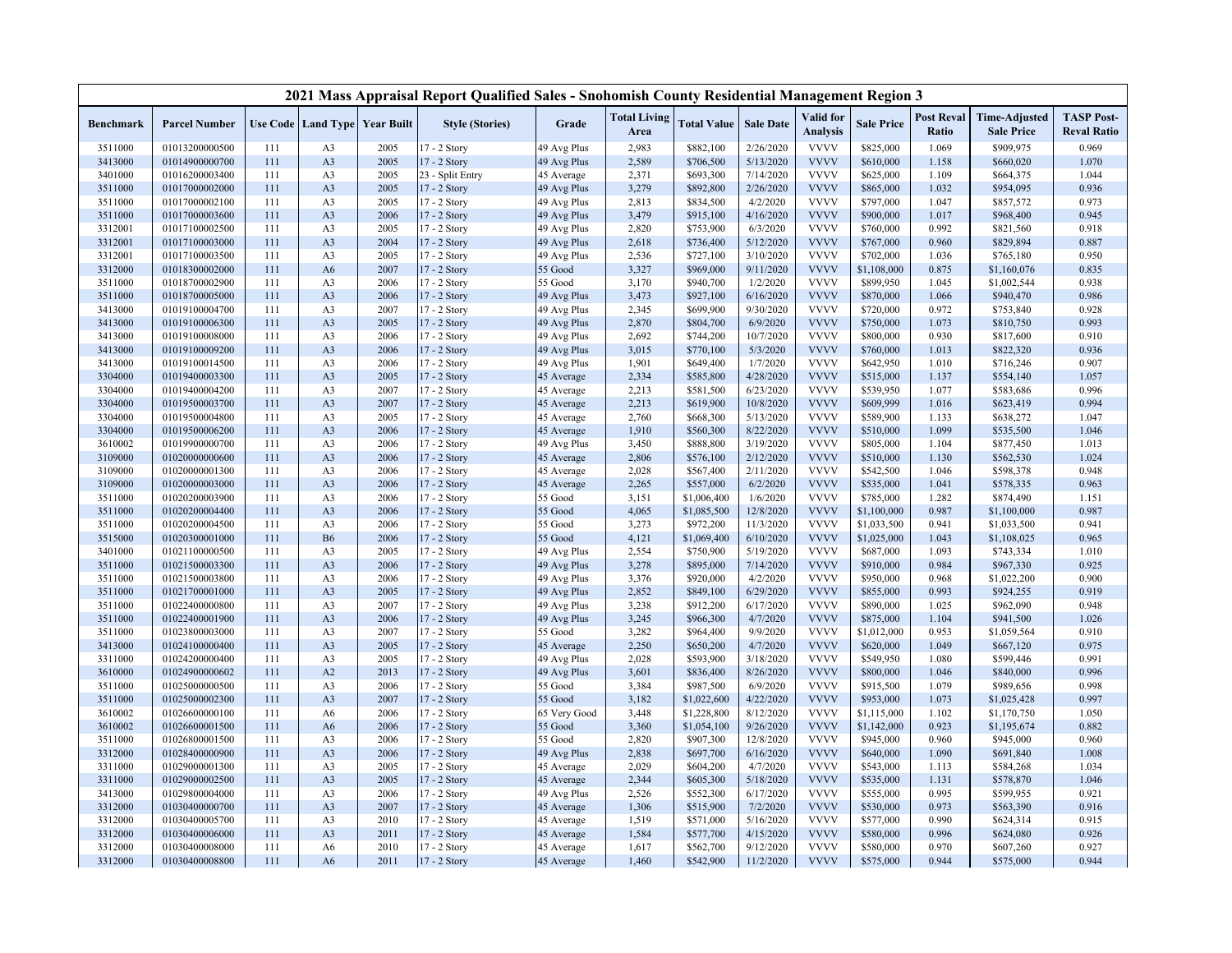|                    |                                  |            |                                          |              | 2021 Mass Appraisal Report Qualified Sales - Snohomish County Residential Management Region 3 |                          |                             |                        |                        |                              |                        |                            |                                           |                                         |
|--------------------|----------------------------------|------------|------------------------------------------|--------------|-----------------------------------------------------------------------------------------------|--------------------------|-----------------------------|------------------------|------------------------|------------------------------|------------------------|----------------------------|-------------------------------------------|-----------------------------------------|
| Benchmark          | <b>Parcel Number</b>             |            | <b>Use Code   Land Type   Year Built</b> |              | <b>Style (Stories)</b>                                                                        | Grade                    | <b>Total Living</b><br>Area | <b>Total Value</b>     | <b>Sale Date</b>       | Valid for<br><b>Analysis</b> | <b>Sale Price</b>      | <b>Post Reval</b><br>Ratio | <b>Time-Adjusted</b><br><b>Sale Price</b> | <b>TASP Post-</b><br><b>Reval Ratio</b> |
| 3511000            | 01013200000500                   | 111        | A <sub>3</sub>                           | 2005         | $17 - 2$ Story                                                                                | 49 Avg Plus              | 2,983                       | \$882,100              | 2/26/2020              | <b>VVVV</b>                  | \$825,000              | 1.069                      | \$909,975                                 | 0.969                                   |
| 3413000            | 01014900000700                   | 111        | A <sub>3</sub>                           | 2005         | 17 - 2 Story                                                                                  | 49 Avg Plus              | 2,589                       | \$706,500              | 5/13/2020              | <b>VVVV</b>                  | \$610,000              | 1.158                      | \$660,020                                 | 1.070                                   |
| 3401000            | 01016200003400                   | 111        | A <sub>3</sub>                           | 2005         | 23 - Split Entry                                                                              | 45 Average               | 2,371                       | \$693,300              | 7/14/2020              | <b>VVVV</b>                  | \$625,000              | 1.109                      | \$664,375                                 | 1.044                                   |
| 3511000            | 01017000002000                   | 111        | A <sub>3</sub>                           | 2005         | 17 - 2 Story                                                                                  | 49 Avg Plus              | 3,279                       | \$892,800              | 2/26/2020              | <b>VVVV</b>                  | \$865,000              | 1.032                      | \$954,095                                 | 0.936                                   |
| 3511000            | 01017000002100                   | 111        | A <sub>3</sub>                           | 2005         | 17 - 2 Story                                                                                  | 49 Avg Plus              | 2,813                       | \$834,500              | 4/2/2020               | <b>VVVV</b>                  | \$797,000              | 1.047                      | \$857,572                                 | 0.973                                   |
| 3511000            | 01017000003600                   | 111        | A <sub>3</sub>                           | 2006         | 17 - 2 Story                                                                                  | 49 Avg Plus              | 3,479                       | \$915,100              | 4/16/2020              | <b>VVVV</b>                  | \$900,000              | 1.017                      | \$968,400                                 | 0.945                                   |
| 3312001            | 01017100002500                   | 111        | A <sub>3</sub>                           | 2005         | 17 - 2 Story                                                                                  | 49 Avg Plus              | 2,820                       | \$753,900              | 6/3/2020               | <b>VVVV</b>                  | \$760,000              | 0.992                      | \$821,560                                 | 0.918                                   |
| 3312001            | 01017100003000                   | 111        | A <sub>3</sub>                           | 2004         | 17 - 2 Story                                                                                  | 49 Avg Plus              | 2,618                       | \$736,400              | 5/12/2020              | <b>VVVV</b>                  | \$767,000              | 0.960                      | \$829,894                                 | 0.887                                   |
| 3312001            | 01017100003500                   | 111        | A <sub>3</sub>                           | 2005         | 17 - 2 Story                                                                                  | 49 Avg Plus              | 2,536                       | \$727,100              | 3/10/2020              | <b>VVVV</b>                  | \$702,000              | 1.036                      | \$765,180                                 | 0.950                                   |
| 3312000            | 01018300002000                   | 111        | A6                                       | 2007         | 17 - 2 Story                                                                                  | 55 Good                  | 3,327                       | \$969,000              | 9/11/2020              | <b>VVVV</b>                  | \$1,108,000            | 0.875                      | \$1,160,076                               | 0.835                                   |
| 3511000            | 01018700002900                   | 111        | A <sub>3</sub>                           | 2006         | 17 - 2 Story                                                                                  | 55 Good                  | 3,170                       | \$940,700              | 1/2/2020               | <b>VVVV</b>                  | \$899,950              | 1.045                      | \$1,002,544                               | 0.938                                   |
| 3511000            | 01018700005000                   | 111        | A <sub>3</sub>                           | 2006         | 17 - 2 Story                                                                                  | 49 Avg Plus              | 3,473                       | \$927,100              | 6/16/2020              | <b>VVVV</b>                  | \$870,000              | 1.066                      | \$940,470                                 | 0.986                                   |
| 3413000            | 01019100004700                   | 111        | A <sub>3</sub>                           | 2007         | 17 - 2 Story                                                                                  | 49 Avg Plus              | 2,345                       | \$699,900              | 9/30/2020              | <b>VVVV</b>                  | \$720,000              | 0.972                      | \$753,840                                 | 0.928                                   |
| 3413000            | 01019100006300                   | 111        | A <sub>3</sub>                           | 2005         | 17 - 2 Story                                                                                  | 49 Avg Plus              | 2,870                       | \$804,700              | 6/9/2020               | <b>VVVV</b>                  | \$750,000              | 1.073                      | \$810,750                                 | 0.993                                   |
| 3413000            | 01019100008000                   | 111        | A <sub>3</sub>                           | 2006         | 17 - 2 Story                                                                                  | 49 Avg Plus              | 2,692                       | \$744,200              | 10/7/2020              | <b>VVVV</b>                  | \$800,000              | 0.930                      | \$817,600                                 | 0.910                                   |
| 3413000            | 01019100009200                   | 111        | A <sub>3</sub>                           | 2006         | 17 - 2 Story                                                                                  | 49 Avg Plus              | 3,015                       | \$770,100              | 5/3/2020               | <b>VVVV</b>                  | \$760,000              | 1.013                      | \$822,320                                 | 0.936                                   |
| 3413000            | 01019100014500                   | 111        | A <sub>3</sub>                           | 2006         | 17 - 2 Story                                                                                  | 49 Avg Plus              | 1,901<br>2,334              | \$649,400              | 1/7/2020               | <b>VVVV</b><br><b>VVVV</b>   | \$642,950              | 1.010                      | \$716,246                                 | 0.907                                   |
| 3304000<br>3304000 | 01019400003300<br>01019400004200 | 111<br>111 | A <sub>3</sub><br>A <sub>3</sub>         | 2005<br>2007 | 17 - 2 Story<br>17 - 2 Story                                                                  | 45 Average               | 2,213                       | \$585,800<br>\$581,500 | 4/28/2020<br>6/23/2020 | <b>VVVV</b>                  | \$515,000<br>\$539,950 | 1.137<br>1.077             | \$554,140<br>\$583,686                    | 1.057<br>0.996                          |
| 3304000            | 01019500003700                   | 111        | A <sub>3</sub>                           | 2007         | 17 - 2 Story                                                                                  | 45 Average<br>45 Average | 2,213                       | \$619,900              | 10/8/2020              | <b>VVVV</b>                  | \$609,999              | 1.016                      | \$623,419                                 | 0.994                                   |
| 3304000            | 01019500004800                   | 111        | A <sub>3</sub>                           | 2005         | 17 - 2 Story                                                                                  | 45 Average               | 2,760                       | \$668,300              | 5/13/2020              | <b>VVVV</b>                  | \$589,900              | 1.133                      | \$638,272                                 | 1.047                                   |
| 3304000            | 01019500006200                   | 111        | A <sub>3</sub>                           | 2006         | 17 - 2 Story                                                                                  | 45 Average               | 1,910                       | \$560,300              | 8/22/2020              | <b>VVVV</b>                  | \$510,000              | 1.099                      | \$535,500                                 | 1.046                                   |
| 3610002            | 01019900000700                   | 111        | A <sub>3</sub>                           | 2006         | 17 - 2 Story                                                                                  | 49 Avg Plus              | 3,450                       | \$888,800              | 3/19/2020              | <b>VVVV</b>                  | \$805,000              | 1.104                      | \$877,450                                 | 1.013                                   |
| 3109000            | 01020000000600                   | 111        | A <sub>3</sub>                           | 2006         | 17 - 2 Story                                                                                  | 45 Average               | 2,806                       | \$576,100              | 2/12/2020              | <b>VVVV</b>                  | \$510,000              | 1.130                      | \$562,530                                 | 1.024                                   |
| 3109000            | 01020000001300                   | 111        | A <sub>3</sub>                           | 2006         | 17 - 2 Story                                                                                  | 45 Average               | 2,028                       | \$567,400              | 2/11/2020              | <b>VVVV</b>                  | \$542,500              | 1.046                      | \$598,378                                 | 0.948                                   |
| 3109000            | 01020000003000                   | 111        | A <sub>3</sub>                           | 2006         | 17 - 2 Story                                                                                  | 45 Average               | 2,265                       | \$557,000              | 6/2/2020               | <b>VVVV</b>                  | \$535,000              | 1.041                      | \$578,335                                 | 0.963                                   |
| 3511000            | 01020200003900                   | 111        | A <sub>3</sub>                           | 2006         | 17 - 2 Story                                                                                  | 55 Good                  | 3,151                       | \$1,006,400            | 1/6/2020               | <b>VVVV</b>                  | \$785,000              | 1.282                      | \$874,490                                 | 1.151                                   |
| 3511000            | 01020200004400                   | 111        | A <sub>3</sub>                           | 2006         | 17 - 2 Story                                                                                  | 55 Good                  | 4,065                       | \$1,085,500            | 12/8/2020              | <b>VVVV</b>                  | \$1,100,000            | 0.987                      | \$1,100,000                               | 0.987                                   |
| 3511000            | 01020200004500                   | 111        | A <sub>3</sub>                           | 2006         | 17 - 2 Story                                                                                  | 55 Good                  | 3,273                       | \$972,200              | 11/3/2020              | <b>VVVV</b>                  | \$1,033,500            | 0.941                      | \$1,033,500                               | 0.941                                   |
| 3515000            | 01020300001000                   | 111        | <b>B6</b>                                | 2006         | 17 - 2 Story                                                                                  | 55 Good                  | 4,121                       | \$1,069,400            | 6/10/2020              | <b>VVVV</b>                  | \$1,025,000            | 1.043                      | \$1,108,025                               | 0.965                                   |
| 3401000            | 01021100000500                   | 111        | A <sub>3</sub>                           | 2005         | 17 - 2 Story                                                                                  | 49 Avg Plus              | 2,554                       | \$750,900              | 5/19/2020              | <b>VVVV</b>                  | \$687,000              | 1.093                      | \$743,334                                 | 1.010                                   |
| 3511000            | 01021500003300                   | 111        | A <sub>3</sub>                           | 2006         | 17 - 2 Story                                                                                  | 49 Avg Plus              | 3,278                       | \$895,000              | 7/14/2020              | <b>VVVV</b>                  | \$910,000              | 0.984                      | \$967,330                                 | 0.925                                   |
| 3511000            | 01021500003800                   | 111        | A <sub>3</sub>                           | 2006         | 17 - 2 Story                                                                                  | 49 Avg Plus              | 3,376                       | \$920,000              | 4/2/2020               | <b>VVVV</b>                  | \$950,000              | 0.968                      | \$1,022,200                               | 0.900                                   |
| 3511000            | 01021700001000                   | 111        | A <sub>3</sub>                           | 2005         | 17 - 2 Story                                                                                  | 49 Avg Plus              | 2,852                       | \$849,100              | 6/29/2020              | <b>VVVV</b>                  | \$855,000              | 0.993                      | \$924,255                                 | 0.919                                   |
| 3511000            | 01022400000800                   | 111        | A <sub>3</sub>                           | 2007         | 17 - 2 Story                                                                                  | 49 Avg Plus              | 3,238                       | \$912,200              | 6/17/2020              | <b>VVVV</b>                  | \$890,000              | 1.025                      | \$962,090                                 | 0.948                                   |
| 3511000            | 01022400001900                   | 111        | A <sub>3</sub>                           | 2006         | $17 - 2$ Story                                                                                | 49 Avg Plus              | 3,245                       | \$966,300              | 4/7/2020               | <b>VVVV</b>                  | \$875,000              | 1.104                      | \$941,500                                 | 1.026                                   |
| 3511000            | 01023800003000                   | 111        | A <sub>3</sub>                           | 2007         | 17 - 2 Story                                                                                  | 55 Good                  | 3,282                       | \$964,400              | 9/9/2020               | <b>VVVV</b>                  | \$1,012,000            | 0.953                      | \$1,059,564                               | 0.910                                   |
| 3413000            | 01024100000400                   | 111        | A <sub>3</sub>                           | 2005         | 17 - 2 Story                                                                                  | 45 Average               | 2,250                       | \$650,200              | 4/7/2020               | <b>VVVV</b>                  | \$620,000              | 1.049                      | \$667,120                                 | 0.975                                   |
| 3311000            | 01024200000400                   | 111        | A <sub>3</sub>                           | 2005         | 17 - 2 Story                                                                                  | 49 Avg Plus              | 2,028                       | \$593,900              | 3/18/2020              | <b>VVVV</b><br><b>VVVV</b>   | \$549,950              | 1.080                      | \$599,446                                 | 0.991                                   |
| 3610000<br>3511000 | 01024900000602<br>01025000000500 | 111<br>111 | A2<br>A <sub>3</sub>                     | 2013<br>2006 | 17 - 2 Story<br>17 - 2 Story                                                                  | 49 Avg Plus<br>55 Good   | 3,601<br>3,384              | \$836,400<br>\$987,500 | 8/26/2020<br>6/9/2020  | <b>VVVV</b>                  | \$800,000<br>\$915,500 | 1.046<br>1.079             | \$840,000<br>\$989,656                    | 0.996<br>0.998                          |
| 3511000            | 01025000002300                   | 111        | A <sub>3</sub>                           | 2007         | 17 - 2 Story                                                                                  | 55 Good                  | 3,182                       | \$1,022,600            | 4/22/2020              | <b>VVVV</b>                  | \$953,000              | 1.073                      | \$1,025,428                               | 0.997                                   |
| 3610002            | 01026600000100                   | 111        | A6                                       | 2006         | 17 - 2 Story                                                                                  | 65 Very Good             | 3,448                       | \$1,228,800            | 8/12/2020              | <b>VVVV</b>                  | \$1,115,000            | 1.102                      | \$1,170,750                               | 1.050                                   |
| 3610002            | 01026600001500                   | 111        | A6                                       | 2006         | 17 - 2 Story                                                                                  | 55 Good                  | 3,360                       | \$1,054,100            | 9/26/2020              | <b>VVVV</b>                  | \$1,142,000            | 0.923                      | \$1,195,674                               | 0.882                                   |
| 3511000            | 01026800001500                   | 111        | A <sub>3</sub>                           | 2006         | 17 - 2 Story                                                                                  | 55 Good                  | 2,820                       | \$907,300              | 12/8/2020              | <b>VVVV</b>                  | \$945,000              | 0.960                      | \$945,000                                 | 0.960                                   |
| 3312000            | 01028400000900                   | 111        | A <sub>3</sub>                           | 2006         | 17 - 2 Story                                                                                  | 49 Avg Plus              | 2,838                       | \$697,700              | 6/16/2020              | <b>VVVV</b>                  | \$640,000              | 1.090                      | \$691,840                                 | 1.008                                   |
| 3311000            | 01029000001300                   | 111        | A <sub>3</sub>                           | 2005         | 17 - 2 Story                                                                                  | 45 Average               | 2,029                       | \$604,200              | 4/7/2020               | <b>VVVV</b>                  | \$543,000              | 1.113                      | \$584,268                                 | 1.034                                   |
| 3311000            | 01029000002500                   | 111        | A <sub>3</sub>                           | 2005         | 17 - 2 Story                                                                                  | 45 Average               | 2,344                       | \$605,300              | 5/18/2020              | <b>VVVV</b>                  | \$535,000              | 1.131                      | \$578,870                                 | 1.046                                   |
| 3413000            | 01029800004000                   | 111        | A <sub>3</sub>                           | 2006         | 17 - 2 Story                                                                                  | 49 Avg Plus              | 2,526                       | \$552,300              | 6/17/2020              | <b>VVVV</b>                  | \$555,000              | 0.995                      | \$599,955                                 | 0.921                                   |
| 3312000            | 01030400000700                   | 111        | A <sub>3</sub>                           | 2007         | 17 - 2 Story                                                                                  | 45 Average               | 1,306                       | \$515,900              | 7/2/2020               | <b>VVVV</b>                  | \$530,000              | 0.973                      | \$563,390                                 | 0.916                                   |
| 3312000            | 01030400005700                   | 111        | A <sub>3</sub>                           | 2010         | 17 - 2 Story                                                                                  | 45 Average               | 1,519                       | \$571,000              | 5/16/2020              | <b>VVVV</b>                  | \$577,000              | 0.990                      | \$624,314                                 | 0.915                                   |
| 3312000            | 01030400006000                   | 111        | A <sub>3</sub>                           | 2011         | 17 - 2 Story                                                                                  | 45 Average               | 1,584                       | \$577,700              | 4/15/2020              | <b>VVVV</b>                  | \$580,000              | 0.996                      | \$624,080                                 | 0.926                                   |
| 3312000            | 01030400008000                   | 111        | A <sub>6</sub>                           | 2010         | 17 - 2 Story                                                                                  | 45 Average               | 1,617                       | \$562,700              | 9/12/2020              | <b>VVVV</b>                  | \$580,000              | 0.970                      | \$607,260                                 | 0.927                                   |
| 3312000            | 01030400008800                   | 111        | A6                                       | 2011         | 17 - 2 Story                                                                                  | 45 Average               | 1,460                       | \$542,900              | 11/2/2020              | <b>VVVV</b>                  | \$575,000              | 0.944                      | \$575,000                                 | 0.944                                   |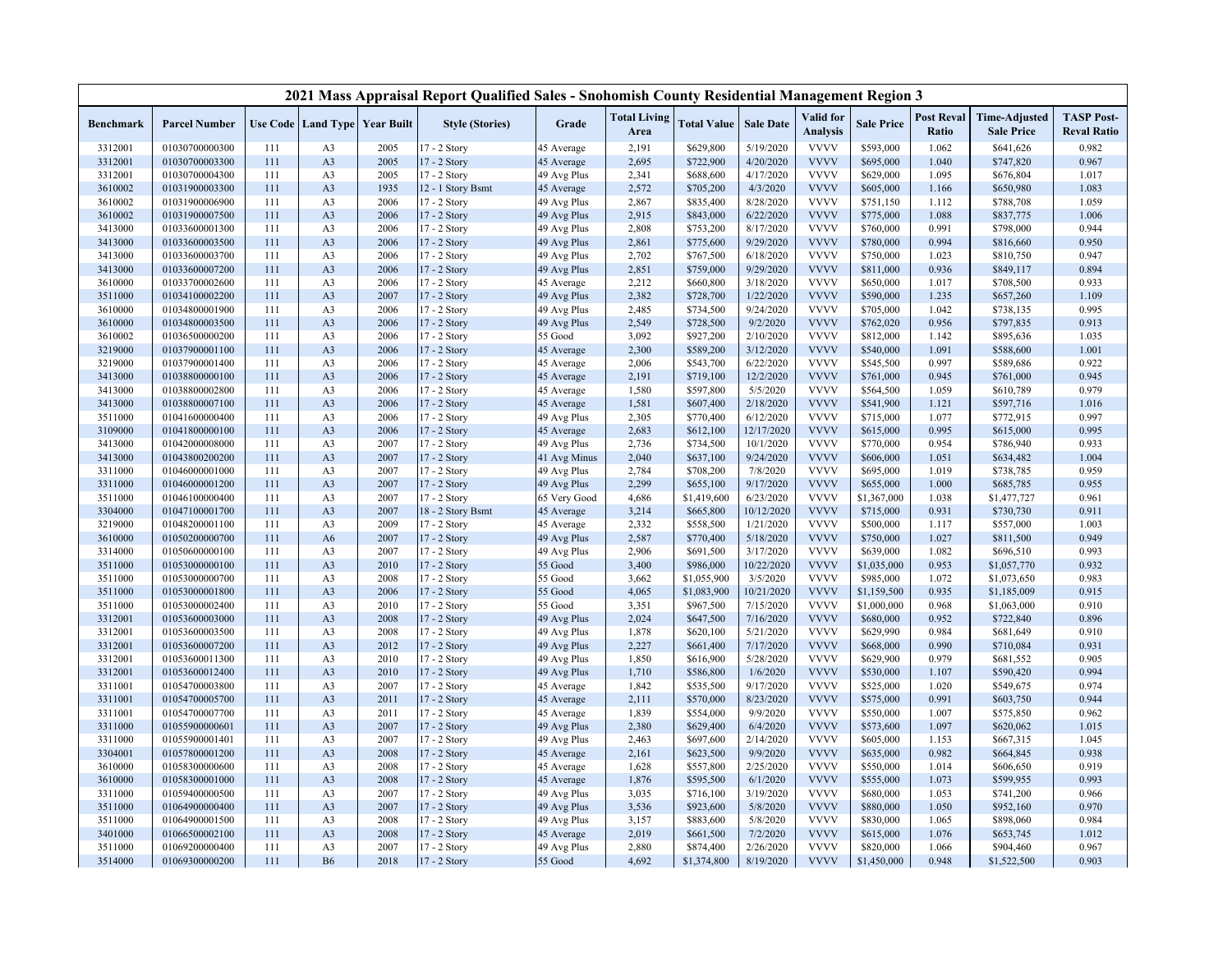|                    |                                  |            |                      |                                          | 2021 Mass Appraisal Report Qualified Sales - Snohomish County Residential Management Region 3 |                           |                             |                        |                        |                              |                        |                            |                                           |                                         |
|--------------------|----------------------------------|------------|----------------------|------------------------------------------|-----------------------------------------------------------------------------------------------|---------------------------|-----------------------------|------------------------|------------------------|------------------------------|------------------------|----------------------------|-------------------------------------------|-----------------------------------------|
| <b>Benchmark</b>   | <b>Parcel Number</b>             |            |                      | <b>Use Code   Land Type   Year Built</b> | <b>Style (Stories)</b>                                                                        | Grade                     | <b>Total Living</b><br>Area | <b>Total Value</b>     | <b>Sale Date</b>       | Valid for<br><b>Analysis</b> | <b>Sale Price</b>      | <b>Post Reval</b><br>Ratio | <b>Time-Adjusted</b><br><b>Sale Price</b> | <b>TASP Post-</b><br><b>Reval Ratio</b> |
| 3312001            | 01030700000300                   | 111        | A <sub>3</sub>       | 2005                                     | 17 - 2 Story                                                                                  | 45 Average                | 2,191                       | \$629,800              | 5/19/2020              | <b>VVVV</b>                  | \$593,000              | 1.062                      | \$641,626                                 | 0.982                                   |
| 3312001            | 01030700003300                   | 111        | A3                   | 2005                                     | 17 - 2 Story                                                                                  | 45 Average                | 2,695                       | \$722,900              | 4/20/2020              | <b>VVVV</b>                  | \$695,000              | 1.040                      | \$747,820                                 | 0.967                                   |
| 3312001            | 01030700004300                   | 111        | A <sub>3</sub>       | 2005                                     | 17 - 2 Story                                                                                  | 49 Avg Plus               | 2,341                       | \$688,600              | 4/17/2020              | <b>VVVV</b>                  | \$629,000              | 1.095                      | \$676,804                                 | 1.017                                   |
| 3610002            | 01031900003300                   | 111        | A3                   | 1935                                     | 12 - 1 Story Bsmt                                                                             | 45 Average                | 2,572                       | \$705,200              | 4/3/2020               | <b>VVVV</b>                  | \$605,000              | 1.166                      | \$650,980                                 | 1.083                                   |
| 3610002            | 01031900006900                   | 111        | A3                   | 2006                                     | 17 - 2 Story                                                                                  | 49 Avg Plus               | 2,867                       | \$835,400              | 8/28/2020              | <b>VVVV</b>                  | \$751,150              | 1.112                      | \$788,708                                 | 1.059                                   |
| 3610002            | 01031900007500                   | 111        | A3                   | 2006                                     | 17 - 2 Story                                                                                  | 49 Avg Plus               | 2,915                       | \$843,000              | 6/22/2020              | <b>VVVV</b>                  | \$775,000              | 1.088                      | \$837,775                                 | 1.006                                   |
| 3413000            | 01033600001300                   | 111        | A <sub>3</sub>       | 2006                                     | 17 - 2 Story                                                                                  | 49 Avg Plus               | 2,808                       | \$753,200              | 8/17/2020              | <b>VVVV</b>                  | \$760,000              | 0.991                      | \$798,000                                 | 0.944                                   |
| 3413000            | 01033600003500                   | 111        | A <sub>3</sub>       | 2006                                     | 17 - 2 Story                                                                                  | 49 Avg Plus               | 2,861                       | \$775,600              | 9/29/2020              | <b>VVVV</b>                  | \$780,000              | 0.994                      | \$816,660                                 | 0.950                                   |
| 3413000            | 01033600003700                   | 111        | A3                   | 2006                                     | 17 - 2 Story                                                                                  | 49 Avg Plus               | 2,702                       | \$767,500              | 6/18/2020              | <b>VVVV</b>                  | \$750,000              | 1.023                      | \$810,750                                 | 0.947                                   |
| 3413000            | 01033600007200                   | 111        | A <sub>3</sub>       | 2006                                     | 17 - 2 Story                                                                                  | 49 Avg Plus               | 2,851                       | \$759,000              | 9/29/2020              | <b>VVVV</b>                  | \$811,000              | 0.936                      | \$849,117                                 | 0.894                                   |
| 3610000            | 01033700002600                   | 111        | A3                   | 2006                                     | 17 - 2 Story                                                                                  | 45 Average                | 2,212                       | \$660,800              | 3/18/2020              | <b>VVVV</b>                  | \$650,000              | 1.017                      | \$708,500                                 | 0.933                                   |
| 3511000            | 01034100002200                   | 111        | A <sub>3</sub>       | 2007                                     | 17 - 2 Story                                                                                  | 49 Avg Plus               | 2,382                       | \$728,700              | 1/22/2020              | <b>VVVV</b>                  | \$590,000              | 1.235                      | \$657,260                                 | 1.109                                   |
| 3610000            | 01034800001900                   | 111        | A3                   | 2006                                     | 17 - 2 Story                                                                                  | 49 Avg Plus               | 2,485                       | \$734,500              | 9/24/2020              | <b>VVVV</b>                  | \$705,000              | 1.042                      | \$738,135                                 | 0.995                                   |
| 3610000            | 01034800003500                   | 111        | A3                   | 2006                                     | 17 - 2 Story                                                                                  | 49 Avg Plus               | 2,549                       | \$728,500              | 9/2/2020               | <b>VVVV</b>                  | \$762,020              | 0.956                      | \$797,835                                 | 0.913                                   |
| 3610002            | 01036500000200                   | 111        | A <sub>3</sub>       | 2006                                     | 17 - 2 Story                                                                                  | 55 Good                   | 3,092                       | \$927,200              | 2/10/2020              | <b>VVVV</b>                  | \$812,000              | 1.142                      | \$895,636                                 | 1.035                                   |
| 3219000            | 01037900001100                   | 111        | A <sub>3</sub>       | 2006                                     | 17 - 2 Story                                                                                  | 45 Average                | 2,300                       | \$589,200              | 3/12/2020              | <b>VVVV</b>                  | \$540,000              | 1.091                      | \$588,600                                 | 1.001                                   |
| 3219000            | 01037900001400                   | 111        | A <sub>3</sub>       | 2006                                     | 17 - 2 Story                                                                                  | 45 Average                | 2,006                       | \$543,700              | 6/22/2020              | <b>VVVV</b><br><b>VVVV</b>   | \$545,500              | 0.997<br>0.945             | \$589,686                                 | 0.922<br>0.945                          |
| 3413000            | 01038800000100                   | 111        | A3                   | 2006                                     | 17 - 2 Story                                                                                  | 45 Average                | 2,191                       | \$719,100              | 12/2/2020              | <b>VVVV</b>                  | \$761,000              |                            | \$761,000                                 | 0.979                                   |
| 3413000            | 01038800002800<br>01038800007100 | 111<br>111 | A3<br>A <sub>3</sub> | 2006<br>2006                             | 17 - 2 Story                                                                                  | 45 Average                | 1,580                       | \$597,800              | 5/5/2020<br>2/18/2020  | <b>VVVV</b>                  | \$564,500<br>\$541,900 | 1.059<br>1.121             | \$610,789                                 | 1.016                                   |
| 3413000<br>3511000 | 01041600000400                   | 111        | A3                   | 2006                                     | 17 - 2 Story<br>17 - 2 Story                                                                  | 45 Average<br>49 Avg Plus | 1,581<br>2,305              | \$607,400<br>\$770,400 | 6/12/2020              | <b>VVVV</b>                  | \$715,000              | 1.077                      | \$597,716<br>\$772,915                    | 0.997                                   |
| 3109000            | 01041800000100                   | 111        | A3                   | 2006                                     | 17 - 2 Story                                                                                  | 45 Average                | 2,683                       | \$612,100              | 12/17/2020             | <b>VVVV</b>                  | \$615,000              | 0.995                      | \$615,000                                 | 0.995                                   |
| 3413000            | 01042000008000                   | 111        | A3                   | 2007                                     | 17 - 2 Story                                                                                  | 49 Avg Plus               | 2,736                       | \$734,500              | 10/1/2020              | <b>VVVV</b>                  | \$770,000              | 0.954                      | \$786,940                                 | 0.933                                   |
| 3413000            | 01043800200200                   | 111        | A3                   | 2007                                     | 17 - 2 Story                                                                                  | 41 Avg Minus              | 2,040                       | \$637,100              | 9/24/2020              | <b>VVVV</b>                  | \$606,000              | 1.051                      | \$634,482                                 | 1.004                                   |
| 3311000            | 01046000001000                   | 111        | A3                   | 2007                                     | 17 - 2 Story                                                                                  | 49 Avg Plus               | 2,784                       | \$708,200              | 7/8/2020               | <b>VVVV</b>                  | \$695,000              | 1.019                      | \$738,785                                 | 0.959                                   |
| 3311000            | 01046000001200                   | 111        | A <sub>3</sub>       | 2007                                     | 17 - 2 Story                                                                                  | 49 Avg Plus               | 2,299                       | \$655,100              | 9/17/2020              | <b>VVVV</b>                  | \$655,000              | 1.000                      | \$685,785                                 | 0.955                                   |
| 3511000            | 01046100000400                   | 111        | A <sub>3</sub>       | 2007                                     | 17 - 2 Story                                                                                  | 65 Very Good              | 4,686                       | \$1,419,600            | 6/23/2020              | <b>VVVV</b>                  | \$1,367,000            | 1.038                      | \$1,477,727                               | 0.961                                   |
| 3304000            | 01047100001700                   | 111        | A3                   | 2007                                     | 18 - 2 Story Bsmt                                                                             | 45 Average                | 3,214                       | \$665,800              | 10/12/2020             | <b>VVVV</b>                  | \$715,000              | 0.931                      | \$730,730                                 | 0.911                                   |
| 3219000            | 01048200001100                   | 111        | A <sub>3</sub>       | 2009                                     | 17 - 2 Story                                                                                  | 45 Average                | 2,332                       | \$558,500              | 1/21/2020              | <b>VVVV</b>                  | \$500,000              | 1.117                      | \$557,000                                 | 1.003                                   |
| 3610000            | 01050200000700                   | 111        | A <sub>6</sub>       | 2007                                     | 17 - 2 Story                                                                                  | 49 Avg Plus               | 2,587                       | \$770,400              | 5/18/2020              | <b>VVVV</b>                  | \$750,000              | 1.027                      | \$811,500                                 | 0.949                                   |
| 3314000            | 01050600000100                   | 111        | A <sub>3</sub>       | 2007                                     | 17 - 2 Story                                                                                  | 49 Avg Plus               | 2,906                       | \$691,500              | 3/17/2020              | <b>VVVV</b>                  | \$639,000              | 1.082                      | \$696,510                                 | 0.993                                   |
| 3511000            | 01053000000100                   | 111        | A3                   | 2010                                     | 17 - 2 Story                                                                                  | 55 Good                   | 3,400                       | \$986,000              | 10/22/2020             | <b>VVVV</b>                  | \$1,035,000            | 0.953                      | \$1,057,770                               | 0.932                                   |
| 3511000            | 01053000000700                   | 111        | A <sub>3</sub>       | 2008                                     | 17 - 2 Story                                                                                  | 55 Good                   | 3,662                       | \$1,055,900            | 3/5/2020               | <b>VVVV</b>                  | \$985,000              | 1.072                      | \$1,073,650                               | 0.983                                   |
| 3511000            | 01053000001800                   | 111        | A <sub>3</sub>       | 2006                                     | 17 - 2 Story                                                                                  | 55 Good                   | 4,065                       | \$1,083,900            | 10/21/2020             | <b>VVVV</b>                  | \$1,159,500            | 0.935                      | \$1,185,009                               | 0.915                                   |
| 3511000            | 01053000002400                   | 111        | A <sub>3</sub>       | 2010                                     | 17 - 2 Story                                                                                  | 55 Good                   | 3,351                       | \$967,500              | 7/15/2020              | <b>VVVV</b>                  | \$1,000,000            | 0.968                      | \$1,063,000                               | 0.910                                   |
| 3312001            | 01053600003000                   | 111        | A <sub>3</sub>       | 2008                                     | 17 - 2 Story                                                                                  | 49 Avg Plus               | 2,024                       | \$647,500              | 7/16/2020              | <b>VVVV</b>                  | \$680,000              | 0.952                      | \$722,840                                 | 0.896                                   |
| 3312001            | 01053600003500                   | 111        | A3                   | 2008                                     | 17 - 2 Story                                                                                  | 49 Avg Plus               | 1,878                       | \$620,100              | 5/21/2020              | <b>VVVV</b>                  | \$629,990              | 0.984                      | \$681,649                                 | 0.910                                   |
| 3312001            | 01053600007200                   | 111        | A3                   | 2012                                     | 17 - 2 Story                                                                                  | 49 Avg Plus               | 2,227                       | \$661,400              | 7/17/2020              | <b>VVVV</b>                  | \$668,000              | 0.990                      | \$710,084                                 | 0.931                                   |
| 3312001            | 01053600011300                   | 111        | A3                   | 2010                                     | 17 - 2 Story                                                                                  | 49 Avg Plus               | 1,850                       | \$616,900              | 5/28/2020              | <b>VVVV</b>                  | \$629,900              | 0.979                      | \$681,552                                 | 0.905                                   |
| 3312001            | 01053600012400                   | 111        | A3                   | 2010<br>2007                             | 17 - 2 Story                                                                                  | 49 Avg Plus               | 1,710                       | \$586,800              | 1/6/2020               | <b>VVVV</b><br><b>VVVV</b>   | \$530,000              | 1.107<br>1.020             | \$590,420                                 | 0.994<br>0.974                          |
| 3311001<br>3311001 | 01054700003800<br>01054700005700 | 111<br>111 | A3<br>A3             | 2011                                     | 17 - 2 Story<br>17 - 2 Story                                                                  | 45 Average<br>45 Average  | 1,842<br>2,111              | \$535,500<br>\$570,000 | 9/17/2020<br>8/23/2020 | <b>VVVV</b>                  | \$525,000<br>\$575,000 | 0.991                      | \$549,675<br>\$603,750                    | 0.944                                   |
| 3311001            | 01054700007700                   | 111        | A <sub>3</sub>       | 2011                                     | 17 - 2 Story                                                                                  | 45 Average                | 1,839                       | \$554,000              | 9/9/2020               | <b>VVVV</b>                  | \$550,000              | 1.007                      | \$575,850                                 | 0.962                                   |
| 3311000            | 01055900000601                   | 111        | A <sub>3</sub>       | 2007                                     | 17 - 2 Story                                                                                  | 49 Avg Plus               | 2,380                       | \$629,400              | 6/4/2020               | <b>VVVV</b>                  | \$573,600              | 1.097                      | \$620,062                                 | 1.015                                   |
| 3311000            | 01055900001401                   | 111        | A3                   | 2007                                     | 17 - 2 Story                                                                                  | 49 Avg Plus               | 2,463                       | \$697,600              | 2/14/2020              | <b>VVVV</b>                  | \$605,000              | 1.153                      | \$667,315                                 | 1.045                                   |
| 3304001            | 01057800001200                   | 111        | A3                   | 2008                                     | 17 - 2 Story                                                                                  | 45 Average                | 2,161                       | \$623,500              | 9/9/2020               | <b>VVVV</b>                  | \$635,000              | 0.982                      | \$664,845                                 | 0.938                                   |
| 3610000            | 01058300000600                   | 111        | A3                   | 2008                                     | 17 - 2 Story                                                                                  | 45 Average                | 1,628                       | \$557,800              | 2/25/2020              | <b>VVVV</b>                  | \$550,000              | 1.014                      | \$606,650                                 | 0.919                                   |
| 3610000            | 01058300001000                   | 111        | A <sub>3</sub>       | 2008                                     | 17 - 2 Story                                                                                  | 45 Average                | 1,876                       | \$595,500              | 6/1/2020               | <b>VVVV</b>                  | \$555,000              | 1.073                      | \$599,955                                 | 0.993                                   |
| 3311000            | 01059400000500                   | 111        | A3                   | 2007                                     | 17 - 2 Story                                                                                  | 49 Avg Plus               | 3,035                       | \$716,100              | 3/19/2020              | <b>VVVV</b>                  | \$680,000              | 1.053                      | \$741,200                                 | 0.966                                   |
| 3511000            | 01064900000400                   | 111        | A <sub>3</sub>       | 2007                                     | $17 - 2$ Story                                                                                | 49 Avg Plus               | 3,536                       | \$923,600              | 5/8/2020               | <b>VVVV</b>                  | \$880,000              | 1.050                      | \$952,160                                 | 0.970                                   |
| 3511000            | 01064900001500                   | 111        | A <sub>3</sub>       | 2008                                     | 17 - 2 Story                                                                                  | 49 Avg Plus               | 3,157                       | \$883,600              | 5/8/2020               | <b>VVVV</b>                  | \$830,000              | 1.065                      | \$898,060                                 | 0.984                                   |
| 3401000            | 01066500002100                   | 111        | A <sub>3</sub>       | 2008                                     | 17 - 2 Story                                                                                  | 45 Average                | 2,019                       | \$661,500              | 7/2/2020               | <b>VVVV</b>                  | \$615,000              | 1.076                      | \$653,745                                 | 1.012                                   |
| 3511000            | 01069200000400                   | 111        | A <sub>3</sub>       | 2007                                     | 17 - 2 Story                                                                                  | 49 Avg Plus               | 2,880                       | \$874,400              | 2/26/2020              | <b>VVVV</b>                  | \$820,000              | 1.066                      | \$904,460                                 | 0.967                                   |
| 3514000            | 01069300000200                   | 111        | <b>B6</b>            | 2018                                     | 17 - 2 Story                                                                                  | 55 Good                   | 4,692                       | \$1,374,800            | 8/19/2020              | <b>VVVV</b>                  | \$1,450,000            | 0.948                      | \$1,522,500                               | 0.903                                   |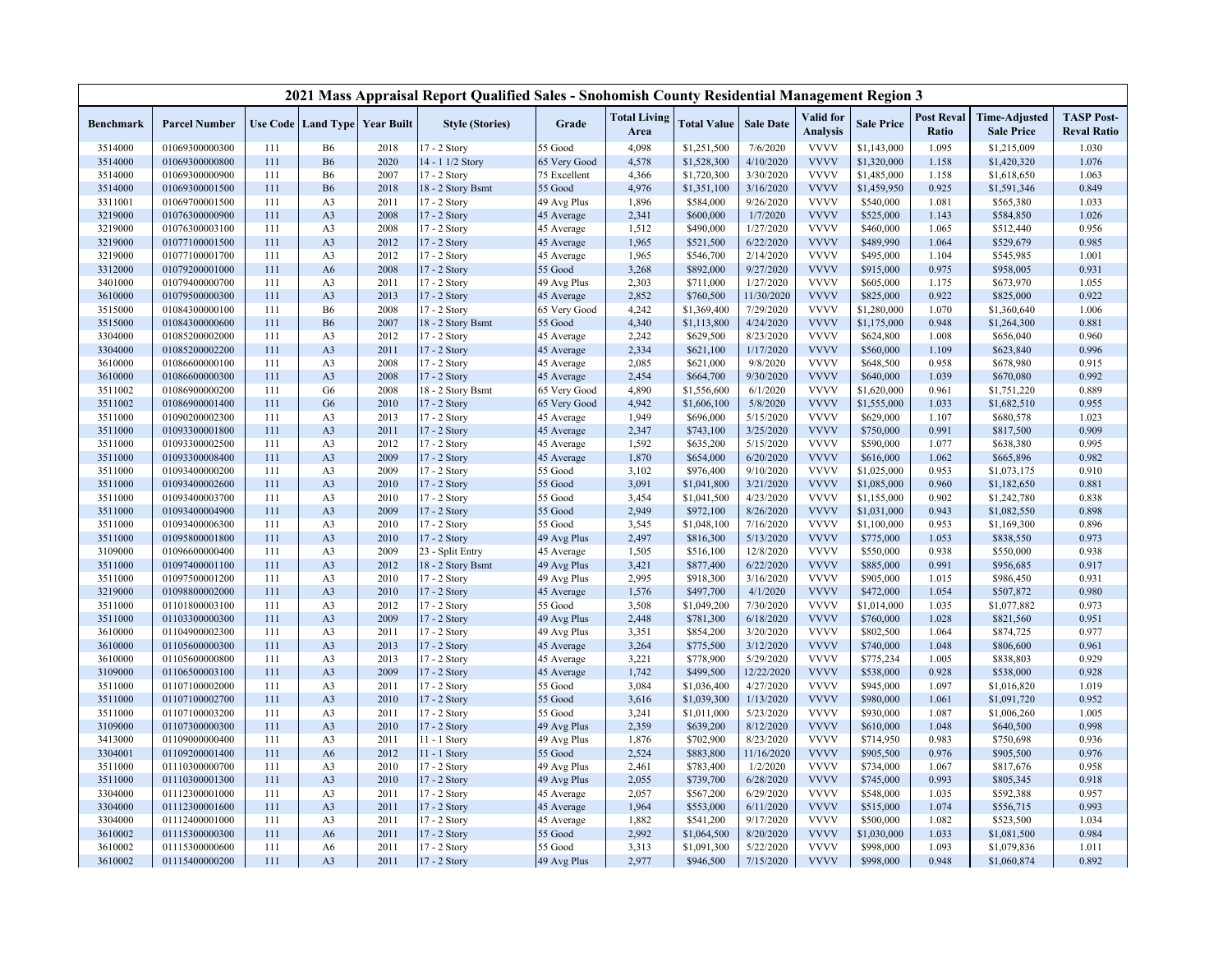|                    |                                  |            |                                          |              | 2021 Mass Appraisal Report Qualified Sales - Snohomish County Residential Management Region 3 |                       |                             |                          |                        |                              |                        |                            |                                           |                                         |
|--------------------|----------------------------------|------------|------------------------------------------|--------------|-----------------------------------------------------------------------------------------------|-----------------------|-----------------------------|--------------------------|------------------------|------------------------------|------------------------|----------------------------|-------------------------------------------|-----------------------------------------|
| Benchmark          | <b>Parcel Number</b>             |            | <b>Use Code   Land Type   Year Built</b> |              | <b>Style (Stories)</b>                                                                        | Grade                 | <b>Total Living</b><br>Area | <b>Total Value</b>       | <b>Sale Date</b>       | Valid for<br><b>Analysis</b> | <b>Sale Price</b>      | <b>Post Reval</b><br>Ratio | <b>Time-Adjusted</b><br><b>Sale Price</b> | <b>TASP Post-</b><br><b>Reval Ratio</b> |
| 3514000            | 01069300000300                   | 111        | <b>B6</b>                                | 2018         | $17 - 2$ Story                                                                                | 55 Good               | 4,098                       | \$1,251,500              | 7/6/2020               | <b>VVVV</b>                  | \$1,143,000            | 1.095                      | \$1,215,009                               | 1.030                                   |
| 3514000            | 01069300000800                   | 111        | <b>B6</b>                                | 2020         | 14 - 1 1/2 Story                                                                              | 65 Very Good          | 4,578                       | \$1,528,300              | 4/10/2020              | <b>VVVV</b>                  | \$1,320,000            | 1.158                      | \$1,420,320                               | 1.076                                   |
| 3514000            | 01069300000900                   | 111        | <b>B6</b>                                | 2007         | 17 - 2 Story                                                                                  | 75 Excellent          | 4,366                       | \$1,720,300              | 3/30/2020              | <b>VVVV</b>                  | \$1,485,000            | 1.158                      | \$1,618,650                               | 1.063                                   |
| 3514000            | 01069300001500                   | 111        | <b>B6</b>                                | 2018         | 18 - 2 Story Bsmt                                                                             | 55 Good               | 4,976                       | \$1,351,100              | 3/16/2020              | <b>VVVV</b>                  | \$1,459,950            | 0.925                      | \$1,591,346                               | 0.849                                   |
| 3311001            | 01069700001500                   | 111        | A <sub>3</sub>                           | 2011         | 17 - 2 Story                                                                                  | 49 Avg Plus           | 1,896                       | \$584,000                | 9/26/2020              | <b>VVVV</b>                  | \$540,000              | 1.081                      | \$565,380                                 | 1.033                                   |
| 3219000            | 01076300000900                   | 111        | A <sub>3</sub>                           | 2008         | 17 - 2 Story                                                                                  | 45 Average            | 2,341                       | \$600,000                | 1/7/2020               | <b>VVVV</b>                  | \$525,000              | 1.143                      | \$584,850                                 | 1.026                                   |
| 3219000            | 01076300003100                   | 111        | A <sub>3</sub>                           | 2008         | 17 - 2 Story                                                                                  | 45 Average            | 1,512                       | \$490,000                | 1/27/2020              | <b>VVVV</b>                  | \$460,000              | 1.065                      | \$512,440                                 | 0.956                                   |
| 3219000            | 01077100001500                   | 111        | A <sub>3</sub>                           | 2012         | 17 - 2 Story                                                                                  | 45 Average            | 1,965                       | \$521,500                | 6/22/2020              | <b>VVVV</b>                  | \$489,990              | 1.064                      | \$529,679                                 | 0.985                                   |
| 3219000            | 01077100001700                   | 111        | A <sub>3</sub>                           | 2012         | 17 - 2 Story                                                                                  | 45 Average            | 1,965                       | \$546,700                | 2/14/2020              | <b>VVVV</b>                  | \$495,000              | 1.104                      | \$545,985                                 | 1.001                                   |
| 3312000            | 01079200001000                   | 111        | A6                                       | 2008         | 17 - 2 Story                                                                                  | 55 Good               | 3,268                       | \$892,000                | 9/27/2020              | <b>VVVV</b>                  | \$915,000              | 0.975                      | \$958,005                                 | 0.931                                   |
| 3401000            | 01079400000700                   | 111        | A <sub>3</sub>                           | 2011         | 17 - 2 Story                                                                                  | 49 Avg Plus           | 2,303                       | \$711,000                | 1/27/2020              | <b>VVVV</b>                  | \$605,000              | 1.175                      | \$673,970                                 | 1.055                                   |
| 3610000            | 01079500000300                   | 111        | A <sub>3</sub>                           | 2013         | 17 - 2 Story                                                                                  | 45 Average            | 2,852                       | \$760,500                | 11/30/2020             | <b>VVVV</b>                  | \$825,000              | 0.922                      | \$825,000                                 | 0.922                                   |
| 3515000            | 01084300000100                   | 111        | <b>B6</b>                                | 2008         | 17 - 2 Story                                                                                  | 65 Very Good          | 4,242                       | \$1,369,400              | 7/29/2020              | <b>VVVV</b>                  | \$1,280,000            | 1.070                      | \$1,360,640                               | 1.006                                   |
| 3515000            | 01084300000600                   | 111        | <b>B6</b>                                | 2007         | 18 - 2 Story Bsmt                                                                             | 55 Good               | 4,340                       | \$1,113,800              | 4/24/2020              | <b>VVVV</b>                  | \$1,175,000            | 0.948                      | \$1,264,300                               | 0.881                                   |
| 3304000            | 01085200002000                   | 111        | A <sub>3</sub>                           | 2012         | 17 - 2 Story                                                                                  | 45 Average            | 2,242                       | \$629,500                | 8/23/2020              | <b>VVVV</b>                  | \$624,800              | 1.008                      | \$656,040                                 | 0.960                                   |
| 3304000            | 01085200002200                   | 111        | A <sub>3</sub>                           | 2011         | 17 - 2 Story                                                                                  | 45 Average            | 2,334                       | \$621,100                | 1/17/2020              | <b>VVVV</b>                  | \$560,000              | 1.109                      | \$623,840                                 | 0.996                                   |
| 3610000            | 01086600000100                   | 111        | A <sub>3</sub>                           | 2008         | $17 - 2$ Story                                                                                | 45 Average            | 2,085                       | \$621,000                | 9/8/2020               | <b>VVVV</b>                  | \$648,500              | 0.958                      | \$678,980                                 | 0.915                                   |
| 3610000            | 01086600000300                   | 111        | A <sub>3</sub>                           | 2008         | 17 - 2 Story                                                                                  | 45 Average            | 2,454                       | \$664,700                | 9/30/2020              | <b>VVVV</b>                  | \$640,000              | 1.039                      | \$670,080                                 | 0.992                                   |
| 3511002            | 01086900000200                   | 111        | G <sub>6</sub>                           | 2008         | 18 - 2 Story Bsmt                                                                             | 65 Very Good          | 4,890                       | \$1,556,600              | 6/1/2020               | <b>VVVV</b>                  | \$1,620,000            | 0.961                      | \$1,751,220                               | 0.889                                   |
| 3511002            | 01086900001400                   | 111        | G <sub>6</sub>                           | 2010         | 17 - 2 Story                                                                                  | 65 Very Good          | 4,942                       | \$1,606,100              | 5/8/2020               | <b>VVVV</b>                  | \$1,555,000            | 1.033                      | \$1,682,510                               | 0.955                                   |
| 3511000            | 01090200002300                   | 111        | A <sub>3</sub>                           | 2013         | 17 - 2 Story                                                                                  | 45 Average            | 1,949                       | \$696,000                | 5/15/2020              | <b>VVVV</b>                  | \$629,000              | 1.107                      | \$680,578                                 | 1.023                                   |
| 3511000            | 01093300001800                   | 111        | A <sub>3</sub>                           | 2011         | 17 - 2 Story                                                                                  | 45 Average            | 2,347                       | \$743,100                | 3/25/2020              | <b>VVVV</b>                  | \$750,000              | 0.991                      | \$817,500                                 | 0.909                                   |
| 3511000            | 01093300002500                   | 111        | A <sub>3</sub>                           | 2012         | 17 - 2 Story                                                                                  | 45 Average            | 1,592                       | \$635,200                | 5/15/2020              | <b>VVVV</b>                  | \$590,000              | 1.077                      | \$638,380                                 | 0.995                                   |
| 3511000            | 01093300008400                   | 111        | A <sub>3</sub>                           | 2009         | 17 - 2 Story                                                                                  | 45 Average            | 1,870                       | \$654,000                | 6/20/2020              | <b>VVVV</b>                  | \$616,000              | 1.062                      | \$665,896                                 | 0.982                                   |
| 3511000            | 01093400000200                   | 111        | A <sub>3</sub>                           | 2009         | 17 - 2 Story                                                                                  | 55 Good               | 3,102                       | \$976,400                | 9/10/2020              | <b>VVVV</b>                  | \$1,025,000            | 0.953                      | \$1,073,175                               | 0.910                                   |
| 3511000            | 01093400002600                   | 111        | A <sub>3</sub>                           | 2010         | 17 - 2 Story                                                                                  | 55 Good               | 3,091                       | \$1,041,800              | 3/21/2020              | <b>VVVV</b>                  | \$1,085,000            | 0.960                      | \$1,182,650                               | 0.881                                   |
| 3511000            | 01093400003700                   | 111        | A <sub>3</sub>                           | 2010         | 17 - 2 Story                                                                                  | 55 Good               | 3,454                       | \$1,041,500              | 4/23/2020              | <b>VVVV</b>                  | \$1,155,000            | 0.902                      | \$1,242,780                               | 0.838                                   |
| 3511000            | 01093400004900                   | 111        | A <sub>3</sub>                           | 2009         | 17 - 2 Story                                                                                  | 55 Good               | 2,949                       | \$972,100                | 8/26/2020              | <b>VVVV</b>                  | \$1,031,000            | 0.943                      | \$1,082,550                               | 0.898                                   |
| 3511000            | 01093400006300                   | 111        | A <sub>3</sub>                           | 2010         | 17 - 2 Story                                                                                  | 55 Good               | 3,545                       | \$1,048,100              | 7/16/2020              | <b>VVVV</b>                  | \$1,100,000            | 0.953                      | \$1,169,300                               | 0.896                                   |
| 3511000            | 01095800001800                   | 111        | A <sub>3</sub>                           | 2010         | 17 - 2 Story                                                                                  | 49 Avg Plus           | 2,497                       | \$816,300                | 5/13/2020              | <b>VVVV</b>                  | \$775,000              | 1.053                      | \$838,550                                 | 0.973                                   |
| 3109000            | 01096600000400                   | 111        | A <sub>3</sub>                           | 2009         | 23 - Split Entry                                                                              | 45 Average            | 1,505                       | \$516,100                | 12/8/2020              | <b>VVVV</b>                  | \$550,000              | 0.938                      | \$550,000                                 | 0.938                                   |
| 3511000            | 01097400001100                   | 111        | A <sub>3</sub>                           | 2012         | 18 - 2 Story Bsmt                                                                             | 49 Avg Plus           | 3,421                       | \$877,400                | 6/22/2020              | <b>VVVV</b>                  | \$885,000              | 0.991                      | \$956,685                                 | 0.917                                   |
| 3511000            | 01097500001200                   | 111        | A <sub>3</sub>                           | 2010         | 17 - 2 Story                                                                                  | 49 Avg Plus           | 2,995                       | \$918,300                | 3/16/2020              | <b>VVVV</b>                  | \$905,000              | 1.015                      | \$986,450                                 | 0.931                                   |
| 3219000            | 01098800002000                   | 111        | A <sub>3</sub>                           | 2010         | 17 - 2 Story                                                                                  | 45 Average            | 1,576                       | \$497,700                | 4/1/2020               | <b>VVVV</b>                  | \$472,000              | 1.054                      | \$507,872                                 | 0.980                                   |
| 3511000            | 01101800003100                   | 111        | A <sub>3</sub>                           | 2012         | 17 - 2 Story                                                                                  | 55 Good               | 3,508                       | \$1,049,200              | 7/30/2020              | <b>VVVV</b>                  | \$1,014,000            | 1.035                      | \$1,077,882                               | 0.973                                   |
| 3511000            | 01103300000300                   | 111        | A <sub>3</sub>                           | 2009         | 17 - 2 Story                                                                                  | 49 Avg Plus           | 2,448                       | \$781,300                | 6/18/2020              | <b>VVVV</b>                  | \$760,000              | 1.028                      | \$821,560                                 | 0.951                                   |
| 3610000            | 01104900002300                   | 111        | A <sub>3</sub>                           | 2011         | 17 - 2 Story                                                                                  | 49 Avg Plus           | 3,351                       | \$854,200                | 3/20/2020              | <b>VVVV</b><br><b>VVVV</b>   | \$802,500              | 1.064                      | \$874,725                                 | 0.977                                   |
| 3610000            | 01105600000300<br>01105600000800 | 111<br>111 | A <sub>3</sub>                           | 2013         | 17 - 2 Story                                                                                  | 45 Average            | 3,264                       | \$775,500<br>\$778,900   | 3/12/2020<br>5/29/2020 | <b>VVVV</b>                  | \$740,000<br>\$775,234 | 1.048<br>1.005             | \$806,600                                 | 0.961<br>0.929                          |
| 3610000            | 01106500003100                   |            | A <sub>3</sub>                           | 2013<br>2009 | 17 - 2 Story                                                                                  | 45 Average            | 3,221                       |                          | 12/22/2020             | <b>VVVV</b>                  | \$538,000              | 0.928                      | \$838,803<br>\$538,000                    | 0.928                                   |
| 3109000<br>3511000 | 01107100002000                   | 111<br>111 | A <sub>3</sub><br>A <sub>3</sub>         | 2011         | 17 - 2 Story<br>17 - 2 Story                                                                  | 45 Average<br>55 Good | 1,742<br>3,084              | \$499,500<br>\$1,036,400 | 4/27/2020              | <b>VVVV</b>                  | \$945,000              | 1.097                      | \$1,016,820                               | 1.019                                   |
| 3511000            | 01107100002700                   | 111        | A <sub>3</sub>                           | 2010         |                                                                                               | 55 Good               |                             | \$1,039,300              | 1/13/2020              | <b>VVVV</b>                  | \$980,000              | 1.061                      | \$1,091,720                               | 0.952                                   |
| 3511000            | 01107100003200                   | 111        | A <sub>3</sub>                           | 2011         | 17 - 2 Story<br>17 - 2 Story                                                                  | 55 Good               | 3,616<br>3,241              | \$1,011,000              | 5/23/2020              | <b>VVVV</b>                  | \$930,000              | 1.087                      | \$1,006,260                               | 1.005                                   |
| 3109000            | 01107300000300                   | 111        | A <sub>3</sub>                           | 2010         | 17 - 2 Story                                                                                  | 49 Avg Plus           | 2,359                       | \$639,200                | 8/12/2020              | <b>VVVV</b>                  | \$610,000              | 1.048                      | \$640,500                                 | 0.998                                   |
| 3413000            | 01109000000400                   | 111        | A <sub>3</sub>                           | 2011         | 11 - 1 Story                                                                                  | 49 Avg Plus           | 1,876                       | \$702,900                | 8/23/2020              | <b>VVVV</b>                  | \$714,950              | 0.983                      | \$750,698                                 | 0.936                                   |
| 3304001            | 01109200001400                   | 111        | A6                                       | 2012         | 11 - 1 Story                                                                                  | 55 Good               | 2,524                       | \$883,800                | 11/16/2020             | <b>VVVV</b>                  | \$905,500              | 0.976                      | \$905,500                                 | 0.976                                   |
| 3511000            | 01110300000700                   | 111        | A <sub>3</sub>                           | 2010         | 17 - 2 Story                                                                                  | 49 Avg Plus           | 2,461                       | \$783,400                | 1/2/2020               | <b>VVVV</b>                  | \$734,000              | 1.067                      | \$817,676                                 | 0.958                                   |
| 3511000            | 01110300001300                   | 111        | A <sub>3</sub>                           | 2010         | 17 - 2 Story                                                                                  | 49 Avg Plus           | 2,055                       | \$739,700                | 6/28/2020              | <b>VVVV</b>                  | \$745,000              | 0.993                      | \$805,345                                 | 0.918                                   |
| 3304000            | 01112300001000                   | 111        | A <sub>3</sub>                           | 2011         | 17 - 2 Story                                                                                  | 45 Average            | 2,057                       | \$567,200                | 6/29/2020              | <b>VVVV</b>                  | \$548,000              | 1.035                      | \$592,388                                 | 0.957                                   |
| 3304000            | 01112300001600                   | 111        | A <sub>3</sub>                           | 2011         | 17 - 2 Story                                                                                  | 45 Average            | 1,964                       | \$553,000                | 6/11/2020              | <b>VVVV</b>                  | \$515,000              | 1.074                      | \$556,715                                 | 0.993                                   |
| 3304000            | 01112400001000                   | 111        | A <sub>3</sub>                           | 2011         | 17 - 2 Story                                                                                  | 45 Average            | 1,882                       | \$541,200                | 9/17/2020              | <b>VVVV</b>                  | \$500,000              | 1.082                      | \$523,500                                 | 1.034                                   |
| 3610002            | 01115300000300                   | 111        | A6                                       | 2011         | 17 - 2 Story                                                                                  | 55 Good               | 2,992                       | \$1,064,500              | 8/20/2020              | <b>VVVV</b>                  | \$1,030,000            | 1.033                      | \$1,081,500                               | 0.984                                   |
| 3610002            | 01115300000600                   | 111        | A6                                       | 2011         | 17 - 2 Story                                                                                  | 55 Good               | 3,313                       | \$1,091,300              | 5/22/2020              | <b>VVVV</b>                  | \$998,000              | 1.093                      | \$1,079,836                               | 1.011                                   |
| 3610002            | 01115400000200                   | 111        | A <sub>3</sub>                           | 2011         | 17 - 2 Story                                                                                  | 49 Avg Plus           | 2,977                       | \$946,500                | 7/15/2020              | <b>VVVV</b>                  | \$998,000              | 0.948                      | \$1,060,874                               | 0.892                                   |
|                    |                                  |            |                                          |              |                                                                                               |                       |                             |                          |                        |                              |                        |                            |                                           |                                         |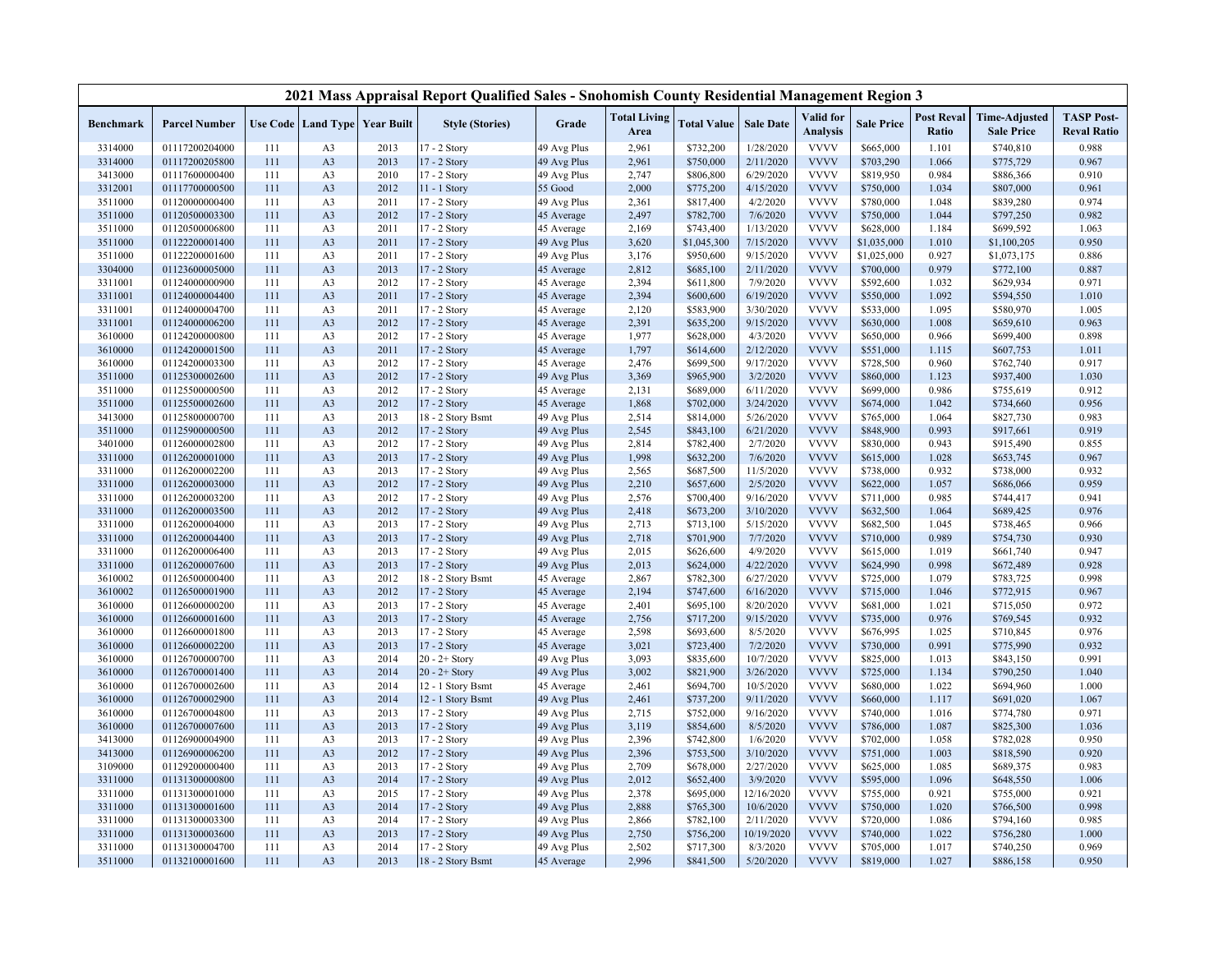|                    |                                  |            |                                  |                                          | 2021 Mass Appraisal Report Qualified Sales - Snohomish County Residential Management Region 3 |             |                             |                        |                       |                              |                        |                            |                                           |                                         |
|--------------------|----------------------------------|------------|----------------------------------|------------------------------------------|-----------------------------------------------------------------------------------------------|-------------|-----------------------------|------------------------|-----------------------|------------------------------|------------------------|----------------------------|-------------------------------------------|-----------------------------------------|
| Benchmark          | <b>Parcel Number</b>             |            |                                  | <b>Use Code   Land Type   Year Built</b> | <b>Style (Stories)</b>                                                                        | Grade       | <b>Total Living</b><br>Area | <b>Total Value</b>     | <b>Sale Date</b>      | Valid for<br><b>Analysis</b> | <b>Sale Price</b>      | <b>Post Reval</b><br>Ratio | <b>Time-Adjusted</b><br><b>Sale Price</b> | <b>TASP Post-</b><br><b>Reval Ratio</b> |
| 3314000            | 01117200204000                   | 111        | A <sub>3</sub>                   | 2013                                     | 17 - 2 Story                                                                                  | 49 Avg Plus | 2,961                       | \$732,200              | 1/28/2020             | <b>VVVV</b>                  | \$665,000              | 1.101                      | \$740,810                                 | 0.988                                   |
| 3314000            | 01117200205800                   | 111        | A <sub>3</sub>                   | 2013                                     | 17 - 2 Story                                                                                  | 49 Avg Plus | 2,961                       | \$750,000              | 2/11/2020             | <b>VVVV</b>                  | \$703,290              | 1.066                      | \$775,729                                 | 0.967                                   |
| 3413000            | 01117600000400                   | 111        | A <sub>3</sub>                   | 2010                                     | 17 - 2 Story                                                                                  | 49 Avg Plus | 2,747                       | \$806,800              | 6/29/2020             | <b>VVVV</b>                  | \$819,950              | 0.984                      | \$886,366                                 | 0.910                                   |
| 3312001            | 01117700000500                   | 111        | A <sub>3</sub>                   | 2012                                     | 11 - 1 Story                                                                                  | 55 Good     | 2,000                       | \$775,200              | 4/15/2020             | <b>VVVV</b>                  | \$750,000              | 1.034                      | \$807,000                                 | 0.961                                   |
| 3511000            | 01120000000400                   | 111        | A <sub>3</sub>                   | 2011                                     | 17 - 2 Story                                                                                  | 49 Avg Plus | 2,361                       | \$817,400              | 4/2/2020              | <b>VVVV</b>                  | \$780,000              | 1.048                      | \$839,280                                 | 0.974                                   |
| 3511000            | 01120500003300                   | 111        | A <sub>3</sub>                   | 2012                                     | 17 - 2 Story                                                                                  | 45 Average  | 2,497                       | \$782,700              | 7/6/2020              | <b>VVVV</b>                  | \$750,000              | 1.044                      | \$797,250                                 | 0.982                                   |
| 3511000            | 01120500006800                   | 111        | A <sub>3</sub>                   | 2011                                     | 17 - 2 Story                                                                                  | 45 Average  | 2,169                       | \$743,400              | 1/13/2020             | <b>VVVV</b>                  | \$628,000              | 1.184                      | \$699,592                                 | 1.063                                   |
| 3511000            | 01122200001400                   | 111        | A <sub>3</sub>                   | 2011                                     | 17 - 2 Story                                                                                  | 49 Avg Plus | 3,620                       | \$1,045,300            | 7/15/2020             | <b>VVVV</b>                  | \$1,035,000            | 1.010                      | \$1,100,205                               | 0.950                                   |
| 3511000            | 01122200001600                   | 111        | A <sub>3</sub>                   | 2011                                     | 17 - 2 Story                                                                                  | 49 Avg Plus | 3,176                       | \$950,600              | 9/15/2020             | <b>VVVV</b>                  | \$1,025,000            | 0.927                      | \$1,073,175                               | 0.886                                   |
| 3304000            | 01123600005000                   | 111        | A <sub>3</sub>                   | 2013                                     | 17 - 2 Story                                                                                  | 45 Average  | 2,812                       | \$685,100              | 2/11/2020             | <b>VVVV</b>                  | \$700,000              | 0.979                      | \$772,100                                 | 0.887                                   |
| 3311001            | 01124000000900                   | 111        | A <sub>3</sub>                   | 2012                                     | 17 - 2 Story                                                                                  | 45 Average  | 2,394                       | \$611,800              | 7/9/2020              | <b>VVVV</b>                  | \$592,600              | 1.032                      | \$629,934                                 | 0.971                                   |
| 3311001            | 01124000004400                   | 111        | A <sub>3</sub>                   | 2011                                     | 17 - 2 Story                                                                                  | 45 Average  | 2,394                       | \$600,600              | 6/19/2020             | <b>VVVV</b>                  | \$550,000              | 1.092                      | \$594,550                                 | 1.010                                   |
| 3311001            | 01124000004700                   | 111        | A <sub>3</sub>                   | 2011                                     | 17 - 2 Story                                                                                  | 45 Average  | 2,120                       | \$583,900              | 3/30/2020             | <b>VVVV</b>                  | \$533,000              | 1.095                      | \$580,970                                 | 1.005                                   |
| 3311001            | 01124000006200                   | 111        | A <sub>3</sub>                   | 2012                                     | 17 - 2 Story                                                                                  | 45 Average  | 2,391                       | \$635,200              | 9/15/2020             | <b>VVVV</b>                  | \$630,000              | 1.008                      | \$659,610                                 | 0.963                                   |
| 3610000            | 01124200000800                   | 111        | A <sub>3</sub>                   | 2012                                     | 17 - 2 Story                                                                                  | 45 Average  | 1,977                       | \$628,000              | 4/3/2020              | <b>VVVV</b>                  | \$650,000              | 0.966                      | \$699,400                                 | 0.898                                   |
| 3610000            | 01124200001500                   | 111        | A <sub>3</sub>                   | 2011                                     | 17 - 2 Story                                                                                  | 45 Average  | 1,797                       | \$614,600              | 2/12/2020             | <b>VVVV</b>                  | \$551,000              | 1.115                      | \$607,753                                 | 1.011                                   |
| 3610000            | 01124200003300                   | 111        | A <sub>3</sub>                   | 2012                                     | 17 - 2 Story                                                                                  | 45 Average  | 2,476                       | \$699,500              | 9/17/2020             | <b>VVVV</b>                  | \$728,500              | 0.960                      | \$762,740                                 | 0.917                                   |
| 3511000            | 01125300002600                   | 111        | A <sub>3</sub>                   | 2012                                     | 17 - 2 Story                                                                                  | 49 Avg Plus | 3,369                       | \$965,900              | 3/2/2020              | <b>VVVV</b>                  | \$860,000              | 1.123                      | \$937,400                                 | 1.030                                   |
| 3511000            | 01125500000500                   | 111        | A <sub>3</sub>                   | 2012                                     | 17 - 2 Story                                                                                  | 45 Average  | 2,131                       | \$689,000              | 6/11/2020             | <b>VVVV</b>                  | \$699,000              | 0.986                      | \$755,619                                 | 0.912                                   |
| 3511000            | 01125500002600                   | 111        | A <sub>3</sub>                   | 2012                                     | 17 - 2 Story                                                                                  | 45 Average  | 1,868                       | \$702,000              | 3/24/2020             | <b>VVVV</b>                  | \$674,000              | 1.042                      | \$734,660                                 | 0.956                                   |
| 3413000            | 01125800000700                   | 111        | A <sub>3</sub>                   | 2013                                     | 18 - 2 Story Bsmt                                                                             | 49 Avg Plus | 2,514                       | \$814,000              | 5/26/2020             | <b>VVVV</b>                  | \$765,000              | 1.064                      | \$827,730                                 | 0.983                                   |
| 3511000            | 01125900000500                   | 111        | A <sub>3</sub>                   | 2012                                     | 17 - 2 Story                                                                                  | 49 Avg Plus | 2,545                       | \$843,100              | 6/21/2020             | <b>VVVV</b>                  | \$848,900              | 0.993                      | \$917,661                                 | 0.919                                   |
| 3401000            | 01126000002800                   | 111        | A <sub>3</sub>                   | 2012                                     | 17 - 2 Story                                                                                  | 49 Avg Plus | 2,814                       | \$782,400              | 2/7/2020              | <b>VVVV</b>                  | \$830,000              | 0.943                      | \$915,490                                 | 0.855                                   |
| 3311000            | 01126200001000                   | 111        | A <sub>3</sub>                   | 2013                                     | 17 - 2 Story                                                                                  | 49 Avg Plus | 1,998                       | \$632,200              | 7/6/2020              | <b>VVVV</b>                  | \$615,000              | 1.028                      | \$653,745                                 | 0.967                                   |
| 3311000            | 01126200002200                   | 111        | A <sub>3</sub>                   | 2013                                     | 17 - 2 Story                                                                                  | 49 Avg Plus | 2,565                       | \$687,500              | 11/5/2020             | <b>VVVV</b>                  | \$738,000              | 0.932                      | \$738,000                                 | 0.932                                   |
| 3311000            | 01126200003000                   | 111        | A <sub>3</sub>                   | 2012                                     | 17 - 2 Story                                                                                  | 49 Avg Plus | 2,210                       | \$657,600              | 2/5/2020              | <b>VVVV</b>                  | \$622,000              | 1.057                      | \$686,066                                 | 0.959                                   |
| 3311000            | 01126200003200                   | 111        | A <sub>3</sub>                   | 2012                                     | 17 - 2 Story                                                                                  | 49 Avg Plus | 2,576                       | \$700,400              | 9/16/2020             | <b>VVVV</b>                  | \$711,000              | 0.985                      | \$744,417                                 | 0.941                                   |
| 3311000            | 01126200003500                   | 111        | A <sub>3</sub>                   | 2012                                     | 17 - 2 Story                                                                                  | 49 Avg Plus | 2,418                       | \$673,200              | 3/10/2020             | <b>VVVV</b>                  | \$632,500              | 1.064                      | \$689,425                                 | 0.976                                   |
| 3311000            | 01126200004000                   | 111        | A <sub>3</sub>                   | 2013                                     | 17 - 2 Story                                                                                  | 49 Avg Plus | 2,713                       | \$713,100              | 5/15/2020             | <b>VVVV</b>                  | \$682,500              | 1.045                      | \$738,465                                 | 0.966                                   |
| 3311000            | 01126200004400                   | 111        | A <sub>3</sub>                   | 2013                                     | 17 - 2 Story                                                                                  | 49 Avg Plus | 2,718                       | \$701,900              | 7/7/2020              | <b>VVVV</b>                  | \$710,000              | 0.989                      | \$754,730                                 | 0.930                                   |
| 3311000            | 01126200006400                   | 111        | A <sub>3</sub>                   | 2013                                     | 17 - 2 Story                                                                                  | 49 Avg Plus | 2,015                       | \$626,600              | 4/9/2020              | <b>VVVV</b>                  | \$615,000              | 1.019                      | \$661,740                                 | 0.947                                   |
| 3311000            | 01126200007600                   | 111        | A <sub>3</sub>                   | 2013                                     | 17 - 2 Story                                                                                  | 49 Avg Plus | 2,013                       | \$624,000              | 4/22/2020             | <b>VVVV</b>                  | \$624,990              | 0.998                      | \$672,489                                 | 0.928                                   |
| 3610002            | 01126500000400                   | 111        | A <sub>3</sub>                   | 2012                                     | 18 - 2 Story Bsmt                                                                             | 45 Average  | 2,867                       | \$782,300              | 6/27/2020             | <b>VVVV</b>                  | \$725,000              | 1.079                      | \$783,725                                 | 0.998                                   |
| 3610002            | 01126500001900                   | 111        | A <sub>3</sub>                   | 2012                                     | 17 - 2 Story                                                                                  | 45 Average  | 2,194                       | \$747,600              | 6/16/2020             | <b>VVVV</b>                  | \$715,000              | 1.046                      | \$772,915                                 | 0.967                                   |
| 3610000            | 01126600000200                   | 111        | A <sub>3</sub>                   | 2013                                     | 17 - 2 Story                                                                                  | 45 Average  | 2,401                       | \$695,100              | 8/20/2020             | <b>VVVV</b>                  | \$681,000              | 1.021                      | \$715,050                                 | 0.972                                   |
| 3610000            | 01126600001600                   | 111        | A <sub>3</sub>                   | 2013                                     | 17 - 2 Story                                                                                  | 45 Average  | 2,756                       | \$717,200              | 9/15/2020             | <b>VVVV</b>                  | \$735,000              | 0.976                      | \$769,545                                 | 0.932                                   |
| 3610000            | 01126600001800                   | 111        | A <sub>3</sub>                   | 2013                                     | 17 - 2 Story                                                                                  | 45 Average  | 2,598                       | \$693,600              | 8/5/2020              | <b>VVVV</b>                  | \$676,995              | 1.025                      | \$710,845                                 | 0.976                                   |
| 3610000            | 01126600002200                   | 111        | A <sub>3</sub>                   | 2013                                     | 17 - 2 Story                                                                                  | 45 Average  | 3,021                       | \$723,400              | 7/2/2020              | <b>VVVV</b>                  | \$730,000              | 0.991                      | \$775,990                                 | 0.932                                   |
| 3610000            | 01126700000700                   | 111        | A <sub>3</sub>                   | 2014                                     | $20 - 2 +$ Story                                                                              | 49 Avg Plus | 3,093                       | \$835,600              | 10/7/2020             | <b>VVVV</b>                  | \$825,000              | 1.013                      | \$843,150                                 | 0.991                                   |
| 3610000            | 01126700001400                   | 111        | A <sub>3</sub>                   | 2014                                     | $20 - 2 +$ Story                                                                              | 49 Avg Plus | 3,002                       | \$821,900              | 3/26/2020             | <b>VVVV</b>                  | \$725,000              | 1.134                      | \$790,250                                 | 1.040                                   |
| 3610000            | 01126700002600                   | 111        | A <sub>3</sub>                   | 2014                                     | 12 - 1 Story Bsmt                                                                             | 45 Average  | 2,461                       | \$694,700              | 10/5/2020             | <b>VVVV</b>                  | \$680,000              | 1.022                      | \$694,960                                 | 1.000                                   |
| 3610000            | 01126700002900                   | 111        | A <sub>3</sub>                   | 2014                                     | 12 - 1 Story Bsmt                                                                             | 49 Avg Plus | 2,461                       | \$737,200              | 9/11/2020             | <b>VVVV</b>                  | \$660,000              | 1.117                      | \$691,020                                 | 1.067                                   |
| 3610000            | 01126700004800                   | 111        | A <sub>3</sub>                   | 2013                                     | 17 - 2 Story                                                                                  | 49 Avg Plus | 2,715                       | \$752,000              | 9/16/2020             | <b>VVVV</b>                  | \$740,000              | 1.016                      | \$774,780                                 | 0.971                                   |
| 3610000            | 01126700007600                   | 111        | A <sub>3</sub>                   | 2013                                     | 17 - 2 Story                                                                                  | 49 Avg Plus | 3,119                       | \$854,600              | 8/5/2020              | <b>VVVV</b>                  | \$786,000              | 1.087                      | \$825,300                                 | 1.036                                   |
| 3413000            | 01126900004900                   | 111        | A <sub>3</sub>                   | 2013                                     | 17 - 2 Story                                                                                  | 49 Avg Plus | 2,396                       | \$742,800              | 1/6/2020              | <b>VVVV</b>                  | \$702,000              | 1.058                      | \$782,028                                 | 0.950                                   |
| 3413000            | 01126900006200                   | 111        | A <sub>3</sub>                   | 2012                                     | 17 - 2 Story                                                                                  | 49 Avg Plus | 2,396                       | \$753,500              | 3/10/2020             | <b>VVVV</b>                  | \$751,000              | 1.003                      | \$818,590                                 | 0.920                                   |
| 3109000            | 01129200000400                   | 111        | A <sub>3</sub>                   | 2013                                     | 17 - 2 Story                                                                                  | 49 Avg Plus | 2,709                       | \$678,000              | 2/27/2020             | <b>VVVV</b>                  | \$625,000              | 1.085                      | \$689,375                                 | 0.983                                   |
| 3311000            | 01131300000800                   | 111        | A <sub>3</sub>                   | 2014                                     | 17 - 2 Story                                                                                  | 49 Avg Plus | 2,012                       | \$652,400              | 3/9/2020              | <b>VVVV</b>                  | \$595,000              | 1.096                      | \$648,550                                 | 1.006                                   |
| 3311000            | 01131300001000                   | 111        | A <sub>3</sub>                   | 2015                                     | 17 - 2 Story                                                                                  | 49 Avg Plus | 2,378                       | \$695,000              | 12/16/2020            | <b>VVVV</b>                  | \$755,000              | 0.921                      | \$755,000                                 | 0.921                                   |
| 3311000            | 01131300001600                   | 111        | A <sub>3</sub>                   | 2014                                     | 17 - 2 Story                                                                                  | 49 Avg Plus | 2,888                       | \$765,300              | 10/6/2020             | <b>VVVV</b><br><b>VVVV</b>   | \$750,000              | 1.020                      | \$766,500                                 | 0.998                                   |
| 3311000            | 01131300003300                   | 111        | A <sub>3</sub>                   | 2014                                     | 17 - 2 Story                                                                                  | 49 Avg Plus | 2,866                       | \$782,100              | 2/11/2020             |                              | \$720,000              | 1.086                      | \$794,160                                 | 0.985                                   |
| 3311000            | 01131300003600                   | 111        | A <sub>3</sub>                   | 2013                                     | 17 - 2 Story                                                                                  | 49 Avg Plus | 2,750                       | \$756,200              | 10/19/2020            | <b>VVVV</b><br><b>VVVV</b>   | \$740,000              | 1.022                      | \$756,280                                 | 1.000                                   |
| 3311000<br>3511000 | 01131300004700<br>01132100001600 | 111<br>111 | A <sub>3</sub><br>A <sub>3</sub> | 2014<br>2013                             | 17 - 2 Story<br>18 - 2 Story Bsmt                                                             | 49 Avg Plus | 2,502<br>2,996              | \$717,300<br>\$841,500 | 8/3/2020<br>5/20/2020 | <b>VVVV</b>                  | \$705,000<br>\$819,000 | 1.017<br>1.027             | \$740,250<br>\$886,158                    | 0.969<br>0.950                          |
|                    |                                  |            |                                  |                                          |                                                                                               | 45 Average  |                             |                        |                       |                              |                        |                            |                                           |                                         |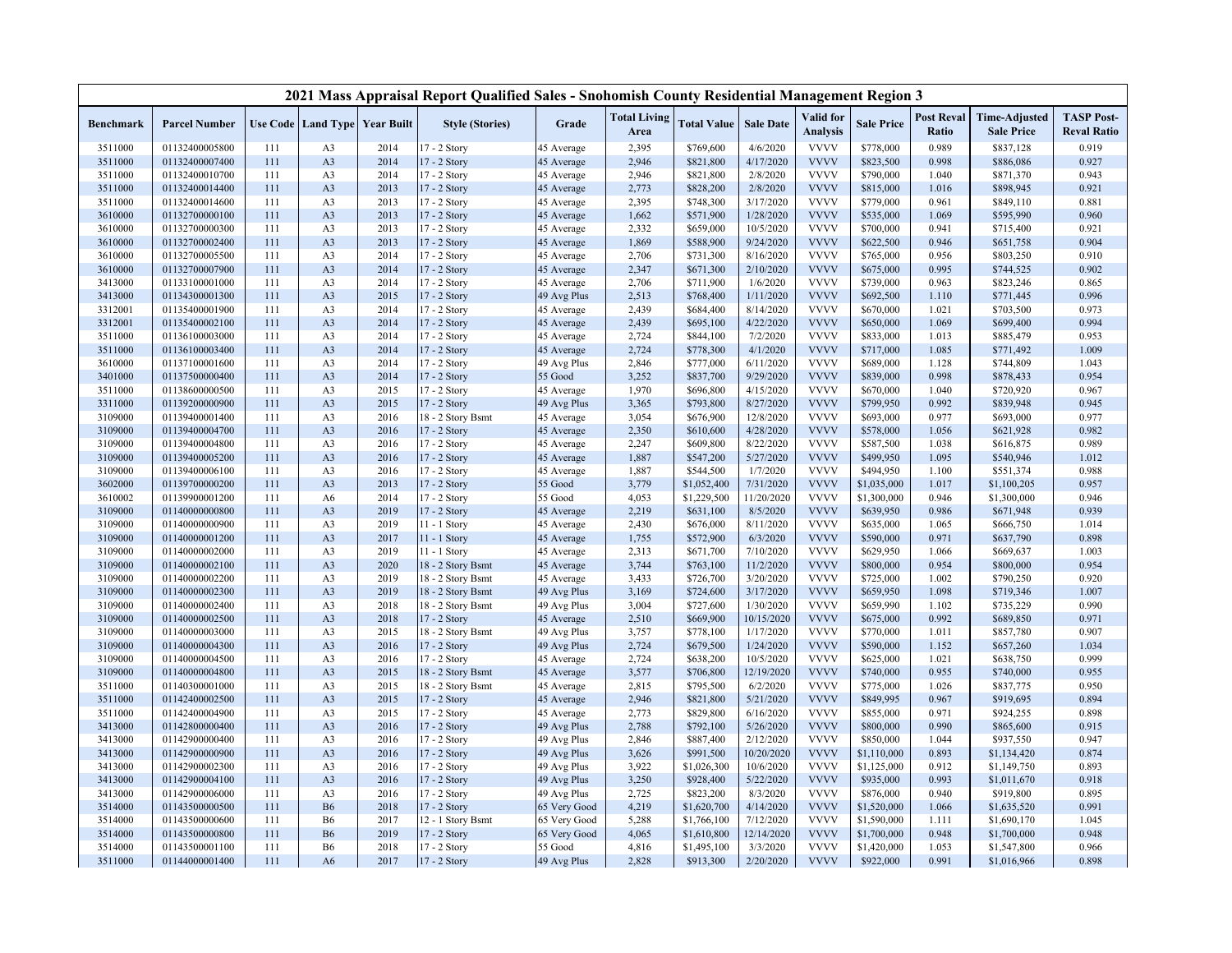|           |                      |     |                |                                   | 2021 Mass Appraisal Report Qualified Sales - Snohomish County Residential Management Region 3 |              |                             |                    |                  |                              |                   |                            |                                           |                                         |
|-----------|----------------------|-----|----------------|-----------------------------------|-----------------------------------------------------------------------------------------------|--------------|-----------------------------|--------------------|------------------|------------------------------|-------------------|----------------------------|-------------------------------------------|-----------------------------------------|
| Benchmark | <b>Parcel Number</b> |     |                | Use Code   Land Type   Year Built | <b>Style (Stories)</b>                                                                        | Grade        | <b>Total Living</b><br>Area | <b>Total Value</b> | <b>Sale Date</b> | Valid for<br><b>Analysis</b> | <b>Sale Price</b> | <b>Post Reval</b><br>Ratio | <b>Time-Adjusted</b><br><b>Sale Price</b> | <b>TASP Post-</b><br><b>Reval Ratio</b> |
| 3511000   | 01132400005800       | 111 | A <sub>3</sub> | 2014                              | $17 - 2$ Story                                                                                | 45 Average   | 2,395                       | \$769,600          | 4/6/2020         | <b>VVVV</b>                  | \$778,000         | 0.989                      | \$837,128                                 | 0.919                                   |
| 3511000   | 01132400007400       | 111 | A <sub>3</sub> | 2014                              | 17 - 2 Story                                                                                  | 45 Average   | 2,946                       | \$821,800          | 4/17/2020        | <b>VVVV</b>                  | \$823,500         | 0.998                      | \$886,086                                 | 0.927                                   |
| 3511000   | 01132400010700       | 111 | A <sub>3</sub> | 2014                              | 17 - 2 Story                                                                                  | 45 Average   | 2,946                       | \$821,800          | 2/8/2020         | <b>VVVV</b>                  | \$790,000         | 1.040                      | \$871,370                                 | 0.943                                   |
| 3511000   | 01132400014400       | 111 | A <sub>3</sub> | 2013                              | 17 - 2 Story                                                                                  | 45 Average   | 2,773                       | \$828,200          | 2/8/2020         | <b>VVVV</b>                  | \$815,000         | 1.016                      | \$898,945                                 | 0.921                                   |
| 3511000   | 01132400014600       | 111 | A <sub>3</sub> | 2013                              | 17 - 2 Story                                                                                  | 45 Average   | 2,395                       | \$748,300          | 3/17/2020        | <b>VVVV</b>                  | \$779,000         | 0.961                      | \$849,110                                 | 0.881                                   |
| 3610000   | 01132700000100       | 111 | A <sub>3</sub> | 2013                              | 17 - 2 Story                                                                                  | 45 Average   | 1,662                       | \$571,900          | 1/28/2020        | <b>VVVV</b>                  | \$535,000         | 1.069                      | \$595,990                                 | 0.960                                   |
| 3610000   | 01132700000300       | 111 | A <sub>3</sub> | 2013                              | 17 - 2 Story                                                                                  | 45 Average   | 2,332                       | \$659,000          | 10/5/2020        | <b>VVVV</b>                  | \$700,000         | 0.941                      | \$715,400                                 | 0.921                                   |
| 3610000   | 01132700002400       | 111 | A <sub>3</sub> | 2013                              | 17 - 2 Story                                                                                  | 45 Average   | 1,869                       | \$588,900          | 9/24/2020        | <b>VVVV</b>                  | \$622,500         | 0.946                      | \$651,758                                 | 0.904                                   |
| 3610000   | 01132700005500       | 111 | A <sub>3</sub> | 2014                              | 17 - 2 Story                                                                                  | 45 Average   | 2,706                       | \$731,300          | 8/16/2020        | <b>VVVV</b>                  | \$765,000         | 0.956                      | \$803,250                                 | 0.910                                   |
| 3610000   | 01132700007900       | 111 | A <sub>3</sub> | 2014                              | 17 - 2 Story                                                                                  | 45 Average   | 2,347                       | \$671,300          | 2/10/2020        | <b>VVVV</b>                  | \$675,000         | 0.995                      | \$744,525                                 | 0.902                                   |
| 3413000   | 01133100001000       | 111 | A <sub>3</sub> | 2014                              | 17 - 2 Story                                                                                  | 45 Average   | 2,706                       | \$711,900          | 1/6/2020         | <b>VVVV</b>                  | \$739,000         | 0.963                      | \$823,246                                 | 0.865                                   |
| 3413000   | 01134300001300       | 111 | A <sub>3</sub> | 2015                              | 17 - 2 Story                                                                                  | 49 Avg Plus  | 2,513                       | \$768,400          | 1/11/2020        | <b>VVVV</b>                  | \$692,500         | 1.110                      | \$771,445                                 | 0.996                                   |
| 3312001   | 01135400001900       | 111 | A <sub>3</sub> | 2014                              | 17 - 2 Story                                                                                  | 45 Average   | 2,439                       | \$684,400          | 8/14/2020        | <b>VVVV</b>                  | \$670,000         | 1.021                      | \$703,500                                 | 0.973                                   |
| 3312001   | 01135400002100       | 111 | A <sub>3</sub> | 2014                              | 17 - 2 Story                                                                                  | 45 Average   | 2,439                       | \$695,100          | 4/22/2020        | <b>VVVV</b>                  | \$650,000         | 1.069                      | \$699,400                                 | 0.994                                   |
| 3511000   | 01136100003000       | 111 | A <sub>3</sub> | 2014                              | 17 - 2 Story                                                                                  | 45 Average   | 2,724                       | \$844,100          | 7/2/2020         | <b>VVVV</b>                  | \$833,000         | 1.013                      | \$885,479                                 | 0.953                                   |
| 3511000   | 01136100003400       | 111 | A <sub>3</sub> | 2014                              | 17 - 2 Story                                                                                  | 45 Average   | 2,724                       | \$778,300          | 4/1/2020         | <b>VVVV</b>                  | \$717,000         | 1.085                      | \$771,492                                 | 1.009                                   |
| 3610000   | 01137100001600       | 111 | A <sub>3</sub> | 2014                              | 17 - 2 Story                                                                                  | 49 Avg Plus  | 2,846                       | \$777,000          | 6/11/2020        | <b>VVVV</b>                  | \$689,000         | 1.128                      | \$744,809                                 | 1.043                                   |
| 3401000   | 01137500000400       | 111 | A <sub>3</sub> | 2014                              | 17 - 2 Story                                                                                  | 55 Good      | 3,252                       | \$837,700          | 9/29/2020        | <b>VVVV</b>                  | \$839,000         | 0.998                      | \$878,433                                 | 0.954                                   |
| 3511000   | 01138600000500       | 111 | A <sub>3</sub> | 2015                              | 17 - 2 Story                                                                                  | 45 Average   | 1,970                       | \$696,800          | 4/15/2020        | <b>VVVV</b>                  | \$670,000         | 1.040                      | \$720,920                                 | 0.967                                   |
| 3311000   | 01139200000900       | 111 | A <sub>3</sub> | 2015                              | 17 - 2 Story                                                                                  | 49 Avg Plus  | 3,365                       | \$793,800          | 8/27/2020        | <b>VVVV</b>                  | \$799,950         | 0.992                      | \$839,948                                 | 0.945                                   |
| 3109000   | 01139400001400       | 111 | A <sub>3</sub> | 2016                              | 18 - 2 Story Bsmt                                                                             | 45 Average   | 3,054                       | \$676,900          | 12/8/2020        | <b>VVVV</b>                  | \$693,000         | 0.977                      | \$693,000                                 | 0.977                                   |
| 3109000   | 01139400004700       | 111 | A <sub>3</sub> | 2016                              | 17 - 2 Story                                                                                  | 45 Average   | 2,350                       | \$610,600          | 4/28/2020        | <b>VVVV</b>                  | \$578,000         | 1.056                      | \$621,928                                 | 0.982                                   |
| 3109000   | 01139400004800       | 111 | A <sub>3</sub> | 2016                              | 17 - 2 Story                                                                                  | 45 Average   | 2,247                       | \$609,800          | 8/22/2020        | <b>VVVV</b>                  | \$587,500         | 1.038                      | \$616,875                                 | 0.989                                   |
| 3109000   | 01139400005200       | 111 | A <sub>3</sub> | 2016                              | 17 - 2 Story                                                                                  | 45 Average   | 1,887                       | \$547,200          | 5/27/2020        | <b>VVVV</b>                  | \$499,950         | 1.095                      | \$540,946                                 | 1.012                                   |
| 3109000   | 01139400006100       | 111 | A <sub>3</sub> | 2016                              | 17 - 2 Story                                                                                  | 45 Average   | 1,887                       | \$544,500          | 1/7/2020         | <b>VVVV</b>                  | \$494,950         | 1.100                      | \$551,374                                 | 0.988                                   |
| 3602000   | 01139700000200       | 111 | A <sub>3</sub> | 2013                              | 17 - 2 Story                                                                                  | 55 Good      | 3,779                       | \$1,052,400        | 7/31/2020        | <b>VVVV</b>                  | \$1,035,000       | 1.017                      | \$1,100,205                               | 0.957                                   |
| 3610002   | 01139900001200       | 111 | A <sub>6</sub> | 2014                              | 17 - 2 Story                                                                                  | 55 Good      | 4,053                       | \$1,229,500        | 11/20/2020       | <b>VVVV</b>                  | \$1,300,000       | 0.946                      | \$1,300,000                               | 0.946                                   |
| 3109000   | 01140000000800       | 111 | A <sub>3</sub> | 2019                              | 17 - 2 Story                                                                                  | 45 Average   | 2,219                       | \$631,100          | 8/5/2020         | <b>VVVV</b>                  | \$639,950         | 0.986                      | \$671,948                                 | 0.939                                   |
| 3109000   | 01140000000900       | 111 | A <sub>3</sub> | 2019                              | 11 - 1 Story                                                                                  | 45 Average   | 2,430                       | \$676,000          | 8/11/2020        | <b>VVVV</b>                  | \$635,000         | 1.065                      | \$666,750                                 | 1.014                                   |
| 3109000   | 01140000001200       | 111 | A <sub>3</sub> | 2017                              | $11 - 1$ Story                                                                                | 45 Average   | 1,755                       | \$572,900          | 6/3/2020         | <b>VVVV</b>                  | \$590,000         | 0.971                      | \$637,790                                 | 0.898                                   |
| 3109000   | 01140000002000       | 111 | A <sub>3</sub> | 2019                              | 11 - 1 Story                                                                                  | 45 Average   | 2,313                       | \$671,700          | 7/10/2020        | <b>VVVV</b>                  | \$629,950         | 1.066                      | \$669,637                                 | 1.003                                   |
| 3109000   | 01140000002100       | 111 | A <sub>3</sub> | 2020                              | 18 - 2 Story Bsmt                                                                             | 45 Average   | 3,744                       | \$763,100          | 11/2/2020        | <b>VVVV</b>                  | \$800,000         | 0.954                      | \$800,000                                 | 0.954                                   |
| 3109000   | 01140000002200       | 111 | A <sub>3</sub> | 2019                              | 18 - 2 Story Bsmt                                                                             | 45 Average   | 3,433                       | \$726,700          | 3/20/2020        | <b>VVVV</b>                  | \$725,000         | 1.002                      | \$790,250                                 | 0.920                                   |
| 3109000   | 01140000002300       | 111 | A <sub>3</sub> | 2019                              | 18 - 2 Story Bsmt                                                                             | 49 Avg Plus  | 3,169                       | \$724,600          | 3/17/2020        | <b>VVVV</b>                  | \$659,950         | 1.098                      | \$719,346                                 | 1.007                                   |
| 3109000   | 01140000002400       | 111 | A <sub>3</sub> | 2018                              | 18 - 2 Story Bsmt                                                                             | 49 Avg Plus  | 3,004                       | \$727,600          | 1/30/2020        | <b>VVVV</b>                  | \$659,990         | 1.102                      | \$735,229                                 | 0.990                                   |
| 3109000   | 01140000002500       | 111 | A <sub>3</sub> | 2018                              | $17 - 2$ Story                                                                                | 45 Average   | 2,510                       | \$669,900          | 10/15/2020       | <b>VVVV</b>                  | \$675,000         | 0.992                      | \$689,850                                 | 0.971                                   |
| 3109000   | 01140000003000       | 111 | A <sub>3</sub> | 2015                              | 18 - 2 Story Bsmt                                                                             | 49 Avg Plus  | 3,757                       | \$778,100          | 1/17/2020        | <b>VVVV</b>                  | \$770,000         | 1.011                      | \$857,780                                 | 0.907                                   |
| 3109000   | 01140000004300       | 111 | A <sub>3</sub> | 2016                              | 17 - 2 Story                                                                                  | 49 Avg Plus  | 2,724                       | \$679,500          | 1/24/2020        | <b>VVVV</b>                  | \$590,000         | 1.152                      | \$657,260                                 | 1.034                                   |
| 3109000   | 01140000004500       | 111 | A <sub>3</sub> | 2016                              | 17 - 2 Story                                                                                  | 45 Average   | 2,724                       | \$638,200          | 10/5/2020        | <b>VVVV</b>                  | \$625,000         | 1.021                      | \$638,750                                 | 0.999                                   |
| 3109000   | 01140000004800       | 111 | A <sub>3</sub> | 2015                              | 18 - 2 Story Bsmt                                                                             | 45 Average   | 3,577                       | \$706,800          | 12/19/2020       | <b>VVVV</b>                  | \$740,000         | 0.955                      | \$740,000                                 | 0.955                                   |
| 3511000   | 01140300001000       | 111 | A <sub>3</sub> | 2015                              | 18 - 2 Story Bsmt                                                                             | 45 Average   | 2,815                       | \$795,500          | 6/2/2020         | <b>VVVV</b>                  | \$775,000         | 1.026                      | \$837,775                                 | 0.950                                   |
| 3511000   | 01142400002500       | 111 | A <sub>3</sub> | 2015                              | 17 - 2 Story                                                                                  | 45 Average   | 2,946                       | \$821,800          | 5/21/2020        | <b>VVVV</b>                  | \$849,995         | 0.967                      | \$919,695                                 | 0.894                                   |
| 3511000   | 01142400004900       | 111 | A <sub>3</sub> | 2015                              | 17 - 2 Story                                                                                  | 45 Average   | 2,773                       | \$829,800          | 6/16/2020        | <b>VVVV</b>                  | \$855,000         | 0.971                      | \$924,255                                 | 0.898                                   |
| 3413000   | 01142800000400       | 111 | A <sub>3</sub> | 2016                              | 17 - 2 Story                                                                                  | 49 Avg Plus  | 2,788                       | \$792,100          | 5/26/2020        | <b>VVVV</b>                  | \$800,000         | 0.990                      | \$865,600                                 | 0.915                                   |
| 3413000   | 01142900000400       | 111 | A <sub>3</sub> | 2016                              | 17 - 2 Story                                                                                  | 49 Avg Plus  | 2,846                       | \$887,400          | 2/12/2020        | <b>VVVV</b>                  | \$850,000         | 1.044                      | \$937,550                                 | 0.947                                   |
| 3413000   | 01142900000900       | 111 | A <sub>3</sub> | 2016                              | 17 - 2 Story                                                                                  | 49 Avg Plus  | 3,626                       | \$991,500          | 10/20/2020       | <b>VVVV</b>                  | \$1,110,000       | 0.893                      | \$1,134,420                               | 0.874                                   |
| 3413000   | 01142900002300       | 111 | A <sub>3</sub> | 2016                              | 17 - 2 Story                                                                                  | 49 Avg Plus  | 3,922                       | \$1,026,300        | 10/6/2020        | <b>VVVV</b>                  | \$1,125,000       | 0.912                      | \$1,149,750                               | 0.893                                   |
| 3413000   | 01142900004100       | 111 | A <sub>3</sub> | 2016                              | 17 - 2 Story                                                                                  | 49 Avg Plus  | 3,250                       | \$928,400          | 5/22/2020        | <b>VVVV</b>                  | \$935,000         | 0.993                      | \$1,011,670                               | 0.918                                   |
| 3413000   | 01142900006000       | 111 | A <sub>3</sub> | 2016                              | 17 - 2 Story                                                                                  | 49 Avg Plus  | 2,725                       | \$823,200          | 8/3/2020         | <b>VVVV</b>                  | \$876,000         | 0.940                      | \$919,800                                 | 0.895                                   |
| 3514000   | 01143500000500       | 111 | <b>B6</b>      | 2018                              | 17 - 2 Story                                                                                  | 65 Very Good | 4,219                       | \$1,620,700        | 4/14/2020        | <b>VVVV</b>                  | \$1,520,000       | 1.066                      | \$1,635,520                               | 0.991                                   |
| 3514000   | 01143500000600       | 111 | <b>B6</b>      | 2017                              | 12 - 1 Story Bsmt                                                                             | 65 Very Good | 5,288                       | \$1,766,100        | 7/12/2020        | <b>VVVV</b>                  | \$1,590,000       | 1.111                      | \$1,690,170                               | 1.045                                   |
| 3514000   | 01143500000800       | 111 | <b>B6</b>      | 2019                              | 17 - 2 Story                                                                                  | 65 Very Good | 4,065                       | \$1,610,800        | 12/14/2020       | <b>VVVV</b>                  | \$1,700,000       | 0.948                      | \$1,700,000                               | 0.948                                   |
| 3514000   | 01143500001100       | 111 | <b>B6</b>      | 2018                              | 17 - 2 Story                                                                                  | 55 Good      | 4,816                       | \$1,495,100        | 3/3/2020         | <b>VVVV</b>                  | \$1,420,000       | 1.053                      | \$1,547,800                               | 0.966                                   |
| 3511000   | 01144000001400       | 111 | A6             | 2017                              | 17 - 2 Story                                                                                  | 49 Avg Plus  | 2,828                       | \$913,300          | 2/20/2020        | <b>VVVV</b>                  | \$922,000         | 0.991                      | \$1,016,966                               | 0.898                                   |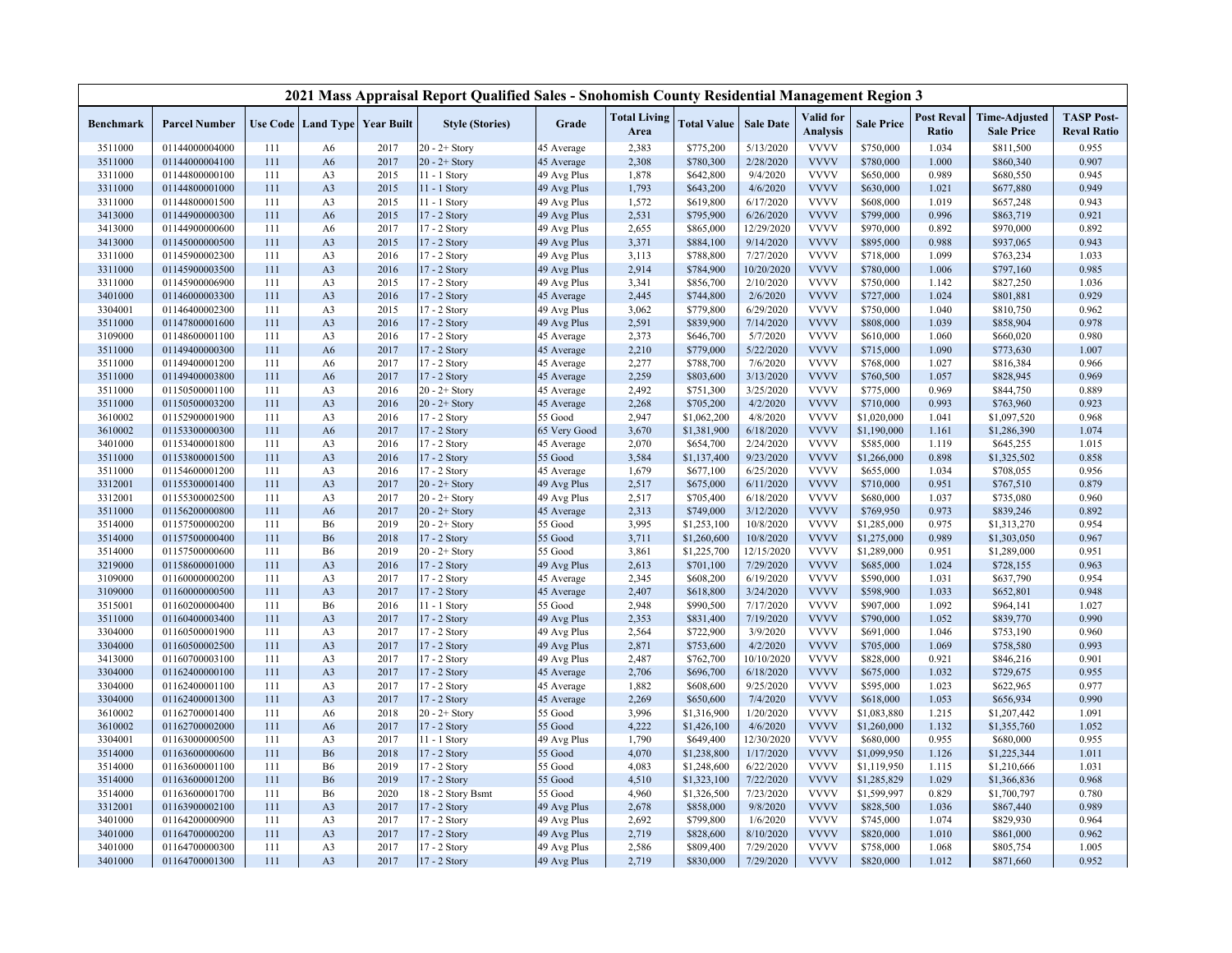|           |                      |     |                |                                   | 2021 Mass Appraisal Report Qualified Sales - Snohomish County Residential Management Region 3 |              |                             |                    |                  |                              |                   |                            |                                           |                                         |
|-----------|----------------------|-----|----------------|-----------------------------------|-----------------------------------------------------------------------------------------------|--------------|-----------------------------|--------------------|------------------|------------------------------|-------------------|----------------------------|-------------------------------------------|-----------------------------------------|
| Benchmark | <b>Parcel Number</b> |     |                | Use Code   Land Type   Year Built | <b>Style (Stories)</b>                                                                        | Grade        | <b>Total Living</b><br>Area | <b>Total Value</b> | <b>Sale Date</b> | Valid for<br><b>Analysis</b> | <b>Sale Price</b> | <b>Post Reval</b><br>Ratio | <b>Time-Adjusted</b><br><b>Sale Price</b> | <b>TASP Post-</b><br><b>Reval Ratio</b> |
| 3511000   | 01144000004000       | 111 | A6             | 2017                              | $20 - 2 +$ Story                                                                              | 45 Average   | 2,383                       | \$775,200          | 5/13/2020        | <b>VVVV</b>                  | \$750,000         | 1.034                      | \$811,500                                 | 0.955                                   |
| 3511000   | 01144000004100       | 111 | A6             | 2017                              | $20 - 2 +$ Story                                                                              | 45 Average   | 2,308                       | \$780,300          | 2/28/2020        | <b>VVVV</b>                  | \$780,000         | 1.000                      | \$860,340                                 | 0.907                                   |
| 3311000   | 01144800000100       | 111 | A <sub>3</sub> | 2015                              | 11 - 1 Story                                                                                  | 49 Avg Plus  | 1,878                       | \$642,800          | 9/4/2020         | <b>VVVV</b>                  | \$650,000         | 0.989                      | \$680,550                                 | 0.945                                   |
| 3311000   | 01144800001000       | 111 | A <sub>3</sub> | 2015                              | 11 - 1 Story                                                                                  | 49 Avg Plus  | 1,793                       | \$643,200          | 4/6/2020         | <b>VVVV</b>                  | \$630,000         | 1.021                      | \$677,880                                 | 0.949                                   |
| 3311000   | 01144800001500       | 111 | A <sub>3</sub> | 2015                              | 11 - 1 Story                                                                                  | 49 Avg Plus  | 1,572                       | \$619,800          | 6/17/2020        | <b>VVVV</b>                  | \$608,000         | 1.019                      | \$657,248                                 | 0.943                                   |
| 3413000   | 01144900000300       | 111 | A <sub>6</sub> | 2015                              | 17 - 2 Story                                                                                  | 49 Avg Plus  | 2,531                       | \$795,900          | 6/26/2020        | <b>VVVV</b>                  | \$799,000         | 0.996                      | \$863,719                                 | 0.921                                   |
| 3413000   | 01144900000600       | 111 | A6             | 2017                              | 17 - 2 Story                                                                                  | 49 Avg Plus  | 2,655                       | \$865,000          | 12/29/2020       | <b>VVVV</b>                  | \$970,000         | 0.892                      | \$970,000                                 | 0.892                                   |
| 3413000   | 01145000000500       | 111 | A <sub>3</sub> | 2015                              | 17 - 2 Story                                                                                  | 49 Avg Plus  | 3,371                       | \$884,100          | 9/14/2020        | <b>VVVV</b>                  | \$895,000         | 0.988                      | \$937,065                                 | 0.943                                   |
| 3311000   | 01145900002300       | 111 | A <sub>3</sub> | 2016                              | 17 - 2 Story                                                                                  | 49 Avg Plus  | 3,113                       | \$788,800          | 7/27/2020        | <b>VVVV</b>                  | \$718,000         | 1.099                      | \$763,234                                 | 1.033                                   |
| 3311000   | 01145900003500       | 111 | A <sub>3</sub> | 2016                              | 17 - 2 Story                                                                                  | 49 Avg Plus  | 2,914                       | \$784,900          | 10/20/2020       | <b>VVVV</b>                  | \$780,000         | 1.006                      | \$797,160                                 | 0.985                                   |
| 3311000   | 01145900006900       | 111 | A <sub>3</sub> | 2015                              | 17 - 2 Story                                                                                  | 49 Avg Plus  | 3,341                       | \$856,700          | 2/10/2020        | <b>VVVV</b>                  | \$750,000         | 1.142                      | \$827,250                                 | 1.036                                   |
| 3401000   | 01146000003300       | 111 | A <sub>3</sub> | 2016                              | 17 - 2 Story                                                                                  | 45 Average   | 2,445                       | \$744,800          | 2/6/2020         | <b>VVVV</b>                  | \$727,000         | 1.024                      | \$801,881                                 | 0.929                                   |
| 3304001   | 01146400002300       | 111 | A <sub>3</sub> | 2015                              | 17 - 2 Story                                                                                  | 49 Avg Plus  | 3,062                       | \$779,800          | 6/29/2020        | <b>VVVV</b>                  | \$750,000         | 1.040                      | \$810,750                                 | 0.962                                   |
| 3511000   | 01147800001600       | 111 | A <sub>3</sub> | 2016                              | 17 - 2 Story                                                                                  | 49 Avg Plus  | 2,591                       | \$839,900          | 7/14/2020        | <b>VVVV</b>                  | \$808,000         | 1.039                      | \$858,904                                 | 0.978                                   |
| 3109000   | 01148600001100       | 111 | A <sub>3</sub> | 2016                              | 17 - 2 Story                                                                                  | 45 Average   | 2,373                       | \$646,700          | 5/7/2020         | <b>VVVV</b>                  | \$610,000         | 1.060                      | \$660,020                                 | 0.980                                   |
| 3511000   | 01149400000300       | 111 | A6             | 2017                              | 17 - 2 Story                                                                                  | 45 Average   | 2,210                       | \$779,000          | 5/22/2020        | <b>VVVV</b>                  | \$715,000         | 1.090                      | \$773,630                                 | 1.007                                   |
| 3511000   | 01149400001200       | 111 | A6             | 2017                              | 17 - 2 Story                                                                                  | 45 Average   | 2,277                       | \$788,700          | 7/6/2020         | <b>VVVV</b>                  | \$768,000         | 1.027                      | \$816,384                                 | 0.966                                   |
| 3511000   | 01149400003800       | 111 | A6             | 2017                              | 17 - 2 Story                                                                                  | 45 Average   | 2,259                       | \$803,600          | 3/13/2020        | <b>VVVV</b>                  | \$760,500         | 1.057                      | \$828,945                                 | 0.969                                   |
| 3511000   | 01150500001100       | 111 | A <sub>3</sub> | 2016                              | $20 - 2 +$ Story                                                                              | 45 Average   | 2,492                       | \$751,300          | 3/25/2020        | <b>VVVV</b>                  | \$775,000         | 0.969                      | \$844,750                                 | 0.889                                   |
| 3511000   | 01150500003200       | 111 | A <sub>3</sub> | 2016                              | $20 - 2 +$ Story                                                                              | 45 Average   | 2,268                       | \$705,200          | 4/2/2020         | <b>VVVV</b>                  | \$710,000         | 0.993                      | \$763,960                                 | 0.923                                   |
| 3610002   | 01152900001900       | 111 | A <sub>3</sub> | 2016                              | 17 - 2 Story                                                                                  | 55 Good      | 2,947                       | \$1,062,200        | 4/8/2020         | <b>VVVV</b>                  | \$1,020,000       | 1.041                      | \$1,097,520                               | 0.968                                   |
| 3610002   | 01153300000300       | 111 | A6             | 2017                              | 17 - 2 Story                                                                                  | 65 Very Good | 3,670                       | \$1,381,900        | 6/18/2020        | <b>VVVV</b>                  | \$1,190,000       | 1.161                      | \$1,286,390                               | 1.074                                   |
| 3401000   | 01153400001800       | 111 | A <sub>3</sub> | 2016                              | 17 - 2 Story                                                                                  | 45 Average   | 2,070                       | \$654,700          | 2/24/2020        | <b>VVVV</b>                  | \$585,000         | 1.119                      | \$645,255                                 | 1.015                                   |
| 3511000   | 01153800001500       | 111 | A <sub>3</sub> | 2016                              | 17 - 2 Story                                                                                  | 55 Good      | 3,584                       | \$1,137,400        | 9/23/2020        | <b>VVVV</b>                  | \$1,266,000       | 0.898                      | \$1,325,502                               | 0.858                                   |
| 3511000   | 01154600001200       | 111 | A <sub>3</sub> | 2016                              | 17 - 2 Story                                                                                  | 45 Average   | 1,679                       | \$677,100          | 6/25/2020        | <b>VVVV</b>                  | \$655,000         | 1.034                      | \$708,055                                 | 0.956                                   |
| 3312001   | 01155300001400       | 111 | A <sub>3</sub> | 2017                              | $20 - 2 +$ Story                                                                              | 49 Avg Plus  | 2,517                       | \$675,000          | 6/11/2020        | <b>VVVV</b>                  | \$710,000         | 0.951                      | \$767,510                                 | 0.879                                   |
| 3312001   | 01155300002500       | 111 | A <sub>3</sub> | 2017                              | $20 - 2 +$ Story                                                                              | 49 Avg Plus  | 2,517                       | \$705,400          | 6/18/2020        | <b>VVVV</b>                  | \$680,000         | 1.037                      | \$735,080                                 | 0.960                                   |
| 3511000   | 01156200000800       | 111 | A6             | 2017                              | $20 - 2 +$ Story                                                                              | 45 Average   | 2,313                       | \$749,000          | 3/12/2020        | <b>VVVV</b>                  | \$769,950         | 0.973                      | \$839,246                                 | 0.892                                   |
| 3514000   | 01157500000200       | 111 | <b>B6</b>      | 2019                              | $20 - 2 +$ Story                                                                              | 55 Good      | 3,995                       | \$1,253,100        | 10/8/2020        | <b>VVVV</b>                  | \$1,285,000       | 0.975                      | \$1,313,270                               | 0.954                                   |
| 3514000   | 01157500000400       | 111 | <b>B6</b>      | 2018                              | 17 - 2 Story                                                                                  | 55 Good      | 3,711                       | \$1,260,600        | 10/8/2020        | <b>VVVV</b>                  | \$1,275,000       | 0.989                      | \$1,303,050                               | 0.967                                   |
| 3514000   | 01157500000600       | 111 | <b>B6</b>      | 2019                              | $20 - 2 +$ Story                                                                              | 55 Good      | 3,861                       | \$1,225,700        | 12/15/2020       | <b>VVVV</b>                  | \$1,289,000       | 0.951                      | \$1,289,000                               | 0.951                                   |
| 3219000   | 01158600001000       | 111 | A <sub>3</sub> | 2016                              | 17 - 2 Story                                                                                  | 49 Avg Plus  | 2,613                       | \$701,100          | 7/29/2020        | <b>VVVV</b>                  | \$685,000         | 1.024                      | \$728,155                                 | 0.963                                   |
| 3109000   | 01160000000200       | 111 | A <sub>3</sub> | 2017                              | 17 - 2 Story                                                                                  | 45 Average   | 2,345                       | \$608,200          | 6/19/2020        | <b>VVVV</b>                  | \$590,000         | 1.031                      | \$637,790                                 | 0.954                                   |
| 3109000   | 01160000000500       | 111 | A <sub>3</sub> | 2017                              | 17 - 2 Story                                                                                  | 45 Average   | 2,407                       | \$618,800          | 3/24/2020        | <b>VVVV</b>                  | \$598,900         | 1.033                      | \$652,801                                 | 0.948                                   |
| 3515001   | 01160200000400       | 111 | <b>B6</b>      | 2016                              | 11 - 1 Story                                                                                  | 55 Good      | 2,948                       | \$990,500          | 7/17/2020        | <b>VVVV</b>                  | \$907,000         | 1.092                      | \$964,141                                 | 1.027                                   |
| 3511000   | 01160400003400       | 111 | A <sub>3</sub> | 2017                              | 17 - 2 Story                                                                                  | 49 Avg Plus  | 2,353                       | \$831,400          | 7/19/2020        | <b>VVVV</b>                  | \$790,000         | 1.052                      | \$839,770                                 | 0.990                                   |
| 3304000   | 01160500001900       | 111 | A <sub>3</sub> | 2017                              | 17 - 2 Story                                                                                  | 49 Avg Plus  | 2,564                       | \$722,900          | 3/9/2020         | <b>VVVV</b>                  | \$691,000         | 1.046                      | \$753,190                                 | 0.960                                   |
| 3304000   | 01160500002500       | 111 | A <sub>3</sub> | 2017                              | 17 - 2 Story                                                                                  | 49 Avg Plus  | 2,871                       | \$753,600          | 4/2/2020         | <b>VVVV</b>                  | \$705,000         | 1.069                      | \$758,580                                 | 0.993                                   |
| 3413000   | 01160700003100       | 111 | A <sub>3</sub> | 2017                              | 17 - 2 Story                                                                                  | 49 Avg Plus  | 2,487                       | \$762,700          | 10/10/2020       | <b>VVVV</b>                  | \$828,000         | 0.921                      | \$846,216                                 | 0.901                                   |
| 3304000   | 01162400000100       | 111 | A <sub>3</sub> | 2017                              | 17 - 2 Story                                                                                  | 45 Average   | 2,706                       | \$696,700          | 6/18/2020        | <b>VVVV</b>                  | \$675,000         | 1.032                      | \$729,675                                 | 0.955                                   |
| 3304000   | 01162400001100       | 111 | A <sub>3</sub> | 2017                              | 17 - 2 Story                                                                                  | 45 Average   | 1,882                       | \$608,600          | 9/25/2020        | <b>VVVV</b>                  | \$595,000         | 1.023                      | \$622,965                                 | 0.977                                   |
| 3304000   | 01162400001300       | 111 | A <sub>3</sub> | 2017                              | 17 - 2 Story                                                                                  | 45 Average   | 2,269                       | \$650,600          | 7/4/2020         | <b>VVVV</b>                  | \$618,000         | 1.053                      | \$656,934                                 | 0.990                                   |
| 3610002   | 01162700001400       | 111 | A <sub>6</sub> | 2018                              | $20 - 2 +$ Story                                                                              | 55 Good      | 3,996                       | \$1,316,900        | 1/20/2020        | <b>VVVV</b>                  | \$1,083,880       | 1.215                      | \$1,207,442                               | 1.091                                   |
| 3610002   | 01162700002000       | 111 | A <sub>6</sub> | 2017                              | 17 - 2 Story                                                                                  | 55 Good      | 4,222                       | \$1,426,100        | 4/6/2020         | <b>VVVV</b>                  | \$1,260,000       | 1.132                      | \$1,355,760                               | 1.052                                   |
| 3304001   | 01163000000500       | 111 | A <sub>3</sub> | 2017                              | 11 - 1 Story                                                                                  | 49 Avg Plus  | 1,790                       | \$649,400          | 12/30/2020       | <b>VVVV</b>                  | \$680,000         | 0.955                      | \$680,000                                 | 0.955                                   |
| 3514000   | 01163600000600       | 111 | <b>B6</b>      | 2018                              | 17 - 2 Story                                                                                  | 55 Good      | 4,070                       | \$1,238,800        | 1/17/2020        | <b>VVVV</b>                  | \$1,099,950       | 1.126                      | \$1,225,344                               | 1.011                                   |
| 3514000   | 01163600001100       | 111 | <b>B6</b>      | 2019                              | 17 - 2 Story                                                                                  | 55 Good      | 4,083                       | \$1,248,600        | 6/22/2020        | <b>VVVV</b>                  | \$1,119,950       | 1.115                      | \$1,210,666                               | 1.031                                   |
| 3514000   | 01163600001200       | 111 | <b>B6</b>      | 2019                              | 17 - 2 Story                                                                                  | 55 Good      | 4,510                       | \$1,323,100        | 7/22/2020        | <b>VVVV</b>                  | \$1,285,829       | 1.029                      | \$1,366,836                               | 0.968                                   |
| 3514000   | 01163600001700       | 111 | <b>B6</b>      | 2020                              | 18 - 2 Story Bsmt                                                                             | 55 Good      | 4,960                       | \$1,326,500        | 7/23/2020        | <b>VVVV</b>                  | \$1,599,997       | 0.829                      | \$1,700,797                               | 0.780                                   |
| 3312001   | 01163900002100       | 111 | A <sub>3</sub> | 2017                              | 17 - 2 Story                                                                                  | 49 Avg Plus  | 2,678                       | \$858,000          | 9/8/2020         | <b>VVVV</b>                  | \$828,500         | 1.036                      | \$867,440                                 | 0.989                                   |
| 3401000   | 01164200000900       | 111 | A <sub>3</sub> | 2017                              | 17 - 2 Story                                                                                  | 49 Avg Plus  | 2,692                       | \$799,800          | 1/6/2020         | <b>VVVV</b>                  | \$745,000         | 1.074                      | \$829,930                                 | 0.964                                   |
| 3401000   | 01164700000200       | 111 | A <sub>3</sub> | 2017                              | 17 - 2 Story                                                                                  | 49 Avg Plus  | 2,719                       | \$828,600          | 8/10/2020        | <b>VVVV</b>                  | \$820,000         | 1.010                      | \$861,000                                 | 0.962                                   |
| 3401000   | 01164700000300       | 111 | A <sub>3</sub> | 2017                              | 17 - 2 Story                                                                                  | 49 Avg Plus  | 2,586                       | \$809,400          | 7/29/2020        | <b>VVVV</b>                  | \$758,000         | 1.068                      | \$805,754                                 | 1.005                                   |
| 3401000   | 01164700001300       | 111 | A <sub>3</sub> | 2017                              | 17 - 2 Story                                                                                  | 49 Avg Plus  | 2,719                       | \$830,000          | 7/29/2020        | <b>VVVV</b>                  | \$820,000         | 1.012                      | \$871,660                                 | 0.952                                   |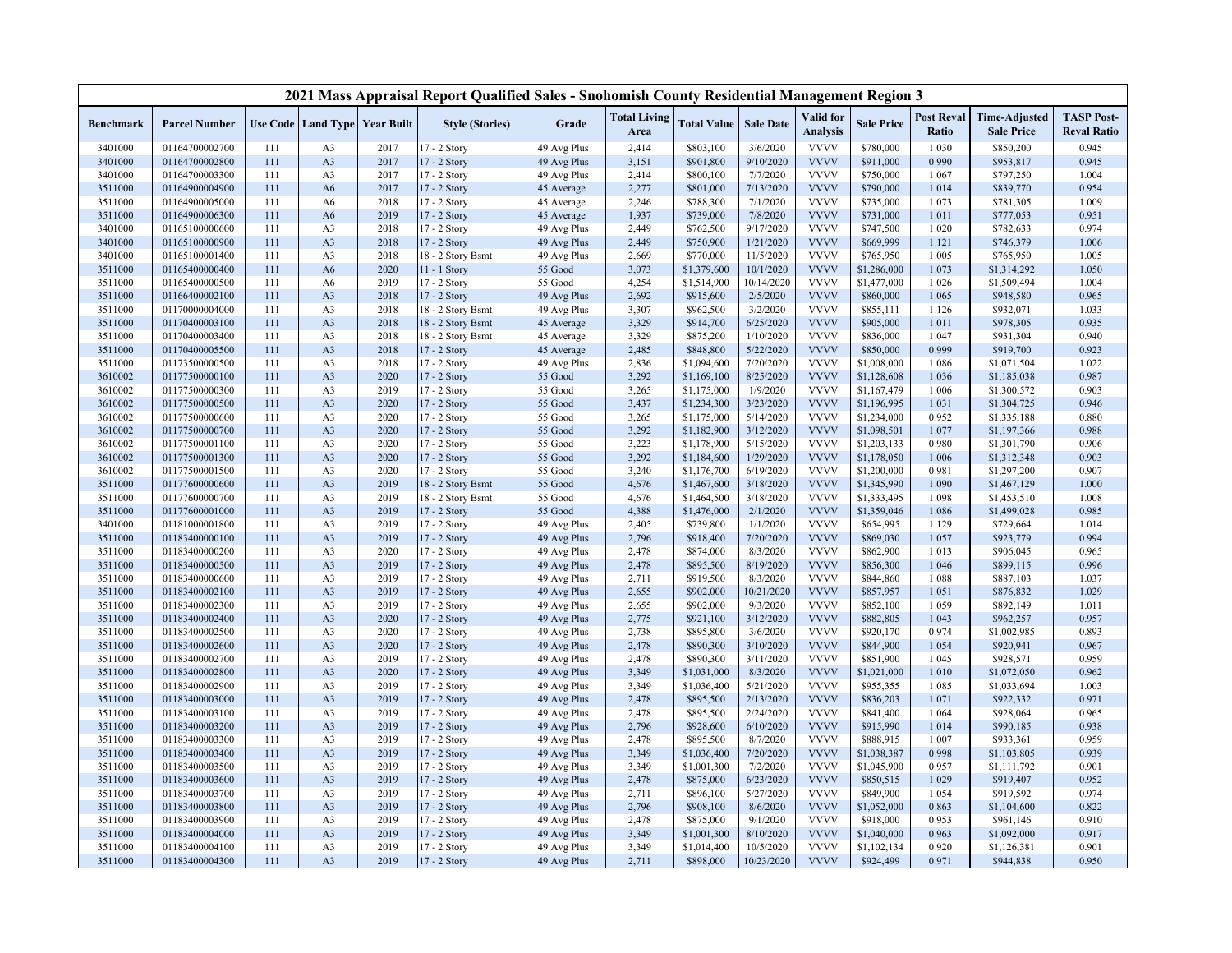|                    |                                  |            |                                  |                                   | 2021 Mass Appraisal Report Qualified Sales - Snohomish County Residential Management Region 3 |                            |                             |                            |                      |                              |                            |                            |                                           |                                         |
|--------------------|----------------------------------|------------|----------------------------------|-----------------------------------|-----------------------------------------------------------------------------------------------|----------------------------|-----------------------------|----------------------------|----------------------|------------------------------|----------------------------|----------------------------|-------------------------------------------|-----------------------------------------|
| Benchmark          | <b>Parcel Number</b>             |            |                                  | Use Code   Land Type   Year Built | <b>Style (Stories)</b>                                                                        | Grade                      | <b>Total Living</b><br>Area | <b>Total Value</b>         | <b>Sale Date</b>     | Valid for<br><b>Analysis</b> | <b>Sale Price</b>          | <b>Post Reval</b><br>Ratio | <b>Time-Adjusted</b><br><b>Sale Price</b> | <b>TASP Post-</b><br><b>Reval Ratio</b> |
| 3401000            | 01164700002700                   | 111        | A <sub>3</sub>                   | 2017                              | $17 - 2$ Story                                                                                | 49 Avg Plus                | 2,414                       | \$803,100                  | 3/6/2020             | <b>VVVV</b>                  | \$780,000                  | 1.030                      | \$850,200                                 | 0.945                                   |
| 3401000            | 01164700002800                   | 111        | A <sub>3</sub>                   | 2017                              | 17 - 2 Story                                                                                  | 49 Avg Plus                | 3,151                       | \$901,800                  | 9/10/2020            | <b>VVVV</b>                  | \$911,000                  | 0.990                      | \$953,817                                 | 0.945                                   |
| 3401000            | 01164700003300                   | 111        | A <sub>3</sub>                   | 2017                              | 17 - 2 Story                                                                                  | 49 Avg Plus                | 2,414                       | \$800,100                  | 7/7/2020             | <b>VVVV</b>                  | \$750,000                  | 1.067                      | \$797,250                                 | 1.004                                   |
| 3511000            | 01164900004900                   | 111        | A6                               | 2017                              | 17 - 2 Story                                                                                  | 45 Average                 | 2,277                       | \$801,000                  | 7/13/2020            | <b>VVVV</b>                  | \$790,000                  | 1.014                      | \$839,770                                 | 0.954                                   |
| 3511000            | 01164900005000                   | 111        | A <sub>6</sub>                   | 2018                              | 17 - 2 Story                                                                                  | 45 Average                 | 2,246                       | \$788,300                  | 7/1/2020             | <b>VVVV</b>                  | \$735,000                  | 1.073                      | \$781,305                                 | 1.009                                   |
| 3511000            | 01164900006300                   | 111        | A <sub>6</sub>                   | 2019                              | 17 - 2 Story                                                                                  | 45 Average                 | 1,937                       | \$739,000                  | 7/8/2020             | <b>VVVV</b>                  | \$731,000                  | 1.011                      | \$777,053                                 | 0.951                                   |
| 3401000            | 01165100000600                   | 111        | A <sub>3</sub>                   | 2018                              | 17 - 2 Story                                                                                  | 49 Avg Plus                | 2,449                       | \$762,500                  | 9/17/2020            | <b>VVVV</b>                  | \$747,500                  | 1.020                      | \$782,633                                 | 0.974                                   |
| 3401000            | 01165100000900                   | 111        | A <sub>3</sub>                   | 2018                              | 17 - 2 Story                                                                                  | 49 Avg Plus                | 2,449                       | \$750,900                  | 1/21/2020            | <b>VVVV</b>                  | \$669,999                  | 1.121                      | \$746,379                                 | 1.006                                   |
| 3401000            | 01165100001400                   | 111        | A <sub>3</sub>                   | 2018                              | 18 - 2 Story Bsmt                                                                             | 49 Avg Plus                | 2,669                       | \$770,000                  | 11/5/2020            | <b>VVVV</b>                  | \$765,950                  | 1.005                      | \$765,950                                 | 1.005                                   |
| 3511000            | 01165400000400                   | 111        | A6                               | 2020                              | $11 - 1$ Story                                                                                | 55 Good                    | 3,073                       | \$1,379,600                | 10/1/2020            | <b>VVVV</b>                  | \$1,286,000                | 1.073                      | \$1,314,292                               | 1.050                                   |
| 3511000            | 01165400000500                   | 111        | A6                               | 2019                              | 17 - 2 Story                                                                                  | 55 Good                    | 4,254                       | \$1,514,900                | 10/14/2020           | <b>VVVV</b>                  | \$1,477,000                | 1.026                      | \$1,509,494                               | 1.004                                   |
| 3511000            | 01166400002100                   | 111        | A <sub>3</sub>                   | 2018                              | 17 - 2 Story                                                                                  | 49 Avg Plus                | 2,692                       | \$915,600                  | 2/5/2020             | <b>VVVV</b>                  | \$860,000                  | 1.065                      | \$948,580                                 | 0.965                                   |
| 3511000            | 01170000004000                   | 111        | A <sub>3</sub>                   | 2018                              | 18 - 2 Story Bsmt                                                                             | 49 Avg Plus                | 3,307                       | \$962,500                  | 3/2/2020             | <b>VVVV</b>                  | \$855,111                  | 1.126                      | \$932,071                                 | 1.033                                   |
| 3511000            | 01170400003100                   | 111        | A <sub>3</sub>                   | 2018                              | 18 - 2 Story Bsmt                                                                             | 45 Average                 | 3,329                       | \$914,700                  | 6/25/2020            | <b>VVVV</b>                  | \$905,000                  | 1.011                      | \$978,305                                 | 0.935                                   |
| 3511000            | 01170400003400                   | 111        | A <sub>3</sub>                   | 2018                              | 18 - 2 Story Bsmt                                                                             | 45 Average                 | 3,329                       | \$875,200                  | 1/10/2020            | <b>VVVV</b>                  | \$836,000                  | 1.047                      | \$931,304                                 | 0.940                                   |
| 3511000            | 01170400005500                   | 111        | A <sub>3</sub>                   | 2018                              | 17 - 2 Story                                                                                  | 45 Average                 | 2,485                       | \$848,800                  | 5/22/2020            | <b>VVVV</b>                  | \$850,000                  | 0.999                      | \$919,700                                 | 0.923                                   |
| 3511000            | 01173500000500                   | 111        | A <sub>3</sub>                   | 2018                              | $17 - 2$ Story                                                                                | 49 Avg Plus                | 2,836                       | \$1,094,600                | 7/20/2020            | <b>VVVV</b>                  | \$1,008,000                | 1.086                      | \$1,071,504                               | 1.022                                   |
| 3610002            | 01177500000100                   | 111        | A <sub>3</sub>                   | 2020                              | 17 - 2 Story                                                                                  | 55 Good                    | 3,292                       | \$1,169,100                | 8/25/2020            | <b>VVVV</b>                  | \$1,128,608                | 1.036                      | \$1,185,038                               | 0.987                                   |
| 3610002            | 01177500000300                   | 111        | A <sub>3</sub>                   | 2019                              | 17 - 2 Story                                                                                  | 55 Good                    | 3,265                       | \$1,175,000                | 1/9/2020             | <b>VVVV</b>                  | \$1,167,479                | 1.006                      | \$1,300,572                               | 0.903                                   |
| 3610002            | 01177500000500                   | 111        | A <sub>3</sub>                   | 2020                              | 17 - 2 Story                                                                                  | 55 Good                    | 3,437                       | \$1,234,300                | 3/23/2020            | <b>VVVV</b>                  | \$1,196,995                | 1.031                      | \$1,304,725                               | 0.946                                   |
| 3610002            | 01177500000600                   | 111        | A <sub>3</sub>                   | 2020                              | 17 - 2 Story                                                                                  | 55 Good                    | 3,265                       | \$1,175,000                | 5/14/2020            | <b>VVVV</b>                  | \$1,234,000                | 0.952                      | \$1,335,188                               | 0.880                                   |
| 3610002            | 01177500000700                   | 111        | A <sub>3</sub>                   | 2020                              | 17 - 2 Story                                                                                  | 55 Good                    | 3,292                       | \$1,182,900                | 3/12/2020            | <b>VVVV</b>                  | \$1,098,501                | 1.077                      | \$1,197,366                               | 0.988                                   |
| 3610002            | 01177500001100                   | 111        | A <sub>3</sub>                   | 2020                              | 17 - 2 Story                                                                                  | 55 Good                    | 3,223                       | \$1,178,900                | 5/15/2020            | <b>VVVV</b>                  | \$1,203,133                | 0.980                      | \$1,301,790                               | 0.906                                   |
| 3610002            | 01177500001300                   | 111        | A <sub>3</sub>                   | 2020                              | 17 - 2 Story                                                                                  | 55 Good                    | 3,292                       | \$1,184,600                | 1/29/2020            | <b>VVVV</b>                  | \$1,178,050                | 1.006                      | \$1,312,348                               | 0.903                                   |
| 3610002            | 01177500001500                   | 111        | A <sub>3</sub>                   | 2020                              | 17 - 2 Story                                                                                  | 55 Good                    | 3,240                       | \$1,176,700                | 6/19/2020            | <b>VVVV</b>                  | \$1,200,000                | 0.981                      | \$1,297,200                               | 0.907                                   |
| 3511000            | 01177600000600                   | 111        | A <sub>3</sub>                   | 2019                              | 18 - 2 Story Bsmt                                                                             | 55 Good                    | 4,676                       | \$1,467,600                | 3/18/2020            | <b>VVVV</b>                  | \$1,345,990                | 1.090                      | \$1,467,129                               | 1.000                                   |
| 3511000            | 01177600000700                   | 111        | A <sub>3</sub>                   | 2019                              | 18 - 2 Story Bsmt                                                                             | 55 Good                    | 4,676                       | \$1,464,500                | 3/18/2020            | <b>VVVV</b>                  | \$1,333,495                | 1.098                      | \$1,453,510                               | 1.008                                   |
| 3511000            | 01177600001000                   | 111        | A <sub>3</sub>                   | 2019                              | 17 - 2 Story                                                                                  | 55 Good                    | 4,388                       | \$1,476,000                | 2/1/2020             | <b>VVVV</b>                  | \$1,359,046                | 1.086                      | \$1,499,028                               | 0.985                                   |
| 3401000            | 01181000001800                   | 111        | A <sub>3</sub>                   | 2019                              | 17 - 2 Story                                                                                  | 49 Avg Plus                | 2,405                       | \$739,800                  | 1/1/2020             | <b>VVVV</b>                  | \$654,995                  | 1.129                      | \$729,664                                 | 1.014                                   |
| 3511000            | 01183400000100                   | 111        | A <sub>3</sub>                   | 2019                              | 17 - 2 Story                                                                                  | 49 Avg Plus                | 2,796                       | \$918,400                  | 7/20/2020            | <b>VVVV</b>                  | \$869,030                  | 1.057                      | \$923,779                                 | 0.994                                   |
| 3511000            | 01183400000200                   | 111        | A <sub>3</sub>                   | 2020                              | 17 - 2 Story                                                                                  | 49 Avg Plus                | 2,478                       | \$874,000                  | 8/3/2020             | <b>VVVV</b>                  | \$862,900                  | 1.013                      | \$906,045                                 | 0.965                                   |
| 3511000            | 01183400000500                   | 111        | A <sub>3</sub>                   | 2019                              | 17 - 2 Story                                                                                  | 49 Avg Plus                | 2,478                       | \$895,500                  | 8/19/2020            | <b>VVVV</b>                  | \$856,300                  | 1.046                      | \$899,115                                 | 0.996                                   |
| 3511000            | 01183400000600                   | 111        | A <sub>3</sub>                   | 2019                              | 17 - 2 Story                                                                                  | 49 Avg Plus                | 2,711                       | \$919,500                  | 8/3/2020             | <b>VVVV</b>                  | \$844,860                  | 1.088                      | \$887,103                                 | 1.037                                   |
| 3511000            | 01183400002100                   | 111        | A <sub>3</sub>                   | 2019                              | 17 - 2 Story                                                                                  | 49 Avg Plus                | 2,655                       | \$902,000                  | 10/21/2020           | <b>VVVV</b>                  | \$857,957                  | 1.051                      | \$876,832                                 | 1.029                                   |
| 3511000            | 01183400002300                   | 111        | A <sub>3</sub>                   | 2019                              | 17 - 2 Story                                                                                  | 49 Avg Plus                | 2,655                       | \$902,000                  | 9/3/2020             | <b>VVVV</b>                  | \$852,100                  | 1.059                      | \$892,149                                 | 1.011                                   |
| 3511000            | 01183400002400                   | 111        | A <sub>3</sub>                   | 2020                              | 17 - 2 Story                                                                                  | 49 Avg Plus                | 2,775                       | \$921,100                  | 3/12/2020            | <b>VVVV</b>                  | \$882,805                  | 1.043                      | \$962,257                                 | 0.957                                   |
| 3511000            | 01183400002500                   | 111        | A <sub>3</sub>                   | 2020                              | 17 - 2 Story                                                                                  | 49 Avg Plus                | 2,738                       | \$895,800                  | 3/6/2020             | <b>VVVV</b>                  | \$920,170                  | 0.974                      | \$1,002,985                               | 0.893                                   |
| 3511000            | 01183400002600                   | 111        | A <sub>3</sub>                   | 2020                              | 17 - 2 Story                                                                                  | 49 Avg Plus                | 2,478                       | \$890,300                  | 3/10/2020            | <b>VVVV</b>                  | \$844,900                  | 1.054                      | \$920,941                                 | 0.967                                   |
| 3511000            | 01183400002700                   | 111        | A <sub>3</sub>                   | 2019                              | 17 - 2 Story                                                                                  | 49 Avg Plus                | 2,478                       | \$890,300                  | 3/11/2020            | <b>VVVV</b>                  | \$851,900                  | 1.045                      | \$928,571                                 | 0.959                                   |
| 3511000            | 01183400002800                   | 111        | A <sub>3</sub>                   | 2020                              | 17 - 2 Story                                                                                  | 49 Avg Plus                | 3,349                       | \$1,031,000                | 8/3/2020             | <b>VVVV</b>                  | \$1,021,000                | 1.010                      | \$1,072,050                               | 0.962                                   |
| 3511000            | 01183400002900                   | 111        | A <sub>3</sub>                   | 2019                              | 17 - 2 Story                                                                                  | 49 Avg Plus                | 3,349                       | \$1,036,400                | 5/21/2020            | <b>VVVV</b>                  | \$955,355                  | 1.085                      | \$1,033,694                               | 1.003                                   |
| 3511000            | 01183400003000                   | 111        | A <sub>3</sub>                   | 2019                              | 17 - 2 Story                                                                                  | 49 Avg Plus                | 2,478                       | \$895,500                  | 2/13/2020            | <b>VVVV</b>                  | \$836,203                  | 1.071                      | \$922,332                                 | 0.971                                   |
| 3511000            | 01183400003100                   | 111        | A <sub>3</sub>                   | 2019                              | 17 - 2 Story                                                                                  | 49 Avg Plus                | 2,478                       | \$895,500                  | 2/24/2020            | <b>VVVV</b>                  | \$841,400                  | 1.064                      | \$928,064                                 | 0.965                                   |
| 3511000            | 01183400003200                   | 111        | A <sub>3</sub>                   | 2019                              | 17 - 2 Story                                                                                  | 49 Avg Plus                | 2,796                       | \$928,600                  | 6/10/2020            | <b>VVVV</b>                  | \$915,990                  | 1.014                      | \$990,185                                 | 0.938                                   |
| 3511000            | 01183400003300                   | 111        | A <sub>3</sub>                   | 2019                              | 17 - 2 Story                                                                                  | 49 Avg Plus                | 2,478                       | \$895,500                  | 8/7/2020             | <b>VVVV</b>                  | \$888,915                  | 1.007                      | \$933,361                                 | 0.959                                   |
| 3511000            | 01183400003400                   | 111        | A <sub>3</sub>                   | 2019                              | 17 - 2 Story                                                                                  | 49 Avg Plus                | 3,349                       | \$1,036,400                | 7/20/2020            | <b>VVVV</b>                  | \$1,038,387                | 0.998                      | \$1,103,805                               | 0.939                                   |
| 3511000            | 01183400003500                   | 111        | A <sub>3</sub>                   | 2019                              | 17 - 2 Story                                                                                  | 49 Avg Plus                | 3,349                       | \$1,001,300                | 7/2/2020             | <b>VVVV</b>                  | \$1,045,900                | 0.957                      | \$1,111,792                               | 0.901                                   |
| 3511000            | 01183400003600                   | 111        | A <sub>3</sub>                   | 2019                              | 17 - 2 Story                                                                                  | 49 Avg Plus                | 2,478                       | \$875,000                  | 6/23/2020            | <b>VVVV</b>                  | \$850,515                  | 1.029                      | \$919,407                                 | 0.952                                   |
| 3511000            | 01183400003700                   | 111        | A <sub>3</sub>                   | 2019                              | 17 - 2 Story                                                                                  | 49 Avg Plus                | 2,711                       | \$896,100                  | 5/27/2020            | <b>VVVV</b><br><b>VVVV</b>   | \$849,900                  | 1.054                      | \$919,592                                 | 0.974                                   |
| 3511000            | 01183400003800                   | 111<br>111 | A <sub>3</sub>                   | 2019<br>2019                      | 17 - 2 Story                                                                                  | 49 Avg Plus                | 2,796                       | \$908,100                  | 8/6/2020<br>9/1/2020 | <b>VVVV</b>                  | \$1,052,000                | 0.863<br>0.953             | \$1,104,600                               | 0.822<br>0.910                          |
| 3511000            | 01183400003900                   |            | A <sub>3</sub>                   |                                   | 17 - 2 Story                                                                                  | 49 Avg Plus                | 2,478                       | \$875,000                  | 8/10/2020            | <b>VVVV</b>                  | \$918,000                  |                            | \$961,146                                 |                                         |
| 3511000<br>3511000 | 01183400004000<br>01183400004100 | 111<br>111 | A <sub>3</sub><br>A <sub>3</sub> | 2019<br>2019                      | 17 - 2 Story<br>17 - 2 Story                                                                  | 49 Avg Plus<br>49 Avg Plus | 3,349<br>3,349              | \$1,001,300<br>\$1,014,400 | 10/5/2020            | <b>VVVV</b>                  | \$1,040,000<br>\$1,102,134 | 0.963<br>0.920             | \$1,092,000<br>\$1,126,381                | 0.917<br>0.901                          |
| 3511000            | 01183400004300                   | 111        | A <sub>3</sub>                   | 2019                              | 17 - 2 Story                                                                                  | 49 Avg Plus                | 2,711                       | \$898,000                  | 10/23/2020           | <b>VVVV</b>                  | \$924,499                  | 0.971                      | \$944,838                                 | 0.950                                   |
|                    |                                  |            |                                  |                                   |                                                                                               |                            |                             |                            |                      |                              |                            |                            |                                           |                                         |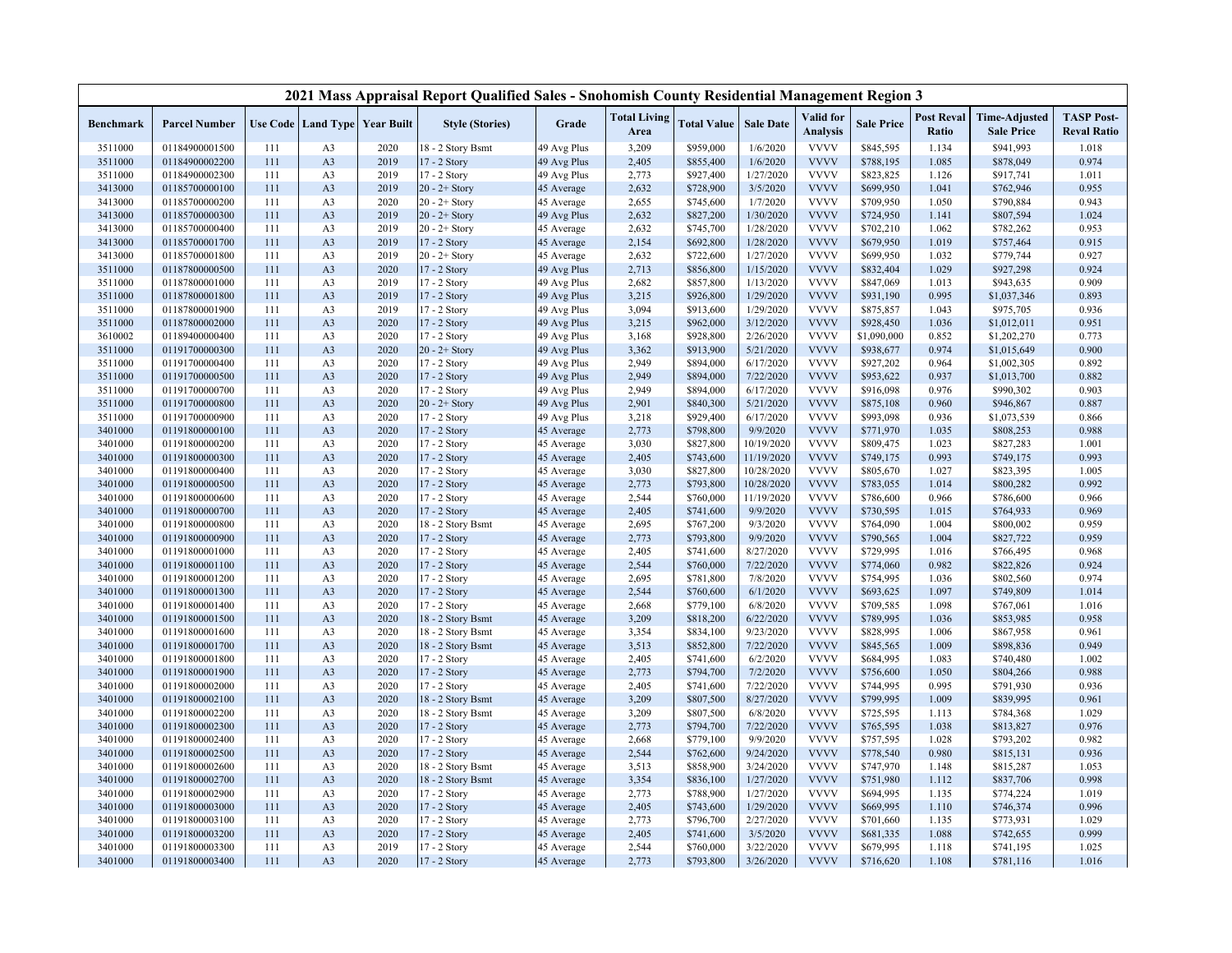|           |                      |     |                |                                   | 2021 Mass Appraisal Report Qualified Sales - Snohomish County Residential Management Region 3 |             |                             |                    |                  |                              |                   |                            |                                           |                                         |
|-----------|----------------------|-----|----------------|-----------------------------------|-----------------------------------------------------------------------------------------------|-------------|-----------------------------|--------------------|------------------|------------------------------|-------------------|----------------------------|-------------------------------------------|-----------------------------------------|
| Benchmark | <b>Parcel Number</b> |     |                | Use Code   Land Type   Year Built | <b>Style (Stories)</b>                                                                        | Grade       | <b>Total Living</b><br>Area | <b>Total Value</b> | <b>Sale Date</b> | Valid for<br><b>Analysis</b> | <b>Sale Price</b> | <b>Post Reval</b><br>Ratio | <b>Time-Adjusted</b><br><b>Sale Price</b> | <b>TASP Post-</b><br><b>Reval Ratio</b> |
| 3511000   | 01184900001500       | 111 | A <sub>3</sub> | 2020                              | 8 - 2 Story Bsmt                                                                              | 49 Avg Plus | 3,209                       | \$959,000          | 1/6/2020         | <b>VVVV</b>                  | \$845,595         | 1.134                      | \$941,993                                 | 1.018                                   |
| 3511000   | 01184900002200       | 111 | A <sub>3</sub> | 2019                              | 17 - 2 Story                                                                                  | 49 Avg Plus | 2,405                       | \$855,400          | 1/6/2020         | <b>VVVV</b>                  | \$788,195         | 1.085                      | \$878,049                                 | 0.974                                   |
| 3511000   | 01184900002300       | 111 | A <sub>3</sub> | 2019                              | 17 - 2 Story                                                                                  | 49 Avg Plus | 2,773                       | \$927,400          | 1/27/2020        | <b>VVVV</b>                  | \$823,825         | 1.126                      | \$917,741                                 | 1.011                                   |
| 3413000   | 01185700000100       | 111 | A <sub>3</sub> | 2019                              | $20 - 2 +$ Story                                                                              | 45 Average  | 2,632                       | \$728,900          | 3/5/2020         | <b>VVVV</b>                  | \$699,950         | 1.041                      | \$762,946                                 | 0.955                                   |
| 3413000   | 01185700000200       | 111 | A <sub>3</sub> | 2020                              | $20 - 2 +$ Story                                                                              | 45 Average  | 2,655                       | \$745,600          | 1/7/2020         | <b>VVVV</b>                  | \$709,950         | 1.050                      | \$790,884                                 | 0.943                                   |
| 3413000   | 01185700000300       | 111 | A <sub>3</sub> | 2019                              | $20 - 2 +$ Story                                                                              | 49 Avg Plus | 2,632                       | \$827,200          | 1/30/2020        | <b>VVVV</b>                  | \$724,950         | 1.141                      | \$807,594                                 | 1.024                                   |
| 3413000   | 01185700000400       | 111 | A <sub>3</sub> | 2019                              | $20 - 2 +$ Story                                                                              | 45 Average  | 2,632                       | \$745,700          | 1/28/2020        | <b>VVVV</b>                  | \$702,210         | 1.062                      | \$782,262                                 | 0.953                                   |
| 3413000   | 01185700001700       | 111 | A <sub>3</sub> | 2019                              | 17 - 2 Story                                                                                  | 45 Average  | 2,154                       | \$692,800          | 1/28/2020        | <b>VVVV</b>                  | \$679,950         | 1.019                      | \$757,464                                 | 0.915                                   |
| 3413000   | 01185700001800       | 111 | A <sub>3</sub> | 2019                              | $20 - 2 +$ Story                                                                              | 45 Average  | 2,632                       | \$722,600          | 1/27/2020        | <b>VVVV</b>                  | \$699,950         | 1.032                      | \$779,744                                 | 0.927                                   |
| 3511000   | 01187800000500       | 111 | A <sub>3</sub> | 2020                              | 17 - 2 Story                                                                                  | 49 Avg Plus | 2,713                       | \$856,800          | 1/15/2020        | <b>VVVV</b>                  | \$832,404         | 1.029                      | \$927,298                                 | 0.924                                   |
| 3511000   | 01187800001000       | 111 | A <sub>3</sub> | 2019                              | 17 - 2 Story                                                                                  | 49 Avg Plus | 2,682                       | \$857,800          | 1/13/2020        | <b>VVVV</b>                  | \$847,069         | 1.013                      | \$943,635                                 | 0.909                                   |
| 3511000   | 01187800001800       | 111 | A <sub>3</sub> | 2019                              | 17 - 2 Story                                                                                  | 49 Avg Plus | 3,215                       | \$926,800          | 1/29/2020        | <b>VVVV</b>                  | \$931,190         | 0.995                      | \$1,037,346                               | 0.893                                   |
| 3511000   | 01187800001900       | 111 | A <sub>3</sub> | 2019                              | 17 - 2 Story                                                                                  | 49 Avg Plus | 3,094                       | \$913,600          | 1/29/2020        | <b>VVVV</b>                  | \$875,857         | 1.043                      | \$975,705                                 | 0.936                                   |
| 3511000   | 01187800002000       | 111 | A <sub>3</sub> | 2020                              | 17 - 2 Story                                                                                  | 49 Avg Plus | 3,215                       | \$962,000          | 3/12/2020        | <b>VVVV</b>                  | \$928,450         | 1.036                      | \$1,012,011                               | 0.951                                   |
| 3610002   | 01189400000400       | 111 | A <sub>3</sub> | 2020                              | 17 - 2 Story                                                                                  | 49 Avg Plus | 3,168                       | \$928,800          | 2/26/2020        | <b>VVVV</b>                  | \$1,090,000       | 0.852                      | \$1,202,270                               | 0.773                                   |
| 3511000   | 01191700000300       | 111 | A <sub>3</sub> | 2020                              | $20 - 2 +$ Story                                                                              | 49 Avg Plus | 3,362                       | \$913,900          | 5/21/2020        | <b>VVVV</b>                  | \$938,677         | 0.974                      | \$1,015,649                               | 0.900                                   |
| 3511000   | 01191700000400       | 111 | A <sub>3</sub> | 2020                              | 17 - 2 Story                                                                                  | 49 Avg Plus | 2,949                       | \$894,000          | 6/17/2020        | <b>VVVV</b>                  | \$927,202         | 0.964                      | \$1,002,305                               | 0.892                                   |
| 3511000   | 01191700000500       | 111 | A <sub>3</sub> | 2020                              | 17 - 2 Story                                                                                  | 49 Avg Plus | 2,949                       | \$894,000          | 7/22/2020        | <b>VVVV</b>                  | \$953,622         | 0.937                      | \$1,013,700                               | 0.882                                   |
| 3511000   | 01191700000700       | 111 | A <sub>3</sub> | 2020                              | 17 - 2 Story                                                                                  | 49 Avg Plus | 2,949                       | \$894,000          | 6/17/2020        | <b>VVVV</b>                  | \$916,098         | 0.976                      | \$990,302                                 | 0.903                                   |
| 3511000   | 01191700000800       | 111 | A <sub>3</sub> | 2020                              | $20 - 2 +$ Story                                                                              | 49 Avg Plus | 2,901                       | \$840,300          | 5/21/2020        | <b>VVVV</b>                  | \$875,108         | 0.960                      | \$946,867                                 | 0.887                                   |
| 3511000   | 01191700000900       | 111 | A <sub>3</sub> | 2020                              | 17 - 2 Story                                                                                  | 49 Avg Plus | 3,218                       | \$929,400          | 6/17/2020        | <b>VVVV</b>                  | \$993,098         | 0.936                      | \$1,073,539                               | 0.866                                   |
| 3401000   | 01191800000100       | 111 | A <sub>3</sub> | 2020                              | 17 - 2 Story                                                                                  | 45 Average  | 2,773                       | \$798,800          | 9/9/2020         | <b>VVVV</b>                  | \$771,970         | 1.035                      | \$808,253                                 | 0.988                                   |
| 3401000   | 01191800000200       | 111 | A <sub>3</sub> | 2020                              | 17 - 2 Story                                                                                  | 45 Average  | 3,030                       | \$827,800          | 10/19/2020       | <b>VVVV</b>                  | \$809,475         | 1.023                      | \$827,283                                 | 1.001                                   |
| 3401000   | 01191800000300       | 111 | A <sub>3</sub> | 2020                              | 17 - 2 Story                                                                                  | 45 Average  | 2,405                       | \$743,600          | 11/19/2020       | <b>VVVV</b>                  | \$749,175         | 0.993                      | \$749,175                                 | 0.993                                   |
| 3401000   | 01191800000400       | 111 | A <sub>3</sub> | 2020                              | 17 - 2 Story                                                                                  | 45 Average  | 3,030                       | \$827,800          | 10/28/2020       | <b>VVVV</b>                  | \$805,670         | 1.027                      | \$823,395                                 | 1.005                                   |
| 3401000   | 01191800000500       | 111 | A <sub>3</sub> | 2020                              | 17 - 2 Story                                                                                  | 45 Average  | 2,773                       | \$793,800          | 10/28/2020       | <b>VVVV</b>                  | \$783,055         | 1.014                      | \$800,282                                 | 0.992                                   |
| 3401000   | 01191800000600       | 111 | A <sub>3</sub> | 2020                              | 17 - 2 Story                                                                                  | 45 Average  | 2,544                       | \$760,000          | 11/19/2020       | <b>VVVV</b>                  | \$786,600         | 0.966                      | \$786,600                                 | 0.966                                   |
| 3401000   | 01191800000700       | 111 | A <sub>3</sub> | 2020                              | 17 - 2 Story                                                                                  | 45 Average  | 2,405                       | \$741,600          | 9/9/2020         | <b>VVVV</b>                  | \$730,595         | 1.015                      | \$764,933                                 | 0.969                                   |
| 3401000   | 01191800000800       | 111 | A <sub>3</sub> | 2020                              | 18 - 2 Story Bsmt                                                                             | 45 Average  | 2,695                       | \$767,200          | 9/3/2020         | <b>VVVV</b>                  | \$764,090         | 1.004                      | \$800,002                                 | 0.959                                   |
| 3401000   | 01191800000900       | 111 | A <sub>3</sub> | 2020                              | 17 - 2 Story                                                                                  | 45 Average  | 2,773                       | \$793,800          | 9/9/2020         | <b>VVVV</b>                  | \$790,565         | 1.004                      | \$827,722                                 | 0.959                                   |
| 3401000   | 01191800001000       | 111 | A <sub>3</sub> | 2020                              | 17 - 2 Story                                                                                  | 45 Average  | 2,405                       | \$741,600          | 8/27/2020        | <b>VVVV</b>                  | \$729,995         | 1.016                      | \$766,495                                 | 0.968                                   |
| 3401000   | 01191800001100       | 111 | A <sub>3</sub> | 2020                              | 17 - 2 Story                                                                                  | 45 Average  | 2,544                       | \$760,000          | 7/22/2020        | <b>VVVV</b>                  | \$774,060         | 0.982                      | \$822,826                                 | 0.924                                   |
| 3401000   | 01191800001200       | 111 | A <sub>3</sub> | 2020                              | 17 - 2 Story                                                                                  | 45 Average  | 2,695                       | \$781,800          | 7/8/2020         | <b>VVVV</b>                  | \$754,995         | 1.036                      | \$802,560                                 | 0.974                                   |
| 3401000   | 01191800001300       | 111 | A <sub>3</sub> | 2020                              | 17 - 2 Story                                                                                  | 45 Average  | 2,544                       | \$760,600          | 6/1/2020         | <b>VVVV</b>                  | \$693,625         | 1.097                      | \$749,809                                 | 1.014                                   |
| 3401000   | 01191800001400       | 111 | A <sub>3</sub> | 2020                              | 17 - 2 Story                                                                                  | 45 Average  | 2,668                       | \$779,100          | 6/8/2020         | <b>VVVV</b>                  | \$709,585         | 1.098                      | \$767,061                                 | 1.016                                   |
| 3401000   | 01191800001500       | 111 | A <sub>3</sub> | 2020                              | 18 - 2 Story Bsmt                                                                             | 45 Average  | 3,209                       | \$818,200          | 6/22/2020        | <b>VVVV</b>                  | \$789,995         | 1.036                      | \$853,985                                 | 0.958                                   |
| 3401000   | 01191800001600       | 111 | A <sub>3</sub> | 2020                              | 18 - 2 Story Bsmt                                                                             | 45 Average  | 3,354                       | \$834,100          | 9/23/2020        | <b>VVVV</b>                  | \$828,995         | 1.006                      | \$867,958                                 | 0.961                                   |
| 3401000   | 01191800001700       | 111 | A <sub>3</sub> | 2020                              | 18 - 2 Story Bsmt                                                                             | 45 Average  | 3,513                       | \$852,800          | 7/22/2020        | <b>VVVV</b>                  | \$845,565         | 1.009                      | \$898,836                                 | 0.949                                   |
| 3401000   | 01191800001800       | 111 | A <sub>3</sub> | 2020                              | $17 - 2$ Story                                                                                | 45 Average  | 2,405                       | \$741,600          | 6/2/2020         | <b>VVVV</b>                  | \$684,995         | 1.083                      | \$740,480                                 | 1.002                                   |
| 3401000   | 01191800001900       | 111 | A <sub>3</sub> | 2020                              | 17 - 2 Story                                                                                  | 45 Average  | 2,773                       | \$794,700          | 7/2/2020         | <b>VVVV</b>                  | \$756,600         | 1.050                      | \$804,266                                 | 0.988                                   |
| 3401000   | 01191800002000       | 111 | A <sub>3</sub> | 2020                              | 17 - 2 Story                                                                                  | 45 Average  | 2,405                       | \$741,600          | 7/22/2020        | <b>VVVV</b>                  | \$744,995         | 0.995                      | \$791,930                                 | 0.936                                   |
| 3401000   | 01191800002100       | 111 | A <sub>3</sub> | 2020                              | 18 - 2 Story Bsmt                                                                             | 45 Average  | 3,209                       | \$807,500          | 8/27/2020        | <b>VVVV</b>                  | \$799,995         | 1.009                      | \$839,995                                 | 0.961                                   |
| 3401000   | 01191800002200       | 111 | A <sub>3</sub> | 2020                              | 18 - 2 Story Bsmt                                                                             | 45 Average  | 3,209                       | \$807,500          | 6/8/2020         | <b>VVVV</b>                  | \$725,595         | 1.113                      | \$784,368                                 | 1.029                                   |
| 3401000   | 01191800002300       | 111 | A <sub>3</sub> | 2020                              | 17 - 2 Story                                                                                  | 45 Average  | 2,773                       | \$794,700          | 7/22/2020        | <b>VVVV</b>                  | \$765,595         | 1.038                      | \$813,827                                 | 0.976                                   |
| 3401000   | 01191800002400       | 111 | A <sub>3</sub> | 2020                              | 17 - 2 Story                                                                                  | 45 Average  | 2,668                       | \$779,100          | 9/9/2020         | <b>VVVV</b>                  | \$757,595         | 1.028                      | \$793,202                                 | 0.982                                   |
| 3401000   | 01191800002500       | 111 | A <sub>3</sub> | 2020                              | 17 - 2 Story                                                                                  | 45 Average  | 2,544                       | \$762,600          | 9/24/2020        | <b>VVVV</b>                  | \$778,540         | 0.980                      | \$815,131                                 | 0.936                                   |
| 3401000   | 01191800002600       | 111 | A <sub>3</sub> | 2020                              | 18 - 2 Story Bsmt                                                                             | 45 Average  | 3,513                       | \$858,900          | 3/24/2020        | <b>VVVV</b>                  | \$747,970         | 1.148                      | \$815,287                                 | 1.053                                   |
| 3401000   | 01191800002700       | 111 | A <sub>3</sub> | 2020                              | 18 - 2 Story Bsmt                                                                             | 45 Average  | 3,354                       | \$836,100          | 1/27/2020        | <b>VVVV</b>                  | \$751,980         | 1.112                      | \$837,706                                 | 0.998                                   |
| 3401000   | 01191800002900       | 111 | A <sub>3</sub> | 2020                              | 17 - 2 Story                                                                                  | 45 Average  | 2,773                       | \$788,900          | 1/27/2020        | <b>VVVV</b>                  | \$694,995         | 1.135                      | \$774,224                                 | 1.019                                   |
| 3401000   | 01191800003000       | 111 | A <sub>3</sub> | 2020                              | 17 - 2 Story                                                                                  | 45 Average  | 2,405                       | \$743,600          | 1/29/2020        | <b>VVVV</b>                  | \$669,995         | 1.110                      | \$746,374                                 | 0.996                                   |
| 3401000   | 01191800003100       | 111 | A <sub>3</sub> | 2020                              | 17 - 2 Story                                                                                  | 45 Average  | 2,773                       | \$796,700          | 2/27/2020        | <b>VVVV</b>                  | \$701,660         | 1.135                      | \$773,931                                 | 1.029                                   |
| 3401000   | 01191800003200       | 111 | A <sub>3</sub> | 2020                              | 17 - 2 Story                                                                                  | 45 Average  | 2,405                       | \$741,600          | 3/5/2020         | <b>VVVV</b>                  | \$681,335         | 1.088                      | \$742,655                                 | 0.999                                   |
| 3401000   | 01191800003300       | 111 | A <sub>3</sub> | 2019                              | 17 - 2 Story                                                                                  | 45 Average  | 2,544                       | \$760,000          | 3/22/2020        | <b>VVVV</b>                  | \$679,995         | 1.118                      | \$741,195                                 | 1.025                                   |
| 3401000   | 01191800003400       | 111 | A <sub>3</sub> | 2020                              | 17 - 2 Story                                                                                  | 45 Average  | 2,773                       | \$793,800          | 3/26/2020        | <b>VVVV</b>                  | \$716,620         | 1.108                      | \$781,116                                 | 1.016                                   |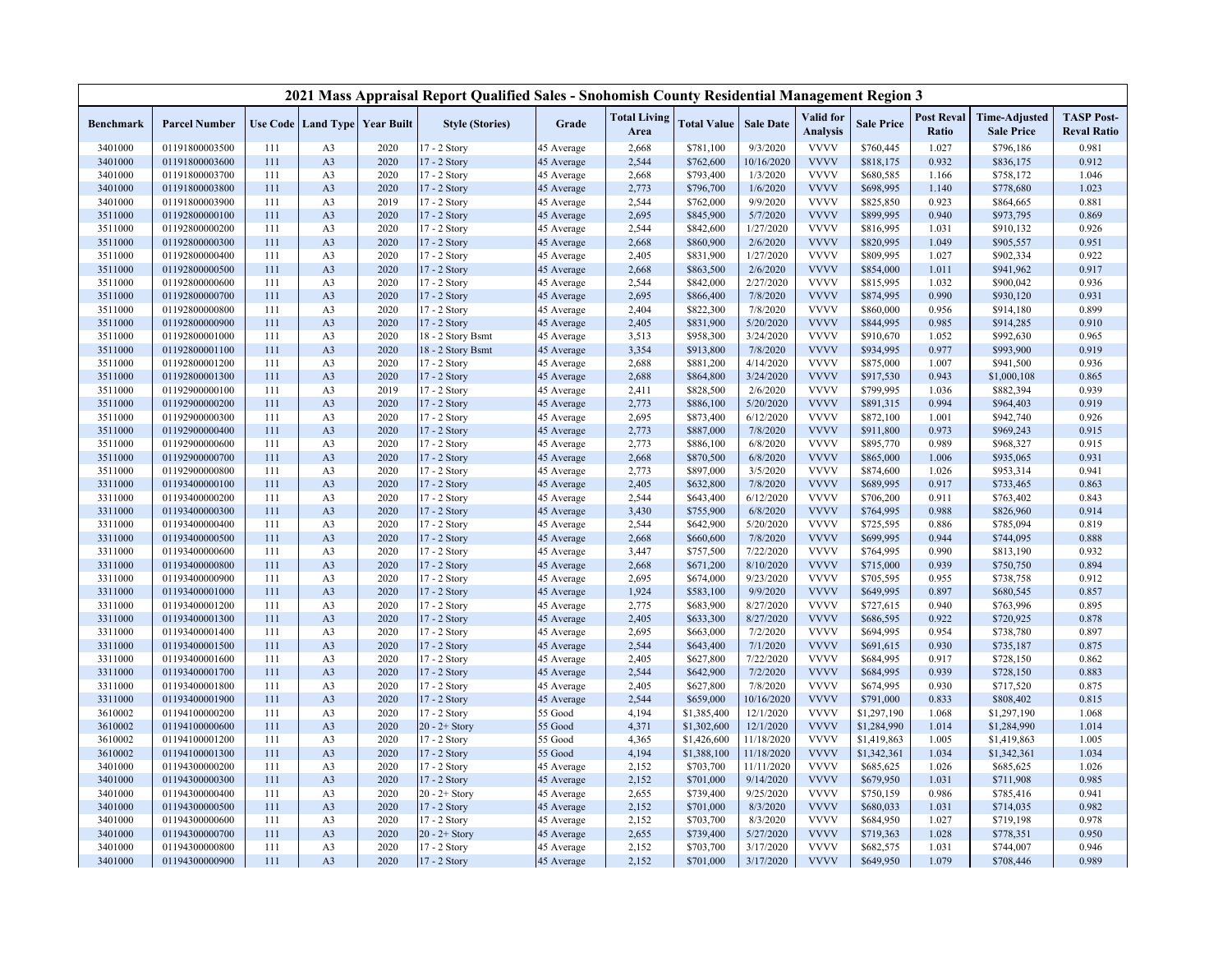|           |                      |     |                |                                   | 2021 Mass Appraisal Report Qualified Sales - Snohomish County Residential Management Region 3 |            |                             |                    |                  |                              |                   |                            |                                           |                                         |
|-----------|----------------------|-----|----------------|-----------------------------------|-----------------------------------------------------------------------------------------------|------------|-----------------------------|--------------------|------------------|------------------------------|-------------------|----------------------------|-------------------------------------------|-----------------------------------------|
| Benchmark | <b>Parcel Number</b> |     |                | Use Code   Land Type   Year Built | <b>Style (Stories)</b>                                                                        | Grade      | <b>Total Living</b><br>Area | <b>Total Value</b> | <b>Sale Date</b> | Valid for<br><b>Analysis</b> | <b>Sale Price</b> | <b>Post Reval</b><br>Ratio | <b>Time-Adjusted</b><br><b>Sale Price</b> | <b>TASP Post-</b><br><b>Reval Ratio</b> |
| 3401000   | 01191800003500       | 111 | A <sub>3</sub> | 2020                              | 7 - 2 Story                                                                                   | 45 Average | 2,668                       | \$781,100          | 9/3/2020         | <b>VVVV</b>                  | \$760,445         | 1.027                      | \$796,186                                 | 0.981                                   |
| 3401000   | 01191800003600       | 111 | A <sub>3</sub> | 2020                              | 17 - 2 Story                                                                                  | 45 Average | 2,544                       | \$762,600          | 10/16/2020       | <b>VVVV</b>                  | \$818,175         | 0.932                      | \$836,175                                 | 0.912                                   |
| 3401000   | 01191800003700       | 111 | A <sub>3</sub> | 2020                              | 17 - 2 Story                                                                                  | 45 Average | 2,668                       | \$793,400          | 1/3/2020         | <b>VVVV</b>                  | \$680,585         | 1.166                      | \$758,172                                 | 1.046                                   |
| 3401000   | 01191800003800       | 111 | A <sub>3</sub> | 2020                              | 17 - 2 Story                                                                                  | 45 Average | 2,773                       | \$796,700          | 1/6/2020         | <b>VVVV</b>                  | \$698,995         | 1.140                      | \$778,680                                 | 1.023                                   |
| 3401000   | 01191800003900       | 111 | A <sub>3</sub> | 2019                              | 17 - 2 Story                                                                                  | 45 Average | 2,544                       | \$762,000          | 9/9/2020         | <b>VVVV</b>                  | \$825,850         | 0.923                      | \$864,665                                 | 0.881                                   |
| 3511000   | 01192800000100       | 111 | A <sub>3</sub> | 2020                              | 17 - 2 Story                                                                                  | 45 Average | 2,695                       | \$845,900          | 5/7/2020         | <b>VVVV</b>                  | \$899,995         | 0.940                      | \$973,795                                 | 0.869                                   |
| 3511000   | 01192800000200       | 111 | A <sub>3</sub> | 2020                              | 17 - 2 Story                                                                                  | 45 Average | 2,544                       | \$842,600          | 1/27/2020        | <b>VVVV</b>                  | \$816,995         | 1.031                      | \$910,132                                 | 0.926                                   |
| 3511000   | 01192800000300       | 111 | A <sub>3</sub> | 2020                              | 17 - 2 Story                                                                                  | 45 Average | 2,668                       | \$860,900          | 2/6/2020         | <b>VVVV</b>                  | \$820,995         | 1.049                      | \$905,557                                 | 0.951                                   |
| 3511000   | 01192800000400       | 111 | A <sub>3</sub> | 2020                              | 17 - 2 Story                                                                                  | 45 Average | 2,405                       | \$831,900          | 1/27/2020        | <b>VVVV</b>                  | \$809,995         | 1.027                      | \$902,334                                 | 0.922                                   |
| 3511000   | 01192800000500       | 111 | A <sub>3</sub> | 2020                              | 17 - 2 Story                                                                                  | 45 Average | 2,668                       | \$863,500          | 2/6/2020         | <b>VVVV</b>                  | \$854,000         | 1.011                      | \$941,962                                 | 0.917                                   |
| 3511000   | 01192800000600       | 111 | A <sub>3</sub> | 2020                              | 17 - 2 Story                                                                                  | 45 Average | 2,544                       | \$842,000          | 2/27/2020        | <b>VVVV</b>                  | \$815,995         | 1.032                      | \$900,042                                 | 0.936                                   |
| 3511000   | 01192800000700       | 111 | A <sub>3</sub> | 2020                              | 17 - 2 Story                                                                                  | 45 Average | 2,695                       | \$866,400          | 7/8/2020         | <b>VVVV</b>                  | \$874,995         | 0.990                      | \$930,120                                 | 0.931                                   |
| 3511000   | 01192800000800       | 111 | A <sub>3</sub> | 2020                              | 17 - 2 Story                                                                                  | 45 Average | 2,404                       | \$822,300          | 7/8/2020         | <b>VVVV</b>                  | \$860,000         | 0.956                      | \$914,180                                 | 0.899                                   |
| 3511000   | 01192800000900       | 111 | A <sub>3</sub> | 2020                              | 17 - 2 Story                                                                                  | 45 Average | 2,405                       | \$831,900          | 5/20/2020        | <b>VVVV</b>                  | \$844,995         | 0.985                      | \$914,285                                 | 0.910                                   |
| 3511000   | 01192800001000       | 111 | A <sub>3</sub> | 2020                              | 18 - 2 Story Bsmt                                                                             | 45 Average | 3,513                       | \$958,300          | 3/24/2020        | <b>VVVV</b>                  | \$910,670         | 1.052                      | \$992,630                                 | 0.965                                   |
| 3511000   | 01192800001100       | 111 | A <sub>3</sub> | 2020                              | 18 - 2 Story Bsmt                                                                             | 45 Average | 3,354                       | \$913,800          | 7/8/2020         | <b>VVVV</b>                  | \$934,995         | 0.977                      | \$993,900                                 | 0.919                                   |
| 3511000   | 01192800001200       | 111 | A <sub>3</sub> | 2020                              | 17 - 2 Story                                                                                  | 45 Average | 2,688                       | \$881,200          | 4/14/2020        | <b>VVVV</b>                  | \$875,000         | 1.007                      | \$941,500                                 | 0.936                                   |
| 3511000   | 01192800001300       | 111 | A <sub>3</sub> | 2020                              | 17 - 2 Story                                                                                  | 45 Average | 2,688                       | \$864,800          | 3/24/2020        | <b>VVVV</b>                  | \$917,530         | 0.943                      | \$1,000,108                               | 0.865                                   |
| 3511000   | 01192900000100       | 111 | A <sub>3</sub> | 2019                              | 17 - 2 Story                                                                                  | 45 Average | 2,411                       | \$828,500          | 2/6/2020         | <b>VVVV</b>                  | \$799,995         | 1.036                      | \$882,394                                 | 0.939                                   |
| 3511000   | 01192900000200       | 111 | A <sub>3</sub> | 2020                              | 17 - 2 Story                                                                                  | 45 Average | 2,773                       | \$886,100          | 5/20/2020        | <b>VVVV</b>                  | \$891,315         | 0.994                      | \$964,403                                 | 0.919                                   |
| 3511000   | 01192900000300       | 111 | A <sub>3</sub> | 2020                              | 17 - 2 Story                                                                                  | 45 Average | 2,695                       | \$873,400          | 6/12/2020        | <b>VVVV</b>                  | \$872,100         | 1.001                      | \$942,740                                 | 0.926                                   |
| 3511000   | 01192900000400       | 111 | A <sub>3</sub> | 2020                              | 17 - 2 Story                                                                                  | 45 Average | 2,773                       | \$887,000          | 7/8/2020         | <b>VVVV</b>                  | \$911,800         | 0.973                      | \$969,243                                 | 0.915                                   |
| 3511000   | 01192900000600       | 111 | A <sub>3</sub> | 2020                              | 17 - 2 Story                                                                                  | 45 Average | 2,773                       | \$886,100          | 6/8/2020         | <b>VVVV</b>                  | \$895,770         | 0.989                      | \$968,327                                 | 0.915                                   |
| 3511000   | 01192900000700       | 111 | A <sub>3</sub> | 2020                              | 17 - 2 Story                                                                                  | 45 Average | 2,668                       | \$870,500          | 6/8/2020         | <b>VVVV</b>                  | \$865,000         | 1.006                      | \$935,065                                 | 0.931                                   |
| 3511000   | 01192900000800       | 111 | A <sub>3</sub> | 2020                              | 17 - 2 Story                                                                                  | 45 Average | 2,773                       | \$897,000          | 3/5/2020         | <b>VVVV</b>                  | \$874,600         | 1.026                      | \$953,314                                 | 0.941                                   |
| 3311000   | 01193400000100       | 111 | A <sub>3</sub> | 2020                              | 17 - 2 Story                                                                                  | 45 Average | 2,405                       | \$632,800          | 7/8/2020         | <b>VVVV</b>                  | \$689,995         | 0.917                      | \$733,465                                 | 0.863                                   |
| 3311000   | 01193400000200       | 111 | A <sub>3</sub> | 2020                              | 17 - 2 Story                                                                                  | 45 Average | 2,544                       | \$643,400          | 6/12/2020        | <b>VVVV</b>                  | \$706,200         | 0.911                      | \$763,402                                 | 0.843                                   |
| 3311000   | 01193400000300       | 111 | A <sub>3</sub> | 2020                              | 17 - 2 Story                                                                                  | 45 Average | 3,430                       | \$755,900          | 6/8/2020         | <b>VVVV</b>                  | \$764,995         | 0.988                      | \$826,960                                 | 0.914                                   |
| 3311000   | 01193400000400       | 111 | A <sub>3</sub> | 2020                              | 17 - 2 Story                                                                                  | 45 Average | 2,544                       | \$642,900          | 5/20/2020        | <b>VVVV</b>                  | \$725,595         | 0.886                      | \$785,094                                 | 0.819                                   |
| 3311000   | 01193400000500       | 111 | A <sub>3</sub> | 2020                              | 17 - 2 Story                                                                                  | 45 Average | 2,668                       | \$660,600          | 7/8/2020         | <b>VVVV</b>                  | \$699,995         | 0.944                      | \$744,095                                 | 0.888                                   |
| 3311000   | 01193400000600       | 111 | A <sub>3</sub> | 2020                              | 17 - 2 Story                                                                                  | 45 Average | 3,447                       | \$757,500          | 7/22/2020        | <b>VVVV</b>                  | \$764,995         | 0.990                      | \$813,190                                 | 0.932                                   |
| 3311000   | 01193400000800       | 111 | A <sub>3</sub> | 2020                              | 17 - 2 Story                                                                                  | 45 Average | 2,668                       | \$671,200          | 8/10/2020        | <b>VVVV</b>                  | \$715,000         | 0.939                      | \$750,750                                 | 0.894                                   |
| 3311000   | 01193400000900       | 111 | A <sub>3</sub> | 2020                              | 17 - 2 Story                                                                                  | 45 Average | 2,695                       | \$674,000          | 9/23/2020        | <b>VVVV</b>                  | \$705,595         | 0.955                      | \$738,758                                 | 0.912                                   |
| 3311000   | 01193400001000       | 111 | A <sub>3</sub> | 2020                              | 17 - 2 Story                                                                                  | 45 Average | 1,924                       | \$583,100          | 9/9/2020         | <b>VVVV</b>                  | \$649,995         | 0.897                      | \$680,545                                 | 0.857                                   |
| 3311000   | 01193400001200       | 111 | A <sub>3</sub> | 2020                              | 17 - 2 Story                                                                                  | 45 Average | 2,775                       | \$683,900          | 8/27/2020        | <b>VVVV</b>                  | \$727,615         | 0.940                      | \$763,996                                 | 0.895                                   |
| 3311000   | 01193400001300       | 111 | A <sub>3</sub> | 2020                              | 17 - 2 Story                                                                                  | 45 Average | 2,405                       | \$633,300          | 8/27/2020        | <b>VVVV</b>                  | \$686,595         | 0.922                      | \$720,925                                 | 0.878                                   |
| 3311000   | 01193400001400       | 111 | A <sub>3</sub> | 2020                              | 17 - 2 Story                                                                                  | 45 Average | 2,695                       | \$663,000          | 7/2/2020         | <b>VVVV</b>                  | \$694,995         | 0.954                      | \$738,780                                 | 0.897                                   |
| 3311000   | 01193400001500       | 111 | A <sub>3</sub> | 2020                              | 17 - 2 Story                                                                                  | 45 Average | 2,544                       | \$643,400          | 7/1/2020         | <b>VVVV</b>                  | \$691,615         | 0.930                      | \$735,187                                 | 0.875                                   |
| 3311000   | 01193400001600       | 111 | A <sub>3</sub> | 2020                              | 17 - 2 Story                                                                                  | 45 Average | 2,405                       | \$627,800          | 7/22/2020        | <b>VVVV</b>                  | \$684,995         | 0.917                      | \$728,150                                 | 0.862                                   |
| 3311000   | 01193400001700       | 111 | A <sub>3</sub> | 2020                              | 17 - 2 Story                                                                                  | 45 Average | 2,544                       | \$642,900          | 7/2/2020         | <b>VVVV</b>                  | \$684,995         | 0.939                      | \$728,150                                 | 0.883                                   |
| 3311000   | 01193400001800       | 111 | A <sub>3</sub> | 2020                              | 17 - 2 Story                                                                                  | 45 Average | 2,405                       | \$627,800          | 7/8/2020         | <b>VVVV</b>                  | \$674,995         | 0.930                      | \$717,520                                 | 0.875                                   |
| 3311000   | 01193400001900       | 111 | A <sub>3</sub> | 2020                              | 17 - 2 Story                                                                                  | 45 Average | 2,544                       | \$659,000          | 10/16/2020       | <b>VVVV</b>                  | \$791,000         | 0.833                      | \$808,402                                 | 0.815                                   |
| 3610002   | 01194100000200       | 111 | A <sub>3</sub> | 2020                              | 17 - 2 Story                                                                                  | 55 Good    | 4,194                       | \$1,385,400        | 12/1/2020        | <b>VVVV</b>                  | \$1,297,190       | 1.068                      | \$1,297,190                               | 1.068                                   |
| 3610002   | 01194100000600       | 111 | A <sub>3</sub> | 2020                              | $20 - 2 +$ Story                                                                              | 55 Good    | 4,371                       | \$1,302,600        | 12/1/2020        | <b>VVVV</b>                  | \$1,284,990       | 1.014                      | \$1,284,990                               | 1.014                                   |
| 3610002   | 01194100001200       | 111 | A <sub>3</sub> | 2020                              | 17 - 2 Story                                                                                  | 55 Good    | 4,365                       | \$1,426,600        | 11/18/2020       | <b>VVVV</b>                  | \$1,419,863       | 1.005                      | \$1,419,863                               | 1.005                                   |
| 3610002   | 01194100001300       | 111 | A <sub>3</sub> | 2020                              | 17 - 2 Story                                                                                  | 55 Good    | 4,194                       | \$1,388,100        | 11/18/2020       | <b>VVVV</b>                  | \$1,342,361       | 1.034                      | \$1,342,361                               | 1.034                                   |
| 3401000   | 01194300000200       | 111 | A <sub>3</sub> | 2020                              | 17 - 2 Story                                                                                  | 45 Average | 2,152                       | \$703,700          | 11/11/2020       | <b>VVVV</b>                  | \$685,625         | 1.026                      | \$685,625                                 | 1.026                                   |
| 3401000   | 01194300000300       | 111 | A <sub>3</sub> | 2020                              | 17 - 2 Story                                                                                  | 45 Average | 2,152                       | \$701,000          | 9/14/2020        | <b>VVVV</b>                  | \$679,950         | 1.031                      | \$711,908                                 | 0.985                                   |
| 3401000   | 01194300000400       | 111 | A <sub>3</sub> | 2020                              | $20 - 2 +$ Story                                                                              | 45 Average | 2,655                       | \$739,400          | 9/25/2020        | <b>VVVV</b>                  | \$750,159         | 0.986                      | \$785,416                                 | 0.941                                   |
| 3401000   | 01194300000500       | 111 | A <sub>3</sub> | 2020                              | 17 - 2 Story                                                                                  | 45 Average | 2,152                       | \$701,000          | 8/3/2020         | <b>VVVV</b>                  | \$680,033         | 1.031                      | \$714,035                                 | 0.982                                   |
| 3401000   | 01194300000600       | 111 | A <sub>3</sub> | 2020                              | 17 - 2 Story                                                                                  | 45 Average | 2,152                       | \$703,700          | 8/3/2020         | <b>VVVV</b>                  | \$684,950         | 1.027                      | \$719,198                                 | 0.978                                   |
| 3401000   | 01194300000700       | 111 | A <sub>3</sub> | 2020                              | $20 - 2 +$ Story                                                                              | 45 Average | 2,655                       | \$739,400          | 5/27/2020        | <b>VVVV</b>                  | \$719,363         | 1.028                      | \$778,351                                 | 0.950                                   |
| 3401000   | 01194300000800       | 111 | A <sub>3</sub> | 2020                              | 17 - 2 Story                                                                                  | 45 Average | 2,152                       | \$703,700          | 3/17/2020        | <b>VVVV</b>                  | \$682,575         | 1.031                      | \$744,007                                 | 0.946                                   |
| 3401000   | 01194300000900       | 111 | A <sub>3</sub> | 2020                              | 17 - 2 Story                                                                                  | 45 Average | 2,152                       | \$701,000          | 3/17/2020        | <b>VVVV</b>                  | \$649,950         | 1.079                      | \$708,446                                 | 0.989                                   |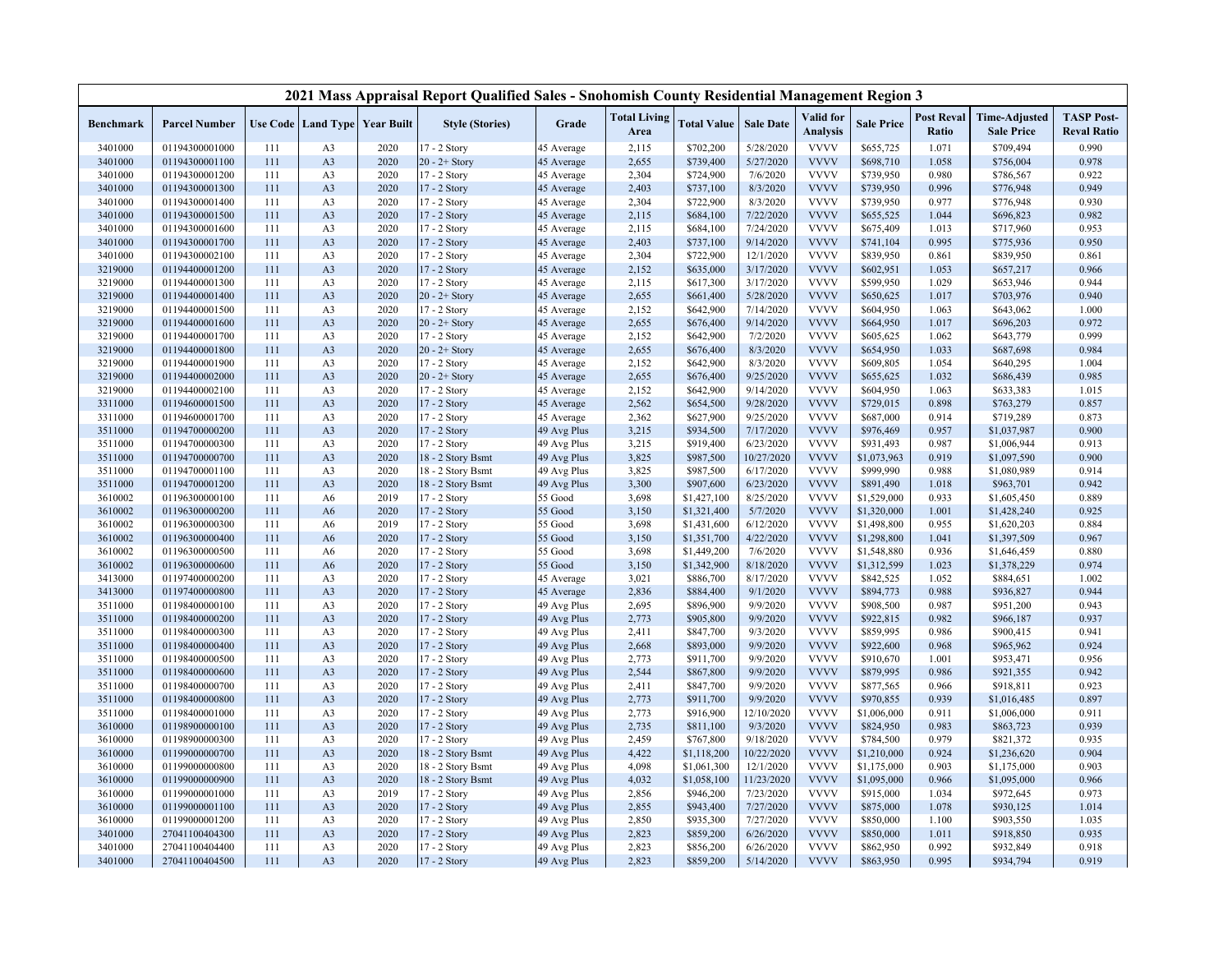|           |                      |     |                |                                   | 2021 Mass Appraisal Report Qualified Sales - Snohomish County Residential Management Region 3 |             |                             |                    |                  |                              |                   |                            |                                           |                                         |
|-----------|----------------------|-----|----------------|-----------------------------------|-----------------------------------------------------------------------------------------------|-------------|-----------------------------|--------------------|------------------|------------------------------|-------------------|----------------------------|-------------------------------------------|-----------------------------------------|
| Benchmark | <b>Parcel Number</b> |     |                | Use Code   Land Type   Year Built | <b>Style (Stories)</b>                                                                        | Grade       | <b>Total Living</b><br>Area | <b>Total Value</b> | <b>Sale Date</b> | Valid for<br><b>Analysis</b> | <b>Sale Price</b> | <b>Post Reval</b><br>Ratio | <b>Time-Adjusted</b><br><b>Sale Price</b> | <b>TASP Post-</b><br><b>Reval Ratio</b> |
| 3401000   | 01194300001000       | 111 | A <sub>3</sub> | 2020                              | $17 - 2$ Story                                                                                | 45 Average  | 2,115                       | \$702,200          | 5/28/2020        | <b>VVVV</b>                  | \$655,725         | 1.071                      | \$709,494                                 | 0.990                                   |
| 3401000   | 01194300001100       | 111 | A <sub>3</sub> | 2020                              | $20 - 2 +$ Story                                                                              | 45 Average  | 2,655                       | \$739,400          | 5/27/2020        | <b>VVVV</b>                  | \$698,710         | 1.058                      | \$756,004                                 | 0.978                                   |
| 3401000   | 01194300001200       | 111 | A <sub>3</sub> | 2020                              | 17 - 2 Story                                                                                  | 45 Average  | 2,304                       | \$724,900          | 7/6/2020         | <b>VVVV</b>                  | \$739,950         | 0.980                      | \$786,567                                 | 0.922                                   |
| 3401000   | 01194300001300       | 111 | A <sub>3</sub> | 2020                              | 17 - 2 Story                                                                                  | 45 Average  | 2,403                       | \$737,100          | 8/3/2020         | <b>VVVV</b>                  | \$739,950         | 0.996                      | \$776,948                                 | 0.949                                   |
| 3401000   | 01194300001400       | 111 | A <sub>3</sub> | 2020                              | 17 - 2 Story                                                                                  | 45 Average  | 2,304                       | \$722,900          | 8/3/2020         | <b>VVVV</b>                  | \$739,950         | 0.977                      | \$776,948                                 | 0.930                                   |
| 3401000   | 01194300001500       | 111 | A <sub>3</sub> | 2020                              | 17 - 2 Story                                                                                  | 45 Average  | 2,115                       | \$684,100          | 7/22/2020        | <b>VVVV</b>                  | \$655,525         | 1.044                      | \$696,823                                 | 0.982                                   |
| 3401000   | 01194300001600       | 111 | A <sub>3</sub> | 2020                              | 17 - 2 Story                                                                                  | 45 Average  | 2,115                       | \$684,100          | 7/24/2020        | <b>VVVV</b>                  | \$675,409         | 1.013                      | \$717,960                                 | 0.953                                   |
| 3401000   | 01194300001700       | 111 | A <sub>3</sub> | 2020                              | 17 - 2 Story                                                                                  | 45 Average  | 2,403                       | \$737,100          | 9/14/2020        | <b>VVVV</b>                  | \$741,104         | 0.995                      | \$775,936                                 | 0.950                                   |
| 3401000   | 01194300002100       | 111 | A <sub>3</sub> | 2020                              | 17 - 2 Story                                                                                  | 45 Average  | 2,304                       | \$722,900          | 12/1/2020        | <b>VVVV</b>                  | \$839,950         | 0.861                      | \$839,950                                 | 0.861                                   |
| 3219000   | 01194400001200       | 111 | A <sub>3</sub> | 2020                              | 17 - 2 Story                                                                                  | 45 Average  | 2,152                       | \$635,000          | 3/17/2020        | <b>VVVV</b>                  | \$602,951         | 1.053                      | \$657,217                                 | 0.966                                   |
| 3219000   | 01194400001300       | 111 | A <sub>3</sub> | 2020                              | 17 - 2 Story                                                                                  | 45 Average  | 2,115                       | \$617,300          | 3/17/2020        | <b>VVVV</b>                  | \$599,950         | 1.029                      | \$653,946                                 | 0.944                                   |
| 3219000   | 01194400001400       | 111 | A <sub>3</sub> | 2020                              | $20 - 2 +$ Story                                                                              | 45 Average  | 2,655                       | \$661,400          | 5/28/2020        | <b>VVVV</b>                  | \$650,625         | 1.017                      | \$703,976                                 | 0.940                                   |
| 3219000   | 01194400001500       | 111 | A <sub>3</sub> | 2020                              | 17 - 2 Story                                                                                  | 45 Average  | 2,152                       | \$642,900          | 7/14/2020        | <b>VVVV</b>                  | \$604,950         | 1.063                      | \$643,062                                 | 1.000                                   |
| 3219000   | 01194400001600       | 111 | A <sub>3</sub> | 2020                              | $20 - 2 +$ Story                                                                              | 45 Average  | 2,655                       | \$676,400          | 9/14/2020        | <b>VVVV</b>                  | \$664,950         | 1.017                      | \$696,203                                 | 0.972                                   |
| 3219000   | 01194400001700       | 111 | A <sub>3</sub> | 2020                              | 17 - 2 Story                                                                                  | 45 Average  | 2,152                       | \$642,900          | 7/2/2020         | <b>VVVV</b>                  | \$605,625         | 1.062                      | \$643,779                                 | 0.999                                   |
| 3219000   | 01194400001800       | 111 | A <sub>3</sub> | 2020                              | $20 - 2 +$ Story                                                                              | 45 Average  | 2,655                       | \$676,400          | 8/3/2020         | <b>VVVV</b>                  | \$654,950         | 1.033                      | \$687,698                                 | 0.984                                   |
| 3219000   | 01194400001900       | 111 | A <sub>3</sub> | 2020                              | 17 - 2 Story                                                                                  | 45 Average  | 2,152                       | \$642,900          | 8/3/2020         | <b>VVVV</b>                  | \$609,805         | 1.054                      | \$640,295                                 | 1.004                                   |
| 3219000   | 01194400002000       | 111 | A <sub>3</sub> | 2020                              | $20 - 2 +$ Story                                                                              | 45 Average  | 2,655                       | \$676,400          | 9/25/2020        | <b>VVVV</b>                  | \$655,625         | 1.032                      | \$686,439                                 | 0.985                                   |
| 3219000   | 01194400002100       | 111 | A <sub>3</sub> | 2020                              | 17 - 2 Story                                                                                  | 45 Average  | 2,152                       | \$642,900          | 9/14/2020        | <b>VVVV</b>                  | \$604,950         | 1.063                      | \$633,383                                 | 1.015                                   |
| 3311000   | 01194600001500       | 111 | A <sub>3</sub> | 2020                              | 17 - 2 Story                                                                                  | 45 Average  | 2,562                       | \$654,500          | 9/28/2020        | <b>VVVV</b>                  | \$729,015         | 0.898                      | \$763,279                                 | 0.857                                   |
| 3311000   | 01194600001700       | 111 | A <sub>3</sub> | 2020                              | 17 - 2 Story                                                                                  | 45 Average  | 2,362                       | \$627,900          | 9/25/2020        | <b>VVVV</b>                  | \$687,000         | 0.914                      | \$719,289                                 | 0.873                                   |
| 3511000   | 01194700000200       | 111 | A <sub>3</sub> | 2020                              | 17 - 2 Story                                                                                  | 49 Avg Plus | 3,215                       | \$934,500          | 7/17/2020        | <b>VVVV</b>                  | \$976,469         | 0.957                      | \$1,037,987                               | 0.900                                   |
| 3511000   | 01194700000300       | 111 | A <sub>3</sub> | 2020                              | 17 - 2 Story                                                                                  | 49 Avg Plus | 3,215                       | \$919,400          | 6/23/2020        | <b>VVVV</b>                  | \$931,493         | 0.987                      | \$1,006,944                               | 0.913                                   |
| 3511000   | 01194700000700       | 111 | A <sub>3</sub> | 2020                              | 18 - 2 Story Bsmt                                                                             | 49 Avg Plus | 3,825                       | \$987,500          | 10/27/2020       | <b>VVVV</b>                  | \$1,073,963       | 0.919                      | \$1,097,590                               | 0.900                                   |
| 3511000   | 01194700001100       | 111 | A <sub>3</sub> | 2020                              | 18 - 2 Story Bsmt                                                                             | 49 Avg Plus | 3,825                       | \$987,500          | 6/17/2020        | <b>VVVV</b>                  | \$999,990         | 0.988                      | \$1,080,989                               | 0.914                                   |
| 3511000   | 01194700001200       | 111 | A <sub>3</sub> | 2020                              | 18 - 2 Story Bsmt                                                                             | 49 Avg Plus | 3,300                       | \$907,600          | 6/23/2020        | <b>VVVV</b>                  | \$891,490         | 1.018                      | \$963,701                                 | 0.942                                   |
| 3610002   | 01196300000100       | 111 | A <sub>6</sub> | 2019                              | $17 - 2$ Story                                                                                | 55 Good     | 3,698                       | \$1,427,100        | 8/25/2020        | <b>VVVV</b>                  | \$1,529,000       | 0.933                      | \$1,605,450                               | 0.889                                   |
| 3610002   | 01196300000200       | 111 | A6             | 2020                              | 17 - 2 Story                                                                                  | 55 Good     | 3,150                       | \$1,321,400        | 5/7/2020         | <b>VVVV</b>                  | \$1,320,000       | 1.001                      | \$1,428,240                               | 0.925                                   |
| 3610002   | 01196300000300       | 111 | A <sub>6</sub> | 2019                              | 17 - 2 Story                                                                                  | 55 Good     | 3,698                       | \$1,431,600        | 6/12/2020        | <b>VVVV</b>                  | \$1,498,800       | 0.955                      | \$1,620,203                               | 0.884                                   |
| 3610002   | 01196300000400       | 111 | A6             | 2020                              | 17 - 2 Story                                                                                  | 55 Good     | 3,150                       | \$1,351,700        | 4/22/2020        | <b>VVVV</b>                  | \$1,298,800       | 1.041                      | \$1,397,509                               | 0.967                                   |
| 3610002   | 01196300000500       | 111 | A <sub>6</sub> | 2020                              | 17 - 2 Story                                                                                  | 55 Good     | 3,698                       | \$1,449,200        | 7/6/2020         | <b>VVVV</b>                  | \$1,548,880       | 0.936                      | \$1,646,459                               | 0.880                                   |
| 3610002   | 01196300000600       | 111 | A <sub>6</sub> | 2020                              | 17 - 2 Story                                                                                  | 55 Good     | 3,150                       | \$1,342,900        | 8/18/2020        | <b>VVVV</b>                  | \$1,312,599       | 1.023                      | \$1,378,229                               | 0.974                                   |
| 3413000   | 01197400000200       | 111 | A <sub>3</sub> | 2020                              | 17 - 2 Story                                                                                  | 45 Average  | 3,021                       | \$886,700          | 8/17/2020        | <b>VVVV</b>                  | \$842,525         | 1.052                      | \$884,651                                 | 1.002                                   |
| 3413000   | 01197400000800       | 111 | A <sub>3</sub> | 2020                              | 17 - 2 Story                                                                                  | 45 Average  | 2,836                       | \$884,400          | 9/1/2020         | <b>VVVV</b>                  | \$894,773         | 0.988                      | \$936,827                                 | 0.944                                   |
| 3511000   | 01198400000100       | 111 | A <sub>3</sub> | 2020                              | 17 - 2 Story                                                                                  | 49 Avg Plus | 2,695                       | \$896,900          | 9/9/2020         | <b>VVVV</b>                  | \$908,500         | 0.987                      | \$951,200                                 | 0.943                                   |
| 3511000   | 01198400000200       | 111 | A <sub>3</sub> | 2020                              | 17 - 2 Story                                                                                  | 49 Avg Plus | 2,773                       | \$905,800          | 9/9/2020         | <b>VVVV</b>                  | \$922,815         | 0.982                      | \$966,187                                 | 0.937                                   |
| 3511000   | 01198400000300       | 111 | A <sub>3</sub> | 2020                              | 17 - 2 Story                                                                                  | 49 Avg Plus | 2,411                       | \$847,700          | 9/3/2020         | <b>VVVV</b>                  | \$859,995         | 0.986                      | \$900,415                                 | 0.941                                   |
| 3511000   | 01198400000400       | 111 | A <sub>3</sub> | 2020                              | 17 - 2 Story                                                                                  | 49 Avg Plus | 2,668                       | \$893,000          | 9/9/2020         | <b>VVVV</b>                  | \$922,600         | 0.968                      | \$965,962                                 | 0.924                                   |
| 3511000   | 01198400000500       | 111 | A <sub>3</sub> | 2020                              | 17 - 2 Story                                                                                  | 49 Avg Plus | 2,773                       | \$911,700          | 9/9/2020         | <b>VVVV</b>                  | \$910,670         | 1.001                      | \$953,471                                 | 0.956                                   |
| 3511000   | 01198400000600       | 111 | A <sub>3</sub> | 2020                              | 17 - 2 Story                                                                                  | 49 Avg Plus | 2,544                       | \$867,800          | 9/9/2020         | <b>VVVV</b>                  | \$879,995         | 0.986                      | \$921,355                                 | 0.942                                   |
| 3511000   | 01198400000700       | 111 | A <sub>3</sub> | 2020                              | 17 - 2 Story                                                                                  | 49 Avg Plus | 2,411                       | \$847,700          | 9/9/2020         | <b>VVVV</b>                  | \$877,565         | 0.966                      | \$918,811                                 | 0.923                                   |
| 3511000   | 01198400000800       | 111 | A <sub>3</sub> | 2020                              | 17 - 2 Story                                                                                  | 49 Avg Plus | 2,773                       | \$911,700          | 9/9/2020         | <b>VVVV</b>                  | \$970,855         | 0.939                      | \$1,016,485                               | 0.897                                   |
| 3511000   | 01198400001000       | 111 | A <sub>3</sub> | 2020                              | 17 - 2 Story                                                                                  | 49 Avg Plus | 2,773                       | \$916,900          | 12/10/2020       | <b>VVVV</b>                  | \$1,006,000       | 0.911                      | \$1,006,000                               | 0.911                                   |
| 3610000   | 01198900000100       | 111 | A <sub>3</sub> | 2020                              | 17 - 2 Story                                                                                  | 49 Avg Plus | 2,735                       | \$811,100          | 9/3/2020         | <b>VVVV</b>                  | \$824,950         | 0.983                      | \$863,723                                 | 0.939                                   |
| 3610000   | 01198900000300       | 111 | A <sub>3</sub> | 2020                              | 17 - 2 Story                                                                                  | 49 Avg Plus | 2,459                       | \$767,800          | 9/18/2020        | <b>VVVV</b>                  | \$784,500         | 0.979                      | \$821,372                                 | 0.935                                   |
| 3610000   | 01199000000700       | 111 | A <sub>3</sub> | 2020                              | 18 - 2 Story Bsmt                                                                             | 49 Avg Plus | 4,422                       | \$1,118,200        | 10/22/2020       | <b>VVVV</b>                  | \$1,210,000       | 0.924                      | \$1,236,620                               | 0.904                                   |
| 3610000   | 01199000000800       | 111 | A <sub>3</sub> | 2020                              | 18 - 2 Story Bsmt                                                                             | 49 Avg Plus | 4,098                       | \$1,061,300        | 12/1/2020        | <b>VVVV</b>                  | \$1,175,000       | 0.903                      | \$1,175,000                               | 0.903                                   |
| 3610000   | 01199000000900       | 111 | A <sub>3</sub> | 2020                              | 18 - 2 Story Bsmt                                                                             | 49 Avg Plus | 4,032                       | \$1,058,100        | 11/23/2020       | <b>VVVV</b>                  | \$1,095,000       | 0.966                      | \$1,095,000                               | 0.966                                   |
| 3610000   | 01199000001000       | 111 | A <sub>3</sub> | 2019                              | 17 - 2 Story                                                                                  | 49 Avg Plus | 2,856                       | \$946,200          | 7/23/2020        | <b>VVVV</b>                  | \$915,000         | 1.034                      | \$972,645                                 | 0.973                                   |
| 3610000   | 01199000001100       | 111 | A <sub>3</sub> | 2020                              | 17 - 2 Story                                                                                  | 49 Avg Plus | 2,855                       | \$943,400          | 7/27/2020        | <b>VVVV</b>                  | \$875,000         | 1.078                      | \$930,125                                 | 1.014                                   |
| 3610000   | 01199000001200       | 111 | A <sub>3</sub> | 2020                              | 17 - 2 Story                                                                                  | 49 Avg Plus | 2,850                       | \$935,300          | 7/27/2020        | <b>VVVV</b>                  | \$850,000         | 1.100                      | \$903,550                                 | 1.035                                   |
| 3401000   | 27041100404300       | 111 | A <sub>3</sub> | 2020                              | 17 - 2 Story                                                                                  | 49 Avg Plus | 2,823                       | \$859,200          | 6/26/2020        | <b>VVVV</b>                  | \$850,000         | 1.011                      | \$918,850                                 | 0.935                                   |
| 3401000   | 27041100404400       | 111 | A <sub>3</sub> | 2020                              | 17 - 2 Story                                                                                  | 49 Avg Plus | 2,823                       | \$856,200          | 6/26/2020        | <b>VVVV</b>                  | \$862,950         | 0.992                      | \$932,849                                 | 0.918                                   |
| 3401000   | 27041100404500       | 111 | A <sub>3</sub> | 2020                              | 17 - 2 Story                                                                                  | 49 Avg Plus | 2,823                       | \$859,200          | 5/14/2020        | <b>VVVV</b>                  | \$863,950         | 0.995                      | \$934,794                                 | 0.919                                   |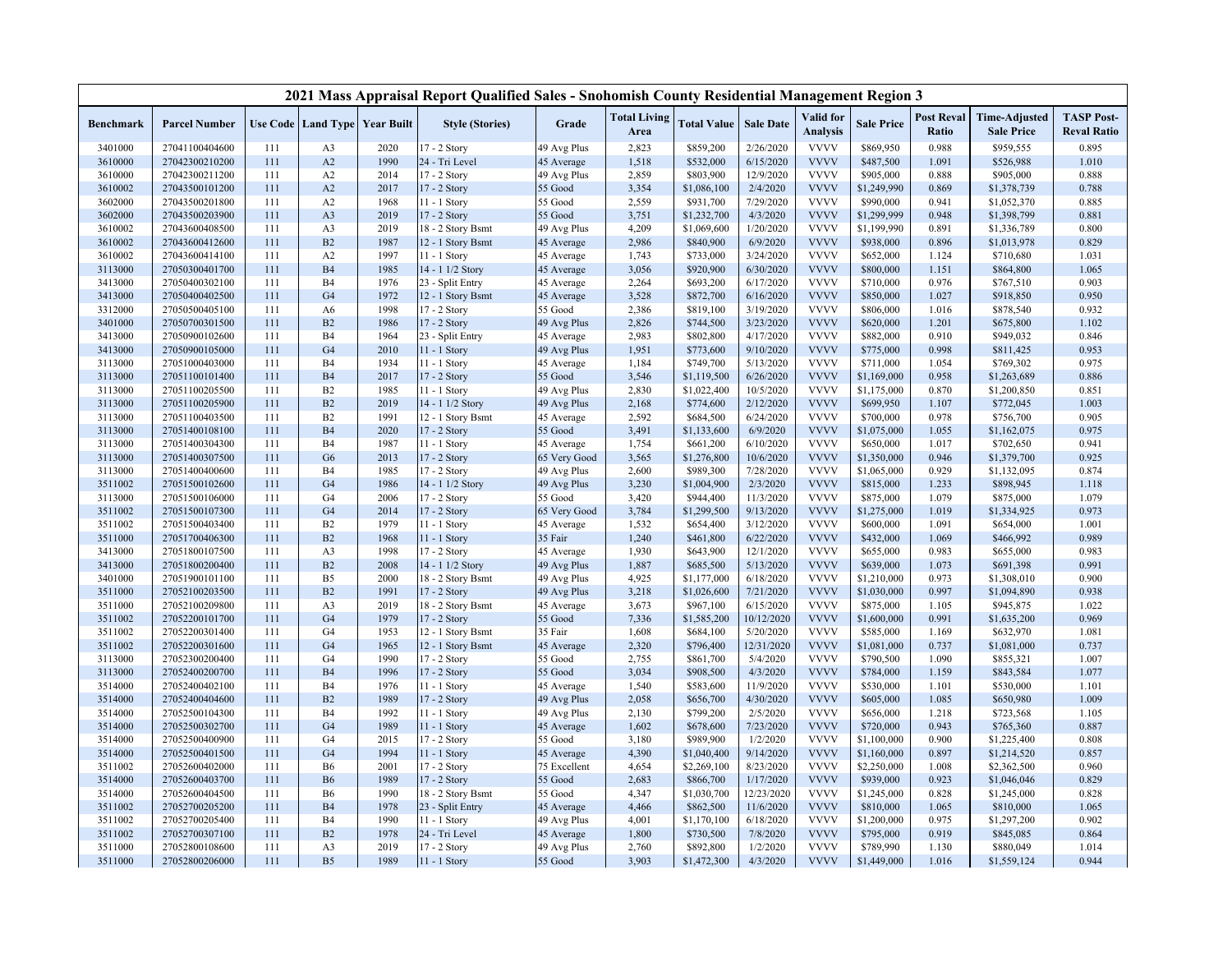|           |                      |     |                                          |      | 2021 Mass Appraisal Report Qualified Sales - Snohomish County Residential Management Region 3 |              |                             |                    |                  |                              |                   |                            |                                           |                                         |
|-----------|----------------------|-----|------------------------------------------|------|-----------------------------------------------------------------------------------------------|--------------|-----------------------------|--------------------|------------------|------------------------------|-------------------|----------------------------|-------------------------------------------|-----------------------------------------|
| Benchmark | <b>Parcel Number</b> |     | <b>Use Code   Land Type   Year Built</b> |      | <b>Style (Stories)</b>                                                                        | Grade        | <b>Total Living</b><br>Area | <b>Total Value</b> | <b>Sale Date</b> | Valid for<br><b>Analysis</b> | <b>Sale Price</b> | <b>Post Reval</b><br>Ratio | <b>Time-Adjusted</b><br><b>Sale Price</b> | <b>TASP Post-</b><br><b>Reval Ratio</b> |
| 3401000   | 27041100404600       | 111 | A <sub>3</sub>                           | 2020 | 17 - 2 Story                                                                                  | 49 Avg Plus  | 2,823                       | \$859,200          | 2/26/2020        | <b>VVVV</b>                  | \$869,950         | 0.988                      | \$959,555                                 | 0.895                                   |
| 3610000   | 27042300210200       | 111 | A2                                       | 1990 | 24 - Tri Level                                                                                | 45 Average   | 1,518                       | \$532,000          | 6/15/2020        | <b>VVVV</b>                  | \$487,500         | 1.091                      | \$526,988                                 | 1.010                                   |
| 3610000   | 27042300211200       | 111 | A <sub>2</sub>                           | 2014 | 17 - 2 Story                                                                                  | 49 Avg Plus  | 2,859                       | \$803,900          | 12/9/2020        | <b>VVVV</b>                  | \$905,000         | 0.888                      | \$905,000                                 | 0.888                                   |
| 3610002   | 27043500101200       | 111 | A <sub>2</sub>                           | 2017 | 17 - 2 Story                                                                                  | 55 Good      | 3,354                       | \$1,086,100        | 2/4/2020         | <b>VVVV</b>                  | \$1,249,990       | 0.869                      | \$1,378,739                               | 0.788                                   |
| 3602000   | 27043500201800       | 111 | A2                                       | 1968 | 11 - 1 Story                                                                                  | 55 Good      | 2,559                       | \$931,700          | 7/29/2020        | <b>VVVV</b>                  | \$990,000         | 0.941                      | \$1,052,370                               | 0.885                                   |
| 3602000   | 27043500203900       | 111 | A <sub>3</sub>                           | 2019 | 17 - 2 Story                                                                                  | 55 Good      | 3,751                       | \$1,232,700        | 4/3/2020         | <b>VVVV</b>                  | \$1,299,999       | 0.948                      | \$1,398,799                               | 0.881                                   |
| 3610002   | 27043600408500       | 111 | A <sub>3</sub>                           | 2019 | 18 - 2 Story Bsmt                                                                             | 49 Avg Plus  | 4,209                       | \$1,069,600        | 1/20/2020        | <b>VVVV</b>                  | \$1,199,990       | 0.891                      | \$1,336,789                               | 0.800                                   |
| 3610002   | 27043600412600       | 111 | B2                                       | 1987 | 12 - 1 Story Bsmt                                                                             | 45 Average   | 2,986                       | \$840,900          | 6/9/2020         | <b>VVVV</b>                  | \$938,000         | 0.896                      | \$1,013,978                               | 0.829                                   |
| 3610002   | 27043600414100       | 111 | A2                                       | 1997 | 11 - 1 Story                                                                                  | 45 Average   | 1,743                       | \$733,000          | 3/24/2020        | <b>VVVV</b>                  | \$652,000         | 1.124                      | \$710,680                                 | 1.031                                   |
| 3113000   | 27050300401700       | 111 | <b>B4</b>                                | 1985 | 14 - 1 1/2 Story                                                                              | 45 Average   | 3,056                       | \$920,900          | 6/30/2020        | <b>VVVV</b>                  | \$800,000         | 1.151                      | \$864,800                                 | 1.065                                   |
| 3413000   | 27050400302100       | 111 | <b>B4</b>                                | 1976 | 23 - Split Entry                                                                              | 45 Average   | 2,264                       | \$693,200          | 6/17/2020        | <b>VVVV</b>                  | \$710,000         | 0.976                      | \$767,510                                 | 0.903                                   |
| 3413000   | 27050400402500       | 111 | G <sub>4</sub>                           | 1972 | 12 - 1 Story Bsmt                                                                             | 45 Average   | 3,528                       | \$872,700          | 6/16/2020        | <b>VVVV</b>                  | \$850,000         | 1.027                      | \$918,850                                 | 0.950                                   |
| 3312000   | 27050500405100       | 111 | A <sub>6</sub>                           | 1998 | 17 - 2 Story                                                                                  | 55 Good      | 2,386                       | \$819,100          | 3/19/2020        | <b>VVVV</b>                  | \$806,000         | 1.016                      | \$878,540                                 | 0.932                                   |
| 3401000   | 27050700301500       | 111 | B2                                       | 1986 | 17 - 2 Story                                                                                  | 49 Avg Plus  | 2,826                       | \$744,500          | 3/23/2020        | <b>VVVV</b>                  | \$620,000         | 1.201                      | \$675,800                                 | 1.102                                   |
| 3413000   | 27050900102600       | 111 | B <sub>4</sub>                           | 1964 | 23 - Split Entry                                                                              | 45 Average   | 2,983                       | \$802,800          | 4/17/2020        | <b>VVVV</b>                  | \$882,000         | 0.910                      | \$949,032                                 | 0.846                                   |
| 3413000   | 27050900105000       | 111 | G <sub>4</sub>                           | 2010 | $11 - 1$ Story                                                                                | 49 Avg Plus  | 1,951                       | \$773,600          | 9/10/2020        | <b>VVVV</b>                  | \$775,000         | 0.998                      | \$811,425                                 | 0.953                                   |
| 3113000   | 27051000403000       | 111 | <b>B4</b>                                | 1934 | 11 - 1 Story                                                                                  | 45 Average   | 1,184                       | \$749,700          | 5/13/2020        | <b>VVVV</b>                  | \$711,000         | 1.054                      | \$769,302                                 | 0.975                                   |
| 3113000   | 27051100101400       | 111 | <b>B4</b>                                | 2017 | 17 - 2 Story                                                                                  | 55 Good      | 3,546                       | \$1,119,500        | 6/26/2020        | <b>VVVV</b>                  | \$1,169,000       | 0.958                      | \$1,263,689                               | 0.886                                   |
| 3113000   | 27051100205500       | 111 | B2                                       | 1985 | 11 - 1 Story                                                                                  | 49 Avg Plus  | 2,830                       | \$1,022,400        | 10/5/2020        | <b>VVVV</b>                  | \$1,175,000       | 0.870                      | \$1,200,850                               | 0.851                                   |
| 3113000   | 27051100205900       | 111 | B2                                       | 2019 | 14 - 1 1/2 Story                                                                              | 49 Avg Plus  | 2,168                       | \$774,600          | 2/12/2020        | <b>VVVV</b>                  | \$699,950         | 1.107                      | \$772,045                                 | 1.003                                   |
| 3113000   | 27051100403500       | 111 | B2                                       | 1991 | 12 - 1 Story Bsmt                                                                             | 45 Average   | 2,592                       | \$684,500          | 6/24/2020        | <b>VVVV</b>                  | \$700,000         | 0.978                      | \$756,700                                 | 0.905                                   |
| 3113000   | 27051400108100       | 111 | <b>B4</b>                                | 2020 | 17 - 2 Story                                                                                  | 55 Good      | 3,491                       | \$1,133,600        | 6/9/2020         | <b>VVVV</b>                  | \$1,075,000       | 1.055                      | \$1,162,075                               | 0.975                                   |
| 3113000   | 27051400304300       | 111 | <b>B4</b>                                | 1987 | 11 - 1 Story                                                                                  | 45 Average   | 1,754                       | \$661,200          | 6/10/2020        | <b>VVVV</b>                  | \$650,000         | 1.017                      | \$702,650                                 | 0.941                                   |
| 3113000   | 27051400307500       | 111 | G <sub>6</sub>                           | 2013 | 17 - 2 Story                                                                                  | 65 Very Good | 3,565                       | \$1,276,800        | 10/6/2020        | <b>VVVV</b>                  | \$1,350,000       | 0.946                      | \$1,379,700                               | 0.925                                   |
| 3113000   | 27051400400600       | 111 | B <sub>4</sub>                           | 1985 | 17 - 2 Story                                                                                  | 49 Avg Plus  | 2,600                       | \$989,300          | 7/28/2020        | <b>VVVV</b>                  | \$1,065,000       | 0.929                      | \$1,132,095                               | 0.874                                   |
| 3511002   | 27051500102600       | 111 | G <sub>4</sub>                           | 1986 | 14 - 1 1/2 Story                                                                              | 49 Avg Plus  | 3,230                       | \$1,004,900        | 2/3/2020         | <b>VVVV</b>                  | \$815,000         | 1.233                      | \$898,945                                 | 1.118                                   |
| 3113000   | 27051500106000       | 111 | G <sub>4</sub>                           | 2006 | 17 - 2 Story                                                                                  | 55 Good      | 3,420                       | \$944,400          | 11/3/2020        | <b>VVVV</b>                  | \$875,000         | 1.079                      | \$875,000                                 | 1.079                                   |
| 3511002   | 27051500107300       | 111 | G <sub>4</sub>                           | 2014 | 17 - 2 Story                                                                                  | 65 Very Good | 3,784                       | \$1,299,500        | 9/13/2020        | <b>VVVV</b>                  | \$1,275,000       | 1.019                      | \$1,334,925                               | 0.973                                   |
| 3511002   | 27051500403400       | 111 | B2                                       | 1979 | 11 - 1 Story                                                                                  | 45 Average   | 1,532                       | \$654,400          | 3/12/2020        | <b>VVVV</b>                  | \$600,000         | 1.091                      | \$654,000                                 | 1.001                                   |
| 3511000   | 27051700406300       | 111 | B2                                       | 1968 | 11 - 1 Story                                                                                  | 35 Fair      | 1,240                       | \$461,800          | 6/22/2020        | <b>VVVV</b>                  | \$432,000         | 1.069                      | \$466,992                                 | 0.989                                   |
| 3413000   | 27051800107500       | 111 | A <sub>3</sub>                           | 1998 | 17 - 2 Story                                                                                  | 45 Average   | 1,930                       | \$643,900          | 12/1/2020        | <b>VVVV</b>                  | \$655,000         | 0.983                      | \$655,000                                 | 0.983                                   |
| 3413000   | 27051800200400       | 111 | B2                                       | 2008 | 14 - 1 1/2 Story                                                                              | 49 Avg Plus  | 1,887                       | \$685,500          | 5/13/2020        | <b>VVVV</b>                  | \$639,000         | 1.073                      | \$691,398                                 | 0.991                                   |
| 3401000   | 27051900101100       | 111 | B <sub>5</sub>                           | 2000 | 18 - 2 Story Bsmt                                                                             | 49 Avg Plus  | 4,925                       | \$1,177,000        | 6/18/2020        | <b>VVVV</b>                  | \$1,210,000       | 0.973                      | \$1,308,010                               | 0.900                                   |
| 3511000   | 27052100203500       | 111 | B2                                       | 1991 | 17 - 2 Story                                                                                  | 49 Avg Plus  | 3,218                       | \$1,026,600        | 7/21/2020        | <b>VVVV</b>                  | \$1,030,000       | 0.997                      | \$1,094,890                               | 0.938                                   |
| 3511000   | 27052100209800       | 111 | A <sub>3</sub>                           | 2019 | 18 - 2 Story Bsmt                                                                             | 45 Average   | 3,673                       | \$967,100          | 6/15/2020        | <b>VVVV</b>                  | \$875,000         | 1.105                      | \$945,875                                 | 1.022                                   |
| 3511002   | 27052200101700       | 111 | G <sub>4</sub>                           | 1979 | $17 - 2$ Story                                                                                | 55 Good      | 7,336                       | \$1,585,200        | 10/12/2020       | <b>VVVV</b>                  | \$1,600,000       | 0.991                      | \$1,635,200                               | 0.969                                   |
| 3511002   | 27052200301400       | 111 | G <sub>4</sub>                           | 1953 | 12 - 1 Story Bsmt                                                                             | 35 Fair      | 1,608                       | \$684,100          | 5/20/2020        | <b>VVVV</b>                  | \$585,000         | 1.169                      | \$632,970                                 | 1.081                                   |
| 3511002   | 27052200301600       | 111 | G <sub>4</sub>                           | 1965 | 12 - 1 Story Bsmt                                                                             | 45 Average   | 2,320                       | \$796,400          | 12/31/2020       | <b>VVVV</b>                  | \$1,081,000       | 0.737                      | \$1,081,000                               | 0.737                                   |
| 3113000   | 27052300200400       | 111 | G <sub>4</sub>                           | 1990 | 17 - 2 Story                                                                                  | 55 Good      | 2,755                       | \$861,700          | 5/4/2020         | <b>VVVV</b>                  | \$790,500         | 1.090                      | \$855,321                                 | 1.007                                   |
| 3113000   | 27052400200700       | 111 | <b>B4</b>                                | 1996 | 17 - 2 Story                                                                                  | 55 Good      | 3,034                       | \$908,500          | 4/3/2020         | <b>VVVV</b>                  | \$784,000         | 1.159                      | \$843,584                                 | 1.077                                   |
| 3514000   | 27052400402100       | 111 | <b>B4</b>                                | 1976 | 11 - 1 Story                                                                                  | 45 Average   | 1,540                       | \$583,600          | 11/9/2020        | <b>VVVV</b>                  | \$530,000         | 1.101                      | \$530,000                                 | 1.101                                   |
| 3514000   | 27052400404600       | 111 | B2                                       | 1989 | 17 - 2 Story                                                                                  | 49 Avg Plus  | 2,058                       | \$656,700          | 4/30/2020        | <b>VVVV</b>                  | \$605,000         | 1.085                      | \$650,980                                 | 1.009                                   |
| 3514000   | 27052500104300       | 111 | <b>B4</b>                                | 1992 | 11 - 1 Story                                                                                  | 49 Avg Plus  | 2,130                       | \$799,200          | 2/5/2020         | <b>VVVV</b>                  | \$656,000         | 1.218                      | \$723,568                                 | 1.105                                   |
| 3514000   | 27052500302700       | 111 | G <sub>4</sub>                           | 1989 | $11 - 1$ Story                                                                                | 45 Average   | 1,602                       | \$678,600          | 7/23/2020        | <b>VVVV</b>                  | \$720,000         | 0.943                      | \$765,360                                 | 0.887                                   |
| 3514000   | 27052500400900       | 111 | G <sub>4</sub>                           | 2015 | 17 - 2 Story                                                                                  | 55 Good      | 3,180                       | \$989,900          | 1/2/2020         | <b>VVVV</b>                  | \$1,100,000       | 0.900                      | \$1,225,400                               | 0.808                                   |
| 3514000   | 27052500401500       | 111 | G <sub>4</sub>                           | 1994 | $11 - 1$ Story                                                                                | 45 Average   | 4,390                       | \$1,040,400        | 9/14/2020        | <b>VVVV</b>                  | \$1,160,000       | 0.897                      | \$1,214,520                               | 0.857                                   |
| 3511002   | 27052600402000       | 111 | B <sub>6</sub>                           | 2001 | 17 - 2 Story                                                                                  | 75 Excellent | 4,654                       | \$2,269,100        | 8/23/2020        | <b>VVVV</b>                  | \$2,250,000       | 1.008                      | \$2,362,500                               | 0.960                                   |
| 3514000   | 27052600403700       | 111 | <b>B6</b>                                | 1989 | 17 - 2 Story                                                                                  | 55 Good      | 2,683                       | \$866,700          | 1/17/2020        | <b>VVVV</b>                  | \$939,000         | 0.923                      | \$1,046,046                               | 0.829                                   |
| 3514000   | 27052600404500       | 111 | <b>B6</b>                                | 1990 | 18 - 2 Story Bsmt                                                                             | 55 Good      | 4,347                       | \$1,030,700        | 12/23/2020       | <b>VVVV</b>                  | \$1,245,000       | 0.828                      | \$1,245,000                               | 0.828                                   |
| 3511002   | 27052700205200       | 111 | <b>B4</b>                                | 1978 | 23 - Split Entry                                                                              | 45 Average   | 4,466                       | \$862,500          | 11/6/2020        | <b>VVVV</b>                  | \$810,000         | 1.065                      | \$810,000                                 | 1.065                                   |
| 3511002   | 27052700205400       | 111 | <b>B4</b>                                | 1990 | 11 - 1 Story                                                                                  | 49 Avg Plus  | 4,001                       | \$1,170,100        | 6/18/2020        | <b>VVVV</b>                  | \$1,200,000       | 0.975                      | \$1,297,200                               | 0.902                                   |
| 3511002   | 27052700307100       | 111 | B2                                       | 1978 | 24 - Tri Level                                                                                | 45 Average   | 1,800                       | \$730,500          | 7/8/2020         | <b>VVVV</b>                  | \$795,000         | 0.919                      | \$845,085                                 | 0.864                                   |
| 3511000   | 27052800108600       | 111 | A <sub>3</sub>                           | 2019 | 17 - 2 Story                                                                                  | 49 Avg Plus  | 2,760                       | \$892,800          | 1/2/2020         | <b>VVVV</b>                  | \$789,990         | 1.130                      | \$880,049                                 | 1.014                                   |
| 3511000   | 27052800206000       | 111 | B <sub>5</sub>                           | 1989 | 11 - 1 Story                                                                                  | 55 Good      | 3,903                       | \$1,472,300        | 4/3/2020         | <b>VVVV</b>                  | \$1,449,000       | 1.016                      | \$1,559,124                               | 0.944                                   |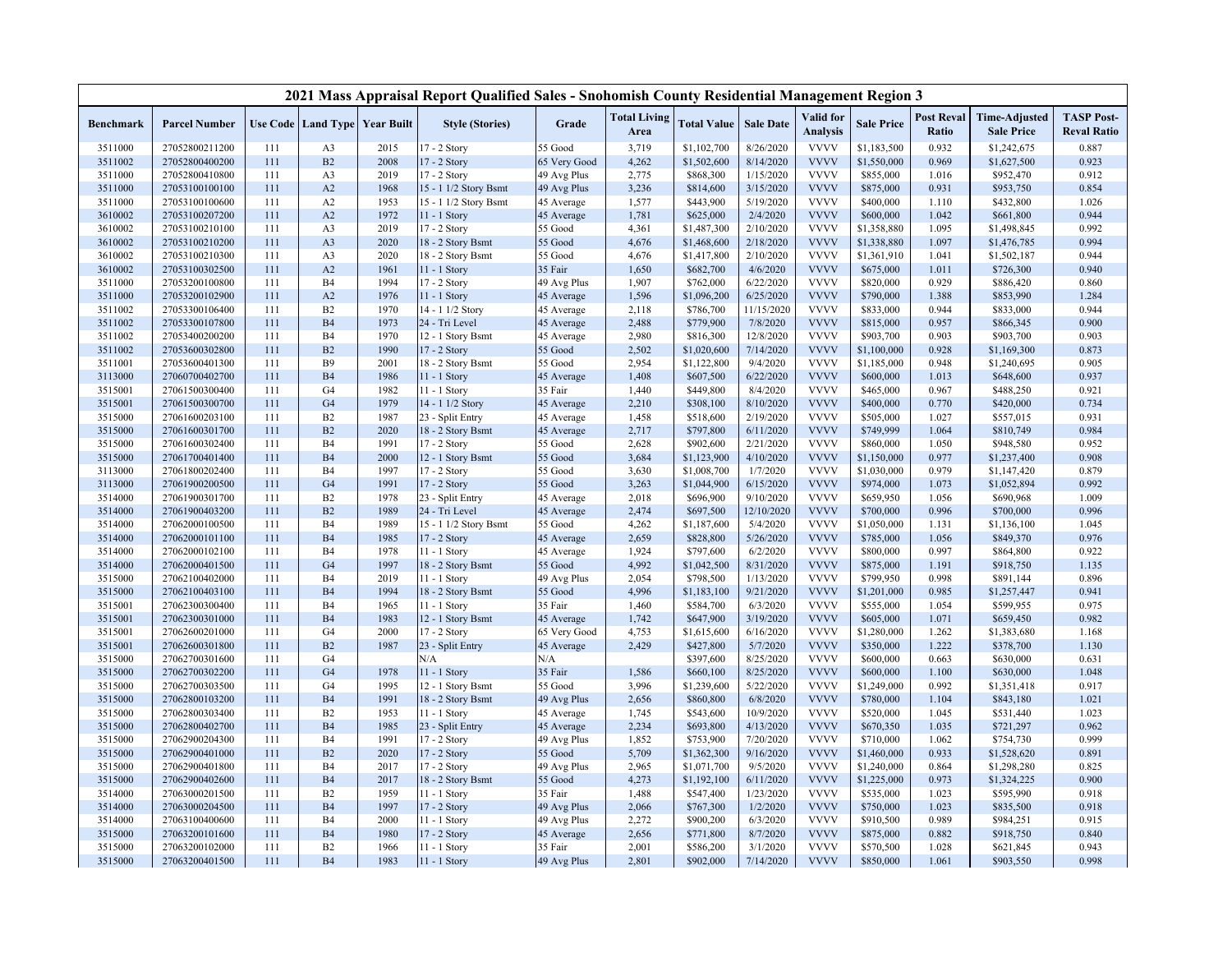|           |                      |     |                |                                   | 2021 Mass Appraisal Report Qualified Sales - Snohomish County Residential Management Region 3 |              |                             |                    |                  |                              |                   |                            |                                           |                                         |
|-----------|----------------------|-----|----------------|-----------------------------------|-----------------------------------------------------------------------------------------------|--------------|-----------------------------|--------------------|------------------|------------------------------|-------------------|----------------------------|-------------------------------------------|-----------------------------------------|
| Benchmark | <b>Parcel Number</b> |     |                | Use Code   Land Type   Year Built | <b>Style (Stories)</b>                                                                        | Grade        | <b>Total Living</b><br>Area | <b>Total Value</b> | <b>Sale Date</b> | Valid for<br><b>Analysis</b> | <b>Sale Price</b> | <b>Post Reval</b><br>Ratio | <b>Time-Adjusted</b><br><b>Sale Price</b> | <b>TASP Post-</b><br><b>Reval Ratio</b> |
| 3511000   | 27052800211200       | 111 | A <sub>3</sub> | 2015                              | $17 - 2$ Story                                                                                | 55 Good      | 3,719                       | \$1,102,700        | 8/26/2020        | <b>VVVV</b>                  | \$1,183,500       | 0.932                      | \$1,242,675                               | 0.887                                   |
| 3511002   | 27052800400200       | 111 | B2             | 2008                              | 17 - 2 Story                                                                                  | 65 Very Good | 4,262                       | \$1,502,600        | 8/14/2020        | <b>VVVV</b>                  | \$1,550,000       | 0.969                      | \$1,627,500                               | 0.923                                   |
| 3511000   | 27052800410800       | 111 | A <sub>3</sub> | 2019                              | 17 - 2 Story                                                                                  | 49 Avg Plus  | 2,775                       | \$868,300          | 1/15/2020        | <b>VVVV</b>                  | \$855,000         | 1.016                      | \$952,470                                 | 0.912                                   |
| 3511000   | 27053100100100       | 111 | A2             | 1968                              | 15 - 1 1/2 Story Bsmt                                                                         | 49 Avg Plus  | 3,236                       | \$814,600          | 3/15/2020        | <b>VVVV</b>                  | \$875,000         | 0.931                      | \$953,750                                 | 0.854                                   |
| 3511000   | 27053100100600       | 111 | A <sub>2</sub> | 1953                              | 15 - 1 1/2 Story Bsmt                                                                         | 45 Average   | 1,577                       | \$443,900          | 5/19/2020        | <b>VVVV</b>                  | \$400,000         | 1.110                      | \$432,800                                 | 1.026                                   |
| 3610002   | 27053100207200       | 111 | A <sub>2</sub> | 1972                              | $11 - 1$ Story                                                                                | 45 Average   | 1,781                       | \$625,000          | 2/4/2020         | <b>VVVV</b>                  | \$600,000         | 1.042                      | \$661,800                                 | 0.944                                   |
| 3610002   | 27053100210100       | 111 | A <sub>3</sub> | 2019                              | 17 - 2 Story                                                                                  | 55 Good      | 4,361                       | \$1,487,300        | 2/10/2020        | <b>VVVV</b>                  | \$1,358,880       | 1.095                      | \$1,498,845                               | 0.992                                   |
| 3610002   | 27053100210200       | 111 | A <sub>3</sub> | 2020                              | 18 - 2 Story Bsmt                                                                             | 55 Good      | 4,676                       | \$1,468,600        | 2/18/2020        | <b>VVVV</b>                  | \$1,338,880       | 1.097                      | \$1,476,785                               | 0.994                                   |
| 3610002   | 27053100210300       | 111 | A <sub>3</sub> | 2020                              | 18 - 2 Story Bsmt                                                                             | 55 Good      | 4,676                       | \$1,417,800        | 2/10/2020        | <b>VVVV</b>                  | \$1,361,910       | 1.041                      | \$1,502,187                               | 0.944                                   |
| 3610002   | 27053100302500       | 111 | A2             | 1961                              | $11 - 1$ Story                                                                                | 35 Fair      | 1,650                       | \$682,700          | 4/6/2020         | <b>VVVV</b>                  | \$675,000         | 1.011                      | \$726,300                                 | 0.940                                   |
| 3511000   | 27053200100800       | 111 | <b>B4</b>      | 1994                              | 17 - 2 Story                                                                                  | 49 Avg Plus  | 1,907                       | \$762,000          | 6/22/2020        | <b>VVVV</b>                  | \$820,000         | 0.929                      | \$886,420                                 | 0.860                                   |
| 3511000   | 27053200102900       | 111 | A2             | 1976                              | $11 - 1$ Story                                                                                | 45 Average   | 1,596                       | \$1,096,200        | 6/25/2020        | <b>VVVV</b>                  | \$790,000         | 1.388                      | \$853,990                                 | 1.284                                   |
| 3511002   | 27053300106400       | 111 | B2             | 1970                              | 14 - 1 1/2 Story                                                                              | 45 Average   | 2,118                       | \$786,700          | 11/15/2020       | <b>VVVV</b>                  | \$833,000         | 0.944                      | \$833,000                                 | 0.944                                   |
| 3511002   | 27053300107800       | 111 | <b>B4</b>      | 1973                              | 24 - Tri Level                                                                                | 45 Average   | 2,488                       | \$779,900          | 7/8/2020         | <b>VVVV</b>                  | \$815,000         | 0.957                      | \$866,345                                 | 0.900                                   |
| 3511002   | 27053400200200       | 111 | B <sub>4</sub> | 1970                              | 12 - 1 Story Bsmt                                                                             | 45 Average   | 2,980                       | \$816,300          | 12/8/2020        | <b>VVVV</b>                  | \$903,700         | 0.903                      | \$903,700                                 | 0.903                                   |
| 3511002   | 27053600302800       | 111 | B2             | 1990                              | 17 - 2 Story                                                                                  | 55 Good      | 2,502                       | \$1,020,600        | 7/14/2020        | <b>VVVV</b>                  | \$1,100,000       | 0.928                      | \$1,169,300                               | 0.873                                   |
| 3511001   | 27053600401300       | 111 | <b>B9</b>      | 2001                              | 18 - 2 Story Bsmt                                                                             | 55 Good      | 2,954                       | \$1,122,800        | 9/4/2020         | <b>VVVV</b>                  | \$1,185,000       | 0.948                      | \$1,240,695                               | 0.905                                   |
| 3113000   | 27060700402700       | 111 | <b>B4</b>      | 1986                              | $11 - 1$ Story                                                                                | 45 Average   | 1,408                       | \$607,500          | 6/22/2020        | <b>VVVV</b>                  | \$600,000         | 1.013                      | \$648,600                                 | 0.937                                   |
| 3515001   | 27061500300400       | 111 | G <sub>4</sub> | 1982                              | 11 - 1 Story                                                                                  | 35 Fair      | 1,440                       | \$449,800          | 8/4/2020         | <b>VVVV</b>                  | \$465,000         | 0.967                      | \$488,250                                 | 0.921                                   |
| 3515001   | 27061500300700       | 111 | G <sub>4</sub> | 1979                              | 14 - 1 1/2 Story                                                                              | 45 Average   | 2,210                       | \$308,100          | 8/10/2020        | <b>VVVV</b>                  | \$400,000         | 0.770                      | \$420,000                                 | 0.734                                   |
| 3515000   | 27061600203100       | 111 | B <sub>2</sub> | 1987                              | 23 - Split Entry                                                                              | 45 Average   | 1,458                       | \$518,600          | 2/19/2020        | <b>VVVV</b>                  | \$505,000         | 1.027                      | \$557,015                                 | 0.931                                   |
| 3515000   | 27061600301700       | 111 | B2             | 2020                              | 18 - 2 Story Bsmt                                                                             | 45 Average   | 2,717                       | \$797,800          | 6/11/2020        | <b>VVVV</b>                  | \$749,999         | 1.064                      | \$810,749                                 | 0.984                                   |
| 3515000   | 27061600302400       | 111 | <b>B4</b>      | 1991                              | 17 - 2 Story                                                                                  | 55 Good      | 2,628                       | \$902,600          | 2/21/2020        | <b>VVVV</b>                  | \$860,000         | 1.050                      | \$948,580                                 | 0.952                                   |
| 3515000   | 27061700401400       | 111 | <b>B4</b>      | 2000                              | 12 - 1 Story Bsmt                                                                             | 55 Good      | 3,684                       | \$1,123,900        | 4/10/2020        | <b>VVVV</b>                  | \$1,150,000       | 0.977                      | \$1,237,400                               | 0.908                                   |
| 3113000   | 27061800202400       | 111 | B <sub>4</sub> | 1997                              | 17 - 2 Story                                                                                  | 55 Good      | 3,630                       | \$1,008,700        | 1/7/2020         | <b>VVVV</b>                  | \$1,030,000       | 0.979                      | \$1,147,420                               | 0.879                                   |
| 3113000   | 27061900200500       | 111 | G <sub>4</sub> | 1991                              | 17 - 2 Story                                                                                  | 55 Good      | 3,263                       | \$1,044,900        | 6/15/2020        | <b>VVVV</b>                  | \$974,000         | 1.073                      | \$1,052,894                               | 0.992                                   |
| 3514000   | 27061900301700       | 111 | B2             | 1978                              | 23 - Split Entry                                                                              | 45 Average   | 2,018                       | \$696,900          | 9/10/2020        | <b>VVVV</b>                  | \$659,950         | 1.056                      | \$690,968                                 | 1.009                                   |
| 3514000   | 27061900403200       | 111 | B2             | 1989                              | 24 - Tri Level                                                                                | 45 Average   | 2,474                       | \$697,500          | 12/10/2020       | <b>VVVV</b>                  | \$700,000         | 0.996                      | \$700,000                                 | 0.996                                   |
| 3514000   | 27062000100500       | 111 | <b>B4</b>      | 1989                              | 15 - 1 1/2 Story Bsmt                                                                         | 55 Good      | 4,262                       | \$1,187,600        | 5/4/2020         | <b>VVVV</b>                  | \$1,050,000       | 1.131                      | \$1,136,100                               | 1.045                                   |
| 3514000   | 27062000101100       | 111 | <b>B4</b>      | 1985                              | 17 - 2 Story                                                                                  | 45 Average   | 2,659                       | \$828,800          | 5/26/2020        | <b>VVVV</b>                  | \$785,000         | 1.056                      | \$849,370                                 | 0.976                                   |
| 3514000   | 27062000102100       | 111 | B <sub>4</sub> | 1978                              | 11 - 1 Story                                                                                  | 45 Average   | 1,924                       | \$797,600          | 6/2/2020         | <b>VVVV</b>                  | \$800,000         | 0.997                      | \$864,800                                 | 0.922                                   |
| 3514000   | 27062000401500       | 111 | G <sub>4</sub> | 1997                              | 18 - 2 Story Bsmt                                                                             | 55 Good      | 4,992                       | \$1,042,500        | 8/31/2020        | <b>VVVV</b>                  | \$875,000         | 1.191                      | \$918,750                                 | 1.135                                   |
| 3515000   | 27062100402000       | 111 | <b>B4</b>      | 2019                              | 11 - 1 Story                                                                                  | 49 Avg Plus  | 2,054                       | \$798,500          | 1/13/2020        | <b>VVVV</b>                  | \$799,950         | 0.998                      | \$891,144                                 | 0.896                                   |
| 3515000   | 27062100403100       | 111 | <b>B4</b>      | 1994                              | 18 - 2 Story Bsmt                                                                             | 55 Good      | 4,996                       | \$1,183,100        | 9/21/2020        | <b>VVVV</b>                  | \$1,201,000       | 0.985                      | \$1,257,447                               | 0.941                                   |
| 3515001   | 27062300300400       | 111 | <b>B4</b>      | 1965                              | 11 - 1 Story                                                                                  | 35 Fair      | 1,460                       | \$584,700          | 6/3/2020         | <b>VVVV</b>                  | \$555,000         | 1.054                      | \$599,955                                 | 0.975                                   |
| 3515001   | 27062300301000       | 111 | <b>B4</b>      | 1983                              | 12 - 1 Story Bsmt                                                                             | 45 Average   | 1,742                       | \$647,900          | 3/19/2020        | <b>VVVV</b>                  | \$605,000         | 1.071                      | \$659,450                                 | 0.982                                   |
| 3515001   | 27062600201000       | 111 | G <sub>4</sub> | 2000                              | 17 - 2 Story                                                                                  | 65 Very Good | 4,753                       | \$1,615,600        | 6/16/2020        | <b>VVVV</b>                  | \$1,280,000       | 1.262                      | \$1,383,680                               | 1.168                                   |
| 3515001   | 27062600301800       | 111 | B2             | 1987                              | 23 - Split Entry                                                                              | 45 Average   | 2,429                       | \$427,800          | 5/7/2020         | <b>VVVV</b>                  | \$350,000         | 1.222                      | \$378,700                                 | 1.130                                   |
| 3515000   | 27062700301600       | 111 | G4             |                                   | N/A                                                                                           | N/A          |                             | \$397,600          | 8/25/2020        | <b>VVVV</b>                  | \$600,000         | 0.663                      | \$630,000                                 | 0.631                                   |
| 3515000   | 27062700302200       | 111 | G <sub>4</sub> | 1978                              | 11 - 1 Story                                                                                  | 35 Fair      | 1,586                       | \$660,100          | 8/25/2020        | <b>VVVV</b>                  | \$600,000         | 1.100                      | \$630,000                                 | 1.048                                   |
| 3515000   | 27062700303500       | 111 | G <sub>4</sub> | 1995                              | 12 - 1 Story Bsmt                                                                             | 55 Good      | 3,996                       | \$1,239,600        | 5/22/2020        | <b>VVVV</b>                  | \$1,249,000       | 0.992                      | \$1,351,418                               | 0.917                                   |
| 3515000   | 27062800103200       | 111 | <b>B4</b>      | 1991                              | 18 - 2 Story Bsmt                                                                             | 49 Avg Plus  | 2,656                       | \$860,800          | 6/8/2020         | <b>VVVV</b>                  | \$780,000         | 1.104                      | \$843,180                                 | 1.021                                   |
| 3515000   | 27062800303400       | 111 | B <sub>2</sub> | 1953                              | 11 - 1 Story                                                                                  | 45 Average   | 1,745                       | \$543,600          | 10/9/2020        | <b>VVVV</b>                  | \$520,000         | 1.045                      | \$531,440                                 | 1.023                                   |
| 3515000   | 27062800402700       | 111 | <b>B4</b>      | 1985                              | 23 - Split Entry                                                                              | 45 Average   | 2,234                       | \$693,800          | 4/13/2020        | <b>VVVV</b>                  | \$670,350         | 1.035                      | \$721,297                                 | 0.962                                   |
| 3515000   | 27062900204300       | 111 | <b>B4</b>      | 1991                              | 17 - 2 Story                                                                                  | 49 Avg Plus  | 1,852                       | \$753,900          | 7/20/2020        | <b>VVVV</b>                  | \$710,000         | 1.062                      | \$754,730                                 | 0.999                                   |
| 3515000   | 27062900401000       | 111 | B2             | 2020                              | 17 - 2 Story                                                                                  | 55 Good      | 5,709                       | \$1,362,300        | 9/16/2020        | <b>VVVV</b>                  | \$1,460,000       | 0.933                      | \$1,528,620                               | 0.891                                   |
| 3515000   | 27062900401800       | 111 | <b>B4</b>      | 2017                              | 17 - 2 Story                                                                                  | 49 Avg Plus  | 2,965                       | \$1,071,700        | 9/5/2020         | <b>VVVV</b>                  | \$1,240,000       | 0.864                      | \$1,298,280                               | 0.825                                   |
| 3515000   | 27062900402600       | 111 | <b>B4</b>      | 2017                              | 18 - 2 Story Bsmt                                                                             | 55 Good      | 4,273                       | \$1,192,100        | 6/11/2020        | <b>VVVV</b>                  | \$1,225,000       | 0.973                      | \$1,324,225                               | 0.900                                   |
| 3514000   | 27063000201500       | 111 | B2             | 1959                              | 11 - 1 Story                                                                                  | 35 Fair      | 1,488                       | \$547,400          | 1/23/2020        | <b>VVVV</b>                  | \$535,000         | 1.023                      | \$595,990                                 | 0.918                                   |
| 3514000   | 27063000204500       | 111 | <b>B4</b>      | 1997                              | 17 - 2 Story                                                                                  | 49 Avg Plus  | 2,066                       | \$767,300          | 1/2/2020         | <b>VVVV</b>                  | \$750,000         | 1.023                      | \$835,500                                 | 0.918                                   |
| 3514000   | 27063100400600       | 111 | <b>B4</b>      | 2000                              | 11 - 1 Story                                                                                  | 49 Avg Plus  | 2,272                       | \$900,200          | 6/3/2020         | <b>VVVV</b>                  | \$910,500         | 0.989                      | \$984,251                                 | 0.915                                   |
| 3515000   | 27063200101600       | 111 | <b>B4</b>      | 1980                              | 17 - 2 Story                                                                                  | 45 Average   | 2,656                       | \$771,800          | 8/7/2020         | <b>VVVV</b>                  | \$875,000         | 0.882                      | \$918,750                                 | 0.840                                   |
| 3515000   | 27063200102000       | 111 | B2             | 1966                              | 11 - 1 Story                                                                                  | 35 Fair      | 2,001                       | \$586,200          | 3/1/2020         | <b>VVVV</b>                  | \$570,500         | 1.028                      | \$621,845                                 | 0.943                                   |
| 3515000   | 27063200401500       | 111 | <b>B4</b>      | 1983                              | 11 - 1 Story                                                                                  | 49 Avg Plus  | 2,801                       | \$902,000          | 7/14/2020        | <b>VVVV</b>                  | \$850,000         | 1.061                      | \$903,550                                 | 0.998                                   |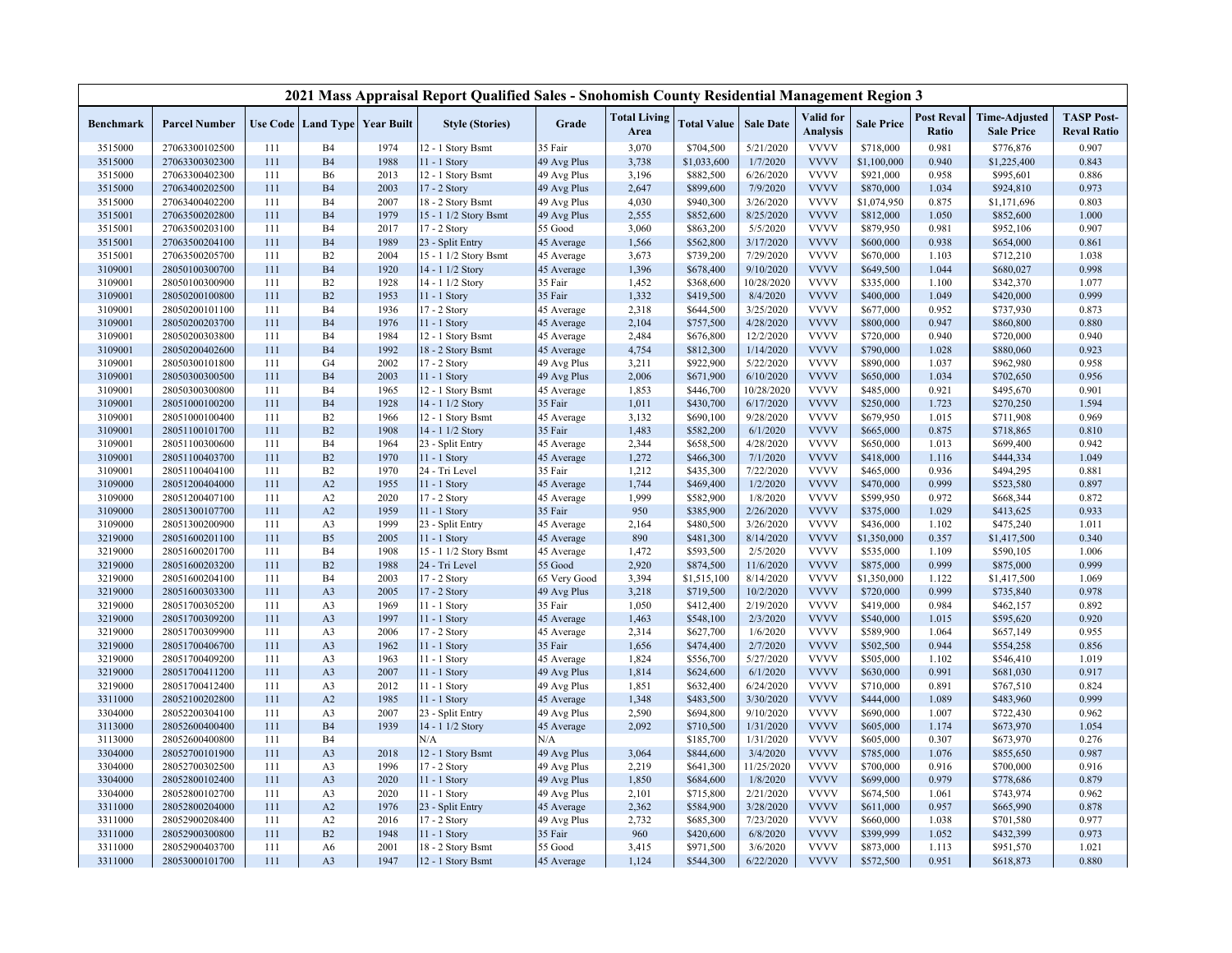|                  |                      |     |                |                                   | 2021 Mass Appraisal Report Qualified Sales - Snohomish County Residential Management Region 3 |              |                             |                    |                  |                              |                   |                            |                                           |                                         |
|------------------|----------------------|-----|----------------|-----------------------------------|-----------------------------------------------------------------------------------------------|--------------|-----------------------------|--------------------|------------------|------------------------------|-------------------|----------------------------|-------------------------------------------|-----------------------------------------|
| <b>Benchmark</b> | <b>Parcel Number</b> |     |                | Use Code   Land Type   Year Built | <b>Style (Stories)</b>                                                                        | Grade        | <b>Total Living</b><br>Area | <b>Total Value</b> | <b>Sale Date</b> | Valid for<br><b>Analysis</b> | <b>Sale Price</b> | <b>Post Reval</b><br>Ratio | <b>Time-Adjusted</b><br><b>Sale Price</b> | <b>TASP Post-</b><br><b>Reval Ratio</b> |
| 3515000          | 27063300102500       | 111 | <b>B4</b>      | 1974                              | 12 - 1 Story Bsmt                                                                             | 35 Fair      | 3,070                       | \$704,500          | 5/21/2020        | <b>VVVV</b>                  | \$718,000         | 0.981                      | \$776,876                                 | 0.907                                   |
| 3515000          | 27063300302300       | 111 | <b>B4</b>      | 1988                              | 11 - 1 Story                                                                                  | 49 Avg Plus  | 3,738                       | \$1,033,600        | 1/7/2020         | <b>VVVV</b>                  | \$1,100,000       | 0.940                      | \$1,225,400                               | 0.843                                   |
| 3515000          | 27063300402300       | 111 | <b>B6</b>      | 2013                              | 12 - 1 Story Bsmt                                                                             | 49 Avg Plus  | 3,196                       | \$882,500          | 6/26/2020        | <b>VVVV</b>                  | \$921,000         | 0.958                      | \$995,601                                 | 0.886                                   |
| 3515000          | 27063400202500       | 111 | B <sub>4</sub> | 2003                              | 17 - 2 Story                                                                                  | 49 Avg Plus  | 2,647                       | \$899,600          | 7/9/2020         | <b>VVVV</b>                  | \$870,000         | 1.034                      | \$924,810                                 | 0.973                                   |
| 3515000          | 27063400402200       | 111 | <b>B4</b>      | 2007                              | 18 - 2 Story Bsmt                                                                             | 49 Avg Plus  | 4,030                       | \$940,300          | 3/26/2020        | <b>VVVV</b>                  | \$1,074,950       | 0.875                      | \$1,171,696                               | 0.803                                   |
| 3515001          | 27063500202800       | 111 | <b>B4</b>      | 1979                              | 15 - 1 1/2 Story Bsmt                                                                         | 49 Avg Plus  | 2,555                       | \$852,600          | 8/25/2020        | <b>VVVV</b>                  | \$812,000         | 1.050                      | \$852,600                                 | 1.000                                   |
| 3515001          | 27063500203100       | 111 | <b>B4</b>      | 2017                              | 17 - 2 Story                                                                                  | 55 Good      | 3,060                       | \$863,200          | 5/5/2020         | <b>VVVV</b>                  | \$879,950         | 0.981                      | \$952,106                                 | 0.907                                   |
| 3515001          | 27063500204100       | 111 | B <sub>4</sub> | 1989                              | 23 - Split Entry                                                                              | 45 Average   | 1,566                       | \$562,800          | 3/17/2020        | <b>VVVV</b>                  | \$600,000         | 0.938                      | \$654,000                                 | 0.861                                   |
| 3515001          | 27063500205700       | 111 | B2             | 2004                              | 15 - 1 1/2 Story Bsmt                                                                         | 45 Average   | 3,673                       | \$739,200          | 7/29/2020        | <b>VVVV</b>                  | \$670,000         | 1.103                      | \$712,210                                 | 1.038                                   |
| 3109001          | 28050100300700       | 111 | <b>B4</b>      | 1920                              | 14 - 1 1/2 Story                                                                              | 45 Average   | 1,396                       | \$678,400          | 9/10/2020        | <b>VVVV</b>                  | \$649,500         | 1.044                      | \$680,027                                 | 0.998                                   |
| 3109001          | 28050100300900       | 111 | B2             | 1928                              | 14 - 1 1/2 Story                                                                              | 35 Fair      | 1,452                       | \$368,600          | 10/28/2020       | <b>VVVV</b>                  | \$335,000         | 1.100                      | \$342,370                                 | 1.077                                   |
| 3109001          | 28050200100800       | 111 | B2             | 1953                              | 11 - 1 Story                                                                                  | 35 Fair      | 1,332                       | \$419,500          | 8/4/2020         | <b>VVVV</b>                  | \$400,000         | 1.049                      | \$420,000                                 | 0.999                                   |
| 3109001          | 28050200101100       | 111 | <b>B4</b>      | 1936                              | 17 - 2 Story                                                                                  | 45 Average   | 2,318                       | \$644,500          | 3/25/2020        | <b>VVVV</b>                  | \$677,000         | 0.952                      | \$737,930                                 | 0.873                                   |
| 3109001          | 28050200203700       | 111 | B <sub>4</sub> | 1976                              | 11 - 1 Story                                                                                  | 45 Average   | 2,104                       | \$757,500          | 4/28/2020        | <b>VVVV</b>                  | \$800,000         | 0.947                      | \$860,800                                 | 0.880                                   |
| 3109001          | 28050200303800       | 111 | <b>B4</b>      | 1984                              | 12 - 1 Story Bsmt                                                                             | 45 Average   | 2,484                       | \$676,800          | 12/2/2020        | <b>VVVV</b>                  | \$720,000         | 0.940                      | \$720,000                                 | 0.940                                   |
| 3109001          | 28050200402600       | 111 | <b>B4</b>      | 1992                              | 18 - 2 Story Bsmt                                                                             | 45 Average   | 4,754                       | \$812,300          | 1/14/2020        | <b>VVVV</b>                  | \$790,000         | 1.028                      | \$880,060                                 | 0.923                                   |
| 3109001          | 28050300101800       | 111 | G <sub>4</sub> | 2002                              | 17 - 2 Story                                                                                  | 49 Avg Plus  | 3,211                       | \$922,900          | 5/22/2020        | <b>VVVV</b>                  | \$890,000         | 1.037                      | \$962,980                                 | 0.958                                   |
| 3109001          | 28050300300500       | 111 | <b>B4</b>      | 2003                              | 11 - 1 Story                                                                                  | 49 Avg Plus  | 2,006                       | \$671,900          | 6/10/2020        | <b>VVVV</b>                  | \$650,000         | 1.034                      | \$702,650                                 | 0.956                                   |
| 3109001          | 28050300300800       | 111 | <b>B4</b>      | 1965                              | 12 - 1 Story Bsmt                                                                             | 45 Average   | 1,853                       | \$446,700          | 10/28/2020       | <b>VVVV</b>                  | \$485,000         | 0.921                      | \$495,670                                 | 0.901                                   |
| 3109001          | 28051000100200       | 111 | B <sub>4</sub> | 1928                              | 14 - 1 1/2 Story                                                                              | 35 Fair      | 1,011                       | \$430,700          | 6/17/2020        | <b>VVVV</b>                  | \$250,000         | 1.723                      | \$270,250                                 | 1.594                                   |
| 3109001          | 28051000100400       | 111 | B2             | 1966                              | 12 - 1 Story Bsmt                                                                             | 45 Average   | 3,132                       | \$690,100          | 9/28/2020        | <b>VVVV</b>                  | \$679,950         | 1.015                      | \$711,908                                 | 0.969                                   |
| 3109001          | 28051100101700       | 111 | B2             | 1908                              | 14 - 1 1/2 Story                                                                              | 35 Fair      | 1,483                       | \$582,200          | 6/1/2020         | <b>VVVV</b>                  | \$665,000         | 0.875                      | \$718,865                                 | 0.810                                   |
| 3109001          | 28051100300600       | 111 | <b>B4</b>      | 1964                              | 23 - Split Entry                                                                              | 45 Average   | 2,344                       | \$658,500          | 4/28/2020        | <b>VVVV</b>                  | \$650,000         | 1.013                      | \$699,400                                 | 0.942                                   |
| 3109001          | 28051100403700       | 111 | B2             | 1970                              | 11 - 1 Story                                                                                  | 45 Average   | 1,272                       | \$466,300          | 7/1/2020         | <b>VVVV</b>                  | \$418,000         | 1.116                      | \$444,334                                 | 1.049                                   |
| 3109001          | 28051100404100       | 111 | B2             | 1970                              | 24 - Tri Level                                                                                | 35 Fair      | 1,212                       | \$435,300          | 7/22/2020        | <b>VVVV</b>                  | \$465,000         | 0.936                      | \$494,295                                 | 0.881                                   |
| 3109000          | 28051200404000       | 111 | A2             | 1955                              | 11 - 1 Story                                                                                  | 45 Average   | 1,744                       | \$469,400          | 1/2/2020         | <b>VVVV</b>                  | \$470,000         | 0.999                      | \$523,580                                 | 0.897                                   |
| 3109000          | 28051200407100       | 111 | A2             | 2020                              | 17 - 2 Story                                                                                  | 45 Average   | 1,999                       | \$582,900          | 1/8/2020         | <b>VVVV</b>                  | \$599,950         | 0.972                      | \$668,344                                 | 0.872                                   |
| 3109000          | 28051300107700       | 111 | A2             | 1959                              | 11 - 1 Story                                                                                  | 35 Fair      | 950                         | \$385,900          | 2/26/2020        | <b>VVVV</b>                  | \$375,000         | 1.029                      | \$413,625                                 | 0.933                                   |
| 3109000          | 28051300200900       | 111 | A <sub>3</sub> | 1999                              | 23 - Split Entry                                                                              | 45 Average   | 2,164                       | \$480,500          | 3/26/2020        | <b>VVVV</b>                  | \$436,000         | 1.102                      | \$475,240                                 | 1.011                                   |
| 3219000          | 28051600201100       | 111 | B <sub>5</sub> | 2005                              | 11 - 1 Story                                                                                  | 45 Average   | 890                         | \$481,300          | 8/14/2020        | <b>VVVV</b>                  | \$1,350,000       | 0.357                      | \$1,417,500                               | 0.340                                   |
| 3219000          | 28051600201700       | 111 | B <sub>4</sub> | 1908                              | 15 - 1 1/2 Story Bsmt                                                                         | 45 Average   | 1,472                       | \$593,500          | 2/5/2020         | <b>VVVV</b>                  | \$535,000         | 1.109                      | \$590,105                                 | 1.006                                   |
| 3219000          | 28051600203200       | 111 | B2             | 1988                              | 24 - Tri Level                                                                                | 55 Good      | 2,920                       | \$874,500          | 11/6/2020        | <b>VVVV</b>                  | \$875,000         | 0.999                      | \$875,000                                 | 0.999                                   |
| 3219000          | 28051600204100       | 111 | <b>B4</b>      | 2003                              | 17 - 2 Story                                                                                  | 65 Very Good | 3,394                       | \$1,515,100        | 8/14/2020        | <b>VVVV</b>                  | \$1,350,000       | 1.122                      | \$1,417,500                               | 1.069                                   |
| 3219000          | 28051600303300       | 111 | A <sub>3</sub> | 2005                              | 17 - 2 Story                                                                                  | 49 Avg Plus  | 3,218                       | \$719,500          | 10/2/2020        | <b>VVVV</b>                  | \$720,000         | 0.999                      | \$735,840                                 | 0.978                                   |
| 3219000          | 28051700305200       | 111 | A3             | 1969                              | 11 - 1 Story                                                                                  | 35 Fair      | 1,050                       | \$412,400          | 2/19/2020        | <b>VVVV</b>                  | \$419,000         | 0.984                      | \$462,157                                 | 0.892                                   |
| 3219000          | 28051700309200       | 111 | A3             | 1997                              | $11 - 1$ Story                                                                                | 45 Average   | 1,463                       | \$548,100          | 2/3/2020         | <b>VVVV</b>                  | \$540,000         | 1.015                      | \$595,620                                 | 0.920                                   |
| 3219000          | 28051700309900       | 111 | A3             | 2006                              | 17 - 2 Story                                                                                  | 45 Average   | 2,314                       | \$627,700          | 1/6/2020         | <b>VVVV</b>                  | \$589,900         | 1.064                      | \$657,149                                 | 0.955                                   |
| 3219000          | 28051700406700       | 111 | A3             | 1962                              | 11 - 1 Story                                                                                  | 35 Fair      | 1,656                       | \$474,400          | 2/7/2020         | <b>VVVV</b>                  | \$502,500         | 0.944                      | \$554,258                                 | 0.856                                   |
| 3219000          | 28051700409200       | 111 | A3             | 1963                              | 11 - 1 Story                                                                                  | 45 Average   | 1,824                       | \$556,700          | 5/27/2020        | <b>VVVV</b>                  | \$505,000         | 1.102                      | \$546,410                                 | 1.019                                   |
| 3219000          | 28051700411200       | 111 | A <sub>3</sub> | 2007                              | 11 - 1 Story                                                                                  | 49 Avg Plus  | 1,814                       | \$624,600          | 6/1/2020         | <b>VVVV</b>                  | \$630,000         | 0.991                      | \$681,030                                 | 0.917                                   |
| 3219000          | 28051700412400       | 111 | A <sub>3</sub> | 2012                              | 11 - 1 Story                                                                                  | 49 Avg Plus  | 1,851                       | \$632,400          | 6/24/2020        | <b>VVVV</b>                  | \$710,000         | 0.891                      | \$767,510                                 | 0.824                                   |
| 3311000          | 28052100202800       | 111 | A2             | 1985                              | 11 - 1 Story                                                                                  | 45 Average   | 1,348                       | \$483,500          | 3/30/2020        | <b>VVVV</b>                  | \$444,000         | 1.089                      | \$483,960                                 | 0.999                                   |
| 3304000          | 28052200304100       | 111 | A3             | 2007                              | 23 - Split Entry                                                                              | 49 Avg Plus  | 2,590                       | \$694,800          | 9/10/2020        | <b>VVVV</b>                  | \$690,000         | 1.007                      | \$722,430                                 | 0.962                                   |
| 3113000          | 28052600400400       | 111 | <b>B4</b>      | 1939                              | 14 - 1 1/2 Story                                                                              | 45 Average   | 2,092                       | \$710,500          | 1/31/2020        | <b>VVVV</b>                  | \$605,000         | 1.174                      | \$673,970                                 | 1.054                                   |
| 3113000          | 28052600400800       | 111 | <b>B4</b>      |                                   | N/A                                                                                           | N/A          |                             | \$185,700          | 1/31/2020        | <b>VVVV</b>                  | \$605,000         | 0.307                      | \$673,970                                 | 0.276                                   |
| 3304000          | 28052700101900       | 111 | A <sub>3</sub> | 2018                              | 12 - 1 Story Bsmt                                                                             | 49 Avg Plus  | 3,064                       | \$844,600          | 3/4/2020         | <b>VVVV</b>                  | \$785,000         | 1.076                      | \$855,650                                 | 0.987                                   |
| 3304000          | 28052700302500       | 111 | A3             | 1996                              | 17 - 2 Story                                                                                  | 49 Avg Plus  | 2,219                       | \$641,300          | 11/25/2020       | <b>VVVV</b>                  | \$700,000         | 0.916                      | \$700,000                                 | 0.916                                   |
| 3304000          | 28052800102400       | 111 | A <sub>3</sub> | 2020                              | 11 - 1 Story                                                                                  | 49 Avg Plus  | 1,850                       | \$684,600          | 1/8/2020         | <b>VVVV</b>                  | \$699,000         | 0.979                      | \$778,686                                 | 0.879                                   |
| 3304000          | 28052800102700       | 111 | A3             | 2020                              | 11 - 1 Story                                                                                  | 49 Avg Plus  | 2,101                       | \$715,800          | 2/21/2020        | <b>VVVV</b>                  | \$674,500         | 1.061                      | \$743,974                                 | 0.962                                   |
| 3311000          | 28052800204000       | 111 | A2             | 1976                              | 23 - Split Entry                                                                              | 45 Average   | 2,362                       | \$584,900          | 3/28/2020        | <b>VVVV</b>                  | \$611,000         | 0.957                      | \$665,990                                 | 0.878                                   |
| 3311000          | 28052900208400       | 111 | A2             | 2016                              | 17 - 2 Story                                                                                  | 49 Avg Plus  | 2,732                       | \$685,300          | 7/23/2020        | <b>VVVV</b>                  | \$660,000         | 1.038                      | \$701,580                                 | 0.977                                   |
| 3311000          | 28052900300800       | 111 | B2             | 1948                              | 11 - 1 Story                                                                                  | 35 Fair      | 960                         | \$420,600          | 6/8/2020         | <b>VVVV</b>                  | \$399,999         | 1.052                      | \$432,399                                 | 0.973                                   |
| 3311000          | 28052900403700       | 111 | A6             | 2001                              | 18 - 2 Story Bsmt                                                                             | 55 Good      | 3,415                       | \$971,500          | 3/6/2020         | <b>VVVV</b>                  | \$873,000         | 1.113                      | \$951,570                                 | 1.021                                   |
| 3311000          | 28053000101700       | 111 | A3             | 1947                              | 12 - 1 Story Bsmt                                                                             | 45 Average   | 1,124                       | \$544,300          | 6/22/2020        | <b>VVVV</b>                  | \$572,500         | 0.951                      | \$618,873                                 | 0.880                                   |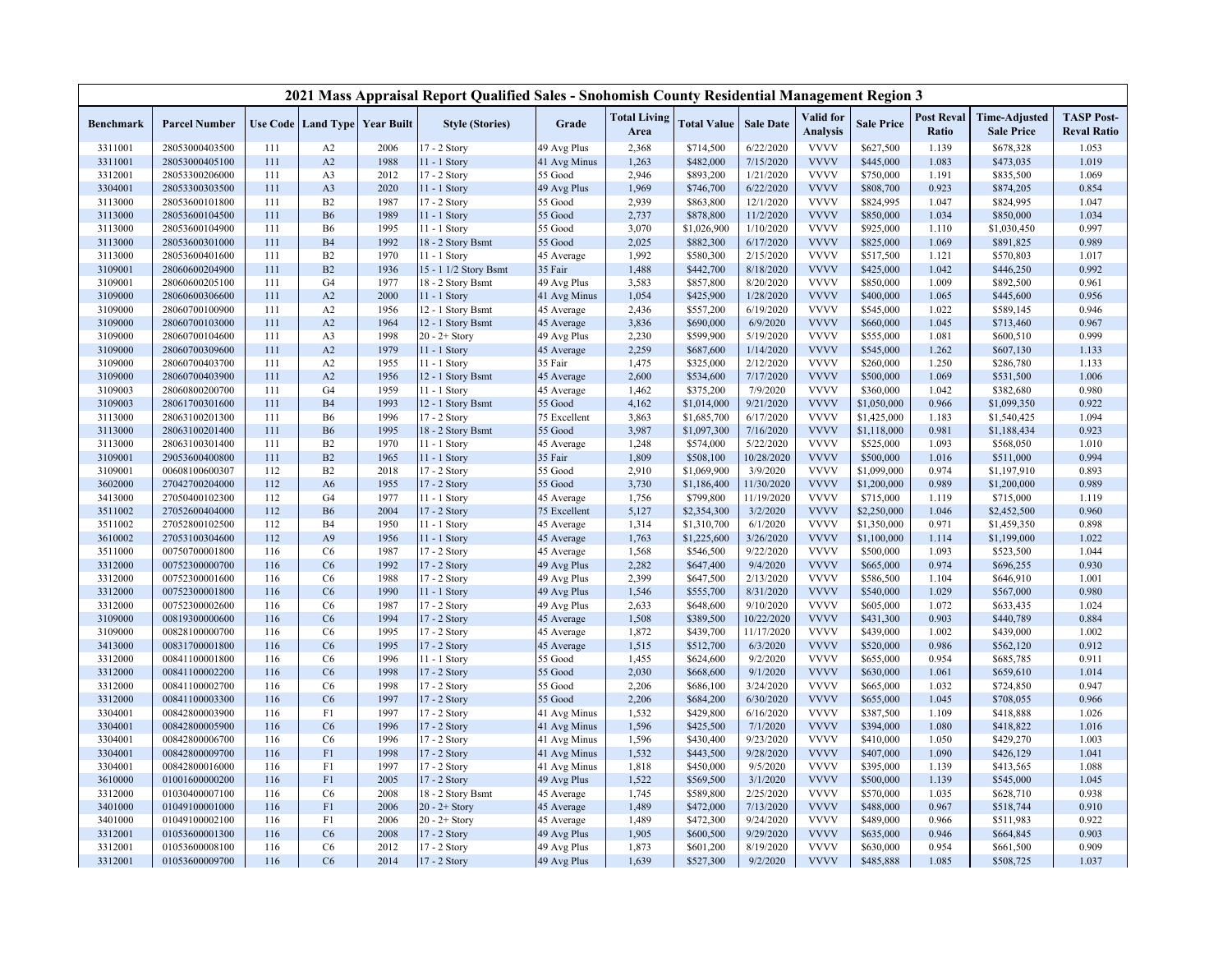|                  |                      |     |                |                                          | 2021 Mass Appraisal Report Qualified Sales - Snohomish County Residential Management Region 3 |              |                             |                    |                  |                              |                   |                            |                                           |                                         |
|------------------|----------------------|-----|----------------|------------------------------------------|-----------------------------------------------------------------------------------------------|--------------|-----------------------------|--------------------|------------------|------------------------------|-------------------|----------------------------|-------------------------------------------|-----------------------------------------|
| <b>Benchmark</b> | <b>Parcel Number</b> |     |                | <b>Use Code   Land Type   Year Built</b> | <b>Style (Stories)</b>                                                                        | Grade        | <b>Total Living</b><br>Area | <b>Total Value</b> | <b>Sale Date</b> | Valid for<br><b>Analysis</b> | <b>Sale Price</b> | <b>Post Reval</b><br>Ratio | <b>Time-Adjusted</b><br><b>Sale Price</b> | <b>TASP Post-</b><br><b>Reval Ratio</b> |
| 3311001          | 28053000403500       | 111 | A <sub>2</sub> | 2006                                     | 17 - 2 Story                                                                                  | 49 Avg Plus  | 2,368                       | \$714,500          | 6/22/2020        | <b>VVVV</b>                  | \$627,500         | 1.139                      | \$678,328                                 | 1.053                                   |
| 3311001          | 28053000405100       | 111 | A2             | 1988                                     | 11 - 1 Story                                                                                  | 41 Avg Minus | 1,263                       | \$482,000          | 7/15/2020        | <b>VVVV</b>                  | \$445,000         | 1.083                      | \$473,035                                 | 1.019                                   |
| 3312001          | 28053300206000       | 111 | A <sub>3</sub> | 2012                                     | 17 - 2 Story                                                                                  | 55 Good      | 2,946                       | \$893,200          | 1/21/2020        | <b>VVVV</b>                  | \$750,000         | 1.191                      | \$835,500                                 | 1.069                                   |
| 3304001          | 28053300303500       | 111 | A3             | 2020                                     | 11 - 1 Story                                                                                  | 49 Avg Plus  | 1,969                       | \$746,700          | 6/22/2020        | <b>VVVV</b>                  | \$808,700         | 0.923                      | \$874,205                                 | 0.854                                   |
| 3113000          | 28053600101800       | 111 | B2             | 1987                                     | 17 - 2 Story                                                                                  | 55 Good      | 2,939                       | \$863,800          | 12/1/2020        | <b>VVVV</b>                  | \$824,995         | 1.047                      | \$824,995                                 | 1.047                                   |
| 3113000          | 28053600104500       | 111 | <b>B6</b>      | 1989                                     | 11 - 1 Story                                                                                  | 55 Good      | 2,737                       | \$878,800          | 11/2/2020        | <b>VVVV</b>                  | \$850,000         | 1.034                      | \$850,000                                 | 1.034                                   |
| 3113000          | 28053600104900       | 111 | B <sub>6</sub> | 1995                                     | 11 - 1 Story                                                                                  | 55 Good      | 3,070                       | \$1,026,900        | 1/10/2020        | <b>VVVV</b>                  | \$925,000         | 1.110                      | \$1,030,450                               | 0.997                                   |
| 3113000          | 28053600301000       | 111 | <b>B4</b>      | 1992                                     | 18 - 2 Story Bsmt                                                                             | 55 Good      | 2,025                       | \$882,300          | 6/17/2020        | <b>VVVV</b>                  | \$825,000         | 1.069                      | \$891,825                                 | 0.989                                   |
| 3113000          | 28053600401600       | 111 | B2             | 1970                                     | 11 - 1 Story                                                                                  | 45 Average   | 1,992                       | \$580,300          | 2/15/2020        | <b>VVVV</b>                  | \$517,500         | 1.121                      | \$570,803                                 | 1.017                                   |
| 3109001          | 28060600204900       | 111 | B2             | 1936                                     | 15 - 1 1/2 Story Bsmt                                                                         | 35 Fair      | 1,488                       | \$442,700          | 8/18/2020        | <b>VVVV</b>                  | \$425,000         | 1.042                      | \$446,250                                 | 0.992                                   |
| 3109001          | 28060600205100       | 111 | G4             | 1977                                     | 18 - 2 Story Bsmt                                                                             | 49 Avg Plus  | 3,583                       | \$857,800          | 8/20/2020        | <b>VVVV</b>                  | \$850,000         | 1.009                      | \$892,500                                 | 0.961                                   |
| 3109000          | 28060600306600       | 111 | A2             | 2000                                     | 11 - 1 Story                                                                                  | 41 Avg Minus | 1,054                       | \$425,900          | 1/28/2020        | <b>VVVV</b>                  | \$400,000         | 1.065                      | \$445,600                                 | 0.956                                   |
| 3109000          | 28060700100900       | 111 | A2             | 1956                                     | 12 - 1 Story Bsmt                                                                             | 45 Average   | 2,436                       | \$557,200          | 6/19/2020        | <b>VVVV</b>                  | \$545,000         | 1.022                      | \$589,145                                 | 0.946                                   |
| 3109000          | 28060700103000       | 111 | A2             | 1964                                     | 12 - 1 Story Bsmt                                                                             | 45 Average   | 3,836                       | \$690,000          | 6/9/2020         | <b>VVVV</b>                  | \$660,000         | 1.045                      | \$713,460                                 | 0.967                                   |
| 3109000          | 28060700104600       | 111 | A <sub>3</sub> | 1998                                     | $20 - 2 +$ Story                                                                              | 49 Avg Plus  | 2,230                       | \$599,900          | 5/19/2020        | <b>VVVV</b>                  | \$555,000         | 1.081                      | \$600,510                                 | 0.999                                   |
| 3109000          | 28060700309600       | 111 | A2             | 1979                                     | 11 - 1 Story                                                                                  | 45 Average   | 2,259                       | \$687,600          | 1/14/2020        | <b>VVVV</b>                  | \$545,000         | 1.262                      | \$607,130                                 | 1.133                                   |
| 3109000          | 28060700403700       | 111 | A2             | 1955                                     | 11 - 1 Story                                                                                  | 35 Fair      | 1,475                       | \$325,000          | 2/12/2020        | <b>VVVV</b>                  | \$260,000         | 1.250                      | \$286,780                                 | 1.133                                   |
| 3109000          | 28060700403900       | 111 | A2             | 1956                                     | 12 - 1 Story Bsmt                                                                             | 45 Average   | 2,600                       | \$534,600          | 7/17/2020        | <b>VVVV</b>                  | \$500,000         | 1.069                      | \$531,500                                 | 1.006                                   |
| 3109003          | 28060800200700       | 111 | G4             | 1959                                     | $11 - 1$ Story                                                                                | 45 Average   | 1,462                       | \$375,200          | 7/9/2020         | <b>VVVV</b>                  | \$360,000         | 1.042                      | \$382,680                                 | 0.980                                   |
| 3109003          | 28061700301600       | 111 | <b>B4</b>      | 1993                                     | 12 - 1 Story Bsmt                                                                             | 55 Good      | 4,162                       | \$1,014,000        | 9/21/2020        | <b>VVVV</b>                  | \$1,050,000       | 0.966                      | \$1,099,350                               | 0.922                                   |
| 3113000          | 28063100201300       | 111 | B6             | 1996                                     | 17 - 2 Story                                                                                  | 75 Excellent | 3,863                       | \$1,685,700        | 6/17/2020        | <b>VVVV</b>                  | \$1,425,000       | 1.183                      | \$1,540,425                               | 1.094                                   |
| 3113000          | 28063100201400       | 111 | <b>B6</b>      | 1995                                     | 18 - 2 Story Bsmt                                                                             | 55 Good      | 3,987                       | \$1,097,300        | 7/16/2020        | <b>VVVV</b>                  | \$1,118,000       | 0.981                      | \$1,188,434                               | 0.923                                   |
| 3113000          | 28063100301400       | 111 | B2             | 1970                                     | 11 - 1 Story                                                                                  | 45 Average   | 1,248                       | \$574,000          | 5/22/2020        | <b>VVVV</b>                  | \$525,000         | 1.093                      | \$568,050                                 | 1.010                                   |
| 3109001          | 29053600400800       | 111 | B2             | 1965                                     | 11 - 1 Story                                                                                  | 35 Fair      | 1,809                       | \$508,100          | 10/28/2020       | <b>VVVV</b>                  | \$500,000         | 1.016                      | \$511,000                                 | 0.994                                   |
| 3109001          | 00608100600307       | 112 | B2             | 2018                                     | 17 - 2 Story                                                                                  | 55 Good      | 2,910                       | \$1,069,900        | 3/9/2020         | <b>VVVV</b>                  | \$1,099,000       | 0.974                      | \$1,197,910                               | 0.893                                   |
| 3602000          | 27042700204000       | 112 | A <sub>6</sub> | 1955                                     | 17 - 2 Story                                                                                  | 55 Good      | 3,730                       | \$1,186,400        | 11/30/2020       | <b>VVVV</b>                  | \$1,200,000       | 0.989                      | \$1,200,000                               | 0.989                                   |
| 3413000          | 27050400102300       | 112 | G <sub>4</sub> | 1977                                     | $11 - 1$ Story                                                                                | 45 Average   | 1,756                       | \$799,800          | 11/19/2020       | <b>VVVV</b>                  | \$715,000         | 1.119                      | \$715,000                                 | 1.119                                   |
| 3511002          | 27052600404000       | 112 | <b>B6</b>      | 2004                                     | 17 - 2 Story                                                                                  | 75 Excellent | 5,127                       | \$2,354,300        | 3/2/2020         | <b>VVVV</b>                  | \$2,250,000       | 1.046                      | \$2,452,500                               | 0.960                                   |
| 3511002          | 27052800102500       | 112 | <b>B4</b>      | 1950                                     | 11 - 1 Story                                                                                  | 45 Average   | 1,314                       | \$1,310,700        | 6/1/2020         | <b>VVVV</b>                  | \$1,350,000       | 0.971                      | \$1,459,350                               | 0.898                                   |
| 3610002          | 27053100304600       | 112 | A <sub>9</sub> | 1956                                     | $11 - 1$ Story                                                                                | 45 Average   | 1,763                       | \$1,225,600        | 3/26/2020        | <b>VVVV</b>                  | \$1,100,000       | 1.114                      | \$1,199,000                               | 1.022                                   |
| 3511000          | 00750700001800       | 116 | C <sub>6</sub> | 1987                                     | 17 - 2 Story                                                                                  | 45 Average   | 1,568                       | \$546,500          | 9/22/2020        | <b>VVVV</b>                  | \$500,000         | 1.093                      | \$523,500                                 | 1.044                                   |
| 3312000          | 00752300000700       | 116 | C6             | 1992                                     | 17 - 2 Story                                                                                  | 49 Avg Plus  | 2,282                       | \$647,400          | 9/4/2020         | <b>VVVV</b>                  | \$665,000         | 0.974                      | \$696,255                                 | 0.930                                   |
| 3312000          | 00752300001600       | 116 | C <sub>6</sub> | 1988                                     | 17 - 2 Story                                                                                  | 49 Avg Plus  | 2,399                       | \$647,500          | 2/13/2020        | <b>VVVV</b>                  | \$586,500         | 1.104                      | \$646,910                                 | 1.001                                   |
| 3312000          | 00752300001800       | 116 | C6             | 1990                                     | 11 - 1 Story                                                                                  | 49 Avg Plus  | 1,546                       | \$555,700          | 8/31/2020        | <b>VVVV</b>                  | \$540,000         | 1.029                      | \$567,000                                 | 0.980                                   |
| 3312000          | 00752300002600       | 116 | C <sub>6</sub> | 1987                                     | 17 - 2 Story                                                                                  | 49 Avg Plus  | 2,633                       | \$648,600          | 9/10/2020        | <b>VVVV</b>                  | \$605,000         | 1.072                      | \$633,435                                 | 1.024                                   |
| 3109000          | 00819300000600       | 116 | C6             | 1994                                     | 17 - 2 Story                                                                                  | 45 Average   | 1,508                       | \$389,500          | 10/22/2020       | <b>VVVV</b>                  | \$431,300         | 0.903                      | \$440,789                                 | 0.884                                   |
| 3109000          | 00828100000700       | 116 | C <sub>6</sub> | 1995                                     | 17 - 2 Story                                                                                  | 45 Average   | 1,872                       | \$439,700          | 11/17/2020       | <b>VVVV</b>                  | \$439,000         | 1.002                      | \$439,000                                 | 1.002                                   |
| 3413000          | 00831700001800       | 116 | C6             | 1995                                     | 17 - 2 Story                                                                                  | 45 Average   | 1,515                       | \$512,700          | 6/3/2020         | <b>VVVV</b>                  | \$520,000         | 0.986                      | \$562,120                                 | 0.912                                   |
| 3312000          | 00841100001800       | 116 | C <sub>6</sub> | 1996                                     | 11 - 1 Story                                                                                  | 55 Good      | 1,455                       | \$624,600          | 9/2/2020         | <b>VVVV</b>                  | \$655,000         | 0.954                      | \$685,785                                 | 0.911                                   |
| 3312000          | 00841100002200       | 116 | C6             | 1998                                     | 17 - 2 Story                                                                                  | 55 Good      | 2,030                       | \$668,600          | 9/1/2020         | <b>VVVV</b>                  | \$630,000         | 1.061                      | \$659,610                                 | 1.014                                   |
| 3312000          | 00841100002700       | 116 | C <sub>6</sub> | 1998                                     | 17 - 2 Story                                                                                  | 55 Good      | 2,206                       | \$686,100          | 3/24/2020        | <b>VVVV</b>                  | \$665,000         | 1.032                      | \$724,850                                 | 0.947                                   |
| 3312000          | 00841100003300       | 116 | C6             | 1997                                     | 17 - 2 Story                                                                                  | 55 Good      | 2,206                       | \$684,200          | 6/30/2020        | <b>VVVV</b>                  | \$655,000         | 1.045                      | \$708,055                                 | 0.966                                   |
| 3304001          | 00842800003900       | 116 | F1             | 1997                                     | 17 - 2 Story                                                                                  | 41 Avg Minus | 1,532                       | \$429,800          | 6/16/2020        | <b>VVVV</b>                  | \$387,500         | 1.109                      | \$418,888                                 | 1.026                                   |
| 3304001          | 00842800005900       | 116 | C6             | 1996                                     | 17 - 2 Story                                                                                  | 41 Avg Minus | 1,596                       | \$425,500          | 7/1/2020         | <b>VVVV</b>                  | \$394,000         | 1.080                      | \$418,822                                 | 1.016                                   |
| 3304001          | 00842800006700       | 116 | C <sub>6</sub> | 1996                                     | 17 - 2 Story                                                                                  | 41 Avg Minus | 1,596                       | \$430,400          | 9/23/2020        | <b>VVVV</b>                  | \$410,000         | 1.050                      | \$429,270                                 | 1.003                                   |
| 3304001          | 00842800009700       | 116 | F1             | 1998                                     | 17 - 2 Story                                                                                  | 41 Avg Minus | 1,532                       | \$443,500          | 9/28/2020        | <b>VVVV</b>                  | \$407,000         | 1.090                      | \$426,129                                 | 1.041                                   |
| 3304001          | 00842800016000       | 116 | F1             | 1997                                     | 17 - 2 Story                                                                                  | 41 Avg Minus | 1,818                       | \$450,000          | 9/5/2020         | <b>VVVV</b>                  | \$395,000         | 1.139                      | \$413,565                                 | 1.088                                   |
| 3610000          | 01001600000200       | 116 | F1             | 2005                                     | 17 - 2 Story                                                                                  | 49 Avg Plus  | 1,522                       | \$569,500          | 3/1/2020         | <b>VVVV</b>                  | \$500,000         | 1.139                      | \$545,000                                 | 1.045                                   |
| 3312000          | 01030400007100       | 116 | C <sub>6</sub> | 2008                                     | 18 - 2 Story Bsmt                                                                             | 45 Average   | 1,745                       | \$589,800          | 2/25/2020        | <b>VVVV</b>                  | \$570,000         | 1.035                      | \$628,710                                 | 0.938                                   |
| 3401000          | 01049100001000       | 116 | F1             | 2006                                     | $20 - 2 +$ Story                                                                              | 45 Average   | 1,489                       | \$472,000          | 7/13/2020        | <b>VVVV</b>                  | \$488,000         | 0.967                      | \$518,744                                 | 0.910                                   |
| 3401000          | 01049100002100       | 116 | F1             | 2006                                     | $20 - 2 +$ Story                                                                              | 45 Average   | 1,489                       | \$472,300          | 9/24/2020        | <b>VVVV</b>                  | \$489,000         | 0.966                      | \$511,983                                 | 0.922                                   |
| 3312001          | 01053600001300       | 116 | C6             | 2008                                     | 17 - 2 Story                                                                                  | 49 Avg Plus  | 1,905                       | \$600,500          | 9/29/2020        | <b>VVVV</b>                  | \$635,000         | 0.946                      | \$664,845                                 | 0.903                                   |
| 3312001          | 01053600008100       | 116 | C <sub>6</sub> | 2012                                     | 17 - 2 Story                                                                                  | 49 Avg Plus  | 1,873                       | \$601,200          | 8/19/2020        | <b>VVVV</b>                  | \$630,000         | 0.954                      | \$661,500                                 | 0.909                                   |
| 3312001          | 01053600009700       | 116 | C6             | 2014                                     | 17 - 2 Story                                                                                  | 49 Avg Plus  | 1,639                       | \$527,300          | 9/2/2020         | <b>VVVV</b>                  | \$485,888         | 1.085                      | \$508,725                                 | 1.037                                   |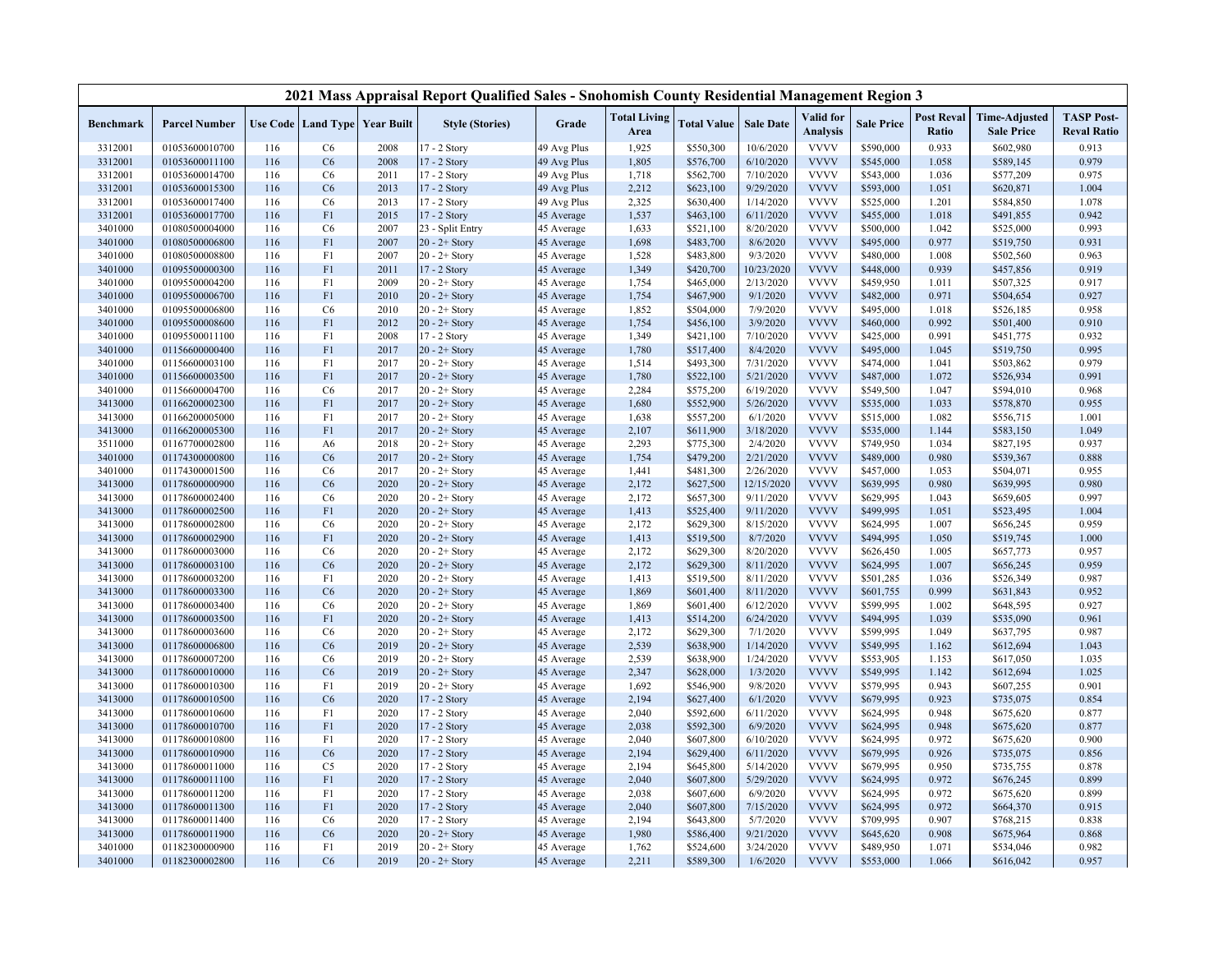|                  |                      |     |                |                                   | 2021 Mass Appraisal Report Qualified Sales - Snohomish County Residential Management Region 3 |             |                             |                    |                  |                              |                   |                            |                                           |                                         |
|------------------|----------------------|-----|----------------|-----------------------------------|-----------------------------------------------------------------------------------------------|-------------|-----------------------------|--------------------|------------------|------------------------------|-------------------|----------------------------|-------------------------------------------|-----------------------------------------|
| <b>Benchmark</b> | <b>Parcel Number</b> |     |                | Use Code   Land Type   Year Built | <b>Style (Stories)</b>                                                                        | Grade       | <b>Total Living</b><br>Area | <b>Total Value</b> | <b>Sale Date</b> | Valid for<br><b>Analysis</b> | <b>Sale Price</b> | <b>Post Reval</b><br>Ratio | <b>Time-Adjusted</b><br><b>Sale Price</b> | <b>TASP Post-</b><br><b>Reval Ratio</b> |
| 3312001          | 01053600010700       | 116 | C <sub>6</sub> | 2008                              | $17 - 2$ Story                                                                                | 49 Avg Plus | 1,925                       | \$550,300          | 10/6/2020        | <b>VVVV</b>                  | \$590,000         | 0.933                      | \$602,980                                 | 0.913                                   |
| 3312001          | 01053600011100       | 116 | C6             | 2008                              | 17 - 2 Story                                                                                  | 49 Avg Plus | 1,805                       | \$576,700          | 6/10/2020        | <b>VVVV</b>                  | \$545,000         | 1.058                      | \$589,145                                 | 0.979                                   |
| 3312001          | 01053600014700       | 116 | C6             | 2011                              | 17 - 2 Story                                                                                  | 49 Avg Plus | 1,718                       | \$562,700          | 7/10/2020        | <b>VVVV</b>                  | \$543,000         | 1.036                      | \$577,209                                 | 0.975                                   |
| 3312001          | 01053600015300       | 116 | C6             | 2013                              | 17 - 2 Story                                                                                  | 49 Avg Plus | 2,212                       | \$623,100          | 9/29/2020        | <b>VVVV</b>                  | \$593,000         | 1.051                      | \$620,871                                 | 1.004                                   |
| 3312001          | 01053600017400       | 116 | C6             | 2013                              | 17 - 2 Story                                                                                  | 49 Avg Plus | 2,325                       | \$630,400          | 1/14/2020        | <b>VVVV</b>                  | \$525,000         | 1.201                      | \$584,850                                 | 1.078                                   |
| 3312001          | 01053600017700       | 116 | F1             | 2015                              | 17 - 2 Story                                                                                  | 45 Average  | 1,537                       | \$463,100          | 6/11/2020        | <b>VVVV</b>                  | \$455,000         | 1.018                      | \$491,855                                 | 0.942                                   |
| 3401000          | 01080500004000       | 116 | C <sub>6</sub> | 2007                              | 23 - Split Entry                                                                              | 45 Average  | 1,633                       | \$521,100          | 8/20/2020        | <b>VVVV</b>                  | \$500,000         | 1.042                      | \$525,000                                 | 0.993                                   |
| 3401000          | 01080500006800       | 116 | F <sub>1</sub> | 2007                              | $20 - 2 +$ Story                                                                              | 45 Average  | 1,698                       | \$483,700          | 8/6/2020         | <b>VVVV</b>                  | \$495,000         | 0.977                      | \$519,750                                 | 0.931                                   |
| 3401000          | 01080500008800       | 116 | F1             | 2007                              | $20 - 2 +$ Story                                                                              | 45 Average  | 1,528                       | \$483,800          | 9/3/2020         | <b>VVVV</b>                  | \$480,000         | 1.008                      | \$502,560                                 | 0.963                                   |
| 3401000          | 01095500000300       | 116 | F1             | 2011                              | $17 - 2$ Story                                                                                | 45 Average  | 1,349                       | \$420,700          | 10/23/2020       | <b>VVVV</b>                  | \$448,000         | 0.939                      | \$457,856                                 | 0.919                                   |
| 3401000          | 01095500004200       | 116 | F1             | 2009                              | $20 - 2 +$ Story                                                                              | 45 Average  | 1,754                       | \$465,000          | 2/13/2020        | <b>VVVV</b>                  | \$459,950         | 1.011                      | \$507,325                                 | 0.917                                   |
| 3401000          | 01095500006700       | 116 | F <sub>1</sub> | 2010                              | $20 - 2 +$ Story                                                                              | 45 Average  | 1,754                       | \$467,900          | 9/1/2020         | <b>VVVV</b>                  | \$482,000         | 0.971                      | \$504,654                                 | 0.927                                   |
| 3401000          | 01095500006800       | 116 | C6             | 2010                              | $20 - 2 +$ Story                                                                              | 45 Average  | 1,852                       | \$504,000          | 7/9/2020         | <b>VVVV</b>                  | \$495,000         | 1.018                      | \$526,185                                 | 0.958                                   |
| 3401000          | 01095500008600       | 116 | F1             | 2012                              | $20 - 2 +$ Story                                                                              | 45 Average  | 1,754                       | \$456,100          | 3/9/2020         | <b>VVVV</b>                  | \$460,000         | 0.992                      | \$501,400                                 | 0.910                                   |
| 3401000          | 01095500011100       | 116 | F1             | 2008                              | 17 - 2 Story                                                                                  | 45 Average  | 1,349                       | \$421,100          | 7/10/2020        | <b>VVVV</b>                  | \$425,000         | 0.991                      | \$451,775                                 | 0.932                                   |
| 3401000          | 01156600000400       | 116 | F <sub>1</sub> | 2017                              | $20 - 2 +$ Story                                                                              | 45 Average  | 1,780                       | \$517,400          | 8/4/2020         | <b>VVVV</b>                  | \$495,000         | 1.045                      | \$519,750                                 | 0.995                                   |
| 3401000          | 01156600003100       | 116 | F1             | 2017                              | $20 - 2 +$ Story                                                                              | 45 Average  | 1,514                       | \$493,300          | 7/31/2020        | <b>VVVV</b>                  | \$474,000         | 1.041                      | \$503,862                                 | 0.979                                   |
| 3401000          | 01156600003500       | 116 | F <sub>1</sub> | 2017                              | $20 - 2 +$ Story                                                                              | 45 Average  | 1,780                       | \$522,100          | 5/21/2020        | <b>VVVV</b>                  | \$487,000         | 1.072                      | \$526,934                                 | 0.991                                   |
| 3401000          | 01156600004700       | 116 | C6             | 2017                              | $20 - 2 +$ Story                                                                              | 45 Average  | 2,284                       | \$575,200          | 6/19/2020        | <b>VVVV</b>                  | \$549,500         | 1.047                      | \$594,010                                 | 0.968                                   |
| 3413000          | 01166200002300       | 116 | F1             | 2017                              | $20 - 2 +$ Story                                                                              | 45 Average  | 1,680                       | \$552,900          | 5/26/2020        | <b>VVVV</b>                  | \$535,000         | 1.033                      | \$578,870                                 | 0.955                                   |
| 3413000          | 01166200005000       | 116 | F1             | 2017                              | $20 - 2 +$ Story                                                                              | 45 Average  | 1,638                       | \$557,200          | 6/1/2020         | <b>VVVV</b>                  | \$515,000         | 1.082                      | \$556,715                                 | 1.001                                   |
| 3413000          | 01166200005300       | 116 | F1             | 2017                              | $20 - 2 +$ Story                                                                              | 45 Average  | 2,107                       | \$611,900          | 3/18/2020        | <b>VVVV</b>                  | \$535,000         | 1.144                      | \$583,150                                 | 1.049                                   |
| 3511000          | 01167700002800       | 116 | A <sub>6</sub> | 2018                              | $20 - 2 +$ Story                                                                              | 45 Average  | 2,293                       | \$775,300          | 2/4/2020         | <b>VVVV</b>                  | \$749,950         | 1.034                      | \$827,195                                 | 0.937                                   |
| 3401000          | 01174300000800       | 116 | C6             | 2017                              | $20 - 2 +$ Story                                                                              | 45 Average  | 1,754                       | \$479,200          | 2/21/2020        | <b>VVVV</b>                  | \$489,000         | 0.980                      | \$539,367                                 | 0.888                                   |
| 3401000          | 01174300001500       | 116 | C6             | 2017                              | $20 - 2 +$ Story                                                                              | 45 Average  | 1,441                       | \$481,300          | 2/26/2020        | <b>VVVV</b>                  | \$457,000         | 1.053                      | \$504,071                                 | 0.955                                   |
| 3413000          | 01178600000900       | 116 | C6             | 2020                              | $20 - 2 +$ Story                                                                              | 45 Average  | 2,172                       | \$627,500          | 12/15/2020       | <b>VVVV</b>                  | \$639,995         | 0.980                      | \$639,995                                 | 0.980                                   |
| 3413000          | 01178600002400       | 116 | C6             | 2020                              | $20 - 2 +$ Story                                                                              | 45 Average  | 2,172                       | \$657,300          | 9/11/2020        | <b>VVVV</b>                  | \$629,995         | 1.043                      | \$659,605                                 | 0.997                                   |
| 3413000          | 01178600002500       | 116 | F1             | 2020                              | $20 - 2 +$ Story                                                                              | 45 Average  | 1,413                       | \$525,400          | 9/11/2020        | <b>VVVV</b>                  | \$499,995         | 1.051                      | \$523,495                                 | 1.004                                   |
| 3413000          | 01178600002800       | 116 | C6             | 2020                              | $20 - 2 +$ Story                                                                              | 45 Average  | 2,172                       | \$629,300          | 8/15/2020        | <b>VVVV</b>                  | \$624,995         | 1.007                      | \$656,245                                 | 0.959                                   |
| 3413000          | 01178600002900       | 116 | F1             | 2020                              | $20 - 2 +$ Story                                                                              | 45 Average  | 1,413                       | \$519,500          | 8/7/2020         | <b>VVVV</b>                  | \$494,995         | 1.050                      | \$519,745                                 | 1.000                                   |
| 3413000          | 01178600003000       | 116 | C6             | 2020                              | $20 - 2 +$ Story                                                                              | 45 Average  | 2,172                       | \$629,300          | 8/20/2020        | <b>VVVV</b>                  | \$626,450         | 1.005                      | \$657,773                                 | 0.957                                   |
| 3413000          | 01178600003100       | 116 | C6             | 2020                              | $20 - 2 +$ Story                                                                              | 45 Average  | 2,172                       | \$629,300          | 8/11/2020        | <b>VVVV</b>                  | \$624,995         | 1.007                      | \$656,245                                 | 0.959                                   |
| 3413000          | 01178600003200       | 116 | F1             | 2020                              | $20 - 2 +$ Story                                                                              | 45 Average  | 1,413                       | \$519,500          | 8/11/2020        | <b>VVVV</b>                  | \$501,285         | 1.036                      | \$526,349                                 | 0.987                                   |
| 3413000          | 01178600003300       | 116 | C6             | 2020                              | $20 - 2 +$ Story                                                                              | 45 Average  | 1,869                       | \$601,400          | 8/11/2020        | <b>VVVV</b>                  | \$601,755         | 0.999                      | \$631,843                                 | 0.952                                   |
| 3413000          | 01178600003400       | 116 | C6             | 2020                              | $20 - 2 +$ Story                                                                              | 45 Average  | 1,869                       | \$601,400          | 6/12/2020        | <b>VVVV</b>                  | \$599,995         | 1.002                      | \$648,595                                 | 0.927                                   |
| 3413000          | 01178600003500       | 116 | F1             | 2020                              | $20 - 2 +$ Story                                                                              | 45 Average  | 1,413                       | \$514,200          | 6/24/2020        | <b>VVVV</b>                  | \$494,995         | 1.039                      | \$535,090                                 | 0.961                                   |
| 3413000          | 01178600003600       | 116 | C6             | 2020                              | $20 - 2 +$ Story                                                                              | 45 Average  | 2,172                       | \$629,300          | 7/1/2020         | <b>VVVV</b>                  | \$599,995         | 1.049                      | \$637,795                                 | 0.987                                   |
| 3413000          | 01178600006800       | 116 | C6             | 2019                              | $20 - 2 +$ Story                                                                              | 45 Average  | 2,539                       | \$638,900          | 1/14/2020        | <b>VVVV</b>                  | \$549,995         | 1.162                      | \$612,694                                 | 1.043                                   |
| 3413000          | 01178600007200       | 116 | C6             | 2019                              | $20 - 2 +$ Story                                                                              | 45 Average  | 2,539                       | \$638,900          | 1/24/2020        | <b>VVVV</b>                  | \$553,905         | 1.153                      | \$617,050                                 | 1.035                                   |
| 3413000          | 01178600010000       | 116 | C6             | 2019                              | $20 - 2 +$ Story                                                                              | 45 Average  | 2,347                       | \$628,000          | 1/3/2020         | <b>VVVV</b>                  | \$549,995         | 1.142                      | \$612,694                                 | 1.025                                   |
| 3413000          | 01178600010300       | 116 | F1             | 2019                              | $20 - 2 +$ Story                                                                              | 45 Average  | 1,692                       | \$546,900          | 9/8/2020         | <b>VVVV</b>                  | \$579,995         | 0.943                      | \$607,255                                 | 0.901                                   |
| 3413000          | 01178600010500       | 116 | C6             | 2020                              | 17 - 2 Story                                                                                  | 45 Average  | 2,194                       | \$627,400          | 6/1/2020         | <b>VVVV</b>                  | \$679,995         | 0.923                      | \$735,075                                 | 0.854                                   |
| 3413000          | 01178600010600       | 116 | F <sub>1</sub> | 2020                              | 17 - 2 Story                                                                                  | 45 Average  | 2,040                       | \$592,600          | 6/11/2020        | <b>VVVV</b>                  | \$624,995         | 0.948                      | \$675,620                                 | 0.877                                   |
| 3413000          | 01178600010700       | 116 | F <sub>1</sub> | 2020                              | 17 - 2 Story                                                                                  | 45 Average  | 2,038                       | \$592,300          | 6/9/2020         | <b>VVVV</b>                  | \$624,995         | 0.948                      | \$675,620                                 | 0.877                                   |
| 3413000          | 01178600010800       | 116 | F1             | 2020                              | 17 - 2 Story                                                                                  | 45 Average  | 2,040                       | \$607,800          | 6/10/2020        | <b>VVVV</b>                  | \$624,995         | 0.972                      | \$675,620                                 | 0.900                                   |
| 3413000          | 01178600010900       | 116 | C6             | 2020                              | 17 - 2 Story                                                                                  | 45 Average  | 2,194                       | \$629,400          | 6/11/2020        | <b>VVVV</b>                  | \$679,995         | 0.926                      | \$735,075                                 | 0.856                                   |
| 3413000          | 01178600011000       | 116 | C <sub>5</sub> | 2020                              | 17 - 2 Story                                                                                  | 45 Average  | 2,194                       | \$645,800          | 5/14/2020        | <b>VVVV</b>                  | \$679,995         | 0.950                      | \$735,755                                 | 0.878                                   |
| 3413000          | 01178600011100       | 116 | F1             | 2020                              | 17 - 2 Story                                                                                  | 45 Average  | 2,040                       | \$607,800          | 5/29/2020        | <b>VVVV</b>                  | \$624,995         | 0.972                      | \$676,245                                 | 0.899                                   |
| 3413000          | 01178600011200       | 116 | F1             | 2020                              | 17 - 2 Story                                                                                  | 45 Average  | 2,038                       | \$607,600          | 6/9/2020         | <b>VVVV</b>                  | \$624,995         | 0.972                      | \$675,620                                 | 0.899                                   |
| 3413000          | 01178600011300       | 116 | F1             | 2020                              | 17 - 2 Story                                                                                  | 45 Average  | 2,040                       | \$607,800          | 7/15/2020        | <b>VVVV</b>                  | \$624,995         | 0.972                      | \$664,370                                 | 0.915                                   |
| 3413000          | 01178600011400       | 116 | C6             | 2020                              | 17 - 2 Story                                                                                  | 45 Average  | 2,194                       | \$643,800          | 5/7/2020         | <b>VVVV</b>                  | \$709,995         | 0.907                      | \$768,215                                 | 0.838                                   |
| 3413000          | 01178600011900       | 116 | C6             | 2020                              | $20 - 2 +$ Story                                                                              | 45 Average  | 1,980                       | \$586,400          | 9/21/2020        | <b>VVVV</b>                  | \$645,620         | 0.908                      | \$675,964                                 | 0.868                                   |
| 3401000          | 01182300000900       | 116 | F1             | 2019                              | $20 - 2 +$ Story                                                                              | 45 Average  | 1,762                       | \$524,600          | 3/24/2020        | <b>VVVV</b>                  | \$489,950         | 1.071                      | \$534,046                                 | 0.982                                   |
| 3401000          | 01182300002800       | 116 | C6             | 2019                              | $20 - 2 +$ Story                                                                              | 45 Average  | 2,211                       | \$589,300          | 1/6/2020         | <b>VVVV</b>                  | \$553,000         | 1.066                      | \$616,042                                 | 0.957                                   |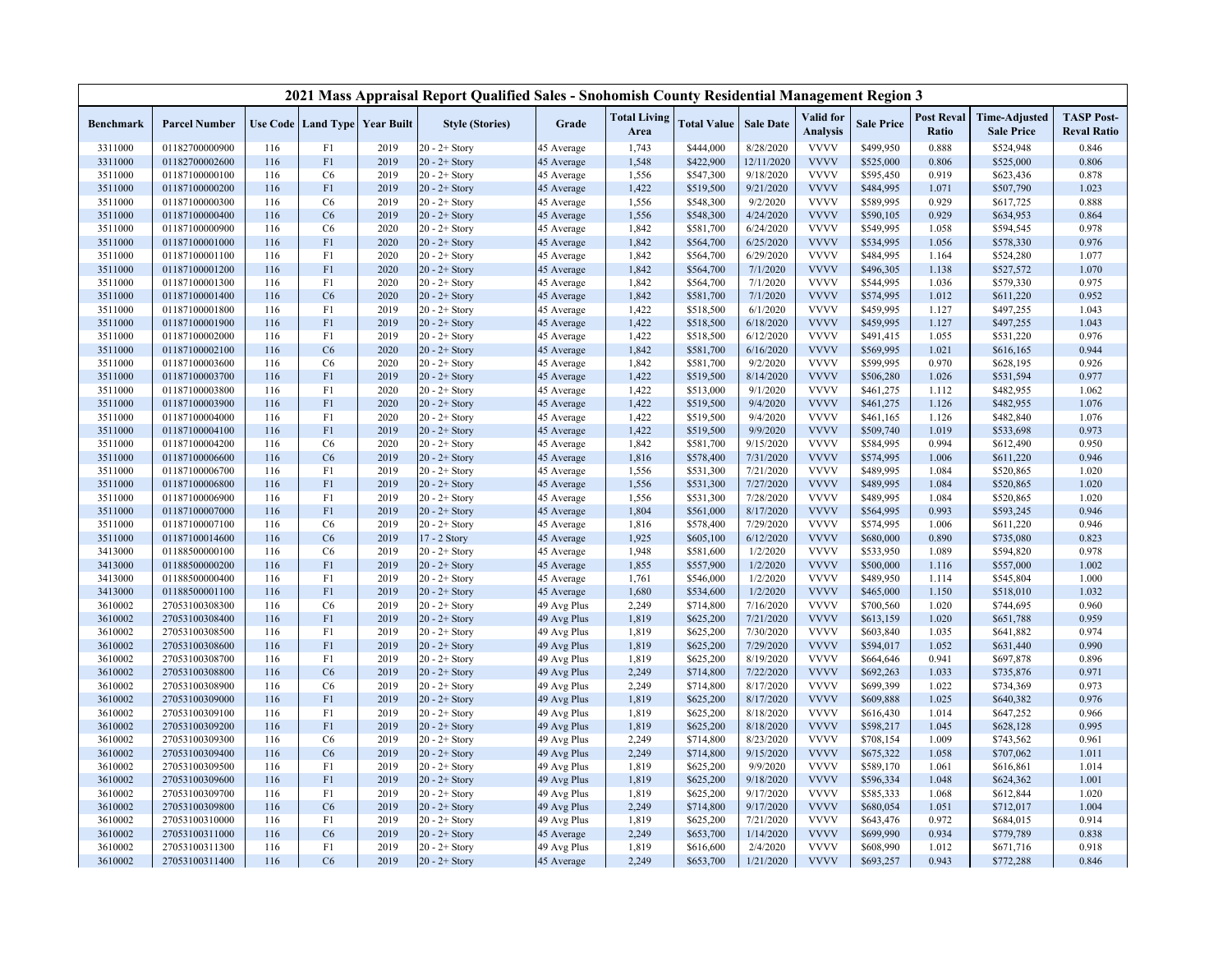|                    |                                  |            |                |                                   | 2021 Mass Appraisal Report Qualified Sales - Snohomish County Residential Management Region 3 |                            |                             |                        |                        |                              |                        |                            |                                           |                                         |
|--------------------|----------------------------------|------------|----------------|-----------------------------------|-----------------------------------------------------------------------------------------------|----------------------------|-----------------------------|------------------------|------------------------|------------------------------|------------------------|----------------------------|-------------------------------------------|-----------------------------------------|
| <b>Benchmark</b>   | <b>Parcel Number</b>             |            |                | Use Code   Land Type   Year Built | <b>Style (Stories)</b>                                                                        | Grade                      | <b>Total Living</b><br>Area | <b>Total Value</b>     | <b>Sale Date</b>       | Valid for<br><b>Analysis</b> | <b>Sale Price</b>      | <b>Post Reval</b><br>Ratio | <b>Time-Adjusted</b><br><b>Sale Price</b> | <b>TASP Post-</b><br><b>Reval Ratio</b> |
| 3311000            | 01182700000900                   | 116        | F1             | 2019                              | $20 - 2 +$ Story                                                                              | 45 Average                 | 1,743                       | \$444,000              | 8/28/2020              | <b>VVVV</b>                  | \$499,950              | 0.888                      | \$524,948                                 | 0.846                                   |
| 3311000            | 01182700002600                   | 116        | F1             | 2019                              | $20 - 2 +$ Story                                                                              | 45 Average                 | 1,548                       | \$422,900              | 12/11/2020             | <b>VVVV</b>                  | \$525,000              | 0.806                      | \$525,000                                 | 0.806                                   |
| 3511000            | 01187100000100                   | 116        | C6             | 2019                              | $20 - 2 +$ Story                                                                              | 45 Average                 | 1,556                       | \$547,300              | 9/18/2020              | <b>VVVV</b>                  | \$595,450              | 0.919                      | \$623,436                                 | 0.878                                   |
| 3511000            | 01187100000200                   | 116        | F1             | 2019                              | $20 - 2 +$ Story                                                                              | 45 Average                 | 1,422                       | \$519,500              | 9/21/2020              | <b>VVVV</b>                  | \$484,995              | 1.071                      | \$507,790                                 | 1.023                                   |
| 3511000            | 01187100000300                   | 116        | C6             | 2019                              | $20 - 2 +$ Story                                                                              | 45 Average                 | 1,556                       | \$548,300              | 9/2/2020               | <b>VVVV</b>                  | \$589,995              | 0.929                      | \$617,725                                 | 0.888                                   |
| 3511000            | 01187100000400                   | 116        | C6             | 2019                              | $20 - 2 +$ Story                                                                              | 45 Average                 | 1,556                       | \$548,300              | 4/24/2020              | <b>VVVV</b>                  | \$590,105              | 0.929                      | \$634,953                                 | 0.864                                   |
| 3511000            | 01187100000900                   | 116        | C6             | 2020                              | $20 - 2 +$ Story                                                                              | 45 Average                 | 1,842                       | \$581,700              | 6/24/2020              | <b>VVVV</b>                  | \$549,995              | 1.058                      | \$594,545                                 | 0.978                                   |
| 3511000            | 01187100001000                   | 116        | F <sub>1</sub> | 2020                              | $20 - 2 +$ Story                                                                              | 45 Average                 | 1,842                       | \$564,700              | 6/25/2020              | <b>VVVV</b>                  | \$534,995              | 1.056                      | \$578,330                                 | 0.976                                   |
| 3511000            | 01187100001100                   | 116        | F1             | 2020                              | $20 - 2 +$ Story                                                                              | 45 Average                 | 1,842                       | \$564,700              | 6/29/2020              | <b>VVVV</b>                  | \$484,995              | 1.164                      | \$524,280                                 | 1.077                                   |
| 3511000            | 01187100001200                   | 116        | F1             | 2020                              | $20 - 2 +$ Story                                                                              | 45 Average                 | 1,842                       | \$564,700              | 7/1/2020               | <b>VVVV</b>                  | \$496,305              | 1.138                      | \$527,572                                 | 1.070                                   |
| 3511000            | 01187100001300                   | 116        | F1             | 2020                              | $20 - 2 +$ Story                                                                              | 45 Average                 | 1,842                       | \$564,700              | 7/1/2020               | <b>VVVV</b>                  | \$544,995              | 1.036                      | \$579,330                                 | 0.975                                   |
| 3511000            | 01187100001400                   | 116        | C6             | 2020                              | $20 - 2 +$ Story                                                                              | 45 Average                 | 1,842                       | \$581,700              | 7/1/2020               | <b>VVVV</b>                  | \$574,995              | 1.012                      | \$611,220                                 | 0.952                                   |
| 3511000            | 01187100001800                   | 116        | F1             | 2019                              | $20 - 2 +$ Story                                                                              | 45 Average                 | 1,422                       | \$518,500              | 6/1/2020               | <b>VVVV</b>                  | \$459,995              | 1.127                      | \$497,255                                 | 1.043                                   |
| 3511000            | 01187100001900                   | 116        | F1             | 2019                              | $20 - 2 +$ Story                                                                              | 45 Average                 | 1,422                       | \$518,500              | 6/18/2020              | <b>VVVV</b>                  | \$459,995              | 1.127                      | \$497,255                                 | 1.043                                   |
| 3511000            | 01187100002000                   | 116        | F1             | 2019                              | $20 - 2 +$ Story                                                                              | 45 Average                 | 1,422                       | \$518,500              | 6/12/2020              | <b>VVVV</b>                  | \$491,415              | 1.055                      | \$531,220                                 | 0.976                                   |
| 3511000            | 01187100002100                   | 116        | C6             | 2020                              | $20 - 2 +$ Story                                                                              | 45 Average                 | 1,842                       | \$581,700              | 6/16/2020              | <b>VVVV</b>                  | \$569,995              | 1.021                      | \$616,165                                 | 0.944                                   |
| 3511000            | 01187100003600                   | 116        | C6             | 2020                              | $20 - 2 +$ Story                                                                              | 45 Average                 | 1,842                       | \$581,700              | 9/2/2020               | <b>VVVV</b>                  | \$599,995              | 0.970                      | \$628,195                                 | 0.926                                   |
| 3511000            | 01187100003700                   | 116        | F1             | 2019                              | $20 - 2 +$ Story                                                                              | 45 Average                 | 1,422                       | \$519,500              | 8/14/2020              | <b>VVVV</b>                  | \$506,280              | 1.026                      | \$531,594                                 | 0.977                                   |
| 3511000            | 01187100003800                   | 116        | F1             | 2020                              | $20 - 2 +$ Story                                                                              | 45 Average                 | 1,422                       | \$513,000              | 9/1/2020               | <b>VVVV</b>                  | \$461,275              | 1.112                      | \$482,955                                 | 1.062                                   |
| 3511000            | 01187100003900                   | 116        | F1             | 2020                              | $20 - 2 +$ Story                                                                              | 45 Average                 | 1,422                       | \$519,500              | 9/4/2020               | <b>VVVV</b>                  | \$461,275              | 1.126                      | \$482,955                                 | 1.076                                   |
| 3511000            | 01187100004000                   | 116        | F1             | 2020                              | $20 - 2 +$ Story                                                                              | 45 Average                 | 1,422                       | \$519,500              | 9/4/2020               | <b>VVVV</b>                  | \$461,165              | 1.126                      | \$482,840                                 | 1.076                                   |
| 3511000            | 01187100004100                   | 116        | F1             | 2019                              | $20 - 2 +$ Story                                                                              | 45 Average                 | 1,422                       | \$519,500              | 9/9/2020               | <b>VVVV</b>                  | \$509,740              | 1.019                      | \$533,698                                 | 0.973                                   |
| 3511000            | 01187100004200                   | 116        | C6             | 2020                              | $20 - 2 +$ Story                                                                              | 45 Average                 | 1,842                       | \$581,700              | 9/15/2020              | <b>VVVV</b>                  | \$584,995              | 0.994                      | \$612,490                                 | 0.950                                   |
| 3511000            | 01187100006600                   | 116        | C6             | 2019                              | $20 - 2 +$ Story                                                                              | 45 Average                 | 1,816                       | \$578,400              | 7/31/2020              | <b>VVVV</b>                  | \$574,995              | 1.006                      | \$611,220                                 | 0.946                                   |
| 3511000            | 01187100006700                   | 116        | F1             | 2019                              | $20 - 2 +$ Story                                                                              | 45 Average                 | 1,556                       | \$531,300              | 7/21/2020              | <b>VVVV</b>                  | \$489,995              | 1.084                      | \$520,865                                 | 1.020                                   |
| 3511000            | 01187100006800                   | 116        | F1             | 2019                              | $20 - 2 +$ Story                                                                              | 45 Average                 | 1,556                       | \$531,300              | 7/27/2020              | <b>VVVV</b>                  | \$489,995              | 1.084                      | \$520,865                                 | 1.020                                   |
| 3511000            | 01187100006900                   | 116        | F <sub>1</sub> | 2019                              | $20 - 2 +$ Story                                                                              | 45 Average                 | 1,556                       | \$531,300              | 7/28/2020              | <b>VVVV</b>                  | \$489,995              | 1.084                      | \$520,865                                 | 1.020                                   |
| 3511000            | 01187100007000                   | 116        | F1             | 2019                              | $20 - 2 +$ Story                                                                              | 45 Average                 | 1,804                       | \$561,000              | 8/17/2020              | <b>VVVV</b>                  | \$564,995              | 0.993                      | \$593,245                                 | 0.946                                   |
| 3511000            | 01187100007100                   | 116        | C6             | 2019                              | $20 - 2 +$ Story                                                                              | 45 Average                 | 1,816                       | \$578,400              | 7/29/2020              | <b>VVVV</b>                  | \$574,995              | 1.006                      | \$611,220                                 | 0.946                                   |
| 3511000            | 01187100014600                   | 116        | C6             | 2019                              | 17 - 2 Story                                                                                  | 45 Average                 | 1,925                       | \$605,100              | 6/12/2020              | <b>VVVV</b>                  | \$680,000              | 0.890                      | \$735,080                                 | 0.823                                   |
| 3413000            | 01188500000100                   | 116        | C6             | 2019                              | $20 - 2 +$ Story                                                                              | 45 Average                 | 1,948                       | \$581,600              | 1/2/2020               | <b>VVVV</b>                  | \$533,950              | 1.089                      | \$594,820                                 | 0.978                                   |
| 3413000            | 01188500000200                   | 116        | F1             | 2019                              | $20 - 2 +$ Story                                                                              | 45 Average                 | 1,855                       | \$557,900              | 1/2/2020               | <b>VVVV</b>                  | \$500,000              | 1.116                      | \$557,000                                 | 1.002                                   |
| 3413000            | 01188500000400                   | 116        | F1             | 2019                              | $20 - 2 +$ Story                                                                              | 45 Average                 | 1,761                       | \$546,000              | 1/2/2020               | <b>VVVV</b>                  | \$489,950              | 1.114                      | \$545,804                                 | 1.000                                   |
| 3413000            | 01188500001100                   | 116        | F <sub>1</sub> | 2019                              | $20 - 2 +$ Story                                                                              | 45 Average                 | 1,680                       | \$534,600              | 1/2/2020               | <b>VVVV</b>                  | \$465,000              | 1.150                      | \$518,010                                 | 1.032                                   |
| 3610002            | 27053100308300                   | 116        | C6             | 2019                              | $20 - 2 +$ Story                                                                              | 49 Avg Plus                | 2,249                       | \$714,800              | 7/16/2020              | <b>VVVV</b>                  | \$700,560              | 1.020                      | \$744,695                                 | 0.960                                   |
| 3610002            | 27053100308400                   | 116        | F1             | 2019                              | $20 - 2 +$ Story                                                                              | 49 Avg Plus                | 1,819                       | \$625,200              | 7/21/2020              | <b>VVVV</b>                  | \$613,159              | 1.020                      | \$651,788                                 | 0.959                                   |
| 3610002            | 27053100308500                   | 116        | F1             | 2019                              | $20 - 2 +$ Story                                                                              | 49 Avg Plus                | 1,819                       | \$625,200              | 7/30/2020              | <b>VVVV</b>                  | \$603,840              | 1.035                      | \$641,882                                 | 0.974                                   |
| 3610002            | 27053100308600                   | 116        | F1             | 2019                              | $20 - 2 +$ Story                                                                              | 49 Avg Plus                | 1,819                       | \$625,200              | 7/29/2020              | <b>VVVV</b>                  | \$594,017              | 1.052                      | \$631,440                                 | 0.990                                   |
| 3610002            | 27053100308700                   | 116        | F1             | 2019                              | $20 - 2 +$ Story                                                                              | 49 Avg Plus                | 1,819                       | \$625,200              | 8/19/2020              | <b>VVVV</b>                  | \$664,646              | 0.941                      | \$697,878                                 | 0.896                                   |
| 3610002            | 27053100308800                   | 116        | C6             | 2019                              | $20 - 2 +$ Story                                                                              | 49 Avg Plus                | 2,249                       | \$714,800              | 7/22/2020              | <b>VVVV</b>                  | \$692,263              | 1.033                      | \$735,876                                 | 0.971                                   |
| 3610002            | 27053100308900                   | 116        | C6<br>F1       | 2019<br>2019                      | $20 - 2 +$ Story                                                                              | 49 Avg Plus                | 2,249                       | \$714,800              | 8/17/2020              | <b>VVVV</b><br><b>VVVV</b>   | \$699,399              | 1.022<br>1.025             | \$734,369                                 | 0.973                                   |
| 3610002            | 27053100309000                   | 116<br>116 | F <sub>1</sub> | 2019                              | $20 - 2 +$ Story                                                                              | 49 Avg Plus                | 1,819                       | \$625,200              | 8/17/2020              | <b>VVVV</b>                  | \$609,888              |                            | \$640,382                                 | 0.976                                   |
| 3610002            | 27053100309100<br>27053100309200 |            | F <sub>1</sub> | 2019                              | $20 - 2 +$ Story                                                                              | 49 Avg Plus                | 1,819                       | \$625,200              | 8/18/2020              | <b>VVVV</b>                  | \$616,430              | 1.014<br>1.045             | \$647,252                                 | 0.966<br>0.995                          |
| 3610002            | 27053100309300                   | 116<br>116 | C6             | 2019                              | $20 - 2 +$ Story                                                                              | 49 Avg Plus                | 1,819                       | \$625,200              | 8/18/2020<br>8/23/2020 | <b>VVVV</b>                  | \$598,217              | 1.009                      | \$628,128                                 |                                         |
| 3610002<br>3610002 | 27053100309400                   | 116        | C6             | 2019                              | $20 - 2 +$ Story<br>$20 - 2 +$ Story                                                          | 49 Avg Plus                | 2,249<br>2,249              | \$714,800<br>\$714,800 | 9/15/2020              | <b>VVVV</b>                  | \$708,154<br>\$675,322 | 1.058                      | \$743,562<br>\$707,062                    | 0.961<br>1.011                          |
| 3610002            | 27053100309500                   | 116        | F1             | 2019                              | $20 - 2 +$ Story                                                                              | 49 Avg Plus<br>49 Avg Plus | 1,819                       | \$625,200              | 9/9/2020               | <b>VVVV</b>                  | \$589,170              | 1.061                      | \$616,861                                 | 1.014                                   |
| 3610002            | 27053100309600                   | 116        | F <sub>1</sub> | 2019                              | $20 - 2 +$ Story                                                                              | 49 Avg Plus                | 1,819                       | \$625,200              | 9/18/2020              | <b>VVVV</b>                  | \$596,334              | 1.048                      | \$624,362                                 | 1.001                                   |
| 3610002            | 27053100309700                   | 116        | F1             | 2019                              | $20 - 2 +$ Story                                                                              | 49 Avg Plus                | 1,819                       | \$625,200              | 9/17/2020              | <b>VVVV</b>                  | \$585,333              | 1.068                      | \$612,844                                 | 1.020                                   |
| 3610002            | 27053100309800                   | 116        | C6             | 2019                              | $20 - 2 +$ Story                                                                              | 49 Avg Plus                | 2,249                       | \$714,800              | 9/17/2020              | <b>VVVV</b>                  | \$680,054              | 1.051                      | \$712,017                                 | 1.004                                   |
| 3610002            | 27053100310000                   | 116        | F1             | 2019                              | $20 - 2 +$ Story                                                                              | 49 Avg Plus                | 1,819                       | \$625,200              | 7/21/2020              | <b>VVVV</b>                  | \$643,476              | 0.972                      | \$684,015                                 | 0.914                                   |
| 3610002            | 27053100311000                   | 116        | C6             | 2019                              | $20 - 2 +$ Story                                                                              | 45 Average                 | 2,249                       | \$653,700              | 1/14/2020              | <b>VVVV</b>                  | \$699,990              | 0.934                      | \$779,789                                 | 0.838                                   |
| 3610002            | 27053100311300                   | 116        | F1             | 2019                              | $20 - 2 +$ Story                                                                              | 49 Avg Plus                | 1,819                       | \$616,600              | 2/4/2020               | <b>VVVV</b>                  | \$608,990              | 1.012                      | \$671,716                                 | 0.918                                   |
| 3610002            | 27053100311400                   | 116        | C6             | 2019                              | $20 - 2 +$ Story                                                                              | 45 Average                 | 2,249                       | \$653,700              | 1/21/2020              | <b>VVVV</b>                  | \$693,257              | 0.943                      | \$772,288                                 | 0.846                                   |
|                    |                                  |            |                |                                   |                                                                                               |                            |                             |                        |                        |                              |                        |                            |                                           |                                         |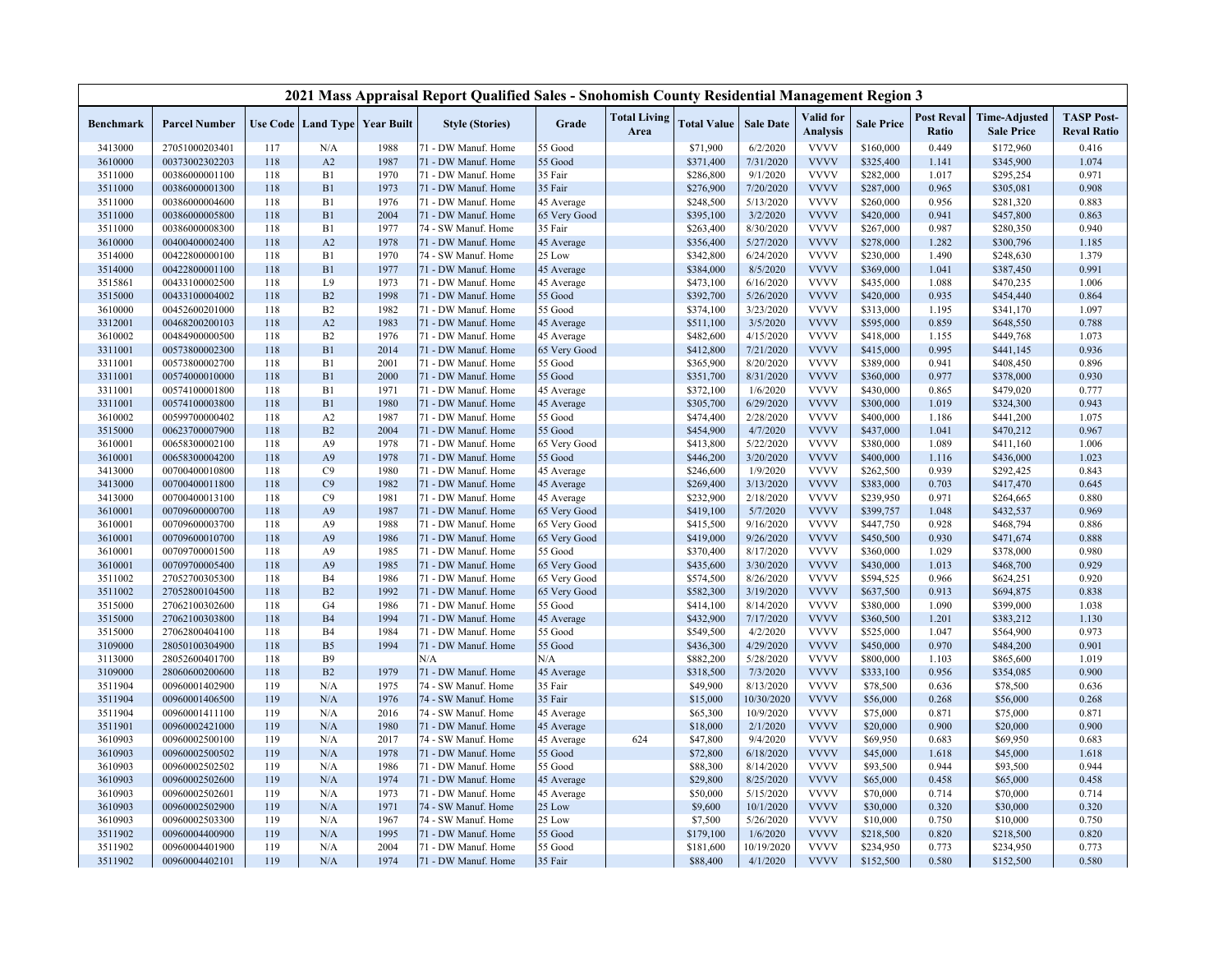|                    |                                  |            |                |                                   | 2021 Mass Appraisal Report Qualified Sales - Snohomish County Residential Management Region 3 |                          |                             |                      |                         |                              |                      |                            |                                           |                                         |
|--------------------|----------------------------------|------------|----------------|-----------------------------------|-----------------------------------------------------------------------------------------------|--------------------------|-----------------------------|----------------------|-------------------------|------------------------------|----------------------|----------------------------|-------------------------------------------|-----------------------------------------|
| <b>Benchmark</b>   | <b>Parcel Number</b>             |            |                | Use Code   Land Type   Year Built | <b>Style (Stories)</b>                                                                        | Grade                    | <b>Total Living</b><br>Area | <b>Total Value</b>   | <b>Sale Date</b>        | Valid for<br><b>Analysis</b> | <b>Sale Price</b>    | <b>Post Reval</b><br>Ratio | <b>Time-Adjusted</b><br><b>Sale Price</b> | <b>TASP Post-</b><br><b>Reval Ratio</b> |
| 3413000            | 27051000203401                   | 117        | N/A            | 1988                              | 71 - DW Manuf. Home                                                                           | 55 Good                  |                             | \$71,900             | 6/2/2020                | <b>VVVV</b>                  | \$160,000            | 0.449                      | \$172,960                                 | 0.416                                   |
| 3610000            | 00373002302203                   | 118        | A2             | 1987                              | 71 - DW Manuf. Home                                                                           | 55 Good                  |                             | \$371,400            | 7/31/2020               | <b>VVVV</b>                  | \$325,400            | 1.141                      | \$345,900                                 | 1.074                                   |
| 3511000            | 00386000001100                   | 118        | B1             | 1970                              | 71 - DW Manuf. Home                                                                           | 35 Fair                  |                             | \$286,800            | 9/1/2020                | <b>VVVV</b>                  | \$282,000            | 1.017                      | \$295,254                                 | 0.971                                   |
| 3511000            | 00386000001300                   | 118        | B1             | 1973                              | 71 - DW Manuf. Home                                                                           | 35 Fair                  |                             | \$276,900            | 7/20/2020               | <b>VVVV</b>                  | \$287,000            | 0.965                      | \$305,081                                 | 0.908                                   |
| 3511000            | 00386000004600                   | 118        | B1             | 1976                              | 71 - DW Manuf. Home                                                                           | 45 Average               |                             | \$248,500            | 5/13/2020               | <b>VVVV</b>                  | \$260,000            | 0.956                      | \$281,320                                 | 0.883                                   |
| 3511000            | 00386000005800                   | 118        | B1             | 2004                              | 71 - DW Manuf. Home                                                                           | 65 Very Good             |                             | \$395,100            | 3/2/2020                | <b>VVVV</b>                  | \$420,000            | 0.941                      | \$457,800                                 | 0.863                                   |
| 3511000            | 00386000008300                   | 118        | B1             | 1977                              | 74 - SW Manuf. Home                                                                           | 35 Fair                  |                             | \$263,400            | 8/30/2020               | <b>VVVV</b>                  | \$267,000            | 0.987                      | \$280,350                                 | 0.940                                   |
| 3610000            | 00400400002400                   | 118        | A2             | 1978                              | 71 - DW Manuf. Home                                                                           | 45 Average               |                             | \$356,400            | 5/27/2020               | <b>VVVV</b>                  | \$278,000            | 1.282                      | \$300,796                                 | 1.185                                   |
| 3514000            | 00422800000100                   | 118        | B1             | 1970                              | 74 - SW Manuf. Home                                                                           | 25 Low                   |                             | \$342,800            | 6/24/2020               | <b>VVVV</b>                  | \$230,000            | 1.490                      | \$248,630                                 | 1.379                                   |
| 3514000            | 00422800001100                   | 118        | B1             | 1977                              | 71 - DW Manuf. Home                                                                           | 45 Average               |                             | \$384,000            | 8/5/2020                | <b>VVVV</b>                  | \$369,000            | 1.041                      | \$387,450                                 | 0.991                                   |
| 3515861            | 00433100002500                   | 118        | L9             | 1973                              | 71 - DW Manuf. Home                                                                           | 45 Average               |                             | \$473,100            | 6/16/2020               | <b>VVVV</b>                  | \$435,000            | 1.088                      | \$470,235                                 | 1.006                                   |
| 3515000            | 00433100004002                   | 118        | B2             | 1998                              | 71 - DW Manuf. Home                                                                           | 55 Good                  |                             | \$392,700            | 5/26/2020               | <b>VVVV</b>                  | \$420,000            | 0.935                      | \$454,440                                 | 0.864                                   |
| 3610000            | 00452600201000                   | 118        | B2             | 1982                              | 71 - DW Manuf. Home                                                                           | 55 Good                  |                             | \$374,100            | 3/23/2020               | <b>VVVV</b>                  | \$313,000            | 1.195                      | \$341,170                                 | 1.097                                   |
| 3312001            | 00468200200103                   | 118        | A2             | 1983                              | 71 - DW Manuf. Home                                                                           | 45 Average               |                             | \$511,100            | 3/5/2020                | <b>VVVV</b>                  | \$595,000            | 0.859                      | \$648,550                                 | 0.788                                   |
| 3610002            | 00484900000500                   | 118        | B <sub>2</sub> | 1976                              | 71 - DW Manuf. Home                                                                           | 45 Average               |                             | \$482,600            | 4/15/2020               | <b>VVVV</b>                  | \$418,000            | 1.155                      | \$449,768                                 | 1.073                                   |
| 3311001            | 00573800002300                   | 118        | B1             | 2014                              | 71 - DW Manuf. Home                                                                           | 65 Very Good             |                             | \$412,800            | 7/21/2020               | <b>VVVV</b>                  | \$415,000            | 0.995                      | \$441,145                                 | 0.936                                   |
| 3311001            | 00573800002700                   | 118        | B1             | 2001                              | 71 - DW Manuf. Home                                                                           | 55 Good                  |                             | \$365,900            | 8/20/2020               | <b>VVVV</b>                  | \$389,000            | 0.941                      | \$408,450                                 | 0.896                                   |
| 3311001            | 00574000010000                   | 118        | B1             | 2000                              | 71 - DW Manuf. Home                                                                           | 55 Good                  |                             | \$351,700            | 8/31/2020               | <b>VVVV</b>                  | \$360,000            | 0.977                      | \$378,000                                 | 0.930                                   |
| 3311001            | 00574100001800                   | 118        | B1             | 1971                              | 71 - DW Manuf. Home                                                                           | 45 Average               |                             | \$372,100            | 1/6/2020                | <b>VVVV</b>                  | \$430,000            | 0.865                      | \$479,020                                 | 0.777                                   |
| 3311001            | 00574100003800                   | 118        | B1             | 1980                              | 71 - DW Manuf. Home                                                                           | 45 Average               |                             | \$305,700            | 6/29/2020               | <b>VVVV</b>                  | \$300,000            | 1.019                      | \$324,300                                 | 0.943                                   |
| 3610002            | 00599700000402                   | 118        | A <sub>2</sub> | 1987                              | 71 - DW Manuf. Home                                                                           | 55 Good                  |                             | \$474,400            | 2/28/2020               | <b>VVVV</b>                  | \$400,000            | 1.186                      | \$441,200                                 | 1.075                                   |
| 3515000            | 00623700007900                   | 118        | B2             | 2004                              | 71 - DW Manuf. Home                                                                           | 55 Good                  |                             | \$454,900            | 4/7/2020                | <b>VVVV</b>                  | \$437,000            | 1.041                      | \$470,212                                 | 0.967                                   |
| 3610001            | 00658300002100                   | 118        | A <sub>9</sub> | 1978                              | 71 - DW Manuf. Home                                                                           | 65 Very Good             |                             | \$413,800            | 5/22/2020               | <b>VVVV</b>                  | \$380,000            | 1.089                      | \$411,160                                 | 1.006                                   |
| 3610001            | 00658300004200                   | 118        | A <sub>9</sub> | 1978                              | 71 - DW Manuf. Home                                                                           | 55 Good                  |                             | \$446,200            | 3/20/2020               | <b>VVVV</b>                  | \$400,000            | 1.116                      | \$436,000                                 | 1.023                                   |
| 3413000            | 00700400010800                   | 118        | C9             | 1980                              | 71 - DW Manuf. Home                                                                           | 45 Average               |                             | \$246,600            | 1/9/2020                | <b>VVVV</b>                  | \$262,500            | 0.939                      | \$292,425                                 | 0.843                                   |
| 3413000            | 00700400011800                   | 118        | C9             | 1982                              | 71 - DW Manuf. Home                                                                           | 45 Average               |                             | \$269,400            | 3/13/2020               | <b>VVVV</b>                  | \$383,000            | 0.703                      | \$417,470                                 | 0.645                                   |
| 3413000            | 00700400013100                   | 118        | C9             | 1981                              | 71 - DW Manuf. Home                                                                           | 45 Average               |                             | \$232,900            | 2/18/2020               | <b>VVVV</b>                  | \$239,950            | 0.971                      | \$264,665                                 | 0.880                                   |
| 3610001            | 00709600000700                   | 118        | A <sub>9</sub> | 1987                              | 71 - DW Manuf. Home                                                                           | 65 Very Good             |                             | \$419,100            | 5/7/2020                | <b>VVVV</b>                  | \$399,757            | 1.048                      | \$432,537                                 | 0.969                                   |
| 3610001            | 00709600003700                   | 118        | A <sub>9</sub> | 1988                              | 71 - DW Manuf. Home                                                                           | 65 Very Good             |                             | \$415,500            | 9/16/2020               | <b>VVVV</b>                  | \$447,750            | 0.928                      | \$468,794                                 | 0.886                                   |
| 3610001            | 00709600010700                   | 118        | A <sub>9</sub> | 1986                              | 71 - DW Manuf. Home                                                                           | 65 Very Good             |                             | \$419,000            | 9/26/2020               | <b>VVVV</b>                  | \$450,500            | 0.930                      | \$471,674                                 | 0.888                                   |
| 3610001            | 00709700001500                   | 118        | A <sub>9</sub> | 1985                              | 71 - DW Manuf. Home                                                                           | 55 Good                  |                             | \$370,400            | 8/17/2020               | <b>VVVV</b>                  | \$360,000            | 1.029                      | \$378,000                                 | 0.980                                   |
| 3610001            | 00709700005400                   | 118        | A <sub>9</sub> | 1985                              | 71 - DW Manuf. Home                                                                           | 65 Very Good             |                             | \$435,600            | 3/30/2020               | <b>VVVV</b>                  | \$430,000            | 1.013                      | \$468,700                                 | 0.929                                   |
| 3511002            | 27052700305300                   | 118        | B <sub>4</sub> | 1986                              | 71 - DW Manuf. Home                                                                           | 65 Very Good             |                             | \$574,500            | 8/26/2020               | <b>VVVV</b>                  | \$594,525            | 0.966                      | \$624,251                                 | 0.920                                   |
| 3511002            | 27052800104500                   | 118        | B2             | 1992                              | 71 - DW Manuf. Home                                                                           | 65 Very Good             |                             | \$582,300            | 3/19/2020               | <b>VVVV</b>                  | \$637,500            | 0.913                      | \$694,875                                 | 0.838                                   |
| 3515000            | 27062100302600                   | 118        | G <sub>4</sub> | 1986                              | 71 - DW Manuf. Home                                                                           | 55 Good                  |                             | \$414,100            | 8/14/2020               | <b>VVVV</b>                  | \$380,000            | 1.090                      | \$399,000                                 | 1.038                                   |
| 3515000            | 27062100303800                   | 118        | <b>B4</b>      | 1994                              | 71 - DW Manuf. Home                                                                           | 45 Average               |                             | \$432,900            | 7/17/2020               | <b>VVVV</b>                  | \$360,500            | 1.201                      | \$383,212                                 | 1.130                                   |
| 3515000            | 27062800404100                   | 118        | B <sub>4</sub> | 1984                              | 71 - DW Manuf. Home                                                                           | 55 Good                  |                             | \$549,500            | 4/2/2020                | <b>VVVV</b>                  | \$525,000            | 1.047                      | \$564,900                                 | 0.973                                   |
| 3109000            | 28050100304900                   | 118        | B <sub>5</sub> | 1994                              | 71 - DW Manuf. Home                                                                           | 55 Good                  |                             | \$436,300            | 4/29/2020               | <b>VVVV</b><br><b>VVVV</b>   | \$450,000            | 0.970                      | \$484,200                                 | 0.901                                   |
| 3113000            | 28052600401700                   | 118        | <b>B9</b>      |                                   | N/A                                                                                           | N/A                      |                             | \$882,200            | 5/28/2020               |                              | \$800,000            | 1.103                      | \$865,600                                 | 1.019                                   |
| 3109000            | 28060600200600                   | 118<br>119 | B2             | 1979                              | 71 - DW Manuf. Home                                                                           | 45 Average               |                             | \$318,500            | 7/3/2020                | <b>VVVV</b><br><b>VVVV</b>   | \$333,100            | 0.956                      | \$354,085                                 | 0.900                                   |
| 3511904<br>3511904 | 00960001402900                   | 119        | N/A<br>N/A     | 1975<br>1976                      | 74 - SW Manuf. Home                                                                           | 35 Fair<br>35 Fair       |                             | \$49,900<br>\$15,000 | 8/13/2020<br>10/30/2020 | <b>VVVV</b>                  | \$78,500<br>\$56,000 | 0.636<br>0.268             | \$78,500                                  | 0.636<br>0.268                          |
|                    | 00960001406500                   | 119        | N/A            | 2016                              | 74 - SW Manuf. Home                                                                           |                          |                             | \$65,300             | 10/9/2020               | <b>VVVV</b>                  | \$75,000             | 0.871                      | \$56,000<br>\$75,000                      | 0.871                                   |
| 3511904<br>3511901 | 00960001411100<br>00960002421000 | 119        | N/A            | 1980                              | 74 - SW Manuf. Home<br>71 - DW Manuf. Home                                                    | 45 Average               |                             | \$18,000             | 2/1/2020                | <b>VVVV</b>                  | \$20,000             | 0.900                      | \$20,000                                  | 0.900                                   |
| 3610903            | 00960002500100                   | 119        | N/A            | 2017                              | 74 - SW Manuf. Home                                                                           | 45 Average<br>45 Average | 624                         | \$47,800             | 9/4/2020                | <b>VVVV</b>                  | \$69,950             | 0.683                      | \$69,950                                  | 0.683                                   |
| 3610903            | 00960002500502                   | 119        | N/A            | 1978                              | 71 - DW Manuf. Home                                                                           | 55 Good                  |                             | \$72,800             | 6/18/2020               | <b>VVVV</b>                  | \$45,000             | 1.618                      | \$45,000                                  | 1.618                                   |
| 3610903            | 00960002502502                   | 119        | N/A            | 1986                              | 71 - DW Manuf. Home                                                                           | 55 Good                  |                             | \$88,300             | 8/14/2020               | <b>VVVV</b>                  | \$93,500             | 0.944                      | \$93,500                                  | 0.944                                   |
| 3610903            | 00960002502600                   | 119        | N/A            | 1974                              | 71 - DW Manuf. Home                                                                           | 45 Average               |                             | \$29,800             | 8/25/2020               | <b>VVVV</b>                  | \$65,000             | 0.458                      | \$65,000                                  | 0.458                                   |
| 3610903            | 00960002502601                   | 119        | N/A            | 1973                              | 71 - DW Manuf. Home                                                                           | 45 Average               |                             | \$50,000             | 5/15/2020               | <b>VVVV</b>                  | \$70,000             | 0.714                      | \$70,000                                  | 0.714                                   |
| 3610903            | 00960002502900                   | 119        | N/A            | 1971                              | 74 - SW Manuf. Home                                                                           | 25 Low                   |                             | \$9,600              | 10/1/2020               | <b>VVVV</b>                  | \$30,000             | 0.320                      | \$30,000                                  | 0.320                                   |
| 3610903            | 00960002503300                   | 119        | N/A            | 1967                              | 74 - SW Manuf. Home                                                                           | 25 Low                   |                             | \$7,500              | 5/26/2020               | <b>VVVV</b>                  | \$10,000             | 0.750                      | \$10,000                                  | 0.750                                   |
| 3511902            | 00960004400900                   | 119        | N/A            | 1995                              | 71 - DW Manuf. Home                                                                           | 55 Good                  |                             | \$179,100            | 1/6/2020                | <b>VVVV</b>                  | \$218,500            | 0.820                      | \$218,500                                 | 0.820                                   |
| 3511902            | 00960004401900                   | 119        | N/A            | 2004                              | 71 - DW Manuf. Home                                                                           | 55 Good                  |                             | \$181,600            | 10/19/2020              | <b>VVVV</b>                  | \$234,950            | 0.773                      | \$234,950                                 | 0.773                                   |
| 3511902            | 00960004402101                   | 119        | N/A            | 1974                              | 71 - DW Manuf. Home                                                                           | 35 Fair                  |                             | \$88,400             | 4/1/2020                | <b>VVVV</b>                  | \$152,500            | 0.580                      | \$152,500                                 | 0.580                                   |
|                    |                                  |            |                |                                   |                                                                                               |                          |                             |                      |                         |                              |                      |                            |                                           |                                         |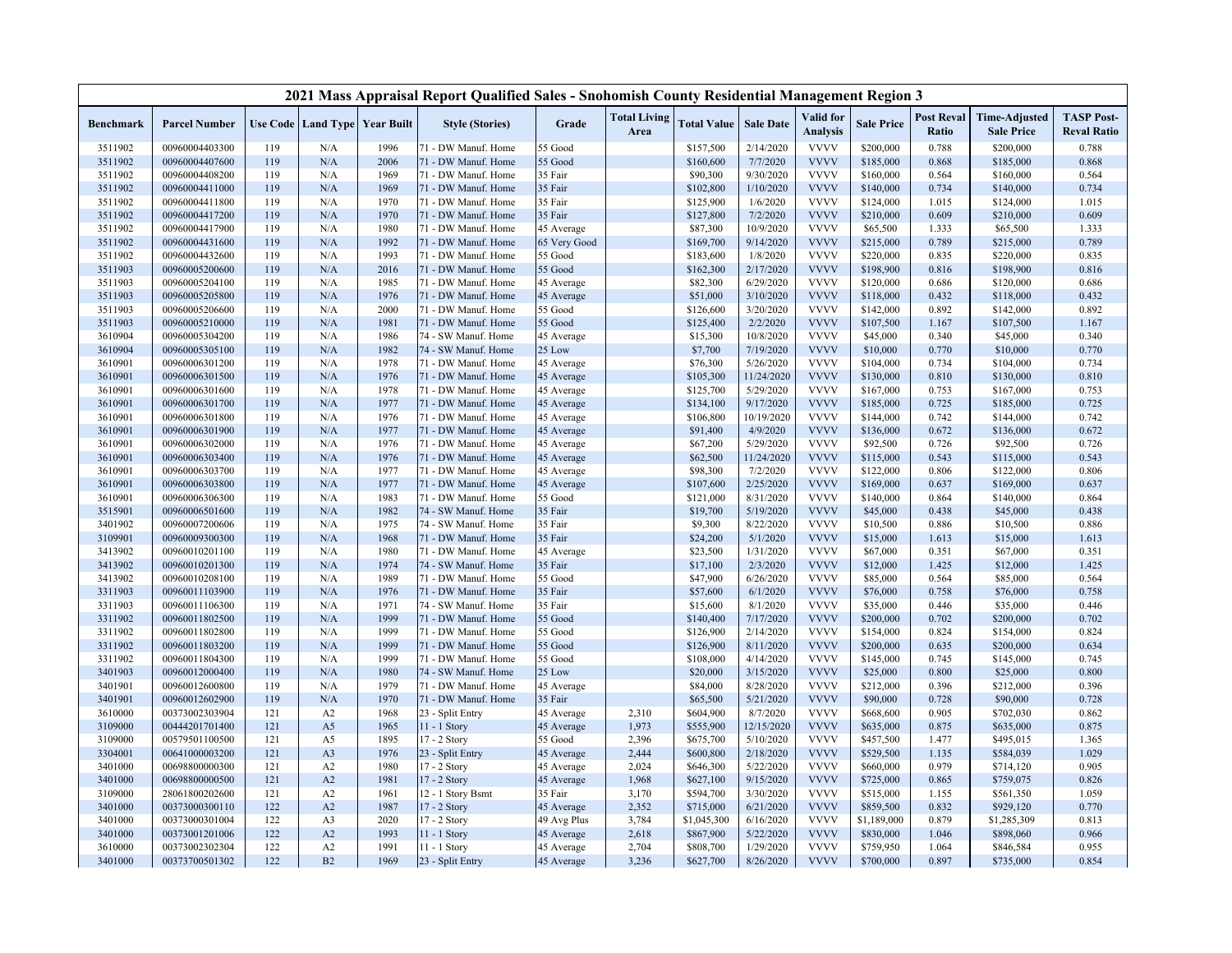|                    |                                  |            |                |                                   | 2021 Mass Appraisal Report Qualified Sales - Snohomish County Residential Management Region 3 |                       |                             |                      |                        |                              |                        |                            |                                           |                                         |
|--------------------|----------------------------------|------------|----------------|-----------------------------------|-----------------------------------------------------------------------------------------------|-----------------------|-----------------------------|----------------------|------------------------|------------------------------|------------------------|----------------------------|-------------------------------------------|-----------------------------------------|
| <b>Benchmark</b>   | <b>Parcel Number</b>             |            |                | Use Code   Land Type   Year Built | <b>Style (Stories)</b>                                                                        | Grade                 | <b>Total Living</b><br>Area | <b>Total Value</b>   | <b>Sale Date</b>       | Valid for<br><b>Analysis</b> | <b>Sale Price</b>      | <b>Post Reval</b><br>Ratio | <b>Time-Adjusted</b><br><b>Sale Price</b> | <b>TASP Post-</b><br><b>Reval Ratio</b> |
| 3511902            | 00960004403300                   | 119        | N/A            | 1996                              | 71 - DW Manuf. Home                                                                           | 55 Good               |                             | \$157,500            | 2/14/2020              | <b>VVVV</b>                  | \$200,000              | 0.788                      | \$200,000                                 | 0.788                                   |
| 3511902            | 00960004407600                   | 119        | N/A            | 2006                              | 71 - DW Manuf. Home                                                                           | 55 Good               |                             | \$160,600            | 7/7/2020               | <b>VVVV</b>                  | \$185,000              | 0.868                      | \$185,000                                 | 0.868                                   |
| 3511902            | 00960004408200                   | 119        | N/A            | 1969                              | 71 - DW Manuf. Home                                                                           | 35 Fair               |                             | \$90,300             | 9/30/2020              | <b>VVVV</b>                  | \$160,000              | 0.564                      | \$160,000                                 | 0.564                                   |
| 3511902            | 00960004411000                   | 119        | N/A            | 1969                              | 71 - DW Manuf. Home                                                                           | 35 Fair               |                             | \$102,800            | 1/10/2020              | <b>VVVV</b>                  | \$140,000              | 0.734                      | \$140,000                                 | 0.734                                   |
| 3511902            | 00960004411800                   | 119        | N/A            | 1970                              | 71 - DW Manuf. Home                                                                           | 35 Fair               |                             | \$125,900            | 1/6/2020               | <b>VVVV</b>                  | \$124,000              | 1.015                      | \$124,000                                 | 1.015                                   |
| 3511902            | 00960004417200                   | 119        | N/A            | 1970                              | 71 - DW Manuf. Home                                                                           | 35 Fair               |                             | \$127,800            | 7/2/2020               | <b>VVVV</b>                  | \$210,000              | 0.609                      | \$210,000                                 | 0.609                                   |
| 3511902            | 00960004417900                   | 119        | N/A            | 1980                              | 71 - DW Manuf. Home                                                                           | 45 Average            |                             | \$87,300             | 10/9/2020              | <b>VVVV</b>                  | \$65,500               | 1.333                      | \$65,500                                  | 1.333                                   |
| 3511902            | 00960004431600                   | 119        | N/A            | 1992                              | 71 - DW Manuf. Home                                                                           | 65 Very Good          |                             | \$169,700            | 9/14/2020              | <b>VVVV</b>                  | \$215,000              | 0.789                      | \$215,000                                 | 0.789                                   |
| 3511902            | 00960004432600                   | 119        | N/A            | 1993                              | 71 - DW Manuf. Home                                                                           | 55 Good               |                             | \$183,600            | 1/8/2020               | <b>VVVV</b>                  | \$220,000              | 0.835                      | \$220,000                                 | 0.835                                   |
| 3511903            | 00960005200600                   | 119        | N/A            | 2016                              | 71 - DW Manuf. Home                                                                           | 55 Good               |                             | \$162,300            | 2/17/2020              | <b>VVVV</b>                  | \$198,900              | 0.816                      | \$198,900                                 | 0.816                                   |
| 3511903            | 00960005204100                   | 119        | N/A            | 1985                              | 71 - DW Manuf. Home                                                                           | 45 Average            |                             | \$82,300             | 6/29/2020              | <b>VVVV</b>                  | \$120,000              | 0.686                      | \$120,000                                 | 0.686                                   |
| 3511903            | 00960005205800                   | 119        | N/A            | 1976                              | 71 - DW Manuf. Home                                                                           | 45 Average            |                             | \$51,000             | 3/10/2020              | <b>VVVV</b>                  | \$118,000              | 0.432                      | \$118,000                                 | 0.432                                   |
| 3511903            | 00960005206600                   | 119        | N/A            | 2000                              | 71 - DW Manuf. Home                                                                           | 55 Good               |                             | \$126,600            | 3/20/2020              | <b>VVVV</b>                  | \$142,000              | 0.892                      | \$142,000                                 | 0.892                                   |
| 3511903            | 00960005210000                   | 119        | N/A            | 1981                              | 71 - DW Manuf. Home                                                                           | 55 Good               |                             | \$125,400            | 2/2/2020               | <b>VVVV</b>                  | \$107,500              | 1.167                      | \$107,500                                 | 1.167                                   |
| 3610904            | 00960005304200                   | 119        | N/A            | 1986                              | 74 - SW Manuf. Home                                                                           | 45 Average            |                             | \$15,300             | 10/8/2020              | <b>VVVV</b>                  | \$45,000               | 0.340                      | \$45,000                                  | 0.340                                   |
| 3610904            | 00960005305100                   | 119        | N/A            | 1982                              | 74 - SW Manuf. Home                                                                           | 25 Low                |                             | \$7,700              | 7/19/2020              | <b>VVVV</b>                  | \$10,000               | 0.770                      | \$10,000                                  | 0.770                                   |
| 3610901            | 00960006301200                   | 119        | N/A            | 1978                              | 71 - DW Manuf. Home                                                                           | 45 Average            |                             | \$76,300             | 5/26/2020              | <b>VVVV</b>                  | \$104,000              | 0.734                      | \$104,000                                 | 0.734                                   |
| 3610901            | 00960006301500                   | 119        | N/A            | 1976                              | 71 - DW Manuf. Home                                                                           | 45 Average            |                             | \$105,300            | 11/24/2020             | <b>VVVV</b>                  | \$130,000              | 0.810                      | \$130,000                                 | 0.810                                   |
| 3610901            | 00960006301600                   | 119        | N/A            | 1978                              | 71 - DW Manuf. Home                                                                           | 45 Average            |                             | \$125,700            | 5/29/2020              | <b>VVVV</b>                  | \$167,000              | 0.753                      | \$167,000                                 | 0.753                                   |
| 3610901            | 00960006301700                   | 119        | N/A            | 1977                              | 71 - DW Manuf. Home                                                                           | 45 Average            |                             | \$134,100            | 9/17/2020              | <b>VVVV</b>                  | \$185,000              | 0.725                      | \$185,000                                 | 0.725                                   |
| 3610901            | 00960006301800                   | 119        | N/A            | 1976                              | 71 - DW Manuf. Home                                                                           | 45 Average            |                             | \$106,800            | 10/19/2020             | <b>VVVV</b>                  | \$144,000              | 0.742                      | \$144,000                                 | 0.742                                   |
| 3610901            | 00960006301900                   | 119        | N/A            | 1977                              | 71 - DW Manuf. Home                                                                           | 45 Average            |                             | \$91,400             | 4/9/2020               | <b>VVVV</b>                  | \$136,000              | 0.672                      | \$136,000                                 | 0.672                                   |
| 3610901            | 00960006302000                   | 119        | N/A            | 1976                              | 71 - DW Manuf. Home                                                                           | 45 Average            |                             | \$67,200             | 5/29/2020              | <b>VVVV</b>                  | \$92,500               | 0.726                      | \$92,500                                  | 0.726                                   |
| 3610901            | 00960006303400<br>00960006303700 | 119<br>119 | N/A<br>N/A     | 1976<br>1977                      | 71 - DW Manuf. Home<br>71 - DW Manuf. Home                                                    | 45 Average            |                             | \$62,500<br>\$98,300 | 11/24/2020<br>7/2/2020 | <b>VVVV</b><br><b>VVVV</b>   | \$115,000<br>\$122,000 | 0.543<br>0.806             | \$115,000                                 | 0.543<br>0.806                          |
| 3610901<br>3610901 | 00960006303800                   | 119        | N/A            | 1977                              | 71 - DW Manuf. Home                                                                           | 45 Average            |                             | \$107,600            | 2/25/2020              | <b>VVVV</b>                  | \$169,000              | 0.637                      | \$122,000<br>\$169,000                    | 0.637                                   |
| 3610901            | 00960006306300                   | 119        | N/A            | 1983                              | 71 - DW Manuf. Home                                                                           | 45 Average<br>55 Good |                             | \$121,000            | 8/31/2020              | <b>VVVV</b>                  | \$140,000              | 0.864                      | \$140,000                                 | 0.864                                   |
| 3515901            | 00960006501600                   | 119        | N/A            | 1982                              | 74 - SW Manuf. Home                                                                           | 35 Fair               |                             | \$19,700             | 5/19/2020              | <b>VVVV</b>                  | \$45,000               | 0.438                      | \$45,000                                  | 0.438                                   |
| 3401902            | 00960007200606                   | 119        | N/A            | 1975                              | 74 - SW Manuf. Home                                                                           | 35 Fair               |                             | \$9,300              | 8/22/2020              | <b>VVVV</b>                  | \$10,500               | 0.886                      | \$10,500                                  | 0.886                                   |
| 3109901            | 00960009300300                   | 119        | N/A            | 1968                              | 71 - DW Manuf. Home                                                                           | 35 Fair               |                             | \$24,200             | 5/1/2020               | <b>VVVV</b>                  | \$15,000               | 1.613                      | \$15,000                                  | 1.613                                   |
| 3413902            | 00960010201100                   | 119        | N/A            | 1980                              | 71 - DW Manuf. Home                                                                           | 45 Average            |                             | \$23,500             | 1/31/2020              | <b>VVVV</b>                  | \$67,000               | 0.351                      | \$67,000                                  | 0.351                                   |
| 3413902            | 00960010201300                   | 119        | N/A            | 1974                              | 74 - SW Manuf. Home                                                                           | 35 Fair               |                             | \$17,100             | 2/3/2020               | <b>VVVV</b>                  | \$12,000               | 1.425                      | \$12,000                                  | 1.425                                   |
| 3413902            | 00960010208100                   | 119        | N/A            | 1989                              | 71 - DW Manuf. Home                                                                           | 55 Good               |                             | \$47,900             | 6/26/2020              | <b>VVVV</b>                  | \$85,000               | 0.564                      | \$85,000                                  | 0.564                                   |
| 3311903            | 00960011103900                   | 119        | N/A            | 1976                              | 71 - DW Manuf. Home                                                                           | 35 Fair               |                             | \$57,600             | 6/1/2020               | <b>VVVV</b>                  | \$76,000               | 0.758                      | \$76,000                                  | 0.758                                   |
| 3311903            | 00960011106300                   | 119        | N/A            | 1971                              | 74 - SW Manuf. Home                                                                           | 35 Fair               |                             | \$15,600             | 8/1/2020               | <b>VVVV</b>                  | \$35,000               | 0.446                      | \$35,000                                  | 0.446                                   |
| 3311902            | 00960011802500                   | 119        | N/A            | 1999                              | 71 - DW Manuf. Home                                                                           | 55 Good               |                             | \$140,400            | 7/17/2020              | <b>VVVV</b>                  | \$200,000              | 0.702                      | \$200,000                                 | 0.702                                   |
| 3311902            | 00960011802800                   | 119        | N/A            | 1999                              | 71 - DW Manuf. Home                                                                           | 55 Good               |                             | \$126,900            | 2/14/2020              | <b>VVVV</b>                  | \$154,000              | 0.824                      | \$154,000                                 | 0.824                                   |
| 3311902            | 00960011803200                   | 119        | N/A            | 1999                              | 71 - DW Manuf. Home                                                                           | 55 Good               |                             | \$126,900            | 8/11/2020              | <b>VVVV</b>                  | \$200,000              | 0.635                      | \$200,000                                 | 0.634                                   |
| 3311902            | 00960011804300                   | 119        | N/A            | 1999                              | 71 - DW Manuf. Home                                                                           | 55 Good               |                             | \$108,000            | 4/14/2020              | <b>VVVV</b>                  | \$145,000              | 0.745                      | \$145,000                                 | 0.745                                   |
| 3401903            | 00960012000400                   | 119        | N/A            | 1980                              | 74 - SW Manuf. Home                                                                           | 25 Low                |                             | \$20,000             | 3/15/2020              | <b>VVVV</b>                  | \$25,000               | 0.800                      | \$25,000                                  | 0.800                                   |
| 3401901            | 00960012600800                   | 119        | N/A            | 1979                              | 71 - DW Manuf. Home                                                                           | 45 Average            |                             | \$84,000             | 8/28/2020              | <b>VVVV</b>                  | \$212,000              | 0.396                      | \$212,000                                 | 0.396                                   |
| 3401901            | 00960012602900                   | 119        | N/A            | 1970                              | 71 - DW Manuf. Home                                                                           | 35 Fair               |                             | \$65,500             | 5/21/2020              | <b>VVVV</b>                  | \$90,000               | 0.728                      | \$90,000                                  | 0.728                                   |
| 3610000            | 00373002303904                   | 121        | A <sub>2</sub> | 1968                              | 23 - Split Entry                                                                              | 45 Average            | 2,310                       | \$604,900            | 8/7/2020               | <b>VVVV</b>                  | \$668,600              | 0.905                      | \$702,030                                 | 0.862                                   |
| 3109000            | 00444201701400                   | 121        | A <sub>5</sub> | 1965                              | 11 - 1 Story                                                                                  | 45 Average            | 1,973                       | \$555,900            | 12/15/2020             | <b>VVVV</b>                  | \$635,000              | 0.875                      | \$635,000                                 | 0.875                                   |
| 3109000            | 00579501100500                   | 121        | A5             | 1895                              | 17 - 2 Story                                                                                  | 55 Good               | 2,396                       | \$675,700            | 5/10/2020              | <b>VVVV</b>                  | \$457,500              | 1.477                      | \$495,015                                 | 1.365                                   |
| 3304001            | 00641000003200                   | 121        | A <sub>3</sub> | 1976                              | 23 - Split Entry                                                                              | 45 Average            | 2,444                       | \$600,800            | 2/18/2020              | <b>VVVV</b>                  | \$529,500              | 1.135                      | \$584,039                                 | 1.029                                   |
| 3401000            | 00698800000300                   | 121        | A <sub>2</sub> | 1980                              | 17 - 2 Story                                                                                  | 45 Average            | 2,024                       | \$646,300            | 5/22/2020              | <b>VVVV</b>                  | \$660,000              | 0.979                      | \$714,120                                 | 0.905                                   |
| 3401000            | 00698800000500                   | 121        | A2             | 1981                              | 17 - 2 Story                                                                                  | 45 Average            | 1,968                       | \$627,100            | 9/15/2020              | <b>VVVV</b>                  | \$725,000              | 0.865                      | \$759,075                                 | 0.826                                   |
| 3109000            | 28061800202600                   | 121        | A2             | 1961                              | 12 - 1 Story Bsmt                                                                             | 35 Fair               | 3,170                       | \$594,700            | 3/30/2020              | <b>VVVV</b>                  | \$515,000              | 1.155                      | \$561,350                                 | 1.059                                   |
| 3401000            | 00373000300110                   | 122        | A2             | 1987                              | 17 - 2 Story                                                                                  | 45 Average            | 2,352                       | \$715,000            | 6/21/2020              | <b>VVVV</b>                  | \$859,500              | 0.832                      | \$929,120                                 | 0.770                                   |
| 3401000            | 00373000301004                   | 122        | A <sub>3</sub> | 2020                              | 17 - 2 Story                                                                                  | 49 Avg Plus           | 3,784                       | \$1,045,300          | 6/16/2020              | <b>VVVV</b>                  | \$1,189,000            | 0.879                      | \$1,285,309                               | 0.813                                   |
| 3401000            | 00373001201006                   | 122        | A2             | 1993                              | 11 - 1 Story                                                                                  | 45 Average            | 2,618                       | \$867,900            | 5/22/2020              | <b>VVVV</b>                  | \$830,000              | 1.046                      | \$898,060                                 | 0.966                                   |
| 3610000            | 00373002302304                   | 122        | A2             | 1991                              | 11 - 1 Story                                                                                  | 45 Average            | 2,704                       | \$808,700            | 1/29/2020              | <b>VVVV</b>                  | \$759,950              | 1.064                      | \$846,584                                 | 0.955                                   |
| 3401000            | 00373700501302                   | 122        | B2             | 1969                              | 23 - Split Entry                                                                              | 45 Average            | 3,236                       | \$627,700            | 8/26/2020              | <b>VVVV</b>                  | \$700,000              | 0.897                      | \$735,000                                 | 0.854                                   |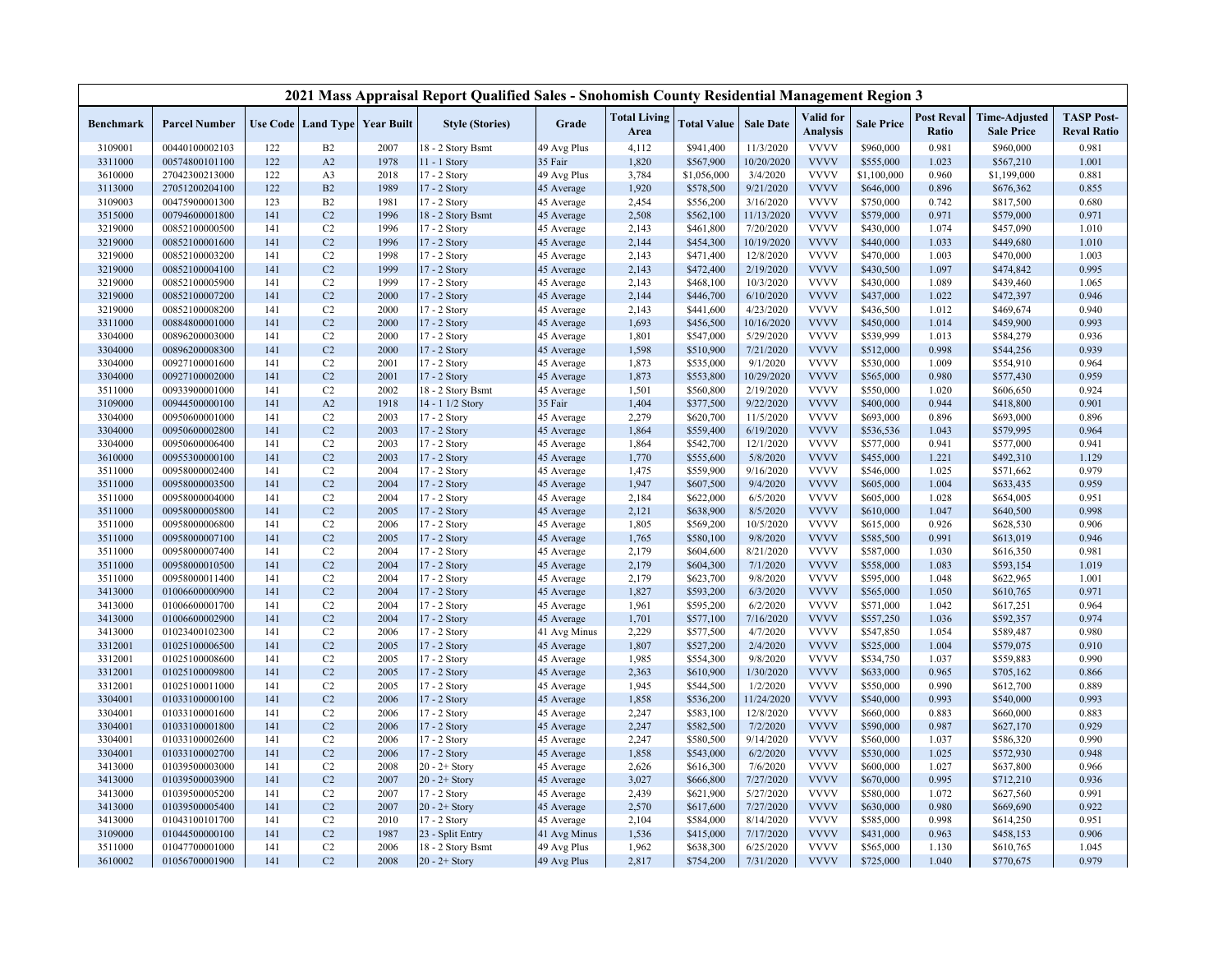|                    |                                  |            |                                          |              | 2021 Mass Appraisal Report Qualified Sales - Snohomish County Residential Management Region 3 |                          |                             |                        |                         |                              |                        |                            |                                           |                                         |
|--------------------|----------------------------------|------------|------------------------------------------|--------------|-----------------------------------------------------------------------------------------------|--------------------------|-----------------------------|------------------------|-------------------------|------------------------------|------------------------|----------------------------|-------------------------------------------|-----------------------------------------|
| <b>Benchmark</b>   | <b>Parcel Number</b>             |            | <b>Use Code   Land Type   Year Built</b> |              | <b>Style (Stories)</b>                                                                        | Grade                    | <b>Total Living</b><br>Area | <b>Total Value</b>     | <b>Sale Date</b>        | Valid for<br><b>Analysis</b> | <b>Sale Price</b>      | <b>Post Reval</b><br>Ratio | <b>Time-Adjusted</b><br><b>Sale Price</b> | <b>TASP Post-</b><br><b>Reval Ratio</b> |
| 3109001            | 00440100002103                   | 122        | B2                                       | 2007         | 8 - 2 Story Bsmt                                                                              | 49 Avg Plus              | 4,112                       | \$941,400              | 11/3/2020               | <b>VVVV</b>                  | \$960,000              | 0.981                      | \$960,000                                 | 0.981                                   |
| 3311000            | 00574800101100                   | 122        | A2                                       | 1978         | 11 - 1 Story                                                                                  | 35 Fair                  | 1,820                       | \$567,900              | 10/20/2020              | <b>VVVV</b>                  | \$555,000              | 1.023                      | \$567,210                                 | 1.001                                   |
| 3610000            | 27042300213000                   | 122        | A <sub>3</sub>                           | 2018         | 17 - 2 Story                                                                                  | 49 Avg Plus              | 3,784                       | \$1,056,000            | 3/4/2020                | <b>VVVV</b>                  | \$1,100,000            | 0.960                      | \$1,199,000                               | 0.881                                   |
| 3113000            | 27051200204100                   | 122        | B2                                       | 1989         | 17 - 2 Story                                                                                  | 45 Average               | 1,920                       | \$578,500              | 9/21/2020               | <b>VVVV</b>                  | \$646,000              | 0.896                      | \$676,362                                 | 0.855                                   |
| 3109003            | 00475900001300                   | 123        | B <sub>2</sub>                           | 1981         | 17 - 2 Story                                                                                  | 45 Average               | 2,454                       | \$556,200              | 3/16/2020               | <b>VVVV</b>                  | \$750,000              | 0.742                      | \$817,500                                 | 0.680                                   |
| 3515000            | 00794600001800                   | 141        | C <sub>2</sub>                           | 1996         | 18 - 2 Story Bsmt                                                                             | 45 Average               | 2,508                       | \$562,100              | 11/13/2020              | <b>VVVV</b>                  | \$579,000              | 0.971                      | \$579,000                                 | 0.971                                   |
| 3219000            | 00852100000500                   | 141        | C <sub>2</sub>                           | 1996         | $17 - 2$ Story                                                                                | 45 Average               | 2,143                       | \$461,800              | 7/20/2020               | <b>VVVV</b>                  | \$430,000              | 1.074                      | \$457,090                                 | 1.010                                   |
| 3219000            | 00852100001600                   | 141        | C <sub>2</sub>                           | 1996         | 17 - 2 Story                                                                                  | 45 Average               | 2,144                       | \$454,300              | 10/19/2020              | <b>VVVV</b>                  | \$440,000              | 1.033                      | \$449,680                                 | 1.010                                   |
| 3219000            | 00852100003200                   | 141        | C <sub>2</sub>                           | 1998         | 17 - 2 Story                                                                                  | 45 Average               | 2,143                       | \$471,400              | 12/8/2020               | <b>VVVV</b>                  | \$470,000              | 1.003                      | \$470,000                                 | 1.003                                   |
| 3219000            | 00852100004100                   | 141        | C <sub>2</sub>                           | 1999         | 17 - 2 Story                                                                                  | 45 Average               | 2,143                       | \$472,400              | 2/19/2020               | <b>VVVV</b>                  | \$430,500              | 1.097                      | \$474,842                                 | 0.995                                   |
| 3219000            | 00852100005900                   | 141        | C <sub>2</sub>                           | 1999         | 17 - 2 Story                                                                                  | 45 Average               | 2,143                       | \$468,100              | 10/3/2020               | <b>VVVV</b>                  | \$430,000              | 1.089                      | \$439,460                                 | 1.065                                   |
| 3219000            | 00852100007200                   | 141        | C <sub>2</sub>                           | 2000         | 17 - 2 Story                                                                                  | 45 Average               | 2,144                       | \$446,700              | 6/10/2020               | <b>VVVV</b>                  | \$437,000              | 1.022                      | \$472,397                                 | 0.946                                   |
| 3219000            | 00852100008200                   | 141        | C <sub>2</sub>                           | 2000         | 17 - 2 Story                                                                                  | 45 Average               | 2,143                       | \$441,600              | 4/23/2020               | <b>VVVV</b>                  | \$436,500              | 1.012                      | \$469,674                                 | 0.940                                   |
| 3311000            | 00884800001000                   | 141        | C <sub>2</sub>                           | 2000         | 17 - 2 Story                                                                                  | 45 Average               | 1,693                       | \$456,500              | 10/16/2020              | <b>VVVV</b>                  | \$450,000              | 1.014                      | \$459,900                                 | 0.993                                   |
| 3304000            | 00896200003000                   | 141        | C <sub>2</sub>                           | 2000         | 17 - 2 Story                                                                                  | 45 Average               | 1,801                       | \$547,000              | 5/29/2020               | <b>VVVV</b>                  | \$539,999              | 1.013                      | \$584,279                                 | 0.936                                   |
| 3304000            | 00896200008300                   | 141        | C <sub>2</sub>                           | 2000         | 17 - 2 Story                                                                                  | 45 Average               | 1,598                       | \$510,900              | 7/21/2020               | <b>VVVV</b>                  | \$512,000              | 0.998                      | \$544,256                                 | 0.939                                   |
| 3304000            | 00927100001600                   | 141        | C <sub>2</sub>                           | 2001         | 17 - 2 Story                                                                                  | 45 Average               | 1,873                       | \$535,000              | 9/1/2020                | <b>VVVV</b><br><b>VVVV</b>   | \$530,000              | 1.009                      | \$554,910                                 | 0.964                                   |
| 3304000            | 00927100002000                   | 141        | C <sub>2</sub>                           | 2001<br>2002 | 17 - 2 Story                                                                                  | 45 Average               | 1,873                       | \$553,800              | 10/29/2020              | <b>VVVV</b>                  | \$565,000              | 0.980<br>1.020             | \$577,430                                 | 0.959<br>0.924                          |
| 3511000            | 00933900001000<br>00944500000100 | 141<br>141 | C <sub>2</sub><br>A2                     | 1918         | 18 - 2 Story Bsmt<br>14 - 1 1/2 Story                                                         | 45 Average<br>35 Fair    | 1,501<br>1,404              | \$560,800<br>\$377,500 | 2/19/2020<br>9/22/2020  | <b>VVVV</b>                  | \$550,000<br>\$400,000 | 0.944                      | \$606,650                                 | 0.901                                   |
| 3109000<br>3304000 | 00950600001000                   | 141        | C <sub>2</sub>                           | 2003         | 17 - 2 Story                                                                                  | 45 Average               | 2,279                       | \$620,700              | 11/5/2020               | <b>VVVV</b>                  | \$693,000              | 0.896                      | \$418,800<br>\$693,000                    | 0.896                                   |
| 3304000            | 00950600002800                   | 141        | C <sub>2</sub>                           | 2003         | 17 - 2 Story                                                                                  | 45 Average               | 1,864                       | \$559,400              | 6/19/2020               | <b>VVVV</b>                  | \$536,536              | 1.043                      | \$579,995                                 | 0.964                                   |
| 3304000            | 00950600006400                   | 141        | C <sub>2</sub>                           | 2003         | 17 - 2 Story                                                                                  | 45 Average               | 1,864                       | \$542,700              | 12/1/2020               | <b>VVVV</b>                  | \$577,000              | 0.941                      | \$577,000                                 | 0.941                                   |
| 3610000            | 00955300000100                   | 141        | C <sub>2</sub>                           | 2003         | 17 - 2 Story                                                                                  | 45 Average               | 1,770                       | \$555,600              | 5/8/2020                | <b>VVVV</b>                  | \$455,000              | 1.221                      | \$492,310                                 | 1.129                                   |
| 3511000            | 00958000002400                   | 141        | C <sub>2</sub>                           | 2004         | 17 - 2 Story                                                                                  | 45 Average               | 1,475                       | \$559,900              | 9/16/2020               | <b>VVVV</b>                  | \$546,000              | 1.025                      | \$571,662                                 | 0.979                                   |
| 3511000            | 00958000003500                   | 141        | C <sub>2</sub>                           | 2004         | 17 - 2 Story                                                                                  | 45 Average               | 1,947                       | \$607,500              | 9/4/2020                | <b>VVVV</b>                  | \$605,000              | 1.004                      | \$633,435                                 | 0.959                                   |
| 3511000            | 00958000004000                   | 141        | C <sub>2</sub>                           | 2004         | 17 - 2 Story                                                                                  | 45 Average               | 2,184                       | \$622,000              | 6/5/2020                | <b>VVVV</b>                  | \$605,000              | 1.028                      | \$654,005                                 | 0.951                                   |
| 3511000            | 00958000005800                   | 141        | C <sub>2</sub>                           | 2005         | 17 - 2 Story                                                                                  | 45 Average               | 2,121                       | \$638,900              | 8/5/2020                | <b>VVVV</b>                  | \$610,000              | 1.047                      | \$640,500                                 | 0.998                                   |
| 3511000            | 00958000006800                   | 141        | C <sub>2</sub>                           | 2006         | 17 - 2 Story                                                                                  | 45 Average               | 1,805                       | \$569,200              | 10/5/2020               | <b>VVVV</b>                  | \$615,000              | 0.926                      | \$628,530                                 | 0.906                                   |
| 3511000            | 00958000007100                   | 141        | C <sub>2</sub>                           | 2005         | 17 - 2 Story                                                                                  | 45 Average               | 1,765                       | \$580,100              | 9/8/2020                | <b>VVVV</b>                  | \$585,500              | 0.991                      | \$613,019                                 | 0.946                                   |
| 3511000            | 00958000007400                   | 141        | C <sub>2</sub>                           | 2004         | 17 - 2 Story                                                                                  | 45 Average               | 2,179                       | \$604,600              | 8/21/2020               | <b>VVVV</b>                  | \$587,000              | 1.030                      | \$616,350                                 | 0.981                                   |
| 3511000            | 00958000010500                   | 141        | C <sub>2</sub>                           | 2004         | 17 - 2 Story                                                                                  | 45 Average               | 2,179                       | \$604,300              | 7/1/2020                | <b>VVVV</b>                  | \$558,000              | 1.083                      | \$593,154                                 | 1.019                                   |
| 3511000            | 00958000011400                   | 141        | C <sub>2</sub>                           | 2004         | 17 - 2 Story                                                                                  | 45 Average               | 2,179                       | \$623,700              | 9/8/2020                | <b>VVVV</b>                  | \$595,000              | 1.048                      | \$622,965                                 | 1.001                                   |
| 3413000            | 01006600000900                   | 141        | C <sub>2</sub>                           | 2004         | 17 - 2 Story                                                                                  | 45 Average               | 1,827                       | \$593,200              | 6/3/2020                | <b>VVVV</b>                  | \$565,000              | 1.050                      | \$610,765                                 | 0.971                                   |
| 3413000            | 01006600001700                   | 141        | C <sub>2</sub>                           | 2004         | 17 - 2 Story                                                                                  | 45 Average               | 1,961                       | \$595,200              | 6/2/2020                | <b>VVVV</b>                  | \$571,000              | 1.042                      | \$617,251                                 | 0.964                                   |
| 3413000            | 01006600002900                   | 141        | C <sub>2</sub>                           | 2004         | 17 - 2 Story                                                                                  | 45 Average               | 1,701                       | \$577,100              | 7/16/2020               | <b>VVVV</b>                  | \$557,250              | 1.036                      | \$592,357                                 | 0.974                                   |
| 3413000            | 01023400102300                   | 141        | C <sub>2</sub>                           | 2006         | 17 - 2 Story                                                                                  | 41 Avg Minus             | 2,229                       | \$577,500              | 4/7/2020                | <b>VVVV</b>                  | \$547,850              | 1.054                      | \$589,487                                 | 0.980                                   |
| 3312001            | 01025100006500                   | 141        | C <sub>2</sub>                           | 2005         | 17 - 2 Story                                                                                  | 45 Average               | 1,807                       | \$527,200              | 2/4/2020                | <b>VVVV</b>                  | \$525,000              | 1.004                      | \$579,075                                 | 0.910                                   |
| 3312001            | 01025100008600                   | 141        | C <sub>2</sub>                           | 2005         | 17 - 2 Story                                                                                  | 45 Average               | 1,985                       | \$554,300              | 9/8/2020                | <b>VVVV</b>                  | \$534,750              | 1.037                      | \$559,883                                 | 0.990                                   |
| 3312001            | 01025100009800                   | 141        | C <sub>2</sub>                           | 2005         | 17 - 2 Story                                                                                  | 45 Average               | 2,363                       | \$610,900              | 1/30/2020               | <b>VVVV</b>                  | \$633,000              | 0.965                      | \$705,162                                 | 0.866                                   |
| 3312001            | 01025100011000                   | 141        | C <sub>2</sub>                           | 2005         | 17 - 2 Story                                                                                  | 45 Average               | 1,945                       | \$544,500              | 1/2/2020                | <b>VVVV</b>                  | \$550,000              | 0.990                      | \$612,700                                 | 0.889                                   |
| 3304001<br>3304001 | 01033100000100<br>01033100001600 | 141<br>141 | C <sub>2</sub><br>C <sub>2</sub>         | 2006<br>2006 | 17 - 2 Story                                                                                  | 45 Average               | 1,858<br>2,247              | \$536,200<br>\$583,100 | 11/24/2020<br>12/8/2020 | <b>VVVV</b><br><b>VVVV</b>   | \$540,000<br>\$660,000 | 0.993<br>0.883             | \$540,000                                 | 0.993<br>0.883                          |
| 3304001            | 01033100001800                   | 141        | C <sub>2</sub>                           | 2006         | 17 - 2 Story<br>17 - 2 Story                                                                  | 45 Average<br>45 Average | 2,247                       | \$582,500              | 7/2/2020                | <b>VVVV</b>                  | \$590,000              | 0.987                      | \$660,000<br>\$627,170                    | 0.929                                   |
| 3304001            | 01033100002600                   | 141        | C <sub>2</sub>                           | 2006         | 17 - 2 Story                                                                                  | 45 Average               | 2,247                       | \$580,500              | 9/14/2020               | <b>VVVV</b>                  | \$560,000              | 1.037                      | \$586,320                                 | 0.990                                   |
| 3304001            | 01033100002700                   | 141        | C <sub>2</sub>                           | 2006         | 17 - 2 Story                                                                                  | 45 Average               | 1,858                       | \$543,000              | 6/2/2020                | <b>VVVV</b>                  | \$530,000              | 1.025                      | \$572,930                                 | 0.948                                   |
| 3413000            | 01039500003000                   | 141        | C <sub>2</sub>                           | 2008         | 20 - 2+ Story                                                                                 | 45 Average               | 2,626                       | \$616,300              | 7/6/2020                | <b>VVVV</b>                  | \$600,000              | 1.027                      | \$637,800                                 | 0.966                                   |
| 3413000            | 01039500003900                   | 141        | C <sub>2</sub>                           | 2007         | $20 - 2 +$ Story                                                                              | 45 Average               | 3,027                       | \$666,800              | 7/27/2020               | <b>VVVV</b>                  | \$670,000              | 0.995                      | \$712,210                                 | 0.936                                   |
| 3413000            | 01039500005200                   | 141        | C <sub>2</sub>                           | 2007         | 17 - 2 Story                                                                                  | 45 Average               | 2,439                       | \$621,900              | 5/27/2020               | <b>VVVV</b>                  | \$580,000              | 1.072                      | \$627,560                                 | 0.991                                   |
| 3413000            | 01039500005400                   | 141        | C <sub>2</sub>                           | 2007         | $20 - 2 +$ Story                                                                              | 45 Average               | 2,570                       | \$617,600              | 7/27/2020               | <b>VVVV</b>                  | \$630,000              | 0.980                      | \$669,690                                 | 0.922                                   |
| 3413000            | 01043100101700                   | 141        | C <sub>2</sub>                           | 2010         | 17 - 2 Story                                                                                  | 45 Average               | 2,104                       | \$584,000              | 8/14/2020               | <b>VVVV</b>                  | \$585,000              | 0.998                      | \$614,250                                 | 0.951                                   |
| 3109000            | 01044500000100                   | 141        | C <sub>2</sub>                           | 1987         | 23 - Split Entry                                                                              | 41 Avg Minus             | 1,536                       | \$415,000              | 7/17/2020               | <b>VVVV</b>                  | \$431,000              | 0.963                      | \$458,153                                 | 0.906                                   |
| 3511000            | 01047700001000                   | 141        | C <sub>2</sub>                           | 2006         | 18 - 2 Story Bsmt                                                                             | 49 Avg Plus              | 1,962                       | \$638,300              | 6/25/2020               | <b>VVVV</b>                  | \$565,000              | 1.130                      | \$610,765                                 | 1.045                                   |
| 3610002            | 01056700001900                   | 141        | C <sub>2</sub>                           | 2008         | $20 - 2 +$ Story                                                                              | 49 Avg Plus              | 2,817                       | \$754,200              | 7/31/2020               | <b>VVVV</b>                  | \$725,000              | 1.040                      | \$770,675                                 | 0.979                                   |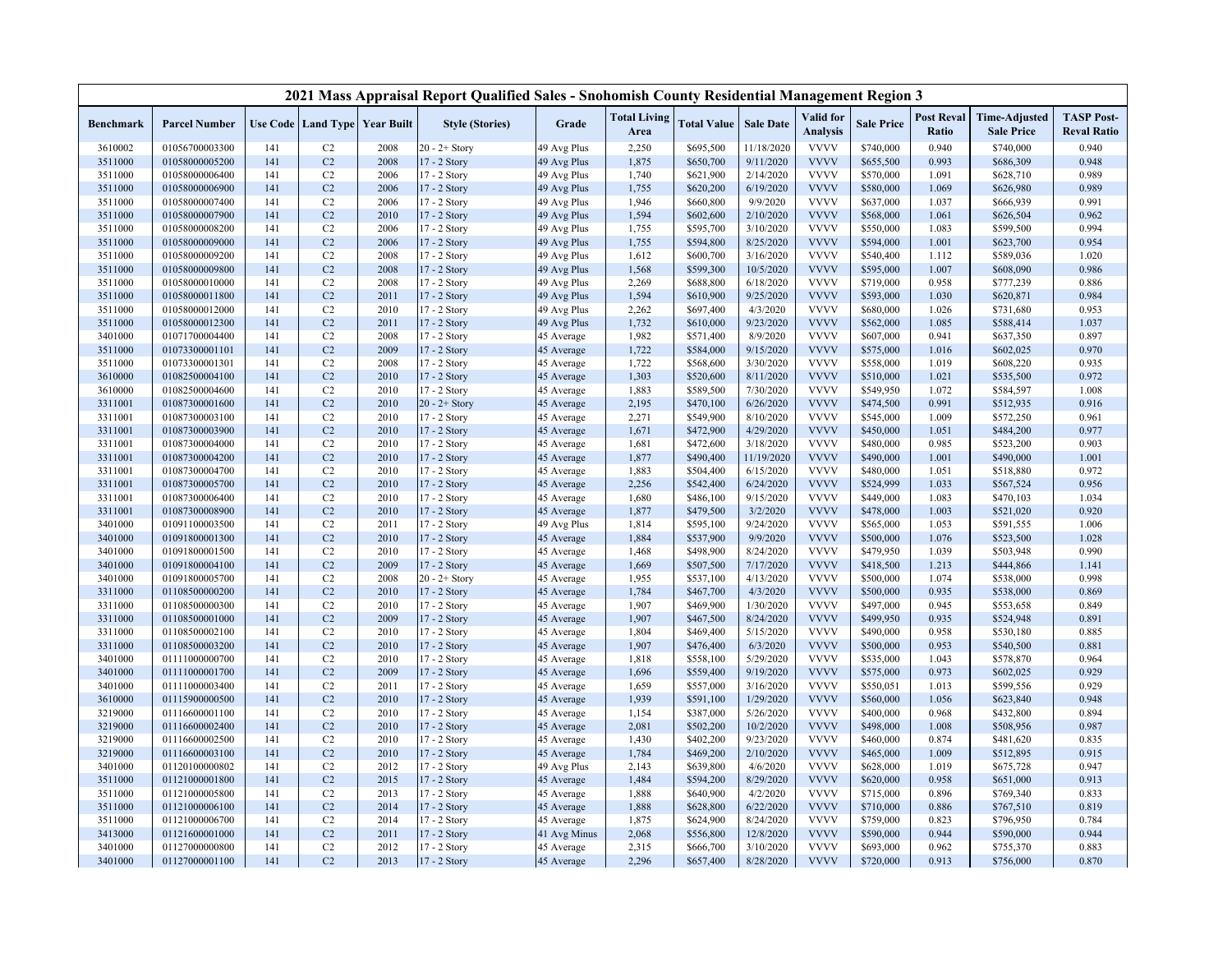|                    |                                  |            |                      |                                          | 2021 Mass Appraisal Report Qualified Sales - Snohomish County Residential Management Region 3 |                          |                             |                        |                       |                              |                        |                            |                                           |                                         |
|--------------------|----------------------------------|------------|----------------------|------------------------------------------|-----------------------------------------------------------------------------------------------|--------------------------|-----------------------------|------------------------|-----------------------|------------------------------|------------------------|----------------------------|-------------------------------------------|-----------------------------------------|
| <b>Benchmark</b>   | <b>Parcel Number</b>             |            |                      | <b>Use Code   Land Type   Year Built</b> | <b>Style (Stories)</b>                                                                        | Grade                    | <b>Total Living</b><br>Area | <b>Total Value</b>     | <b>Sale Date</b>      | Valid for<br><b>Analysis</b> | <b>Sale Price</b>      | <b>Post Reval</b><br>Ratio | <b>Time-Adjusted</b><br><b>Sale Price</b> | <b>TASP Post-</b><br><b>Reval Ratio</b> |
| 3610002            | 01056700003300                   | 141        | C2                   | 2008                                     | $20 - 2 +$ Story                                                                              | 49 Avg Plus              | 2,250                       | \$695,500              | 11/18/2020            | <b>VVVV</b>                  | \$740,000              | 0.940                      | \$740,000                                 | 0.940                                   |
| 3511000            | 01058000005200                   | 141        | C <sub>2</sub>       | 2008                                     | 17 - 2 Story                                                                                  | 49 Avg Plus              | 1,875                       | \$650,700              | 9/11/2020             | <b>VVVV</b>                  | \$655,500              | 0.993                      | \$686,309                                 | 0.948                                   |
| 3511000            | 01058000006400                   | 141        | C2                   | 2006                                     | 17 - 2 Story                                                                                  | 49 Avg Plus              | 1,740                       | \$621,900              | 2/14/2020             | <b>VVVV</b>                  | \$570,000              | 1.091                      | \$628,710                                 | 0.989                                   |
| 3511000            | 01058000006900                   | 141        | C <sub>2</sub>       | 2006                                     | 17 - 2 Story                                                                                  | 49 Avg Plus              | 1,755                       | \$620,200              | 6/19/2020             | <b>VVVV</b>                  | \$580,000              | 1.069                      | \$626,980                                 | 0.989                                   |
| 3511000            | 01058000007400                   | 141        | C2                   | 2006                                     | 17 - 2 Story                                                                                  | 49 Avg Plus              | 1,946                       | \$660,800              | 9/9/2020              | <b>VVVV</b>                  | \$637,000              | 1.037                      | \$666,939                                 | 0.991                                   |
| 3511000            | 01058000007900                   | 141        | C <sub>2</sub>       | 2010                                     | 17 - 2 Story                                                                                  | 49 Avg Plus              | 1,594                       | \$602,600              | 2/10/2020             | <b>VVVV</b>                  | \$568,000              | 1.061                      | \$626,504                                 | 0.962                                   |
| 3511000            | 01058000008200                   | 141        | C <sub>2</sub>       | 2006                                     | 17 - 2 Story                                                                                  | 49 Avg Plus              | 1,755                       | \$595,700              | 3/10/2020             | <b>VVVV</b>                  | \$550,000              | 1.083                      | \$599,500                                 | 0.994                                   |
| 3511000            | 01058000009000                   | 141        | C <sub>2</sub>       | 2006                                     | 17 - 2 Story                                                                                  | 49 Avg Plus              | 1,755                       | \$594,800              | 8/25/2020             | <b>VVVV</b>                  | \$594,000              | 1.001                      | \$623,700                                 | 0.954                                   |
| 3511000            | 01058000009200                   | 141        | C2                   | 2008                                     | 17 - 2 Story                                                                                  | 49 Avg Plus              | 1,612                       | \$600,700              | 3/16/2020             | <b>VVVV</b>                  | \$540,400              | 1.112                      | \$589,036                                 | 1.020                                   |
| 3511000            | 01058000009800                   | 141        | C <sub>2</sub>       | 2008                                     | 17 - 2 Story                                                                                  | 49 Avg Plus              | 1,568                       | \$599,300              | 10/5/2020             | <b>VVVV</b>                  | \$595,000              | 1.007                      | \$608,090                                 | 0.986                                   |
| 3511000            | 01058000010000                   | 141        | C <sub>2</sub>       | 2008                                     | 17 - 2 Story                                                                                  | 49 Avg Plus              | 2,269                       | \$688,800              | 6/18/2020             | <b>VVVV</b>                  | \$719,000              | 0.958                      | \$777,239                                 | 0.886                                   |
| 3511000            | 01058000011800                   | 141        | C <sub>2</sub>       | 2011                                     | 17 - 2 Story                                                                                  | 49 Avg Plus              | 1,594                       | \$610,900              | 9/25/2020             | <b>VVVV</b>                  | \$593,000              | 1.030                      | \$620,871                                 | 0.984                                   |
| 3511000            | 01058000012000                   | 141        | C2                   | 2010                                     | 17 - 2 Story                                                                                  | 49 Avg Plus              | 2,262                       | \$697,400              | 4/3/2020              | <b>VVVV</b>                  | \$680,000              | 1.026                      | \$731,680                                 | 0.953                                   |
| 3511000            | 01058000012300                   | 141        | C <sub>2</sub>       | 2011                                     | 17 - 2 Story                                                                                  | 49 Avg Plus              | 1,732                       | \$610,000              | 9/23/2020             | <b>VVVV</b>                  | \$562,000              | 1.085                      | \$588,414                                 | 1.037                                   |
| 3401000            | 01071700004400                   | 141        | C <sub>2</sub>       | 2008                                     | 17 - 2 Story                                                                                  | 45 Average               | 1,982                       | \$571,400              | 8/9/2020              | <b>VVVV</b>                  | \$607,000              | 0.941                      | \$637,350                                 | 0.897                                   |
| 3511000            | 01073300001101                   | 141        | C <sub>2</sub>       | 2009                                     | 17 - 2 Story                                                                                  | 45 Average               | 1,722                       | \$584,000              | 9/15/2020             | <b>VVVV</b>                  | \$575,000              | 1.016                      | \$602,025                                 | 0.970                                   |
| 3511000            | 01073300001301                   | 141        | C2                   | 2008                                     | 17 - 2 Story                                                                                  | 45 Average               | 1,722                       | \$568,600              | 3/30/2020             | <b>VVVV</b>                  | \$558,000              | 1.019                      | \$608,220                                 | 0.935                                   |
| 3610000            | 01082500004100                   | 141        | C <sub>2</sub>       | 2010                                     | 17 - 2 Story                                                                                  | 45 Average               | 1,303                       | \$520,600              | 8/11/2020             | <b>VVVV</b>                  | \$510,000              | 1.021                      | \$535,500                                 | 0.972                                   |
| 3610000            | 01082500004600                   | 141        | C2                   | 2010                                     | 17 - 2 Story                                                                                  | 45 Average               | 1,883                       | \$589,500              | 7/30/2020             | <b>VVVV</b>                  | \$549,950              | 1.072                      | \$584,597                                 | 1.008                                   |
| 3311001            | 01087300001600                   | 141        | C <sub>2</sub>       | 2010                                     | $20 - 2 +$ Story                                                                              | 45 Average               | 2,195                       | \$470,100              | 6/26/2020             | <b>VVVV</b>                  | \$474,500              | 0.991                      | \$512,935                                 | 0.916                                   |
| 3311001            | 01087300003100                   | 141        | C2                   | 2010                                     | 17 - 2 Story                                                                                  | 45 Average               | 2,271                       | \$549,900              | 8/10/2020             | <b>VVVV</b>                  | \$545,000              | 1.009                      | \$572,250                                 | 0.961                                   |
| 3311001            | 01087300003900                   | 141        | C <sub>2</sub>       | 2010                                     | 17 - 2 Story                                                                                  | 45 Average               | 1,671                       | \$472,900              | 4/29/2020             | <b>VVVV</b>                  | \$450,000              | 1.051                      | \$484,200                                 | 0.977                                   |
| 3311001            | 01087300004000                   | 141        | C <sub>2</sub>       | 2010                                     | 17 - 2 Story                                                                                  | 45 Average               | 1,681                       | \$472,600              | 3/18/2020             | <b>VVVV</b>                  | \$480,000              | 0.985                      | \$523,200                                 | 0.903                                   |
| 3311001            | 01087300004200                   | 141        | C <sub>2</sub>       | 2010                                     | 17 - 2 Story                                                                                  | 45 Average               | 1,877                       | \$490,400              | 11/19/2020            | <b>VVVV</b>                  | \$490,000              | 1.001                      | \$490,000                                 | 1.001                                   |
| 3311001            | 01087300004700                   | 141        | C2                   | 2010                                     | 17 - 2 Story                                                                                  | 45 Average               | 1,883                       | \$504,400              | 6/15/2020             | <b>VVVV</b>                  | \$480,000              | 1.051                      | \$518,880                                 | 0.972                                   |
| 3311001            | 01087300005700                   | 141        | C <sub>2</sub>       | 2010                                     | 17 - 2 Story                                                                                  | 45 Average               | 2,256                       | \$542,400              | 6/24/2020             | <b>VVVV</b>                  | \$524,999              | 1.033                      | \$567,524                                 | 0.956                                   |
| 3311001            | 01087300006400                   | 141        | C2                   | 2010                                     | 17 - 2 Story                                                                                  | 45 Average               | 1,680                       | \$486,100              | 9/15/2020             | <b>VVVV</b>                  | \$449,000              | 1.083                      | \$470,103                                 | 1.034                                   |
| 3311001            | 01087300008900                   | 141        | C <sub>2</sub>       | 2010                                     | 17 - 2 Story                                                                                  | 45 Average               | 1,877                       | \$479,500              | 3/2/2020              | <b>VVVV</b>                  | \$478,000              | 1.003                      | \$521,020                                 | 0.920                                   |
| 3401000            | 01091100003500                   | 141        | C2                   | 2011                                     | 17 - 2 Story                                                                                  | 49 Avg Plus              | 1,814                       | \$595,100              | 9/24/2020             | <b>VVVV</b>                  | \$565,000              | 1.053                      | \$591,555                                 | 1.006                                   |
| 3401000            | 01091800001300                   | 141        | C <sub>2</sub>       | 2010                                     | 17 - 2 Story                                                                                  | 45 Average               | 1,884                       | \$537,900              | 9/9/2020              | <b>VVVV</b>                  | \$500,000              | 1.076                      | \$523,500                                 | 1.028                                   |
| 3401000            | 01091800001500                   | 141        | C2                   | 2010                                     | 17 - 2 Story                                                                                  | 45 Average               | 1,468                       | \$498,900              | 8/24/2020             | <b>VVVV</b>                  | \$479,950              | 1.039                      | \$503,948                                 | 0.990                                   |
| 3401000            | 01091800004100                   | 141        | C <sub>2</sub>       | 2009                                     | 17 - 2 Story                                                                                  | 45 Average               | 1,669                       | \$507,500              | 7/17/2020             | <b>VVVV</b>                  | \$418,500              | 1.213                      | \$444,866                                 | 1.141                                   |
| 3401000            | 01091800005700                   | 141        | C <sub>2</sub>       | 2008                                     | $20 - 2 +$ Story                                                                              | 45 Average               | 1,955                       | \$537,100              | 4/13/2020             | <b>VVVV</b>                  | \$500,000              | 1.074                      | \$538,000                                 | 0.998                                   |
| 3311000            | 01108500000200                   | 141        | C <sub>2</sub>       | 2010                                     | 17 - 2 Story                                                                                  | 45 Average               | 1,784                       | \$467,700              | 4/3/2020              | <b>VVVV</b>                  | \$500,000              | 0.935                      | \$538,000                                 | 0.869                                   |
| 3311000            | 01108500000300                   | 141        | C2                   | 2010                                     | 17 - 2 Story                                                                                  | 45 Average               | 1,907                       | \$469,900              | 1/30/2020             | <b>VVVV</b>                  | \$497,000              | 0.945                      | \$553,658                                 | 0.849                                   |
| 3311000            | 01108500001000                   | 141        | C <sub>2</sub>       | 2009                                     | 17 - 2 Story                                                                                  | 45 Average               | 1,907                       | \$467,500              | 8/24/2020             | <b>VVVV</b>                  | \$499,950              | 0.935                      | \$524,948                                 | 0.891                                   |
| 3311000            | 01108500002100                   | 141        | C2                   | 2010                                     | 17 - 2 Story                                                                                  | 45 Average               | 1,804                       | \$469,400              | 5/15/2020             | <b>VVVV</b>                  | \$490,000              | 0.958                      | \$530,180                                 | 0.885                                   |
| 3311000            | 01108500003200                   | 141        | C <sub>2</sub>       | 2010                                     | 17 - 2 Story                                                                                  | 45 Average               | 1,907                       | \$476,400              | 6/3/2020              | <b>VVVV</b>                  | \$500,000              | 0.953                      | \$540,500                                 | 0.881                                   |
| 3401000            | 01111000000700                   | 141        | C <sub>2</sub>       | 2010                                     | 17 - 2 Story                                                                                  | 45 Average               | 1,818                       | \$558,100              | 5/29/2020             | <b>VVVV</b>                  | \$535,000              | 1.043                      | \$578,870                                 | 0.964                                   |
| 3401000            | 01111000001700                   | 141        | C <sub>2</sub>       | 2009                                     | 17 - 2 Story                                                                                  | 45 Average               | 1,696                       | \$559,400              | 9/19/2020             | <b>VVVV</b>                  | \$575,000              | 0.973                      | \$602,025                                 | 0.929                                   |
| 3401000            | 01111000003400                   | 141        | C2                   | 2011                                     | 17 - 2 Story                                                                                  | 45 Average               | 1,659                       | \$557,000              | 3/16/2020             | <b>VVVV</b>                  | \$550,051              | 1.013                      | \$599,556                                 | 0.929                                   |
| 3610000            | 01115900000500                   | 141        | C <sub>2</sub>       | 2010                                     | 17 - 2 Story                                                                                  | 45 Average               | 1,939                       | \$591,100              | 1/29/2020             | <b>VVVV</b>                  | \$560,000              | 1.056                      | \$623,840                                 | 0.948                                   |
| 3219000            | 01116600001100                   | 141        | C <sub>2</sub>       | 2010                                     | 17 - 2 Story                                                                                  | 45 Average               | 1,154                       | \$387,000              | 5/26/2020             | <b>VVVV</b>                  | \$400,000              | 0.968                      | \$432,800                                 | 0.894                                   |
| 3219000            | 01116600002400                   | 141        | C <sub>2</sub>       | 2010                                     | 17 - 2 Story                                                                                  | 45 Average               | 2,081                       | \$502,200              | 10/2/2020             | <b>VVVV</b>                  | \$498,000              | 1.008                      | \$508,956                                 | 0.987                                   |
| 3219000            | 01116600002500                   | 141        | C2<br>C <sub>2</sub> | 2010                                     | 17 - 2 Story                                                                                  | 45 Average               | 1,430                       | \$402,200              | 9/23/2020             | <b>VVVV</b><br><b>VVVV</b>   | \$460,000              | 0.874                      | \$481,620                                 | 0.835                                   |
| 3219000<br>3401000 | 01116600003100<br>01120100000802 | 141<br>141 | C2                   | 2010<br>2012                             | 17 - 2 Story<br>17 - 2 Story                                                                  | 45 Average               | 1,784<br>2,143              | \$469,200<br>\$639,800 | 2/10/2020<br>4/6/2020 | <b>VVVV</b>                  | \$465,000<br>\$628,000 | 1.009<br>1.019             | \$512,895<br>\$675,728                    | 0.915<br>0.947                          |
|                    | 01121000001800                   | 141        | C <sub>2</sub>       | 2015                                     | 17 - 2 Story                                                                                  | 49 Avg Plus              | 1,484                       | \$594,200              | 8/29/2020             | <b>VVVV</b>                  | \$620,000              | 0.958                      | \$651,000                                 | 0.913                                   |
| 3511000<br>3511000 | 01121000005800                   | 141        | C <sub>2</sub>       | 2013                                     | 17 - 2 Story                                                                                  | 45 Average<br>45 Average | 1,888                       | \$640,900              | 4/2/2020              | <b>VVVV</b>                  | \$715,000              | 0.896                      | \$769,340                                 | 0.833                                   |
| 3511000            | 01121000006100                   | 141        | C <sub>2</sub>       | 2014                                     | 17 - 2 Story                                                                                  | 45 Average               | 1,888                       | \$628,800              | 6/22/2020             | <b>VVVV</b>                  | \$710,000              | 0.886                      | \$767,510                                 | 0.819                                   |
| 3511000            | 01121000006700                   | 141        | C <sub>2</sub>       | 2014                                     | 17 - 2 Story                                                                                  | 45 Average               | 1,875                       | \$624,900              | 8/24/2020             | <b>VVVV</b>                  | \$759,000              | 0.823                      | \$796,950                                 | 0.784                                   |
| 3413000            | 01121600001000                   | 141        | C <sub>2</sub>       | 2011                                     | 17 - 2 Story                                                                                  | 41 Avg Minus             | 2,068                       | \$556,800              | 12/8/2020             | <b>VVVV</b>                  | \$590,000              | 0.944                      | \$590,000                                 | 0.944                                   |
| 3401000            | 01127000000800                   | 141        | C2                   | 2012                                     | 17 - 2 Story                                                                                  | 45 Average               | 2,315                       | \$666,700              | 3/10/2020             | <b>VVVV</b>                  | \$693,000              | 0.962                      | \$755,370                                 | 0.883                                   |
| 3401000            | 01127000001100                   | 141        | C <sub>2</sub>       | 2013                                     | 17 - 2 Story                                                                                  | 45 Average               | 2,296                       | \$657,400              | 8/28/2020             | <b>VVVV</b>                  | \$720,000              | 0.913                      | \$756,000                                 | 0.870                                   |
|                    |                                  |            |                      |                                          |                                                                                               |                          |                             |                        |                       |                              |                        |                            |                                           |                                         |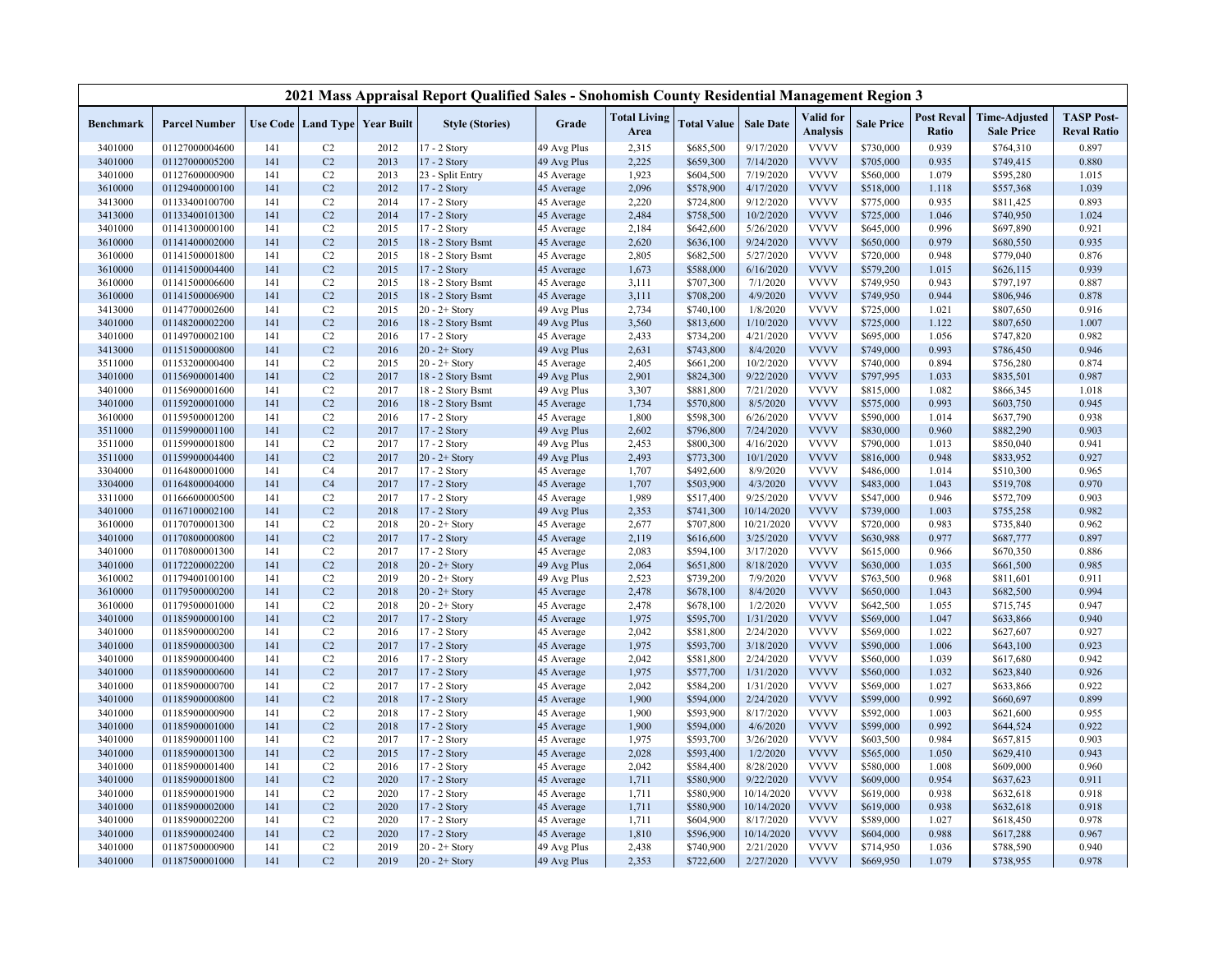| Valid for<br><b>Post Reval</b><br><b>Time-Adjusted</b><br><b>TASP Post-</b><br><b>Total Living</b><br><b>Use Code   Land Type   Year Built</b><br><b>Style (Stories)</b><br>Grade<br><b>Total Value</b><br><b>Sale Date</b><br><b>Sale Price</b><br><b>Benchmark</b><br><b>Parcel Number</b><br>Area<br><b>Analysis</b><br>Ratio<br><b>Sale Price</b><br><b>Reval Ratio</b><br><b>VVVV</b><br>0.939<br>0.897<br>3401000<br>01127000004600<br>C2<br>2012<br>17 - 2 Story<br>49 Avg Plus<br>2,315<br>\$685,500<br>9/17/2020<br>\$730,000<br>\$764,310<br>141<br><b>VVVV</b><br>C <sub>2</sub><br>2013<br>17 - 2 Story<br>49 Avg Plus<br>2,225<br>7/14/2020<br>\$705,000<br>\$749,415<br>0.880<br>3401000<br>01127000005200<br>141<br>\$659,300<br>0.935<br>7/19/2020<br><b>VVVV</b><br>\$560,000<br>3401000<br>01127600000900<br>C <sub>2</sub><br>2013<br>23 - Split Entry<br>1,923<br>\$604,500<br>1.079<br>\$595,280<br>1.015<br>141<br>45 Average<br><b>VVVV</b><br>C <sub>2</sub><br>2012<br>2,096<br>4/17/2020<br>1.039<br>3610000<br>01129400000100<br>141<br>17 - 2 Story<br>45 Average<br>\$578,900<br>\$518,000<br>1.118<br>\$557,368<br>17 - 2 Story<br>2,220<br><b>VVVV</b><br>3413000<br>01133400100700<br>141<br>C <sub>2</sub><br>2014<br>45 Average<br>\$724,800<br>9/12/2020<br>\$775,000<br>0.935<br>\$811,425<br>0.893<br>3413000<br>01133400101300<br>C <sub>2</sub><br>2014<br>17 - 2 Story<br>2,484<br>\$758,500<br>10/2/2020<br><b>VVVV</b><br>\$725,000<br>1.046<br>\$740,950<br>1.024<br>141<br>45 Average<br>5/26/2020<br><b>VVVV</b><br>0.996<br>0.921<br>3401000<br>01141300000100<br>141<br>C <sub>2</sub><br>2015<br>17 - 2 Story<br>45 Average<br>2,184<br>\$642,600<br>\$645,000<br>\$697,890<br><b>VVVV</b><br>0.935<br>3610000<br>01141400002000<br>141<br>C <sub>2</sub><br>2015<br>18 - 2 Story Bsmt<br>2,620<br>\$636,100<br>9/24/2020<br>\$650,000<br>0.979<br>\$680,550<br>45 Average<br><b>VVVV</b><br>C <sub>2</sub><br>2015<br>2,805<br>\$682,500<br>5/27/2020<br>0.948<br>0.876<br>3610000<br>01141500001800<br>141<br>18 - 2 Story Bsmt<br>\$720,000<br>\$779,040<br>45 Average<br><b>VVVV</b><br>C <sub>2</sub><br>2015<br>6/16/2020<br>0.939<br>3610000<br>01141500004400<br>141<br>17 - 2 Story<br>1,673<br>\$588,000<br>\$579,200<br>1.015<br>\$626,115<br>45 Average<br><b>VVVV</b><br>01141500006600<br>C <sub>2</sub><br>2015<br>18 - 2 Story Bsmt<br>7/1/2020<br>\$749,950<br>0.943<br>0.887<br>3610000<br>141<br>45 Average<br>3,111<br>\$707,300<br>\$797,197<br>C <sub>2</sub><br><b>VVVV</b><br>3610000<br>01141500006900<br>141<br>2015<br>18 - 2 Story Bsmt<br>45 Average<br>3,111<br>\$708,200<br>4/9/2020<br>\$749,950<br>0.944<br>\$806,946<br>0.878<br><b>VVVV</b><br>3413000<br>01147700002600<br>141<br>C <sub>2</sub><br>2015<br>$20 - 2 +$ Story<br>49 Avg Plus<br>2,734<br>\$740,100<br>1/8/2020<br>\$725,000<br>1.021<br>\$807,650<br>0.916<br><b>VVVV</b><br>C <sub>2</sub><br>2016<br>3,560<br>\$813,600<br>1/10/2020<br>\$725,000<br>1.122<br>1.007<br>3401000<br>01148200002200<br>141<br>18 - 2 Story Bsmt<br>49 Avg Plus<br>\$807,650<br><b>VVVV</b><br>0.982<br>3401000<br>01149700002100<br>141<br>C <sub>2</sub><br>2016<br>17 - 2 Story<br>45 Average<br>2,433<br>\$734,200<br>4/21/2020<br>\$695,000<br>1.056<br>\$747,820<br><b>VVVV</b><br>01151500000800<br>141<br>C <sub>2</sub><br>2016<br>$20 - 2 +$ Story<br>49 Avg Plus<br>2,631<br>\$743,800<br>8/4/2020<br>\$749,000<br>0.993<br>0.946<br>3413000<br>\$786,450<br>C <sub>2</sub><br>10/2/2020<br><b>VVVV</b><br>\$740,000<br>0.894<br>0.874<br>3511000<br>01153200000400<br>141<br>2015<br>$20 - 2 +$ Story<br>45 Average<br>2,405<br>\$661,200<br>\$756,280<br>9/22/2020<br><b>VVVV</b><br>0.987<br>3401000<br>01156900001400<br>141<br>C <sub>2</sub><br>2017<br>18 - 2 Story Bsmt<br>49 Avg Plus<br>2,901<br>\$824,300<br>\$797,995<br>1.033<br>\$835,501<br>C <sub>2</sub><br>2017<br>7/21/2020<br><b>VVVV</b><br>3401000<br>01156900001600<br>141<br>18 - 2 Story Bsmt<br>49 Avg Plus<br>3,307<br>\$881,800<br>\$815,000<br>1.082<br>\$866,345<br>1.018<br><b>VVVV</b><br>0.945<br>141<br>C <sub>2</sub><br>2016<br>18 - 2 Story Bsmt<br>1,734<br>\$570,800<br>8/5/2020<br>\$575,000<br>0.993<br>3401000<br>01159200001000<br>45 Average<br>\$603,750<br><b>VVVV</b><br>C <sub>2</sub><br>2016<br>1,800<br>\$598,300<br>6/26/2020<br>\$590,000<br>1.014<br>0.938<br>3610000<br>01159500001200<br>141<br>17 - 2 Story<br>45 Average<br>\$637,790<br><b>VVVV</b><br>0.903<br>3511000<br>01159900001100<br>141<br>C <sub>2</sub><br>2017<br>17 - 2 Story<br>49 Avg Plus<br>2,602<br>\$796,800<br>7/24/2020<br>\$830,000<br>0.960<br>\$882,290<br><b>VVVV</b><br>01159900001800<br>C <sub>2</sub><br>2017<br>17 - 2 Story<br>2,453<br>\$800,300<br>4/16/2020<br>\$790,000<br>1.013<br>\$850,040<br>0.941<br>3511000<br>141<br>49 Avg Plus<br>C <sub>2</sub><br>2017<br>2,493<br>\$773,300<br>10/1/2020<br><b>VVVV</b><br>0.948<br>0.927<br>3511000<br>01159900004400<br>141<br>$20 - 2 +$ Story<br>49 Avg Plus<br>\$816,000<br>\$833,952<br>8/9/2020<br><b>VVVV</b><br>3304000<br>01164800001000<br>141<br>C <sub>4</sub><br>2017<br>17 - 2 Story<br>1,707<br>\$492,600<br>\$486,000<br>1.014<br>\$510,300<br>0.965<br>45 Average<br><b>VVVV</b><br>01164800004000<br>141<br>C <sub>4</sub><br>2017<br>1,707<br>\$503,900<br>4/3/2020<br>\$483,000<br>1.043<br>0.970<br>3304000<br>17 - 2 Story<br>45 Average<br>\$519,708<br>2017<br>1,989<br><b>VVVV</b><br>01166600000500<br>141<br>C <sub>2</sub><br>17 - 2 Story<br>\$517,400<br>9/25/2020<br>\$547,000<br>0.946<br>\$572,709<br>0.903<br>3311000<br>45 Average<br>C <sub>2</sub><br>10/14/2020<br><b>VVVV</b><br>0.982<br>01167100002100<br>2018<br>2,353<br>\$741,300<br>\$739,000<br>1.003<br>\$755,258<br>3401000<br>141<br>17 - 2 Story<br>49 Avg Plus<br><b>VVVV</b><br>2018<br>2,677<br>\$707,800<br>0.962<br>3610000<br>01170700001300<br>141<br>C <sub>2</sub><br>45 Average<br>10/21/2020<br>\$720,000<br>0.983<br>\$735,840<br>$20 - 2 +$ Story<br>C <sub>2</sub><br><b>VVVV</b><br>01170800000800<br>2017<br>2,119<br>3/25/2020<br>\$630,988<br>0.977<br>0.897<br>3401000<br>141<br>17 - 2 Story<br>45 Average<br>\$616,600<br>\$687,777<br><b>VVVV</b><br>2017<br>2,083<br>3/17/2020<br>3401000<br>01170800001300<br>141<br>C <sub>2</sub><br>17 - 2 Story<br>45 Average<br>\$594,100<br>\$615,000<br>0.966<br>\$670,350<br>0.886<br>C <sub>2</sub><br><b>VVVV</b><br>3401000<br>01172200002200<br>141<br>2018<br>$20 - 2 +$ Story<br>2,064<br>\$651,800<br>8/18/2020<br>\$630,000<br>1.035<br>\$661,500<br>0.985<br>49 Avg Plus<br>01179400100100<br>C <sub>2</sub><br>2019<br>2,523<br>\$739,200<br>7/9/2020<br><b>VVVV</b><br>0.968<br>0.911<br>3610002<br>141<br>$20 - 2 +$ Story<br>49 Avg Plus<br>\$763,500<br>\$811,601<br>C <sub>2</sub><br>2018<br>2,478<br>8/4/2020<br><b>VVVV</b><br>0.994<br>3610000<br>01179500000200<br>141<br>$20 - 2 +$ Story<br>45 Average<br>\$678,100<br>\$650,000<br>1.043<br>\$682,500<br>1/2/2020<br><b>VVVV</b><br>0.947<br>3610000<br>01179500001000<br>141<br>C <sub>2</sub><br>2018<br>$20 - 2 +$ Story<br>2,478<br>\$678,100<br>\$642,500<br>1.055<br>\$715,745<br>45 Average<br><b>VVVV</b><br>C <sub>2</sub><br>2017<br>1,975<br>\$595,700<br>1/31/2020<br>\$569,000<br>1.047<br>0.940<br>3401000<br>01185900000100<br>141<br>17 - 2 Story<br>45 Average<br>\$633,866<br><b>VVVV</b><br>3401000<br>01185900000200<br>141<br>C <sub>2</sub><br>2016<br>17 - 2 Story<br>2,042<br>\$581,800<br>2/24/2020<br>\$569,000<br>1.022<br>\$627,607<br>0.927<br>45 Average<br><b>VVVV</b><br>C <sub>2</sub><br>2017<br>1,975<br>\$593,700<br>3/18/2020<br>0.923<br>3401000<br>01185900000300<br>141<br>17 - 2 Story<br>45 Average<br>\$590,000<br>1.006<br>\$643,100<br>2,042<br>2/24/2020<br><b>VVVV</b><br>\$560,000<br>0.942<br>3401000<br>01185900000400<br>141<br>C <sub>2</sub><br>2016<br>17 - 2 Story<br>45 Average<br>\$581,800<br>1.039<br>\$617,680<br><b>VVVV</b><br>3401000<br>01185900000600<br>141<br>C <sub>2</sub><br>2017<br>1,975<br>\$577,700<br>1/31/2020<br>\$560,000<br>1.032<br>\$623,840<br>0.926<br>17 - 2 Story<br>45 Average<br>2017<br>2,042<br>\$584,200<br>1/31/2020<br><b>VVVV</b><br>1.027<br>0.922<br>3401000<br>01185900000700<br>141<br>C <sub>2</sub><br>17 - 2 Story<br>45 Average<br>\$569,000<br>\$633,866<br>C <sub>2</sub><br>1,900<br>2/24/2020<br><b>VVVV</b><br>0.992<br>0.899<br>3401000<br>01185900000800<br>141<br>2018<br>17 - 2 Story<br>\$594,000<br>\$599,000<br>\$660,697<br>45 Average<br><b>VVVV</b><br>C <sub>2</sub><br>2018<br>1,900<br>\$593,900<br>8/17/2020<br>\$592,000<br>1.003<br>0.955<br>3401000<br>01185900000900<br>141<br>17 - 2 Story<br>45 Average<br>\$621,600<br>C <sub>2</sub><br>2018<br>1,900<br>\$594,000<br>4/6/2020<br><b>VVVV</b><br>0.992<br>0.922<br>3401000<br>01185900001000<br>141<br>17 - 2 Story<br>45 Average<br>\$599,000<br>\$644,524<br><b>VVVV</b><br>141<br>C <sub>2</sub><br>2017<br>1,975<br>\$593,700<br>3/26/2020<br>\$603,500<br>0.984<br>0.903<br>3401000<br>01185900001100<br>17 - 2 Story<br>45 Average<br>\$657,815<br><b>VVVV</b><br>C <sub>2</sub><br>2015<br>2,028<br>1/2/2020<br>\$565,000<br>0.943<br>3401000<br>01185900001300<br>141<br>17 - 2 Story<br>\$593,400<br>1.050<br>\$629,410<br>45 Average<br><b>VVVV</b><br>01185900001400<br>C <sub>2</sub><br>2016<br>2,042<br>8/28/2020<br>1.008<br>0.960<br>3401000<br>141<br>17 - 2 Story<br>45 Average<br>\$584,400<br>\$580,000<br>\$609,000<br>C <sub>2</sub><br><b>VVVV</b><br>0.954<br>3401000<br>01185900001800<br>141<br>2020<br>17 - 2 Story<br>45 Average<br>1,711<br>\$580,900<br>9/22/2020<br>\$609,000<br>\$637,623<br>0.911<br><b>VVVV</b><br>3401000<br>01185900001900<br>141<br>C <sub>2</sub><br>2020<br>17 - 2 Story<br>1,711<br>\$580,900<br>10/14/2020<br>\$619,000<br>0.938<br>\$632,618<br>0.918<br>45 Average<br><b>VVVV</b><br>C <sub>2</sub><br>2020<br>1,711<br>\$580,900<br>10/14/2020<br>\$619,000<br>0.938<br>\$632,618<br>0.918<br>3401000<br>01185900002000<br>141<br>17 - 2 Story<br>45 Average<br>2020<br><b>VVVV</b><br>0.978<br>3401000<br>01185900002200<br>141<br>C <sub>2</sub><br>17 - 2 Story<br>45 Average<br>1,711<br>\$604,900<br>8/17/2020<br>\$589,000<br>1.027<br>\$618,450<br>C <sub>2</sub><br>2020<br><b>VVVV</b><br>3401000<br>01185900002400<br>141<br>17 - 2 Story<br>1,810<br>\$596,900<br>10/14/2020<br>\$604,000<br>0.988<br>0.967<br>45 Average<br>\$617,288<br><b>VVVV</b><br>C <sub>2</sub><br>2019<br>2,438<br>\$740,900<br>2/21/2020<br>\$714,950<br>1.036<br>0.940<br>3401000<br>01187500000900<br>141<br>$20 - 2 +$ Story<br>49 Avg Plus<br>\$788,590<br>C <sub>2</sub><br>2019<br>2,353<br>2/27/2020<br><b>VVVV</b><br>\$669,950<br>1.079<br>3401000<br>01187500001000<br>141<br>$20 - 2 +$ Story<br>49 Avg Plus<br>\$722,600<br>\$738,955<br>0.978 |  |  | 2021 Mass Appraisal Report Qualified Sales - Snohomish County Residential Management Region 3 |  |  |  |  |  |
|-----------------------------------------------------------------------------------------------------------------------------------------------------------------------------------------------------------------------------------------------------------------------------------------------------------------------------------------------------------------------------------------------------------------------------------------------------------------------------------------------------------------------------------------------------------------------------------------------------------------------------------------------------------------------------------------------------------------------------------------------------------------------------------------------------------------------------------------------------------------------------------------------------------------------------------------------------------------------------------------------------------------------------------------------------------------------------------------------------------------------------------------------------------------------------------------------------------------------------------------------------------------------------------------------------------------------------------------------------------------------------------------------------------------------------------------------------------------------------------------------------------------------------------------------------------------------------------------------------------------------------------------------------------------------------------------------------------------------------------------------------------------------------------------------------------------------------------------------------------------------------------------------------------------------------------------------------------------------------------------------------------------------------------------------------------------------------------------------------------------------------------------------------------------------------------------------------------------------------------------------------------------------------------------------------------------------------------------------------------------------------------------------------------------------------------------------------------------------------------------------------------------------------------------------------------------------------------------------------------------------------------------------------------------------------------------------------------------------------------------------------------------------------------------------------------------------------------------------------------------------------------------------------------------------------------------------------------------------------------------------------------------------------------------------------------------------------------------------------------------------------------------------------------------------------------------------------------------------------------------------------------------------------------------------------------------------------------------------------------------------------------------------------------------------------------------------------------------------------------------------------------------------------------------------------------------------------------------------------------------------------------------------------------------------------------------------------------------------------------------------------------------------------------------------------------------------------------------------------------------------------------------------------------------------------------------------------------------------------------------------------------------------------------------------------------------------------------------------------------------------------------------------------------------------------------------------------------------------------------------------------------------------------------------------------------------------------------------------------------------------------------------------------------------------------------------------------------------------------------------------------------------------------------------------------------------------------------------------------------------------------------------------------------------------------------------------------------------------------------------------------------------------------------------------------------------------------------------------------------------------------------------------------------------------------------------------------------------------------------------------------------------------------------------------------------------------------------------------------------------------------------------------------------------------------------------------------------------------------------------------------------------------------------------------------------------------------------------------------------------------------------------------------------------------------------------------------------------------------------------------------------------------------------------------------------------------------------------------------------------------------------------------------------------------------------------------------------------------------------------------------------------------------------------------------------------------------------------------------------------------------------------------------------------------------------------------------------------------------------------------------------------------------------------------------------------------------------------------------------------------------------------------------------------------------------------------------------------------------------------------------------------------------------------------------------------------------------------------------------------------------------------------------------------------------------------------------------------------------------------------------------------------------------------------------------------------------------------------------------------------------------------------------------------------------------------------------------------------------------------------------------------------------------------------------------------------------------------------------------------------------------------------------------------------------------------------------------------------------------------------------------------------------------------------------------------------------------------------------------------------------------------------------------------------------------------------------------------------------------------------------------------------------------------------------------------------------------------------------------------------------------------------------------------------------------------------------------------------------------------------------------------------------------------------------------------------------------------------------------------------------------------------------------------------------------------------------------------------------------------------------------------------------------------------------------------------------------------------------------------------------------------------------------------------------------------------------------------------------------------------------------------------------------------------------------------------------------------------------------------------------------------------------------------------------------------------------------------------------------------------------------------------------------------------------------------------------------------------------------------------------------------------------------------------------------------------------------------------------------------------------------------------------------------------------------------------------------------------------------------------------------------------------------------------------------------------------------------------------------------------------------------------------------------------------------------------------------------------------------------------------------------------------------------------------------------------------------------------------------------------------------------------------------------------------------------------------------------------------------------------------------------------------------------------------------------------------------------------------------------------------------------------------------------------------------------------------------------------------------------------------------------------------------------------------------------------------------------------------------------------------------------------------------------------------------------------------------------------------------------------------------------------------------------------------------------------------------------------------------------------------------------------------------------------------------------------------------------------------------------------------------------------------------------------------------------------------------------------------------------------------------------------------------------------------------------------------------------------------------------------------------------------------------------------------------------------------------------------------------------------------------------------------------------------------------------------------------------------------------------------------------------------------------------------------------------------------------------------------------------------------------------------------------------------------------------------------------------------------------------------------------------------------------------------------------------------------------------------------------------------------------------------------------------------------------------------------------------------------------------------------------------------------------------------------|--|--|-----------------------------------------------------------------------------------------------|--|--|--|--|--|
|                                                                                                                                                                                                                                                                                                                                                                                                                                                                                                                                                                                                                                                                                                                                                                                                                                                                                                                                                                                                                                                                                                                                                                                                                                                                                                                                                                                                                                                                                                                                                                                                                                                                                                                                                                                                                                                                                                                                                                                                                                                                                                                                                                                                                                                                                                                                                                                                                                                                                                                                                                                                                                                                                                                                                                                                                                                                                                                                                                                                                                                                                                                                                                                                                                                                                                                                                                                                                                                                                                                                                                                                                                                                                                                                                                                                                                                                                                                                                                                                                                                                                                                                                                                                                                                                                                                                                                                                                                                                                                                                                                                                                                                                                                                                                                                                                                                                                                                                                                                                                                                                                                                                                                                                                                                                                                                                                                                                                                                                                                                                                                                                                                                                                                                                                                                                                                                                                                                                                                                                                                                                                                                                                                                                                                                                                                                                                                                                                                                                                                                                                                                                                                                                                                                                                                                                                                                                                                                                                                                                                                                                                                                                                                                                                                                                                                                                                                                                                                                                                                                                                                                                                                                                                                                                                                                                                                                                                                                                                                                                                                                                                                                                                                                                                                                                                                                                                                                                                                                                                                                                                                                                                                                                                                                                                                                                                                                                                                                                                                                                                                                                                                                                                                                                                                                                                                                                                                                                                                                                                                                                                                                                                                                                                                                                                                                                                                                                                                                                                                                                                                                                                                                                                                                                                                                                                                                                                                                                                                                                                                                                                                                                                                                                                                                                                                                                                                                                                                                             |  |  |                                                                                               |  |  |  |  |  |
|                                                                                                                                                                                                                                                                                                                                                                                                                                                                                                                                                                                                                                                                                                                                                                                                                                                                                                                                                                                                                                                                                                                                                                                                                                                                                                                                                                                                                                                                                                                                                                                                                                                                                                                                                                                                                                                                                                                                                                                                                                                                                                                                                                                                                                                                                                                                                                                                                                                                                                                                                                                                                                                                                                                                                                                                                                                                                                                                                                                                                                                                                                                                                                                                                                                                                                                                                                                                                                                                                                                                                                                                                                                                                                                                                                                                                                                                                                                                                                                                                                                                                                                                                                                                                                                                                                                                                                                                                                                                                                                                                                                                                                                                                                                                                                                                                                                                                                                                                                                                                                                                                                                                                                                                                                                                                                                                                                                                                                                                                                                                                                                                                                                                                                                                                                                                                                                                                                                                                                                                                                                                                                                                                                                                                                                                                                                                                                                                                                                                                                                                                                                                                                                                                                                                                                                                                                                                                                                                                                                                                                                                                                                                                                                                                                                                                                                                                                                                                                                                                                                                                                                                                                                                                                                                                                                                                                                                                                                                                                                                                                                                                                                                                                                                                                                                                                                                                                                                                                                                                                                                                                                                                                                                                                                                                                                                                                                                                                                                                                                                                                                                                                                                                                                                                                                                                                                                                                                                                                                                                                                                                                                                                                                                                                                                                                                                                                                                                                                                                                                                                                                                                                                                                                                                                                                                                                                                                                                                                                                                                                                                                                                                                                                                                                                                                                                                                                                                                                                             |  |  |                                                                                               |  |  |  |  |  |
|                                                                                                                                                                                                                                                                                                                                                                                                                                                                                                                                                                                                                                                                                                                                                                                                                                                                                                                                                                                                                                                                                                                                                                                                                                                                                                                                                                                                                                                                                                                                                                                                                                                                                                                                                                                                                                                                                                                                                                                                                                                                                                                                                                                                                                                                                                                                                                                                                                                                                                                                                                                                                                                                                                                                                                                                                                                                                                                                                                                                                                                                                                                                                                                                                                                                                                                                                                                                                                                                                                                                                                                                                                                                                                                                                                                                                                                                                                                                                                                                                                                                                                                                                                                                                                                                                                                                                                                                                                                                                                                                                                                                                                                                                                                                                                                                                                                                                                                                                                                                                                                                                                                                                                                                                                                                                                                                                                                                                                                                                                                                                                                                                                                                                                                                                                                                                                                                                                                                                                                                                                                                                                                                                                                                                                                                                                                                                                                                                                                                                                                                                                                                                                                                                                                                                                                                                                                                                                                                                                                                                                                                                                                                                                                                                                                                                                                                                                                                                                                                                                                                                                                                                                                                                                                                                                                                                                                                                                                                                                                                                                                                                                                                                                                                                                                                                                                                                                                                                                                                                                                                                                                                                                                                                                                                                                                                                                                                                                                                                                                                                                                                                                                                                                                                                                                                                                                                                                                                                                                                                                                                                                                                                                                                                                                                                                                                                                                                                                                                                                                                                                                                                                                                                                                                                                                                                                                                                                                                                                                                                                                                                                                                                                                                                                                                                                                                                                                                                                                             |  |  |                                                                                               |  |  |  |  |  |
|                                                                                                                                                                                                                                                                                                                                                                                                                                                                                                                                                                                                                                                                                                                                                                                                                                                                                                                                                                                                                                                                                                                                                                                                                                                                                                                                                                                                                                                                                                                                                                                                                                                                                                                                                                                                                                                                                                                                                                                                                                                                                                                                                                                                                                                                                                                                                                                                                                                                                                                                                                                                                                                                                                                                                                                                                                                                                                                                                                                                                                                                                                                                                                                                                                                                                                                                                                                                                                                                                                                                                                                                                                                                                                                                                                                                                                                                                                                                                                                                                                                                                                                                                                                                                                                                                                                                                                                                                                                                                                                                                                                                                                                                                                                                                                                                                                                                                                                                                                                                                                                                                                                                                                                                                                                                                                                                                                                                                                                                                                                                                                                                                                                                                                                                                                                                                                                                                                                                                                                                                                                                                                                                                                                                                                                                                                                                                                                                                                                                                                                                                                                                                                                                                                                                                                                                                                                                                                                                                                                                                                                                                                                                                                                                                                                                                                                                                                                                                                                                                                                                                                                                                                                                                                                                                                                                                                                                                                                                                                                                                                                                                                                                                                                                                                                                                                                                                                                                                                                                                                                                                                                                                                                                                                                                                                                                                                                                                                                                                                                                                                                                                                                                                                                                                                                                                                                                                                                                                                                                                                                                                                                                                                                                                                                                                                                                                                                                                                                                                                                                                                                                                                                                                                                                                                                                                                                                                                                                                                                                                                                                                                                                                                                                                                                                                                                                                                                                                                                             |  |  |                                                                                               |  |  |  |  |  |
|                                                                                                                                                                                                                                                                                                                                                                                                                                                                                                                                                                                                                                                                                                                                                                                                                                                                                                                                                                                                                                                                                                                                                                                                                                                                                                                                                                                                                                                                                                                                                                                                                                                                                                                                                                                                                                                                                                                                                                                                                                                                                                                                                                                                                                                                                                                                                                                                                                                                                                                                                                                                                                                                                                                                                                                                                                                                                                                                                                                                                                                                                                                                                                                                                                                                                                                                                                                                                                                                                                                                                                                                                                                                                                                                                                                                                                                                                                                                                                                                                                                                                                                                                                                                                                                                                                                                                                                                                                                                                                                                                                                                                                                                                                                                                                                                                                                                                                                                                                                                                                                                                                                                                                                                                                                                                                                                                                                                                                                                                                                                                                                                                                                                                                                                                                                                                                                                                                                                                                                                                                                                                                                                                                                                                                                                                                                                                                                                                                                                                                                                                                                                                                                                                                                                                                                                                                                                                                                                                                                                                                                                                                                                                                                                                                                                                                                                                                                                                                                                                                                                                                                                                                                                                                                                                                                                                                                                                                                                                                                                                                                                                                                                                                                                                                                                                                                                                                                                                                                                                                                                                                                                                                                                                                                                                                                                                                                                                                                                                                                                                                                                                                                                                                                                                                                                                                                                                                                                                                                                                                                                                                                                                                                                                                                                                                                                                                                                                                                                                                                                                                                                                                                                                                                                                                                                                                                                                                                                                                                                                                                                                                                                                                                                                                                                                                                                                                                                                                                             |  |  |                                                                                               |  |  |  |  |  |
|                                                                                                                                                                                                                                                                                                                                                                                                                                                                                                                                                                                                                                                                                                                                                                                                                                                                                                                                                                                                                                                                                                                                                                                                                                                                                                                                                                                                                                                                                                                                                                                                                                                                                                                                                                                                                                                                                                                                                                                                                                                                                                                                                                                                                                                                                                                                                                                                                                                                                                                                                                                                                                                                                                                                                                                                                                                                                                                                                                                                                                                                                                                                                                                                                                                                                                                                                                                                                                                                                                                                                                                                                                                                                                                                                                                                                                                                                                                                                                                                                                                                                                                                                                                                                                                                                                                                                                                                                                                                                                                                                                                                                                                                                                                                                                                                                                                                                                                                                                                                                                                                                                                                                                                                                                                                                                                                                                                                                                                                                                                                                                                                                                                                                                                                                                                                                                                                                                                                                                                                                                                                                                                                                                                                                                                                                                                                                                                                                                                                                                                                                                                                                                                                                                                                                                                                                                                                                                                                                                                                                                                                                                                                                                                                                                                                                                                                                                                                                                                                                                                                                                                                                                                                                                                                                                                                                                                                                                                                                                                                                                                                                                                                                                                                                                                                                                                                                                                                                                                                                                                                                                                                                                                                                                                                                                                                                                                                                                                                                                                                                                                                                                                                                                                                                                                                                                                                                                                                                                                                                                                                                                                                                                                                                                                                                                                                                                                                                                                                                                                                                                                                                                                                                                                                                                                                                                                                                                                                                                                                                                                                                                                                                                                                                                                                                                                                                                                                                                                             |  |  |                                                                                               |  |  |  |  |  |
|                                                                                                                                                                                                                                                                                                                                                                                                                                                                                                                                                                                                                                                                                                                                                                                                                                                                                                                                                                                                                                                                                                                                                                                                                                                                                                                                                                                                                                                                                                                                                                                                                                                                                                                                                                                                                                                                                                                                                                                                                                                                                                                                                                                                                                                                                                                                                                                                                                                                                                                                                                                                                                                                                                                                                                                                                                                                                                                                                                                                                                                                                                                                                                                                                                                                                                                                                                                                                                                                                                                                                                                                                                                                                                                                                                                                                                                                                                                                                                                                                                                                                                                                                                                                                                                                                                                                                                                                                                                                                                                                                                                                                                                                                                                                                                                                                                                                                                                                                                                                                                                                                                                                                                                                                                                                                                                                                                                                                                                                                                                                                                                                                                                                                                                                                                                                                                                                                                                                                                                                                                                                                                                                                                                                                                                                                                                                                                                                                                                                                                                                                                                                                                                                                                                                                                                                                                                                                                                                                                                                                                                                                                                                                                                                                                                                                                                                                                                                                                                                                                                                                                                                                                                                                                                                                                                                                                                                                                                                                                                                                                                                                                                                                                                                                                                                                                                                                                                                                                                                                                                                                                                                                                                                                                                                                                                                                                                                                                                                                                                                                                                                                                                                                                                                                                                                                                                                                                                                                                                                                                                                                                                                                                                                                                                                                                                                                                                                                                                                                                                                                                                                                                                                                                                                                                                                                                                                                                                                                                                                                                                                                                                                                                                                                                                                                                                                                                                                                                                             |  |  |                                                                                               |  |  |  |  |  |
|                                                                                                                                                                                                                                                                                                                                                                                                                                                                                                                                                                                                                                                                                                                                                                                                                                                                                                                                                                                                                                                                                                                                                                                                                                                                                                                                                                                                                                                                                                                                                                                                                                                                                                                                                                                                                                                                                                                                                                                                                                                                                                                                                                                                                                                                                                                                                                                                                                                                                                                                                                                                                                                                                                                                                                                                                                                                                                                                                                                                                                                                                                                                                                                                                                                                                                                                                                                                                                                                                                                                                                                                                                                                                                                                                                                                                                                                                                                                                                                                                                                                                                                                                                                                                                                                                                                                                                                                                                                                                                                                                                                                                                                                                                                                                                                                                                                                                                                                                                                                                                                                                                                                                                                                                                                                                                                                                                                                                                                                                                                                                                                                                                                                                                                                                                                                                                                                                                                                                                                                                                                                                                                                                                                                                                                                                                                                                                                                                                                                                                                                                                                                                                                                                                                                                                                                                                                                                                                                                                                                                                                                                                                                                                                                                                                                                                                                                                                                                                                                                                                                                                                                                                                                                                                                                                                                                                                                                                                                                                                                                                                                                                                                                                                                                                                                                                                                                                                                                                                                                                                                                                                                                                                                                                                                                                                                                                                                                                                                                                                                                                                                                                                                                                                                                                                                                                                                                                                                                                                                                                                                                                                                                                                                                                                                                                                                                                                                                                                                                                                                                                                                                                                                                                                                                                                                                                                                                                                                                                                                                                                                                                                                                                                                                                                                                                                                                                                                                                                             |  |  |                                                                                               |  |  |  |  |  |
|                                                                                                                                                                                                                                                                                                                                                                                                                                                                                                                                                                                                                                                                                                                                                                                                                                                                                                                                                                                                                                                                                                                                                                                                                                                                                                                                                                                                                                                                                                                                                                                                                                                                                                                                                                                                                                                                                                                                                                                                                                                                                                                                                                                                                                                                                                                                                                                                                                                                                                                                                                                                                                                                                                                                                                                                                                                                                                                                                                                                                                                                                                                                                                                                                                                                                                                                                                                                                                                                                                                                                                                                                                                                                                                                                                                                                                                                                                                                                                                                                                                                                                                                                                                                                                                                                                                                                                                                                                                                                                                                                                                                                                                                                                                                                                                                                                                                                                                                                                                                                                                                                                                                                                                                                                                                                                                                                                                                                                                                                                                                                                                                                                                                                                                                                                                                                                                                                                                                                                                                                                                                                                                                                                                                                                                                                                                                                                                                                                                                                                                                                                                                                                                                                                                                                                                                                                                                                                                                                                                                                                                                                                                                                                                                                                                                                                                                                                                                                                                                                                                                                                                                                                                                                                                                                                                                                                                                                                                                                                                                                                                                                                                                                                                                                                                                                                                                                                                                                                                                                                                                                                                                                                                                                                                                                                                                                                                                                                                                                                                                                                                                                                                                                                                                                                                                                                                                                                                                                                                                                                                                                                                                                                                                                                                                                                                                                                                                                                                                                                                                                                                                                                                                                                                                                                                                                                                                                                                                                                                                                                                                                                                                                                                                                                                                                                                                                                                                                                                             |  |  |                                                                                               |  |  |  |  |  |
|                                                                                                                                                                                                                                                                                                                                                                                                                                                                                                                                                                                                                                                                                                                                                                                                                                                                                                                                                                                                                                                                                                                                                                                                                                                                                                                                                                                                                                                                                                                                                                                                                                                                                                                                                                                                                                                                                                                                                                                                                                                                                                                                                                                                                                                                                                                                                                                                                                                                                                                                                                                                                                                                                                                                                                                                                                                                                                                                                                                                                                                                                                                                                                                                                                                                                                                                                                                                                                                                                                                                                                                                                                                                                                                                                                                                                                                                                                                                                                                                                                                                                                                                                                                                                                                                                                                                                                                                                                                                                                                                                                                                                                                                                                                                                                                                                                                                                                                                                                                                                                                                                                                                                                                                                                                                                                                                                                                                                                                                                                                                                                                                                                                                                                                                                                                                                                                                                                                                                                                                                                                                                                                                                                                                                                                                                                                                                                                                                                                                                                                                                                                                                                                                                                                                                                                                                                                                                                                                                                                                                                                                                                                                                                                                                                                                                                                                                                                                                                                                                                                                                                                                                                                                                                                                                                                                                                                                                                                                                                                                                                                                                                                                                                                                                                                                                                                                                                                                                                                                                                                                                                                                                                                                                                                                                                                                                                                                                                                                                                                                                                                                                                                                                                                                                                                                                                                                                                                                                                                                                                                                                                                                                                                                                                                                                                                                                                                                                                                                                                                                                                                                                                                                                                                                                                                                                                                                                                                                                                                                                                                                                                                                                                                                                                                                                                                                                                                                                                                             |  |  |                                                                                               |  |  |  |  |  |
|                                                                                                                                                                                                                                                                                                                                                                                                                                                                                                                                                                                                                                                                                                                                                                                                                                                                                                                                                                                                                                                                                                                                                                                                                                                                                                                                                                                                                                                                                                                                                                                                                                                                                                                                                                                                                                                                                                                                                                                                                                                                                                                                                                                                                                                                                                                                                                                                                                                                                                                                                                                                                                                                                                                                                                                                                                                                                                                                                                                                                                                                                                                                                                                                                                                                                                                                                                                                                                                                                                                                                                                                                                                                                                                                                                                                                                                                                                                                                                                                                                                                                                                                                                                                                                                                                                                                                                                                                                                                                                                                                                                                                                                                                                                                                                                                                                                                                                                                                                                                                                                                                                                                                                                                                                                                                                                                                                                                                                                                                                                                                                                                                                                                                                                                                                                                                                                                                                                                                                                                                                                                                                                                                                                                                                                                                                                                                                                                                                                                                                                                                                                                                                                                                                                                                                                                                                                                                                                                                                                                                                                                                                                                                                                                                                                                                                                                                                                                                                                                                                                                                                                                                                                                                                                                                                                                                                                                                                                                                                                                                                                                                                                                                                                                                                                                                                                                                                                                                                                                                                                                                                                                                                                                                                                                                                                                                                                                                                                                                                                                                                                                                                                                                                                                                                                                                                                                                                                                                                                                                                                                                                                                                                                                                                                                                                                                                                                                                                                                                                                                                                                                                                                                                                                                                                                                                                                                                                                                                                                                                                                                                                                                                                                                                                                                                                                                                                                                                                                             |  |  |                                                                                               |  |  |  |  |  |
|                                                                                                                                                                                                                                                                                                                                                                                                                                                                                                                                                                                                                                                                                                                                                                                                                                                                                                                                                                                                                                                                                                                                                                                                                                                                                                                                                                                                                                                                                                                                                                                                                                                                                                                                                                                                                                                                                                                                                                                                                                                                                                                                                                                                                                                                                                                                                                                                                                                                                                                                                                                                                                                                                                                                                                                                                                                                                                                                                                                                                                                                                                                                                                                                                                                                                                                                                                                                                                                                                                                                                                                                                                                                                                                                                                                                                                                                                                                                                                                                                                                                                                                                                                                                                                                                                                                                                                                                                                                                                                                                                                                                                                                                                                                                                                                                                                                                                                                                                                                                                                                                                                                                                                                                                                                                                                                                                                                                                                                                                                                                                                                                                                                                                                                                                                                                                                                                                                                                                                                                                                                                                                                                                                                                                                                                                                                                                                                                                                                                                                                                                                                                                                                                                                                                                                                                                                                                                                                                                                                                                                                                                                                                                                                                                                                                                                                                                                                                                                                                                                                                                                                                                                                                                                                                                                                                                                                                                                                                                                                                                                                                                                                                                                                                                                                                                                                                                                                                                                                                                                                                                                                                                                                                                                                                                                                                                                                                                                                                                                                                                                                                                                                                                                                                                                                                                                                                                                                                                                                                                                                                                                                                                                                                                                                                                                                                                                                                                                                                                                                                                                                                                                                                                                                                                                                                                                                                                                                                                                                                                                                                                                                                                                                                                                                                                                                                                                                                                                                             |  |  |                                                                                               |  |  |  |  |  |
|                                                                                                                                                                                                                                                                                                                                                                                                                                                                                                                                                                                                                                                                                                                                                                                                                                                                                                                                                                                                                                                                                                                                                                                                                                                                                                                                                                                                                                                                                                                                                                                                                                                                                                                                                                                                                                                                                                                                                                                                                                                                                                                                                                                                                                                                                                                                                                                                                                                                                                                                                                                                                                                                                                                                                                                                                                                                                                                                                                                                                                                                                                                                                                                                                                                                                                                                                                                                                                                                                                                                                                                                                                                                                                                                                                                                                                                                                                                                                                                                                                                                                                                                                                                                                                                                                                                                                                                                                                                                                                                                                                                                                                                                                                                                                                                                                                                                                                                                                                                                                                                                                                                                                                                                                                                                                                                                                                                                                                                                                                                                                                                                                                                                                                                                                                                                                                                                                                                                                                                                                                                                                                                                                                                                                                                                                                                                                                                                                                                                                                                                                                                                                                                                                                                                                                                                                                                                                                                                                                                                                                                                                                                                                                                                                                                                                                                                                                                                                                                                                                                                                                                                                                                                                                                                                                                                                                                                                                                                                                                                                                                                                                                                                                                                                                                                                                                                                                                                                                                                                                                                                                                                                                                                                                                                                                                                                                                                                                                                                                                                                                                                                                                                                                                                                                                                                                                                                                                                                                                                                                                                                                                                                                                                                                                                                                                                                                                                                                                                                                                                                                                                                                                                                                                                                                                                                                                                                                                                                                                                                                                                                                                                                                                                                                                                                                                                                                                                                                                             |  |  |                                                                                               |  |  |  |  |  |
|                                                                                                                                                                                                                                                                                                                                                                                                                                                                                                                                                                                                                                                                                                                                                                                                                                                                                                                                                                                                                                                                                                                                                                                                                                                                                                                                                                                                                                                                                                                                                                                                                                                                                                                                                                                                                                                                                                                                                                                                                                                                                                                                                                                                                                                                                                                                                                                                                                                                                                                                                                                                                                                                                                                                                                                                                                                                                                                                                                                                                                                                                                                                                                                                                                                                                                                                                                                                                                                                                                                                                                                                                                                                                                                                                                                                                                                                                                                                                                                                                                                                                                                                                                                                                                                                                                                                                                                                                                                                                                                                                                                                                                                                                                                                                                                                                                                                                                                                                                                                                                                                                                                                                                                                                                                                                                                                                                                                                                                                                                                                                                                                                                                                                                                                                                                                                                                                                                                                                                                                                                                                                                                                                                                                                                                                                                                                                                                                                                                                                                                                                                                                                                                                                                                                                                                                                                                                                                                                                                                                                                                                                                                                                                                                                                                                                                                                                                                                                                                                                                                                                                                                                                                                                                                                                                                                                                                                                                                                                                                                                                                                                                                                                                                                                                                                                                                                                                                                                                                                                                                                                                                                                                                                                                                                                                                                                                                                                                                                                                                                                                                                                                                                                                                                                                                                                                                                                                                                                                                                                                                                                                                                                                                                                                                                                                                                                                                                                                                                                                                                                                                                                                                                                                                                                                                                                                                                                                                                                                                                                                                                                                                                                                                                                                                                                                                                                                                                                                                             |  |  |                                                                                               |  |  |  |  |  |
|                                                                                                                                                                                                                                                                                                                                                                                                                                                                                                                                                                                                                                                                                                                                                                                                                                                                                                                                                                                                                                                                                                                                                                                                                                                                                                                                                                                                                                                                                                                                                                                                                                                                                                                                                                                                                                                                                                                                                                                                                                                                                                                                                                                                                                                                                                                                                                                                                                                                                                                                                                                                                                                                                                                                                                                                                                                                                                                                                                                                                                                                                                                                                                                                                                                                                                                                                                                                                                                                                                                                                                                                                                                                                                                                                                                                                                                                                                                                                                                                                                                                                                                                                                                                                                                                                                                                                                                                                                                                                                                                                                                                                                                                                                                                                                                                                                                                                                                                                                                                                                                                                                                                                                                                                                                                                                                                                                                                                                                                                                                                                                                                                                                                                                                                                                                                                                                                                                                                                                                                                                                                                                                                                                                                                                                                                                                                                                                                                                                                                                                                                                                                                                                                                                                                                                                                                                                                                                                                                                                                                                                                                                                                                                                                                                                                                                                                                                                                                                                                                                                                                                                                                                                                                                                                                                                                                                                                                                                                                                                                                                                                                                                                                                                                                                                                                                                                                                                                                                                                                                                                                                                                                                                                                                                                                                                                                                                                                                                                                                                                                                                                                                                                                                                                                                                                                                                                                                                                                                                                                                                                                                                                                                                                                                                                                                                                                                                                                                                                                                                                                                                                                                                                                                                                                                                                                                                                                                                                                                                                                                                                                                                                                                                                                                                                                                                                                                                                                                                             |  |  |                                                                                               |  |  |  |  |  |
|                                                                                                                                                                                                                                                                                                                                                                                                                                                                                                                                                                                                                                                                                                                                                                                                                                                                                                                                                                                                                                                                                                                                                                                                                                                                                                                                                                                                                                                                                                                                                                                                                                                                                                                                                                                                                                                                                                                                                                                                                                                                                                                                                                                                                                                                                                                                                                                                                                                                                                                                                                                                                                                                                                                                                                                                                                                                                                                                                                                                                                                                                                                                                                                                                                                                                                                                                                                                                                                                                                                                                                                                                                                                                                                                                                                                                                                                                                                                                                                                                                                                                                                                                                                                                                                                                                                                                                                                                                                                                                                                                                                                                                                                                                                                                                                                                                                                                                                                                                                                                                                                                                                                                                                                                                                                                                                                                                                                                                                                                                                                                                                                                                                                                                                                                                                                                                                                                                                                                                                                                                                                                                                                                                                                                                                                                                                                                                                                                                                                                                                                                                                                                                                                                                                                                                                                                                                                                                                                                                                                                                                                                                                                                                                                                                                                                                                                                                                                                                                                                                                                                                                                                                                                                                                                                                                                                                                                                                                                                                                                                                                                                                                                                                                                                                                                                                                                                                                                                                                                                                                                                                                                                                                                                                                                                                                                                                                                                                                                                                                                                                                                                                                                                                                                                                                                                                                                                                                                                                                                                                                                                                                                                                                                                                                                                                                                                                                                                                                                                                                                                                                                                                                                                                                                                                                                                                                                                                                                                                                                                                                                                                                                                                                                                                                                                                                                                                                                                                                             |  |  |                                                                                               |  |  |  |  |  |
|                                                                                                                                                                                                                                                                                                                                                                                                                                                                                                                                                                                                                                                                                                                                                                                                                                                                                                                                                                                                                                                                                                                                                                                                                                                                                                                                                                                                                                                                                                                                                                                                                                                                                                                                                                                                                                                                                                                                                                                                                                                                                                                                                                                                                                                                                                                                                                                                                                                                                                                                                                                                                                                                                                                                                                                                                                                                                                                                                                                                                                                                                                                                                                                                                                                                                                                                                                                                                                                                                                                                                                                                                                                                                                                                                                                                                                                                                                                                                                                                                                                                                                                                                                                                                                                                                                                                                                                                                                                                                                                                                                                                                                                                                                                                                                                                                                                                                                                                                                                                                                                                                                                                                                                                                                                                                                                                                                                                                                                                                                                                                                                                                                                                                                                                                                                                                                                                                                                                                                                                                                                                                                                                                                                                                                                                                                                                                                                                                                                                                                                                                                                                                                                                                                                                                                                                                                                                                                                                                                                                                                                                                                                                                                                                                                                                                                                                                                                                                                                                                                                                                                                                                                                                                                                                                                                                                                                                                                                                                                                                                                                                                                                                                                                                                                                                                                                                                                                                                                                                                                                                                                                                                                                                                                                                                                                                                                                                                                                                                                                                                                                                                                                                                                                                                                                                                                                                                                                                                                                                                                                                                                                                                                                                                                                                                                                                                                                                                                                                                                                                                                                                                                                                                                                                                                                                                                                                                                                                                                                                                                                                                                                                                                                                                                                                                                                                                                                                                                                             |  |  |                                                                                               |  |  |  |  |  |
|                                                                                                                                                                                                                                                                                                                                                                                                                                                                                                                                                                                                                                                                                                                                                                                                                                                                                                                                                                                                                                                                                                                                                                                                                                                                                                                                                                                                                                                                                                                                                                                                                                                                                                                                                                                                                                                                                                                                                                                                                                                                                                                                                                                                                                                                                                                                                                                                                                                                                                                                                                                                                                                                                                                                                                                                                                                                                                                                                                                                                                                                                                                                                                                                                                                                                                                                                                                                                                                                                                                                                                                                                                                                                                                                                                                                                                                                                                                                                                                                                                                                                                                                                                                                                                                                                                                                                                                                                                                                                                                                                                                                                                                                                                                                                                                                                                                                                                                                                                                                                                                                                                                                                                                                                                                                                                                                                                                                                                                                                                                                                                                                                                                                                                                                                                                                                                                                                                                                                                                                                                                                                                                                                                                                                                                                                                                                                                                                                                                                                                                                                                                                                                                                                                                                                                                                                                                                                                                                                                                                                                                                                                                                                                                                                                                                                                                                                                                                                                                                                                                                                                                                                                                                                                                                                                                                                                                                                                                                                                                                                                                                                                                                                                                                                                                                                                                                                                                                                                                                                                                                                                                                                                                                                                                                                                                                                                                                                                                                                                                                                                                                                                                                                                                                                                                                                                                                                                                                                                                                                                                                                                                                                                                                                                                                                                                                                                                                                                                                                                                                                                                                                                                                                                                                                                                                                                                                                                                                                                                                                                                                                                                                                                                                                                                                                                                                                                                                                                                             |  |  |                                                                                               |  |  |  |  |  |
|                                                                                                                                                                                                                                                                                                                                                                                                                                                                                                                                                                                                                                                                                                                                                                                                                                                                                                                                                                                                                                                                                                                                                                                                                                                                                                                                                                                                                                                                                                                                                                                                                                                                                                                                                                                                                                                                                                                                                                                                                                                                                                                                                                                                                                                                                                                                                                                                                                                                                                                                                                                                                                                                                                                                                                                                                                                                                                                                                                                                                                                                                                                                                                                                                                                                                                                                                                                                                                                                                                                                                                                                                                                                                                                                                                                                                                                                                                                                                                                                                                                                                                                                                                                                                                                                                                                                                                                                                                                                                                                                                                                                                                                                                                                                                                                                                                                                                                                                                                                                                                                                                                                                                                                                                                                                                                                                                                                                                                                                                                                                                                                                                                                                                                                                                                                                                                                                                                                                                                                                                                                                                                                                                                                                                                                                                                                                                                                                                                                                                                                                                                                                                                                                                                                                                                                                                                                                                                                                                                                                                                                                                                                                                                                                                                                                                                                                                                                                                                                                                                                                                                                                                                                                                                                                                                                                                                                                                                                                                                                                                                                                                                                                                                                                                                                                                                                                                                                                                                                                                                                                                                                                                                                                                                                                                                                                                                                                                                                                                                                                                                                                                                                                                                                                                                                                                                                                                                                                                                                                                                                                                                                                                                                                                                                                                                                                                                                                                                                                                                                                                                                                                                                                                                                                                                                                                                                                                                                                                                                                                                                                                                                                                                                                                                                                                                                                                                                                                                                             |  |  |                                                                                               |  |  |  |  |  |
|                                                                                                                                                                                                                                                                                                                                                                                                                                                                                                                                                                                                                                                                                                                                                                                                                                                                                                                                                                                                                                                                                                                                                                                                                                                                                                                                                                                                                                                                                                                                                                                                                                                                                                                                                                                                                                                                                                                                                                                                                                                                                                                                                                                                                                                                                                                                                                                                                                                                                                                                                                                                                                                                                                                                                                                                                                                                                                                                                                                                                                                                                                                                                                                                                                                                                                                                                                                                                                                                                                                                                                                                                                                                                                                                                                                                                                                                                                                                                                                                                                                                                                                                                                                                                                                                                                                                                                                                                                                                                                                                                                                                                                                                                                                                                                                                                                                                                                                                                                                                                                                                                                                                                                                                                                                                                                                                                                                                                                                                                                                                                                                                                                                                                                                                                                                                                                                                                                                                                                                                                                                                                                                                                                                                                                                                                                                                                                                                                                                                                                                                                                                                                                                                                                                                                                                                                                                                                                                                                                                                                                                                                                                                                                                                                                                                                                                                                                                                                                                                                                                                                                                                                                                                                                                                                                                                                                                                                                                                                                                                                                                                                                                                                                                                                                                                                                                                                                                                                                                                                                                                                                                                                                                                                                                                                                                                                                                                                                                                                                                                                                                                                                                                                                                                                                                                                                                                                                                                                                                                                                                                                                                                                                                                                                                                                                                                                                                                                                                                                                                                                                                                                                                                                                                                                                                                                                                                                                                                                                                                                                                                                                                                                                                                                                                                                                                                                                                                                                                             |  |  |                                                                                               |  |  |  |  |  |
|                                                                                                                                                                                                                                                                                                                                                                                                                                                                                                                                                                                                                                                                                                                                                                                                                                                                                                                                                                                                                                                                                                                                                                                                                                                                                                                                                                                                                                                                                                                                                                                                                                                                                                                                                                                                                                                                                                                                                                                                                                                                                                                                                                                                                                                                                                                                                                                                                                                                                                                                                                                                                                                                                                                                                                                                                                                                                                                                                                                                                                                                                                                                                                                                                                                                                                                                                                                                                                                                                                                                                                                                                                                                                                                                                                                                                                                                                                                                                                                                                                                                                                                                                                                                                                                                                                                                                                                                                                                                                                                                                                                                                                                                                                                                                                                                                                                                                                                                                                                                                                                                                                                                                                                                                                                                                                                                                                                                                                                                                                                                                                                                                                                                                                                                                                                                                                                                                                                                                                                                                                                                                                                                                                                                                                                                                                                                                                                                                                                                                                                                                                                                                                                                                                                                                                                                                                                                                                                                                                                                                                                                                                                                                                                                                                                                                                                                                                                                                                                                                                                                                                                                                                                                                                                                                                                                                                                                                                                                                                                                                                                                                                                                                                                                                                                                                                                                                                                                                                                                                                                                                                                                                                                                                                                                                                                                                                                                                                                                                                                                                                                                                                                                                                                                                                                                                                                                                                                                                                                                                                                                                                                                                                                                                                                                                                                                                                                                                                                                                                                                                                                                                                                                                                                                                                                                                                                                                                                                                                                                                                                                                                                                                                                                                                                                                                                                                                                                                                                             |  |  |                                                                                               |  |  |  |  |  |
|                                                                                                                                                                                                                                                                                                                                                                                                                                                                                                                                                                                                                                                                                                                                                                                                                                                                                                                                                                                                                                                                                                                                                                                                                                                                                                                                                                                                                                                                                                                                                                                                                                                                                                                                                                                                                                                                                                                                                                                                                                                                                                                                                                                                                                                                                                                                                                                                                                                                                                                                                                                                                                                                                                                                                                                                                                                                                                                                                                                                                                                                                                                                                                                                                                                                                                                                                                                                                                                                                                                                                                                                                                                                                                                                                                                                                                                                                                                                                                                                                                                                                                                                                                                                                                                                                                                                                                                                                                                                                                                                                                                                                                                                                                                                                                                                                                                                                                                                                                                                                                                                                                                                                                                                                                                                                                                                                                                                                                                                                                                                                                                                                                                                                                                                                                                                                                                                                                                                                                                                                                                                                                                                                                                                                                                                                                                                                                                                                                                                                                                                                                                                                                                                                                                                                                                                                                                                                                                                                                                                                                                                                                                                                                                                                                                                                                                                                                                                                                                                                                                                                                                                                                                                                                                                                                                                                                                                                                                                                                                                                                                                                                                                                                                                                                                                                                                                                                                                                                                                                                                                                                                                                                                                                                                                                                                                                                                                                                                                                                                                                                                                                                                                                                                                                                                                                                                                                                                                                                                                                                                                                                                                                                                                                                                                                                                                                                                                                                                                                                                                                                                                                                                                                                                                                                                                                                                                                                                                                                                                                                                                                                                                                                                                                                                                                                                                                                                                                                                             |  |  |                                                                                               |  |  |  |  |  |
|                                                                                                                                                                                                                                                                                                                                                                                                                                                                                                                                                                                                                                                                                                                                                                                                                                                                                                                                                                                                                                                                                                                                                                                                                                                                                                                                                                                                                                                                                                                                                                                                                                                                                                                                                                                                                                                                                                                                                                                                                                                                                                                                                                                                                                                                                                                                                                                                                                                                                                                                                                                                                                                                                                                                                                                                                                                                                                                                                                                                                                                                                                                                                                                                                                                                                                                                                                                                                                                                                                                                                                                                                                                                                                                                                                                                                                                                                                                                                                                                                                                                                                                                                                                                                                                                                                                                                                                                                                                                                                                                                                                                                                                                                                                                                                                                                                                                                                                                                                                                                                                                                                                                                                                                                                                                                                                                                                                                                                                                                                                                                                                                                                                                                                                                                                                                                                                                                                                                                                                                                                                                                                                                                                                                                                                                                                                                                                                                                                                                                                                                                                                                                                                                                                                                                                                                                                                                                                                                                                                                                                                                                                                                                                                                                                                                                                                                                                                                                                                                                                                                                                                                                                                                                                                                                                                                                                                                                                                                                                                                                                                                                                                                                                                                                                                                                                                                                                                                                                                                                                                                                                                                                                                                                                                                                                                                                                                                                                                                                                                                                                                                                                                                                                                                                                                                                                                                                                                                                                                                                                                                                                                                                                                                                                                                                                                                                                                                                                                                                                                                                                                                                                                                                                                                                                                                                                                                                                                                                                                                                                                                                                                                                                                                                                                                                                                                                                                                                                                             |  |  |                                                                                               |  |  |  |  |  |
|                                                                                                                                                                                                                                                                                                                                                                                                                                                                                                                                                                                                                                                                                                                                                                                                                                                                                                                                                                                                                                                                                                                                                                                                                                                                                                                                                                                                                                                                                                                                                                                                                                                                                                                                                                                                                                                                                                                                                                                                                                                                                                                                                                                                                                                                                                                                                                                                                                                                                                                                                                                                                                                                                                                                                                                                                                                                                                                                                                                                                                                                                                                                                                                                                                                                                                                                                                                                                                                                                                                                                                                                                                                                                                                                                                                                                                                                                                                                                                                                                                                                                                                                                                                                                                                                                                                                                                                                                                                                                                                                                                                                                                                                                                                                                                                                                                                                                                                                                                                                                                                                                                                                                                                                                                                                                                                                                                                                                                                                                                                                                                                                                                                                                                                                                                                                                                                                                                                                                                                                                                                                                                                                                                                                                                                                                                                                                                                                                                                                                                                                                                                                                                                                                                                                                                                                                                                                                                                                                                                                                                                                                                                                                                                                                                                                                                                                                                                                                                                                                                                                                                                                                                                                                                                                                                                                                                                                                                                                                                                                                                                                                                                                                                                                                                                                                                                                                                                                                                                                                                                                                                                                                                                                                                                                                                                                                                                                                                                                                                                                                                                                                                                                                                                                                                                                                                                                                                                                                                                                                                                                                                                                                                                                                                                                                                                                                                                                                                                                                                                                                                                                                                                                                                                                                                                                                                                                                                                                                                                                                                                                                                                                                                                                                                                                                                                                                                                                                                                             |  |  |                                                                                               |  |  |  |  |  |
|                                                                                                                                                                                                                                                                                                                                                                                                                                                                                                                                                                                                                                                                                                                                                                                                                                                                                                                                                                                                                                                                                                                                                                                                                                                                                                                                                                                                                                                                                                                                                                                                                                                                                                                                                                                                                                                                                                                                                                                                                                                                                                                                                                                                                                                                                                                                                                                                                                                                                                                                                                                                                                                                                                                                                                                                                                                                                                                                                                                                                                                                                                                                                                                                                                                                                                                                                                                                                                                                                                                                                                                                                                                                                                                                                                                                                                                                                                                                                                                                                                                                                                                                                                                                                                                                                                                                                                                                                                                                                                                                                                                                                                                                                                                                                                                                                                                                                                                                                                                                                                                                                                                                                                                                                                                                                                                                                                                                                                                                                                                                                                                                                                                                                                                                                                                                                                                                                                                                                                                                                                                                                                                                                                                                                                                                                                                                                                                                                                                                                                                                                                                                                                                                                                                                                                                                                                                                                                                                                                                                                                                                                                                                                                                                                                                                                                                                                                                                                                                                                                                                                                                                                                                                                                                                                                                                                                                                                                                                                                                                                                                                                                                                                                                                                                                                                                                                                                                                                                                                                                                                                                                                                                                                                                                                                                                                                                                                                                                                                                                                                                                                                                                                                                                                                                                                                                                                                                                                                                                                                                                                                                                                                                                                                                                                                                                                                                                                                                                                                                                                                                                                                                                                                                                                                                                                                                                                                                                                                                                                                                                                                                                                                                                                                                                                                                                                                                                                                                                             |  |  |                                                                                               |  |  |  |  |  |
|                                                                                                                                                                                                                                                                                                                                                                                                                                                                                                                                                                                                                                                                                                                                                                                                                                                                                                                                                                                                                                                                                                                                                                                                                                                                                                                                                                                                                                                                                                                                                                                                                                                                                                                                                                                                                                                                                                                                                                                                                                                                                                                                                                                                                                                                                                                                                                                                                                                                                                                                                                                                                                                                                                                                                                                                                                                                                                                                                                                                                                                                                                                                                                                                                                                                                                                                                                                                                                                                                                                                                                                                                                                                                                                                                                                                                                                                                                                                                                                                                                                                                                                                                                                                                                                                                                                                                                                                                                                                                                                                                                                                                                                                                                                                                                                                                                                                                                                                                                                                                                                                                                                                                                                                                                                                                                                                                                                                                                                                                                                                                                                                                                                                                                                                                                                                                                                                                                                                                                                                                                                                                                                                                                                                                                                                                                                                                                                                                                                                                                                                                                                                                                                                                                                                                                                                                                                                                                                                                                                                                                                                                                                                                                                                                                                                                                                                                                                                                                                                                                                                                                                                                                                                                                                                                                                                                                                                                                                                                                                                                                                                                                                                                                                                                                                                                                                                                                                                                                                                                                                                                                                                                                                                                                                                                                                                                                                                                                                                                                                                                                                                                                                                                                                                                                                                                                                                                                                                                                                                                                                                                                                                                                                                                                                                                                                                                                                                                                                                                                                                                                                                                                                                                                                                                                                                                                                                                                                                                                                                                                                                                                                                                                                                                                                                                                                                                                                                                                                             |  |  |                                                                                               |  |  |  |  |  |
|                                                                                                                                                                                                                                                                                                                                                                                                                                                                                                                                                                                                                                                                                                                                                                                                                                                                                                                                                                                                                                                                                                                                                                                                                                                                                                                                                                                                                                                                                                                                                                                                                                                                                                                                                                                                                                                                                                                                                                                                                                                                                                                                                                                                                                                                                                                                                                                                                                                                                                                                                                                                                                                                                                                                                                                                                                                                                                                                                                                                                                                                                                                                                                                                                                                                                                                                                                                                                                                                                                                                                                                                                                                                                                                                                                                                                                                                                                                                                                                                                                                                                                                                                                                                                                                                                                                                                                                                                                                                                                                                                                                                                                                                                                                                                                                                                                                                                                                                                                                                                                                                                                                                                                                                                                                                                                                                                                                                                                                                                                                                                                                                                                                                                                                                                                                                                                                                                                                                                                                                                                                                                                                                                                                                                                                                                                                                                                                                                                                                                                                                                                                                                                                                                                                                                                                                                                                                                                                                                                                                                                                                                                                                                                                                                                                                                                                                                                                                                                                                                                                                                                                                                                                                                                                                                                                                                                                                                                                                                                                                                                                                                                                                                                                                                                                                                                                                                                                                                                                                                                                                                                                                                                                                                                                                                                                                                                                                                                                                                                                                                                                                                                                                                                                                                                                                                                                                                                                                                                                                                                                                                                                                                                                                                                                                                                                                                                                                                                                                                                                                                                                                                                                                                                                                                                                                                                                                                                                                                                                                                                                                                                                                                                                                                                                                                                                                                                                                                                                             |  |  |                                                                                               |  |  |  |  |  |
|                                                                                                                                                                                                                                                                                                                                                                                                                                                                                                                                                                                                                                                                                                                                                                                                                                                                                                                                                                                                                                                                                                                                                                                                                                                                                                                                                                                                                                                                                                                                                                                                                                                                                                                                                                                                                                                                                                                                                                                                                                                                                                                                                                                                                                                                                                                                                                                                                                                                                                                                                                                                                                                                                                                                                                                                                                                                                                                                                                                                                                                                                                                                                                                                                                                                                                                                                                                                                                                                                                                                                                                                                                                                                                                                                                                                                                                                                                                                                                                                                                                                                                                                                                                                                                                                                                                                                                                                                                                                                                                                                                                                                                                                                                                                                                                                                                                                                                                                                                                                                                                                                                                                                                                                                                                                                                                                                                                                                                                                                                                                                                                                                                                                                                                                                                                                                                                                                                                                                                                                                                                                                                                                                                                                                                                                                                                                                                                                                                                                                                                                                                                                                                                                                                                                                                                                                                                                                                                                                                                                                                                                                                                                                                                                                                                                                                                                                                                                                                                                                                                                                                                                                                                                                                                                                                                                                                                                                                                                                                                                                                                                                                                                                                                                                                                                                                                                                                                                                                                                                                                                                                                                                                                                                                                                                                                                                                                                                                                                                                                                                                                                                                                                                                                                                                                                                                                                                                                                                                                                                                                                                                                                                                                                                                                                                                                                                                                                                                                                                                                                                                                                                                                                                                                                                                                                                                                                                                                                                                                                                                                                                                                                                                                                                                                                                                                                                                                                                                                             |  |  |                                                                                               |  |  |  |  |  |
|                                                                                                                                                                                                                                                                                                                                                                                                                                                                                                                                                                                                                                                                                                                                                                                                                                                                                                                                                                                                                                                                                                                                                                                                                                                                                                                                                                                                                                                                                                                                                                                                                                                                                                                                                                                                                                                                                                                                                                                                                                                                                                                                                                                                                                                                                                                                                                                                                                                                                                                                                                                                                                                                                                                                                                                                                                                                                                                                                                                                                                                                                                                                                                                                                                                                                                                                                                                                                                                                                                                                                                                                                                                                                                                                                                                                                                                                                                                                                                                                                                                                                                                                                                                                                                                                                                                                                                                                                                                                                                                                                                                                                                                                                                                                                                                                                                                                                                                                                                                                                                                                                                                                                                                                                                                                                                                                                                                                                                                                                                                                                                                                                                                                                                                                                                                                                                                                                                                                                                                                                                                                                                                                                                                                                                                                                                                                                                                                                                                                                                                                                                                                                                                                                                                                                                                                                                                                                                                                                                                                                                                                                                                                                                                                                                                                                                                                                                                                                                                                                                                                                                                                                                                                                                                                                                                                                                                                                                                                                                                                                                                                                                                                                                                                                                                                                                                                                                                                                                                                                                                                                                                                                                                                                                                                                                                                                                                                                                                                                                                                                                                                                                                                                                                                                                                                                                                                                                                                                                                                                                                                                                                                                                                                                                                                                                                                                                                                                                                                                                                                                                                                                                                                                                                                                                                                                                                                                                                                                                                                                                                                                                                                                                                                                                                                                                                                                                                                                                                             |  |  |                                                                                               |  |  |  |  |  |
|                                                                                                                                                                                                                                                                                                                                                                                                                                                                                                                                                                                                                                                                                                                                                                                                                                                                                                                                                                                                                                                                                                                                                                                                                                                                                                                                                                                                                                                                                                                                                                                                                                                                                                                                                                                                                                                                                                                                                                                                                                                                                                                                                                                                                                                                                                                                                                                                                                                                                                                                                                                                                                                                                                                                                                                                                                                                                                                                                                                                                                                                                                                                                                                                                                                                                                                                                                                                                                                                                                                                                                                                                                                                                                                                                                                                                                                                                                                                                                                                                                                                                                                                                                                                                                                                                                                                                                                                                                                                                                                                                                                                                                                                                                                                                                                                                                                                                                                                                                                                                                                                                                                                                                                                                                                                                                                                                                                                                                                                                                                                                                                                                                                                                                                                                                                                                                                                                                                                                                                                                                                                                                                                                                                                                                                                                                                                                                                                                                                                                                                                                                                                                                                                                                                                                                                                                                                                                                                                                                                                                                                                                                                                                                                                                                                                                                                                                                                                                                                                                                                                                                                                                                                                                                                                                                                                                                                                                                                                                                                                                                                                                                                                                                                                                                                                                                                                                                                                                                                                                                                                                                                                                                                                                                                                                                                                                                                                                                                                                                                                                                                                                                                                                                                                                                                                                                                                                                                                                                                                                                                                                                                                                                                                                                                                                                                                                                                                                                                                                                                                                                                                                                                                                                                                                                                                                                                                                                                                                                                                                                                                                                                                                                                                                                                                                                                                                                                                                                                             |  |  |                                                                                               |  |  |  |  |  |
|                                                                                                                                                                                                                                                                                                                                                                                                                                                                                                                                                                                                                                                                                                                                                                                                                                                                                                                                                                                                                                                                                                                                                                                                                                                                                                                                                                                                                                                                                                                                                                                                                                                                                                                                                                                                                                                                                                                                                                                                                                                                                                                                                                                                                                                                                                                                                                                                                                                                                                                                                                                                                                                                                                                                                                                                                                                                                                                                                                                                                                                                                                                                                                                                                                                                                                                                                                                                                                                                                                                                                                                                                                                                                                                                                                                                                                                                                                                                                                                                                                                                                                                                                                                                                                                                                                                                                                                                                                                                                                                                                                                                                                                                                                                                                                                                                                                                                                                                                                                                                                                                                                                                                                                                                                                                                                                                                                                                                                                                                                                                                                                                                                                                                                                                                                                                                                                                                                                                                                                                                                                                                                                                                                                                                                                                                                                                                                                                                                                                                                                                                                                                                                                                                                                                                                                                                                                                                                                                                                                                                                                                                                                                                                                                                                                                                                                                                                                                                                                                                                                                                                                                                                                                                                                                                                                                                                                                                                                                                                                                                                                                                                                                                                                                                                                                                                                                                                                                                                                                                                                                                                                                                                                                                                                                                                                                                                                                                                                                                                                                                                                                                                                                                                                                                                                                                                                                                                                                                                                                                                                                                                                                                                                                                                                                                                                                                                                                                                                                                                                                                                                                                                                                                                                                                                                                                                                                                                                                                                                                                                                                                                                                                                                                                                                                                                                                                                                                                                                             |  |  |                                                                                               |  |  |  |  |  |
|                                                                                                                                                                                                                                                                                                                                                                                                                                                                                                                                                                                                                                                                                                                                                                                                                                                                                                                                                                                                                                                                                                                                                                                                                                                                                                                                                                                                                                                                                                                                                                                                                                                                                                                                                                                                                                                                                                                                                                                                                                                                                                                                                                                                                                                                                                                                                                                                                                                                                                                                                                                                                                                                                                                                                                                                                                                                                                                                                                                                                                                                                                                                                                                                                                                                                                                                                                                                                                                                                                                                                                                                                                                                                                                                                                                                                                                                                                                                                                                                                                                                                                                                                                                                                                                                                                                                                                                                                                                                                                                                                                                                                                                                                                                                                                                                                                                                                                                                                                                                                                                                                                                                                                                                                                                                                                                                                                                                                                                                                                                                                                                                                                                                                                                                                                                                                                                                                                                                                                                                                                                                                                                                                                                                                                                                                                                                                                                                                                                                                                                                                                                                                                                                                                                                                                                                                                                                                                                                                                                                                                                                                                                                                                                                                                                                                                                                                                                                                                                                                                                                                                                                                                                                                                                                                                                                                                                                                                                                                                                                                                                                                                                                                                                                                                                                                                                                                                                                                                                                                                                                                                                                                                                                                                                                                                                                                                                                                                                                                                                                                                                                                                                                                                                                                                                                                                                                                                                                                                                                                                                                                                                                                                                                                                                                                                                                                                                                                                                                                                                                                                                                                                                                                                                                                                                                                                                                                                                                                                                                                                                                                                                                                                                                                                                                                                                                                                                                                                                             |  |  |                                                                                               |  |  |  |  |  |
|                                                                                                                                                                                                                                                                                                                                                                                                                                                                                                                                                                                                                                                                                                                                                                                                                                                                                                                                                                                                                                                                                                                                                                                                                                                                                                                                                                                                                                                                                                                                                                                                                                                                                                                                                                                                                                                                                                                                                                                                                                                                                                                                                                                                                                                                                                                                                                                                                                                                                                                                                                                                                                                                                                                                                                                                                                                                                                                                                                                                                                                                                                                                                                                                                                                                                                                                                                                                                                                                                                                                                                                                                                                                                                                                                                                                                                                                                                                                                                                                                                                                                                                                                                                                                                                                                                                                                                                                                                                                                                                                                                                                                                                                                                                                                                                                                                                                                                                                                                                                                                                                                                                                                                                                                                                                                                                                                                                                                                                                                                                                                                                                                                                                                                                                                                                                                                                                                                                                                                                                                                                                                                                                                                                                                                                                                                                                                                                                                                                                                                                                                                                                                                                                                                                                                                                                                                                                                                                                                                                                                                                                                                                                                                                                                                                                                                                                                                                                                                                                                                                                                                                                                                                                                                                                                                                                                                                                                                                                                                                                                                                                                                                                                                                                                                                                                                                                                                                                                                                                                                                                                                                                                                                                                                                                                                                                                                                                                                                                                                                                                                                                                                                                                                                                                                                                                                                                                                                                                                                                                                                                                                                                                                                                                                                                                                                                                                                                                                                                                                                                                                                                                                                                                                                                                                                                                                                                                                                                                                                                                                                                                                                                                                                                                                                                                                                                                                                                                                                             |  |  |                                                                                               |  |  |  |  |  |
|                                                                                                                                                                                                                                                                                                                                                                                                                                                                                                                                                                                                                                                                                                                                                                                                                                                                                                                                                                                                                                                                                                                                                                                                                                                                                                                                                                                                                                                                                                                                                                                                                                                                                                                                                                                                                                                                                                                                                                                                                                                                                                                                                                                                                                                                                                                                                                                                                                                                                                                                                                                                                                                                                                                                                                                                                                                                                                                                                                                                                                                                                                                                                                                                                                                                                                                                                                                                                                                                                                                                                                                                                                                                                                                                                                                                                                                                                                                                                                                                                                                                                                                                                                                                                                                                                                                                                                                                                                                                                                                                                                                                                                                                                                                                                                                                                                                                                                                                                                                                                                                                                                                                                                                                                                                                                                                                                                                                                                                                                                                                                                                                                                                                                                                                                                                                                                                                                                                                                                                                                                                                                                                                                                                                                                                                                                                                                                                                                                                                                                                                                                                                                                                                                                                                                                                                                                                                                                                                                                                                                                                                                                                                                                                                                                                                                                                                                                                                                                                                                                                                                                                                                                                                                                                                                                                                                                                                                                                                                                                                                                                                                                                                                                                                                                                                                                                                                                                                                                                                                                                                                                                                                                                                                                                                                                                                                                                                                                                                                                                                                                                                                                                                                                                                                                                                                                                                                                                                                                                                                                                                                                                                                                                                                                                                                                                                                                                                                                                                                                                                                                                                                                                                                                                                                                                                                                                                                                                                                                                                                                                                                                                                                                                                                                                                                                                                                                                                                                                             |  |  |                                                                                               |  |  |  |  |  |
|                                                                                                                                                                                                                                                                                                                                                                                                                                                                                                                                                                                                                                                                                                                                                                                                                                                                                                                                                                                                                                                                                                                                                                                                                                                                                                                                                                                                                                                                                                                                                                                                                                                                                                                                                                                                                                                                                                                                                                                                                                                                                                                                                                                                                                                                                                                                                                                                                                                                                                                                                                                                                                                                                                                                                                                                                                                                                                                                                                                                                                                                                                                                                                                                                                                                                                                                                                                                                                                                                                                                                                                                                                                                                                                                                                                                                                                                                                                                                                                                                                                                                                                                                                                                                                                                                                                                                                                                                                                                                                                                                                                                                                                                                                                                                                                                                                                                                                                                                                                                                                                                                                                                                                                                                                                                                                                                                                                                                                                                                                                                                                                                                                                                                                                                                                                                                                                                                                                                                                                                                                                                                                                                                                                                                                                                                                                                                                                                                                                                                                                                                                                                                                                                                                                                                                                                                                                                                                                                                                                                                                                                                                                                                                                                                                                                                                                                                                                                                                                                                                                                                                                                                                                                                                                                                                                                                                                                                                                                                                                                                                                                                                                                                                                                                                                                                                                                                                                                                                                                                                                                                                                                                                                                                                                                                                                                                                                                                                                                                                                                                                                                                                                                                                                                                                                                                                                                                                                                                                                                                                                                                                                                                                                                                                                                                                                                                                                                                                                                                                                                                                                                                                                                                                                                                                                                                                                                                                                                                                                                                                                                                                                                                                                                                                                                                                                                                                                                                                                             |  |  |                                                                                               |  |  |  |  |  |
|                                                                                                                                                                                                                                                                                                                                                                                                                                                                                                                                                                                                                                                                                                                                                                                                                                                                                                                                                                                                                                                                                                                                                                                                                                                                                                                                                                                                                                                                                                                                                                                                                                                                                                                                                                                                                                                                                                                                                                                                                                                                                                                                                                                                                                                                                                                                                                                                                                                                                                                                                                                                                                                                                                                                                                                                                                                                                                                                                                                                                                                                                                                                                                                                                                                                                                                                                                                                                                                                                                                                                                                                                                                                                                                                                                                                                                                                                                                                                                                                                                                                                                                                                                                                                                                                                                                                                                                                                                                                                                                                                                                                                                                                                                                                                                                                                                                                                                                                                                                                                                                                                                                                                                                                                                                                                                                                                                                                                                                                                                                                                                                                                                                                                                                                                                                                                                                                                                                                                                                                                                                                                                                                                                                                                                                                                                                                                                                                                                                                                                                                                                                                                                                                                                                                                                                                                                                                                                                                                                                                                                                                                                                                                                                                                                                                                                                                                                                                                                                                                                                                                                                                                                                                                                                                                                                                                                                                                                                                                                                                                                                                                                                                                                                                                                                                                                                                                                                                                                                                                                                                                                                                                                                                                                                                                                                                                                                                                                                                                                                                                                                                                                                                                                                                                                                                                                                                                                                                                                                                                                                                                                                                                                                                                                                                                                                                                                                                                                                                                                                                                                                                                                                                                                                                                                                                                                                                                                                                                                                                                                                                                                                                                                                                                                                                                                                                                                                                                                                             |  |  |                                                                                               |  |  |  |  |  |
|                                                                                                                                                                                                                                                                                                                                                                                                                                                                                                                                                                                                                                                                                                                                                                                                                                                                                                                                                                                                                                                                                                                                                                                                                                                                                                                                                                                                                                                                                                                                                                                                                                                                                                                                                                                                                                                                                                                                                                                                                                                                                                                                                                                                                                                                                                                                                                                                                                                                                                                                                                                                                                                                                                                                                                                                                                                                                                                                                                                                                                                                                                                                                                                                                                                                                                                                                                                                                                                                                                                                                                                                                                                                                                                                                                                                                                                                                                                                                                                                                                                                                                                                                                                                                                                                                                                                                                                                                                                                                                                                                                                                                                                                                                                                                                                                                                                                                                                                                                                                                                                                                                                                                                                                                                                                                                                                                                                                                                                                                                                                                                                                                                                                                                                                                                                                                                                                                                                                                                                                                                                                                                                                                                                                                                                                                                                                                                                                                                                                                                                                                                                                                                                                                                                                                                                                                                                                                                                                                                                                                                                                                                                                                                                                                                                                                                                                                                                                                                                                                                                                                                                                                                                                                                                                                                                                                                                                                                                                                                                                                                                                                                                                                                                                                                                                                                                                                                                                                                                                                                                                                                                                                                                                                                                                                                                                                                                                                                                                                                                                                                                                                                                                                                                                                                                                                                                                                                                                                                                                                                                                                                                                                                                                                                                                                                                                                                                                                                                                                                                                                                                                                                                                                                                                                                                                                                                                                                                                                                                                                                                                                                                                                                                                                                                                                                                                                                                                                                                             |  |  |                                                                                               |  |  |  |  |  |
|                                                                                                                                                                                                                                                                                                                                                                                                                                                                                                                                                                                                                                                                                                                                                                                                                                                                                                                                                                                                                                                                                                                                                                                                                                                                                                                                                                                                                                                                                                                                                                                                                                                                                                                                                                                                                                                                                                                                                                                                                                                                                                                                                                                                                                                                                                                                                                                                                                                                                                                                                                                                                                                                                                                                                                                                                                                                                                                                                                                                                                                                                                                                                                                                                                                                                                                                                                                                                                                                                                                                                                                                                                                                                                                                                                                                                                                                                                                                                                                                                                                                                                                                                                                                                                                                                                                                                                                                                                                                                                                                                                                                                                                                                                                                                                                                                                                                                                                                                                                                                                                                                                                                                                                                                                                                                                                                                                                                                                                                                                                                                                                                                                                                                                                                                                                                                                                                                                                                                                                                                                                                                                                                                                                                                                                                                                                                                                                                                                                                                                                                                                                                                                                                                                                                                                                                                                                                                                                                                                                                                                                                                                                                                                                                                                                                                                                                                                                                                                                                                                                                                                                                                                                                                                                                                                                                                                                                                                                                                                                                                                                                                                                                                                                                                                                                                                                                                                                                                                                                                                                                                                                                                                                                                                                                                                                                                                                                                                                                                                                                                                                                                                                                                                                                                                                                                                                                                                                                                                                                                                                                                                                                                                                                                                                                                                                                                                                                                                                                                                                                                                                                                                                                                                                                                                                                                                                                                                                                                                                                                                                                                                                                                                                                                                                                                                                                                                                                                                                             |  |  |                                                                                               |  |  |  |  |  |
|                                                                                                                                                                                                                                                                                                                                                                                                                                                                                                                                                                                                                                                                                                                                                                                                                                                                                                                                                                                                                                                                                                                                                                                                                                                                                                                                                                                                                                                                                                                                                                                                                                                                                                                                                                                                                                                                                                                                                                                                                                                                                                                                                                                                                                                                                                                                                                                                                                                                                                                                                                                                                                                                                                                                                                                                                                                                                                                                                                                                                                                                                                                                                                                                                                                                                                                                                                                                                                                                                                                                                                                                                                                                                                                                                                                                                                                                                                                                                                                                                                                                                                                                                                                                                                                                                                                                                                                                                                                                                                                                                                                                                                                                                                                                                                                                                                                                                                                                                                                                                                                                                                                                                                                                                                                                                                                                                                                                                                                                                                                                                                                                                                                                                                                                                                                                                                                                                                                                                                                                                                                                                                                                                                                                                                                                                                                                                                                                                                                                                                                                                                                                                                                                                                                                                                                                                                                                                                                                                                                                                                                                                                                                                                                                                                                                                                                                                                                                                                                                                                                                                                                                                                                                                                                                                                                                                                                                                                                                                                                                                                                                                                                                                                                                                                                                                                                                                                                                                                                                                                                                                                                                                                                                                                                                                                                                                                                                                                                                                                                                                                                                                                                                                                                                                                                                                                                                                                                                                                                                                                                                                                                                                                                                                                                                                                                                                                                                                                                                                                                                                                                                                                                                                                                                                                                                                                                                                                                                                                                                                                                                                                                                                                                                                                                                                                                                                                                                                                                             |  |  |                                                                                               |  |  |  |  |  |
|                                                                                                                                                                                                                                                                                                                                                                                                                                                                                                                                                                                                                                                                                                                                                                                                                                                                                                                                                                                                                                                                                                                                                                                                                                                                                                                                                                                                                                                                                                                                                                                                                                                                                                                                                                                                                                                                                                                                                                                                                                                                                                                                                                                                                                                                                                                                                                                                                                                                                                                                                                                                                                                                                                                                                                                                                                                                                                                                                                                                                                                                                                                                                                                                                                                                                                                                                                                                                                                                                                                                                                                                                                                                                                                                                                                                                                                                                                                                                                                                                                                                                                                                                                                                                                                                                                                                                                                                                                                                                                                                                                                                                                                                                                                                                                                                                                                                                                                                                                                                                                                                                                                                                                                                                                                                                                                                                                                                                                                                                                                                                                                                                                                                                                                                                                                                                                                                                                                                                                                                                                                                                                                                                                                                                                                                                                                                                                                                                                                                                                                                                                                                                                                                                                                                                                                                                                                                                                                                                                                                                                                                                                                                                                                                                                                                                                                                                                                                                                                                                                                                                                                                                                                                                                                                                                                                                                                                                                                                                                                                                                                                                                                                                                                                                                                                                                                                                                                                                                                                                                                                                                                                                                                                                                                                                                                                                                                                                                                                                                                                                                                                                                                                                                                                                                                                                                                                                                                                                                                                                                                                                                                                                                                                                                                                                                                                                                                                                                                                                                                                                                                                                                                                                                                                                                                                                                                                                                                                                                                                                                                                                                                                                                                                                                                                                                                                                                                                                                                             |  |  |                                                                                               |  |  |  |  |  |
|                                                                                                                                                                                                                                                                                                                                                                                                                                                                                                                                                                                                                                                                                                                                                                                                                                                                                                                                                                                                                                                                                                                                                                                                                                                                                                                                                                                                                                                                                                                                                                                                                                                                                                                                                                                                                                                                                                                                                                                                                                                                                                                                                                                                                                                                                                                                                                                                                                                                                                                                                                                                                                                                                                                                                                                                                                                                                                                                                                                                                                                                                                                                                                                                                                                                                                                                                                                                                                                                                                                                                                                                                                                                                                                                                                                                                                                                                                                                                                                                                                                                                                                                                                                                                                                                                                                                                                                                                                                                                                                                                                                                                                                                                                                                                                                                                                                                                                                                                                                                                                                                                                                                                                                                                                                                                                                                                                                                                                                                                                                                                                                                                                                                                                                                                                                                                                                                                                                                                                                                                                                                                                                                                                                                                                                                                                                                                                                                                                                                                                                                                                                                                                                                                                                                                                                                                                                                                                                                                                                                                                                                                                                                                                                                                                                                                                                                                                                                                                                                                                                                                                                                                                                                                                                                                                                                                                                                                                                                                                                                                                                                                                                                                                                                                                                                                                                                                                                                                                                                                                                                                                                                                                                                                                                                                                                                                                                                                                                                                                                                                                                                                                                                                                                                                                                                                                                                                                                                                                                                                                                                                                                                                                                                                                                                                                                                                                                                                                                                                                                                                                                                                                                                                                                                                                                                                                                                                                                                                                                                                                                                                                                                                                                                                                                                                                                                                                                                                                                             |  |  |                                                                                               |  |  |  |  |  |
|                                                                                                                                                                                                                                                                                                                                                                                                                                                                                                                                                                                                                                                                                                                                                                                                                                                                                                                                                                                                                                                                                                                                                                                                                                                                                                                                                                                                                                                                                                                                                                                                                                                                                                                                                                                                                                                                                                                                                                                                                                                                                                                                                                                                                                                                                                                                                                                                                                                                                                                                                                                                                                                                                                                                                                                                                                                                                                                                                                                                                                                                                                                                                                                                                                                                                                                                                                                                                                                                                                                                                                                                                                                                                                                                                                                                                                                                                                                                                                                                                                                                                                                                                                                                                                                                                                                                                                                                                                                                                                                                                                                                                                                                                                                                                                                                                                                                                                                                                                                                                                                                                                                                                                                                                                                                                                                                                                                                                                                                                                                                                                                                                                                                                                                                                                                                                                                                                                                                                                                                                                                                                                                                                                                                                                                                                                                                                                                                                                                                                                                                                                                                                                                                                                                                                                                                                                                                                                                                                                                                                                                                                                                                                                                                                                                                                                                                                                                                                                                                                                                                                                                                                                                                                                                                                                                                                                                                                                                                                                                                                                                                                                                                                                                                                                                                                                                                                                                                                                                                                                                                                                                                                                                                                                                                                                                                                                                                                                                                                                                                                                                                                                                                                                                                                                                                                                                                                                                                                                                                                                                                                                                                                                                                                                                                                                                                                                                                                                                                                                                                                                                                                                                                                                                                                                                                                                                                                                                                                                                                                                                                                                                                                                                                                                                                                                                                                                                                                                                             |  |  |                                                                                               |  |  |  |  |  |
|                                                                                                                                                                                                                                                                                                                                                                                                                                                                                                                                                                                                                                                                                                                                                                                                                                                                                                                                                                                                                                                                                                                                                                                                                                                                                                                                                                                                                                                                                                                                                                                                                                                                                                                                                                                                                                                                                                                                                                                                                                                                                                                                                                                                                                                                                                                                                                                                                                                                                                                                                                                                                                                                                                                                                                                                                                                                                                                                                                                                                                                                                                                                                                                                                                                                                                                                                                                                                                                                                                                                                                                                                                                                                                                                                                                                                                                                                                                                                                                                                                                                                                                                                                                                                                                                                                                                                                                                                                                                                                                                                                                                                                                                                                                                                                                                                                                                                                                                                                                                                                                                                                                                                                                                                                                                                                                                                                                                                                                                                                                                                                                                                                                                                                                                                                                                                                                                                                                                                                                                                                                                                                                                                                                                                                                                                                                                                                                                                                                                                                                                                                                                                                                                                                                                                                                                                                                                                                                                                                                                                                                                                                                                                                                                                                                                                                                                                                                                                                                                                                                                                                                                                                                                                                                                                                                                                                                                                                                                                                                                                                                                                                                                                                                                                                                                                                                                                                                                                                                                                                                                                                                                                                                                                                                                                                                                                                                                                                                                                                                                                                                                                                                                                                                                                                                                                                                                                                                                                                                                                                                                                                                                                                                                                                                                                                                                                                                                                                                                                                                                                                                                                                                                                                                                                                                                                                                                                                                                                                                                                                                                                                                                                                                                                                                                                                                                                                                                                                                             |  |  |                                                                                               |  |  |  |  |  |
|                                                                                                                                                                                                                                                                                                                                                                                                                                                                                                                                                                                                                                                                                                                                                                                                                                                                                                                                                                                                                                                                                                                                                                                                                                                                                                                                                                                                                                                                                                                                                                                                                                                                                                                                                                                                                                                                                                                                                                                                                                                                                                                                                                                                                                                                                                                                                                                                                                                                                                                                                                                                                                                                                                                                                                                                                                                                                                                                                                                                                                                                                                                                                                                                                                                                                                                                                                                                                                                                                                                                                                                                                                                                                                                                                                                                                                                                                                                                                                                                                                                                                                                                                                                                                                                                                                                                                                                                                                                                                                                                                                                                                                                                                                                                                                                                                                                                                                                                                                                                                                                                                                                                                                                                                                                                                                                                                                                                                                                                                                                                                                                                                                                                                                                                                                                                                                                                                                                                                                                                                                                                                                                                                                                                                                                                                                                                                                                                                                                                                                                                                                                                                                                                                                                                                                                                                                                                                                                                                                                                                                                                                                                                                                                                                                                                                                                                                                                                                                                                                                                                                                                                                                                                                                                                                                                                                                                                                                                                                                                                                                                                                                                                                                                                                                                                                                                                                                                                                                                                                                                                                                                                                                                                                                                                                                                                                                                                                                                                                                                                                                                                                                                                                                                                                                                                                                                                                                                                                                                                                                                                                                                                                                                                                                                                                                                                                                                                                                                                                                                                                                                                                                                                                                                                                                                                                                                                                                                                                                                                                                                                                                                                                                                                                                                                                                                                                                                                                                                             |  |  |                                                                                               |  |  |  |  |  |
|                                                                                                                                                                                                                                                                                                                                                                                                                                                                                                                                                                                                                                                                                                                                                                                                                                                                                                                                                                                                                                                                                                                                                                                                                                                                                                                                                                                                                                                                                                                                                                                                                                                                                                                                                                                                                                                                                                                                                                                                                                                                                                                                                                                                                                                                                                                                                                                                                                                                                                                                                                                                                                                                                                                                                                                                                                                                                                                                                                                                                                                                                                                                                                                                                                                                                                                                                                                                                                                                                                                                                                                                                                                                                                                                                                                                                                                                                                                                                                                                                                                                                                                                                                                                                                                                                                                                                                                                                                                                                                                                                                                                                                                                                                                                                                                                                                                                                                                                                                                                                                                                                                                                                                                                                                                                                                                                                                                                                                                                                                                                                                                                                                                                                                                                                                                                                                                                                                                                                                                                                                                                                                                                                                                                                                                                                                                                                                                                                                                                                                                                                                                                                                                                                                                                                                                                                                                                                                                                                                                                                                                                                                                                                                                                                                                                                                                                                                                                                                                                                                                                                                                                                                                                                                                                                                                                                                                                                                                                                                                                                                                                                                                                                                                                                                                                                                                                                                                                                                                                                                                                                                                                                                                                                                                                                                                                                                                                                                                                                                                                                                                                                                                                                                                                                                                                                                                                                                                                                                                                                                                                                                                                                                                                                                                                                                                                                                                                                                                                                                                                                                                                                                                                                                                                                                                                                                                                                                                                                                                                                                                                                                                                                                                                                                                                                                                                                                                                                                                             |  |  |                                                                                               |  |  |  |  |  |
|                                                                                                                                                                                                                                                                                                                                                                                                                                                                                                                                                                                                                                                                                                                                                                                                                                                                                                                                                                                                                                                                                                                                                                                                                                                                                                                                                                                                                                                                                                                                                                                                                                                                                                                                                                                                                                                                                                                                                                                                                                                                                                                                                                                                                                                                                                                                                                                                                                                                                                                                                                                                                                                                                                                                                                                                                                                                                                                                                                                                                                                                                                                                                                                                                                                                                                                                                                                                                                                                                                                                                                                                                                                                                                                                                                                                                                                                                                                                                                                                                                                                                                                                                                                                                                                                                                                                                                                                                                                                                                                                                                                                                                                                                                                                                                                                                                                                                                                                                                                                                                                                                                                                                                                                                                                                                                                                                                                                                                                                                                                                                                                                                                                                                                                                                                                                                                                                                                                                                                                                                                                                                                                                                                                                                                                                                                                                                                                                                                                                                                                                                                                                                                                                                                                                                                                                                                                                                                                                                                                                                                                                                                                                                                                                                                                                                                                                                                                                                                                                                                                                                                                                                                                                                                                                                                                                                                                                                                                                                                                                                                                                                                                                                                                                                                                                                                                                                                                                                                                                                                                                                                                                                                                                                                                                                                                                                                                                                                                                                                                                                                                                                                                                                                                                                                                                                                                                                                                                                                                                                                                                                                                                                                                                                                                                                                                                                                                                                                                                                                                                                                                                                                                                                                                                                                                                                                                                                                                                                                                                                                                                                                                                                                                                                                                                                                                                                                                                                                                             |  |  |                                                                                               |  |  |  |  |  |
|                                                                                                                                                                                                                                                                                                                                                                                                                                                                                                                                                                                                                                                                                                                                                                                                                                                                                                                                                                                                                                                                                                                                                                                                                                                                                                                                                                                                                                                                                                                                                                                                                                                                                                                                                                                                                                                                                                                                                                                                                                                                                                                                                                                                                                                                                                                                                                                                                                                                                                                                                                                                                                                                                                                                                                                                                                                                                                                                                                                                                                                                                                                                                                                                                                                                                                                                                                                                                                                                                                                                                                                                                                                                                                                                                                                                                                                                                                                                                                                                                                                                                                                                                                                                                                                                                                                                                                                                                                                                                                                                                                                                                                                                                                                                                                                                                                                                                                                                                                                                                                                                                                                                                                                                                                                                                                                                                                                                                                                                                                                                                                                                                                                                                                                                                                                                                                                                                                                                                                                                                                                                                                                                                                                                                                                                                                                                                                                                                                                                                                                                                                                                                                                                                                                                                                                                                                                                                                                                                                                                                                                                                                                                                                                                                                                                                                                                                                                                                                                                                                                                                                                                                                                                                                                                                                                                                                                                                                                                                                                                                                                                                                                                                                                                                                                                                                                                                                                                                                                                                                                                                                                                                                                                                                                                                                                                                                                                                                                                                                                                                                                                                                                                                                                                                                                                                                                                                                                                                                                                                                                                                                                                                                                                                                                                                                                                                                                                                                                                                                                                                                                                                                                                                                                                                                                                                                                                                                                                                                                                                                                                                                                                                                                                                                                                                                                                                                                                                                                             |  |  |                                                                                               |  |  |  |  |  |
|                                                                                                                                                                                                                                                                                                                                                                                                                                                                                                                                                                                                                                                                                                                                                                                                                                                                                                                                                                                                                                                                                                                                                                                                                                                                                                                                                                                                                                                                                                                                                                                                                                                                                                                                                                                                                                                                                                                                                                                                                                                                                                                                                                                                                                                                                                                                                                                                                                                                                                                                                                                                                                                                                                                                                                                                                                                                                                                                                                                                                                                                                                                                                                                                                                                                                                                                                                                                                                                                                                                                                                                                                                                                                                                                                                                                                                                                                                                                                                                                                                                                                                                                                                                                                                                                                                                                                                                                                                                                                                                                                                                                                                                                                                                                                                                                                                                                                                                                                                                                                                                                                                                                                                                                                                                                                                                                                                                                                                                                                                                                                                                                                                                                                                                                                                                                                                                                                                                                                                                                                                                                                                                                                                                                                                                                                                                                                                                                                                                                                                                                                                                                                                                                                                                                                                                                                                                                                                                                                                                                                                                                                                                                                                                                                                                                                                                                                                                                                                                                                                                                                                                                                                                                                                                                                                                                                                                                                                                                                                                                                                                                                                                                                                                                                                                                                                                                                                                                                                                                                                                                                                                                                                                                                                                                                                                                                                                                                                                                                                                                                                                                                                                                                                                                                                                                                                                                                                                                                                                                                                                                                                                                                                                                                                                                                                                                                                                                                                                                                                                                                                                                                                                                                                                                                                                                                                                                                                                                                                                                                                                                                                                                                                                                                                                                                                                                                                                                                                                             |  |  |                                                                                               |  |  |  |  |  |
|                                                                                                                                                                                                                                                                                                                                                                                                                                                                                                                                                                                                                                                                                                                                                                                                                                                                                                                                                                                                                                                                                                                                                                                                                                                                                                                                                                                                                                                                                                                                                                                                                                                                                                                                                                                                                                                                                                                                                                                                                                                                                                                                                                                                                                                                                                                                                                                                                                                                                                                                                                                                                                                                                                                                                                                                                                                                                                                                                                                                                                                                                                                                                                                                                                                                                                                                                                                                                                                                                                                                                                                                                                                                                                                                                                                                                                                                                                                                                                                                                                                                                                                                                                                                                                                                                                                                                                                                                                                                                                                                                                                                                                                                                                                                                                                                                                                                                                                                                                                                                                                                                                                                                                                                                                                                                                                                                                                                                                                                                                                                                                                                                                                                                                                                                                                                                                                                                                                                                                                                                                                                                                                                                                                                                                                                                                                                                                                                                                                                                                                                                                                                                                                                                                                                                                                                                                                                                                                                                                                                                                                                                                                                                                                                                                                                                                                                                                                                                                                                                                                                                                                                                                                                                                                                                                                                                                                                                                                                                                                                                                                                                                                                                                                                                                                                                                                                                                                                                                                                                                                                                                                                                                                                                                                                                                                                                                                                                                                                                                                                                                                                                                                                                                                                                                                                                                                                                                                                                                                                                                                                                                                                                                                                                                                                                                                                                                                                                                                                                                                                                                                                                                                                                                                                                                                                                                                                                                                                                                                                                                                                                                                                                                                                                                                                                                                                                                                                                                                             |  |  |                                                                                               |  |  |  |  |  |
|                                                                                                                                                                                                                                                                                                                                                                                                                                                                                                                                                                                                                                                                                                                                                                                                                                                                                                                                                                                                                                                                                                                                                                                                                                                                                                                                                                                                                                                                                                                                                                                                                                                                                                                                                                                                                                                                                                                                                                                                                                                                                                                                                                                                                                                                                                                                                                                                                                                                                                                                                                                                                                                                                                                                                                                                                                                                                                                                                                                                                                                                                                                                                                                                                                                                                                                                                                                                                                                                                                                                                                                                                                                                                                                                                                                                                                                                                                                                                                                                                                                                                                                                                                                                                                                                                                                                                                                                                                                                                                                                                                                                                                                                                                                                                                                                                                                                                                                                                                                                                                                                                                                                                                                                                                                                                                                                                                                                                                                                                                                                                                                                                                                                                                                                                                                                                                                                                                                                                                                                                                                                                                                                                                                                                                                                                                                                                                                                                                                                                                                                                                                                                                                                                                                                                                                                                                                                                                                                                                                                                                                                                                                                                                                                                                                                                                                                                                                                                                                                                                                                                                                                                                                                                                                                                                                                                                                                                                                                                                                                                                                                                                                                                                                                                                                                                                                                                                                                                                                                                                                                                                                                                                                                                                                                                                                                                                                                                                                                                                                                                                                                                                                                                                                                                                                                                                                                                                                                                                                                                                                                                                                                                                                                                                                                                                                                                                                                                                                                                                                                                                                                                                                                                                                                                                                                                                                                                                                                                                                                                                                                                                                                                                                                                                                                                                                                                                                                                                                             |  |  |                                                                                               |  |  |  |  |  |
|                                                                                                                                                                                                                                                                                                                                                                                                                                                                                                                                                                                                                                                                                                                                                                                                                                                                                                                                                                                                                                                                                                                                                                                                                                                                                                                                                                                                                                                                                                                                                                                                                                                                                                                                                                                                                                                                                                                                                                                                                                                                                                                                                                                                                                                                                                                                                                                                                                                                                                                                                                                                                                                                                                                                                                                                                                                                                                                                                                                                                                                                                                                                                                                                                                                                                                                                                                                                                                                                                                                                                                                                                                                                                                                                                                                                                                                                                                                                                                                                                                                                                                                                                                                                                                                                                                                                                                                                                                                                                                                                                                                                                                                                                                                                                                                                                                                                                                                                                                                                                                                                                                                                                                                                                                                                                                                                                                                                                                                                                                                                                                                                                                                                                                                                                                                                                                                                                                                                                                                                                                                                                                                                                                                                                                                                                                                                                                                                                                                                                                                                                                                                                                                                                                                                                                                                                                                                                                                                                                                                                                                                                                                                                                                                                                                                                                                                                                                                                                                                                                                                                                                                                                                                                                                                                                                                                                                                                                                                                                                                                                                                                                                                                                                                                                                                                                                                                                                                                                                                                                                                                                                                                                                                                                                                                                                                                                                                                                                                                                                                                                                                                                                                                                                                                                                                                                                                                                                                                                                                                                                                                                                                                                                                                                                                                                                                                                                                                                                                                                                                                                                                                                                                                                                                                                                                                                                                                                                                                                                                                                                                                                                                                                                                                                                                                                                                                                                                                                                             |  |  |                                                                                               |  |  |  |  |  |
|                                                                                                                                                                                                                                                                                                                                                                                                                                                                                                                                                                                                                                                                                                                                                                                                                                                                                                                                                                                                                                                                                                                                                                                                                                                                                                                                                                                                                                                                                                                                                                                                                                                                                                                                                                                                                                                                                                                                                                                                                                                                                                                                                                                                                                                                                                                                                                                                                                                                                                                                                                                                                                                                                                                                                                                                                                                                                                                                                                                                                                                                                                                                                                                                                                                                                                                                                                                                                                                                                                                                                                                                                                                                                                                                                                                                                                                                                                                                                                                                                                                                                                                                                                                                                                                                                                                                                                                                                                                                                                                                                                                                                                                                                                                                                                                                                                                                                                                                                                                                                                                                                                                                                                                                                                                                                                                                                                                                                                                                                                                                                                                                                                                                                                                                                                                                                                                                                                                                                                                                                                                                                                                                                                                                                                                                                                                                                                                                                                                                                                                                                                                                                                                                                                                                                                                                                                                                                                                                                                                                                                                                                                                                                                                                                                                                                                                                                                                                                                                                                                                                                                                                                                                                                                                                                                                                                                                                                                                                                                                                                                                                                                                                                                                                                                                                                                                                                                                                                                                                                                                                                                                                                                                                                                                                                                                                                                                                                                                                                                                                                                                                                                                                                                                                                                                                                                                                                                                                                                                                                                                                                                                                                                                                                                                                                                                                                                                                                                                                                                                                                                                                                                                                                                                                                                                                                                                                                                                                                                                                                                                                                                                                                                                                                                                                                                                                                                                                                                                             |  |  |                                                                                               |  |  |  |  |  |
|                                                                                                                                                                                                                                                                                                                                                                                                                                                                                                                                                                                                                                                                                                                                                                                                                                                                                                                                                                                                                                                                                                                                                                                                                                                                                                                                                                                                                                                                                                                                                                                                                                                                                                                                                                                                                                                                                                                                                                                                                                                                                                                                                                                                                                                                                                                                                                                                                                                                                                                                                                                                                                                                                                                                                                                                                                                                                                                                                                                                                                                                                                                                                                                                                                                                                                                                                                                                                                                                                                                                                                                                                                                                                                                                                                                                                                                                                                                                                                                                                                                                                                                                                                                                                                                                                                                                                                                                                                                                                                                                                                                                                                                                                                                                                                                                                                                                                                                                                                                                                                                                                                                                                                                                                                                                                                                                                                                                                                                                                                                                                                                                                                                                                                                                                                                                                                                                                                                                                                                                                                                                                                                                                                                                                                                                                                                                                                                                                                                                                                                                                                                                                                                                                                                                                                                                                                                                                                                                                                                                                                                                                                                                                                                                                                                                                                                                                                                                                                                                                                                                                                                                                                                                                                                                                                                                                                                                                                                                                                                                                                                                                                                                                                                                                                                                                                                                                                                                                                                                                                                                                                                                                                                                                                                                                                                                                                                                                                                                                                                                                                                                                                                                                                                                                                                                                                                                                                                                                                                                                                                                                                                                                                                                                                                                                                                                                                                                                                                                                                                                                                                                                                                                                                                                                                                                                                                                                                                                                                                                                                                                                                                                                                                                                                                                                                                                                                                                                                                             |  |  |                                                                                               |  |  |  |  |  |
|                                                                                                                                                                                                                                                                                                                                                                                                                                                                                                                                                                                                                                                                                                                                                                                                                                                                                                                                                                                                                                                                                                                                                                                                                                                                                                                                                                                                                                                                                                                                                                                                                                                                                                                                                                                                                                                                                                                                                                                                                                                                                                                                                                                                                                                                                                                                                                                                                                                                                                                                                                                                                                                                                                                                                                                                                                                                                                                                                                                                                                                                                                                                                                                                                                                                                                                                                                                                                                                                                                                                                                                                                                                                                                                                                                                                                                                                                                                                                                                                                                                                                                                                                                                                                                                                                                                                                                                                                                                                                                                                                                                                                                                                                                                                                                                                                                                                                                                                                                                                                                                                                                                                                                                                                                                                                                                                                                                                                                                                                                                                                                                                                                                                                                                                                                                                                                                                                                                                                                                                                                                                                                                                                                                                                                                                                                                                                                                                                                                                                                                                                                                                                                                                                                                                                                                                                                                                                                                                                                                                                                                                                                                                                                                                                                                                                                                                                                                                                                                                                                                                                                                                                                                                                                                                                                                                                                                                                                                                                                                                                                                                                                                                                                                                                                                                                                                                                                                                                                                                                                                                                                                                                                                                                                                                                                                                                                                                                                                                                                                                                                                                                                                                                                                                                                                                                                                                                                                                                                                                                                                                                                                                                                                                                                                                                                                                                                                                                                                                                                                                                                                                                                                                                                                                                                                                                                                                                                                                                                                                                                                                                                                                                                                                                                                                                                                                                                                                                                                             |  |  |                                                                                               |  |  |  |  |  |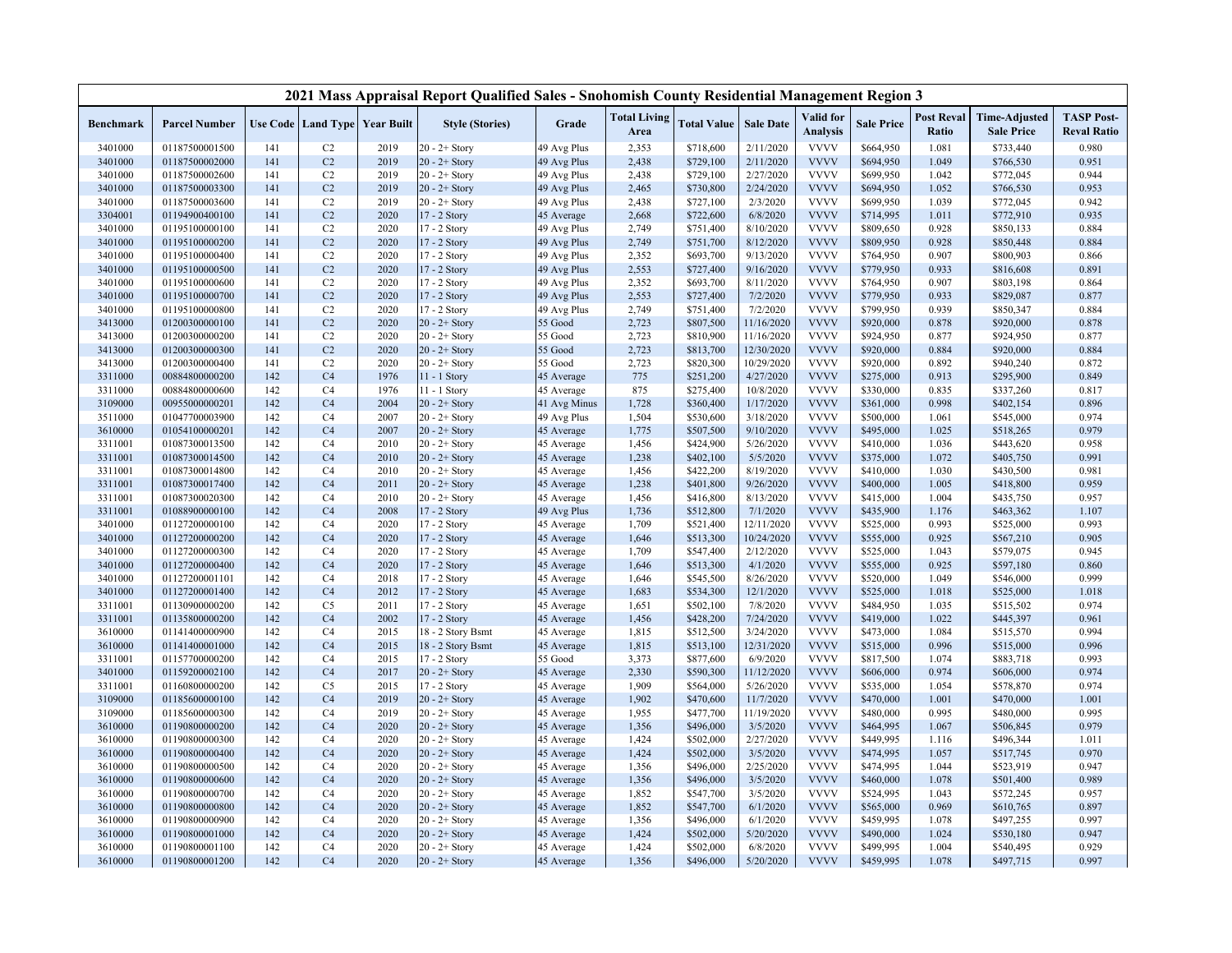|                    |                                  |            |                                  |                                   | 2021 Mass Appraisal Report Qualified Sales - Snohomish County Residential Management Region 3 |                           |                             |                        |                       |                              |                        |                            |                                           |                                         |
|--------------------|----------------------------------|------------|----------------------------------|-----------------------------------|-----------------------------------------------------------------------------------------------|---------------------------|-----------------------------|------------------------|-----------------------|------------------------------|------------------------|----------------------------|-------------------------------------------|-----------------------------------------|
| <b>Benchmark</b>   | <b>Parcel Number</b>             |            |                                  | Use Code   Land Type   Year Built | <b>Style (Stories)</b>                                                                        | Grade                     | <b>Total Living</b><br>Area | <b>Total Value</b>     | <b>Sale Date</b>      | Valid for<br><b>Analysis</b> | <b>Sale Price</b>      | <b>Post Reval</b><br>Ratio | <b>Time-Adjusted</b><br><b>Sale Price</b> | <b>TASP Post-</b><br><b>Reval Ratio</b> |
| 3401000            | 01187500001500                   | 141        | C2                               | 2019                              | $20 - 2 +$ Story                                                                              | 49 Avg Plus               | 2,353                       | \$718,600              | 2/11/2020             | <b>VVVV</b>                  | \$664,950              | 1.081                      | \$733,440                                 | 0.980                                   |
| 3401000            | 01187500002000                   | 141        | C2                               | 2019                              | $20 - 2 +$ Story                                                                              | 49 Avg Plus               | 2,438                       | \$729,100              | 2/11/2020             | <b>VVVV</b>                  | \$694,950              | 1.049                      | \$766,530                                 | 0.951                                   |
| 3401000            | 01187500002600                   | 141        | C2                               | 2019                              | $20 - 2 +$ Story                                                                              | 49 Avg Plus               | 2,438                       | \$729,100              | 2/27/2020             | <b>VVVV</b>                  | \$699,950              | 1.042                      | \$772,045                                 | 0.944                                   |
| 3401000            | 01187500003300                   | 141        | C2                               | 2019                              | $20 - 2 +$ Story                                                                              | 49 Avg Plus               | 2,465                       | \$730,800              | 2/24/2020             | <b>VVVV</b>                  | \$694,950              | 1.052                      | \$766,530                                 | 0.953                                   |
| 3401000            | 01187500003600                   | 141        | C2                               | 2019                              | $20 - 2 +$ Story                                                                              | 49 Avg Plus               | 2,438                       | \$727,100              | 2/3/2020              | <b>VVVV</b>                  | \$699,950              | 1.039                      | \$772,045                                 | 0.942                                   |
| 3304001            | 01194900400100                   | 141        | C2                               | 2020                              | 17 - 2 Story                                                                                  | 45 Average                | 2,668                       | \$722,600              | 6/8/2020              | <b>VVVV</b>                  | \$714,995              | 1.011                      | \$772,910                                 | 0.935                                   |
| 3401000            | 01195100000100                   | 141        | C2                               | 2020                              | 17 - 2 Story                                                                                  | 49 Avg Plus               | 2,749                       | \$751,400              | 8/10/2020             | <b>VVVV</b>                  | \$809,650              | 0.928                      | \$850,133                                 | 0.884                                   |
| 3401000            | 01195100000200                   | 141        | C2                               | 2020                              | 17 - 2 Story                                                                                  | 49 Avg Plus               | 2,749                       | \$751,700              | 8/12/2020             | <b>VVVV</b>                  | \$809,950              | 0.928                      | \$850,448                                 | 0.884                                   |
| 3401000            | 01195100000400                   | 141        | C2                               | 2020                              | 17 - 2 Story                                                                                  | 49 Avg Plus               | 2,352                       | \$693,700              | 9/13/2020             | <b>VVVV</b>                  | \$764,950              | 0.907                      | \$800,903                                 | 0.866                                   |
| 3401000            | 01195100000500                   | 141        | C2                               | 2020                              | 17 - 2 Story                                                                                  | 49 Avg Plus               | 2,553                       | \$727,400              | 9/16/2020             | <b>VVVV</b>                  | \$779,950              | 0.933                      | \$816,608                                 | 0.891                                   |
| 3401000            | 01195100000600                   | 141        | C2                               | 2020                              | 17 - 2 Story                                                                                  | 49 Avg Plus               | 2,352                       | \$693,700              | 8/11/2020             | <b>VVVV</b>                  | \$764,950              | 0.907                      | \$803,198                                 | 0.864                                   |
| 3401000            | 01195100000700                   | 141        | C2                               | 2020                              | 17 - 2 Story                                                                                  | 49 Avg Plus               | 2,553                       | \$727,400              | 7/2/2020              | <b>VVVV</b>                  | \$779,950              | 0.933                      | \$829,087                                 | 0.877                                   |
| 3401000            | 01195100000800                   | 141        | C2                               | 2020                              | 17 - 2 Story                                                                                  | 49 Avg Plus               | 2,749                       | \$751,400              | 7/2/2020              | <b>VVVV</b>                  | \$799,950              | 0.939                      | \$850,347                                 | 0.884                                   |
| 3413000            | 01200300000100                   | 141        | C2                               | 2020                              | $20 - 2 +$ Story                                                                              | 55 Good                   | 2,723                       | \$807,500              | 11/16/2020            | <b>VVVV</b>                  | \$920,000              | 0.878                      | \$920,000                                 | 0.878                                   |
| 3413000            | 01200300000200                   | 141        | C2                               | 2020                              | $20 - 2 +$ Story                                                                              | 55 Good                   | 2,723                       | \$810,900              | 11/16/2020            | <b>VVVV</b>                  | \$924,950              | 0.877                      | \$924,950                                 | 0.877                                   |
| 3413000            | 01200300000300                   | 141        | C2                               | 2020                              | $20 - 2 +$ Story                                                                              | 55 Good                   | 2,723                       | \$813,700              | 12/30/2020            | <b>VVVV</b>                  | \$920,000              | 0.884                      | \$920,000                                 | 0.884                                   |
| 3413000            | 01200300000400                   | 141        | C2                               | 2020                              | $20 - 2 +$ Story                                                                              | 55 Good                   | 2,723                       | \$820,300              | 10/29/2020            | <b>VVVV</b>                  | \$920,000              | 0.892                      | \$940,240                                 | 0.872                                   |
| 3311000            | 00884800000200                   | 142        | C <sub>4</sub>                   | 1976                              | $11 - 1$ Story                                                                                | 45 Average                | 775                         | \$251,200              | 4/27/2020             | <b>VVVV</b>                  | \$275,000              | 0.913                      | \$295,900                                 | 0.849                                   |
| 3311000            | 00884800000600                   | 142        | C <sub>4</sub>                   | 1976                              | 11 - 1 Story                                                                                  | 45 Average                | 875                         | \$275,400              | 10/8/2020             | <b>VVVV</b>                  | \$330,000              | 0.835                      | \$337,260                                 | 0.817                                   |
| 3109000            | 00955000000201                   | 142        | C <sub>4</sub>                   | 2004                              | $20 - 2 +$ Story                                                                              | 41 Avg Minus              | 1,728                       | \$360,400              | 1/17/2020             | <b>VVVV</b>                  | \$361,000              | 0.998                      | \$402,154                                 | 0.896                                   |
| 3511000            | 01047700003900                   | 142        | C <sub>4</sub>                   | 2007                              | $20 - 2 +$ Story                                                                              | 49 Avg Plus               | 1,504                       | \$530,600              | 3/18/2020             | <b>VVVV</b>                  | \$500,000              | 1.061                      | \$545,000                                 | 0.974                                   |
| 3610000            | 01054100000201                   | 142        | C <sub>4</sub>                   | 2007                              | $20 - 2 +$ Story                                                                              | 45 Average                | 1,775                       | \$507,500              | 9/10/2020             | <b>VVVV</b>                  | \$495,000              | 1.025                      | \$518,265                                 | 0.979                                   |
| 3311001            | 01087300013500                   | 142<br>142 | C <sub>4</sub><br>C <sub>4</sub> | 2010<br>2010                      | $20 - 2 +$ Story                                                                              | 45 Average                | 1,456<br>1,238              | \$424,900<br>\$402,100 | 5/26/2020<br>5/5/2020 | <b>VVVV</b><br><b>VVVV</b>   | \$410,000<br>\$375,000 | 1.036                      | \$443,620<br>\$405,750                    | 0.958<br>0.991                          |
| 3311001<br>3311001 | 01087300014500                   | 142        | C <sub>4</sub>                   | 2010                              | $20 - 2 +$ Story<br>$20 - 2 +$ Story                                                          | 45 Average                |                             | \$422,200              | 8/19/2020             | <b>VVVV</b>                  | \$410,000              | 1.072<br>1.030             | \$430,500                                 | 0.981                                   |
| 3311001            | 01087300014800<br>01087300017400 | 142        | C <sub>4</sub>                   | 2011                              | $20 - 2 +$ Story                                                                              | 45 Average                | 1,456<br>1,238              | \$401,800              | 9/26/2020             | <b>VVVV</b>                  | \$400,000              | 1.005                      | \$418,800                                 | 0.959                                   |
| 3311001            | 01087300020300                   | 142        | C <sub>4</sub>                   | 2010                              | $20 - 2 +$ Story                                                                              | 45 Average                | 1,456                       | \$416,800              | 8/13/2020             | <b>VVVV</b>                  | \$415,000              | 1.004                      | \$435,750                                 | 0.957                                   |
| 3311001            | 01088900000100                   | 142        | C <sub>4</sub>                   | 2008                              | $17 - 2$ Story                                                                                | 45 Average<br>49 Avg Plus | 1,736                       | \$512,800              | 7/1/2020              | <b>VVVV</b>                  | \$435,900              | 1.176                      | \$463,362                                 | 1.107                                   |
| 3401000            | 01127200000100                   | 142        | C <sub>4</sub>                   | 2020                              | 17 - 2 Story                                                                                  | 45 Average                | 1,709                       | \$521,400              | 12/11/2020            | <b>VVVV</b>                  | \$525,000              | 0.993                      | \$525,000                                 | 0.993                                   |
| 3401000            | 01127200000200                   | 142        | C <sub>4</sub>                   | 2020                              | 17 - 2 Story                                                                                  | 45 Average                | 1,646                       | \$513,300              | 10/24/2020            | <b>VVVV</b>                  | \$555,000              | 0.925                      | \$567,210                                 | 0.905                                   |
| 3401000            | 01127200000300                   | 142        | C <sub>4</sub>                   | 2020                              | 17 - 2 Story                                                                                  | 45 Average                | 1,709                       | \$547,400              | 2/12/2020             | <b>VVVV</b>                  | \$525,000              | 1.043                      | \$579,075                                 | 0.945                                   |
| 3401000            | 01127200000400                   | 142        | C <sub>4</sub>                   | 2020                              | 17 - 2 Story                                                                                  | 45 Average                | 1,646                       | \$513,300              | 4/1/2020              | <b>VVVV</b>                  | \$555,000              | 0.925                      | \$597,180                                 | 0.860                                   |
| 3401000            | 01127200001101                   | 142        | C <sub>4</sub>                   | 2018                              | 17 - 2 Story                                                                                  | 45 Average                | 1,646                       | \$545,500              | 8/26/2020             | <b>VVVV</b>                  | \$520,000              | 1.049                      | \$546,000                                 | 0.999                                   |
| 3401000            | 01127200001400                   | 142        | C <sub>4</sub>                   | 2012                              | 17 - 2 Story                                                                                  | 45 Average                | 1,683                       | \$534,300              | 12/1/2020             | <b>VVVV</b>                  | \$525,000              | 1.018                      | \$525,000                                 | 1.018                                   |
| 3311001            | 01130900000200                   | 142        | C <sub>5</sub>                   | 2011                              | 17 - 2 Story                                                                                  | 45 Average                | 1,651                       | \$502,100              | 7/8/2020              | <b>VVVV</b>                  | \$484,950              | 1.035                      | \$515,502                                 | 0.974                                   |
| 3311001            | 01135800000200                   | 142        | C <sub>4</sub>                   | 2002                              | 17 - 2 Story                                                                                  | 45 Average                | 1,456                       | \$428,200              | 7/24/2020             | <b>VVVV</b>                  | \$419,000              | 1.022                      | \$445,397                                 | 0.961                                   |
| 3610000            | 01141400000900                   | 142        | C <sub>4</sub>                   | 2015                              | 18 - 2 Story Bsmt                                                                             | 45 Average                | 1,815                       | \$512,500              | 3/24/2020             | <b>VVVV</b>                  | \$473,000              | 1.084                      | \$515,570                                 | 0.994                                   |
| 3610000            | 01141400001000                   | 142        | C <sub>4</sub>                   | 2015                              | 18 - 2 Story Bsmt                                                                             | 45 Average                | 1,815                       | \$513,100              | 12/31/2020            | <b>VVVV</b>                  | \$515,000              | 0.996                      | \$515,000                                 | 0.996                                   |
| 3311001            | 01157700000200                   | 142        | C <sub>4</sub>                   | 2015                              | 17 - 2 Story                                                                                  | 55 Good                   | 3,373                       | \$877,600              | 6/9/2020              | <b>VVVV</b>                  | \$817,500              | 1.074                      | \$883,718                                 | 0.993                                   |
| 3401000            | 01159200002100                   | 142        | C <sub>4</sub>                   | 2017                              | $20 - 2 +$ Story                                                                              | 45 Average                | 2,330                       | \$590,300              | 11/12/2020            | <b>VVVV</b>                  | \$606,000              | 0.974                      | \$606,000                                 | 0.974                                   |
| 3311001            | 01160800000200                   | 142        | C <sub>5</sub>                   | 2015                              | 17 - 2 Story                                                                                  | 45 Average                | 1,909                       | \$564,000              | 5/26/2020             | <b>VVVV</b>                  | \$535,000              | 1.054                      | \$578,870                                 | 0.974                                   |
| 3109000            | 01185600000100                   | 142        | C <sub>4</sub>                   | 2019                              | $20 - 2 +$ Story                                                                              | 45 Average                | 1,902                       | \$470,600              | 11/7/2020             | <b>VVVV</b>                  | \$470,000              | 1.001                      | \$470,000                                 | 1.001                                   |
| 3109000            | 01185600000300                   | 142        | C <sub>4</sub>                   | 2019                              | $20 - 2 +$ Story                                                                              | 45 Average                | 1,955                       | \$477,700              | 11/19/2020            | <b>VVVV</b>                  | \$480,000              | 0.995                      | \$480,000                                 | 0.995                                   |
| 3610000            | 01190800000200                   | 142        | C <sub>4</sub>                   | 2020                              | $20 - 2 +$ Story                                                                              | 45 Average                | 1,356                       | \$496,000              | 3/5/2020              | <b>VVVV</b>                  | \$464,995              | 1.067                      | \$506,845                                 | 0.979                                   |
| 3610000            | 01190800000300                   | 142        | C <sub>4</sub>                   | 2020                              | $20 - 2 +$ Story                                                                              | 45 Average                | 1,424                       | \$502,000              | 2/27/2020             | <b>VVVV</b>                  | \$449,995              | 1.116                      | \$496,344                                 | 1.011                                   |
| 3610000            | 01190800000400                   | 142        | C <sub>4</sub>                   | 2020                              | $20 - 2 +$ Story                                                                              | 45 Average                | 1,424                       | \$502,000              | 3/5/2020              | <b>VVVV</b>                  | \$474,995              | 1.057                      | \$517,745                                 | 0.970                                   |
| 3610000            | 01190800000500                   | 142        | C <sub>4</sub>                   | 2020                              | $20 - 2 +$ Story                                                                              | 45 Average                | 1,356                       | \$496,000              | 2/25/2020             | <b>VVVV</b>                  | \$474,995              | 1.044                      | \$523,919                                 | 0.947                                   |
| 3610000            | 01190800000600                   | 142        | C <sub>4</sub>                   | 2020                              | $20 - 2 +$ Story                                                                              | 45 Average                | 1,356                       | \$496,000              | 3/5/2020              | <b>VVVV</b>                  | \$460,000              | 1.078                      | \$501,400                                 | 0.989                                   |
| 3610000            | 01190800000700                   | 142        | C <sub>4</sub>                   | 2020                              | $20 - 2 +$ Story                                                                              | 45 Average                | 1,852                       | \$547,700              | 3/5/2020              | <b>VVVV</b>                  | \$524,995              | 1.043                      | \$572,245                                 | 0.957                                   |
| 3610000            | 01190800000800                   | 142        | C <sub>4</sub>                   | 2020                              | $20 - 2 +$ Story                                                                              | 45 Average                | 1,852                       | \$547,700              | 6/1/2020              | <b>VVVV</b>                  | \$565,000              | 0.969                      | \$610,765                                 | 0.897                                   |
| 3610000            | 01190800000900                   | 142        | C <sub>4</sub>                   | 2020                              | $20 - 2 +$ Story                                                                              | 45 Average                | 1,356                       | \$496,000              | 6/1/2020              | <b>VVVV</b>                  | \$459,995              | 1.078                      | \$497,255                                 | 0.997                                   |
| 3610000            | 01190800001000                   | 142        | C <sub>4</sub>                   | 2020                              | $20 - 2 +$ Story                                                                              | 45 Average                | 1,424                       | \$502,000              | 5/20/2020             | <b>VVVV</b>                  | \$490,000              | 1.024                      | \$530,180                                 | 0.947                                   |
| 3610000            | 01190800001100                   | 142        | C <sub>4</sub>                   | 2020                              | $20 - 2 +$ Story                                                                              | 45 Average                | 1,424                       | \$502,000              | 6/8/2020              | <b>VVVV</b>                  | \$499,995              | 1.004                      | \$540,495                                 | 0.929                                   |
| 3610000            | 01190800001200                   | 142        | C <sub>4</sub>                   | 2020                              | $20 - 2 +$ Story                                                                              | 45 Average                | 1,356                       | \$496,000              | 5/20/2020             | <b>VVVV</b>                  | \$459,995              | 1.078                      | \$497,715                                 | 0.997                                   |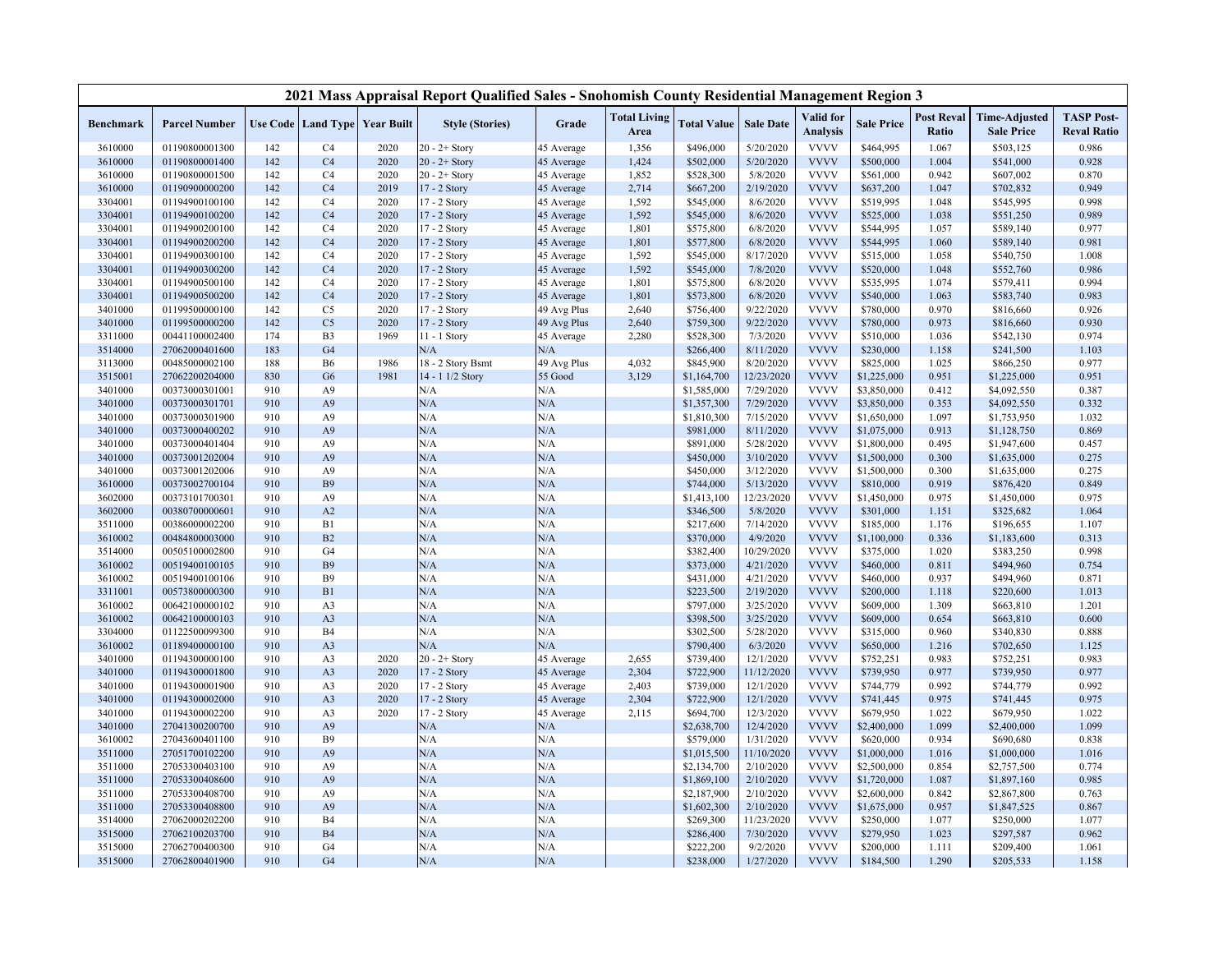|                  |                      |     |                                          |      | 2021 Mass Appraisal Report Qualified Sales - Snohomish County Residential Management Region 3 |             |                             |                    |                  |                              |                   |                            |                                           |                                         |
|------------------|----------------------|-----|------------------------------------------|------|-----------------------------------------------------------------------------------------------|-------------|-----------------------------|--------------------|------------------|------------------------------|-------------------|----------------------------|-------------------------------------------|-----------------------------------------|
| <b>Benchmark</b> | <b>Parcel Number</b> |     | <b>Use Code   Land Type   Year Built</b> |      | <b>Style (Stories)</b>                                                                        | Grade       | <b>Total Living</b><br>Area | <b>Total Value</b> | <b>Sale Date</b> | Valid for<br><b>Analysis</b> | <b>Sale Price</b> | <b>Post Reval</b><br>Ratio | <b>Time-Adjusted</b><br><b>Sale Price</b> | <b>TASP Post-</b><br><b>Reval Ratio</b> |
| 3610000          | 01190800001300       | 142 | C <sub>4</sub>                           | 2020 | $20 - 2 +$ Story                                                                              | 45 Average  | 1,356                       | \$496,000          | 5/20/2020        | <b>VVVV</b>                  | \$464,995         | 1.067                      | \$503,125                                 | 0.986                                   |
| 3610000          | 01190800001400       | 142 | C <sub>4</sub>                           | 2020 | $20 - 2 +$ Story                                                                              | 45 Average  | 1,424                       | \$502,000          | 5/20/2020        | <b>VVVV</b>                  | \$500,000         | 1.004                      | \$541,000                                 | 0.928                                   |
| 3610000          | 01190800001500       | 142 | C <sub>4</sub>                           | 2020 | $20 - 2 +$ Story                                                                              | 45 Average  | 1,852                       | \$528,300          | 5/8/2020         | <b>VVVV</b>                  | \$561,000         | 0.942                      | \$607,002                                 | 0.870                                   |
| 3610000          | 01190900000200       | 142 | C <sub>4</sub>                           | 2019 | 17 - 2 Story                                                                                  | 45 Average  | 2,714                       | \$667,200          | 2/19/2020        | <b>VVVV</b>                  | \$637,200         | 1.047                      | \$702,832                                 | 0.949                                   |
| 3304001          | 01194900100100       | 142 | C <sub>4</sub>                           | 2020 | 17 - 2 Story                                                                                  | 45 Average  | 1,592                       | \$545,000          | 8/6/2020         | <b>VVVV</b>                  | \$519,995         | 1.048                      | \$545,995                                 | 0.998                                   |
| 3304001          | 01194900100200       | 142 | C <sub>4</sub>                           | 2020 | 17 - 2 Story                                                                                  | 45 Average  | 1,592                       | \$545,000          | 8/6/2020         | <b>VVVV</b>                  | \$525,000         | 1.038                      | \$551,250                                 | 0.989                                   |
| 3304001          | 01194900200100       | 142 | C <sub>4</sub>                           | 2020 | $17 - 2$ Story                                                                                | 45 Average  | 1,801                       | \$575,800          | 6/8/2020         | <b>VVVV</b>                  | \$544,995         | 1.057                      | \$589,140                                 | 0.977                                   |
| 3304001          | 01194900200200       | 142 | C <sub>4</sub>                           | 2020 | 17 - 2 Story                                                                                  | 45 Average  | 1,801                       | \$577,800          | 6/8/2020         | <b>VVVV</b>                  | \$544,995         | 1.060                      | \$589,140                                 | 0.981                                   |
| 3304001          | 01194900300100       | 142 | C <sub>4</sub>                           | 2020 | $17 - 2$ Story                                                                                | 45 Average  | 1,592                       | \$545,000          | 8/17/2020        | <b>VVVV</b>                  | \$515,000         | 1.058                      | \$540,750                                 | 1.008                                   |
| 3304001          | 01194900300200       | 142 | C <sub>4</sub>                           | 2020 | 17 - 2 Story                                                                                  | 45 Average  | 1,592                       | \$545,000          | 7/8/2020         | <b>VVVV</b>                  | \$520,000         | 1.048                      | \$552,760                                 | 0.986                                   |
| 3304001          | 01194900500100       | 142 | C <sub>4</sub>                           | 2020 | 17 - 2 Story                                                                                  | 45 Average  | 1,801                       | \$575,800          | 6/8/2020         | <b>VVVV</b>                  | \$535,995         | 1.074                      | \$579,411                                 | 0.994                                   |
| 3304001          | 01194900500200       | 142 | C <sub>4</sub>                           | 2020 | 17 - 2 Story                                                                                  | 45 Average  | 1,801                       | \$573,800          | 6/8/2020         | <b>VVVV</b>                  | \$540,000         | 1.063                      | \$583,740                                 | 0.983                                   |
| 3401000          | 01199500000100       | 142 | C <sub>5</sub>                           | 2020 | 17 - 2 Story                                                                                  | 49 Avg Plus | 2,640                       | \$756,400          | 9/22/2020        | <b>VVVV</b>                  | \$780,000         | 0.970                      | \$816,660                                 | 0.926                                   |
| 3401000          | 01199500000200       | 142 | C <sub>5</sub>                           | 2020 | 17 - 2 Story                                                                                  | 49 Avg Plus | 2,640                       | \$759,300          | 9/22/2020        | <b>VVVV</b>                  | \$780,000         | 0.973                      | \$816,660                                 | 0.930                                   |
| 3311000          | 00441100002400       | 174 | B <sub>3</sub>                           | 1969 | 11 - 1 Story                                                                                  | 45 Average  | 2,280                       | \$528,300          | 7/3/2020         | <b>VVVV</b>                  | \$510,000         | 1.036                      | \$542,130                                 | 0.974                                   |
| 3514000          | 27062000401600       | 183 | G <sub>4</sub>                           |      | N/A                                                                                           | N/A         |                             | \$266,400          | 8/11/2020        | <b>VVVV</b>                  | \$230,000         | 1.158                      | \$241,500                                 | 1.103                                   |
| 3113000          | 00485000002100       | 188 | <b>B6</b>                                | 1986 | 18 - 2 Story Bsmt                                                                             | 49 Avg Plus | 4,032                       | \$845,900          | 8/20/2020        | <b>VVVV</b>                  | \$825,000         | 1.025                      | \$866,250                                 | 0.977                                   |
| 3515001          | 27062200204000       | 830 | G <sub>6</sub>                           | 1981 | 14 - 1 1/2 Story                                                                              | 55 Good     | 3,129                       | \$1,164,700        | 12/23/2020       | <b>VVVV</b>                  | \$1,225,000       | 0.951                      | \$1,225,000                               | 0.951                                   |
| 3401000          | 00373000301001       | 910 | A <sub>9</sub>                           |      | N/A                                                                                           | N/A         |                             | \$1,585,000        | 7/29/2020        | <b>VVVV</b>                  | \$3,850,000       | 0.412                      | \$4,092,550                               | 0.387                                   |
| 3401000          | 00373000301701       | 910 | A <sub>9</sub>                           |      | N/A                                                                                           | N/A         |                             | \$1,357,300        | 7/29/2020        | <b>VVVV</b>                  | \$3,850,000       | 0.353                      | \$4,092,550                               | 0.332                                   |
| 3401000          | 00373000301900       | 910 | A <sub>9</sub>                           |      | N/A                                                                                           | N/A         |                             | \$1,810,300        | 7/15/2020        | <b>VVVV</b>                  | \$1,650,000       | 1.097                      | \$1,753,950                               | 1.032                                   |
| 3401000          | 00373000400202       | 910 | A <sub>9</sub>                           |      | N/A                                                                                           | N/A         |                             | \$981,000          | 8/11/2020        | <b>VVVV</b>                  | \$1,075,000       | 0.913                      | \$1,128,750                               | 0.869                                   |
| 3401000          | 00373000401404       | 910 | A <sub>9</sub>                           |      | N/A                                                                                           | N/A         |                             | \$891,000          | 5/28/2020        | <b>VVVV</b>                  | \$1,800,000       | 0.495                      | \$1,947,600                               | 0.457                                   |
| 3401000          | 00373001202004       | 910 | A <sub>9</sub>                           |      | N/A                                                                                           | N/A         |                             | \$450,000          | 3/10/2020        | <b>VVVV</b>                  | \$1,500,000       | 0.300                      | \$1,635,000                               | 0.275                                   |
| 3401000          | 00373001202006       | 910 | A <sub>9</sub>                           |      | N/A                                                                                           | N/A         |                             | \$450,000          | 3/12/2020        | <b>VVVV</b>                  | \$1,500,000       | 0.300                      | \$1,635,000                               | 0.275                                   |
| 3610000          | 00373002700104       | 910 | <b>B9</b>                                |      | N/A                                                                                           | N/A         |                             | \$744,000          | 5/13/2020        | <b>VVVV</b>                  | \$810,000         | 0.919                      | \$876,420                                 | 0.849                                   |
| 3602000          | 00373101700301       | 910 | A <sub>9</sub>                           |      | N/A                                                                                           | N/A         |                             | \$1,413,100        | 12/23/2020       | <b>VVVV</b>                  | \$1,450,000       | 0.975                      | \$1,450,000                               | 0.975                                   |
| 3602000          | 00380700000601       | 910 | A2                                       |      | N/A                                                                                           | N/A         |                             | \$346,500          | 5/8/2020         | <b>VVVV</b>                  | \$301,000         | 1.151                      | \$325,682                                 | 1.064                                   |
| 3511000          | 00386000002200       | 910 | B1                                       |      | N/A                                                                                           | N/A         |                             | \$217,600          | 7/14/2020        | <b>VVVV</b>                  | \$185,000         | 1.176                      | \$196,655                                 | 1.107                                   |
| 3610002          | 00484800003000       | 910 | B2                                       |      | N/A                                                                                           | N/A         |                             | \$370,000          | 4/9/2020         | <b>VVVV</b>                  | \$1,100,000       | 0.336                      | \$1,183,600                               | 0.313                                   |
| 3514000          | 00505100002800       | 910 | G <sub>4</sub>                           |      | N/A                                                                                           | N/A         |                             | \$382,400          | 10/29/2020       | <b>VVVV</b>                  | \$375,000         | 1.020                      | \$383,250                                 | 0.998                                   |
| 3610002          | 00519400100105       | 910 | <b>B9</b>                                |      | N/A                                                                                           | N/A         |                             | \$373,000          | 4/21/2020        | <b>VVVV</b>                  | \$460,000         | 0.811                      | \$494,960                                 | 0.754                                   |
| 3610002          | 00519400100106       | 910 | <b>B</b> 9                               |      | N/A                                                                                           | N/A         |                             | \$431,000          | 4/21/2020        | <b>VVVV</b>                  | \$460,000         | 0.937                      | \$494,960                                 | 0.871                                   |
| 3311001          | 00573800000300       | 910 | B1                                       |      | N/A                                                                                           | N/A         |                             | \$223,500          | 2/19/2020        | <b>VVVV</b>                  | \$200,000         | 1.118                      | \$220,600                                 | 1.013                                   |
| 3610002          | 00642100000102       | 910 | A <sub>3</sub>                           |      | N/A                                                                                           | N/A         |                             | \$797,000          | 3/25/2020        | <b>VVVV</b>                  | \$609,000         | 1.309                      | \$663,810                                 | 1.201                                   |
| 3610002          | 00642100000103       | 910 | A <sub>3</sub>                           |      | N/A                                                                                           | N/A         |                             | \$398,500          | 3/25/2020        | <b>VVVV</b>                  | \$609,000         | 0.654                      | \$663,810                                 | 0.600                                   |
| 3304000          | 01122500099300       | 910 | B <sub>4</sub>                           |      | N/A                                                                                           | N/A         |                             | \$302,500          | 5/28/2020        | <b>VVVV</b>                  | \$315,000         | 0.960                      | \$340,830                                 | 0.888                                   |
| 3610002          | 01189400000100       | 910 | A <sub>3</sub>                           |      | N/A                                                                                           | N/A         |                             | \$790,400          | 6/3/2020         | <b>VVVV</b>                  | \$650,000         | 1.216                      | \$702,650                                 | 1.125                                   |
| 3401000          | 01194300000100       | 910 | A <sub>3</sub>                           | 2020 | $20 - 2 +$ Story                                                                              | 45 Average  | 2,655                       | \$739,400          | 12/1/2020        | <b>VVVV</b>                  | \$752,251         | 0.983                      | \$752,251                                 | 0.983                                   |
| 3401000          | 01194300001800       | 910 | A <sub>3</sub>                           | 2020 | 17 - 2 Story                                                                                  | 45 Average  | 2,304                       | \$722,900          | 11/12/2020       | <b>VVVV</b>                  | \$739,950         | 0.977                      | \$739,950                                 | 0.977                                   |
| 3401000          | 01194300001900       | 910 | A <sub>3</sub>                           | 2020 | 17 - 2 Story                                                                                  | 45 Average  | 2,403                       | \$739,000          | 12/1/2020        | <b>VVVV</b>                  | \$744,779         | 0.992                      | \$744,779                                 | 0.992                                   |
| 3401000          | 01194300002000       | 910 | A <sub>3</sub>                           | 2020 | 17 - 2 Story                                                                                  | 45 Average  | 2,304                       | \$722,900          | 12/1/2020        | <b>VVVV</b>                  | \$741,445         | 0.975                      | \$741,445                                 | 0.975                                   |
| 3401000          | 01194300002200       | 910 | A <sub>3</sub>                           | 2020 | 17 - 2 Story                                                                                  | 45 Average  | 2,115                       | \$694,700          | 12/3/2020        | <b>VVVV</b>                  | \$679,950         | 1.022                      | \$679,950                                 | 1.022                                   |
| 3401000          | 27041300200700       | 910 | A <sub>9</sub>                           |      | N/A                                                                                           | N/A         |                             | \$2,638,700        | 12/4/2020        | <b>VVVV</b>                  | \$2,400,000       | 1.099                      | \$2,400,000                               | 1.099                                   |
| 3610002          | 27043600401100       | 910 | <b>B9</b>                                |      | N/A                                                                                           | N/A         |                             | \$579,000          | 1/31/2020        | <b>VVVV</b>                  | \$620,000         | 0.934                      | \$690,680                                 | 0.838                                   |
| 3511000          | 27051700102200       | 910 | A <sub>9</sub>                           |      | N/A                                                                                           | N/A         |                             | \$1,015,500        | 11/10/2020       | <b>VVVV</b>                  | \$1,000,000       | 1.016                      | \$1,000,000                               | 1.016                                   |
| 3511000          | 27053300403100       | 910 | A <sub>9</sub>                           |      | N/A                                                                                           | N/A         |                             | \$2,134,700        | 2/10/2020        | <b>VVVV</b>                  | \$2,500,000       | 0.854                      | \$2,757,500                               | 0.774                                   |
| 3511000          | 27053300408600       | 910 | A <sub>9</sub>                           |      | N/A                                                                                           | N/A         |                             | \$1,869,100        | 2/10/2020        | <b>VVVV</b>                  | \$1,720,000       | 1.087                      | \$1,897,160                               | 0.985                                   |
| 3511000          | 27053300408700       | 910 | A <sub>9</sub>                           |      | N/A                                                                                           | N/A         |                             | \$2,187,900        | 2/10/2020        | <b>VVVV</b>                  | \$2,600,000       | 0.842                      | \$2,867,800                               | 0.763                                   |
| 3511000          | 27053300408800       | 910 | A <sub>9</sub>                           |      | N/A                                                                                           | N/A         |                             | \$1,602,300        | 2/10/2020        | <b>VVVV</b>                  | \$1,675,000       | 0.957                      | \$1,847,525                               | 0.867                                   |
| 3514000          | 27062000202200       | 910 | B <sub>4</sub>                           |      | N/A                                                                                           | N/A         |                             | \$269,300          | 11/23/2020       | <b>VVVV</b>                  | \$250,000         | 1.077                      | \$250,000                                 | 1.077                                   |
| 3515000          | 27062100203700       | 910 | <b>B4</b>                                |      | N/A                                                                                           | N/A         |                             | \$286,400          | 7/30/2020        | <b>VVVV</b><br><b>VVVV</b>   | \$279,950         | 1.023                      | \$297,587                                 | 0.962                                   |
| 3515000          | 27062700400300       | 910 | G <sub>4</sub>                           |      | N/A                                                                                           | N/A         |                             | \$222,200          | 9/2/2020         |                              | \$200,000         | 1.111                      | \$209,400                                 | 1.061                                   |
| 3515000          | 27062800401900       | 910 | G <sub>4</sub>                           |      | N/A                                                                                           | N/A         |                             | \$238,000          | 1/27/2020        | <b>VVVV</b>                  | \$184,500         | 1.290                      | \$205,533                                 | 1.158                                   |